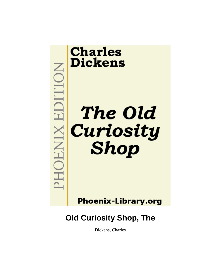

**Phoenix-Library.org** 

# **Old Curiosity Shop, The**

Dickens, Charles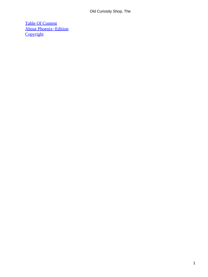[Table Of Content](#page-494-0) [About Phoenix−Edition](#page-498-0) **[Copyright](#page-501-0)**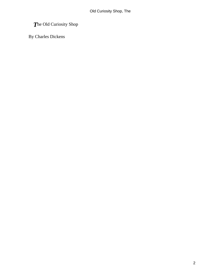## *T*he Old Curiosity Shop

By Charles Dickens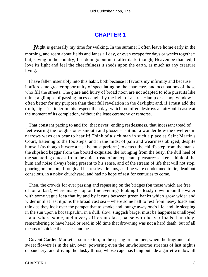#### **[CHAPTER 1](#page-494-0)**

*N*ight is generally my time for walking. In the summer I often leave home early in the morning, and roam about fields and lanes all day, or even escape for days or weeks together; but, saving in the country, I seldom go out until after dark, though, Heaven be thanked, I love its light and feel the cheerfulness it sheds upon the earth, as much as any creature living.

 I have fallen insensibly into this habit, both because it favours my infirmity and because it affords me greater opportunity of speculating on the characters and occupations of those who fill the streets. The glare and hurry of broad noon are not adapted to idle pursuits like mine; a glimpse of passing faces caught by the light of a street−lamp or a shop window is often better for my purpose than their full revelation in the daylight; and, if I must add the truth, night is kinder in this respect than day, which too often destroys an air−built castle at the moment of its completion, without the least ceremony or remorse.

 That constant pacing to and fro, that never−ending restlessness, that incessant tread of feet wearing the rough stones smooth and glossy – is it not a wonder how the dwellers in narrows ways can bear to hear it! Think of a sick man in such a place as Saint Martin's Court, listening to the footsteps, and in the midst of pain and weariness obliged, despite himself (as though it were a task he must perform) to detect the child's step from the man's, the slipshod beggar from the booted exquisite, the lounging from the busy, the dull heel of the sauntering outcast from the quick tread of an expectant pleasure−seeker – think of the hum and noise always being present to his sense, and of the stream of life that will not stop, pouring on, on, on, through all his restless dreams, as if he were condemned to lie, dead but conscious, in a noisy churchyard, and had no hope of rest for centuries to come.

 Then, the crowds for ever passing and repassing on the bridges (on those which are free of toil at last), where many stop on fine evenings looking listlessly down upon the water with some vague idea that by and by it runs between green banks which grow wider and wider until at last it joins the broad vast sea – where some halt to rest from heavy loads and think as they look over the parapet that to smoke and lounge away one's life, and lie sleeping in the sun upon a hot tarpaulin, in a dull, slow, sluggish barge, must be happiness unalloyed – and where some, and a very different class, pause with heaver loads than they, remembering to have heard or read in old time that drowning was not a hard death, but of all means of suicide the easiest and best.

 Covent Garden Market at sunrise too, in the spring or summer, when the fragrance of sweet flowers is in the air, over−powering even the unwholesome streams of last night's debauchery, and driving the dusky thrust, whose cage has hung outside a garret window all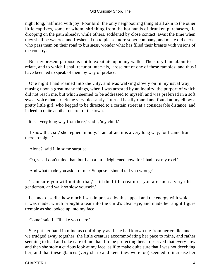night long, half mad with joy! Poor bird! the only neighbouring thing at all akin to the other little captives, some of whom, shrinking from the hot hands of drunken purchasers, lie drooping on the path already, while others, soddened by close contact, await the time when they shall be watered and freshened up to please more sober company, and make old clerks who pass them on their road to business, wonder what has filled their breasts with visions of the country.

 But my present purpose is not to expatiate upon my walks. The story I am about to relate, and to which I shall recur at intervals, arose out of one of these rambles; and thus I have been led to speak of them by way of preface.

 One night I had roamed into the City, and was walking slowly on in my usual way, musing upon a great many things, when I was arrested by an inquiry, the purport of which did not reach me, but which seemed to be addressed to myself, and was preferred in a soft sweet voice that struck me very pleasantly. I turned hastily round and found at my elbow a pretty little girl, who begged to be directed to a certain street at a considerable distance, and indeed in quite another quarter of the town.

It is a very long way from here,' said I, 'my child.'

 'I know that, sir,' she replied timidly. 'I am afraid it is a very long way, for I came from there to−night.'

'Alone?' said I, in some surprise.

'Oh, yes, I don't mind that, but I am a little frightened now, for I had lost my road.'

'And what made you ask it of me? Suppose I should tell you wrong?'

 'I am sure you will not do that,' said the little creature,' you are such a very old gentleman, and walk so slow yourself.'

 I cannot describe how much I was impressed by this appeal and the energy with which it was made, which brought a tear into the child's clear eye, and made her slight figure tremble as she looked up into my face.

'Come,' said I, 'I'll take you there.'

 She put her hand in mind as confidingly as if she had known me from her cradle, and we trudged away together; the little creature accommodating her pace to mine, and rather seeming to lead and take care of me than I to be protecting her. I observed that every now and then she stole a curious look at my face, as if to make quite sure that I was not deceiving her, and that these glances (very sharp and keen they were too) seemed to increase her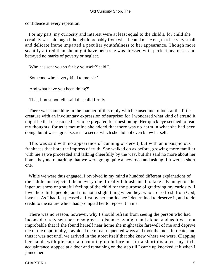confidence at every repetition.

 For my part, my curiosity and interest were at least equal to the child's, for child she certainly was, although I thought it probably from what I could make out, that her very small and delicate frame imparted a peculiar youthfulness to her appearance. Though more scantily attired than she might have been she was dressed with perfect neatness, and betrayed no marks of poverty or neglect.

'Who has sent you so far by yourself?' said I.

'Someone who is very kind to me, sir.'

'And what have you been doing?'

'That, I must not tell,' said the child firmly.

 There was something in the manner of this reply which caused me to look at the little creature with an involuntary expression of surprise; for I wondered what kind of errand it might be that occasioned her to be prepared for questioning. Her quick eye seemed to read my thoughts, for as it met mine she added that there was no harm in what she had been doing, but it was a great secret – a secret which she did not even know herself.

 This was said with no appearance of cunning or deceit, but with an unsuspicious frankness that bore the impress of truth. She walked on as before, growing more familiar with me as we proceeded and talking cheerfully by the way, but she said no more about her home, beyond remarking that we were going quite a new road and asking if it were a short one.

 While we were thus engaged, I revolved in my mind a hundred different explanations of the riddle and rejected them every one. I really felt ashamed to take advantage of the ingenuousness or grateful feeling of the child for the purpose of gratifying my curiosity. I love these little people; and it is not a slight thing when they, who are so fresh from God, love us. As I had felt pleased at first by her confidence I determined to deserve it, and to do credit to the nature which had prompted her to repose it in me.

 There was no reason, however, why I should refrain from seeing the person who had inconsiderately sent her to so great a distance by night and alone, and as it was not improbable that if she found herself near home she might take farewell of me and deprive me of the opportunity, I avoided the most frequented ways and took the most intricate, and thus it was not until we arrived in the street itself that she knew where we were. Clapping her hands with pleasure and running on before me for a short distance, my little acquaintance stopped at a door and remaining on the step till I came up knocked at it when I joined her.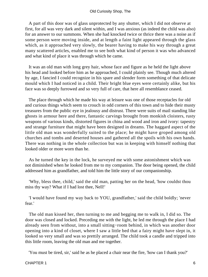A part of this door was of glass unprotected by any shutter, which I did not observe at first, for all was very dark and silent within, and I was anxious (as indeed the child was also) for an answer to our summons. When she had knocked twice or thrice there was a noise as if some person were moving inside, and at length a faint light appeared through the glass which, as it approached very slowly, the bearer having to make his way through a great many scattered articles, enabled me to see both what kind of person it was who advanced and what kind of place it was through which he came.

 It was an old man with long grey hair, whose face and figure as he held the light above his head and looked before him as he approached, I could plainly see. Though much altered by age, I fancied I could recognize in his spare and slender form something of that delicate mould which I had noticed in a child. Their bright blue eyes were certainly alike, but his face was so deeply furrowed and so very full of care, that here all resemblance ceased.

 The place through which he made his way at leisure was one of those receptacles for old and curious things which seem to crouch in odd corners of this town and to hide their musty treasures from the public eye in jealousy and distrust. There were suits of mail standing like ghosts in armour here and there, fantastic carvings brought from monkish cloisters, rusty weapons of various kinds, distorted figures in china and wood and iron and ivory: tapestry and strange furniture that might have been designed in dreams. The haggard aspect of the little old man was wonderfully suited to the place; he might have groped among old churches and tombs and deserted houses and gathered all the spoils with his own hands. There was nothing in the whole collection but was in keeping with himself nothing that looked older or more worn than he.

 As he turned the key in the lock, he surveyed me with some astonishment which was not diminished when he looked from me to my companion. The door being opened, the child addressed him as grandfather, and told him the little story of our companionship.

 'Why, bless thee, child,' said the old man, patting her on the head, 'how couldst thou miss thy way? What if I had lost thee, Nell!'

 'I would have found my way back to YOU, grandfather,' said the child boldly; 'never fear.'

 The old man kissed her, then turning to me and begging me to walk in, I did so. The door was closed and locked. Preceding me with the light, he led me through the place I had already seen from without, into a small sitting−room behind, in which was another door opening into a kind of closet, where I saw a little bed that a fairy might have slept in, it looked so very small and was so prettily arranged. The child took a candle and tripped into this little room, leaving the old man and me together.

'You must be tired, sir,' said he as he placed a chair near the fire, 'how can I thank you?'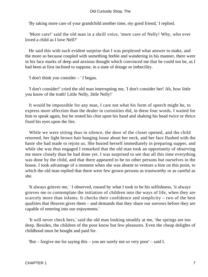'By taking more care of your grandchild another time, my good friend,' I replied.

 'More care!' said the old man in a shrill voice, 'more care of Nelly! Why, who ever loved a child as I love Nell?'

 He said this with such evident surprise that I was perplexed what answer to make, and the more so because coupled with something feeble and wandering in his manner, there were in his face marks of deep and anxious thought which convinced me that he could not be, as I had been at first inclined to suppose, in a state of dotage or imbecility.

'I don't think you consider – ' I began.

 'I don't consider!' cried the old man interrupting me, 'I don't consider her! Ah, how little you know of the truth! Little Nelly, little Nelly!'

 It would be impossible for any man, I care not what his form of speech might be, to express more affection than the dealer in curiosities did, in these four words. I waited for him to speak again, but he rested his chin upon his hand and shaking his head twice or thrice fixed his eyes upon the fire.

 While we were sitting thus in silence, the door of the closet opened, and the child returned, her light brown hair hanging loose about her neck, and her face flushed with the haste she had made to rejoin us. She busied herself immediately in preparing supper, and while she was thus engaged I remarked that the old man took an opportunity of observing me more closely than he had done yet. I was surprised to see that all this time everything was done by the child, and that there appeared to be no other persons but ourselves in the house. I took advantage of a moment when she was absent to venture a hint on this point, to which the old man replied that there were few grown persons as trustworthy or as careful as she.

 'It always grieves me, ' I observed, roused by what I took to be his selfishness, 'it always grieves me to contemplate the initiation of children into the ways of life, when they are scarcely more than infants. It checks their confidence and simplicity – two of the best qualities that Heaven gives them – and demands that they share our sorrows before they are capable of entering into our enjoyments.'

 'It will never check hers,' said the old man looking steadily at me, 'the springs are too deep. Besides, the children of the poor know but few pleasures. Even the cheap delights of childhood must be bought and paid for.

'But – forgive me for saying this – you are surely not so very poor' – said I.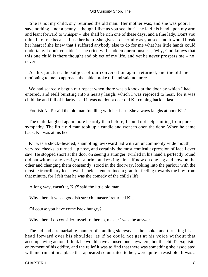'She is not my child, sir,' returned the old man. 'Her mother was, and she was poor. I save nothing – not a penny – though I live as you see, but' – he laid his hand upon my arm and leant forward to whisper – 'she shall be rich one of these days, and a fine lady. Don't you think ill of me because I use her help. She gives it cheerfully as you see, and it would break her heart if she knew that I suffered anybody else to do for me what her little hands could undertake. I don't consider!' – he cried with sudden querulousness, 'why, God knows that this one child is there thought and object of my life, and yet he never prospers me – no, never!'

 At this juncture, the subject of our conversation again returned, and the old men motioning to me to approach the table, broke off, and said no more.

 We had scarcely begun our repast when there was a knock at the door by which I had entered, and Nell bursting into a hearty laugh, which I was rejoiced to hear, for it was childlike and full of hilarity, said it was no doubt dear old Kit coming back at last.

'Foolish Nell!' said the old man fondling with her hair. 'She always laughs at poor Kit.'

 The child laughed again more heartily than before, I could not help smiling from pure sympathy. The little old man took up a candle and went to open the door. When he came back, Kit was at his heels.

 Kit was a shock−headed, shambling, awkward lad with an uncommonly wide mouth, very red cheeks, a turned−up nose, and certainly the most comical expression of face I ever saw. He stopped short at the door on seeing a stranger, twirled in his hand a perfectly round old hat without any vestige of a brim, and resting himself now on one leg and now on the other and changing them constantly, stood in the doorway, looking into the parlour with the most extraordinary leer I ever beheld. I entertained a grateful feeling towards the boy from that minute, for I felt that he was the comedy of the child's life.

'A long way, wasn't it, Kit?' said the little old man.

'Why, then, it was a goodish stretch, master,' returned Kit.

'Of course you have come back hungry?'

'Why, then, I do consider myself rather so, master,' was the answer.

 The lad had a remarkable manner of standing sideways as he spoke, and thrusting his head forward over his shoulder, as if he could not get at his voice without that accompanying action. I think he would have amused one anywhere, but the child's exquisite enjoyment of his oddity, and the relief it was to find that there was something she associated with merriment in a place that appeared so unsuited to her, were quite irresistible. It was a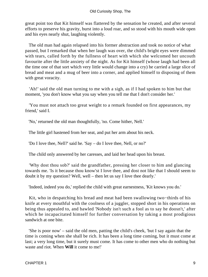great point too that Kit himself was flattered by the sensation he created, and after several efforts to preserve his gravity, burst into a loud roar, and so stood with his mouth wide open and his eyes nearly shut, laughing violently.

 The old man had again relapsed into his former abstraction and took no notice of what passed, but I remarked that when her laugh was over, the child's bright eyes were dimmed with tears, called forth by the fullness of heart with which she welcomed her uncouth favourite after the little anxiety of the night. As for Kit himself (whose laugh had been all the time one of that sort which very little would change into a cry) he carried a large slice of bread and meat and a mug of beer into a corner, and applied himself to disposing of them with great voracity.

 'Ah!' said the old man turning to me with a sigh, as if I had spoken to him but that moment, 'you don't know what you say when you tell me that I don't consider her.'

 'You must not attach too great weight to a remark founded on first appearances, my friend,' said I.

'No,' returned the old man thoughtfully, 'no. Come hither, Nell.'

The little girl hastened from her seat, and put her arm about his neck.

'Do I love thee, Nell?' said he. 'Say – do I love thee, Nell, or no?'

The child only answered by her caresses, and laid her head upon his breast.

 'Why dost thou sob?' said the grandfather, pressing her closer to him and glancing towards me. 'Is it because thou know'st I love thee, and dost not like that I should seem to doubt it by my question? Well, well – then let us say I love thee dearly.'

'Indeed, indeed you do,' replied the child with great earnestness, 'Kit knows you do.'

 Kit, who in despatching his bread and meat had been swallowing two−thirds of his knife at every mouthful with the coolness of a juggler, stopped short in his operations on being thus appealed to, and bawled 'Nobody isn't such a fool as to say he doosn't,' after which he incapacitated himself for further conversation by taking a most prodigious sandwich at one bite.

 'She is poor now' – said the old men, patting the child's cheek, 'but I say again that the time is coming when she shall be rich. It has been a long time coming, but it must come at last; a very long time, but it surely must come. It has come to other men who do nothing but waste and riot. When **Will** it come to me!'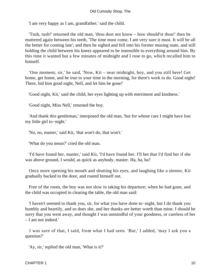'I am very happy as I am, grandfather,' said the child.

 'Tush, tush!' returned the old man, 'thou dost not know – how should'st thou!' then he muttered again between his teeth, 'The time must come, I am very sure it must. It will be all the better for coming late'; and then he sighed and fell into his former musing state, and still holding the child between his knees appeared to be insensible to everything around him. By this time it wanted but a few minutes of midnight and I rose to go, which recalled him to himself.

 'One moment, sir,' he said, 'Now, Kit – near midnight, boy, and you still here! Get home, get home, and be true to your time in the morning, for there's work to do. Good night! There, bid him good night, Nell, and let him be gone!'

'Good night, Kit,' said the child, her eyes lighting up with merriment and kindness.'

'Good night, Miss Nell,' returned the boy.

 'And thank this gentleman,' interposed the old man, 'but for whose care I might have lost my little girl to−night.'

'No, no, master,' said Kit, 'that won't do, that won't.'

'What do you mean?' cried the old man.

 'I'd have found her, master,' said Kit, 'I'd have found her. I'll bet that I'd find her if she was above ground, I would, as quick as anybody, master. Ha, ha, ha!'

 Once more opening his mouth and shutting his eyes, and laughing like a stentor, Kit gradually backed to the door, and roared himself out.

 Free of the room, the boy was not slow in taking his departure; when he had gone, and the child was occupied in clearing the table, the old man said:

 'I haven't seemed to thank you, sir, for what you have done to−night, but I do thank you humbly and heartily, and so does she, and her thanks are better worth than mine. I should be sorry that you went away, and thought I was unmindful of your goodness, or careless of her – I am not indeed.'

 I was sure of that, I said, from what I had seen. 'But,' I added, 'may I ask you a question?'

'Ay, sir,' replied the old man, 'What is it?'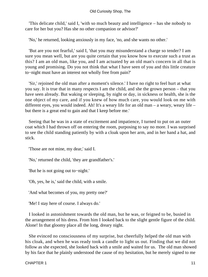#### Old Curiosity Shop, The

 'This delicate child,' said I, 'with so much beauty and intelligence – has she nobody to care for her but you? Has she no other companion or advisor?'

'No,' he returned, looking anxiously in my face, 'no, and she wants no other.'

 'But are you not fearful,' said I, 'that you may misunderstand a charge so tender? I am sure you mean well, but are you quite certain that you know how to execute such a trust as this? I am an old man, like you, and I am actuated by an old man's concern in all that is young and promising. Do you not think that what I have seen of you and this little creature to−night must have an interest not wholly free from pain?'

 'Sir,' rejoined the old man after a moment's silence.' I have no right to feel hurt at what you say. It is true that in many respects I am the child, and she the grown person – that you have seen already. But waking or sleeping, by night or day, in sickness or health, she is the one object of my care, and if you knew of how much care, you would look on me with different eyes, you would indeed. Ah! It's a weary life for an old man – a weary, weary life – but there is a great end to gain and that I keep before me.'

 Seeing that he was in a state of excitement and impatience, I turned to put on an outer coat which I had thrown off on entering the room, purposing to say no more. I was surprised to see the child standing patiently by with a cloak upon her arm, and in her hand a hat, and stick.

'Those are not mine, my dear,' said I.

'No,' returned the child, 'they are grandfather's.'

'But he is not going out to−night.'

'Oh, yes, he is,' said the child, with a smile.

'And what becomes of you, my pretty one?'

'Me! I stay here of course. I always do.'

 I looked in astonishment towards the old man, but he was, or feigned to be, busied in the arrangement of his dress. From him I looked back to the slight gentle figure of the child. Alone! In that gloomy place all the long, dreary night.

 She evinced no consciousness of my surprise, but cheerfully helped the old man with his cloak, and when he was ready took a candle to light us out. Finding that we did not follow as she expected, she looked back with a smile and waited for us. The old man showed by his face that he plainly understood the cause of my hesitation, but he merely signed to me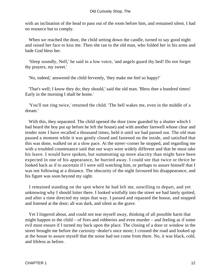with an inclination of the head to pass out of the room before him, and remained silent. I had no resource but to comply.

 When we reached the door, the child setting down the candle, turned to say good night and raised her face to kiss me. Then she ran to the old man, who folded her in his arms and bade God bless her.

 'Sleep soundly, Nell,' he said in a low voice, 'and angels guard thy bed! Do not forget thy prayers, my sweet.'

'No, indeed,' answered the child fervently, 'they make me feel so happy!'

 'That's well; I know they do; they should,' said the old man. 'Bless thee a hundred times! Early in the morning I shall be home.'

 'You'll not ring twice,' returned the child. 'The bell wakes me, even in the middle of a dream.'

With this, they separated. The child opened the door (now guarded by a shutter which I had heard the boy put up before he left the house) and with another farewell whose clear and tender note I have recalled a thousand times, held it until we had passed out. The old man paused a moment while it was gently closed and fastened on the inside, and satisfied that this was done, walked on at a slow pace. At the street−corner he stopped, and regarding me with a troubled countenance said that our ways were widely different and that he must take his leave. I would have spoken, but summoning up more alacrity than might have been expected in one of his appearance, he hurried away. I could see that twice or thrice he looked back as if to ascertain if I were still watching him, or perhaps to assure himself that I was not following at a distance. The obscurity of the night favoured his disappearance, and his figure was soon beyond my sight.

 I remained standing on the spot where he had left me, unwilling to depart, and yet unknowing why I should loiter there. I looked wistfully into the street we had lately quitted, and after a time directed my steps that way. I passed and repassed the house, and stopped and listened at the door; all was dark, and silent as the grave.

 Yet I lingered about, and could not tear myself away, thinking of all possible harm that might happen to the child – of fires and robberies and even murder – and feeling as if some evil must ensure if I turned my back upon the place. The closing of a door or window in the street brought me before the curiosity−dealer's once more; I crossed the road and looked up at the house to assure myself that the noise had not come from there. No, it was black, cold, and lifeless as before.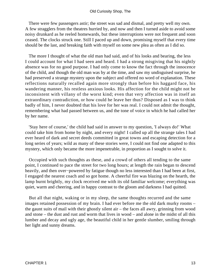There were few passengers astir; the street was sad and dismal, and pretty well my own. A few stragglers from the theatres hurried by, and now and then I turned aside to avoid some noisy drunkard as he reeled homewards, but these interruptions were not frequent and soon ceased. The clocks struck one. Still I paced up and down, promising myself that every time should be the last, and breaking faith with myself on some new plea as often as I did so.

 The more I thought of what the old man had said, and of his looks and bearing, the less I could account for what I had seen and heard. I had a strong misgiving that his nightly absence was for no good purpose. I had only come to know the fact through the innocence of the child, and though the old man was by at the time, and saw my undisguised surprise, he had preserved a strange mystery upon the subject and offered no word of explanation. These reflections naturally recalled again more strongly than before his haggard face, his wandering manner, his restless anxious looks. His affection for the child might not be inconsistent with villany of the worst kind; even that very affection was in itself an extraordinary contradiction, or how could he leave her thus? Disposed as I was to think badly of him, I never doubted that his love for her was real. I could not admit the thought, remembering what had passed between us, and the tone of voice in which he had called her by her name.

 'Stay here of course,' the child had said in answer to my question, 'I always do!' What could take him from home by night, and every night! I called up all the strange tales I had ever heard of dark and secret deeds committed in great towns and escaping detection for a long series of years; wild as many of these stories were, I could not find one adapted to this mystery, which only became the more impenetrable, in proportion as I sought to solve it.

 Occupied with such thoughts as these, and a crowd of others all tending to the same point, I continued to pace the street for two long hours; at length the rain began to descend heavily, and then over−powered by fatigue though no less interested than I had been at first, I engaged the nearest coach and so got home. A cheerful fire was blazing on the hearth, the lamp burnt brightly, my clock received me with its old familiar welcome; everything was quiet, warm and cheering, and in happy contrast to the gloom and darkness I had quitted.

 But all that night, waking or in my sleep, the same thoughts recurred and the same images retained possession of my brain. I had ever before me the old dark murky rooms – the gaunt suits of mail with their ghostly silent air – the faces all awry, grinning from wood and stone – the dust and rust and worm that lives in wood – and alone in the midst of all this lumber and decay and ugly age, the beautiful child in her gentle slumber, smiling through her light and sunny dreams.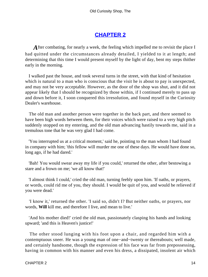## **[CHAPTER 2](#page-494-0)**

*A* fter combating, for nearly a week, the feeling which impelled me to revisit the place I had quitted under the circumstances already detailed, I yielded to it at length; and determining that this time I would present myself by the light of day, bent my steps thither early in the morning.

 I walked past the house, and took several turns in the street, with that kind of hesitation which is natural to a man who is conscious that the visit he is about to pay is unexpected, and may not be very acceptable. However, as the door of the shop was shut, and it did not appear likely that I should be recognized by those within, if I continued merely to pass up and down before it, I soon conquered this irresolution, and found myself in the Curiosity Dealer's warehouse.

 The old man and another person were together in the back part, and there seemed to have been high words between them, for their voices which were raised to a very high pitch suddenly stopped on my entering, and the old man advancing hastily towards me, said in a tremulous tone that he was very glad I had come.

 'You interrupted us at a critical moment,' said he, pointing to the man whom I had found in company with him; 'this fellow will murder me one of these days. He would have done so, long ago, if he had dared.'

 'Bah! You would swear away my life if you could,' returned the other, after bestowing a stare and a frown on me; 'we all know that!'

 'I almost think I could,' cried the old man, turning feebly upon him. 'If oaths, or prayers, or words, could rid me of you, they should. I would be quit of you, and would be relieved if you were dead.'

 'I know it,' returned the other. 'I said so, didn't I? But neither oaths, or prayers, nor words, **Will** kill me, and therefore I live, and mean to live.'

 'And his mother died!' cried the old man, passionately clasping his hands and looking upward; 'and this is Heaven's justice!'

 The other stood lunging with his foot upon a chair, and regarded him with a contemptuous sneer. He was a young man of one−and−twenty or thereabouts; well made, and certainly handsome, though the expression of his face was far from prepossessing, having in common with his manner and even his dress, a dissipated, insolent air which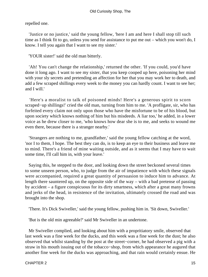repelled one.

 'Justice or no justice,' said the young fellow, 'here I am and here I shall stop till such time as I think fit to go, unless you send for assistance to put me out – which you won't do, I know. I tell you again that I want to see my sister.'

'YOUR sister!' said the old man bitterly.

 'Ah! You can't change the relationship,' returned the other. 'If you could, you'd have done it long ago. I want to see my sister, that you keep cooped up here, poisoning her mind with your sly secrets and pretending an affection for her that you may work her to death, and add a few scraped shillings every week to the money you can hardly count. I want to see her; and I will.'

 'Here's a moralist to talk of poisoned minds! Here's a generous spirit to scorn scraped−up shillings!' cried the old man, turning from him to me. 'A profligate, sir, who has forfeited every claim not only upon those who have the misfortune to be of his blood, but upon society which knows nothing of him but his misdeeds. A liar too,' he added, in a lower voice as he drew closer to me, 'who knows how dear she is to me, and seeks to wound me even there, because there is a stranger nearby.'

 'Strangers are nothing to me, grandfather,' said the young fellow catching at the word, 'nor I to them, I hope. The best they can do, is to keep an eye to their business and leave me to mind. There's a friend of mine waiting outside, and as it seems that I may have to wait some time, I'll call him in, with your leave.'

 Saying this, he stepped to the door, and looking down the street beckoned several times to some unseen person, who, to judge from the air of impatience with which these signals were accompanied, required a great quantity of persuasion to induce him to advance. At length there sauntered up, on the opposite side of the way – with a bad pretense of passing by accident – a figure conspicuous for its dirty smartness, which after a great many frowns and jerks of the head, in resistence of the invitation, ultimately crossed the road and was brought into the shop.

'There. It's Dick Swiveller,' said the young fellow, pushing him in. 'Sit down, Swiveller.'

'But is the old min agreeable?' said Mr Swiveller in an undertone.

 Mr Swiveller complied, and looking about him with a propritiatory smile, observed that last week was a fine week for the ducks, and this week was a fine week for the dust; he also observed that whilst standing by the post at the street−corner, he had observed a pig with a straw in his mouth issuing out of the tobacco−shop, from which appearance he augured that another fine week for the ducks was approaching, and that rain would certainly ensue. He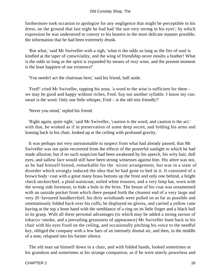furthermore took occasion to apologize for any negligence that might be perceptible in his dress, on the ground that last night he had had 'the sun very strong in his eyes'; by which expression he was understood to convey to his hearers in the most delicate manner possible, the information that he had been extremely drunk.

 'But what,' said Mr Swiveller with a sigh, 'what is the odds so long as the fire of soul is kindled at the taper of conwiviality, and the wing of friendship never moults a feather! What is the odds so long as the spirit is expanded by means of rosy wine, and the present moment is the least happiest of our existence!'

'You needn't act the chairman here,' said his friend, half aside.

 'Fred!' cried Mr Swiveller, tapping his nose, 'a word to the wise is sufficient for them – we may be good and happy without riches, Fred. Say not another syllable. I know my cue; smart is the word. Only one little whisper, Fred – is the old min friendly?'

'Never you mind,' repled his friend.

 'Right again, quite right,' said Mr Swiveller, 'caution is the word, and caution is the act.' with that, he winked as if in preservation of some deep secret, and folding his arms and leaning back in his chair, looked up at the ceiling with profound gravity.

 It was perhaps not very unreasonable to suspect from what had already passed, that Mr Swiveller was not quite recovered from the effects of the powerful sunlight to which he had made allusion; but if no such suspicion had been awakened by his speech, his wiry hair, dull eyes, and sallow face would still have been strong witnesses against him. His attire was not, as he had himself hinted, remarkable for the nicest arrangement, but was in a state of disorder which strongly induced the idea that he had gone to bed in it. It consisted of a brown body−coat with a great many brass buttons up the front and only one behind, a bright check neckerchief, a plaid waistcoat, soiled white trousers, and a very limp hat, worn with the wrong side foremost, to hide a hole in the brim. The breast of his coat was ornamented with an outside pocket from which there peeped forth the cleanest end of a very large and very ill−favoured handkerchief; his dirty wristbands were pulled on as far as possible and ostentatiously folded back over his cuffs; he displayed no gloves, and carried a yellow cane having at the top a bone hand with the semblance of a ring on its little finger and a black ball in its grasp. With all these personal advantages (to which may be added a strong savour of tobacco−smoke, and a prevailing greasiness of appearance) Mr Swiveller leant back in his chair with his eyes fixed on the ceiling, and occasionally pitching his voice to the needful key, obliged the company with a few bars of an intensely dismal air, and then, in the middle of a note, relapsed into his former silence.

 The old man sat himself down in a chair, and with folded hands, looked sometimes at his grandson and sometimes at his strange companion, as if he were utterly powerless and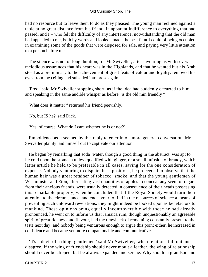had no resource but to leave them to do as they pleased. The young man reclined against a table at no great distance from his friend, in apparent indifference to everything that had passed; and I – who felt the difficulty of any interference, notwithstanding that the old man had appealed to me, both by words and looks – made the best feint I could of being occupied in examining some of the goods that were disposed for sale, and paying very little attention to a person before me.

 The silence was not of long duration, for Mr Swiveller, after favouring us with several melodious assurances that his heart was in the Highlands, and that he wanted but his Arab steed as a preliminary to the achievement of great feats of valour and loyalty, removed his eyes from the ceiling and subsided into prose again.

 'Fred,' said Mr Swiveller stopping short, as if the idea had suddenly occurred to him, and speaking in the same audible whisper as before, 'is the old min friendly?'

'What does it matter?' returned his friend peevishly.

'No, but IS he?' said Dick.

'Yes, of course. What do I care whether he is or not?'

 Emboldened as it seemed by this reply to enter into a more general conversation, Mr Swiveller plainly laid himself out to captivate our attention.

 He began by remarking that soda−water, though a good thing in the abstract, was apt to lie cold upon the stomach unless qualified with ginger, or a small infusion of brandy, which latter article he held to be preferable in all cases, saving for the one consideration of expense. Nobody venturing to dispute these positions, he proceeded to observe that the human hair was a great retainer of tobacco−smoke, and that the young gentlemen of Westminster and Eton, after eating vast quantities of apples to conceal any scent of cigars from their anxious friends, were usually detected in consequence of their heads possessing this remarkable property; when he concluded that if the Royal Society would turn their attention to the circumstance, and endeavour to find in the resources of science a means of preventing such untoward revelations, they might indeed be looked upon as benefactors to mankind. These opinions being equally incontrovertible with those he had already pronounced, he went on to inform us that Jamaica rum, though unquestionably an agreeable spirit of great richness and flavour, had the drawback of remaining constantly present to the taste next day; and nobody being venturous enough to argue this point either, he increased in confidence and became yet more companionable and communicative.

 'It's a devil of a thing, gentlemen,' said Mr Swiveller, 'when relations fall out and disagree. If the wing of friendship should never moult a feather, the wing of relationship should never be clipped, but be always expanded and serene. Why should a grandson and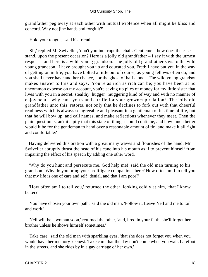grandfather peg away at each other with mutual wiolence when all might be bliss and concord. Why not jine hands and forgit it?'

'Hold your tongue,' said his friend.

 'Sir,' replied Mr Swiveller, 'don't you interrupt the chair. Gentlemen, how does the case stand, upon the present occasion? Here is a jolly old grandfather – I say it with the utmost respect – and here is a wild, young grandson. The jolly old grandfather says to the wild young grandson, 'I have brought you up and educated you, Fred; I have put you in the way of getting on in life; you have bolted a little out of course, as young fellows often do; and you shall never have another chance, nor the ghost of half a one.' The wild young grandson makes answer to this and says, 'You're as rich as rich can be; you have been at no uncommon expense on my account, you're saving up piles of money for my little sister that lives with you in a secret, stealthy, hugger−muggering kind of way and with no manner of enjoyment – why can't you stand a trifle for your grown−up relation?' The jolly old grandfather unto this, retorts, not only that he declines to fork out with that cheerful readiness which is always so agreeable and pleasant in a gentleman of his time of life, but that he will bow up, and call names, and make reflections whenever they meet. Then the plain question is, an't it a pity that this state of things should continue, and how much better would it be for the gentleman to hand over a reasonable amount of tin, and make it all right and comfortable?'

 Having delivered this oration with a great many waves and flourishes of the hand, Mr Swiveller abruptly thrust the head of his cane into his mouth as if to prevent himself from impairing the effect of his speech by adding one other word.

 'Why do you hunt and persecute me, God help me!' said the old man turning to his grandson. 'Why do you bring your prolifigate companions here? How often am I to tell you that my life is one of care and self−denial, and that I am poor?'

 'How often am I to tell you,' returned the other, looking coldly at him, 'that I know better?'

 'You have chosen your own path,' said the old man. 'Follow it. Leave Nell and me to toil and work.'

 'Nell will be a woman soon,' returned the other, 'and, bred in your faith, she'll forget her brother unless he shows himself sometimes.'

 'Take care,' said the old man with sparkling eyes, 'that she does not forget you when you would have her memory keenest. Take care that the day don't come when you walk barefoot in the streets, and she rides by in a gay carriage of her own.'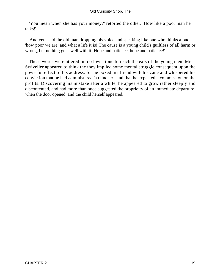'You mean when she has your money?' retorted the other. 'How like a poor man he talks!'

 'And yet,' said the old man dropping his voice and speaking like one who thinks aloud, 'how poor we are, and what a life it is! The cause is a young child's guiltless of all harm or wrong, but nothing goes well with it! Hope and patience, hope and patience!'

 These words were uttered in too low a tone to reach the ears of the young men. Mr Swiveller appeared to think the they implied some mental struggle consequent upon the powerful effect of his address, for he poked his friend with his cane and whispered his conviction that he had administered 'a clincher,' and that he expected a commission on the profits. Discovering his mistake after a while, he appeared to grow rather sleeply and discontented, and had more than once suggested the proprieity of an immediate departure, when the door opened, and the child herself appeared.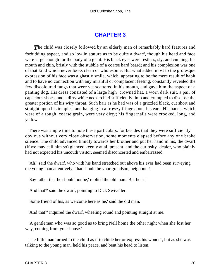### **[CHAPTER 3](#page-494-0)**

**The child was closely followed by an elderly man of remarkably hard features and** forbidding aspect, and so low in stature as to be quite a dwarf, though his head and face were large enough for the body of a giant. His black eyes were restless, sly, and cunning; his mouth and chin, bristly with the stubble of a coarse hard beard; and his complexion was one of that kind which never looks clean or wholesome. But what added most to the grotesque expression of his face was a ghastly smile, which, appearing to be the mere result of habit and to have no connection with any mirthful or complacent feeling, constantly revealed the few discoloured fangs that were yet scattered in his mouth, and gave him the aspect of a panting dog. His dress consisted of a large high−crowned hat, a worn dark suit, a pair of capacious shoes, and a dirty white neckerchief sufficiently limp and crumpled to disclose the greater portion of his wiry throat. Such hair as he had was of a grizzled black, cut short and straight upon his temples, and hanging in a frowzy fringe about his ears. His hands, which were of a rough, coarse grain, were very dirty; his fingernails were crooked, long, and yellow.

 There was ample time to note these particulars, for besides that they were sufficiently obvious without very close observation, some moments elapsed before any one broke silence. The child advanced timidly towards her brother and put her hand in his, the dwarf (if we may call him so) glanced keenly at all present, and the curiosity−dealer, who plainly had not expected his uncouth visitor, seemed disconcerted and embarrassed.

 'Ah!' said the dwarf, who with his hand stretched out above his eyes had been surveying the young man attentively, 'that should be your grandson, neighbour!'

'Say rather that he should not be,' replied the old man. 'But he is.'

'And that?' said the dwarf, pointing to Dick Swiveller.

'Some friend of his, as welcome here as he,' said the old man.

'And that?' inquired the dwarf, wheeling round and pointing straight at me.

 'A gentleman who was so good as to bring Nell home the other night when she lost her way, coming from your house.'

 The little man turned to the child as if to chide her or express his wonder, but as she was talking to the young man, held his peace, and bent his head to listen.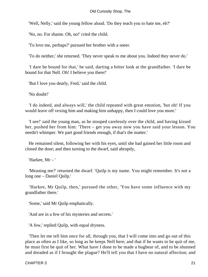'Well, Nelly,' said the young fellow aloud. 'Do they teach you to hate me, eh?'

'No, no. For shame. Oh, no!' cried the child.

'To love me, perhaps?' pursued her brother with a sneer.

'To do neither,' she returned. 'They never speak to me about you. Indeed they never do.'

 'I dare be bound for that,' he said, darting a bitter look at the grandfather. 'I dare be bound for that Nell. Oh! I believe you there!'

'But I love you dearly, Fred,' said the child.

'No doubt!'

 'I do indeed, and always will,' the child repeated with great emotion, 'but oh! If you would leave off vexing him and making him unhappy, then I could love you more.'

 'I see!' said the young man, as he stooped carelessly over the child, and having kissed her, pushed her from him: 'There – get you away now you have said your lesson. You needn't whimper. We part good friends enough, if that's the matter.'

 He remained silent, following her with his eyes, until she had gained her little room and closed the door; and then turning to the dwarf, said abruptly,

'Harkee, Mr – '

 'Meaning me?' returned the dwarf. 'Quilp is my name. You might remember. It's not a long one – Daniel Quilp.'

 'Harkee, Mr Quilp, then,' pursued the other, 'You have some influence with my grandfather there.'

'Some,' said Mr Quilp emphatically.

'And are in a few of his mysteries and secrets.'

'A few,' replied Quilp, with equal dryness.

 'Then let me tell him once for all, through you, that I will come into and go out of this place as often as I like, so long as he keeps Nell here; and that if he wants to be quit of me, he must first be quit of her. What have I done to be made a bugbear of, and to be shunned and dreaded as if I brought the plague? He'll tell you that I have no natural affection; and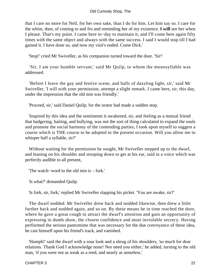that I care no more for Nell, for her own sake, than I do for him. Let him say so. I care for the whim, then, of coming to and fro and reminding her of my existence. **I will** see her when I please. That's my point. I came here to−day to maintain it, and I'll come here again fifty times with the same object and always with the same success. I said I would stop till I had gained it. I have done so, and now my visit's ended. Come Dick.'

'Stop!' cried Mr Swiveller, as his companion turned toward the door. 'Sir!'

 'Sir, I am your humble servant,' said Mr Quilp, to whom the monosyllable was addressed.

 'Before I leave the gay and festive scene, and halls of dazzling light, sir,' said Mr Swiveller, 'I will with your permission, attempt a slight remark. I came here, sir, this day, under the impression that the old min was friendly.'

'Proceed, sir,' said Daniel Quilp; for the orator had made a sudden stop.

 'Inspired by this idea and the sentiments it awakened, sir, and feeling as a mutual friend that badgering, baiting, and bullying, was not the sort of thing calculated to expand the souls and promote the social harmony of the contending parties, I took upon myself to suggest a course which is THE course to be adopted to the present occasion. Will you allow me to whisper half a syllable, sir?'

 Without waiting for the permission he sought, Mr Swiveller stepped up to the dwarf, and leaning on his shoulder and stooping down to get at his ear, said in a voice which was perfectly audible to all present,

'The watch−word to the old min is – fork.'

'Is what?' demanded Quilp.

'Is fork, sir, fork,' replied Mr Swiveller slapping his picket. 'You are awake, sir?'

 The dwarf nodded. Mr Swiveller drew back and nodded likewise, then drew a little further back and nodded again, and so on. By these means he in time reached the door, where he gave a great cough to attract the dwarf's attention and gain an opportunity of expressing in dumb show, the closest confidence and most inviolable secrecy. Having performed the serious pantomime that was necessary for the due conveyance of these idea, he cast himself upon his friend's track, and vanished.

 'Humph!' said the dwarf with a sour look and a shrug of his shoulders, 'so much for dear relations. Thank God I acknowledge none! Nor need you either,' he added, turning to the old man, 'if you were not as weak as a reed, and nearly as senseless.'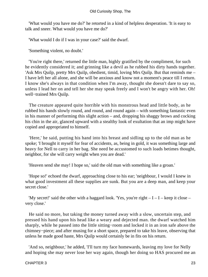'What would you have me do?' he retorted in a kind of helpless desperation. 'It is easy to talk and sneer. What would you have me do?'

'What would I do if I was in your case?' said the dwarf.

'Something violent, no doubt.'

 'You're right there,' returned the little man, highly gratified by the compliment, for such he evidently considered it; and grinning like a devil as he rubbed his dirty hands together. 'Ask Mrs Quilp, pretty Mrs Quilp, obedient, timid, loving Mrs Quilp. But that reminds me – I have left her all alone, and she will be anxious and know not a moment's peace till I return. I know she's always in that condition when I'm away, thought she doesn't dare to say so, unless I lead her on and tell her she may speak freely and I won't be angry with her. Oh! well−trained Mrs Quilp.

 The creature appeared quite horrible with his monstrous head and little body, as he rubbed his hands slowly round, and round, and round again – with something fantastic even in his manner of performing this slight action – and, dropping his shaggy brows and cocking his chin in the air, glanced upward with a stealthy look of exultation that an imp might have copied and appropriated to himself.

 'Here,' he said, putting his hand into his breast and sidling up to the old man as he spoke; 'I brought it myself for fear of accidents, as, being in gold, it was something large and heavy for Nell to carry in her bag. She need be accustomed to such loads betimes thought, neighbor, for she will carry weight when you are dead.'

'Heaven send she may! I hope so,' said the old man with something like a groan.'

 'Hope so!' echoed the dwarf, approaching close to his ear; 'neighbour, I would I knew in what good investment all these supplies are sunk. But you are a deep man, and keep your secret close.'

'My secret!' said the other with a haggard look. 'Yes, you're right  $-I-I$  – I – keep it close – very close.'

 He said no more, but taking the money turned away with a slow, uncertain step, and pressed his hand upon his head like a weary and dejected man. the dwarf watched him sharply, while he passed into the little sitting−room and locked it in an iron safe above the chimney−piece; and after musing for a short space, prepared to take his leave, observing that unless he made good haste, Mrs Quilp would certainly be in fits on his return.

 'And so, neighbour,' he added, 'I'll turn my face homewards, leaving my love for Nelly and hoping she may never lose her way again, though her doing so HAS procured me an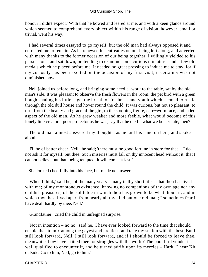honour I didn't expect.' With that he bowed and leered at me, and with a keen glance around which seemed to comprehend every object within his range of vision, however, small or trivial, went his way.

 I had several times essayed to go myself, but the old man had always opposed it and entreated me to remain. As he renewed his entreaties on our being left along, and adverted with many thanks to the former occasion of our being together, I willingly yielded to his persuasions, and sat down, pretending to examine some curious miniatures and a few old medals which he placed before me. It needed no great pressing to induce me to stay, for if my curiosity has been excited on the occasion of my first visit, it certainly was not diminished now.

 Nell joined us before long, and bringing some needle−work to the table, sat by the old man's side. It was pleasant to observe the fresh flowers in the room, the pet bird with a green bough shading his little cage, the breath of freshness and youth which seemed to rustle through the old dull house and hover round the child. It was curious, but not so pleasant, to turn from the beauty and grace of the girl, to the stooping figure, care−worn face, and jaded aspect of the old man. As he grew weaker and more feeble, what would become of this lonely litle creature; poor protector as he was, say that he died – what we be her fate, then?

 The old man almost answered my thoughts, as he laid his hand on hers, and spoke aloud.

 'I'll be of better cheer, Nell,' he said; 'there must be good fortune in store for thee – I do not ask it for myself, but thee. Such miseries must fall on thy innocent head without it, that I cannot believe but that, being tempted, it will come at last!'

She looked cheerfully into his face, but made no answer.

 'When I think,' said he, 'of the many years – many in thy short life – that thou has lived with me; of my monotonous existence, knowing no companions of thy own age nor any childish pleasures; of the solitutde in which thou has grown to be what thou art, and in which thou hast lived apart from nearly all thy kind but one old man; I sometimes fear I have dealt hardly by thee, Nell.'

'Grandfather!' cried the child in unfeigned surprise.

 'Not in intention – no no,' said he. 'I have ever looked forward to the time that should enable thee to mix among the gayest and prettiest, and take thy station with the best. But I still look forward, Nell, I still look forward, and if I should be forced to leave thee, meanwhile, how have I fitted thee for struggles with the world? The poor bird yonder is as well qualified to encounter it, and be turned adrift upon its mercies – Hark! I hear Kit outside. Go to him, Nell, go to him.'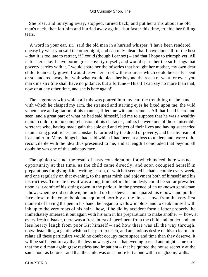She rose, and hurrying away, stopped, turned back, and put her arms about the old man's neck, then left him and hurried away again – but faster this time, to hide her falling tears.

 'A word in your ear, sir,' said the old man in a hurried whisper. 'I have been rendered uneasy by what you said the other night, and can only plead that I have done all for the best – that it is too late to retract, if I could (though I cannot) – and that I hope to triumph yet. All is for her sake. I have borne great poverty myself, and would spare her the sufferings that poverty carries with it. I would spare her the miseries that brought her mother, my own dear child, to an early grave. I would leave her – not with resources which could be easily spent or squandered away, but with what would place her beyond the reach of want for ever. you mark me sir? She shall have no pittance, but a fortune – Hush! I can say no more than that, now or at any other time, and she is here again!'

 The eagerness with which all this was poured into my ear, the trembling of the hand with which he clasped my arm, the strained and starting eyes he fixed upon me, the wild vehemence and agitation of his manner, filled me with amazement. All that I had heard and seen, and a great part of what he had said himself, led me to suppose that he was a wealthy man. I could form no comprehension of his character, unless he were one of those miserable wretches who, having made gain the sole end and object of their lives and having succeeded in amassing great riches, are constantly tortured by the dread of poverty, and best by fears of loss and ruin. Many things he had said which I had been at a loss to understand, were quite reconcilable with the idea thus presented to me, and at length I concluded that beyond all doubt he was one of this unhappy race.

 The opinion was not the result of hasty consideration, for which indeed there was no opportunity at that time, as the child came directly, and soon occupied herself in preparations for giving Kit a writing lesson, of which it seemed he had a couple every week, and one regularly on that evening, to the great mirth and enjoyment both of himself and his instructress. To relate how it was a long time before his modesty could be so far prevailed upon as it admit of his sitting down in the parlour, in the presence of an unknown gentleman – how, when he did set down, he tucked up his sleeves and squared his elbows and put his face close to the copy−book and squinted horribly at the lines – how, from the very first moment of having the pen in his hand, he began to wallow in blots, and to daub himself with ink up to the very roots of his hair – how, if he did by accident form a letter properly, he immediately smeared it out again with his arm in his preparations to make another – how, at every fresh mistake, there was a fresh burst of merriment from the child and louder and not less hearty laugh from poor Kit himself – and how there was all the way through, notwithstanding, a gentle wish on her part to teach, and an anxious desire on his to learn – to relate all these particulars would no doubt occupy more space and time than they deserve. It will be sufficient to say that the lesson was given – that evening passed and night came on – that the old man again grew restless and impatient – that he quitted the house secretly at the same hour as before – and that the child was once more left alone within its gloomy walls.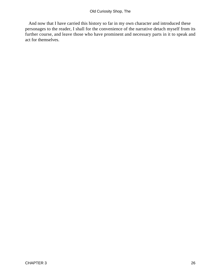And now that I have carried this history so far in my own character and introduced these personages to the reader, I shall for the convenience of the narrative detach myself from its further course, and leave those who have prominent and necessary parts in it to speak and act for themselves.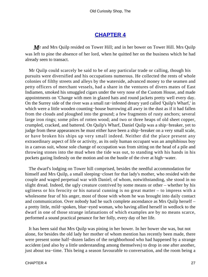#### **[CHAPTER 4](#page-494-0)**

*M*r and Mrs Quilp resided on Tower Hill; and in her bower on Tower Hill. Mrs Quilp was left to pine the absence of her lord, when he quitted her on the business which he had already seen to transact.

 Mr Quilp could scarcely be said to be of any particular trade or calling, though his pursuits were diversified and his occupations numerous. He collected the rents of whole colonies of filthy streets and alleys by the waterside, advanced money to the seamen and petty officers of merchant vessels, had a share in the ventures of divers mates of East Indiamen, smoked his smuggled cigars under the very nose of the Custom House, and made appointments on 'Change with men in glazed hats and round jackets pretty well every day. On the Surrey side of the river was a small rat−infested dreary yard called 'Quilp's Wharf,' in which were a little wooden counting−house burrowing all awry in the dust as if it had fallen from the clouds and ploughed into the ground; a few fragments of rusty anchors; several large iron rings; some piles of rotten wood; and two or three heaps of old sheet copper, crumpled, cracked, and battered. On Quilp's Wharf, Daniel Quilp was a ship−breaker, yet to judge from these appearances he must either have been a ship−breaker on a very small scale, or have broken his ships up very small indeed. Neither did the place present any extraordinary aspect of life or activity, as its only human occupant was an amphibious boy in a canvas suit, whose sole change of occupation was from sitting on the head of a pile and throwing stones into the mud when the tide was out, to standing with his hands in his pockets gazing listlessly on the motion and on the bustle of the river at high−water.

 The dwarf's lodging on Tower hill comprised, besides the needful accommodation for himself and Mrs Quilp, a small sleeping−closet for that lady's mother, who resided with the couple and waged perpetual war with Daniel; of whom, notwithstanding, she stood in no slight dread. Indeed, the ugly creature contrived by some means or other – whether by his ugliness or his ferocity or his natural cunning is no great matter – to impress with a wholesome fear of his anger, most of those with whom he was brought into daily contact and communication. Over nobody had he such complete ascendance as Mrs Quilp herself – a pretty little, mild−spoken, blue−eyed woman, who having allied herself in wedlock to the dwarf in one of those strange infatuations of which examples are by no means scarce, performed a sound practical penance for her folly, every day of her life.

 It has been said that Mrs Quilp was pining in her bower. In her bower she was, but not alone, for besides the old lady her mother of whom mention has recently been made, there were present some half−dozen ladies of the neighborhood who had happened by a strange accident (and also by a little understanding among themselves) to drop in one after another, just about tea−time. This being a season favourable to conversation, and the room being a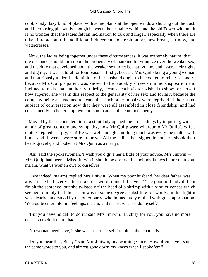cool, shady, lazy kind of place, with some plants at the open window shutting out the dust, and interposing pleasantly enough between the tea table within and the old Tower without, it is no wonder that the ladies felt an inclination to talk and linger, especially when there are taken into account the additional inducements of fresh butter, new bread, shrimps, and watercresses.

 Now, the ladies being together under these circumstances, it was extremely natural that the discourse should turn upon the propensity of mankind to tyrannize over the weaker sex, and the duty that developed upon the weaker sex to resist that tyranny and assert their rights and dignity. It was natural for four reasons: firstly, because Mrs Quilp being a young woman and notoriously under the dominion of her husband ought to be excited to rebel; secondly, because Mrs Quilp's parent was known to be laudably shrewish in her disposition and inclined to resist male authority; thirdly, because each visitor wished to show for herself how superior she was in this respect to the generality of her sex; and forthly, because the company being accustomed to acandalise each other in pairs, were deprived of their usual subject of conversation now that they were all assembled in close friendship, and had consequently no better employment than to attack the common enemy.

 Moved by these considerations, a stout lady opened the proceedings by inquiring, with an air of great concern and sympathy, how Mr Quilp was; whereunto Mr Quilp's wife's mother replied sharply, 'Oh! He was well enough – nothing much was every the matter with him – and ill weeds were sure to thrive.' All the ladies then sighed in concert, shook their heads gravely, and looked at Mrs Quilp as a martyr.

 'Ah!' said the spokeswoman, 'I wish you'd give her a little of your advice, Mrs Jiniwin' – Mrs Quilp had been a Miss Jiniwin it should be observed – 'nobody knows better than you, ma'am, what us women owe to ourselves.'

 'Owe indeed, ma'am!' replied Mrs Jiniwin. 'When my poor husband, her dear father, was alive, if he had ever venture'd a cross word to me, I'd have – ' The good old lady did not finish the sentence, but she twisted off the head of a shrimp with a vindictiveness which seemed to imply that the action was in some degree a substitute for words. In this light it was clearly understood by the other party, who immediately replied with great approbation, 'You quite enter into my feelings, ma'am, and it's jist what I'd do myself.'

 'But you have no call to do it,' said Mrs Jiniwin. 'Luckily for you, you have no more occasion to do it than I had.'

'No woman need have, if she was true to herself,' rejoined the stout lady.

 'Do you hear that, Betsy?' said Mrs Jiniwin, in a warning voice. 'How often have I said the same words to you, and almost gone down my knees when I spoke 'em!'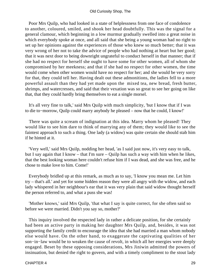Poor Mrs Quilp, who had looked in a state of helplessness from one face of condolence to another, coloured, smiled, and shook her head doubtfully. This was the signal for a general clamour, which beginning in a low murmur gradually swelled into a great noise in which everybody spoke at once, and all said that she being a young woman had no right to set up her opinions against the experiences of those who knew so much better; that it was very wrong of her not to take the advice of people who had nothing at heart but her good; that it was next door to being downright ungrateful to conduct herself in that manner; that if she had no respect for herself she ought to have some for other women, all of whom she compromised by her meekness; and that if she had no respect for other women, the time would come when other women would have no respect for her; and she would be very sorry for that, they could tell her. Having dealt out these admonitions, the ladies fell to a more powerful assault than they had yet made upon the mixed tea, new bread, fresh butter, shrimps, and watercresses, and said that their vexation was so great to see her going on like that, that they could hardly bring themselves to eat a single morsel.

 It's all very fine to talk,' said Mrs Quilp with much simplicity, 'but I know that if I was to die to−morrow, Quilp could marry anybody he pleased – now that he could, I know!'

 There was quite a scream of indignation at this idea. Marry whom he pleased! They would like to see him dare to think of marrying any of them; they would like to see the faintest approach to such a thing. One lady (a widow) was quite certain she should stab him if he hinted at it.

 'Very well,' said Mrs Quilp, nodding her head, 'as I said just now, it's very easy to talk, but I say again that I know – that I'm sure – Quilp has such a way with him when he likes, that the best looking woman here couldn't refuse him if I was dead, and she was free, and he chose to make love to him. Come!'

 Everybody bridled up at this remark, as much as to say, 'I know you mean me. Let him try – that's all.' and yet for some hidden reason they were all angry with the widow, and each lady whispered in her neighbour's ear that it was very plain that said widow thought herself the person referred to, and what a puss she was!

 'Mother knows,' said Mrs Quilp, 'that what I say is quite correct, for she often said so before we were married. Didn't you say so, mother?'

 This inquiry involved the respected lady in rather a delicate position, for she certainly had been an active party in making her daughter Mrs Quilp, and, besides, it was not supporting the family credit to encourage the idea that she had married a man whom nobody else would have. On the other hand, to exaggerate the captivating qualities of her son−in−law would be to weaken the cause of revolt, in which all her energies were deeply engaged. Beset by these opposing considerations, Mrs Jiniwin admitted the powers of insinuation, but denied the right to govern, and with a timely compliment to the stout lady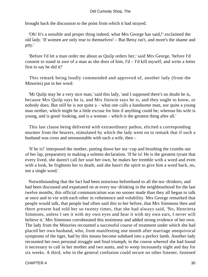#### Old Curiosity Shop, The

brought back the discussion to the point from which it had strayed.

 'Oh! It's a sensible and proper thing indeed, what Mrs George has said,!' exclaimed the old lady. 'If women are only true to themselves! – But Betsy isn't, and more's the shame and pity.'

 'Before I'd let a man order me about as Quilp orders her,' said Mrs George, 'before I'd consent to stand in awe of a man as she does of him, I'd – I'd kill myself, and write a letter first to say he did it!'

 This remark being loudly commended and approved of, another lady (from the Minories) put in her word:

 'Mr Quilp may be a very nice man,' said this lady, 'and I supposed there's no doubt he is, because Mrs Quilp says he is, and Mrs Jiniwin says he is, and they ought to know, or nobody does. But still he is not quite a – what one calls a handsome man, nor quite a young man neither, which might be a little excuse for him if anything could be; whereas his wife is young, and is good−looking, and is a woman – which is the greatest thing after all.'

 This last clause being delivered with extraordinary pathos, elicited a corresponding murmer from the hearers, stimulated by which the lady went on to remark that if such a husband was cross and unreasonable with such a wife, then –

 'If he is!' interposed the mother, putting down her tea−cup and brushing the crumbs out of her lap, preparatory to making a solemn declaration. 'If he is! He is the greatest tyrant that every lived, she daren't call her soul her own, he makes her tremble with a word and even with a look, he frightens her to death, and she hasn't the spirit to give him a word back, no, not a single word.'

 Notwithstanding that the fact had been notorious beforehand to all the tea−drinkers, and had been discussed and expatiated on at every tea−drinking in the neighbourhood for the last twelve months, this official communication was no sooner made than they all began to talk at once and to vie with each other in vehemence and volubility. Mrs George remarked that people would talk, that people had often said this to her before, that Mrs Simmons then and there present had told her so twenty times, that she had always said, 'No, Henrietta Simmons, unless I see it with my own eyes and hear it with my own ears, I never will believe it.' Mrs Simmons corroborated this testimony and added strong evidence of her own. The lady from the Minories recounted a successful course of treatment under which she had placed her own husband, who, from manifesting one month after marriage unequivocal symptoms of the tiger, had by this means become subdued into a perfect lamb. Another lady recounted her own personal struggle and final triumph, in the course whereof she had found it necessary to call in her mother and two aunts, and to weep incessantly night and day for six weeks. A third, who in the general confusion could secure no other listener, fastened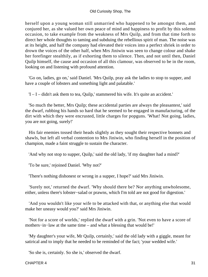herself upon a young woman still unmarried who happened to be amongst them, and conjured her, as she valued her own peace of mind and happiness to profit by this solemn occasion, to take example from the weakness of Mrs Quilp, and from that time forth to direct her whole thoughts to taming and subduing the rebellious spirit of man. The noise was at its height, and half the company had elevated their voices into a perfect shriek in order to drown the voices of the other half, when Mrs Jiniwin was seen to change colour and shake her forefinger stealthily, as if exhorting them to silence. Then, and not until then, Daniel Quilp himself, the cause and occasion of all this clamour, was observed to be in the room, looking on and listening with profound attention.

 'Go on, ladies, go on,' said Daniel. 'Mrs Quilp, pray ask the ladies to stop to supper, and have a couple of lobsters and something light and palatable.'

'I – I – didn't ask them to tea, Quilp,' stammered his wife. It's quite an accident.'

 'So much the better, Mrs Quilp; these accidental parties are always the pleasantest,' said the dwarf, rubbing his hands so hard that he seemed to be engaged in manufacturing, of the dirt with which they were encrusted, little charges for popguns. 'What! Not going, ladies, you are not going, surely!'

 His fair enemies tossed their heads slightly as they sought their respective bonnets and shawls, but left all verbal contention to Mrs Jiniwin, who finding herself in the position of champion, made a faint struggle to sustain the character.

'And why not stop to supper, Quilp,' said the old lady, 'if my daughter had a mind?'

'To be sure,' rejoined Daniel. 'Why not?'

'There's nothing dishonest or wrong in a supper, I hope?' said Mrs Jiniwin.

 'Surely not,' returned the dwarf. 'Why should there be? Nor anything unwholesome, either, unless there's lobster−salad or prawns, which I'm told are not good for digestion.'

 'And you wouldn't like your wife to be attacked with that, or anything else that would make her uneasy would you?' said Mrs Jiniwin.

 'Not for a score of worlds,' replied the dwarf with a grin. 'Not even to have a score of mothers−in−law at the same time – and what a blessing that would be!'

 'My daughter's your wife, Mr Quilp, certainly,' said the old lady with a giggle, meant for satirical and to imply that he needed to be reminded of the fact; 'your wedded wife.'

'So she is, certainly. So she is,' observed the dwarf.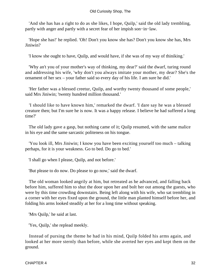'And she has has a right to do as she likes, I hope, Quilp,' said the old lady trembling, partly with anger and partly with a secret fear of her impish son−in−law.

 'Hope she has!' he replied. 'Oh! Don't you know she has? Don't you know she has, Mrs Jiniwin?

'I know she ought to have, Quilp, and would have, if she was of my way of thiniking.'

 'Why an't you of your mother's way of thinking, my dear?' said the dwarf, turing round and addressing his wife, 'why don't you always imitate your mother, my dear? She's the ornament of her sex – your father said so every day of his life. I am sure he did.'

 'Her father was a blessed creetur, Quilp, and worthy twenty thousand of some people,' said Mrs Jiniwin; 'twenty hundred million thousand.'

 'I should like to have known him,' remarked the dwarf. 'I dare say he was a blessed creature then; but I'm sure he is now. It was a happy release. I believe he had suffered a long time?'

 The old lady gave a gasp, but nothing came of it; Quilp resumed, with the same malice in his eye and the same sarcastic politeness on his tongue.

 'You look ill, Mrs Jiniwin; I know you have been exciting yourself too much – talking perhaps, for it is your weakness. Go to bed. Do go to bed.'

'I shall go when I please, Quilp, and not before.'

'But please to do now. Do please to go now,' said the dwarf.

 The old woman looked angrily at him, but retreated as he advanced, and falling back before him, suffered him to shut the door upon her and bolt her out among the guests, who were by this time crowding downstairs. Being left along with his wife, who sat trembling in a corner with her eyes fixed upon the ground, the little man planted himself before her, and folding his arms looked steadily at her for a long time without speaking.

'Mrs Quilp,' he said at last.

'Yes, Quilp,' she replead meekly.

 Instead of pursing the theme he had in his mind, Quilp folded his arms again, and looked at her more sternly than before, while she averted her eyes and kept them on the ground.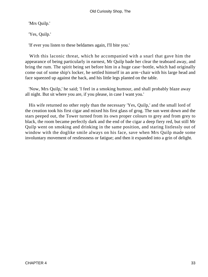'Mrs Quilp.'

'Yes, Quilp.'

'If ever you listen to these beldames again, I'll bite you.'

 With this laconic threat, which he accompanied with a snarl that gave him the appearance of being particularly in earnest, Mr Quilp bade her clear the teaboard away, and bring the rum. The spirit being set before him in a huge case−bottle, which had originally come out of some ship's locker, he settled himself in an arm−chair with his large head and face squeezed up against the back, and his little legs planted on the table.

 'Now, Mrs Quilp,' he said; 'I feel in a smoking humour, and shall probably blaze away all night. But sit where you are, if you please, in case I want you.'

 His wife returned no other reply than the necessary 'Yes, Quilp,' and the small lord of the creation took his first cigar and mixed his first glass of grog. The sun went down and the stars peeped out, the Tower turned from its own proper colours to grey and from grey to black, the room became perfectly dark and the end of the cigar a deep fiery red, but still Mr Quilp went on smoking and drinking in the same position, and staring listlessly out of window with the doglike smile always on his face, save when Mrs Quilp made some involuntary movement of restlessness or fatigue; and then it expanded into a grin of delight.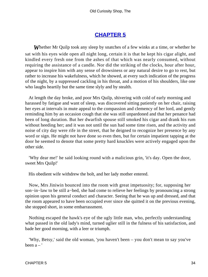### **[CHAPTER 5](#page-494-0)**

*W*hether Mr Quilp took any sleep by snatches of a few winks at a time, or whether he sat with his eyes wide open all night long, certain it is that he kept his cigar alight, and kindled every fresh one from the ashes of that which was nearly consumed, without requiring the assistance of a candle. Nor did the striking of the clocks, hour after hour, appear to inspire him with any sense of drowsiness or any natural desire to go to rest, but rather to increase his wakefulness, which he showed, at every such indication of the progress of the night, by a suppressed cackling in his throat, and a motion of his shoulders, like one who laughs heartily but the same time slyly and by stealth.

 At length the day broke, and poor Mrs Quilp, shivering with cold of early morning and harassed by fatigue and want of sleep, was discovered sitting patiently on her chair, raising her eyes at intervals in mute appeal to the compassion and clemency of her lord, and gently reminding him by an occasion cough that she was still unpardoned and that her penance had been of long duration. But her dwarfish spouse still smoked his cigar and drank his rum without heeding her; and it was not until the sun had some time risen, and the activity and noise of city day were rife in the street, that he deigned to recognize her presence by any word or sign. He might not have done so even then, but for certain impatient tapping at the door he seemed to denote that some pretty hard knuckles were actively engaged upon the other side.

 'Why dear me!' he said looking round with a malicious grin, 'it's day. Open the door, sweet Mrs Quilp!'

His obedient wife withdrew the bolt, and her lady mother entered.

 Now, Mrs Jiniwin bounced into the room with great impetuosity; for, supposing her son−in−law to be still a−bed, she had come to relieve her feelings by pronouncing a strong opinion upon his general conduct and character. Seeing that he was up and dressed, and that the room appeared to have been occupied ever since she quitted it on the previous evening, she stopped short, in some embarrassment.

 Nothing escaped the hawk's eye of the ugly little man, who, perfectly understanding what passed in the old lady's mind, turned uglier still in the fulness of his satisfaction, and bade her good morning, with a leer or triumph.

 'Why, Betsy,' said the old woman, 'you haven't been – you don't mean to say you've been  $a - '$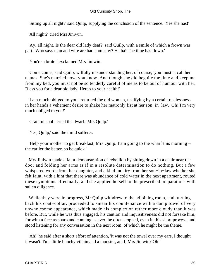'Sitting up all night?' said Quilp, supplying the conclusion of the sentence. 'Yes she has!'

'All night?' cried Mrs Jiniwin.

 'Ay, all night. Is the dear old lady deaf?' said Quilp, with a smile of which a frown was part. 'Who says man and wife are bad company? Ha ha! The time has flown.'

'You're a brute!' exclaimed Mrs Jiniwin.

 'Come come,' said Quilp, wilfully misunderstanding her, of course, 'you mustn't call her names. She's married now, you know. And though she did beguile the time and keep me from my bed, you must not be so tenderly careful of me as to be out of humour with her. Bless you for a dear old lady. Here's to your health!'

 'I am much obliged to you,' returned the old woman, testifying by a certain restlessness in her hands a vehement desire to shake her matronly fist at her son−in−law. 'Oh! I'm very much obliged to you!'

'Grateful soul!' cried the dwarf. 'Mrs Quilp.'

'Yes, Quilp,' said the timid sufferer.

 'Help your mother to get breakfast, Mrs Quilp. I am going to the wharf this morning – the earlier the better, so be quick.'

 Mrs Jiniwin made a faint demonstration of rebellion by sitting down in a chair near the door and folding her arms as if in a resolute determination to do nothing. But a few whispered words from her daughter, and a kind inquiry from her son−in−law whether she felt faint, with a hint that there was abundance of cold water in the next apartment, routed these symptoms effectually, and she applied herself to the prescribed preparations with sullen diligence.

While they were in progress, Mr Quilp withdrew to the adjoining room, and, turning back his coat−collar, proceeded to smear his countenance with a damp towel of very unwholesome appearance, which made his complexion rather more cloudy than it was before. But, while he was thus engaged, his caution and inquisitiveness did not forsake him, for with a face as sharp and cunning as ever, he often stopped, even in this short process, and stood listening for any conversation in the next room, of which he might be the theme.

 'Ah!' he said after a short effort of attention, 'it was not the towel over my ears, I thought it wasn't. I'm a little hunchy villain and a monster, am I, Mrs Jiniwin? Oh!'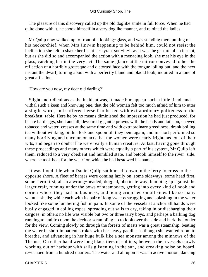The pleasure of this discovery called up the old doglike smile in full force. When he had quite done with it, he shook himself in a very doglike manner, and rejoined the ladies.

 Mr Quilp now walked up to front of a looking−glass, and was standing there putting on his neckerchief, when Mrs Jiniwin happening to be behind him, could not resist the inclination she felt to shake her fist at her tyrant son−in−law. It was the gesture of an instant, but as she did so and accompanied the action with a menacing look, she met his eye in the glass, catching her in the very act. The same glance at the mirror conveyed to her the reflection of a horribly grotesque and distorted face with the tongue lolling out; and the next instant the dwarf, turning about with a perfectly bland and placid look, inquired in a tone of great affection.

'How are you now, my dear old darling?'

 Slight and ridiculous as the incident was, it made him appear such a little fiend, and withal such a keen and knowing one, that the old woman felt too much afraid of him to utter a single word, and suffered herself to be led with extraordinary politeness to the breakfast−table. Here he by no means diminished the impression he had just produced, for he ate hard eggs, shell and all, devoured gigantic prawns with the heads and tails on, chewed tobacco and water−cresses at the same time and with extraordinary greediness, drank boiling tea without winking, bit his fork and spoon till they bent again, and in short performed so many horrifying and uncommon acts that the women were nearly frightened out of their wits, and began to doubt if he were really a human creature. At last, having gone through these proceedings and many others which were equally a part of his system, Mr Quilp left them, reduced to a very obedient and humbled state, and betook himself to the river−side, where he took boat for the wharf on which he had bestowed his name.

 It was flood tide when Daniel Quilp sat himself down in the ferry to cross to the opposite shore. A fleet of barges were coming lazily on, some sideways, some head first, some stern first; all in a wrong−headed, dogged, obstinate way, bumping up against the larger craft, running under the bows of steamboats, getting into every kind of nook and corner where they had no business, and being crunched on all sides like so many walnut−shells; while each with its pair of long sweeps struggling and splashing in the water looked like some lumbering fish in pain. In some of the vessels at anchor all hands were busily engaged in coiling ropes, spreading out sails to dry, taking in or discharging their cargoes; in others no life was visible but two or three tarry boys, and perhaps a barking dog running to and fro upon the deck or scrambling up to look over the side and bark the louder for the view. Coming slowly on through the forests of masts was a great steamship, beating the water in short impatient strokes with her heavy paddles as though she wanted room to breathe, and advancing in her huge bulk like a sea monster among the minnows of the Thames. On either hand were long black tiers of colliers; between them vessels slowly working out of harbour with sails glistening in the sun, and creaking noise on board, re−echoed from a hundred quarters. The water and all upon it was in active motion, dancing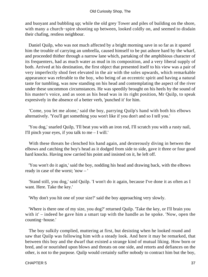and buoyant and bubbling up; while the old grey Tower and piles of building on the shore, with many a church−spire shooting up between, looked coldly on, and seemed to disdain their chafing, restless neighbour.

 Daniel Quilp, who was not much affected by a bright morning save in so far as it spared him the trouble of carrying an umbrella, caused himself to be put ashore hard by the wharf, and proceeded thither through a narrow lane which, partaking of the amphibious character of its frequenters, had as much water as mud in its composition, and a very liberal supply of both. Arrived at his destination, the first object that presented itself to his view was a pair of very imperfectly shod feet elevated in the air with the soles upwards, which remarkable appearance was referable to the boy, who being of an eccentric spirit and having a natural taste for tumbling, was now standing on his head and contemplating the aspect of the river under these uncommon circumstances. He was speedily brought on his heels by the sound of his master's voice, and as soon as his head was in its right position, Mr Quilp, to speak expresively in the absence of a better verb, 'punched it' for him.

 'Come, you let me alone,' said the boy, parrying Quilp's hand with both his elbows alternatively. 'You'll get something you won't like if you don't and so I tell you.'

 'You dog,' snarled Quilp, 'I'll beat you with an iron rod, I'll scratch you with a rusty nail, I'll pinch your eyes, if you talk to me  $-$  I will.'

 With these threats he clenched his hand again, and dexterously diving in betwen the elbows and catching the boy's head as it dodged from side to side, gave it three or four good hard knocks. Having now carried his point and insisted on it, he left off.

 'You won't do it agin,' said the boy, nodding his head and drawing back, with the elbows ready in case of the worst; 'now – '

 'Stand still, you dog,' said Quilp. 'I won't do it again, because I've done it as often as I want. Here. Take the key.'

'Why don't you hit one of your size?' said the boy approaching very slowly.

 'Where is there one of my size, you dog?' returned Quilp. 'Take the key, or I'll brain you with it' – indeed he gave him a smart tap with the handle as he spoke. 'Now, open the counting−house.'

 The boy sulkily complied, muttering at first, but desisting when he looked round and saw that Quilp was following him with a steady look. And here it may be remarked, that between this boy and the dwarf that existed a strange kind of mutual liking. How born or bred, and or nourished upon blows and threats on one side, and retorts and defiances on the other, is not to the purpose. Quilp would certainly suffer nobody to contract him but the boy,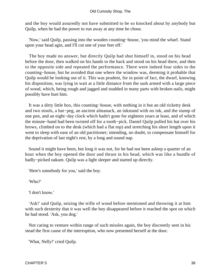and the boy would assuredly not have submitted to be so knocked about by anybody but Quilp, when he had the power to run away at any time he chose.

 'Now,' said Quilp, passing into the wooden counting−house, 'you mind the wharf. Stand upon your head agin, and I'll cut one of your feet off.'

 The boy made no answer, but directly Quilp had shut himself in, stood on his head before the door, then walked on his hands to the back and stood on his head there, and then to the opposite side and repeated the performance. There were indeed four sides to the counting−house, but he avoided that one where the window was, deeming it probable that Quilp would be looking out of it. This was prudent, for in point of fact, the dwarf, knowing his disposition, was lying in wait at a little distance from the sash armed with a large piece of wood, which, being rough and jagged and studded in many parts with broken nails, might possibly have hurt him.

 It was a dirty little box, this counting−house, with nothing in it but an old ricketty desk and two stools, a hat−peg, an ancient almanack, an inkstand with no ink, and the stump of one pen, and an eight−day clock which hadn't gone for eighteen years at least, and of which the minute−hand had been twisted off for a tooth−pick. Daniel Quilp pulled his hat over his brows, climbed on to the desk (which had a flat top) and stretching his short length upon it went to sleep with ease of an old pactitioner; intending, no doubt, to compensate himself for the deprivation of last night's rest, by a long and sound nap.

 Sound it might have been, but long it was not, for he had not been asleep a quarter of an hour when the boy opened the door and thrust in his head, which was like a bundle of badly−picked oakum. Quilp was a light sleeper and started up directly.

'Here's somebody for you,' said the boy.

'Who?'

'I don't know.'

 'Ask!' said Quilp, seizing the trifle of wood before mentioned and throwing it at him with such dexterity that it was well the boy disappeared before it reached the spot on which he had stood. 'Ask, you dog.'

 Not caring to venture within range of such missles again, the boy discreetly sent in his stead the first cause of the interruption, who now presented herself at the door.

'What, Nelly!' cried Quilp.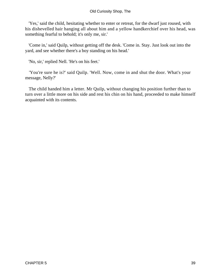'Yes,' said the child, hesitating whether to enter or retreat, for the dwarf just roused, with his dishevelled hair hanging all about him and a yellow handkerchief over his head, was something fearful to behold; it's only me, sir.'

 'Come in,' said Quilp, without getting off the desk. 'Come in. Stay. Just look out into the yard, and see whether there's a boy standing on his head.'

'No, sir,' replied Nell. 'He's on his feet.'

 'You're sure he is?' said Quilp. 'Well. Now, come in and shut the door. What's your message, Nelly?'

 The child handed him a letter. Mr Quilp, without changing his position further than to turn over a little more on his side and rest his chin on his hand, proceeded to make himself acquainted with its contents.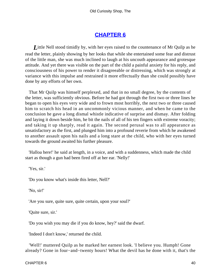# **[CHAPTER 6](#page-494-0)**

*L*ittle Nell stood timidly by, with her eyes raised to the countenance of Mr Quilp as he read the letter, plainly showing by her looks that while she entertained some fear and distrust of the little man, she was much inclined to laugh at his uncouth appearance and grotesque attitude. And yet there was visible on the part of the child a painful anxiety for his reply, and consciousness of his power to render it disagreeable or distressing, which was strongly at variance with this impulse and restrained it more effectually than she could possibly have done by any efforts of her own.

 That Mr Quilp was himself perplexed, and that in no small degree, by the contents of the letter, was sufficiently obvious. Before he had got through the first two or three lines he began to open his eyes very wide and to frown most horribly, the next two or three caused him to scratch his head in an uncommonly vicious manner, and when he came to the conclusion he gave a long dismal whistle indicative of surprise and dismay. After folding and laying it down beside him, he bit the nails of all of his ten fingers with extreme voracity; and taking it up sharply, read it again. The second perusal was to all appearance as unsatisfactory as the first, and plunged him into a profound reverie from which he awakened to another assault upon his nails and a long stare at the child, who with her eyes turned towards the ground awaited his further pleasure.

 'Halloa here!' he said at length, in a voice, and with a suddenness, which made the child start as though a gun had been fired off at her ear. 'Nelly!'

'Yes, sir.'

'Do you know what's inside this letter, Nell?'

'No, sir!'

'Are you sure, quite sure, quite certain, upon your soul?'

'Quite sure, sir.'

'Do you wish you may die if you do know, hey?' said the dwarf.

'Indeed I don't know,' returned the child.

 'Well!' muttered Quilp as he marked her earnest look. 'I believe you. Humph! Gone already? Gone in four−and−twenty hours! What the devil has he done with it, that's the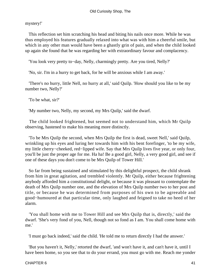mystery!'

 This reflection set him scratching his head and biting his nails once more. While he was thus employed his features gradually relaxed into what was with him a cheerful smile, but which in any other man would have been a ghastly grin of pain, and when the child looked up again she found that he was regarding her with extraordinary favour and complacency.

'You look very pretty to−day, Nelly, charmingly pretty. Are you tired, Nelly?'

'No, sir. I'm in a hurry to get back, for he will be anxious while I am away.'

 'There's no hurry, little Nell, no hurry at all,' said Quilp. 'How should you like to be my number two, Nelly?'

'To be what, sir?'

'My number two, Nelly, my second, my Mrs Quilp,' said the dwarf.

 The child looked frightened, but seemed not to understand him, which Mr Quilp observing, hastened to make his meaning more distinctly.

 'To be Mrs Quilp the second, when Mrs Quilp the first is dead, sweet Nell,' said Quilp, wrinkling up his eyes and luring her towards him with his bent forefinger, 'to be my wife, my little cherry−cheeked, red−lipped wife. Say that Mrs Quilp lives five year, or only four, you'll be just the proper age for me. Ha ha! Be a good girl, Nelly, a very good girl, and see if one of these days you don't come to be Mrs Quilp of Tower Hill.'

 So far from being sustained and stimulated by this delightful prospect, the child shrank from him in great agitation, and trembled violently. Mr Quilp, either because frightening anybody afforded him a constitutional delight, or because it was pleasant to contemplate the death of Mrs Quilp number one, and the elevation of Mrs Quilp number two to her post and title, or because he was determined from purposes of his own to be agreeable and good−humoured at that particular time, only laughed and feigned to take no heed of her alarm.

 'You shall home with me to Tower Hill and see Mrs Quilp that is, directly,' said the dwarf. 'She's very fond of you, Nell, though not so fond as I am. You shall come home with me.'

'I must go back indeed,' said the child. 'He told me to return directly I had the answer.'

 'But you haven't it, Nelly,' retorted the dwarf, 'and won't have it, and can't have it, until I have been home, so you see that to do your errand, you must go with me. Reach me yonder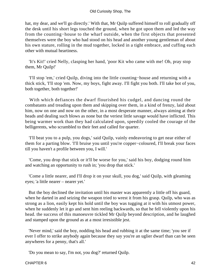hat, my dear, and we'll go directly.' With that, Mr Quilp suffered himself to roll gradually off the desk until his short legs touched the ground, when he got upon them and led the way from the counting−house to the wharf outside, when the first objects that presented themselves were the boy who had stood on his head and another young gentleman of about his own stature, rolling in the mud together, locked in a tight embrace, and cuffing each other with mutual heartiness.

 'It's Kit!' cried Nelly, clasping her hand, 'poor Kit who came with me! Oh, pray stop them, Mr Quilp!'

 'I'll stop 'em,' cried Quilp, diving into the little counting−house and returning with a thick stick, 'I'll stop 'em. Now, my boys, fight away. I'll fight you both. I'll take bot of you, both together, both together!'

 With which defiances the dwarf flourished his cudgel, and dancing round the combatants and treading upon them and skipping over them, in a kind of frenzy, laid about him, now on one and now on the other, in a most desperate manner, always aiming at their heads and dealing such blows as none but the veriest little savage would have inflicted. This being warmer work than they had calculated upon, speedily cooled the courage of the belligerents, who scrambled to their feet and called for quarter.

 'I'll beat you to a pulp, you dogs,' said Quilp, vainly endeavoring to get near either of them for a parting blow. 'I'll bruise you until you're copper−coloured, I'll break your faces till you haven't a profile between you, I will.'

 'Come, you drop that stick or it'll be worse for you,' said his boy, dodging round him and watching an opportunity to rush in; 'you drop that stick.'

 'Come a little nearer, and I'll drop it on your skull, you dog,' said Quilp, with gleaming eyes; 'a little nearer – nearer yet.'

 But the boy declined the invitation until his master was apparently a little off his guard, when he darted in and seizing the weapon tried to wrest it from his grasp. Quilp, who was as strong as a lion, easily kept his hold until the boy was tugging at it with his utmost power, when he suddenly let it go and sent him reeling backwards, so that he fell violently upon his head. the success of this manoeuvre tickled Mr Quilp beyond description, and he laughed and stamped upon the ground as at a most irresistible jest.

 'Never mind,' said the boy, nodding his head and rubbing it at the same time; 'you see if ever I offer to strike anybody again because they say you're an uglier dwarf than can be seen anywheres for a penny, that's all.'

'Do you mean to say, I'm not, you dog?' returned Quilp.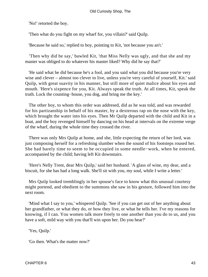'No!' retorted the boy.

'Then what do you fight on my wharf for, you villain?' said Quilp.

'Because he said so,' replied to boy, pointing to Kit, 'not because you an't.'

 'Then why did he say,' bawled Kit, 'that Miss Nelly was ugly, and that she and my master was obliged to do whatever his master liked? Why did he say that?'

 'He said what he did because he's a fool, and you said what you did because you're very wise and clever – almost too clever to live, unless you're very careful of yourself, Kit.' said Quilp, with great suavity in his manner, but still more of quiet malice about his eyes and mouth. 'Here's sixpence for you, Kit. Always speak the truth. At all times, Kit, speak the truth. Lock the counting−house, you dog, and bring me the key.'

 The other boy, to whom this order was addresed, did as he was told, and was rewarded for his partizanship in behalf of his master, by a dexterous rap on the nose with the key, which brought the water into his eyes. Then Mr Quilp departed with the child and Kit in a boat, and the boy revenged himself by dancing on his head at intervals on the extreme verge of the wharf, during the whole time they crossed the river.

 There was only Mrs Quilp at home, and she, little expecting the return of her lord, was just composing herself for a refreshing slumber when the sound of his footsteps roused her. She had barely time to seem to be occupied in some needle−work, when he entered, accompanied by the child; having left Kit downstairs.

 'Here's Nelly Trent, dear Mrs Quilp,' said her husband. 'A glass of wine, my dear, and a biscuit, for she has had a long walk. She'll sit with you, my soul, while I write a letter.'

 Mrs Quilp looked tremblingly in her spouse's face to know what this unusual courtesy might portend, and obedient to the summons she saw in his gesture, followed him into the next room.

 'Mind what I say to you,' whispered Quilp. 'See if you can get out of her anything about her grandfather, or what they do, or how they live, or what he tells her. I've my reasons for knowing, if I can. You women talk more freely to one another than you do to us, and you have a soft, mild way with you that'll win upon her. Do you hear?'

'Yes, Quilp.'

'Go then. What's the matter now?'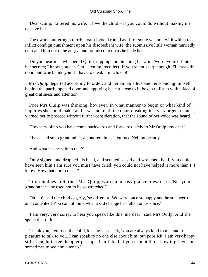'Dear Quilp,' faltered his wife. 'I love the child – if you could do without making me deceive her – '

 The dwarf muttering a terrible oath looked round as if for some weapon with which to inflict condign punishment upon his disobedient wife. the submissive little woman hurriedly entreated him not to be angry, and promised to do as he bade her.

 'Do you hear me,' whispered Quilp, nipping and pinching her arm; 'worm yourself into her secrets; I know you can. I'm listening, recollect. If you're not sharp enough, I'll creak the door, and woe betide you if I have to creak it much. Go!'

 Mrs Quilp departed according to order, and her amiable husband, ensconcing himself behind the partly opened door, and applying his ear close to it, began to listen with a face of great craftiness and attention.

 Poor Mrs Quilp was thinking, however, in what manner to begin or what kind of inquiries she could make; and it was not until the door, creaking in a very urgent manner, warned her to proceed without further consideration, that the sound of her voice was heard.

'How very often you have come backwards and forwards lately to Mr Quilp, my dear.'

'I have said so to grandfather, a hundred times,' returned Nell innocently.

'And what has he said to that?'

 'Only sighed, and dropped his head, and seemed so sad and wretched that if you could have seen him I am sure you must have cried; you could not have helped it more than I, I know. How that door creaks!'

 'It often does.' returned Mrs Quilp, with an uneasy glance towards it. 'But your grandfather – he used not to be so wretched?'

 'Oh, no!' said the child eagerly, 'so different! We were once so happy and he so cheerful and contented! You cannot think what a sad change has fallen on us since.'

 'I am very, very sorry, to hear you speak like this, my dear!' said Mrs Quilp. And she spoke the truth.

 'Thank you,' returned the child, kissing her cheek, 'you are always kind to me, and it is a pleasure to talk to you. I can speak to no one else about him, but poor Kit. I am very happy still, I ought to feel happier perhaps than I do, but you cannot think how it grieves me sometimes to see him alter so.'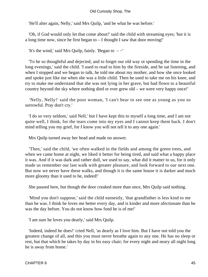'He'll alter again, Nelly,' said Mrs Quilp, 'and be what he was before.'

 'Oh, if God would only let that come about!' said the child with streaming eyes; 'but it is a long time now, since he first began to – I thought I saw that door moving!'

'It's the wind,' said Mrs Quilp, fainly. 'Began to – −'

 'To be so thoughtful and dejected, and to forget our old way ot spending the time in the long evenings,' said the child. 'I used to read to him by the fireside, and he sat listening, and when I stopped and we began to talk, he told me about my mother, and how she once looked and spoke just like me when she was a little child. Then he used to take me on his knee, and try to make me understand that she was not lying in her grave, but had flown to a beautiful country beyond the sky where nothing died or ever grew old – we were very happy once!'

 'Nelly, Nelly!' said the poor woman, 'I can't bear to see one as young as you so sorrowful. Pray don't cry.'

 'I do so very seldom,' said Nell,' but I have kept this to myself a long time, and I am not quite well, I think, for the tears come into my eyes and I cannot keep them back. I don't mind telling you my grief, for I know you will not tell it to any one again.'

Mrs Quilp turned away her head and made no answer.

 'Then,' said the child, 'we often walked in the fields and among the green trees, and when we came home at night, we liked it better for being tired, and said what a happy place it was. And if it was dark and rather dull, we used to say, what did it matter to us, for it only made us remember our last walk with greater pleasure, and look forward to our next one. But now we never have these walks, and though it is the same house it is darker and much more gloomy than it used to be, indeed!'

She paused here, but though the door creaked more than once, Mrs Quilp said nothing.

 'Mind you don't suppose,' said the child earnestly, 'that grandfather is less kind to me than he was. I think he loves me better every day, and is kinder and more afectionate than he was the day before. You do not know how fond he is of me!'

'I am sure he loves you dearly,' said Mrs Quilp.

 'Indeed, indeed he does!' cried Nell, 'as dearly as I love him. But I have not told you the greatest change of all, and this you must never breathe again to any one. He has no sleep or rest, but that which he takes by day in his easy chair; for every night and neary all night long he is away from home.'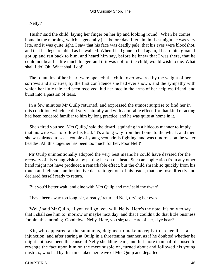### 'Nelly!'

 'Hush!' said the child, laying her finger on her lip and looking round. 'When he comes home in the morning, which is generally just before day, I let him in. Last night he was very late, and it was quite light. I saw that his face was deadly pale, that his eyes were bloodshot, and that his legs trembled as he walked. When I had gone to bed again, I heard him groan. I got up and ran back to him, and heard him say, before he knew that I was there, that he could not bear his life much longer, and if it was not for the child, would wish to die. What shall I do! Oh! What shall I do!'

 The fountains of her heart were opened; the child, overpowered by the weight of her sorrows and anxieties, by the first confidence she had ever shown, and the sympathy with which her little tale had been received, hid her face in the arms of her helpless friend, and burst into a passion of tears.

 In a few minutes Mr Quilp returned, and expressed the utmost surprise to find her in this condtiion, which he did very naturally and with admirable effect, for that kind of acting had been rendered familiar to him by long practice, and he was quite at home in it.

 'She's tired you see, Mrs Quilp,' said the dwarf, squinting in a hideous manner to imply that his wife was to follow his lead. 'It's a long way from her home to the wharf, and then she was alrmed to see a couple of young scoundrels fighting, and was timorous on the water besides. All this together has been too much for her. Poor Nell!'

 Mr Quilp unintentionally adopted the very best means he could have devised for the recovery of his young visitor, by patting her on the head. Such an application from any other hand might not have produced a remarkable effect, but the child shrank so quickly from his touch and felt such an instinctive desire to get out of his reach, that she rose directly and declared herself ready to return.

'But you'd better wait, and dine with Mrs Quilp and me.' said the dwarf.

'I have been away too long, sir, already,' returned Nell, drying her eyes.

 'Well,' said Mr Quilp, 'if you will go, you will, Nelly. Here's the note. It's only to say that I shall see him to−morrow or maybe next day, and that I couldn't do that little business for him this morning. Good−bye, Nelly. Here, you sir; take care of her, d'ye hear?'

 Kit, who appeared at the summons, deigned to make no reply to so needless an injunction, and after staring at Quilp in a threatening manner, as if he doubted whether he might not have been the cause of Nelly shedding tears, and felt more than half disposed to revenge the fact upon him on the mere suspicion, turned about and followed his young mistress, who had by this time taken her leave of Mrs Quilp and departed.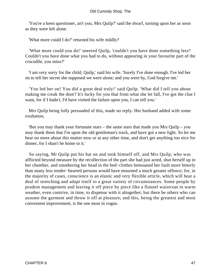'You're a keen questioner, an't you, Mrs Quilp?' said the dwarf, turning upon her as soon as they were left alone.

'What more could I do?' returned his wife mildly?

 'What more could you do!' sneered Quilp, 'couldn't you have done something less? Couldn't you have done what you had to do, without appearing in your favourite part of the crocodile, you minx?'

 'I am very sorry for the child, Quilp,' said his wife. 'Surely I've done enough. I've led her on to tell her secret she supposed we were alone; and you were by, God forgive me.'

 'You led her on! You did a great deal truly!' said Quilp. 'What did I tell you about making me creak the door? It's lucky for you that from what she let fall, I've got the clue I want, for if I hadn't, I'd have visited the failure upon you, I can tell you.'

 Mrs Quilp being fully persuaded of this, made no reply. Her husband added with some exultation,

 'But you may thank your fortunate stars – the same stars that made you Mrs Quilp – you may thank them that I'm upon the old gentleman's track, and have got a new light. So let me hear no more about this matter now or at any other time, and don't get anything too nice for dinner, for I shan't be home to it.'

 So saying, Mr Quilp put his hat on and took himself off, and Mrs Quilp, who was afflicted beyond measure by the recollection of the part she had just acted, shut herself up in her chamber, and smothering her head in the bed−clothes bemoaned her fault more bitterly than many less tender−hearted persons would have mourned a much greater offence; for, in the majority of cases, conscience is an elastic and very flexible article, which will bear a deal of stretching and adapt itself to a great variety of circumstances. Some people by prudent management and leaving it off piece by piece like a flannel waistcoat in warm weather, even contrive, in time, to dispense with it altogether; but there be others who can assume the garment and throw it off at pleasure; and this, being the greatest and most convenient improvement, is the one most in vogue.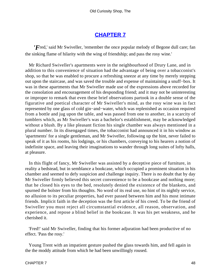# **[CHAPTER 7](#page-494-0)**

*'F*red,' said Mr Swiveller, 'remember the once popular melody of Begone dull care; fan the sinking flame of hilarity with the wing of friendship; and pass the rosy wine.'

 Mr Richard Swiveller's apartments were in the neighbourhood of Drury Lane, and in addition to this convenience of situation had the advantage of being over a tobacconist's shop, so that he was enabled to procure a refreshing sneeze at any time by merely stepping out upon the staircase, and was saved the trouble and expense of maintaining a snuff−box. It was in these apartments that Mr Swiveller made use of the expressions above recorded for the consolation and encouragement of his desponding friend; and it may not be uninteresting or improper to remark that even these brief observations partook in a double sense of the figurative and poetical character of Mr Swiveller's mind, as the rosy wine was in fact represented by one glass of cold gin−and−water, which was replenished as occasion required from a bottle and jug upon the table, and was passed from one to another, in a scarcity of tumblers which, as Mr Swiveller's was a bachelor's establishment, may be acknowledged without a blush. By a like pleasant fiction his single chamber was always mentioned in a plural number. In its disengaged times, the tobacconist had announced it in his window as 'apartments' for a single gentleman, and Mr Swiveller, following up the hint, never failed to speak of it as his rooms, his lodgings, or his chambers, conveying to his hearers a notion of indefinite space, and leaving their imaginations to wander through long suites of lofty halls, at pleasure.

 In this flight of fancy, Mr Swiveller was assisted by a deceptive piece of furniture, in reality a bedstead, but in semblance a bookcase, which occupied a prominent situation in his chamber and seemed to defy suspicion and challenge inquiry. There is no doubt that by day Mr Swiveller firmly believed this secret convenience to be a bookcase and nothing more; that he closed his eyes to the bed, resolutely denied the existence of the blankets, and spurned the bolster from his thoughts. No word of its real use, no hint of its nightly service, no allusion to its peculiar properties, had ever passed between him and his most intimate friends. Implicit faith in the deception was the first article of his creed. To be the friend of Swiveller you must reject all circumstantial evidence, all reason, observation, and experience, and repose a blind belief in the bookcase. It was his pet weakness, and he cherished it.

 'Fred!' said Mr Swiveller, finding that his former adjuration had been productive of no effect. 'Pass the rosy.'

 Young Trent with an impatient gesture pushed the glass towards him, and fell again in the the moddy attitude from which he had been unwillingly roused.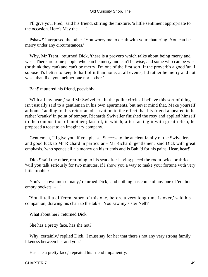'I'll give you, Fred,' said his friend, stirring the mixture, 'a little sentiment appropriate to the occasion. Here's May the  $-$ '

 'Pshaw!' interposed the other. 'You worry me to death with your chattering. You can be merry under any circumstances.'

 'Why, Mr Trent,' returned Dick, 'there is a proverb which talks about being merry and wise. There are some people who can be merry and can't be wise, and some who can be wise (or think they can) and can't be merry. I'm one of the first sort. If the proverb's a good 'un, I supose it's better to keep to half of it than none; at all events, I'd rather be merry and not wise, than like you, neither one nor t'other.'

'Bah!' muttered his friend, peevishly.

 'With all my heart,' said Mr Swiveller. 'In the polite circles I believe this sort of thing isn't usually said to a gentleman in his own apartments, but never mind that. Make yourself at home,' adding to this retort an observation to the effect that his friend appeared to be rather 'cranky' in point of temper, Richards Swiveller finished the rosy and applied himself to the composition of another glassful, in which, after tasting it with great relish, he proposed a toast to an imaginary company.

 'Gentlemen, I'll give you, if you please, Success to the ancient family of the Swivellers, and good luck to Mr Richard in particular – Mr Richard, gentlemen,' said Dick with great emphasis, 'who spends all his money on his friends and is Bah!'d for his pains. Hear, hear!'

 'Dick!' said the other, returning to his seat after having paced the room twice or thrice, 'will you talk seriously for two minutes, if I show you a way to make your fortune with very little trouble?'

 'You've shown me so many,' returned Dick; 'and nothing has come of any one of 'em but empty pockets – −'

 'You'll tell a different story of this one, before a very long time is over,' said his companion, drawing his chair to the table. 'You saw my sister Nell?'

'What about her?' returned Dick.

'She has a pretty face, has she not?'

 'Why, certainly,' replied Dick. 'I must say for her that there's not any very strong family likeness between her and you.'

'Has she a pretty face,' repeated his friend impatiently.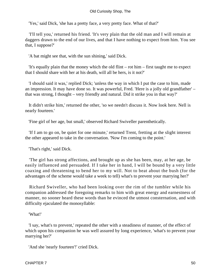'Yes,' said Dick, 'she has a pretty face, a very pretty face. What of that?'

 'I'll tell you,' returned his friend. 'It's very plain that the old man and I will remain at daggers drawn to the end of our lives, and that I have nothing to expect from him. You see that, I suppose?'

'A bat might see that, with the sun shining,' said Dick.

 'It's equally plain that the money which the old flint – rot him – first taught me to expect that I should share with her at his death, will all be hers, is it not?'

 'I should said it was,' replied Dick; 'unless the way in which I put the case to him, made an impression. It may have done so. It was powerful, Fred. 'Here is a jolly old grandfather' – that was strong, I thought – very friendly and natural. Did it strike you in that way?'

 It didn't strike him,' returned the other, 'so we needn't discuss it. Now look here. Nell is nearly fourteen.'

'Fine girl of her age, but small,' observed Richard Swiveller parenthetically.

 'If I am to go on, be quiet for one minute,' returned Trent, fretting at the slight interest the other appeared to take in the conversation. 'Now I'm coming to the point.'

'That's right,' said Dick.

 'The girl has strong affections, and brought up as she has been, may, at her age, be easily influenced and persuaded. If I take her in hand, I will be bound by a very little coaxing and threatening to bend her to my will. Not to beat about the bush (for the advantages of the scheme would take a week to tell) what's to prevent your marrying her?'

 Richard Swiveller, who had been looking over the rim of the tumbler while his companion addressed the foregoing remarks to him with great energy and earnestness of manner, no sooner heard these words than he evinced the utmost consternation, and with difficulty ejaculated the monosyllable:

#### 'What!'

 'I say, what's to prevent,' repeated the other with a steadiness of manner, of the effect of which upon his companion he was well assured by long experience, 'what's to prevent your marrying her?'

'And she 'nearly fourteen'!' cried Dick.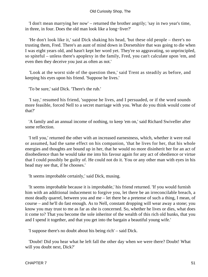'I don't mean marrying her now' – returned the brother angrily; 'say in two year's time, in three, in four. Does the old man look like a long−liver?'

 'He don't look like it,' said Dick shaking his head, 'but these old people – there's no trusting them, Fred. There's an aunt of mind down in Dorsetshire that was going to die when I was eight years old, and hasn't kept her word yet. They're so aggravating, so unprincipled, so spiteful – unless there's apoplexy in the family, Fred, you can't calculate upon 'em, and even then they deceive you just as often as not.'

 'Look at the worst side of the question then,' said Trent as steadily as before, and keeping his eyes upon his friend. 'Suppose he lives.'

'To be sure,' said Dick. 'There's the rub.'

 'I say,' resumed his friend, 'suppose he lives, and I persuaded, or if the word sounds more feasible, forced Nell to a secret marriage with you. What do you think would come of that?'

 'A family and an annual income of nothing, to keep 'em on,' said Richard Swiveller after some reflection.

 'I tell you,' returned the other with an increased earnestness, which, whether it were real or assumed, had the same effect on his companion, 'that he lives for her, that his whole energies and thoughts are bound up in her, that he would no more disinherit her for an act of disobedience than he would take me into his favour again for any act of obedience or virtue that I could possibly be guilty of. He could not do it. You or any other man with eyes in his head may see that, if he chooses.'

'It seems improbable certainly,' said Dick, musing.

 'It seems improbable because it is improbable,' his friend returned. 'If you would furnish him with an additional inducement to forgive you, let there be an irreconcilable breach, a most deadly quarrel, between you and me – let there be a pretense of such a thing, I mean, of course – and he'll do fast enough. As to Nell, constant dropping will wear away a stone; you know you may trust to me as far as she is concerned. So, whether he lives or dies, what does it come to? That you become the sole inheritor of the wealth of this rich old hunks, that you and I spend it together, and that you get into the bargain a beautiful young wife.'

'I suppose there's no doubt about his being rich' – said Dick.

 'Doubt! Did you hear what he left fall the other day when we were there? Doubt! What will you doubt next, Dick?'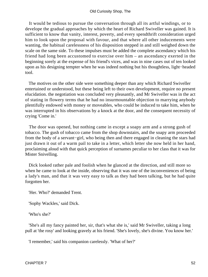It would be tedious to pursue the conversation through all its artful windings, or to develope the gradual approaches by which the heart of Richard Swiveller was gained. It is sufficient to know that vanity, interest, poverty, and every spendthrift consideration urged him to look upon the proposal with favour, and that where all other inducements were wanting, the habitual carelessness of his disposition stepped in and still weighed down the scale on the same side. To these impulses must be added the complete ascendancy which his friend had long been accustomed to exercise over him – an ascendancy exerted in the beginning sorely at the expense of his friend's vices, and was in nine cases out of ten looked upon as his designing tempter when he was indeed nothing but his thoughtless, light−headed tool.

 The motives on the other side were something deeper than any which Richard Swiveller entertained or understood, but these being left to their own development, require no present elucidation. the negotiation was concluded very pleasantly, and Mr Swiveller was in the act of stating in flowery terms that he had no insurmountable objection to marrying anybody plentifully endowed with money or moveables, who could be induced to take him, when he was interrupted in his observations by a knock at the door, and the consequent necessity of crying 'Come in.'

 The door was opened, but nothing came in except a soapy arm and a strong gush of tobacco. The gush of tobacco came from the shop downstairs, and the soapy arm proceeded from the body of a servant−girl, who being then and there engaged in cleaning the stars had just drawn it out of a warm pail to take in a letter, which letter she now held in her hand, proclaiming aloud with that quick perception of surnames peculiar to her class that it was for Mister Snivelling.

 Dick looked rather pale and foolish when he glanced at the direction, and still more so when he came to look at the inside, observing that it was one of the inconveniences of being a lady's man, and that it was very easy to talk as they had been talking, but he had quite forgotten her.

'Her. Who?' demanded Trent.

'Sophy Wackles,' said Dick.

'Who's she?'

 'She's all my fancy painted her, sir, that's what she is,' said Mr Swiveller, taking a long pull at 'the rosy' and looking gravely at his friend. 'She's lovely, she's divine. You know her.'

'I remember,' said his companion carelessly. 'What of her?'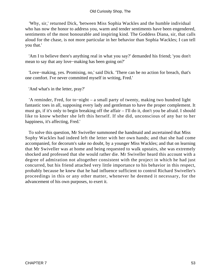'Why, sir,' returned Dick, 'between Miss Sophia Wackles and the humble individual who has now the honor to address you, warm and tender sentiments have been engendered, sentiments of the most honourable and inspiring kind. The Goddess Diana, sir, that calls aloud for the chase, is not more particular in her behavior than Sophia Wackles; I can tell you that.'

 'Am I to believe there's anything real in what you say?' demanded his friend; 'you don't mean to say that any love−making has been going on?'

 'Love−making, yes. Promising, no,' said Dick. 'There can be no action for breach, that's one comfort. I've never committed myself in writing, Fred.'

'And what's in the letter, pray?'

 'A reminder, Fred, for to−night – a small party of twenty, making two hundred light fantastic toes in all, supposing every lady and gentleman to have the proper complement. It must go, if it's only to begin breaking off the affair – I'll do it, don't you be afraid. I should like to know whether she left this herself. If she did, unconscious of any bar to her happiness, it's affecting, Fred.'

 To solve this question, Mr Swiveller summoned the handmaid and ascertained that Miss Sophy Wackles had indeed left the letter with her own hands; and that she had come accompanied, for decorum's sake no doubt, by a younger Miss Wackles; and that on learning that Mr Swiveller was at home and being requested to walk upstairs, she was extremely shocked and professed that she would rather die. Mr Swiveller heard this account with a degree of admiration not altogether consistent with the project in which he had just concurred, but his friend attached very little importance to his behavior in this respect, probably because he knew that he had influence sufficient to control Richard Swiveller's proceedings in this or any other matter, whenever he deemed it necessary, for the advancement of his own purposes, to exert it.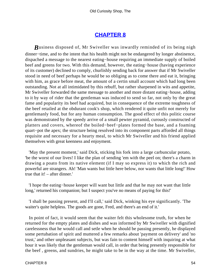### **[CHAPTER 8](#page-494-0)**

*B*usiness disposed of, Mr Swiveller was inwardly reminded of its being nigh dinner−time, and to the intent that his health might not be endangered by longer abstinence, dispached a message to the nearest eating−house requiring an immediate supply of boiled beef and greens for two. With this demand, however, the eating−house (having experience of its customer) declined to comply, churlishly sending back for answer that if Mr Swiveller stood in need of beef perhaps he would be so obliging as to come there and eat it, bringing with him, as grace before meat, the amount of a certin small account which had long been outstanding. Not at all intimidated by this rebuff, but rather sharpened in wits and appetite, Mr Swiveller forwarded the same message to another and more distant eating−house, adding to it by way of rider that the gentleman was induced to send so far, not only by the great fame and popularity its beef had acquired, but in consequence of the extreme toughness of the beef retailed at the obdurant cook's shop, which rendered it quite unfit not merely for gentlemanly food, but for any human consumption. The good effect of this politic course was demonstrated by the speedy arrive of a small pewter pyramid, curously constructed of platters and covers, whereof the boiled−beef−plates formed the base, and a foaming quart−pot the apex; the structure being resolved into its component parts afforded all things requisite and necessary for a hearty meal, to which Mr Swiveller and his friend applied themselves with great keenness and enjoyment.

 'May the present moment,' said Dick, sticking his fork into a large carbuncular potato, 'be the worst of our lives! I like the plan of sending 'em with the peel on; there's a charm in drawing a poato from its native element (if I may so express it) to which the rich and powerful are strangers. Ah! 'Man wants but little here below, nor wants that little long!' How true that it! – after dinner.'

 'I hope the eating−house keeper will want but little and that he may not want that little long,' returned his companion; but I suspect you've no means of paying for this!'

 'I shall be passing present, and I'll call,' said Dick, winking his eye significantly. 'The waiter's quite helpless. The goods are gone, Fred, and there's an end of it.'

 In point of fact, it would seem that the waiter felt this wholesome truth, for when he returned for the empty plates and dishes and was informed by Mr Swiveller with dignified carelessness that he would call and setle when he should be passing presently, he displayed some pertubation of spirit and muttered a few remarks about 'payment on delivery' and 'no trust,' and other unpleasant subjects, but was fain to content himself with inquiring at what hour it was likely that the gentleman would call, in order that being presently responsible for the beef , greens, and sundries, he might take to be in the way at the time. Mr Swiveller,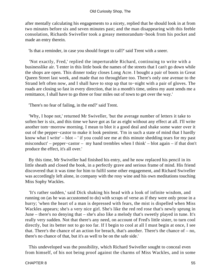after mentally calculating his engagements to a nicety, replied that he should look in at from two minutes before six and seven minutes past; and the man disappearing with this feeble consolation, Richards Swiveller took a greasy memorandum−book from his pocket and made an entry therein.

'Is that a reminder, in case you should forget to call?' said Trent with a sneer.

 'Not exactly, Fred,' replied the imperturable Richard, continuing to write with a businesslike air. 'I enter in this little book the names of the streets that I can't go down while the shops are open. This dinner today closes Long Acre. I bought a pair of boots in Great Queen Street last week, and made that no throughfare too. There's only one avenue to the Strand left often now, and I shall have to stop up that to−night with a pair of gloves. The roads are closing so fast in every direction, that in a month's time, unless my aunt sends me a remittance, I shall have to go three or four miles out of town to get over the way.'

'There's no fear of failing, in the end?' said Trent.

 'Why, I hope not,' returned Mr Swiveller, 'but the average number of letters it take to soften her is six, and this time we have got as far as eight without any effect at all. I'll write another tom−morrow morning. I mean to blot it a good deal and shake some water over it out of the pepper−castor to make it look penitent. 'I'm in such a state of mind that I hardly know what I write' – blot – ' if you could see me at this minute shedding tears for my past misconduct' – pepper−castor – my hand trembles when I think' – blot again – if that don't produce the effect, it's all over.'

 By this time, Mr Swiveller had finished his entry, and he now replaced his pencil in its little sheath and closed the book, in a perfectly grave and serious frame of mind. His friend discovered that it was time for him to fulfil some other engagement, and Richard Swiveller was accordingly left alone, in company with the rosy wine and his own meditations touching Miss Sophy Wackles.

 'It's rather sudden,' said Dick shaking his head with a look of infinite wisdom, and running on (as he was accustomed to do) with scraps of verse as if they were only prose in a hurry; 'when the heart of a man is depressed with fears, the mist is dispelled when Miss Wackles appears; she's a very nice girl. She's like the red red rose that's newly sprung in June – there's no denying that – she's also like a melody that's sweetly played in tune. It's really very sudden. Not that there's any need, on account of Fred's little sister, to turn cool directly, but its better not to go too far. If I begin to cool at all I must begin at once, I see that. There's the chance of an action for breach, that's another. There's the chance of – no, there's no chance of that, but it's as well to be on the safe side.'

 This undeveloped was the possibility, which Richard Swiveller sought to conceal even from himself, of his not being proof against the charms of Miss Wackles, and in some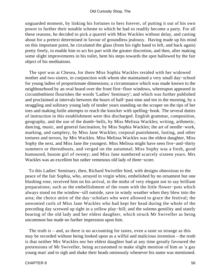unguarded moment, by linking his fortunes to hers forever, of putting it out of his own power to further their notable scheme to which he had so readily become a party. For all these reasons, he decided to pick a quarrel with Miss Wackles without delay, and casting about for a pretext determined in favour of groundless jealousy. Having made up his mind on this important point, he circulated the glass (from his right hand to left, and back again) pretty freely, to enable him to act his part with the greater discretion, and then, after making some slight improvements in his toilet, bent his steps towards the spot hallowed by the fair object of his meditations.

 The spot was at Chesea, for there Miss Sophia Wackles resided with her widowed mother and two sisters, in conjunction with whom she maintained a very small day−school for young ladies of proportionate dimensions; a circumstance which was made known to the neighbourhood by an oval board over the front first−floor windows, whereupon appeared in circumbmbient flourishes the words 'Ladies' Seminary'; and which was further published and proclaimed at intervals between the hours of half−past nine and ten in the morning, by a straggling and solitrary young lady of tender years standing on the scraper on the tips of her toes and making futile attempts to reach the knocker with spelling−book. The several duties of instruction in this establishment were this discharged. English grammar, composition, geography, and the use of the dumb−bells, by Miss Melissa Wackles; writing, arthmetic, dancing, music, and general fascination, by Miss Sophia Wackles; the art of needle−work, marking, and samplery, by Miss Jane Wackles; corporal punishment, fasting, and other tortures and terrors, by Mrs Wackles. Miss Melissa Wackles was the eldest daughter, Miss Sophy the next, and Miss Jane the youngest. Miss Melissa might have seen five−and−thirty summers or thereabouts, and verged on the autumnal; Miss Sophy was a fresh, good humoured, busom girl of twenty; and Miss Jane numbered scarcely sixteen years. Mrs Wackles was an excellent but rather vemenous old lady of three−score.

 To this Ladies' Seminary, then, Richard Swiveller hied, with designs obnoxious to the peace of the fair Sophia, who, arrayed in virgin white, embelished by no ornament but one blushing rose, received him on his arrival, in the midst of very elegant not to say brilliant preparations; such as the embellishment of the room with the little flower−pots which always stood on the window−sill outside, save in windy weather when they blew into the area; the choice attire of the day−scholars who were allowed to grace the festival; the unwonted curls of Miss Jane Wackles who had kept her head during the whole of the preceding day screwed up tight in a yellow play−bill; and the solemn gentility and stately bearing of the old lady and her eldest daughter, which struck Mr Swiveller as being uncommon but made no further impression upon him.

 The truth is – and, as there is no accounting for tastes, even a taste so strange as this may be recorded without being looked upon as a wilful and malicious invention – the truth is that neither Mrs Wackles nor her eldest daughter had at any time greatly favoured the pretensions of Mr Swiveller, being accustomed to make slight mention of him as 'a gay young man' and to sigh and shake their heads ominously whenever his name was mentioned.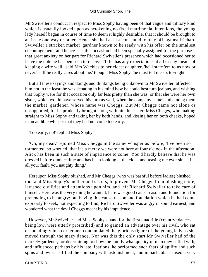Mr Swiveller's conduct in respect to Miss Sophy having been of that vague and dilitory kind which is usuaully looked upon as betokening no fixed matrimonial intentions, the young lady herself began in course of time to deem it highly desirable, that it should be brought to an issue one way or other. Hence she had at last consented to play off against Richard Swiveller a stricken market−gardner known to be ready with his offer on the smallest encouragement, and hence – as this occasion had been specially assigned for the purpose – that great anxiety on her part for Richard Swiveller's presence which had occasioned her to leave the note he has ben seen to receive. 'If he has any expectations at all or any means of keeping a wife well,' said Mrs Wackles to her eldest daughter, 'he'll state 'em to us now or never.' – 'If he really cares about me,' thought Miss Sophy, 'he must tell me so, to−night.'

 But all these sayings and doings and thinkings being unknown to Mr Swiveller, affected him not in the least; he was debating in his mind how he could best turn jealous, and wishing that Sophy were for that occasion only far less pretty than she was, or that she were her own sister, which would have served his turn as well, when the company came, and among them the market−gardener, whose name was Cheggs. But Mr Cheggs came not alone or unsupported, for he prudently brought along with him his sister, Miss Cheggs, who making straight to Miss Sophy and taking her by both hands, and kissing her on both cheeks, hoped in an audible whisper that they had not come too early.

'Too early, no!' replied Miss Sophy.

 'Oh, my dear,' rejoined Miss Cheggs in the same whisper as before, 'I've been so tormented, so worried, that it's a mercy we were not here at four o'clock in the afternoon. Alick has been in such a state of impatience to come! You'd hardly believe that he was dressed before dinner−time and has been looking at the clock and teasing me ever since. It's all your fault, you naughty thing.'

 Hereupon Miss Sophy blushed, and Mr Cheggs (who was bashful before ladies) blushed too, and Miss Sophy's mother and sisters, to prevent Mr Cheggs from blushing more, lavished civilities and attentions upon him, and left Richard Swiveller to take care of himself. Here was the very thing he wanted, here was good cause reason and foundation for pretending to be angry; but having this cause reason and foundation which he had come expressly to seek, not expecting to find, Richard Swiveller was angry in sound earnest, and wondered what the devil Cheggs meant by his impudence.

 However, Mr Swiveller had Miss Sophy's hand for the first quadrille (country−dances being low, were utterly proscribed) and so gained an advantage over his rival, who sat despondingly in a corner and contemplated the glorious figure of the young lady as she moved through the mazy dance. Nor was this the only start Mr Swiveller had of the market−gardener, for determining to show the family what quality of man they trifled with, and influenced perhaps by his late libations, he performed such feats of agility and such spins and twirls as filled the company with astonishment, and in particular caused a very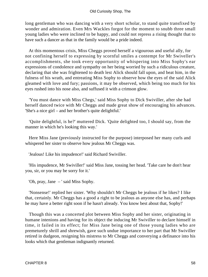long gentleman who was dancing with a very short scholar, to stand quite transfixed by wonder and admiration. Even Mrs Wackles forgot for the moment to snubb three small young ladies who were inclined to be happy, and could not repress a rising thought that to have such a dancer as that in the family would be a pride indeed.

 At this momentous crisis, Miss Cheggs proved herself a vigourous and useful ally, for not confining herself to expressing by scornful smiles a contempt for Mr Swiveller's accomplishments, she took every opportunity of whispering into Miss Sophy's ear expressions of condolence and sympathy on her being worried by such a ridiculous creature, declaring that she was frightened to death lest Alick should fall upon, and beat him, in the fulness of his wrath, and entreating Miss Sophy to observe how the eyes of the said Alick gleamed with love and fury; passions, it may be observed, which being too much for his eyes rushed into his nose also, and suffused it with a crimson glow.

 'You must dance with Miss Chegs,' said Miss Sophy to Dick Swiviller, after she had herself danced twice with Mr Cheggs and made great show of encouraging his advances. 'She's a nice girl – and her brother's quite delightful.'

 'Quite delightful, is he?' muttered Dick. 'Quite delighted too, I should say, from the manner in which he's looking this way.'

 Here Miss Jane (previously instructed for the purpose) interposed her many curls and whispered her sister to observe how jealous Mr Cheggs was.

'Jealous! Like his impudence!' said Richard Swiviller.

 'His impudence, Mr Swiviller!' said Miss Jane, tossing her head. 'Take care he don't hear you, sir, or you may be sorry for it.'

'Oh, pray, Jane – ' said Miss Sophy.

 'Nonsense!' replied her sister. 'Why shouldn't Mr Cheggs be jealous if he likes? I like that, certainly. Mr Cheggs has a good a right to be jealous as anyone else has, and perhaps he may have a better right soon if he hasn't already. You know best about that, Sophy!'

 Though this was a concerted plot between Miss Sophy and her sister, originating in humane intenions and having for its object the inducing Mr Swiviller to declare himself in time, it failed in its effect; for Miss Jane being one of those young ladies who are premeturely shrill and shrewish, gave such undue importance to her part that Mr Swiviller retired in dudgeon, resigning his mistress to Mr Cheggs and converying a definance into his looks which that gentleman indignantly returned.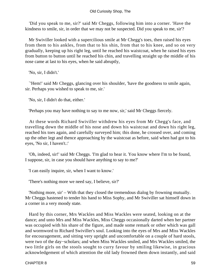'Did you speak to me, sir?' said Mr Cheggs, following him into a corner. 'Have the kindness to smile, sir, in order that we may not be suspected. Did you speak to me, sir'?

 Mr Swiviller looked with a supercilious smile at Mr Chegg's toes, then raised his eyes from them to his ankles, from that to his shin, from that to his knee, and so on very gradually, keeping up his right leg, until he reached his waistcoat, when he raised his eyes from button to button until he reached his chin, and travelling straight up the middle of his nose came at last to his eyes, when he said abruptly,

'No, sir, I didn't.'

 `'Hem!' said Mr Cheggs, glancing over his shoulder, 'have the goodness to smile again, sir. Perhaps you wished to speak to me, sir.'

'No, sir, I didn't do that, either.'

'Perhaps you may have nothing to say to me now, sir,' said Mr Cheggs fiercely.

 At these words Richard Swiviller withdrew his eyes from Mr Chegg's face, and travelling down the middle of his nose and down his waistcoat and down his right leg, reached his toes again, and carefully surveyed him; this done, he crossed over, and coming up the other legt and thence approaching by the waistcoat as before, said when had got to his eyes, 'No sir, I haven't.:'

 'Oh, indeed, sir!' said Mr Cheggs. 'I'm glad to hear it. You know where I'm to be found, I suppose, sir, in case you should have anything to say to me?'

'I can easily inquire, sir, when I want to know.'

'There's nothing more we need say, I believe, sir?'

 'Nothing more, sir' – With that they closed the tremendous dialog by frowning mutually. Mr Cheggs hastened to tender his hand to Miss Sophy, and Mr Swiviller sat himself down in a corner in a very moody state.

 Hard by this corner, Mrs Wackles and Miss Wackles were seated, looking on at the dance; and unto Mrs and Miss Wackles, Miss Cheggs occasionally darted when her partner was occupied with his share of the figure, and made some remark or other which was gall and wormword to Richard Swiviller's soul. Looking into the eyes of Mrs and Miss Wackles for encouragement, and sitting very upright and uncomfortable on a couple of hard stools, were two of the day−scholars; and when Miss Wackles smiled, and Mrs Wackles smiled, the two little girls on the stools sought to curry favour by smiling likewise, in gracious acknowledgement of which attention the old lady frowned them down instantly, and said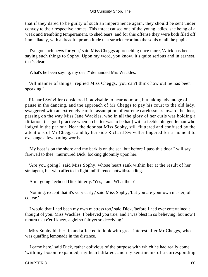that if they dared to be guilty of such an impertinence again, they should be sent under convoy to their respective homes. This threat caused one of the young ladies, she being of a weak and trembling temperament, to shed tears, and for this offense they were both filed off immediately, with a dreadful promptitude that struck terror into the souls of all the pupils.

 'I've got such news for you,' said Miss Cheggs approaching once more, 'Alick has been saying such things to Sophy. Upon my word, you know, it's quite serious and in earnest, that's clear.'

'What's he been saying, my dear?' demanded Mrs Wackles.

 'All manner of things,' replied Miss Cheggs, 'you can't think how out he has been speaking!'

 Richard Swiviller considered it advisable to hear no more, but taking advantage of a pause in the dancing, and the approach of Mr Cheggs to pay his court to the old lady, swaggered with an extremely careful assumption of extreme carelessness toward the door, passing on the way Miss Jane Wackles, who in all the glory of her curls was holding a flirtation, (as good practice when no better was to be had) with a feeble old gentleman who lodged in the parlour. Near the door sat Miss Sophy, still fluttered and confused by the attentions of Mr Cheggs, and by her side Richard Swiveller lingered for a moment to exchange a few parting words.

 'My boat is on the shore and my bark is on the sea, but before I pass this door I will say farewell to thee,' murmured Dick, looking gloomily upon her.

 'Are you going?' said Miss Sophy, whose heart sank within her at the result of her stratagem, but who affected a light indifference notwithstanding.

'Am I going!' echoed Dick bitterly. 'Yes, I am. What then?'

 'Nothing, except that it's very early,' said Miss Sophy; 'but you are your own master, of course.'

 'I would that I had been my own mistress too,' said Dick, 'before I had ever entertained a thought of you. Miss Wackles, I believed you true, and I was blest in so believing, but now I mourn that e'er I knew, a girl so fair yet so deceiving.'

 Miss Sophy bit her lip and affected to look with great interest after Mr Cheggs, who was quaffing lemonade in the distance.

 'I came here,' said Dick, rather oblivious of the purpose with which he had really come, 'with my bosom expanded, my heart dilated, and my sentiments of a corresponding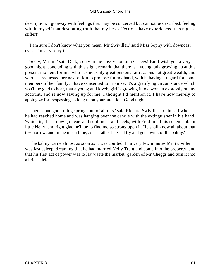description. I go away with feelings that may be conceived but cannot be described, feeling within myself that desolating truth that my best affections have experienced this night a stifler!'

 'I am sure I don't know what you mean, Mr Swiviller,' said Miss Sophy with downcast eyes. 'I'm very sorry if – '

 'Sorry, Ma'am!' said Dick, 'sorry in the possession of a Cheegs! But I wish you a very good night, concluding with this slight remark, that there is a young lady growing up at this present moment for me, who has not only great personal attractions but great wealth, and who has requested her next of kin to propose for my hand, which, having a regard for some members of her family, I have consented to promise. It's a gratifying circumstance which you'll be glad to hear, that a young and lovely girl is growing into a woman expressly on my account, and is now saving up for me. I thought I'd mention it. I have now merely to apologize for trespassing so long upon your attention. Good night.'

 'There's one good thing springs out of all this,' said Richard Swiviller to himself when he had reached home and was hanging over the candle with the extinguisher in his hand, 'which is, that I now go heart and soul, neck and heels, with Fred in all his scheme about little Nelly, and right glad he'll be to find me so strong upon it. He shall know all about that to−morrow, and in the mean time, as it's rather late, I'll try and get a wink of the balmy.'

 'The balmy' came almost as soon as it was courted. In a very few minutes Mr Swiviller was fast asleep, dreaming that he had married Nelly Trent and come into the property, and that his first act of power was to lay waste the market−garden of Mr Cheggs and turn it into a brick−field.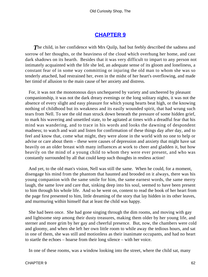## **[CHAPTER 9](#page-494-0)**

**The child, in her confidence with Mrs Quilp, had but feebly described the sadness and** sorrow of her thoughts, or the heaviness of the cloud which overhung her home, and cast dark shadows on its hearth. Besides that it was very difficult to impart to any person not intimately acquainted with the life she led, an adequate sense of its gloom and loneliness, a constant fear of in some way committing or injuring the old man to whom she was so tenderly attached, had restrained her, even in the midst of her heart's overflowing, and made her timid of allusion to the main cause of her anxiety and distress.

 For, it was not the monotonous days unchequered by variety and uncheered by pleasant companionship, it was not the dark dreary evenings or the long solitary nights, it was not the absence of every slight and easy pleasure for which young hearts beat high, or the knowing nothing of childhood but its weakness and its easily wounded spirit, that had wrung such tears from Nell. To see the old man struck down beneath the pressure of some hidden grief, to mark his wavering and unsettled state, to be agitated at times with a dreadful fear that his mind was wandering, and to trace in his words and looks the dawning of despondent madness; to watch and wait and listen for confirmation of these things day after day, and to feel and know that, come what might, they were alone in the world with no one to help or advise or care about them – these were causes of depression and anxiety that might have sat heavily on an older breast with many influences at work to cheer and gladden it, but how heavily on the mind of a young child to whom they were ever present, and who was constantly surrounded by all that could keep such thoughts in restless action!

 And yet, to the old man's vision, Nell was still the same. When he could, for a moment, disengage his mind from the phantom that haunted and brooded on it always, there was his young companion with the same smile for him, the same earnest words, the same merry laugh, the same love and care that, sinking deep into his soul, seemed to have been present to him through his whole life. And so he went on, content to read the book of her heart from the page first presented to him, little dreaming of the story that lay hidden in its other leaves, and murmuring within himself that at least the child was happy.

 She had been once. She had gone singing through the dim rooms, and moving with gay and lightsome step among their dusty treasures, making them older by her young life, and sterner and more grim by her gay and cheerful presence. But, now, the chambers were cold and gloomy, and when she left her own little room to while away the tedious hours, and sat in one of them, she was still and motionless as their inanimate occupants, and had no heart to startle the echoes – hoarse from their long silence – with her voice.

In one of these rooms, was a window looking into the street, where the child sat, many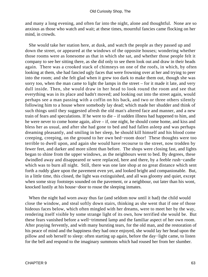and many a long evening, and often far into the night, alone and thoughtful. None are so anxious as those who watch and wait; at these times, mournful fancies came flocking on her mind, in crowds.

 She would take her station here, at dusk, and watch the people as they passed up and down the street, or appeared at the windows of the opposite houses; wondering whether those rooms were as lonesome as that in which she sat, and whether those people felt it company to see her sitting there, as she did only to see them look out and draw in their heads again. There was a crooked stack of chimneys on one of the roofs, in which, by often looking at them, she had fancied ugly faces that were frowning over at her and trying to peer into the room; and she felt glad when it grew too dark to make them out, though she was sorry too, when the man came to light the lamps in the street – for it made it late, and very dull inside. Then, she would draw in her head to look round the room and see that everything was in its place and hadn't moved; and looking out into the street again, would perhaps see a man passing with a coffin on his back, and two or three others silently following him to a house where somebody lay dead; which made her shudder and think of such things until they suggested afresh the old man's altered face and manner, and a new train of fears and speculations. If he were to die – if sudden illness had happened to him, and he were never to come home again, alive – if, one night, he should come home, and kiss and bless her as usual, and after she had gone to bed and had fallen asleep and was perhaps dreaming pleasantly, and smiling in her sleep, he should kill himself and his blood come creeping, creeping, on the ground to her own bed−room door! These thoughts were too terrible to dwell upon, and again she would have recourse to the street, now trodden by fewer feet, and darker and more silent than before. The shops were closing fast, and lights began to shine from the upper windows, as the neighbours went to bed. By degrees, these dwindled away and disappeared or were replaced, here and there, by a feeble rush−candle which was to burn all night. Still, there was one late shop at no great distance which sent forth a ruddy glare upon the pavement even yet, and looked bright and companionable. But, in a little time, this closed, the light was extinguished, and all was gloomy and quiet, except when some stray footsteps sounded on the pavement, or a neighbour, out later than his wont, knocked lustily at his house−door to rouse the sleeping inmates.

 When the night had worn away thus far (and seldom now until it had) the child would close the window, and steal softly down stairs, thinking as she went that if one of those hideous faces below, which often mingled with her dreams, were to meet her by the way, rendering itself visible by some strange light of its own, how terrified she would be. But these fears vanished before a well−trimmed lamp and the familiar aspect of her own room. After praying fervently, and with many bursting tears, for the old man, and the restoration of his peace of mind and the happiness they had once enjoyed, she would lay her head upon the pillow and sob herself to sleep: often starting up again, before the day−light came, to listen for the bell and respond to the imaginary summons which had roused her from her slumber.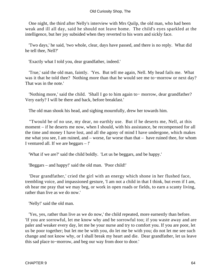One night, the third after Nelly's interview with Mrs Quilp, the old man, who had been weak and ill all day, said he should not leave home. The child's eyes sparkled at the intelligence, but her joy subsided when they reverted to his worn and sickly face.

 'Two days,' he said, 'two whole, clear, days have passed, and there is no reply. What did he tell thee, Nell?'

'Exactly what I told you, dear grandfather, indeed.'

 'True,' said the old man, faintly. 'Yes. But tell me again, Nell. My head fails me. What was it that he told thee? Nothing more than that he would see me to−morrow or next day? That was in the note.'

 'Nothing more,' said the child. 'Shall I go to him again to− morrow, dear grandfather? Very early? I will be there and back, before breakfast.'

The old man shook his head, and sighing mournfully, drew her towards him.

 ''Twould be of no use, my dear, no earthly use. But if he deserts me, Nell, at this moment – if he deserts me now, when I should, with his assistance, be recompensed for all the time and money I have lost, and all the agony of mind I have undergone, which makes me what you see, I am ruined, and – worse, far worse than that – have ruined thee, for whom I ventured all. If we are beggars – !'

'What if we are?' said the child boldly. 'Let us be beggars, and be happy.'

'Beggars – and happy!' said the old man. 'Poor child!'

 'Dear grandfather,' cried the girl with an energy which shone in her flushed face, trembling voice, and impassioned gesture, 'I am not a child in that I think, but even if I am, oh hear me pray that we may beg, or work in open roads or fields, to earn a scanty living, rather than live as we do now.'

'Nelly!' said the old man.

 'Yes, yes, rather than live as we do now,' the child repeated, more earnestly than before. 'If you are sorrowful, let me know why and be sorrowful too; if you waste away and are paler and weaker every day, let me be your nurse and try to comfort you. If you are poor, let us be poor together; but let me be with you, do let me be with you; do not let me see such change and not know why, or I shall break my heart and die. Dear grandfather, let us leave this sad place to−morrow, and beg our way from door to door.'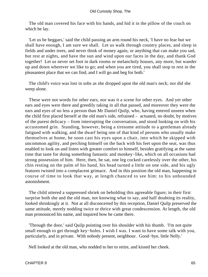The old man covered his face with his hands, and hid it in the pillow of the couch on which he lay.

 'Let us be beggars,' said the child passing an arm round his neck, 'I have no fear but we shall have enough, I am sure we shall. Let us walk through country places, and sleep in fields and under trees, and never think of money again, or anything that can make you sad, but rest at nights, and have the sun and wind upon our faces in the day, and thank God together! Let us never set foot in dark rooms or melancholy houses, any more, but wander up and down wherever we like to go; and when you are tired, you shall stop to rest in the pleasantest place that we can find, and I will go and beg for both.'

 The child's voice was lost in sobs as she dropped upon the old man's neck; nor did she weep alone.

 These were not words for other ears, nor was it a scene for other eyes. And yet other ears and eyes were there and greedily taking in all that passed, and moreover they were the ears and eyes of no less a person than Mr Daniel Quilp, who, having entered unseen when the child first placed herself at the old man's side, refrained – actuated, no doubt, by motives of the purest delicacy – from interrupting the conversation, and stood looking on with his accustomed grin. Standing, however, being a tiresome attitude to a gentleman already fatigued with walking, and the dwarf being one of that kind of persons who usually make themselves at home, he soon cast his eyes upon a chair, into which he skipped with uncommon agility, and perching himself on the back with his feet upon the seat, was thus enabled to look on and listen with greater comfort to himself, besides gratifying at the same time that taste for doing something fantastic and monkey−like, which on all occasions had strong possession of him. Here, then, he sat, one leg cocked carelessly over the other, his chin resting on the palm of his hand, his head turned a little on one side, and his ugly features twisted into a complacent grimace. And in this position the old man, happening in course of time to look that way, at length chanced to see him: to his unbounded astonishment.

 The child uttered a suppressed shriek on beholding this agreeable figure; in their first surprise both she and the old man, not knowing what to say, and half doubting its reality, looked shrinkingly at it. Not at all disconcerted by this reception, Daniel Quilp preserved the same attitude, merely nodding twice or thrice with great condescension. At length, the old man pronounced his name, and inquired how he came there.

 'Through the door,' said Quilp pointing over his shoulder with his thumb. 'I'm not quite small enough to get through key−holes. I wish I was. I want to have some talk with you, particularly, and in private. With nobody present, neighbour. Good−bye, little Nelly.'

Nell looked at the old man, who nodded to her to retire, and kissed her cheek.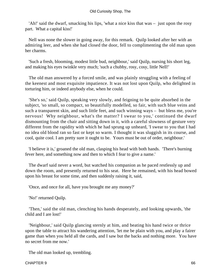'Ah!' said the dwarf, smacking his lips, 'what a nice kiss that was – just upon the rosy part. What a capital kiss!'

 Nell was none the slower in going away, for this remark. Quilp looked after her with an admiring leer, and when she had closed the door, fell to complimenting the old man upon her charms.

 'Such a fresh, blooming, modest little bud, neighbour,' said Quilp, nursing his short leg, and making his eyes twinkle very much; 'such a chubby, rosy, cosy, little Nell!'

 The old man answered by a forced smile, and was plainly struggling with a feeling of the keenest and most exquisite impatience. It was not lost upon Quilp, who delighted in torturing him, or indeed anybody else, when he could.

 'She's so,' said Quilp, speaking very slowly, and feigning to be quite absorbed in the subject, 'so small, so compact, so beautifully modelled, so fair, with such blue veins and such a transparent skin, and such little feet, and such winning ways – but bless me, you're nervous! Why neighbour, what's the matter? I swear to you,' continued the dwarf dismounting from the chair and sitting down in it, with a careful slowness of gesture very different from the rapidity with which he had sprung up unheard, 'I swear to you that I had no idea old blood ran so fast or kept so warm. I thought it was sluggish in its course, and cool, quite cool. I am pretty sure it ought to be. Yours must be out of order, neighbour.'

 'I believe it is,' groaned the old man, clasping his head with both hands. 'There's burning fever here, and something now and then to which I fear to give a name.'

 The dwarf said never a word, but watched his companion as he paced restlessly up and down the room, and presently returned to his seat. Here he remained, with his head bowed upon his breast for some time, and then suddenly raising it, said,

'Once, and once for all, have you brought me any money?'

'No!' returned Quilp.

 'Then,' said the old man, clenching his hands desperately, and looking upwards, 'the child and I are lost!'

 'Neighbour,' said Quilp glancing sternly at him, and beating his hand twice or thrice upon the table to attract his wandering attention, 'let me be plain with you, and play a fairer game than when you held all the cards, and I saw but the backs and nothing more. You have no secret from me now.'

The old man looked up, trembling.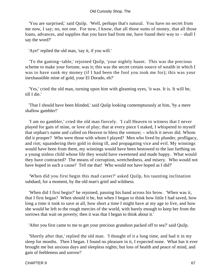'You are surprised,' said Quilp. 'Well, perhaps that's natural. You have no secret from me now, I say; no, not one. For now, I know, that all those sums of money, that all those loans, advances, and supplies that you have had from me, have found their way to – shall I say the word?'

'Aye!' replied the old man, 'say it, if you will.'

 'To the gaming−table,' rejoined Quilp, 'your nightly haunt. This was the precious scheme to make your fortune, was it; this was the secret certain source of wealth in which I was to have sunk my money (if I had been the fool you took me for); this was your inexhaustible mine of gold, your El Dorado, eh?'

 'Yes,' cried the old man, turning upon him with gleaming eyes, 'it was. It is. It will be, till I die.'

 'That I should have been blinded,' said Quilp looking contemptuously at him, 'by a mere shallow gambler!'

 'I am no gambler,' cried the old man fiercely. 'I call Heaven to witness that I never played for gain of mine, or love of play; that at every piece I staked, I whispered to myself that orphan's name and called on Heaven to bless the venture; – which it never did. Whom did it prosper? Who were those with whom I played? Men who lived by plunder, profligacy, and riot; squandering their gold in doing ill, and propagating vice and evil. My winnings would have been from them, my winnings would have been bestowed to the last farthing on a young sinless child whose life they would have sweetened and made happy. What would they have contracted? The means of corruption, wretchedness, and misery. Who would not have hoped in such a cause? Tell me that! Who would not have hoped as I did?'

 'When did you first begin this mad career?' asked Quilp, his taunting inclination subdued, for a moment, by the old man's grief and wildness.

 'When did I first begin?' he rejoined, passing his hand across his brow. 'When was it, that I first began? When should it be, but when I began to think how little I had saved, how long a time it took to save at all, how short a time I might have at my age to live, and how she would be left to the rough mercies of the world, with barely enough to keep her from the sorrows that wait on poverty; then it was that I began to think about it.'

'After you first came to me to get your precious grandson packed off to sea?' said Quilp.

 'Shortly after that,' replied the old man. 'I thought of it a long time, and had it in my sleep for months. Then I began. I found no pleasure in it, I expected none. What has it ever brought me but anxious days and sleepless nights; but loss of health and peace of mind, and gain of feebleness and sorrow!'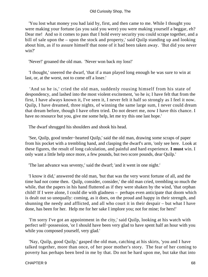'You lost what money you had laid by, first, and then came to me. While I thought you were making your fortune (as you said you were) you were making yourself a beggar, eh? Dear me! And so it comes to pass that I hold every security you could scrape together, and a bill of sale upon the – upon the stock and property,' said Quilp standing up and looking about him, as if to assure himself that none of it had been taken away. 'But did you never win?'

'Never!' groaned the old man. 'Never won back my loss!'

 'I thought,' sneered the dwarf, 'that if a man played long enough he was sure to win at last, or, at the worst, not to come off a loser.'

 'And so he is,' cried the old man, suddenly rousing himself from his state of despondency, and lashed into the most violent excitement, 'so he is; I have felt that from the first, I have always known it, I've seen it, I never felt it half so strongly as I feel it now. Quilp, I have dreamed, three nights, of winning the same large sum, I never could dream that dream before, though I have often tried. Do not desert me, now I have this chance. I have no resource but you, give me some help, let me try this one last hope.'

The dwarf shrugged his shoulders and shook his head.

 'See, Quilp, good tender−hearted Quilp,' said the old man, drawing some scraps of paper from his pocket with a trembling hand, and clasping the dwarf's arm, 'only see here. Look at these figures, the result of long calculation, and painful and hard experience. **I must** win. I only want a little help once more, a few pounds, but two score pounds, dear Quilp.'

'The last advance was seventy,' said the dwarf; 'and it went in one night.'

 'I know it did,' answered the old man, 'but that was the very worst fortune of all, and the time had not come then. Quilp, consider, consider,' the old man cried, trembling so much the while, that the papers in his hand fluttered as if they were shaken by the wind, 'that orphan child! If I were alone, I could die with gladness – perhaps even anticipate that doom which is dealt out so unequally: coming, as it does, on the proud and happy in their strength, and shunning the needy and afflicted, and all who court it in their despair – but what I have done, has been for her. Help me for her sake I implore you; not for mine; for hers!'

 'I'm sorry I've got an appointment in the city,' said Quilp, looking at his watch with perfect self−possession, 'or I should have been very glad to have spent half an hour with you while you composed yourself, very glad.'

 'Nay, Quilp, good Quilp,' gasped the old man, catching at his skirts, 'you and I have talked together, more than once, of her poor mother's story. The fear of her coming to poverty has perhaps been bred in me by that. Do not be hard upon me, but take that into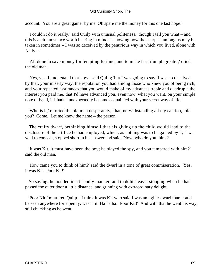account. You are a great gainer by me. Oh spare me the money for this one last hope!'

 'I couldn't do it really,' said Quilp with unusual politeness, 'though I tell you what – and this is a circumstance worth bearing in mind as showing how the sharpest among us may be taken in sometimes – I was so deceived by the penurious way in which you lived, alone with  $Nelly - '$ 

 'All done to save money for tempting fortune, and to make her triumph greater,' cried the old man.

 'Yes, yes, I understand that now,' said Quilp; 'but I was going to say, I was so deceived by that, your miserly way, the reputation you had among those who knew you of being rich, and your repeated assurances that you would make of my advances treble and quadruple the interest you paid me, that I'd have advanced you, even now, what you want, on your simple note of hand, if I hadn't unexpectedly become acquainted with your secret way of life.'

 'Who is it,' retorted the old man desperately, 'that, notwithstanding all my caution, told you? Come. Let me know the name – the person.'

 The crafty dwarf, bethinking himself that his giving up the child would lead to the disclosure of the artifice he had employed, which, as nothing was to be gained by it, it was well to conceal, stopped short in his answer and said, 'Now, who do you think?'

 'It was Kit, it must have been the boy; he played the spy, and you tampered with him?' said the old man.

 'How came you to think of him?' said the dwarf in a tone of great commiseration. 'Yes, it was Kit. Poor Kit!'

 So saying, he nodded in a friendly manner, and took his leave: stopping when he had passed the outer door a little distance, and grinning with extraordinary delight.

 'Poor Kit!' muttered Quilp. 'I think it was Kit who said I was an uglier dwarf than could be seen anywhere for a penny, wasn't it. Ha ha ha! Poor Kit!' And with that he went his way, still chuckling as he went.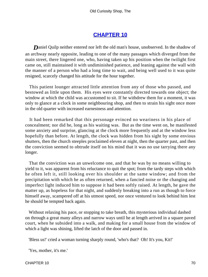## **[CHAPTER 10](#page-494-0)**

**Daniel Quilp neither entered nor left the old man's house, unobserved. In the shadow of** an archway nearly opposite, leading to one of the many passages which diverged from the main street, there lingered one, who, having taken up his position when the twilight first came on, still maintained it with undiminished patience, and leaning against the wall with the manner of a person who had a long time to wait, and being well used to it was quite resigned, scarcely changed his attitude for the hour together.

 This patient lounger attracted little attention from any of those who passed, and bestowed as little upon them. His eyes were constantly directed towards one object; the window at which the child was accustomed to sit. If he withdrew them for a moment, it was only to glance at a clock in some neighbouring shop, and then to strain his sight once more in the old quarter with increased earnestness and attention.

 It had been remarked that this personage evinced no weariness in his place of concealment; nor did he, long as his waiting was. But as the time went on, he manifested some anxiety and surprise, glancing at the clock more frequently and at the window less hopefully than before. At length, the clock was hidden from his sight by some envious shutters, then the church steeples proclaimed eleven at night, then the quarter past, and then the conviction seemed to obtrude itself on his mind that it was no use tarrying there any longer.

 That the conviction was an unwelcome one, and that he was by no means willing to yield to it, was apparent from his reluctance to quit the spot; from the tardy steps with which he often left it, still looking over his shoulder at the same window; and from the precipitation with which he as often returned, when a fancied noise or the changing and imperfect light induced him to suppose it had been softly raised. At length, he gave the matter up, as hopeless for that night, and suddenly breaking into a run as though to force himself away, scampered off at his utmost speed, nor once ventured to look behind him lest he should be tempted back again.

 Without relaxing his pace, or stopping to take breath, this mysterious individual dashed on through a great many alleys and narrow ways until he at length arrived in a square paved court, when he subsided into a walk, and making for a small house from the window of which a light was shining, lifted the latch of the door and passed in.

'Bless us!' cried a woman turning sharply round, 'who's that? Oh! It's you, Kit!'

'Yes, mother, it's me.'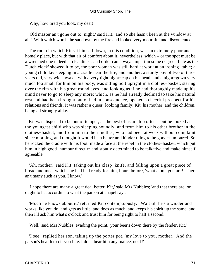'Why, how tired you look, my dear!'

 'Old master an't gone out to−night,' said Kit; 'and so she hasn't been at the window at all.' With which words, he sat down by the fire and looked very mournful and discontented.

 The room in which Kit sat himself down, in this condition, was an extremely poor and homely place, but with that air of comfort about it, nevertheless, which – or the spot must be a wretched one indeed – cleanliness and order can always impart in some degree. Late as the Dutch clock' showed it to be, the poor woman was still hard at work at an ironing−table; a young child lay sleeping in a cradle near the fire; and another, a sturdy boy of two or three years old, very wide awake, with a very tight night−cap on his head, and a night−gown very much too small for him on his body, was sitting bolt upright in a clothes−basket, staring over the rim with his great round eyes, and looking as if he had thoroughly made up his mind never to go to sleep any more; which, as he had already declined to take his natural rest and had been brought out of bed in consequence, opened a cheerful prospect for his relations and friends. It was rather a queer−looking family: Kit, his mother, and the children, being all strongly alike.

 Kit was disposed to be out of temper, as the best of us are too often – but he looked at the youngest child who was sleeping soundly, and from him to his other brother in the clothes−basket, and from him to their mother, who had been at work without complaint since morning, and thought it would be a better and kinder thing to be good−humoured. So he rocked the cradle with his foot; made a face at the rebel in the clothes−basket, which put him in high good−humour directly; and stoutly determined to be talkative and make himself agreeable.

 'Ah, mother!' said Kit, taking out his clasp−knife, and falling upon a great piece of bread and meat which she had had ready for him, hours before, 'what a one you are! There an't many such as you, I know.'

 'I hope there are many a great deal better, Kit,' said Mrs Nubbles; 'and that there are, or ought to be, accordin' to what the parson at chapel says.'

 'Much he knows about it,' returned Kit contemptuously. 'Wait till he's a widder and works like you do, and gets as little, and does as much, and keeps his spirit up the same, and then I'll ask him what's o'clock and trust him for being right to half a second.'

'Well,' said Mrs Nubbles, evading the point, 'your beer's down there by the fender, Kit.'

 'I see,' replied her son, taking up the porter pot, 'my love to you, mother. And the parson's health too if you like. I don't bear him any malice, not I!'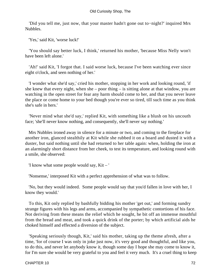'Did you tell me, just now, that your master hadn't gone out to−night?' inquired Mrs Nubbles.

'Yes,' said Kit, 'worse luck!'

 'You should say better luck, I think,' returned his mother, 'because Miss Nelly won't have been left alone.'

 'Ah!' said Kit, 'I forgot that. I said worse luck, because I've been watching ever since eight o'clock, and seen nothing of her.'

 'I wonder what she'd say,' cried his mother, stopping in her work and looking round, 'if she knew that every night, when she – poor thing – is sitting alone at that window, you are watching in the open street for fear any harm should come to her, and that you never leave the place or come home to your bed though you're ever so tired, till such time as you think she's safe in hers.'

 'Never mind what she'd say,' replied Kit, with something like a blush on his uncouth face; 'she'll never know nothing, and consequently, she'll never say nothing.'

 Mrs Nubbles ironed away in silence for a minute or two, and coming to the fireplace for another iron, glanced stealthily at Kit while she rubbed it on a board and dusted it with a duster, but said nothing until she had returned to her table again: when, holding the iron at an alarmingly short distance from her cheek, to test its temperature, and looking round with a smile, she observed:

'I know what some people would say, Kit – '

'Nonsense,' interposed Kit with a perfect apprehension of what was to follow.

 'No, but they would indeed. Some people would say that you'd fallen in love with her, I know they would.'

 To this, Kit only replied by bashfully bidding his mother 'get out,' and forming sundry strange figures with his legs and arms, accompanied by sympathetic contortions of his face. Not deriving from these means the relief which he sought, he bit off an immense mouthful from the bread and meat, and took a quick drink of the porter; by which artificial aids he choked himself and effected a diversion of the subject.

 'Speaking seriously though, Kit,' said his mother, taking up the theme afresh, after a time, 'for of course I was only in joke just now, it's very good and thoughtful, and like you, to do this, and never let anybody know it, though some day I hope she may come to know it, for I'm sure she would be very grateful to you and feel it very much. It's a cruel thing to keep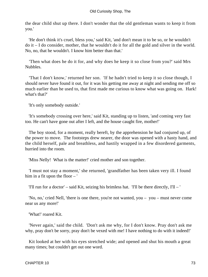the dear child shut up there. I don't wonder that the old gentleman wants to keep it from you.'

 'He don't think it's cruel, bless you,' said Kit, 'and don't mean it to be so, or he wouldn't do it – I do consider, mother, that he wouldn't do it for all the gold and silver in the world. No, no, that he wouldn't. I know him better than that.'

 'Then what does he do it for, and why does he keep it so close from you?' said Mrs Nubbles.

 'That I don't know,' returned her son. 'If he hadn't tried to keep it so close though, I should never have found it out, for it was his getting me away at night and sending me off so much earlier than he used to, that first made me curious to know what was going on. Hark! what's that?'

'It's only somebody outside.'

 'It's somebody crossing over here,' said Kit, standing up to listen, 'and coming very fast too. He can't have gone out after I left, and the house caught fire, mother!'

 The boy stood, for a moment, really bereft, by the apprehension he had conjured up, of the power to move. The footsteps drew nearer, the door was opened with a hasty hand, and the child herself, pale and breathless, and hastily wrapped in a few disordered garments, hurried into the room.

'Miss Nelly! What is the matter!' cried mother and son together.

 'I must not stay a moment,' she returned, 'grandfather has been taken very ill. I found him in a fit upon the floor – '

'I'll run for a doctor' – said Kit, seizing his brimless hat. 'I'll be there directly, I'll – '

 'No, no,' cried Nell, 'there is one there, you're not wanted, you – you – must never come near us any more!'

'What!' roared Kit.

 'Never again,' said the child. 'Don't ask me why, for I don't know. Pray don't ask me why, pray don't be sorry, pray don't be vexed with me! I have nothing to do with it indeed!'

 Kit looked at her with his eyes stretched wide; and opened and shut his mouth a great many times; but couldn't get out one word.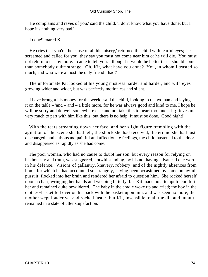'He complains and raves of you,' said the child, 'I don't know what you have done, but I hope it's nothing very bad.'

'I done!' roared Kit.

 'He cries that you're the cause of all his misery,' returned the child with tearful eyes; 'he screamed and called for you; they say you must not come near him or he will die. You must not return to us any more. I came to tell you. I thought it would be better that I should come than somebody quite strange. Oh, Kit, what have you done? You, in whom I trusted so much, and who were almost the only friend I had!'

 The unfortunate Kit looked at his young mistress harder and harder, and with eyes growing wider and wider, but was perfectly motionless and silent.

 'I have brought his money for the week,' said the child, looking to the woman and laying it on the table – 'and – and – a little more, for he was always good and kind to me. I hope he will be sorry and do well somewhere else and not take this to heart too much. It grieves me very much to part with him like this, but there is no help. It must be done. Good night!'

 With the tears streaming down her face, and her slight figure trembling with the agitation of the scene she had left, the shock she had received, the errand she had just discharged, and a thousand painful and affectionate feelings, the child hastened to the door, and disappeared as rapidly as she had come.

 The poor woman, who had no cause to doubt her son, but every reason for relying on his honesty and truth, was staggered, notwithstanding, by his not having advanced one word in his defence. Visions of gallantry, knavery, robbery; and of the nightly absences from home for which he had accounted so strangely, having been occasioned by some unlawful pursuit; flocked into her brain and rendered her afraid to question him. She rocked herself upon a chair, wringing her hands and weeping bitterly, but Kit made no attempt to comfort her and remained quite bewildered. The baby in the cradle woke up and cried; the boy in the clothes−basket fell over on his back with the basket upon him, and was seen no more; the mother wept louder yet and rocked faster; but Kit, insensible to all the din and tumult, remained in a state of utter stupefaction.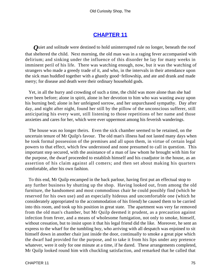# **[CHAPTER 11](#page-494-0)**

*Q*uiet and solitude were destined to hold uninterrupted rule no longer, beneath the roof that sheltered the child. Next morning, the old man was in a raging fever accompanied with delirium; and sinking under the influence of this disorder he lay for many weeks in imminent peril of his life. There was watching enough, now, but it was the watching of strangers who made a greedy trade of it, and who, in the intervals in their attendance upon the sick man huddled together with a ghastly good−fellowship, and ate and drank and made merry; for disease and death were their ordinary household gods.

 Yet, in all the hurry and crowding of such a time, the child was more alone than she had ever been before; alone in spirit, alone in her devotion to him who was wasting away upon his burning bed; alone in her unfeigned sorrow, and her unpurchased sympathy. Day after day, and night after night, found her still by the pillow of the unconscious sufferer, still anticipating his every want, still listening to those repetitions of her name and those anxieties and cares for her, which were ever uppermost among his feverish wanderings.

 The house was no longer theirs. Even the sick chamber seemed to be retained, on the uncertain tenure of Mr Quilp's favour. The old man's illness had not lasted many days when he took formal possession of the premises and all upon them, in virtue of certain legal powers to that effect, which few understood and none presumed to call in question. This important step secured, with the assistance of a man of law whom he brought with him for the purpose, the dwarf proceeded to establish himself and his coadjutor in the house, as an assertion of his claim against all comers; and then set about making his quarters comfortable, after his own fashion.

 To this end, Mr Quilp encamped in the back parlour, having first put an effectual stop to any further business by shutting up the shop. Having looked out, from among the old furniture, the handsomest and most commodious chair he could possibly find (which he reserved for his own use) and an especially hideous and uncomfortable one (which he considerately appropriated to the accommodation of his friend) he caused them to be carried into this room, and took up his position in great state. The apartment was very far removed from the old man's chamber, but Mr Quilp deemed it prudent, as a precaution against infection from fever, and a means of wholesome fumigation, not only to smoke, himself, without cessation, but to insist upon it that his legal friend did the like. Moreover, he sent an express to the wharf for the tumbling boy, who arriving with all despatch was enjoined to sit himself down in another chair just inside the door, continually to smoke a great pipe which the dwarf had provided for the purpose, and to take it from his lips under any pretence whatever, were it only for one minute at a time, if he dared. These arrangements completed, Mr Quilp looked round him with chuckling satisfaction, and remarked that he called that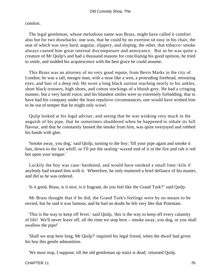comfort.

 The legal gentleman, whose melodious name was Brass, might have called it comfort also but for two drawbacks: one was, that he could by no exertion sit easy in his chair, the seat of which was very hard, angular, slippery, and sloping; the other, that tobacco−smoke always caused him great internal discomposure and annoyance. But as he was quite a creature of Mr Quilp's and had a thousand reasons for conciliating his good opinion, he tried to smile, and nodded his acquiescence with the best grace he could assume.

 This Brass was an attorney of no very good repute, from Bevis Marks in the city of London; he was a tall, meagre man, with a nose like a wen, a protruding forehead, retreating eyes, and hair of a deep red. He wore a long black surtout reaching nearly to his ankles, short black trousers, high shoes, and cotton stockings of a bluish grey. He had a cringing manner, but a very harsh voice; and his blandest smiles were so extremely forbidding, that to have had his company under the least repulsive circumstances, one would have wished him to be out of temper that he might only scowl.

 Quilp looked at his legal adviser, and seeing that he was winking very much in the anguish of his pipe, that he sometimes shuddered when he happened to inhale its full flavour, and that he constantly fanned the smoke from him, was quite overjoyed and rubbed his hands with glee.

 'Smoke away, you dog,' said Quilp, turning to the boy; 'fill your pipe again and smoke it fast, down to the last whiff, or I'll put the sealing−waxed end of it in the fire and rub it red hot upon your tongue.'

 Luckily the boy was case−hardened, and would have smoked a small lime−kiln if anybody had treated him with it. Wherefore, he only muttered a brief defiance of his master, and did as he was ordered.

'Is it good, Brass, is it nice, is it fragrant, do you feel like the Grand Turk?" said Quilp.

 Mr Brass thought that if he did, the Grand Turk's feelings were by no means to be envied, but he said it was famous, and he had no doubt he felt very like that Potentate.

 'This is the way to keep off fever,' said Quilp, 'this is the way to keep off every calamity of life! We'll never leave off, all the time we stop here – smoke away, you dog, or you shall swallow the pipe!'

 'Shall we stop here long, Mr Quilp?' inquired his legal friend, when the dwarf had given his boy this gentle admonition.

'We must stop, I suppose, till the old gentleman up stairs is dead,' returned Quilp.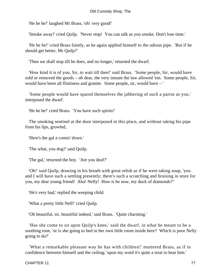'He he he!' laughed Mr Brass, 'oh! very good!'

'Smoke away!' cried Quilp. 'Never stop! You can talk as you smoke. Don't lose time.'

 'He he he!' cried Brass faintly, as he again applied himself to the odious pipe. 'But if he should get better, Mr Quilp?'

'Then we shall stop till he does, and no longer,' returned the dwarf.

 'How kind it is of you, Sir, to wait till then!' said Brass. 'Some people, Sir, would have sold or removed the goods – oh dear, the very instant the law allowed 'em. Some people, Sir, would have been all flintiness and granite. Some people, sir, would have – '

 'Some people would have spared themselves the jabbering of such a parrot as you,' interposed the dwarf.

'He he he!' cried Brass. 'You have such spirits!'

 The smoking sentinel at the door interposed in this place, and without taking his pipe from his lips, growled,

'Here's the gal a comin' down.'

'The what, you dog?' said Quilp.

'The gal,' returned the boy. 'Are you deaf?'

 'Oh!' said Quilp, drawing in his breath with great relish as if he were taking soup, 'you and I will have such a settling presently; there's such a scratching and bruising in store for you, my dear young friend! Aha! Nelly! How is he now, my duck of diamonds?"

'He's very bad,' replied the weeping child.

'What a pretty little Nell!' cried Quilp.

'Oh beautiful, sir, beautiful indeed,' said Brass. 'Quite charming.'

 'Has she come to sit upon Quilp's knee,' said the dwarf, in what he meant to be a soothing tone, 'or is she going to bed in her own little room inside here? Which is poor Nelly going to do?'

 'What a remarkable pleasant way he has with children!' muttered Brass, as if in confidence between himself and the ceiling; 'upon my word it's quite a treat to hear him.'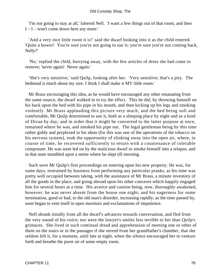'I'm not going to stay at all,' faltered Nell. 'I want a few things out of that room, and then I – I – won't come down here any more.'

 'And a very nice little room it is!' said the dwarf looking into it as the child entered. 'Quite a bower! You're sure you're not going to use it; you're sure you're not coming back, Nelly?'

 'No,' replied the child, hurrying away, with the few articles of dress she had come to remove; 'never again! Never again.'

 'She's very sensitive,' said Quilp, looking after her. 'Very sensitive; that's a pity. The bedstead is much about my size. I think I shall make it MY little room.'

 Mr Brass encouraging this idea, as he would have encouraged any other emanating from the same source, the dwarf walked in to try the effect. This he did, by throwing himself on his back upon the bed with his pipe in his mouth, and then kicking up his legs and smoking violently. Mr Brass applauding this picture very much, and the bed being soft and comfortable, Mr Quilp determined to use it, both as a sleeping place by night and as a kind of Divan by day; and in order that it might be converted to the latter purpose at once, remained where he was, and smoked his pipe out. The legal gentleman being by this time rather giddy and perplexed in his ideas (for this was one of the operations of the tobacco on his nervous system), took the opportunity of slinking away into the open air, where, in course of time, he recovered sufficiently to return with a countenance of tolerable composure. He was soon led on by the malicious dwarf to smoke himself into a relapse, and in that state stumbled upon a settee where he slept till morning.

 Such were Mr Quilp's first proceedings on entering upon his new property. He was, for some days, restrained by business from performing any particular pranks, as his time was pretty well occupied between taking, with the assistance of Mr Brass, a minute inventory of all the goods in the place, and going abroad upon his other concerns which happily engaged him for several hours at a time. His avarice and caution being, now, thoroughly awakened, however, he was never absent from the house one night; and his eagerness for some termination, good or bad, to the old man's disorder, increasing rapidly, as the time passed by, soon began to vent itself in open murmurs and exclamations of impatience.

 Nell shrank timidly from all the dwarf's advances towards conversation, and fled from the very sound of his voice; nor were the lawyer's smiles less terrible to her than Quilp's grimaces. She lived in such continual dread and apprehension of meeting one or other of them on the stairs or in the passages if she stirred from her grandfather's chamber, that she seldom left it, for a moment, until late at night, when the silence encouraged her to venture forth and breathe the purer air of some empty room.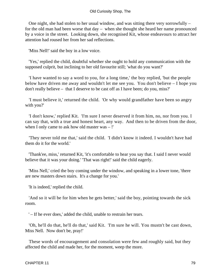One night, she had stolen to her usual window, and was sitting there very sorrowfully – for the old man had been worse that day – when she thought she heard her name pronounced by a voice in the street. Looking down, she recognised Kit, whose endeavours to attract her attention had roused her from her sad reflections.

'Miss Nell!' said the boy in a low voice.

 'Yes,' replied the child, doubtful whether she ought to hold any communication with the supposed culprit, but inclining to her old favourite still; 'what do you want?'

 'I have wanted to say a word to you, for a long time,' the boy replied, 'but the people below have driven me away and wouldn't let me see you. You don't believe – I hope you don't really believe – that I deserve to be cast off as I have been; do you, miss?'

 'I must believe it,' returned the child. 'Or why would grandfather have been so angry with you?'

 'I don't know,' replied Kit. 'I'm sure I never deserved it from him, no, nor from you. I can say that, with a true and honest heart, any way. And then to be driven from the door, when I only came to ask how old master was – !'

 'They never told me that,' said the child. 'I didn't know it indeed. I wouldn't have had them do it for the world.'

 'Thank'ee, miss,' returned Kit, 'it's comfortable to hear you say that. I said I never would believe that it was your doing.' 'That was right!' said the child eagerly.

 'Miss Nell,' cried the boy coming under the window, and speaking in a lower tone, 'there are new masters down stairs. It's a change for you.'

'It is indeed,' replied the child.

 'And so it will be for him when he gets better,' said the boy, pointing towards the sick room.

' – If he ever does,' added the child, unable to restrain her tears.

 'Oh, he'll do that, he'll do that,' said Kit. 'I'm sure he will. You mustn't be cast down, Miss Nell. Now don't be, pray!'

 These words of encouragement and consolation were few and roughly said, but they affected the child and made her, for the moment, weep the more.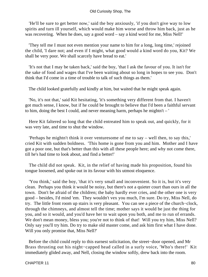'He'll be sure to get better now,' said the boy anxiously, 'if you don't give way to low spirits and turn ill yourself, which would make him worse and throw him back, just as he was recovering. When he does, say a good word – say a kind word for me, Miss Nell!'

 'They tell me I must not even mention your name to him for a long, long time,' rejoined the child, 'I dare not; and even if I might, what good would a kind word do you, Kit? We shall be very poor. We shall scarcely have bread to eat.'

 'It's not that I may be taken back,' said the boy, 'that I ask the favour of you. It isn't for the sake of food and wages that I've been waiting about so long in hopes to see you. Don't think that I'd come in a time of trouble to talk of such things as them.'

The child looked gratefully and kindly at him, but waited that he might speak again.

 'No, it's not that,' said Kit hesitating, 'it's something very different from that. I haven't got much sense, I know, but if he could be brought to believe that I'd been a faithful servant to him, doing the best I could, and never meaning harm, perhaps he mightn't – '

 Here Kit faltered so long that the child entreated him to speak out, and quickly, for it was very late, and time to shut the window.

 'Perhaps he mightn't think it over venturesome of me to say – well then, to say this,' cried Kit with sudden boldness. 'This home is gone from you and him. Mother and I have got a poor one, but that's better than this with all these people here; and why not come there, till he's had time to look about, and find a better!'

 The child did not speak. Kit, in the relief of having made his proposition, found his tongue loosened, and spoke out in its favour with his utmost eloquence.

 'You think,' said the boy, 'that it's very small and inconvenient. So it is, but it's very clean. Perhaps you think it would be noisy, but there's not a quieter court than ours in all the town. Don't be afraid of the children; the baby hardly ever cries, and the other one is very good – besides, I'd mind 'em. They wouldn't vex you much, I'm sure. Do try, Miss Nell, do try. The little front room up stairs is very pleasant. You can see a piece of the church−clock, through the chimneys, and almost tell the time; mother says it would be just the thing for you, and so it would, and you'd have her to wait upon you both, and me to run of errands. We don't mean money, bless you; you're not to think of that! Will you try him, Miss Nell? Only say you'll try him. Do try to make old master come, and ask him first what I have done. Will you only promise that, Miss Nell?'

 Before the child could reply to this earnest solicitation, the street−door opened, and Mr Brass thrusting out his night−capped head called in a surly voice, 'Who's there!' Kit immediately glided away, and Nell, closing the window softly, drew back into the room.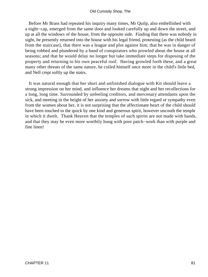### Old Curiosity Shop, The

 Before Mr Brass had repeated his inquiry many times, Mr Quilp, also embellished with a night−cap, emerged from the same door and looked carefully up and down the street, and up at all the windows of the house, from the opposite side. Finding that there was nobody in sight, he presently returned into the house with his legal friend, protesting (as the child heard from the staircase), that there was a league and plot against him; that he was in danger of being robbed and plundered by a band of conspirators who prowled about the house at all seasons; and that he would delay no longer but take immediate steps for disposing of the property and returning to his own peaceful roof. Having growled forth these, and a great many other threats of the same nature, he coiled himself once more in the child's little bed, and Nell crept softly up the stairs.

 It was natural enough that her short and unfinished dialogue with Kit should leave a strong impression on her mind, and influence her dreams that night and her recollections for a long, long time. Surrounded by unfeeling creditors, and mercenary attendants upon the sick, and meeting in the height of her anxiety and sorrow with little regard or sympathy even from the women about her, it is not surprising that the affectionate heart of the child should have been touched to the quick by one kind and generous spirit, however uncouth the temple in which it dwelt. Thank Heaven that the temples of such spirits are not made with hands, and that they may be even more worthily hung with poor patch−work than with purple and fine linen!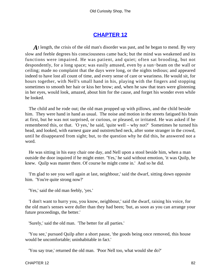# **[CHAPTER 12](#page-494-0)**

A t length, the crisis of the old man's disorder was past, and he began to mend. By very slow and feeble degrees his consciousness came back; but the mind was weakened and its functions were impaired. He was patient, and quiet; often sat brooding, but not despondently, for a long space; was easily amused, even by a sun−beam on the wall or ceiling; made no complaint that the days were long, or the nights tedious; and appeared indeed to have lost all count of time, and every sense of care or weariness. He would sit, for hours together, with Nell's small hand in his, playing with the fingers and stopping sometimes to smooth her hair or kiss her brow; and, when he saw that tears were glistening in her eyes, would look, amazed, about him for the cause, and forget his wonder even while he looked.

 The child and he rode out; the old man propped up with pillows, and the child beside him. They were hand in hand as usual. The noise and motion in the streets fatigued his brain at first, but he was not surprised, or curious, or pleased, or irritated. He was asked if he remembered this, or that. 'O yes,' he said, 'quite well – why not?' Sometimes he turned his head, and looked, with earnest gaze and outstretched neck, after some stranger in the crowd, until he disappeared from sight; but, to the question why he did this, he answered not a word.

 He was sitting in his easy chair one day, and Nell upon a stool beside him, when a man outside the door inquired if he might enter. 'Yes,' he said without emotion, 'it was Quilp, he knew. Quilp was master there. Of course he might come in.' And so he did.

 'I'm glad to see you well again at last, neighbour,' said the dwarf, sitting down opposite him. 'You're quite strong now?'

'Yes,' said the old man feebly, 'yes.'

 'I don't want to hurry you, you know, neighbour,' said the dwarf, raising his voice, for the old man's senses were duller than they had been; 'but, as soon as you can arrange your future proceedings, the better.'

'Surely,' said the old man. 'The better for all parties.'

 'You see,' pursued Quilp after a short pause, 'the goods being once removed, this house would be uncomfortable; uninhabitable in fact.'

'You say true,' returned the old man. 'Poor Nell too, what would she do?'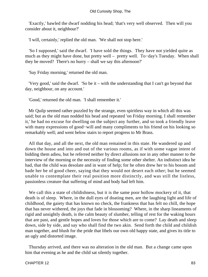'Exactly,' bawled the dwarf nodding his head; 'that's very well observed. Then will you consider about it, neighbour?'

'I will, certainly,' replied the old man. 'We shall not stop here.'

 'So I supposed,' said the dwarf. 'I have sold the things. They have not yielded quite as much as they might have done, but pretty well – pretty well. To−day's Tuesday. When shall they be moved? There's no hurry – shall we say this afternoon?'

'Say Friday morning,' returned the old man.

 'Very good,' said the dwarf. 'So be it – with the understanding that I can't go beyond that day, neighbour, on any account.'

'Good,' returned the old man. 'I shall remember it.'

 Mr Quilp seemed rather puzzled by the strange, even spiritless way in which all this was said; but as the old man nodded his head and repeated 'on Friday morning. I shall remember it,' he had no excuse for dwelling on the subject any further, and so took a friendly leave with many expressions of good−will and many compliments to his friend on his looking so remarkably well; and went below stairs to report progress to Mr Brass.

 All that day, and all the next, the old man remained in this state. He wandered up and down the house and into and out of the various rooms, as if with some vague intent of bidding them adieu, but he referred neither by direct allusions nor in any other manner to the interview of the morning or the necessity of finding some other shelter. An indistinct idea he had, that the child was desolate and in want of help; for he often drew her to his bosom and bade her be of good cheer, saying that they would not desert each other; but he seemed unable to contemplate their real position more distinctly, and was still the listless, passionless creature that suffering of mind and body had left him.

 We call this a state of childishness, but it is the same poor hollow mockery of it, that death is of sleep. Where, in the dull eyes of doating men, are the laughing light and life of childhood, the gaiety that has known no check, the frankness that has felt no chill, the hope that has never withered, the joys that fade in blossoming? Where, in the sharp lineaments of rigid and unsightly death, is the calm beauty of slumber, telling of rest for the waking hours that are past, and gentle hopes and loves for those which are to come? Lay death and sleep down, side by side, and say who shall find the two akin. Send forth the child and childish man together, and blush for the pride that libels our own old happy state, and gives its title to an ugly and distorted image.

 Thursday arrived, and there was no alteration in the old man. But a change came upon him that evening as he and the child sat silently together.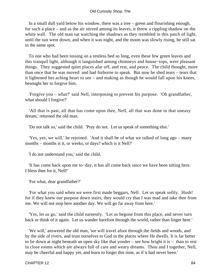In a small dull yard below his window, there was a tree – green and flourishing enough, for such a place – and as the air stirred among its leaves, it threw a rippling shadow on the white wall. The old man sat watching the shadows as they trembled in this patch of light, until the sun went down; and when it was night, and the moon was slowly rising, he still sat in the same spot.

 To one who had been tossing on a restless bed so long, even these few green leaves and this tranquil light, although it languished among chimneys and house−tops, were pleasant things. They suggested quiet places afar off, and rest, and peace. The child thought, more than once that he was moved: and had forborne to speak. But now he shed tears – tears that it lightened her aching heart to see – and making as though he would fall upon his knees, besought her to forgive him.

 'Forgive you – what?' said Nell, interposing to prevent his purpose. 'Oh grandfather, what should I forgive?'

 'All that is past, all that has come upon thee, Nell, all that was done in that uneasy dream,' returned the old man.

'Do not talk so,' said the child. 'Pray do not. Let us speak of something else.'

 'Yes, yes, we will,' he rejoined. 'And it shall be of what we talked of long ago – many months – months is it, or weeks, or days? which is it Nell?'

'I do not understand you,' said the child.

 'It has come back upon me to−day, it has all come back since we have been sitting here. I bless thee for it, Nell!'

'For what, dear grandfather?'

 'For what you said when we were first made beggars, Nell. Let us speak softly. Hush! for if they knew our purpose down stairs, they would cry that I was mad and take thee from me. We will not stop here another day. We will go far away from here.'

 'Yes, let us go,' said the child earnestly. 'Let us begone from this place, and never turn back or think of it again. Let us wander barefoot through the world, rather than linger here.'

 'We will,' answered the old man, 'we will travel afoot through the fields and woods, and by the side of rivers, and trust ourselves to God in the places where He dwells. It is far better to lie down at night beneath an open sky like that yonder – see how bright it is – than to rest in close rooms which are always full of care and weary dreams. Thou and I together, Nell, may be cheerful and happy yet, and learn to forget this time, as if it had never been.'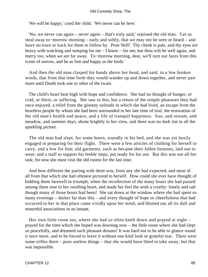#### Old Curiosity Shop, The

'We will be happy,' cried the child. 'We never can be here.'

 'No, we never can again – never again – that's truly said,' rejoined the old man. 'Let us steal away to−morrow morning – early and softly, that we may not be seen or heard – and leave no trace or track for them to follow by. Poor Nell! Thy cheek is pale, and thy eyes are heavy with watching and weeping for me – I know – for me; but thou wilt be well again, and merry too, when we are far away. To−morrow morning, dear, we'll turn our faces from this scene of sorrow, and be as free and happy as the birds.'

 And then the old man clasped his hands above her head, and said, in a few broken words, that from that time forth they would wander up and down together, and never part more until Death took one or other of the twain.

 The child's heart beat high with hope and confidence. She had no thought of hunger, or cold, or thirst, or suffering. She saw in this, but a return of the simple pleasures they had once enjoyed, a relief from the gloomy solitude in which she had lived, an escape from the heartless people by whom she had been surrounded in her late time of trial, the restoration of the old man's health and peace, and a life of tranquil happiness. Sun, and stream, and meadow, and summer days, shone brightly in her view, and there was no dark tint in all the sparkling picture.

 The old man had slept, for some hours, soundly in his bed, and she was yet busily engaged in preparing for their flight. There were a few articles of clothing for herself to carry, and a few for him; old garments, such as became their fallen fortunes, laid out to wear; and a staff to support his feeble steps, put ready for his use. But this was not all her task; for now she must visit the old rooms for the last time.

 And how different the parting with them was, from any she had expected, and most of all from that which she had oftenest pictured to herself. How could she ever have thought of bidding them farewell in triumph, when the recollection of the many hours she had passed among them rose to her swelling heart, and made her feel the wish a cruelty: lonely and sad though many of those hours had been! She sat down at the window where she had spent so many evenings – darker far than this – and every thought of hope or cheerfulness that had occurred to her in that place came vividly upon her mind, and blotted out all its dull and mournful associations in an instant.

 Her own little room too, where she had so often knelt down and prayed at night – prayed for the time which she hoped was dawning now – the little room where she had slept so peacefully, and dreamed such pleasant dreams! It was hard not to be able to glance round it once more, and to be forced to leave it without one kind look or grateful tear. There were some trifles there – poor useless things – that she would have liked to take away; but that was impossible.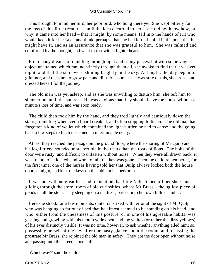This brought to mind her bird, her poor bird, who hung there yet. She wept bitterly for the loss of this little creature – until the idea occurred to her – she did not know how, or why, it came into her head – that it might, by some means, fall into the hands of Kit who would keep it for her sake, and think, perhaps, that she had left it behind in the hope that he might have it, and as an assurance that she was grateful to him. She was calmed and comforted by the thought, and went to rest with a lighter heart.

 From many dreams of rambling through light and sunny places, but with some vague object unattained which ran indistinctly through them all, she awoke to find that it was yet night, and that the stars were shining brightly in the sky. At length, the day began to glimmer, and the stars to grow pale and dim. As soon as she was sure of this, she arose, and dressed herself for the journey.

 The old man was yet asleep, and as she was unwilling to disturb him, she left him to slumber on, until the sun rose. He was anxious that they should leave the house without a minute's loss of time, and was soon ready.

 The child then took him by the hand, and they trod lightly and cautiously down the stairs, trembling whenever a board creaked, and often stopping to listen. The old man had forgotten a kind of wallet which contained the light burden he had to carry; and the going back a few steps to fetch it seemed an interminable delay.

 At last they reached the passage on the ground floor, where the snoring of Mr Quilp and his legal friend sounded more terrible in their ears than the roars of lions. The bolts of the door were rusty, and difficult to unfasten without noise. When they were all drawn back, it was found to be locked, and worst of all, the key was gone. Then the child remembered, for the first time, one of the nurses having told her that Quilp always locked both the house− doors at night, and kept the keys on the table in his bedroom.

 It was not without great fear and trepidation that little Nell slipped off her shoes and gliding through the store−room of old curiosities, where Mr Brass – the ugliest piece of goods in all the stock – lay sleeping on a mattress, passed into her own little chamber.

 Here she stood, for a few moments, quite transfixed with terror at the sight of Mr Quilp, who was hanging so far out of bed that he almost seemed to be standing on his head, and who, either from the uneasiness of this posture, or in one of his agreeable habits, was gasping and growling with his mouth wide open, and the whites (or rather the dirty yellows) of his eyes distinctly visible. It was no time, however, to ask whether anything ailed him; so, possessing herself of the key after one hasty glance about the room, and repassing the prostrate Mr Brass, she rejoined the old man in safety. They got the door open without noise, and passing into the street, stood still.

'Which way?' said the child.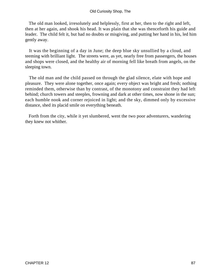### Old Curiosity Shop, The

 The old man looked, irresolutely and helplessly, first at her, then to the right and left, then at her again, and shook his head. It was plain that she was thenceforth his guide and leader. The child felt it, but had no doubts or misgiving, and putting her hand in his, led him gently away.

 It was the beginning of a day in June; the deep blue sky unsullied by a cloud, and teeming with brilliant light. The streets were, as yet, nearly free from passengers, the houses and shops were closed, and the healthy air of morning fell like breath from angels, on the sleeping town.

 The old man and the child passed on through the glad silence, elate with hope and pleasure. They were alone together, once again; every object was bright and fresh; nothing reminded them, otherwise than by contrast, of the monotony and constraint they had left behind; church towers and steeples, frowning and dark at other times, now shone in the sun; each humble nook and corner rejoiced in light; and the sky, dimmed only by excessive distance, shed its placid smile on everything beneath.

 Forth from the city, while it yet slumbered, went the two poor adventurers, wandering they knew not whither.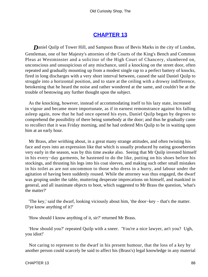# **[CHAPTER 13](#page-494-0)**

*Daniel Quilp of Tower Hill, and Sampson Brass of Bevis Marks in the city of London,* Gentleman, one of her Majesty's attornies of the Courts of the King's Bench and Common Pleas at Westminster and a solicitor of the High Court of Chancery, slumbered on, unconscious and unsuspicious of any mischance, until a knocking on the street door, often repeated and gradually mounting up from a modest single rap to a perfect battery of knocks, fired in long discharges with a very short interval between, caused the said Daniel Quilp to struggle into a horizontal position, and to stare at the ceiling with a drowsy indifference, betokening that he heard the noise and rather wondered at the same, and couldn't be at the trouble of bestowing any further thought upon the subject.

 As the knocking, however, instead of accommodating itself to his lazy state, increased in vigour and became more importunate, as if in earnest remonstrance against his falling asleep again, now that he had once opened his eyes, Daniel Quilp began by degrees to comprehend the possibility of there being somebody at the door; and thus he gradually came to recollect that it was Friday morning, and he had ordered Mrs Quilp to be in waiting upon him at an early hour.

 Mr Brass, after writhing about, in a great many strange attitudes, and often twisting his face and eyes into an expression like that which is usually produced by eating gooseberries very early in the season, was by this time awake also. Seeing that Mr Quilp invested himself in his every−day garments, he hastened to do the like, putting on his shoes before his stockings, and thrusting his legs into his coat sleeves, and making such other small mistakes in his toilet as are not uncommon to those who dress in a hurry, and labour under the agitation of having been suddenly roused. While the attorney was thus engaged, the dwarf was groping under the table, muttering desperate imprecations on himself, and mankind in general, and all inanimate objects to boot, which suggested to Mr Brass the question, 'what's the matter?'

 'The key,' said the dwarf, looking viciously about him, 'the door−key – that's the matter. D'ye know anything of it?'

'How should I know anything of it, sir?' returned Mr Brass.

 'How should you?' repeated Quilp with a sneer. 'You're a nice lawyer, an't you? Ugh, you idiot!'

 Not caring to represent to the dwarf in his present humour, that the loss of a key by another person could scarcely be said to affect his (Brass's) legal knowledge in any material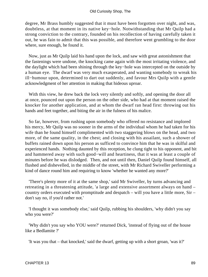degree, Mr Brass humbly suggested that it must have been forgotten over night, and was, doubtless, at that moment in its native key−hole. Notwithstanding that Mr Quilp had a strong conviction to the contrary, founded on his recollection of having carefully taken it out, he was fain to admit that this was possible, and therefore went grumbling to the door where, sure enough, he found it.

 Now, just as Mr Quilp laid his hand upon the lock, and saw with great astonishment that the fastenings were undone, the knocking came again with the most irritating violence, and the daylight which had been shining through the key−hole was intercepted on the outside by a human eye. The dwarf was very much exasperated, and wanting somebody to wreak his ill−humour upon, determined to dart out suddenly, and favour Mrs Quilp with a gentle acknowledgment of her attention in making that hideous uproar.

With this view, he drew back the lock very silently and softly, and opening the door all at once, pounced out upon the person on the other side, who had at that moment raised the knocker for another application, and at whom the dwarf ran head first: throwing out his hands and feet together, and biting the air in the fulness of his malice.

 So far, however, from rushing upon somebody who offered no resistance and implored his mercy, Mr Quilp was no sooner in the arms of the individual whom he had taken for his wife than he found himself complimented with two staggering blows on the head, and two more, of the same quality, in the chest; and closing with his assailant, such a shower of buffets rained down upon his person as sufficed to convince him that he was in skilful and experienced hands. Nothing daunted by this reception, he clung tight to his opponent, and bit and hammered away with such good−will and heartiness, that it was at least a couple of minutes before he was dislodged. Then, and not until then, Daniel Quilp found himself, all flushed and dishevelled, in the middle of the street, with Mr Richard Swiveller performing a kind of dance round him and requiring to know 'whether he wanted any more?'

 'There's plenty more of it at the same shop,' said Mr Swiveller, by turns advancing and retreating in a threatening attitude, 'a large and extensive assortment always on hand – country orders executed with promptitude and despatch – will you have a little more, Sir – don't say no, if you'd rather not.'

 'I thought it was somebody else,' said Quilp, rubbing his shoulders, 'why didn't you say who you were?'

 'Why didn't you say who YOU were?' returned Dick, 'instead of flying out of the house like a Bedlamite ?'

'It was you that – that knocked,' said the dwarf, getting up with a short groan, 'was it?'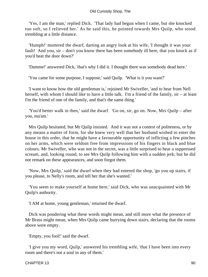'Yes, I am the man,' replied Dick. 'That lady had begun when I came, but she knocked too soft, so I relieved her.' As he said this, he pointed towards Mrs Quilp, who stood trembling at a little distance.

 'Humph!' muttered the dwarf, darting an angry look at his wife, 'I thought it was your fault! And you, sir – don't you know there has been somebody ill here, that you knock as if you'd beat the door down?'

'Damme!' answered Dick, 'that's why I did it. I thought there was somebody dead here.'

'You came for some purpose, I suppose,' said Quilp. 'What is it you want?'

 'I want to know how the old gentleman is,' rejoined Mr Swiveller, 'and to hear from Nell herself, with whom I should like to have a little talk. I'm a friend of the family, sir – at least I'm the friend of one of the family, and that's the same thing.'

 'You'd better walk in then,' said the dwarf. 'Go on, sir, go on. Now, Mrs Quilp – after you, ma'am.'

 Mrs Quilp hesitated, but Mr Quilp insisted. And it was not a contest of politeness, or by any means a matter of form, for she knew very well that her husband wished to enter the house in this order, that he might have a favourable opportunity of inflicting a few pinches on her arms, which were seldom free from impressions of his fingers in black and blue colours. Mr Swiveller, who was not in the secret, was a little surprised to hear a suppressed scream, and, looking round, to see Mrs Quilp following him with a sudden jerk; but he did not remark on these appearances, and soon forgot them.

 'Now, Mrs Quilp,' said the dwarf when they had entered the shop, 'go you up stairs, if you please, to Nelly's room, and tell her that she's wanted.'

 'You seem to make yourself at home here,' said Dick, who was unacquainted with Mr Quilp's authority.

'I AM at home, young gentleman,' returned the dwarf.

 Dick was pondering what these words might mean, and still more what the presence of Mr Brass might mean, when Mrs Quilp came hurrying down stairs, declaring that the rooms above were empty.

'Empty, you fool!' said the dwarf.

 'I give you my word, Quilp,' answered his trembling wife, 'that I have been into every room and there's not a soul in any of them.'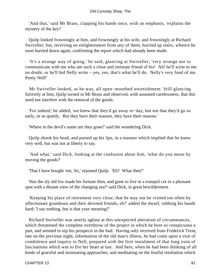#### Old Curiosity Shop, The

 'And that,' said Mr Brass, clapping his hands once, with an emphasis, 'explains the mystery of the key!'

 Quilp looked frowningly at him, and frowningly at his wife, and frowningly at Richard Swiveller; but, receiving no enlightenment from any of them, hurried up stairs, whence he soon hurried down again, confirming the report which had already been made.

 'It's a strange way of going,' he said, glancing at Swiveller, 'very strange not to communicate with me who am such a close and intimate friend of his! Ah! he'll write to me no doubt, or he'll bid Nelly write – yes, yes, that's what he'll do. Nelly's very fond of me. Pretty Nell!'

 Mr Swiveller looked, as he was, all open−mouthed astonishment. Still glancing furtively at him, Quilp turned to Mr Brass and observed, with assumed carelessness, that this need not interfere with the removal of the goods.

 'For indeed,' he added, 'we knew that they'd go away to−day, but not that they'd go so early, or so quietly. But they have their reasons, they have their reasons.'

'Where in the devil's name are they gone?' said the wondering Dick.

 Quilp shook his head, and pursed up his lips, in a manner which implied that he knew very well, but was not at liberty to say.

 'And what,' said Dick, looking at the confusion about him, 'what do you mean by moving the goods?'

'That I have bought 'em, Sir,' rejoined Quilp. 'Eh? What then?'

 'Has the sly old fox made his fortune then, and gone to live in a tranquil cot in a pleasant spot with a distant view of the changing sea?' said Dick, in great bewilderment.

 'Keeping his place of retirement very close, that he may not be visited too often by affectionate grandsons and their devoted friends, eh?' added the dwarf, rubbing his hands hard; 'I say nothing, but is that your meaning?'

 Richard Swiveller was utterly aghast at this unexpected alteration of circumstances, which threatened the complete overthrow of the project in which he bore so conspicuous a part, and seemed to nip his prospects in the bud. Having only received from Frederick Trent, late on the previous night, information of the old man's illness, he had come upon a visit of condolence and inquiry to Nell, prepared with the first instalment of that long train of fascinations which was to fire her heart at last. And here, when he had been thinking of all kinds of graceful and insinuating approaches, and meditating on the fearful retaliation which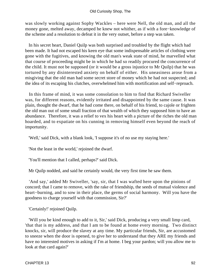was slowly working against Sophy Wackles – here were Nell, the old man, and all the money gone, melted away, decamped he knew not whither, as if with a fore−knowledge of the scheme and a resolution to defeat it in the very outset, before a step was taken.

 In his secret heart, Daniel Quilp was both surprised and troubled by the flight which had been made. It had not escaped his keen eye that some indispensable articles of clothing were gone with the fugitives, and knowing the old man's weak state of mind, he marvelled what that course of proceeding might be in which he had so readily procured the concurrence of the child. It must not be supposed (or it would be a gross injustice to Mr Quilp) that he was tortured by any disinterested anxiety on behalf of either. His uneasiness arose from a misgiving that the old man had some secret store of money which he had not suspected; and the idea of its escaping his clutches, overwhelmed him with mortification and self−reproach.

 In this frame of mind, it was some consolation to him to find that Richard Swiveller was, for different reasons, evidently irritated and disappointed by the same cause. It was plain, thought the dwarf, that he had come there, on behalf of his friend, to cajole or frighten the old man out of some small fraction of that wealth of which they supposed him to have an abundance. Therefore, it was a relief to vex his heart with a picture of the riches the old man hoarded, and to expatiate on his cunning in removing himself even beyond the reach of importunity.

'Well,' said Dick, with a blank look, 'I suppose it's of no use my staying here.'

'Not the least in the world,' rejoined the dwarf.

'You'll mention that I called, perhaps?' said Dick.

Mr Quilp nodded, and said he certainly would, the very first time he saw them.

 'And say,' added Mr Swiveller, 'say, sir, that I was wafted here upon the pinions of concord; that I came to remove, with the rake of friendship, the seeds of mutual violence and heart−burning, and to sow in their place, the germs of social harmony. Will you have the goodness to charge yourself with that commission, Sir?'

'Certainly!' rejoined Quilp.

 'Will you be kind enough to add to it, Sir,' said Dick, producing a very small limp card, 'that that is my address, and that I am to be found at home every morning. Two distinct knocks, sir, will produce the slavey at any time. My particular friends, Sir, are accustomed to sneeze when the door is opened, to give her to understand that they ARE my friends and have no interested motives in asking if I'm at home. I beg your pardon; will you allow me to look at that card again?'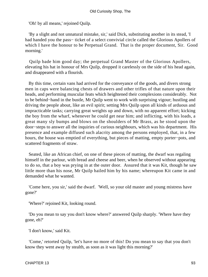'Oh! by all means,' rejoined Quilp.

 'By a slight and not unnatural mistake, sir,' said Dick, substituting another in its stead, 'I had handed you the pass− ticket of a select convivial circle called the Glorious Apollers of which I have the honour to be Perpetual Grand. That is the proper document, Sir. Good morning.'

 Quilp bade him good day; the perpetual Grand Master of the Glorious Apollers, elevating his hat in honour of Mrs Quilp, dropped it carelessly on the side of his head again, and disappeared with a flourish.

 By this time, certain vans had arrived for the conveyance of the goods, and divers strong men in caps were balancing chests of drawers and other trifles of that nature upon their heads, and performing muscular feats which heightened their complexions considerably. Not to be behind−hand in the bustle, Mr Quilp went to work with surprising vigour; hustling and driving the people about, like an evil spirit; setting Mrs Quilp upon all kinds of arduous and impracticable tasks; carrying great weights up and down, with no apparent effort; kicking the boy from the wharf, whenever he could get near him; and inflicting, with his loads, a great many sly bumps and blows on the shoulders of Mr Brass, as he stood upon the door−steps to answer all the inquiries of curious neighbours, which was his department. His presence and example diffused such alacrity among the persons employed, that, in a few hours, the house was emptied of everything, but pieces of matting, empty porter−pots, and scattered fragments of straw.

 Seated, like an African chief, on one of these pieces of matting, the dwarf was regaling himself in the parlour, with bread and cheese and beer, when he observed without appearing to do so, that a boy was prying in at the outer door. Assured that it was Kit, though he saw little more than his nose, Mr Quilp hailed him by his name; whereupon Kit came in and demanded what he wanted.

 'Come here, you sir,' said the dwarf. 'Well, so your old master and young mistress have gone?'

'Where?' rejoined Kit, looking round.

 'Do you mean to say you don't know where?' answered Quilp sharply. 'Where have they gone, eh?'

'I don't know,' said Kit.

 'Come,' retorted Quilp, 'let's have no more of this! Do you mean to say that you don't know they went away by stealth, as soon as it was light this morning?'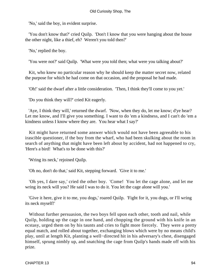'No,' said the boy, in evident surprise.

 'You don't know that?' cried Quilp. 'Don't I know that you were hanging about the house the other night, like a thief, eh? Weren't you told then?'

'No,' replied the boy.

'You were not?' said Quilp. 'What were you told then; what were you talking about?'

 Kit, who knew no particular reason why he should keep the matter secret now, related the purpose for which he had come on that occasion, and the proposal he had made.

'Oh!' said the dwarf after a little consideration. 'Then, I think they'll come to you yet.'

'Do you think they will?' cried Kit eagerly.

 'Aye, I think they will,' returned the dwarf. 'Now, when they do, let me know; d'ye hear? Let me know, and I'll give you something. I want to do 'em a kindness, and I can't do 'em a kindness unless I know where they are. You hear what I say?'

 Kit might have returned some answer which would not have been agreeable to his irascible questioner, if the boy from the wharf, who had been skulking about the room in search of anything that might have been left about by accident, had not happened to cry, 'Here's a bird! What's to be done with this?'

'Wring its neck,' rejoined Quilp.

'Oh no, don't do that,' said Kit, stepping forward. 'Give it to me.'

 'Oh yes, I dare say,' cried the other boy. 'Come! You let the cage alone, and let me wring its neck will you? He said I was to do it. You let the cage alone will you.'

 'Give it here, give it to me, you dogs,' roared Quilp. 'Fight for it, you dogs, or I'll wring its neck myself!'

 Without further persuasion, the two boys fell upon each other, tooth and nail, while Quilp, holding up the cage in one hand, and chopping the ground with his knife in an ecstasy, urged them on by his taunts and cries to fight more fiercely. They were a pretty equal match, and rolled about together, exchanging blows which were by no means child's play, until at length Kit, planting a well−directed hit in his adversary's chest, disengaged himself, sprung nimbly up, and snatching the cage from Quilp's hands made off with his prize.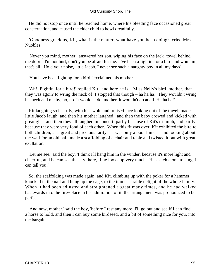### Old Curiosity Shop, The

 He did not stop once until he reached home, where his bleeding face occasioned great consternation, and caused the elder child to howl dreadfully.

 'Goodness gracious, Kit, what is the matter, what have you been doing?' cried Mrs Nubbles.

 'Never you mind, mother,' answered her son, wiping his face on the jack−towel behind the door. 'I'm not hurt, don't you be afraid for me. I've been a fightin' for a bird and won him, that's all. Hold your noise, little Jacob. I never see such a naughty boy in all my days!'

'You have been fighting for a bird!' exclaimed his mother.

 'Ah! Fightin' for a bird!' replied Kit, 'and here he is – Miss Nelly's bird, mother, that they was agoin' to wring the neck of! I stopped that though – ha ha ha! They wouldn't wring his neck and me by, no, no. It wouldn't do, mother, it wouldn't do at all. Ha ha ha!'

 Kit laughing so heartily, with his swoln and bruised face looking out of the towel, made little Jacob laugh, and then his mother laughed. and then the baby crowed and kicked with great glee, and then they all laughed in concert: partly because of Kit's triumph, and partly because they were very fond of each other. When this fit was over, Kit exhibited the bird to both children, as a great and precious rarity – it was only a poor linnet – and looking about the wall for an old nail, made a scaffolding of a chair and table and twisted it out with great exultation.

 'Let me see,' said the boy, 'I think I'll hang him in the winder, because it's more light and cheerful, and he can see the sky there, if he looks up very much. He's such a one to sing, I can tell you!'

 So, the scaffolding was made again, and Kit, climbing up with the poker for a hammer, knocked in the nail and hung up the cage, to the immeasurable delight of the whole family. When it had been adjusted and straightened a great many times, and he had walked backwards into the fire−place in his admiration of it, the arrangement was pronounced to be perfect.

 'And now, mother,' said the boy, 'before I rest any more, I'll go out and see if I can find a horse to hold, and then I can buy some birdseed, and a bit of something nice for you, into the bargain.'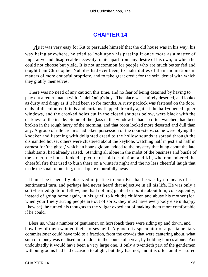## **[CHAPTER 14](#page-494-0)**

As it was very easy for Kit to persuade himself that the old house was in his way, his way being anywhere, he tried to look upon his passing it once more as a matter of imperative and disagreeable necessity, quite apart from any desire of his own, to which he could not choose but yield. It is not uncommon for people who are much better fed and taught than Christopher Nubbles had ever been, to make duties of their inclinations in matters of more doubtful propriety, and to take great credit for the self−denial with which they gratify themselves.

 There was no need of any caution this time, and no fear of being detained by having to play out a return match with Daniel Quilp's boy. The place was entirely deserted, and looked as dusty and dingy as if it had been so for months. A rusty padlock was fastened on the door, ends of discoloured blinds and curtains flapped drearily against the half−opened upper windows, and the crooked holes cut in the closed shutters below, were black with the darkness of the inside. Some of the glass in the window he had so often watched, had been broken in the rough hurry of the morning, and that room looked more deserted and dull than any. A group of idle urchins had taken possession of the door−steps; some were plying the knocker and listening with delighted dread to the hollow sounds it spread through the dismantled house; others were clustered about the keyhole, watching half in jest and half in earnest for 'the ghost,' which an hour's gloom, added to the mystery that hung about the late inhabitants, had already raised. Standing all alone in the midst of the business and bustle of the street, the house looked a picture of cold desolation; and Kit, who remembered the cheerful fire that used to burn there on a winter's night and the no less cheerful laugh that made the small room ring, turned quite mournfully away.

 It must be especially observed in justice to poor Kit that he was by no means of a sentimental turn, and perhaps had never heard that adjective in all his life. He was only a soft−hearted grateful fellow, and had nothing genteel or polite about him; consequently, instead of going home again, in his grief, to kick the children and abuse his mother (for, when your finely strung people are out of sorts, they must have everybody else unhappy likewise), he turned his thoughts to the vulgar expedient of making them more comfortable if he could.

 Bless us, what a number of gentlemen on horseback there were riding up and down, and how few of them wanted their horses held! A good city speculator or a parliamentary commissioner could have told to a fraction, from the crowds that were cantering about, what sum of money was realised in London, in the course of a year, by holding horses alone. And undoubtedly it would have been a very large one, if only a twentieth part of the gentlemen without grooms had had occasion to alight; but they had not; and it is often an ill−natured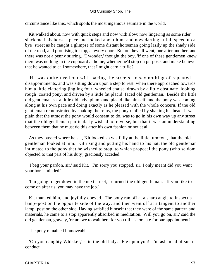#### Old Curiosity Shop, The

circumstance like this, which spoils the most ingenious estimate in the world.

 Kit walked about, now with quick steps and now with slow; now lingering as some rider slackened his horse's pace and looked about him; and now darting at full speed up a bye−street as he caught a glimpse of some distant horseman going lazily up the shady side of the road, and promising to stop, at every door. But on they all went, one after another, and there was not a penny stirring. 'I wonder,' thought the boy, 'if one of these gentlemen knew there was nothing in the cupboard at home, whether he'd stop on purpose, and make believe that he wanted to call somewhere, that I might earn a trifle?'

 He was quite tired out with pacing the streets, to say nothing of repeated disappointments, and was sitting down upon a step to rest, when there approached towards him a little clattering jingling four−wheeled chaise' drawn by a little obstinate−looking rough−coated pony, and driven by a little fat placid−faced old gentleman. Beside the little old gentleman sat a little old lady, plump and placid like himself, and the pony was coming along at his own pace and doing exactly as he pleased with the whole concern. If the old gentleman remonstrated by shaking the reins, the pony replied by shaking his head. It was plain that the utmost the pony would consent to do, was to go in his own way up any street that the old gentleman particularly wished to traverse, but that it was an understanding between them that he must do this after his own fashion or not at all.

 As they passed where he sat, Kit looked so wistfully at the little turn−out, that the old gentleman looked at him. Kit rising and putting his hand to his hat, the old gentleman intimated to the pony that he wished to stop, to which proposal the pony (who seldom objected to that part of his duty) graciously acceded.

 'I beg your pardon, sir,' said Kit. 'I'm sorry you stopped, sir. I only meant did you want your horse minded.'

 'I'm going to get down in the next street,' returned the old gentleman. 'If you like to come on after us, you may have the job.'

 Kit thanked him, and joyfully obeyed. The pony ran off at a sharp angle to inspect a lamp−post on the opposite side of the way, and then went off at a tangent to another lamp−post on the other side. Having satisfied himself that they were of the same pattern and materials, he came to a stop apparently absorbed in meditation. 'Will you go on, sir,' said the old gentleman, gravely, 'or are we to wait here for you till it's too late for our appointment?'

The pony remained immoveable.

 'Oh you naughty Whisker,' said the old lady. 'Fie upon you! I'm ashamed of such conduct.'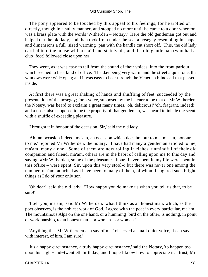The pony appeared to be touched by this appeal to his feelings, for he trotted on directly, though in a sulky manner, and stopped no more until he came to a door whereon was a brass plate with the words 'Witherden – Notary.' Here the old gentleman got out and helped out the old lady, and then took from under the seat a nosegay resembling in shape and dimensions a full−sized warming−pan with the handle cut short off. This, the old lady carried into the house with a staid and stately air, and the old gentleman (who had a club−foot) followed close upon her.

 They went, as it was easy to tell from the sound of their voices, into the front parlour, which seemed to be a kind of office. The day being very warm and the street a quiet one, the windows were wide open; and it was easy to hear through the Venetian blinds all that passed inside.

 At first there was a great shaking of hands and shuffling of feet, succeeded by the presentation of the nosegay; for a voice, supposed by the listener to be that of Mr Witherden the Notary, was heard to exclaim a great many times, 'oh, delicious!' 'oh, fragrant, indeed!' and a nose, also supposed to be the property of that gentleman, was heard to inhale the scent with a snuffle of exceeding pleasure.

'I brought it in honour of the occasion, Sir,' said the old lady.

 'Ah! an occasion indeed, ma'am, an occasion which does honour to me, ma'am, honour to me,' rejoined Mr Witherden, the notary. 'I have had many a gentleman articled to me, ma'am, many a one. Some of them are now rolling in riches, unmindful of their old companion and friend, ma'am, others are in the habit of calling upon me to this day and saying, «Mr Witherden, some of the pleasantest hours I ever spent in my life were spent in this office – were spent, Sir, upon this very stool»; but there was never one among the number, ma'am, attached as I have been to many of them, of whom I augured such bright things as I do of your only son.'

 'Oh dear!' said the old lady. 'How happy you do make us when you tell us that, to be sure!'

 'I tell you, ma'am,' said Mr Witherden, 'what I think as an honest man, which, as the poet observes, is the noblest work of God. I agree with the poet in every particular, ma'am. The mountainous Alps on the one hand, or a humming−bird on the other, is nothing, in point of workmanship, to an honest man – or woman – or woman.'

 'Anything that Mr Witherden can say of me,' observed a small quiet voice, 'I can say, with interest, of him, I am sure.'

 'It's a happy circumstance, a truly happy circumstance,' said the Notary, 'to happen too upon his eight−and−twentieth birthday, and I hope I know how to appreciate it. I trust, Mr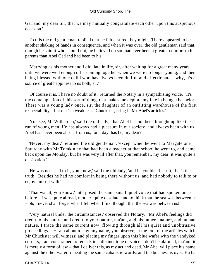Garland, my dear Sir, that we may mutually congratulate each other upon this auspicious occasion.'

 To this the old gentleman replied that he felt assured they might. There appeared to be another shaking of hands in consequence, and when it was over, the old gentleman said that, though he said it who should not, he believed no son had ever been a greater comfort to his parents than Abel Garland had been to his.

 'Marrying as his mother and I did, late in life, sir, after waiting for a great many years, until we were well enough off – coming together when we were no longer young, and then being blessed with one child who has always been dutiful and affectionate – why, it's a source of great happiness to us both, sir.'

 'Of course it is, I have no doubt of it,' returned the Notary in a sympathising voice. 'It's the contemplation of this sort of thing, that makes me deplore my fate in being a bachelor. There was a young lady once, sir, the daughter of an outfitting warehouse of the first respectability – but that's a weakness. Chuckster, bring in Mr Abel's articles.'

 'You see, Mr Witherden,' said the old lady, 'that Abel has not been brought up like the run of young men. He has always had a pleasure in our society, and always been with us. Abel has never been absent from us, for a day; has he, my dear?'

 'Never, my dear,' returned the old gentleman, 'except when he went to Margate one Saturday with Mr Tomkinley that had been a teacher at that school he went to, and came back upon the Monday; but he was very ill after that, you remember, my dear; it was quite a dissipation.'

 'He was not used to it, you know,' said the old lady, 'and he couldn't bear it, that's the truth. Besides he had no comfort in being there without us, and had nobody to talk to or enjoy himself with.'

 'That was it, you know,' interposed the same small quiet voice that had spoken once before. 'I was quite abroad, mother, quite desolate, and to think that the sea was between us – oh, I never shall forget what I felt when I first thought that the sea was between us!'

 'Very natural under the circumstances,' observed the Notary. 'Mr Abel's feelings did credit to his nature, and credit to your nature, ma'am, and his father's nature, and human nature. I trace the same current now, flowing through all his quiet and unobtrusive proceedings. – −I am about to sign my name, you observe, at the foot of the articles which Mr Chuckster will witness; and placing my finger upon this blue wafer with the vandyked corners, I am constrained to remark in a distinct tone of voice – don't be alarmed, ma'am, it is merely a form of law – that I deliver this, as my act and deed. Mr Abel will place his name against the other wafer, repeating the same cabalistic words, and the business is over. Ha ha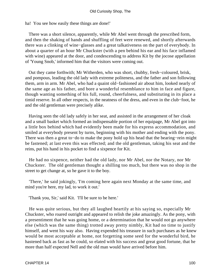ha! You see how easily these things are done!'

 There was a short silence, apparently, while Mr Abel went through the prescribed form, and then the shaking of hands and shuffling of feet were renewed, and shortly afterwards there was a clinking of wine−glasses and a great talkativeness on the part of everybody. In about a quarter of an hour Mr Chuckster (with a pen behind his ear and his face inflamed with wine) appeared at the door, and condescending to address Kit by the jocose appellation of 'Young Snob,' informed him that the visitors were coming out.

 Out they came forthwith; Mr Witherden, who was short, chubby, fresh−coloured, brisk, and pompous, leading the old lady with extreme politeness, and the father and son following them, arm in arm. Mr Abel, who had a quaint old−fashioned air about him, looked nearly of the same age as his father, and bore a wonderful resemblance to him in face and figure, though wanting something of his full, round, cheerfulness, and substituting in its place a timid reserve. In all other respects, in the neatness of the dress, and even in the club−foot, he and the old gentleman were precisely alike.

 Having seen the old lady safely in her seat, and assisted in the arrangement of her cloak and a small basket which formed an indispensable portion of her equipage, Mr Abel got into a little box behind which had evidently been made for his express accommodation, and smiled at everybody present by turns, beginning with his mother and ending with the pony. There was then a great to−do to make the pony hold up his head that the bearing−rein might be fastened; at last even this was effected; and the old gentleman, taking his seat and the reins, put his hand in his pocket to find a sixpence for Kit.

 He had no sixpence, neither had the old lady, nor Mr Abel, nor the Notary, nor Mr Chuckster. The old gentleman thought a shilling too much, but there was no shop in the street to get change at, so he gave it to the boy.

 'There,' he said jokingly, 'I'm coming here again next Monday at the same time, and mind you're here, my lad, to work it out.'

'Thank you, Sir,' said Kit. 'I'll be sure to be here.'

 He was quite serious, but they all laughed heartily at his saying so, especially Mr Chuckster, who roared outright and appeared to relish the joke amazingly. As the pony, with a presentiment that he was going home, or a determination that he would not go anywhere else (which was the same thing) trotted away pretty nimbly, Kit had no time to justify himself, and went his way also. Having expended his treasure in such purchases as he knew would be most acceptable at home, not forgetting some seed for the wonderful bird, he hastened back as fast as he could, so elated with his success and great good fortune, that he more than half expected Nell and the old man would have arrived before him.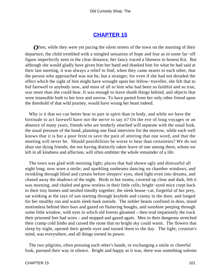## **[CHAPTER 15](#page-494-0)**

*O*ften, while they were yet pacing the silent streets of the town on the morning of their departure, the child trembled with a mingled sensation of hope and fear as in some far−off figure imperfectly seen in the clear distance, her fancy traced a likeness to honest Kit. But although she would gladly have given him her hand and thanked him for what he had said at their last meeting, it was always a relief to find, when they came nearer to each other, that the person who approached was not he, but a stranger; for even if she had not dreaded the effect which the sight of him might have wrought upon her fellow−traveller, she felt that to bid farewell to anybody now, and most of all to him who had been so faithful and so true, was more than she could bear. It was enough to leave dumb things behind, and objects that were insensible both to her love and sorrow. To have parted from her only other friend upon the threshold of that wild journey, would have wrung her heart indeed.

 Why is it that we can better bear to part in spirit than in body, and while we have the fortitude to act farewell have not the nerve to say it? On the eve of long voyages or an absence of many years, friends who are tenderly attached will separate with the usual look, the usual pressure of the hand, planning one final interview for the morrow, while each well knows that it is but a poor feint to save the pain of uttering that one word, and that the meeting will never be. Should possibilities be worse to bear than certainties? We do not shun our dying friends; the not having distinctly taken leave of one among them, whom we left in all kindness and affection, will often embitter the whole remainder of a life.

 The town was glad with morning light; places that had shown ugly and distrustful all night long, now wore a smile; and sparkling sunbeams dancing on chamber windows, and twinkling through blind and curtain before sleepers' eyes, shed light even into dreams, and chased away the shadows of the night. Birds in hot rooms, covered up close and dark, felt it was morning, and chafed and grew restless in their little cells; bright−eyed mice crept back to their tiny homes and nestled timidly together; the sleek house−cat, forgetful of her prey, sat winking at the rays of sun starting through keyhole and cranny in the door, and longed for her stealthy run and warm sleek bask outside. The nobler beasts confined in dens, stood motionless behind their bars and gazed on fluttering boughs, and sunshine peeping through some little window, with eyes in which old forests gleamed – then trod impatiently the track their prisoned feet had worn – and stopped and gazed again. Men in their dungeons stretched their cramp cold limbs and cursed the stone that no bright sky could warm. The flowers that sleep by night, opened their gentle eyes and turned them to the day. The light, creation's mind, was everywhere, and all things owned its power.

 The two pilgrims, often pressing each other's hands, or exchanging a smile or cheerful look, pursued their way in silence. Bright and happy as it was, there was something solemn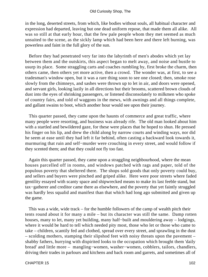in the long, deserted streets, from which, like bodies without souls, all habitual character and expression had departed, leaving but one dead uniform repose, that made them all alike. All was so still at that early hour, that the few pale people whom they met seemed as much unsuited to the scene, as the sickly lamp which had been here and there left burning, was powerless and faint in the full glory of the sun.

 Before they had penetrated very far into the labyrinth of men's abodes which yet lay between them and the outskirts, this aspect began to melt away, and noise and bustle to usurp its place. Some straggling carts and coaches rumbling by, first broke the charm, then others came, then others yet more active, then a crowd. The wonder was, at first, to see a tradesman's window open, but it was a rare thing soon to see one closed; then, smoke rose slowly from the chimneys, and sashes were thrown up to let in air, and doors were opened, and servant girls, looking lazily in all directions but their brooms, scattered brown clouds of dust into the eyes of shrinking passengers, or listened disconsolately to milkmen who spoke of country fairs, and told of waggons in the mews, with awnings and all things complete, and gallant swains to boot, which another hour would see upon their journey.

 This quarter passed, they came upon the haunts of commerce and great traffic, where many people were resorting, and business was already rife. The old man looked about him with a startled and bewildered gaze, for these were places that he hoped to shun. He pressed his finger on his lip, and drew the child along by narrow courts and winding ways, nor did he seem at ease until they had left it far behind, often casting a backward look towards it, murmuring that ruin and self−murder were crouching in every street, and would follow if they scented them; and that they could not fly too fast.

 Again this quarter passed, they came upon a straggling neighbourhood, where the mean houses parcelled off in rooms, and windows patched with rags and paper, told of the populous poverty that sheltered there. The shops sold goods that only poverty could buy, and sellers and buyers were pinched and griped alike. Here were poor streets where faded gentility essayed with scanty space and shipwrecked means to make its last feeble stand, but tax−gatherer and creditor came there as elsewhere, and the poverty that yet faintly struggled was hardly less squalid and manifest than that which had long ago submitted and given up the game.

 This was a wide, wide track – for the humble followers of the camp of wealth pitch their tents round about it for many a mile – but its character was still the same. Damp rotten houses, many to let, many yet building, many half−built and mouldering away – lodgings, where it would be hard to tell which needed pity most, those who let or those who came to take – children, scantily fed and clothed, spread over every street, and sprawling in the dust – scolding mothers, stamping their slipshod feet with noisy threats upon the pavement – shabby fathers, hurrying with dispirited looks to the occupation which brought them 'daily bread' and little more – mangling−women, washer−women, cobblers, tailors, chandlers, driving their trades in parlours and kitchens and back room and garrets, and sometimes all of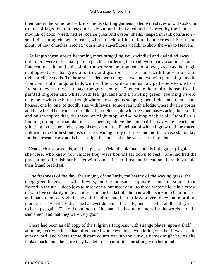them under the same roof – brick−fields skirting gardens paled with staves of old casks, or timber pillaged from houses burnt down, and blackened and blistered by the flames – mounds of dock−weed, nettles, coarse grass and oyster−shells, heaped in rank confusion – small dissenting chapels to teach, with no lack of illustration, the miseries of Earth, and plenty of new churches, erected with a little superfluous wealth, to show the way to Heaven.

 At length these streets becoming more straggling yet, dwindled and dwindled away, until there were only small garden patches bordering the road, with many a summer house innocent of paint and built of old timber or some fragments of a boat, green as the tough cabbage−stalks that grew about it, and grottoed at the seams with toad−stools and tight−sticking snails. To these succeeded pert cottages, two and two with plots of ground in front, laid out in angular beds with stiff box borders and narrow paths between, where footstep never strayed to make the gravel rough. Then came the public−house, freshly painted in green and white, with tea−gardens and a bowling green, spurning its old neighbour with the horse−trough where the waggons stopped; then, fields; and then, some houses, one by one, of goodly size with lawns, some even with a lodge where dwelt a porter and his wife. Then came a turnpike; then fields again with trees and hay−stacks; then, a hill, and on the top of that, the traveller might stop, and – looking back at old Saint Paul's looming through the smoke, its cross peeping above the cloud (if the day were clear), and glittering in the sun; and casting his eyes upon the Babel out of which it grew until he traced it down to the furthest outposts of the invading army of bricks and mortar whose station lay for the present nearly at his feet – might feel at last that he was clear of London.

 Near such a spot as this, and in a pleasant field, the old man and his little guide (if guide she were, who knew not whither they were bound) sat down to rest. She had had the precaution to furnish her basket with some slices of bread and meat, and here they made their frugal breakfast.

 The freshness of the day, the singing of the birds, the beauty of the waving grass, the deep green leaves, the wild flowers, and the thousand exquisite scents and sounds that floated in the air – deep joys to most of us, but most of all to those whose life is in a crowd or who live solitarily in great cities as in the bucket of a human well – sunk into their breasts and made them very glad. The child had repeated her artless prayers once that morning, more earnestly perhaps than she had ever done in all her life, but as she felt all this, they rose to her lips again. The old man took off his hat – he had no memory for the words – but he said amen, and that they were very good.

 There had been an old copy of the Pilgrim's Progress, with strange plates, upon a shelf at home, over which she had often pored whole evenings, wondering whether it was true in every word, and where those distant countries with the curious names might be. As she looked back upon the place they had left, one part of it came strongly on her mind.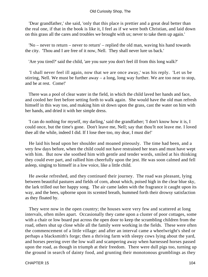'Dear grandfather,' she said, 'only that this place is prettier and a great deal better than the real one, if that in the book is like it, I feel as if we were both Christian, and laid down on this grass all the cares and troubles we brought with us; never to take them up again.'

 'No – never to return – never to return' – replied the old man, waving his hand towards the city. 'Thou and I are free of it now, Nell. They shall never lure us back.'

'Are you tired?' said the child, 'are you sure you don't feel ill from this long walk?'

 'I shall never feel ill again, now that we are once away,' was his reply. 'Let us be stirring, Nell. We must be further away – a long, long way further. We are too near to stop, and be at rest. Come!'

 There was a pool of clear water in the field, in which the child laved her hands and face, and cooled her feet before setting forth to walk again. She would have the old man refresh himself in this way too, and making him sit down upon the grass, cast the water on him with her hands, and dried it with her simple dress.

 'I can do nothing for myself, my darling,' said the grandfather; 'I don't know how it is, I could once, but the time's gone. Don't leave me, Nell; say that thou'lt not leave me. I loved thee all the while, indeed I did. If I lose thee too, my dear, I must die!'

 He laid his head upon her shoulder and moaned piteously. The time had been, and a very few days before, when the child could not have restrained her tears and must have wept with him. But now she soothed him with gentle and tender words, smiled at his thinking they could ever part, and rallied him cheerfully upon the jest. He was soon calmed and fell asleep, singing to himself in a low voice, like a little child.

 He awoke refreshed, and they continued their journey. The road was pleasant, lying between beautiful pastures and fields of corn, about which, poised high in the clear blue sky, the lark trilled out her happy song. The air came laden with the fragrance it caught upon its way, and the bees, upborne upon its scented breath, hummed forth their drowsy satisfaction as they floated by.

 They were now in the open country; the houses were very few and scattered at long intervals, often miles apart. Occasionally they came upon a cluster of poor cottages, some with a chair or low board put across the open door to keep the scrambling children from the road, others shut up close while all the family were working in the fields. These were often the commencement of a little village: and after an interval came a wheelwright's shed or perhaps a blacksmith's forge; then a thriving farm with sleepy cows lying about the yard, and horses peering over the low wall and scampering away when harnessed horses passed upon the road, as though in triumph at their freedom. There were dull pigs too, turning up the ground in search of dainty food, and grunting their monotonous grumblings as they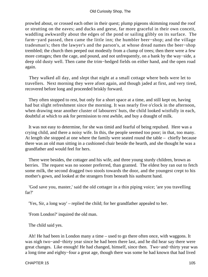prowled about, or crossed each other in their quest; plump pigeons skimming round the roof or strutting on the eaves; and ducks and geese, far more graceful in their own conceit, waddling awkwardly about the edges of the pond or sailing glibly on its surface. The farm−yard passed, then came the little inn; the humbler beer−shop; and the village tradesman's; then the lawyer's and the parson's, at whose dread names the beer−shop trembled; the church then peeped out modestly from a clump of trees; then there were a few more cottages; then the cage, and pound, and not unfrequently, on a bank by the way−side, a deep old dusty well. Then came the trim−hedged fields on either hand, and the open road again.

 They walked all day, and slept that night at a small cottage where beds were let to travellers. Next morning they were afoot again, and though jaded at first, and very tired, recovered before long and proceeded briskly forward.

 They often stopped to rest, but only for a short space at a time, and still kept on, having had but slight refreshment since the morning. It was nearly five o'clock in the afternoon, when drawing near another cluster of labourers' huts, the child looked wistfully in each, doubtful at which to ask for permission to rest awhile, and buy a draught of milk.

 It was not easy to determine, for she was timid and fearful of being repulsed. Here was a crying child, and there a noisy wife. In this, the people seemed too poor; in that, too many. At length she stopped at one where the family were seated round the table – chiefly because there was an old man sitting in a cushioned chair beside the hearth, and she thought he was a grandfather and would feel for hers.

 There were besides, the cottager and his wife, and three young sturdy children, brown as berries. The request was no sooner preferred, than granted. The eldest boy ran out to fetch some milk, the second dragged two stools towards the door, and the youngest crept to his mother's gown, and looked at the strangers from beneath his sunburnt hand.

 'God save you, master,' said the old cottager in a thin piping voice; 'are you travelling far?'

'Yes, Sir, a long way' – replied the child; for her grandfather appealed to her.

'From London?' inquired the old man.

The child said yes.

 Ah! He had been in London many a time – used to go there often once, with waggons. It was nigh two−and−thirty year since he had been there last, and he did hear say there were great changes. Like enough! He had changed, himself, since then. Two−and−thirty year was a long time and eighty−four a great age, though there was some he had known that had lived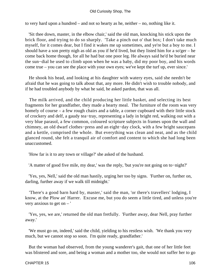#### Old Curiosity Shop, The

to very hard upon a hundred – and not so hearty as he, neither – no, nothing like it.

 'Sit thee down, master, in the elbow chair,' said the old man, knocking his stick upon the brick floor, and trying to do so sharply. 'Take a pinch out o' that box; I don't take much myself, for it comes dear, but I find it wakes me up sometimes, and ye're but a boy to me. I should have a son pretty nigh as old as you if he'd lived, but they listed him for a so'ger – he come back home though, for all he had but one poor leg. He always said he'd be buried near the sun−dial he used to climb upon when he was a baby, did my poor boy, and his words come true – you can see the place with your own eyes; we've kept the turf up, ever since.'

 He shook his head, and looking at his daughter with watery eyes, said she needn't be afraid that he was going to talk about that, any more. He didn't wish to trouble nobody, and if he had troubled anybody by what he said, he asked pardon, that was all.

 The milk arrived, and the child producing her little basket, and selecting its best fragments for her grandfather, they made a hearty meal. The furniture of the room was very homely of course – a few rough chairs and a table, a corner cupboard with their little stock of crockery and delf, a gaudy tea−tray, representing a lady in bright red, walking out with a very blue parasol, a few common, coloured scripture subjects in frames upon the wall and chimney, an old dwarf clothes−press and an eight−day clock, with a few bright saucepans and a kettle, comprised the whole. But everything was clean and neat, and as the child glanced round, she felt a tranquil air of comfort and content to which she had long been unaccustomed.

'How far is it to any town or village?' she asked of the husband.

'A matter of good five mile, my dear,' was the reply, 'but you're not going on to−night?'

 'Yes, yes, Nell,' said the old man hastily, urging her too by signs. 'Further on, further on, darling, further away if we walk till midnight.'

 'There's a good barn hard by, master,' said the man, 'or there's travellers' lodging, I know, at the Plow an' Harrer. Excuse me, but you do seem a little tired, and unless you're very anxious to get on  $-$ '

 'Yes, yes, we are,' returned the old man fretfully. 'Further away, dear Nell, pray further away.'

 'We must go on, indeed,' said the child, yielding to his restless wish. 'We thank you very much, but we cannot stop so soon. I'm quite ready, grandfather.'

 But the woman had observed, from the young wanderer's gait, that one of her little feet was blistered and sore, and being a woman and a mother too, she would not suffer her to go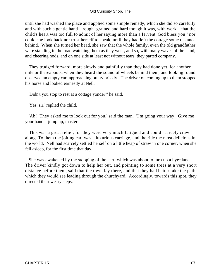until she had washed the place and applied some simple remedy, which she did so carefully and with such a gentle hand – rough−grained and hard though it was, with work – that the child's heart was too full to admit of her saying more than a fervent 'God bless you!' nor could she look back nor trust herself to speak, until they had left the cottage some distance behind. When she turned her head, she saw that the whole family, even the old grandfather, were standing in the road watching them as they went, and so, with many waves of the hand, and cheering nods, and on one side at least not without tears, they parted company.

 They trudged forward, more slowly and painfully than they had done yet, for another mile or thereabouts, when they heard the sound of wheels behind them, and looking round observed an empty cart approaching pretty briskly. The driver on coming up to them stopped his horse and looked earnestly at Nell.

'Didn't you stop to rest at a cottage yonder?' he said.

'Yes, sir,' replied the child.

 'Ah! They asked me to look out for you,' said the man. 'I'm going your way. Give me your hand – jump up, master.'

 This was a great relief, for they were very much fatigued and could scarcely crawl along. To them the jolting cart was a luxurious carriage, and the ride the most delicious in the world. Nell had scarcely settled herself on a little heap of straw in one corner, when she fell asleep, for the first time that day.

 She was awakened by the stopping of the cart, which was about to turn up a bye−lane. The driver kindly got down to help her out, and pointing to some trees at a very short distance before them, said that the town lay there, and that they had better take the path which they would see leading through the churchyard. Accordingly, towards this spot, they directed their weary steps.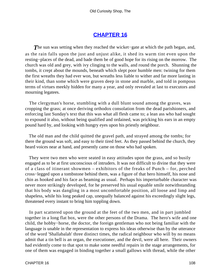## **[CHAPTER 16](#page-494-0)**

*T*he sun was setting when they reached the wicket−gate at which the path began, and, as the rain falls upon the just and unjust alike, it shed its warm tint even upon the resting−places of the dead, and bade them be of good hope for its rising on the morrow. The church was old and grey, with ivy clinging to the walls, and round the porch. Shunning the tombs, it crept about the mounds, beneath which slept poor humble men: twining for them the first wreaths they had ever won, but wreaths less liable to wither and far more lasting in their kind, than some which were graven deep in stone and marble, and told in pompous terms of virtues meekly hidden for many a year, and only revealed at last to executors and mourning legatees.

 The clergyman's horse, stumbling with a dull blunt sound among the graves, was cropping the grass; at once deriving orthodox consolation from the dead parishioners, and enforcing last Sunday's text that this was what all flesh came to; a lean ass who had sought to expound it also, without being qualified and ordained, was pricking his ears in an empty pound hard by, and looking with hungry eyes upon his priestly neighbour.

 The old man and the child quitted the gravel path, and strayed among the tombs; for there the ground was soft, and easy to their tired feet. As they passed behind the church, they heard voices near at hand, and presently came on those who had spoken.

 They were two men who were seated in easy attitudes upon the grass, and so busily engaged as to be at first unconscious of intruders. It was not difficult to divine that they were of a class of itinerant showmen – exhibitors of the freaks of Punch – for, perched cross−legged upon a tombstone behind them, was a figure of that hero himself, his nose and chin as hooked and his face as beaming as usual. Perhaps his imperturbable character was never more strikingly developed, for he preserved his usual equable smile notwithstanding that his body was dangling in a most uncomfortable position, all loose and limp and shapeless, while his long peaked cap, unequally balanced against his exceedingly slight legs, threatened every instant to bring him toppling down.

 In part scattered upon the ground at the feet of the two men, and in part jumbled together in a long flat box, were the other persons of the Drama. The hero's wife and one child, the hobby−horse, the doctor, the foreign gentleman who not being familiar with the language is unable in the representation to express his ideas otherwise than by the utterance of the word 'Shallabalah' three distinct times, the radical neighbour who will by no means admit that a tin bell is an organ, the executioner, and the devil, were all here. Their owners had evidently come to that spot to make some needful repairs in the stage arrangements, for one of them was engaged in binding together a small gallows with thread, while the other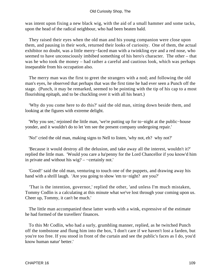#### Old Curiosity Shop, The

was intent upon fixing a new black wig, with the aid of a small hammer and some tacks, upon the head of the radical neighbour, who had been beaten bald.

 They raised their eyes when the old man and his young companion were close upon them, and pausing in their work, returned their looks of curiosity. One of them, the actual exhibitor no doubt, was a little merry−faced man with a twinkling eye and a red nose, who seemed to have unconsciously imbibed something of his hero's character. The other – that was he who took the money – had rather a careful and cautious look, which was perhaps inseparable from his occupation also.

 The merry man was the first to greet the strangers with a nod; and following the old man's eyes, he observed that perhaps that was the first time he had ever seen a Punch off the stage. (Punch, it may be remarked, seemed to be pointing with the tip of his cap to a most flourishing epitaph, and to be chuckling over it with all his heart.)

 'Why do you come here to do this?' said the old man, sitting down beside them, and looking at the figures with extreme delight.

 'Why you see,' rejoined the little man, 'we're putting up for to−night at the public−house yonder, and it wouldn't do to let 'em see the present company undergoing repair.'

'No!' cried the old man, making signs to Nell to listen, 'why not, eh? why not?'

 'Because it would destroy all the delusion, and take away all the interest, wouldn't it?' replied the little man. 'Would you care a ha'penny for the Lord Chancellor if you know'd him in private and without his wig? – −certainly not.'

 'Good!' said the old man, venturing to touch one of the puppets, and drawing away his hand with a shrill laugh. 'Are you going to show 'em to−night? are you?'

 'That is the intention, governor,' replied the other, 'and unless I'm much mistaken, Tommy Codlin is a calculating at this minute what we've lost through your coming upon us. Cheer up, Tommy, it can't be much.'

 The little man accompanied these latter words with a wink, expressive of the estimate he had formed of the travellers' finances.

 To this Mr Codlin, who had a surly, grumbling manner, replied, as he twitched Punch off the tombstone and flung him into the box, 'I don't care if we haven't lost a farden, but you're too free. If you stood in front of the curtain and see the public's faces as I do, you'd know human natur' better.'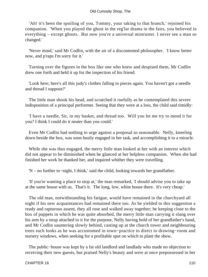#### Old Curiosity Shop, The

 'Ah! it's been the spoiling of you, Tommy, your taking to that branch,' rejoined his companion. 'When you played the ghost in the reg'lar drama in the fairs, you believed in everything – except ghosts. But now you're a universal mistruster. I never see a man so changed.'

 'Never mind,' said Mr Codlin, with the air of a discontented philosopher. 'I know better now, and p'raps I'm sorry for it.'

 Turning over the figures in the box like one who knew and despised them, Mr Codlin drew one forth and held it up for the inspection of his friend:

 'Look here; here's all this judy's clothes falling to pieces again. You haven't got a needle and thread I suppose?'

 The little man shook his head, and scratched it ruefully as he contemplated this severe indisposition of a principal performer. Seeing that they were at a loss, the child said timidly:

 'I have a needle, Sir, in my basket, and thread too. Will you let me try to mend it for you? I think I could do it neater than you could.'

 Even Mr Codlin had nothing to urge against a proposal so seasonable. Nelly, kneeling down beside the box, was soon busily engaged in her task, and accomplishing it to a miracle.

 While she was thus engaged, the merry little man looked at her with an interest which did not appear to be diminished when he glanced at her helpless companion. When she had finished her work he thanked her, and inquired whither they were travelling.

'N – no further to−night, I think,' said the child, looking towards her grandfather.

 'If you're wanting a place to stop at,' the man remarked, 'I should advise you to take up at the same house with us. That's it. The long, low, white house there. It's very cheap.'

 The old man, notwithstanding his fatigue, would have remained in the churchyard all night if his new acquaintances had remained there too. As he yielded to this suggestion a ready and rapturous assent, they all rose and walked away together; he keeping close to the box of puppets in which he was quite absorbed, the merry little man carrying it slung over his arm by a strap attached to it for the purpose, Nelly having hold of her grandfather's hand, and Mr Codlin sauntering slowly behind, casting up at the church tower and neighbouring trees such looks as he was accustomed in town−practice to direct to drawing−room and nursery windows, when seeking for a profitable spot on which to plant the show.

 The public−house was kept by a fat old landlord and landlady who made no objection to receiving their new guests, but praised Nelly's beauty and were at once prepossessed in her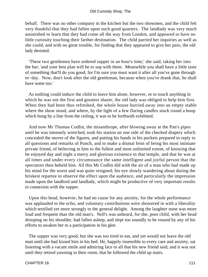behalf. There was no other company in the kitchen but the two showmen, and the child felt very thankful that they had fallen upon such good quarters. The landlady was very much astonished to learn that they had come all the way from London, and appeared to have no little curiosity touching their farther destination. The child parried her inquiries as well as she could, and with no great trouble, for finding that they appeared to give her pain, the old lady desisted.

 'These two gentlemen have ordered supper in an hour's time,' she said, taking her into the bar; 'and your best plan will be to sup with them. Meanwhile you shall have a little taste of something that'll do you good, for I'm sure you must want it after all you've gone through to−day. Now, don't look after the old gentleman, because when you've drank that, he shall have some too.'

 As nothing could induce the child to leave him alone, however, or to touch anything in which he was not the first and greatest sharer, the old lady was obliged to help him first. When they had been thus refreshed, the whole house hurried away into an empty stable where the show stood, and where, by the light of a few flaring candles stuck round a hoop which hung by a line from the ceiling, it was to be forthwith exhibited.

 And now Mr Thomas Codlin, the misanthrope, after blowing away at the Pan's pipes until he was intensely wretched, took his station on one side of the checked drapery which concealed the mover of the figures, and putting his hands in his pockets prepared to reply to all questions and remarks of Punch, and to make a dismal feint of being his most intimate private friend, of believing in him to the fullest and most unlimited extent, of knowing that he enjoyed day and night a merry and glorious existence in that temple, and that he was at all times and under every circumstance the same intelligent and joyful person that the spectators then beheld him. All this Mr Codlin did with the air of a man who had made up his mind for the worst and was quite resigned; his eye slowly wandering about during the briskest repartee to observe the effect upon the audience, and particularly the impression made upon the landlord and landlady, which might be productive of very important results in connexion with the supper.

 Upon this head, however, he had no cause for any anxiety, for the whole performance was applauded to the echo, and voluntary contributions were showered in with a liberality which testified yet more strongly to the general delight. Among the laughter none was more loud and frequent than the old man's. Nell's was unheard, for she, poor child, with her head drooping on his shoulder, had fallen asleep, and slept too soundly to be roused by any of his efforts to awaken her to a participation in his glee.

 The supper was very good, but she was too tired to eat, and yet would not leave the old man until she had kissed him in his bed. He, happily insensible to every care and anxiety, sat listening with a vacant smile and admiring face to all that his new friend said; and it was not until they retired yawning to their room, that he followed the child up stairs.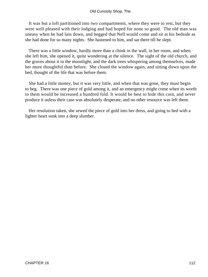### Old Curiosity Shop, The

 It was but a loft partitioned into two compartments, where they were to rest, but they were well pleased with their lodging and had hoped for none so good. The old man was uneasy when he had lain down, and begged that Nell would come and sit at his bedside as she had done for so many nights. She hastened to him, and sat there till he slept.

 There was a little window, hardly more than a chink in the wall, in her room, and when she left him, she opened it, quite wondering at the silence. The sight of the old church, and the graves about it in the moonlight, and the dark trees whispering among themselves, made her more thoughtful than before. She closed the window again, and sitting down upon the bed, thought of the life that was before them.

 She had a little money, but it was very little, and when that was gone, they must begin to beg. There was one piece of gold among it, and an emergency might come when its worth to them would be increased a hundred fold. It would be best to hide this coin, and never produce it unless their case was absolutely desperate, and no other resource was left them.

 Her resolution taken, she sewed the piece of gold into her dress, and going to bed with a lighter heart sunk into a deep slumber.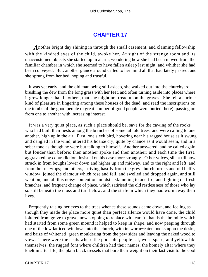# **[CHAPTER 17](#page-494-0)**

*A*nother bright day shining in through the small casement, and claiming fellowship with the kindred eyes of the child, awoke her. At sight of the strange room and its unaccustomed objects she started up in alarm, wondering how she had been moved from the familiar chamber in which she seemed to have fallen asleep last night, and whither she had been conveyed. But, another glance around called to her mind all that had lately passed, and she sprung from her bed, hoping and trustful.

 It was yet early, and the old man being still asleep, she walked out into the churchyard, brushing the dew from the long grass with her feet, and often turning aside into places where it grew longer than in others, that she might not tread upon the graves. She felt a curious kind of pleasure in lingering among these houses of the dead, and read the inscriptions on the tombs of the good people (a great number of good people were buried there), passing on from one to another with increasing interest.

 It was a very quiet place, as such a place should be, save for the cawing of the rooks who had built their nests among the branches of some tall old trees, and were calling to one another, high up in the air. First, one sleek bird, hovering near his ragged house as it swung and dangled in the wind, uttered his hoarse cry, quite by chance as it would seem, and in a sober tone as though he were but talking to himself. Another answered, and he called again, but louder than before; then another spoke and then another; and each time the first, aggravated by contradiction, insisted on his case more strongly. Other voices, silent till now, struck in from boughs lower down and higher up and midway, and to the right and left, and from the tree−tops; and others, arriving hastily from the grey church turrets and old belfry window, joined the clamour which rose and fell, and swelled and dropped again, and still went on; and all this noisy contention amidst a skimming to and fro, and lighting on fresh branches, and frequent change of place, which satirised the old restlessness of those who lay so still beneath the moss and turf below, and the strife in which they had worn away their lives.

 Frequently raising her eyes to the trees whence these sounds came down, and feeling as though they made the place more quiet than perfect silence would have done, the child loitered from grave to grave, now stopping to replace with careful hands the bramble which had started from some green mound it helped to keep in shape, and now peeping through one of the low latticed windows into the church, with its worm−eaten books upon the desks, and baize of whitened−green mouldering from the pew sides and leaving the naked wood to view. There were the seats where the poor old people sat, worn spare, and yellow like themselves; the rugged font where children had their names, the homely altar where they knelt in after life, the plain black tressels that bore their weight on their last visit to the cool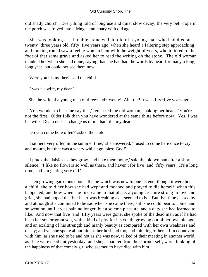old shady church. Everything told of long use and quiet slow decay; the very bell−rope in the porch was frayed into a fringe, and hoary with old age.

 She was looking at a humble stone which told of a young man who had died at twenty−three years old, fifty−five years ago, when she heard a faltering step approaching, and looking round saw a feeble woman bent with the weight of years, who tottered to the foot of that same grave and asked her to read the writing on the stone. The old woman thanked her when she had done, saying that she had had the words by heart for many a long, long year, but could not see them now.

'Were you his mother?' said the child.

'I was his wife, my dear.'

She the wife of a young man of three−and−twenty! Ah, true! It was fifty−five years ago.

 'You wonder to hear me say that,' remarked the old woman, shaking her head. 'You're not the first. Older folk than you have wondered at the same thing before now. Yes, I was his wife. Death doesn't change us more than life, my dear.'

'Do you come here often?' asked the child.

 'I sit here very often in the summer time,' she answered, 'I used to come here once to cry and mourn, but that was a weary while ago, bless God!'

 'I pluck the daisies as they grow, and take them home,' said the old woman after a short silence. 'I like no flowers so well as these, and haven't for five−and−fifty years. It's a long time, and I'm getting very old.'

 Then growing garrulous upon a theme which was new to one listener though it were but a child, she told her how she had wept and moaned and prayed to die herself, when this happened; and how when she first came to that place, a young creature strong in love and grief, she had hoped that her heart was breaking as it seemed to be. But that time passed by, and although she continued to be sad when she came there, still she could bear to come, and so went on until it was pain no longer, but a solemn pleasure, and a duty she had learned to like. And now that five−and−fifty years were gone, she spoke of the dead man as if he had been her son or grandson, with a kind of pity for his youth, growing out of her own old age, and an exalting of his strength and manly beauty as compared with her own weakness and decay; and yet she spoke about him as her husband too, and thinking of herself in connexion with him, as she used to be and not as she was now, talked of their meeting in another world, as if he were dead but yesterday, and she, separated from her former self, were thinking of the happiness of that comely girl who seemed to have died with him.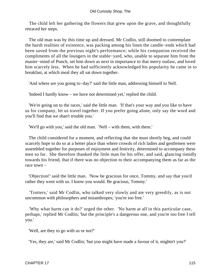The child left her gathering the flowers that grew upon the grave, and thoughtfully retraced her steps.

 The old man was by this time up and dressed. Mr Codlin, still doomed to contemplate the harsh realities of existence, was packing among his linen the candle−ends which had been saved from the previous night's performance; while his companion received the compliments of all the loungers in the stable−yard, who, unable to separate him from the master−mind of Punch, set him down as next in importance to that merry outlaw, and loved him scarcely less. When he had sufficiently acknowledged his popularity he came in to breakfast, at which meal they all sat down together.

'And where are you going to−day?' said the little man, addressing himself to Nell.

'Indeed I hardly know – we have not determined yet,' replied the child.

 'We're going on to the races,' said the little man. 'If that's your way and you like to have us for company, let us travel together. If you prefer going alone, only say the word and you'll find that we shan't trouble you.'

'We'll go with you,' said the old man. 'Nell – with them, with them.'

 The child considered for a moment, and reflecting that she must shortly beg, and could scarcely hope to do so at a better place than where crowds of rich ladies and gentlemen were assembled together for purposes of enjoyment and festivity, determined to accompany these men so far. She therefore thanked the little man for his offer, and said, glancing timidly towards his friend, that if there was no objection to their accompanying them as far as the race town –

 'Objection!' said the little man. 'Now be gracious for once, Tommy, and say that you'd rather they went with us. I know you would. Be gracious, Tommy.'

 'Trotters,' said Mr Codlin, who talked very slowly and ate very greedily, as is not uncommon with philosophers and misanthropes; 'you're too free.'

 'Why what harm can it do?' urged the other. 'No harm at all in this particular case, perhaps,' replied Mr Codlin; 'but the principle's a dangerous one, and you're too free I tell you.'

'Well, are they to go with us or not?'

'Yes, they are,' said Mr Codlin; 'but you might have made a favour of it, mightn't you?'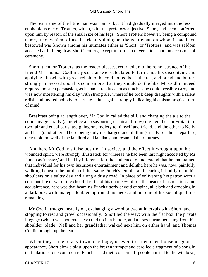The real name of the little man was Harris, but it had gradually merged into the less euphonious one of Trotters, which, with the prefatory adjective, Short, had been conferred upon him by reason of the small size of his legs. Short Trotters however, being a compound name, inconvenient of use in friendly dialogue, the gentleman on whom it had been bestowed was known among his intimates either as 'Short,' or 'Trotters,' and was seldom accosted at full length as Short Trotters, except in formal conversations and on occasions of ceremony.

 Short, then, or Trotters, as the reader pleases, returned unto the remonstrance of his friend Mr Thomas Codlin a jocose answer calculated to turn aside his discontent; and applying himself with great relish to the cold boiled beef, the tea, and bread and butter, strongly impressed upon his companions that they should do the like. Mr Codlin indeed required no such persuasion, as he had already eaten as much as he could possibly carry and was now moistening his clay with strong ale, whereof he took deep draughts with a silent relish and invited nobody to partake – thus again strongly indicating his misanthropical turn of mind.

 Breakfast being at length over, Mr Codlin called the bill, and charging the ale to the company generally (a practice also savouring of misanthropy) divided the sum−total into two fair and equal parts, assigning one moiety to himself and friend, and the other to Nelly and her grandfather. These being duly discharged and all things ready for their departure, they took farewell of the landlord and landlady and resumed their journey.

 And here Mr Codlin's false position in society and the effect it wrought upon his wounded spirit, were strongly illustrated; for whereas he had been last night accosted by Mr Punch as 'master,' and had by inference left the audience to understand that he maintained that individual for his own luxurious entertainment and delight, here he was, now, painfully walking beneath the burden of that same Punch's temple, and bearing it bodily upon his shoulders on a sultry day and along a dusty road. In place of enlivening his patron with a constant fire of wit or the cheerful rattle of his quarter−staff on the heads of his relations and acquaintance, here was that beaming Punch utterly devoid of spine, all slack and drooping in a dark box, with his legs doubled up round his neck, and not one of his social qualities remaining.

 Mr Codlin trudged heavily on, exchanging a word or two at intervals with Short, and stopping to rest and growl occasionally. Short led the way; with the flat box, the private luggage (which was not extensive) tied up in a bundle, and a brazen trumpet slung from his shoulder−blade. Nell and her grandfather walked next him on either hand, and Thomas Codlin brought up the rear.

 When they came to any town or village, or even to a detached house of good appearance, Short blew a blast upon the brazen trumpet and carolled a fragment of a song in that hilarious tone common to Punches and their consorts. If people hurried to the windows,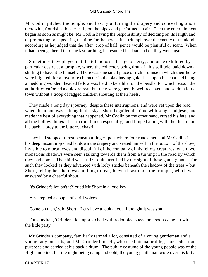Mr Codlin pitched the temple, and hastily unfurling the drapery and concealing Short therewith, flourished hysterically on the pipes and performed an air. Then the entertainment began as soon as might be; Mr Codlin having the responsibility of deciding on its length and of protracting or expediting the time for the hero's final triumph over the enemy of mankind, according as he judged that the after−crop of half−pence would be plentiful or scant. When it had been gathered in to the last farthing, he resumed his load and on they went again.

 Sometimes they played out the toll across a bridge or ferry, and once exhibited by particular desire at a turnpike, where the collector, being drunk in his solitude, paid down a shilling to have it to himself. There was one small place of rich promise in which their hopes were blighted, for a favourite character in the play having gold−lace upon his coat and being a meddling wooden−headed fellow was held to be a libel on the beadle, for which reason the authorities enforced a quick retreat; but they were generally well received, and seldom left a town without a troop of ragged children shouting at their heels.

 They made a long day's journey, despite these interruptions, and were yet upon the road when the moon was shining in the sky. Short beguiled the time with songs and jests, and made the best of everything that happened. Mr Codlin on the other hand, cursed his fate, and all the hollow things of earth (but Punch especially), and limped along with the theatre on his back, a prey to the bitterest chagrin.

 They had stopped to rest beneath a finger−post where four roads met, and Mr Codlin in his deep misanthropy had let down the drapery and seated himself in the bottom of the show, invisible to mortal eyes and disdainful of the company of his fellow creatures, when two monstrous shadows were seen stalking towards them from a turning in the road by which they had come. The child was at first quite terrified by the sight of these gaunt giants – for such they looked as they advanced with lofty strides beneath the shadow of the trees – but Short, telling her there was nothing to fear, blew a blast upon the trumpet, which was answered by a cheerful shout.

'It's Grinder's lot, an't it?' cried Mr Short in a loud key.

'Yes,' replied a couple of shrill voices.

'Come on then,' said Short. 'Let's have a look at you. I thought it was you.'

 Thus invited, 'Grinder's lot' approached with redoubled speed and soon came up with the little party.

 Mr Grinder's company, familiarly termed a lot, consisted of a young gentleman and a young lady on stilts, and Mr Grinder himself, who used his natural legs for pedestrian purposes and carried at his back a drum. The public costume of the young people was of the Highland kind, but the night being damp and cold, the young gentleman wore over his kilt a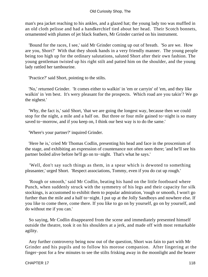man's pea jacket reaching to his ankles, and a glazed hat; the young lady too was muffled in an old cloth pelisse and had a handkerchief tied about her head. Their Scotch bonnets, ornamented with plumes of jet black feathers, Mr Grinder carried on his instrument.

 'Bound for the races, I see,' said Mr Grinder coming up out of breath. 'So are we. How are you, Short?' With that they shook hands in a very friendly manner. The young people being too high up for the ordinary salutations, saluted Short after their own fashion. The young gentleman twisted up his right stilt and patted him on the shoulder, and the young lady rattled her tambourine.

'Practice?' said Short, pointing to the stilts.

 'No,' returned Grinder. 'It comes either to walkin' in 'em or carryin' of 'em, and they like walkin' in 'em best. It's wery pleasant for the prospects. Which road are you takin'? We go the nighest.'

 'Why, the fact is,' said Short, 'that we are going the longest way, because then we could stop for the night, a mile and a half on. But three or four mile gained to−night is so many saved to−morrow, and if you keep on, I think our best way is to do the same.'

'Where's your partner?' inquired Grinder.

 'Here he is,' cried Mr Thomas Codlin, presenting his head and face in the proscenium of the stage, and exhibiting an expression of countenance not often seen there; 'and he'll see his partner boiled alive before he'll go on to−night. That's what he says.'

 'Well, don't say such things as them, in a spear which is dewoted to something pleasanter,' urged Short. 'Respect associations, Tommy, even if you do cut up rough.'

 'Rough or smooth,' said Mr Codlin, beating his hand on the little footboard where Punch, when suddenly struck with the symmetry of his legs and their capacity for silk stockings, is accustomed to exhibit them to popular admiration, 'rough or smooth, I won't go further than the mile and a half to−night. I put up at the Jolly Sandboys and nowhere else. If you like to come there, come there. If you like to go on by yourself, go on by yourself, and do without me if you can.'

 So saying, Mr Codlin disappeared from the scene and immediately presented himself outside the theatre, took it on his shoulders at a jerk, and made off with most remarkable agility.

 Any further controversy being now out of the question, Short was fain to part with Mr Grinder and his pupils and to follow his morose companion. After lingering at the finger−post for a few minutes to see the stilts frisking away in the moonlight and the bearer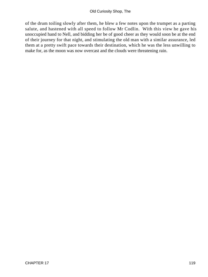of the drum toiling slowly after them, he blew a few notes upon the trumpet as a parting salute, and hastened with all speed to follow Mr Codlin. With this view he gave his unoccupied hand to Nell, and bidding her be of good cheer as they would soon be at the end of their journey for that night, and stimulating the old man with a similar assurance, led them at a pretty swift pace towards their destination, which he was the less unwilling to make for, as the moon was now overcast and the clouds were threatening rain.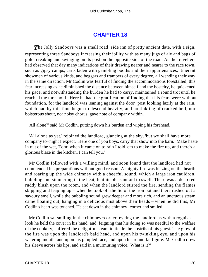# **[CHAPTER 18](#page-494-0)**

*T*he Jolly Sandboys was a small road−side inn of pretty ancient date, with a sign, representing three Sandboys increasing their jollity with as many jugs of ale and bags of gold, creaking and swinging on its post on the opposite side of the road. As the travellers had observed that day many indications of their drawing nearer and nearer to the race town, such as gipsy camps, carts laden with gambling booths and their appurtenances, itinerant showmen of various kinds, and beggars and trampers of every degree, all wending their way in the same direction, Mr Codlin was fearful of finding the accommodations forestalled; this fear increasing as he diminished the distance between himself and the hostelry, he quickened his pace, and notwithstanding the burden he had to carry, maintained a round trot until he reached the threshold. Here he had the gratification of finding that his fears were without foundation, for the landlord was leaning against the door−post looking lazily at the rain, which had by this time begun to descend heavily, and no tinkling of cracked bell, nor boisterous shout, nor noisy chorus, gave note of company within.

'All alone?' said Mr Codlin, putting down his burden and wiping his forehead.

 'All alone as yet,' rejoined the landlord, glancing at the sky, 'but we shall have more company to−night I expect. Here one of you boys, carry that show into the barn. Make haste in out of the wet, Tom; when it came on to rain I told 'em to make the fire up, and there's a glorious blaze in the kitchen, I can tell you.'

 Mr Codlin followed with a willing mind, and soon found that the landlord had not commended his preparations without good reason. A mighty fire was blazing on the hearth and roaring up the wide chimney with a cheerful sound, which a large iron cauldron, bubbling and simmering in the heat, lent its pleasant aid to swell. There was a deep red ruddy blush upon the room, and when the landlord stirred the fire, sending the flames skipping and leaping up – when he took off the lid of the iron pot and there rushed out a savoury smell, while the bubbling sound grew deeper and more rich, and an unctuous steam came floating out, hanging in a delicious mist above their heads – when he did this, Mr Codlin's heart was touched. He sat down in the chimney−corner and smiled.

 Mr Codlin sat smiling in the chimney−corner, eyeing the landlord as with a roguish look he held the cover in his hand, and, feigning that his doing so was needful to the welfare of the cookery, suffered the delightful steam to tickle the nostrils of his guest. The glow of the fire was upon the landlord's bald head, and upon his twinkling eye, and upon his watering mouth, and upon his pimpled face, and upon his round fat figure. Mr Codlin drew his sleeve across his lips, and said in a murmuring voice, 'What is it?'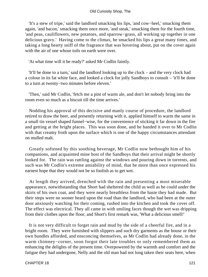'It's a stew of tripe,' said the landlord smacking his lips, 'and cow−heel,' smacking them again, 'and bacon,' smacking them once more, 'and steak,' smacking them for the fourth time, 'and peas, cauliflowers, new potatoes, and sparrow−grass, all working up together in one delicious gravy.' Having come to the climax, he smacked his lips a great many times, and taking a long hearty sniff of the fragrance that was hovering about, put on the cover again with the air of one whose toils on earth were over.

'At what time will it be ready?' asked Mr Codlin faintly.

 'It'll be done to a turn,' said the landlord looking up to the clock – and the very clock had a colour in its fat white face, and looked a clock for jolly Sandboys to consult – 'it'll be done to a turn at twenty−two minutes before eleven.'

 'Then,' said Mr Codlin, 'fetch me a pint of warm ale, and don't let nobody bring into the room even so much as a biscuit till the time arrives.'

 Nodding his approval of this decisive and manly course of procedure, the landlord retired to draw the beer, and presently returning with it, applied himself to warm the same in a small tin vessel shaped funnel−wise, for the convenience of sticking it far down in the fire and getting at the bright places. This was soon done, and he handed it over to Mr Codlin with that creamy froth upon the surface which is one of the happy circumstances attendant on mulled malt.

 Greatly softened by this soothing beverage, Mr Codlin now bethought him of his companions, and acquainted mine host of the Sandboys that their arrival might be shortly looked for. The rain was rattling against the windows and pouring down in torrents, and such was Mr Codlin's extreme amiability of mind, that he more than once expressed his earnest hope that they would not be so foolish as to get wet.

 At length they arrived, drenched with the rain and presenting a most miserable appearance, notwithstanding that Short had sheltered the child as well as he could under the skirts of his own coat, and they were nearly breathless from the haste they had made. But their steps were no sooner heard upon the road than the landlord, who had been at the outer door anxiously watching for their coming, rushed into the kitchen and took the cover off. The effect was electrical. They all came in with smiling faces though the wet was dripping from their clothes upon the floor, and Short's first remark was, 'What a delicious smell!'

 It is not very difficult to forget rain and mud by the side of a cheerful fire, and in a bright room. They were furnished with slippers and such dry garments as the house or their own bundles afforded, and ensconcing themselves, as Mr Codlin had already done, in the warm chimney−corner, soon forgot their late troubles or only remembered them as enhancing the delights of the present time. Overpowered by the warmth and comfort and the fatigue they had undergone, Nelly and the old man had not long taken their seats here, when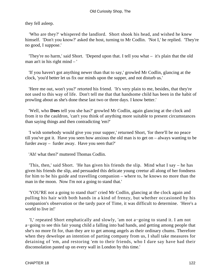they fell asleep.

 'Who are they?' whispered the landlord. Short shook his head, and wished he knew himself. 'Don't you know?' asked the host, turning to Mr Codlin. 'Not I,' he replied. 'They're no good, I suppose.'

 'They're no harm,' said Short. 'Depend upon that. I tell you what – it's plain that the old man an't in his right mind – '

 'If you haven't got anything newer than that to say,' growled Mr Codlin, glancing at the clock, 'you'd better let us fix our minds upon the supper, and not disturb us.'

 'Here me out, won't you?' retorted his friend. 'It's very plain to me, besides, that they're not used to this way of life. Don't tell me that that handsome child has been in the habit of prowling about as she's done these last two or three days. I know better.'

 'Well, who **Does** tell you she has?' growled Mr Codlin, again glancing at the clock and from it to the cauldron, 'can't you think of anything more suitable to present circumstances than saying things and then contradicting 'em?'

 'I wish somebody would give you your supper,' returned Short, 'for there'll be no peace till you've got it. Have you seen how anxious the old man is to get on – always wanting to be furder away – furder away. Have you seen that?'

'Ah! what then?' muttered Thomas Codlin.

 'This, then,' said Short. 'He has given his friends the slip. Mind what I say – he has given his friends the slip, and persuaded this delicate young creetur all along of her fondness for him to be his guide and travelling companion – where to, he knows no more than the man in the moon. Now I'm not a going to stand that.'

 'YOU'RE not a going to stand that!' cried Mr Codlin, glancing at the clock again and pulling his hair with both hands in a kind of frenzy, but whether occasioned by his companion's observation or the tardy pace of Time, it was difficult to determine. 'Here's a world to live in!'

 'I,' repeated Short emphatically and slowly, 'am not a−going to stand it. I am not a−going to see this fair young child a falling into bad hands, and getting among people that she's no more fit for, than they are to get among angels as their ordinary chums. Therefore when they dewelope an intention of parting company from us, I shall take measures for detaining of 'em, and restoring 'em to their friends, who I dare say have had their disconsolation pasted up on every wall in London by this time.'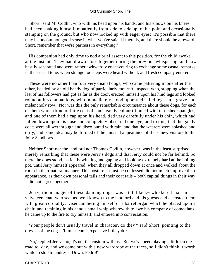'Short,' said Mr Codlin, who with his head upon his hands, and his elbows on his knees, had been shaking himself impatiently from side to side up to this point and occasionally stamping on the ground, but who now looked up with eager eyes; 'it's possible that there may be uncommon good sense in what you've said. If there is, and there should be a reward, Short, remember that we're partners in everything!'

 His companion had only time to nod a brief assent to this position, for the child awoke at the instant. They had drawn close together during the previous whispering, and now hastily separated and were rather awkwardly endeavouring to exchange some casual remarks in their usual tone, when strange footsteps were heard without, and fresh company entered.

 These were no other than four very dismal dogs, who came pattering in one after the other, headed by an old bandy dog of particularly mournful aspect, who, stopping when the last of his followers had got as far as the door, erected himself upon his hind legs and looked round at his companions, who immediately stood upon their hind legs, in a grave and melancholy row. Nor was this the only remarkable circumstance about these dogs, for each of them wore a kind of little coat of some gaudy colour trimmed with tarnished spangles, and one of them had a cap upon his head, tied very carefully under his chin, which had fallen down upon his nose and completely obscured one eye; add to this, that the gaudy coats were all wet through and discoloured with rain, and that the wearers were splashed and dirty, and some idea may be formed of the unusual appearance of these new visitors to the Jolly Sandboys.

 Neither Short nor the landlord nor Thomas Codlin, however, was in the least surprised, merely remarking that these were Jerry's dogs and that Jerry could not be far behind. So there the dogs stood, patiently winking and gaping and looking extremely hard at the boiling pot, until Jerry himself appeared, when they all dropped down at once and walked about the room in their natural manner. This posture it must be confessed did not much improve their appearance, as their own personal tails and their coat tails – both capital things in their way – did not agree together.

 Jerry, the manager of these dancing dogs, was a tall black− whiskered man in a velveteen coat, who seemed well known to the landlord and his guests and accosted them with great cordiality. Disencumbering himself of a barrel organ which he placed upon a chair, and retaining in his hand a small whip wherewith to awe his company of comedians, he came up to the fire to dry himself, and entered into conversation.

 'Your people don't usually travel in character, do they?' said Short, pointing to the dresses of the dogs. 'It must come expensive if they do?'

 'No,' replied Jerry, 'no, it's not the custom with us. But we've been playing a little on the road to−day, and we come out with a new wardrobe at the races, so I didn't think it worth while to stop to undress. Down, Pedro!'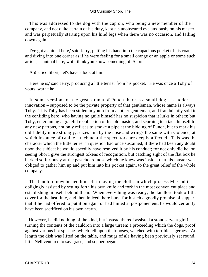This was addressed to the dog with the cap on, who being a new member of the company, and not quite certain of his duty, kept his unobscured eye anxiously on his master, and was perpetually starting upon his hind legs when there was no occasion, and falling down again.

 'I've got a animal here,' said Jerry, putting his hand into the capacious pocket of his coat, and diving into one corner as if he were feeling for a small orange or an apple or some such article, 'a animal here, wot I think you know something of, Short.'

'Ah!' cried Short, 'let's have a look at him.'

 'Here he is,' said Jerry, producing a little terrier from his pocket. 'He was once a Toby of yours, warn't he!'

In some versions of the great drama of Punch there is a small  $\log - a$  modern innovation – supposed to be the private property of that gentleman, whose name is always Toby. This Toby has been stolen in youth from another gentleman, and fraudulently sold to the confiding hero, who having no guile himself has no suspicion that it lurks in others; but Toby, entertaining a grateful recollection of his old master, and scorning to attach himself to any new patrons, not only refuses to smoke a pipe at the bidding of Punch, but to mark his old fidelity more strongly, seizes him by the nose and wrings the same with violence, at which instance of canine attachment the spectators are deeply affected. This was the character which the little terrier in question had once sustained; if there had been any doubt upon the subject he would speedily have resolved it by his conduct; for not only did he, on seeing Short, give the strongest tokens of recognition, but catching sight of the flat box he barked so furiously at the pasteboard nose which he knew was inside, that his master was obliged to gather him up and put him into his pocket again, to the great relief of the whole company.

 The landlord now busied himself in laying the cloth, in which process Mr Codlin obligingly assisted by setting forth his own knife and fork in the most convenient place and establishing himself behind them. When everything was ready, the landlord took off the cover for the last time, and then indeed there burst forth such a goodly promise of supper, that if he had offered to put it on again or had hinted at postponement, he would certainly have been sacrificed on his own hearth.

 However, he did nothing of the kind, but instead thereof assisted a stout servant girl in turning the contents of the cauldron into a large tureen; a proceeding which the dogs, proof against various hot splashes which fell upon their noses, watched with terrible eagerness. At length the dish was lifted on the table, and mugs of ale having been previously set round, little Nell ventured to say grace, and supper began.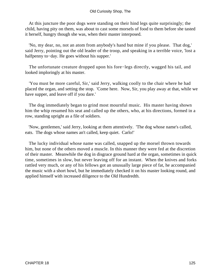### Old Curiosity Shop, The

 At this juncture the poor dogs were standing on their hind legs quite surprisingly; the child, having pity on them, was about to cast some morsels of food to them before she tasted it herself, hungry though she was, when their master interposed.

 'No, my dear, no, not an atom from anybody's hand but mine if you please. That dog,' said Jerry, pointing out the old leader of the troop, and speaking in a terrible voice, 'lost a halfpenny to−day. He goes without his supper.'

 The unfortunate creature dropped upon his fore−legs directly, wagged his tail, and looked imploringly at his master.

 'You must be more careful, Sir,' said Jerry, walking coolly to the chair where he had placed the organ, and setting the stop. 'Come here. Now, Sir, you play away at that, while we have supper, and leave off if you dare.'

 The dog immediately began to grind most mournful music. His master having shown him the whip resumed his seat and called up the others, who, at his directions, formed in a row, standing upright as a file of soldiers.

 'Now, gentlemen,' said Jerry, looking at them attentively. 'The dog whose name's called, eats. The dogs whose names an't called, keep quiet. Carlo!'

 The lucky individual whose name was called, snapped up the morsel thrown towards him, but none of the others moved a muscle. In this manner they were fed at the discretion of their master. Meanwhile the dog in disgrace ground hard at the organ, sometimes in quick time, sometimes in slow, but never leaving off for an instant. When the knives and forks rattled very much, or any of his fellows got an unusually large piece of fat, he accompanied the music with a short howl, but he immediately checked it on his master looking round, and applied himself with increased diligence to the Old Hundredth.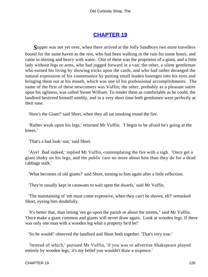# **[CHAPTER 19](#page-494-0)**

*S*upper was not yet over, when there arrived at the Jolly Sandboys two more travellers bound for the same haven as the rest, who had been walking in the rain for some hours, and came in shining and heavy with water. One of these was the proprietor of a giant, and a little lady without legs or arms, who had jogged forward in a van; the other, a silent gentleman who earned his living by showing tricks upon the cards, and who had rather deranged the natural expression of his countenance by putting small leaden lozenges into his eyes and bringing them out at his mouth, which was one of his professional accomplishments. The name of the first of these newcomers was Vuffin; the other, probably as a pleasant satire upon his ugliness, was called Sweet William. To render them as comfortable as he could, the landlord bestirred himself nimbly, and in a very short time both gentlemen were perfectly at their ease.

'How's the Giant?' said Short, when they all sat smoking round the fire.

 'Rather weak upon his legs,' returned Mr Vuffin. 'I begin to be afraid he's going at the knees.'

'That's a bad look−out,' said Short.

 'Aye! Bad indeed,' replied Mr Vuffin, contemplating the fire with a sigh. 'Once get a giant shaky on his legs, and the public care no more about him than they do for a dead cabbage stalk.'

'What becomes of old giants?' said Short, turning to him again after a little reflection.

'They're usually kept in carawans to wait upon the dwarfs,' said Mr Vuffin.

 'The maintaining of 'em must come expensive, when they can't be shown, eh?' remarked Short, eyeing him doubtfully.

 'It's better that, than letting 'em go upon the parish or about the streets," said Mr Vuffin. 'Once make a giant common and giants will never draw again. Look at wooden legs. If there was only one man with a wooden leg what a property he'd be!'

'So he would!' observed the landlord and Short both together. 'That's very true.'

 'Instead of which,' pursued Mr Vuffin, 'if you was to advertise Shakspeare played entirely by wooden legs,' it's my belief you wouldn't draw a sixpence.'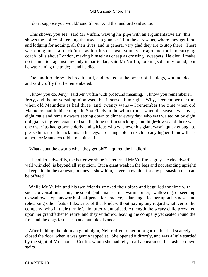#### Old Curiosity Shop, The

'I don't suppose you would,' said Short. And the landlord said so too.

 'This shows, you see,' said Mr Vuffin, waving his pipe with an argumentative air, 'this shows the policy of keeping the used−up giants still in the carawans, where they get food and lodging for nothing, all their lives, and in general very glad they are to stop there. There was one giant – a black 'un – as left his carawan some year ago and took to carrying coach−bills about London, making himself as cheap as crossing−sweepers. He died. I make no insinuation against anybody in particular,' said Mr Vuffin, looking solemnly round, 'but he was ruining the trade; – and he died.'

 The landlord drew his breath hard, and looked at the owner of the dogs, who nodded and said gruffly that he remembered.

 'I know you do, Jerry,' said Mr Vuffin with profound meaning. 'I know you remember it, Jerry, and the universal opinion was, that it served him right. Why, I remember the time when old Maunders as had three−and−twenty wans – I remember the time when old Maunders had in his cottage in Spa Fields in the winter time, when the season was over, eight male and female dwarfs setting down to dinner every day, who was waited on by eight old giants in green coats, red smalls, blue cotton stockings, and high−lows: and there was one dwarf as had grown elderly and wicious who whenever his giant wasn't quick enough to please him, used to stick pins in his legs, not being able to reach up any higher. I know that's a fact, for Maunders told it me himself.'

'What about the dwarfs when they get old?' inquired the landlord.

 'The older a dwarf is, the better worth he is,' returned Mr Vuffin; 'a grey−headed dwarf, well wrinkled, is beyond all suspicion. But a giant weak in the legs and not standing upright! – keep him in the carawan, but never show him, never show him, for any persuasion that can be offered.'

 While Mr Vuffin and his two friends smoked their pipes and beguiled the time with such conversation as this, the silent gentleman sat in a warm corner, swallowing, or seeming to swallow, sixpennyworth of halfpence for practice, balancing a feather upon his nose, and rehearsing other feats of dexterity of that kind, without paying any regard whatever to the company, who in their turn left him utterly unnoticed. At length the weary child prevailed upon her grandfather to retire, and they withdrew, leaving the company yet seated round the fire, and the dogs fast asleep at a humble distance.

 After bidding the old man good night, Nell retired to her poor garret, but had scarcely closed the door, when it was gently tapped at. She opened it directly, and was a little startled by the sight of Mr Thomas Codlin, whom she had left, to all appearance, fast asleep down stairs.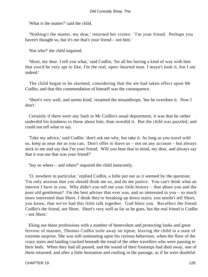'What is the matter?' said the child.

 'Nothing's the matter, my dear,' returned her visitor. 'I'm your friend. Perhaps you haven't thought so, but it's me that's your friend – not him.'

'Not who?' the child inquired.

 'Short, my dear. I tell you what,' said Codlin, 'for all his having a kind of way with him that you'd be very apt to like, I'm the real, open−hearted man. I mayn't look it, but I am indeed.'

 The child began to be alarmed, considering that the ale had taken effect upon Mr Codlin, and that this commendation of himself was the consequence.

 'Short's very well, and seems kind,' resumed the misanthrope, 'but he overdoes it. Now I don't.'

 Certainly if there were any fault in Mr Codlin's usual deportment, it was that he rather underdid his kindness to those about him, than overdid it. But the child was puzzled, and could not tell what to say.

 'Take my advice,' said Codlin: 'don't ask me why, but take it. As long as you travel with us, keep as near me as you can. Don't offer to leave us – not on any account – but always stick to me and say that I'm your friend. Will you bear that in mind, my dear, and always say that it was me that was your friend?'

'Say so where – and when?' inquired the child innocently.

 'O, nowhere in particular,' replied Codlin, a little put out as it seemed by the question; 'I'm only anxious that you should think me so, and do me justice. You can't think what an interest I have in you. Why didn't you tell me your little history – that about you and the poor old gentleman? I'm the best adviser that ever was, and so interested in you – so much more interested than Short. I think they're breaking up down stairs; you needn't tell Short, you know, that we've had this little talk together. God bless you. Recollect the friend. Codlin's the friend, not Short. Short's very well as far as he goes, but the real friend is Codlin – not Short.'

 Eking out these professions with a number of benevolent and protecting looks and great fervour of manner, Thomas Codlin stole away on tiptoe, leaving the child in a state of extreme surprise. She was still ruminating upon his curious behaviour, when the floor of the crazy stairs and landing cracked beneath the tread of the other travellers who were passing to their beds. When they had all passed, and the sound of their footsteps had died away, one of them returned, and after a little hesitation and rustling in the passage, as if he were doubtful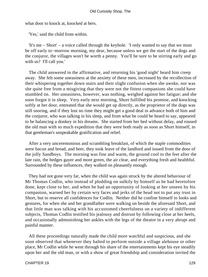what door to knock at, knocked at hers.

'Yes,' said the child from within.

 'It's me – Short' – a voice called through the keyhole. 'I only wanted to say that we must be off early to−morrow morning, my dear, because unless we get the start of the dogs and the conjuror, the villages won't be worth a penny. You'll be sure to be stirring early and go with us? I'll call you.'

 The child answered in the affirmative, and returning his 'good night' heard him creep away. She felt some uneasiness at the anxiety of these men, increased by the recollection of their whispering together down stairs and their slight confusion when she awoke, nor was she quite free from a misgiving that they were not the fittest companions she could have stumbled on. Her uneasiness, however, was nothing, weighed against her fatigue; and she soon forgot it in sleep. Very early next morning, Short fulfilled his promise, and knocking softly at her door, entreated that she would get up directly, as the proprietor of the dogs was still snoring, and if they lost no time they might get a good deal in advance both of him and the conjuror, who was talking in his sleep, and from what he could be heard to say, appeared to be balancing a donkey in his dreams. She started from her bed without delay, and roused the old man with so much expedition that they were both ready as soon as Short himself, to that gentleman's unspeakable gratification and relief.

 After a very unceremonious and scrambling breakfast, of which the staple commodities were bacon and bread, and beer, they took leave of the landlord and issued from the door of the jolly Sandboys. The morning was fine and warm, the ground cool to the feet after the late rain, the hedges gayer and more green, the air clear, and everything fresh and healthful. Surrounded by these influences, they walked on pleasantly enough.

 They had not gone very far, when the child was again struck by the altered behaviour of Mr Thomas Codlin, who instead of plodding on sulkily by himself as he had heretofore done, kept close to her, and when he had an opportunity of looking at her unseen by his companion, warned her by certain wry faces and jerks of the head not to put any trust in Short, but to reserve all confidences for Codlin. Neither did he confine himself to looks and gestures, for when she and her grandfather were walking on beside the aforesaid Short, and that little man was talking with his accustomed cheerfulness on a variety of indifferent subjects, Thomas Codlin testified his jealousy and distrust by following close at her heels, and occasionally admonishing her ankles with the legs of the theatre in a very abrupt and painful manner.

 All these proceedings naturally made the child more watchful and suspicious, and she soon observed that whenever they halted to perform outside a village alehouse or other place, Mr Codlin while he went through his share of the entertainments kept his eye steadily upon her and the old man, or with a show of great friendship and consideration invited the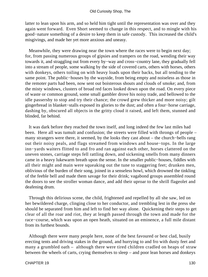latter to lean upon his arm, and so held him tight until the representation was over and they again went forward. Even Short seemed to change in this respect, and to mingle with his good−nature something of a desire to keep them in safe custody. This increased the child's misgivings, and made her yet more anxious and uneasy.

 Meanwhile, they were drawing near the town where the races were to begin next day; for, from passing numerous groups of gipsies and trampers on the road, wending their way towards it, and straggling out from every by−way and cross−country lane, they gradually fell into a stream of people, some walking by the side of covered carts, others with horses, others with donkeys, others toiling on with heavy loads upon their backs, but all tending to the same point. The public−houses by the wayside, from being empty and noiseless as those in the remoter parts had been, now sent out boisterous shouts and clouds of smoke; and, from the misty windows, clusters of broad red faces looked down upon the road. On every piece of waste or common ground, some small gambler drove his noisy trade, and bellowed to the idle passersby to stop and try their chance; the crowd grew thicker and more noisy; gilt gingerbread in blanket−stalls exposed its glories to the dust; and often a four−horse carriage, dashing by, obscured all objects in the gritty cloud it raised, and left them, stunned and blinded, far behind.

 It was dark before they reached the town itself, and long indeed the few last miles had been. Here all was tumult and confusion; the streets were filled with throngs of people – many strangers were there, it seemed, by the looks they cast about – the church−bells rang out their noisy peals, and flags streamed from windows and house−tops. In the large inn−yards waiters flitted to and fro and ran against each other, horses clattered on the uneven stones, carriage steps fell rattling down, and sickening smells from many dinners came in a heavy lukewarm breath upon the sense. In the smaller public−houses, fiddles with all their might and main were squeaking out the tune to staggering feet; drunken men, oblivious of the burden of their song, joined in a senseless howl, which drowned the tinkling of the feeble bell and made them savage for their drink; vagabond groups assembled round the doors to see the stroller woman dance, and add their uproar to the shrill flageolet and deafening drum.

 Through this delirious scene, the child, frightened and repelled by all she saw, led on her bewildered charge, clinging close to her conductor, and trembling lest in the press she should be separated from him and left to find her way alone. Quickening their steps to get clear of all the roar and riot, they at length passed through the town and made for the race−course, which was upon an open heath, situated on an eminence, a full mile distant from its furthest bounds.

 Although there were many people here, none of the best favoured or best clad, busily erecting tents and driving stakes in the ground, and hurrying to and fro with dusty feet and many a grumbled oath – although there were tired children cradled on heaps of straw between the wheels of carts, crying themselves to sleep – and poor lean horses and donkeys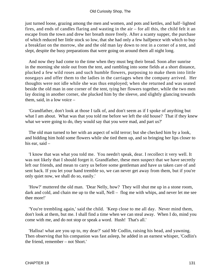just turned loose, grazing among the men and women, and pots and kettles, and half−lighted fires, and ends of candles flaring and wasting in the air – for all this, the child felt it an escape from the town and drew her breath more freely. After a scanty supper, the purchase of which reduced her little stock so low, that she had only a few halfpence with which to buy a breakfast on the morrow, she and the old man lay down to rest in a corner of a tent, and slept, despite the busy preparations that were going on around them all night long.

 And now they had come to the time when they must beg their bread. Soon after sunrise in the morning she stole out from the tent, and rambling into some fields at a short distance, plucked a few wild roses and such humble flowers, purposing to make them into little nosegays and offer them to the ladies in the carriages when the company arrived. Her thoughts were not idle while she was thus employed; when she returned and was seated beside the old man in one corner of the tent, tying her flowers together, while the two men lay dozing in another corner, she plucked him by the sleeve, and slightly glancing towards them, said, in a low voice –

 'Grandfather, don't look at those I talk of, and don't seem as if I spoke of anything but what I am about. What was that you told me before we left the old house? That if they knew what we were going to do, they would say that you were mad, and part us?'

 The old man turned to her with an aspect of wild terror; but she checked him by a look, and bidding him hold some flowers while she tied them up, and so bringing her lips closer to his ear, said –

 'I know that was what you told me. You needn't speak, dear. I recollect it very well. It was not likely that I should forget it. Grandfather, these men suspect that we have secretly left our friends, and mean to carry us before some gentleman and have us taken care of and sent back. If you let your hand tremble so, we can never get away from them, but if you're only quiet now, we shall do so, easily.'

 'How?' muttered the old man. 'Dear Nelly, how? They will shut me up in a stone room, dark and cold, and chain me up to the wall, Nell – flog me with whips, and never let me see thee more!'

 'You're trembling again,' said the child. 'Keep close to me all day. Never mind them, don't look at them, but me. I shall find a time when we can steal away. When I do, mind you come with me, and do not stop or speak a word. Hush! That's all.'

 'Halloa! what are you up to, my dear?' said Mr Codlin, raising his head, and yawning. Then observing that his companion was fast asleep, he added in an earnest whisper, 'Codlin's the friend, remember – not Short.'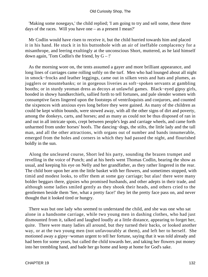'Making some nosegays,' the child replied; 'I am going to try and sell some, these three days of the races. Will you have one – as a present I mean?'

 Mr Codlin would have risen to receive it, but the child hurried towards him and placed it in his hand. He stuck it in his buttonhole with an air of ineffable complacency for a misanthrope, and leering exultingly at the unconscious Short, muttered, as he laid himself down again, 'Tom Codlin's the friend, by  $G -$ !'

 As the morning wore on, the tents assumed a gayer and more brilliant appearance, and long lines of carriages came rolling softly on the turf. Men who had lounged about all night in smock−frocks and leather leggings, came out in silken vests and hats and plumes, as jugglers or mountebanks; or in gorgeous liveries as soft−spoken servants at gambling booths; or in sturdy yeoman dress as decoys at unlawful games. Black−eyed gipsy girls, hooded in showy handkerchiefs, sallied forth to tell fortunes, and pale slender women with consumptive faces lingered upon the footsteps of ventriloquists and conjurors, and counted the sixpences with anxious eyes long before they were gained. As many of the children as could be kept within bounds, were stowed away, with all the other signs of dirt and poverty, among the donkeys, carts, and horses; and as many as could not be thus disposed of ran in and out in all intricate spots, crept between people's legs and carriage wheels, and came forth unharmed from under horses' hoofs. The dancing−dogs, the stilts, the little lady and the tall man, and all the other attractions, with organs out of number and bands innumerable, emerged from the holes and corners in which they had passed the night, and flourished boldly in the sun.

 Along the uncleared course, Short led his party, sounding the brazen trumpet and revelling in the voice of Punch; and at his heels went Thomas Codlin, bearing the show as usual, and keeping his eye on Nelly and her grandfather, as they rather lingered in the rear. The child bore upon her arm the little basket with her flowers, and sometimes stopped, with timid and modest looks, to offer them at some gay carriage; but alas! there were many bolder beggars there, gipsies who promised husbands, and other adepts in their trade, and although some ladies smiled gently as they shook their heads, and others cried to the gentlemen beside them 'See, what a pretty face!' they let the pretty face pass on, and never thought that it looked tired or hungry.

 There was but one lady who seemed to understand the child, and she was one who sat alone in a handsome carriage, while two young men in dashing clothes, who had just dismounted from it, talked and laughed loudly at a little distance, appearing to forget her, quite. There were many ladies all around, but they turned their backs, or looked another way, or at the two young men (not unfavourably at them), and left her to herself. She motioned away a gipsy−woman urgent to tell her fortune, saying that it was told already and had been for some years, but called the child towards her, and taking her flowers put money into her trembling hand, and bade her go home and keep at home for God's sake.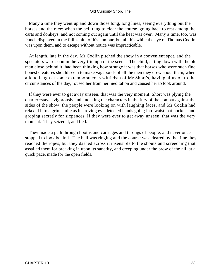Many a time they went up and down those long, long lines, seeing everything but the horses and the race; when the bell rang to clear the course, going back to rest among the carts and donkeys, and not coming out again until the heat was over. Many a time, too, was Punch displayed in the full zenith of his humour, but all this while the eye of Thomas Codlin was upon them, and to escape without notice was impracticable.

 At length, late in the day, Mr Codlin pitched the show in a convenient spot, and the spectators were soon in the very triumph of the scene. The child, sitting down with the old man close behind it, had been thinking how strange it was that horses who were such fine honest creatures should seem to make vagabonds of all the men they drew about them, when a loud laugh at some extemporaneous witticism of Mr Short's, having allusion to the circumstances of the day, roused her from her meditation and caused her to look around.

 If they were ever to get away unseen, that was the very moment. Short was plying the quarter−staves vigorously and knocking the characters in the fury of the combat against the sides of the show, the people were looking on with laughing faces, and Mr Codlin had relaxed into a grim smile as his roving eye detected hands going into waistcoat pockets and groping secretly for sixpences. If they were ever to get away unseen, that was the very moment. They seized it, and fled.

 They made a path through booths and carriages and throngs of people, and never once stopped to look behind. The bell was ringing and the course was cleared by the time they reached the ropes, but they dashed across it insensible to the shouts and screeching that assailed them for breaking in upon its sanctity, and creeping under the brow of the hill at a quick pace, made for the open fields.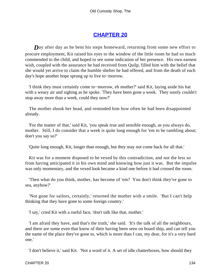# **[CHAPTER 20](#page-494-0)**

**Day** after day as he bent his steps homeward, returning from some new effort to procure employment, Kit raised his eyes to the window of the little room he had so much commended to the child, and hoped to see some indication of her presence. His own earnest wish, coupled with the assurance he had received from Quilp, filled him with the belief that she would yet arrive to claim the humble shelter he had offered, and from the death of each day's hope another hope sprung up to live to−morrow.

 'I think they must certainly come to−morrow, eh mother?' said Kit, laying aside his hat with a weary air and sighing as he spoke. 'They have been gone a week. They surely couldn't stop away more than a week, could they now?'

 The mother shook her head, and reminded him how often he had been disappointed already.

 'For the matter of that,' said Kit, 'you speak true and sensible enough, as you always do, mother. Still, I do consider that a week is quite long enough for 'em to be rambling about; don't you say so?'

'Quite long enough, Kit, longer than enough, but they may not come back for all that.'

 Kit was for a moment disposed to be vexed by this contradiction, and not the less so from having anticipated it in his own mind and knowing how just it was. But the impulse was only momentary, and the vexed look became a kind one before it had crossed the room.

 'Then what do you think, mother, has become of 'em? You don't think they've gone to sea, anyhow?'

 'Not gone for sailors, certainly,' returned the mother with a smile. 'But I can't help thinking that they have gone to some foreign country.'

'I say,' cried Kit with a rueful face, 'don't talk like that, mother.'

 'I am afraid they have, and that's the truth,' she said. 'It's the talk of all the neighbours, and there are some even that know of their having been seen on board ship, and can tell you the name of the place they've gone to, which is more than I can, my dear, for it's a very hard one.'

'I don't believe it,' said Kit. 'Not a word of it. A set of idle chatterboxes, how should they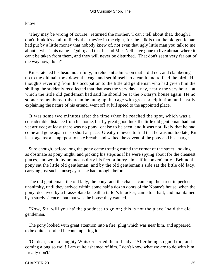### know!'

 'They may be wrong of course,' returned the mother, 'I can't tell about that, though I don't think it's at all unlikely that they're in the right, for the talk is that the old gentleman had put by a little money that nobody knew of, not even that ugly little man you talk to me about – what's his name – Quilp; and that he and Miss Nell have gone to live abroad where it can't be taken from them, and they will never be disturbed. That don't seem very far out of the way now, do it?'

 Kit scratched his head mournfully, in reluctant admission that it did not, and clambering up to the old nail took down the cage and set himself to clean it and to feed the bird. His thoughts reverting from this occupation to the little old gentleman who had given him the shilling, he suddenly recollected that that was the very day – nay, nearly the very hour – at which the little old gentleman had said he should be at the Notary's house again. He no sooner remembered this, than he hung up the cage with great precipitation, and hastily explaining the nature of his errand, went off at full speed to the appointed place.

 It was some two minutes after the time when he reached the spot, which was a considerable distance from his home, but by great good luck the little old gentleman had not yet arrived; at least there was no pony−chaise to be seen, and it was not likely that he had come and gone again in so short a space. Greatly relieved to find that he was not too late, Kit leant against a lamp−post to take breath, and waited the advent of the pony and his charge.

 Sure enough, before long the pony came trotting round the corner of the street, looking as obstinate as pony might, and picking his steps as if he were spying about for the cleanest places, and would by no means dirty his feet or hurry himself inconveniently. Behind the pony sat the little old gentleman, and by the old gentleman's side sat the little old lady, carrying just such a nosegay as she had brought before.

 The old gentleman, the old lady, the pony, and the chaise, came up the street in perfect unanimity, until they arrived within some half a dozen doors of the Notary's house, when the pony, deceived by a brass−plate beneath a tailor's knocker, came to a halt, and maintained by a sturdy silence, that that was the house they wanted.

 'Now, Sir, will you ha' the goodness to go on; this is not the place,' said the old gentleman.

 The pony looked with great attention into a fire−plug which was near him, and appeared to be quite absorbed in contemplating it.

 'Oh dear, such a naughty Whisker" cried the old lady. 'After being so good too, and coming along so well! I am quite ashamed of him. I don't know what we are to do with him, I really don't.'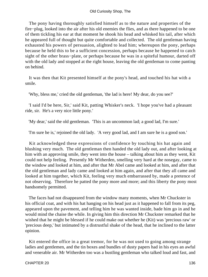#### Old Curiosity Shop, The

 The pony having thoroughly satisfied himself as to the nature and properties of the fire−plug, looked into the air after his old enemies the flies, and as there happened to be one of them tickling his ear at that moment he shook his head and whisked his tail, after which he appeared full of thought but quite comfortable and collected. The old gentleman having exhausted his powers of persuasion, alighted to lead him; whereupon the pony, perhaps because he held this to be a sufficient concession, perhaps because he happened to catch sight of the other brass−plate, or perhaps because he was in a spiteful humour, darted off with the old lady and stopped at the right house, leaving the old gentleman to come panting on behind.

 It was then that Kit presented himself at the pony's head, and touched his hat with a smile.

'Why, bless me,' cried the old gentleman, 'the lad is here! My dear, do you see?'

 'I said I'd be here, Sir,' said Kit, patting Whisker's neck. 'I hope you've had a pleasant ride, sir. He's a very nice little pony.'

'My dear,' said the old gentleman. 'This is an uncommon lad; a good lad, I'm sure.'

'I'm sure he is,' rejoined the old lady. 'A very good lad, and I am sure he is a good son.'

 Kit acknowledged these expressions of confidence by touching his hat again and blushing very much. The old gentleman then handed the old lady out, and after looking at him with an approving smile, they went into the house – talking about him as they went, Kit could not help feeling. Presently Mr Witherden, smelling very hard at the nosegay, came to the window and looked at him, and after that Mr Abel came and looked at him, and after that the old gentleman and lady came and looked at him again, and after that they all came and looked at him together, which Kit, feeling very much embarrassed by, made a pretence of not observing. Therefore he patted the pony more and more; and this liberty the pony most handsomely permitted.

 The faces had not disappeared from the window many moments, when Mr Chuckster in his official coat, and with his hat hanging on his head just as it happened to fall from its peg, appeared upon the pavement, and telling him he was wanted inside, bade him go in and he would mind the chaise the while. In giving him this direction Mr Chuckster remarked that he wished that he might be blessed if he could make out whether he (Kit) was 'precious raw' or 'precious deep,' but intimated by a distrustful shake of the head, that he inclined to the latter opinion.

 Kit entered the office in a great tremor, for he was not used to going among strange ladies and gentlemen, and the tin boxes and bundles of dusty papers had in his eyes an awful and venerable air. Mr Witherden too was a bustling gentleman who talked loud and fast, and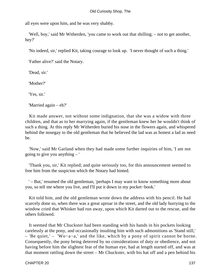all eyes were upon him, and he was very shabby.

 'Well, boy,' said Mr Witherden, 'you came to work out that shilling; – not to get another, hey?'

'No indeed, sir,' replied Kit, taking courage to look up. 'I never thought of such a thing.'

'Father alive?' said the Notary.

'Dead, sir.'

'Mother?'

'Yes, sir.'

'Married again – eh?'

 Kit made answer, not without some indignation, that she was a widow with three children, and that as to her marrying again, if the gentleman knew her he wouldn't think of such a thing. At this reply Mr Witherden buried his nose in the flowers again, and whispered behind the nosegay to the old gentleman that he believed the lad was as honest a lad as need be.

 'Now,' said Mr Garland when they had made some further inquiries of him, 'I am not going to give you anything – '

 'Thank you, sir,' Kit replied; and quite seriously too, for this announcement seemed to free him from the suspicion which the Notary had hinted.

 ' – But,' resumed the old gentleman, 'perhaps I may want to know something more about you, so tell me where you live, and I'll put it down in my pocket−book.'

 Kit told him, and the old gentleman wrote down the address with his pencil. He had scarcely done so, when there was a great uproar in the street, and the old lady hurrying to the window cried that Whisker had run away, upon which Kit darted out to the rescue, and the others followed.

 It seemed that Mr Chuckster had been standing with his hands in his pockets looking carelessly at the pony, and occasionally insulting him with such admonitions as 'Stand still,' – 'Be quiet,' – 'Wo−a−a,' and the like, which by a pony of spirit cannot be borne. Consequently, the pony being deterred by no considerations of duty or obedience, and not having before him the slightest fear of the human eye, had at length started off, and was at that moment rattling down the street – Mr Chuckster, with his hat off and a pen behind his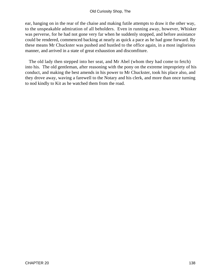ear, hanging on in the rear of the chaise and making futile attempts to draw it the other way, to the unspeakable admiration of all beholders. Even in running away, however, Whisker was perverse, for he had not gone very far when he suddenly stopped, and before assistance could be rendered, commenced backing at nearly as quick a pace as he had gone forward. By these means Mr Chuckster was pushed and hustled to the office again, in a most inglorious manner, and arrived in a state of great exhaustion and discomfiture.

 The old lady then stepped into her seat, and Mr Abel (whom they had come to fetch) into his. The old gentleman, after reasoning with the pony on the extreme impropriety of his conduct, and making the best amends in his power to Mr Chuckster, took his place also, and they drove away, waving a farewell to the Notary and his clerk, and more than once turning to nod kindly to Kit as he watched them from the road.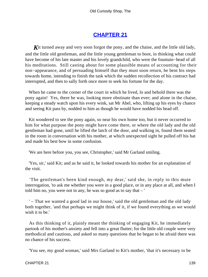# **[CHAPTER 21](#page-495-0)**

**K**it turned away and very soon forgot the pony, and the chaise, and the little old lady, and the little old gentleman, and the little young gentleman to boot, in thinking what could have become of his late master and his lovely grandchild, who were the fountain−head of all his meditations. Still casting about for some plausible means of accounting for their non−appearance, and of persuading himself that they must soon return, he bent his steps towards home, intending to finish the task which the sudden recollection of his contract had interrupted, and then to sally forth once more to seek his fortune for the day.

 When he came to the corner of the court in which he lived, lo and behold there was the pony again! Yes, there he was, looking more obstinate than ever; and alone in the chaise, keeping a steady watch upon his every wink, sat Mr Abel, who, lifting up his eyes by chance and seeing Kit pass by, nodded to him as though he would have nodded his head off.

 Kit wondered to see the pony again, so near his own home too, but it never occurred to him for what purpose the pony might have come there, or where the old lady and the old gentleman had gone, until he lifted the latch of the door, and walking in, found them seated in the room in conversation with his mother, at which unexpected sight he pulled off his hat and made his best bow in some confusion.

'We are here before you, you see, Christopher,' said Mr Garland smiling.

 'Yes, sir,' said Kit; and as he said it, he looked towards his mother for an explanation of the visit.

 'The gentleman's been kind enough, my dear,' said she, in reply to this mute interrogation, 'to ask me whether you were in a good place, or in any place at all, and when I told him no, you were not in any, he was so good as to say that  $-$ '

 ' – That we wanted a good lad in our house,' said the old gentleman and the old lady both together, 'and that perhaps we might think of it, if we found everything as we would wish it to be.'

 As this thinking of it, plainly meant the thinking of engaging Kit, he immediately partook of his mother's anxiety and fell into a great flutter; for the little old couple were very methodical and cautious, and asked so many questions that he began to be afraid there was no chance of his success.

'You see, my good woman,' said Mrs Garland to Kit's mother, 'that it's necessary to be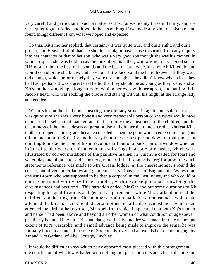very careful and particular in such a matter as this, for we're only three in family, and are very quiet regular folks, and it would be a sad thing if we made any kind of mistake, and found things different from what we hoped and expected.'

 To this, Kit's mother replied, that certainly it was quite true, and quite right, and quite proper, and Heaven forbid that she should shrink, or have cause to shrink, from any inquiry into her character or that of her son, who was a very good son though she was his mother, in which respect, she was bold to say, he took after his father, who was not only a good son to HIS mother, but the best of husbands and the best of fathers besides, which Kit could and would corroborate she knew, and so would little Jacob and the baby likewise if they were old enough, which unfortunately they were not, though as they didn't know what a loss they had had, perhaps it was a great deal better that they should be as young as they were; and so Kit's mother wound up a long story by wiping her eyes with her apron, and patting little Jacob's head, who was rocking the cradle and staring with all his might at the strange lady and gentleman.

 When Kit's mother had done speaking, the old lady struck in again, and said that she was quite sure she was a very honest and very respectable person or she never would have expressed herself in that manner, and that certainly the appearance of the children and the cleanliness of the house deserved great praise and did her the utmost credit, whereat Kit's mother dropped a curtsey and became consoled. Then the good woman entered in a long and minute account of Kit's life and history from the earliest period down to that time, not omitting to make mention of his miraculous fall out of a back−parlour window when an infant of tender years, or his uncommon sufferings in a state of measles, which were illustrated by correct imitations of the plaintive manner in which he called for toast and water, day and night, and said, 'don't cry, mother, I shall soon be better;' for proof of which statements reference was made to Mrs Green, lodger, at the cheesemonger's round the corner, and divers other ladies and gentlemen in various parts of England and Wales (and one Mr Brown who was supposed to be then a corporal in the East Indies, and who could of course be found with very little trouble), within whose personal knowledge the circumstances had occurred. This narration ended, Mr Garland put some questions to Kit respecting his qualifications and general acquirements, while Mrs Garland noticed the children, and hearing from Kit's mother certain remarkable circumstances which had attended the birth of each, related certain other remarkable circumstances which had attended the birth of her own son, Mr Abel, from which it appeared that both Kit's mother and herself had been, above and beyond all other women of what condition or age soever, peculiarly hemmed in with perils and dangers. Lastly, inquiry was made into the nature and extent of Kit's wardrobe, and a small advance being made to improve the same, he was formally hired at an annual income of Six Pounds, over and above his board and lodging, by Mr and Mrs Garland, of Abel Cottage, Finchley.

 It would be difficult to say which party appeared most pleased with this arrangement, the conclusion of which was hailed with nothing but pleasant looks and cheerful smiles on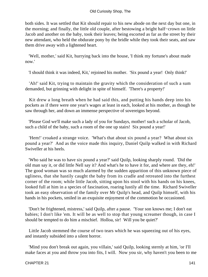both sides. It was settled that Kit should repair to his new abode on the next day but one, in the morning; and finally, the little old couple, after bestowing a bright half−crown on little Jacob and another on the baby, took their leaves; being escorted as far as the street by their new attendant, who held the obdurate pony by the bridle while they took their seats, and saw them drive away with a lightened heart.

 'Well, mother,' said Kit, hurrying back into the house, 'I think my fortune's about made now.'

'I should think it was indeed, Kit,' rejoined his mother. 'Six pound a year! Only think!'

 'Ah!' said Kit, trying to maintain the gravity which the consideration of such a sum demanded, but grinning with delight in spite of himself. 'There's a property!'

 Kit drew a long breath when he had said this, and putting his hands deep into his pockets as if there were one year's wages at least in each, looked at his mother, as though he saw through her, and down an immense perspective of sovereigns beyond.

 'Please God we'll make such a lady of you for Sundays, mother! such a scholar of Jacob, such a child of the baby, such a room of the one up stairs! Six pound a year!'

 'Hem!' croaked a strange voice. 'What's that about six pound a year? What about six pound a year?' And as the voice made this inquiry, Daniel Quilp walked in with Richard Swiveller at his heels.

 'Who said he was to have six pound a year?' said Quilp, looking sharply round. 'Did the old man say it, or did little Nell say it? And what's he to have it for, and where are they, eh!' The good woman was so much alarmed by the sudden apparition of this unknown piece of ugliness, that she hastily caught the baby from its cradle and retreated into the furthest corner of the room; while little Jacob, sitting upon his stool with his hands on his knees, looked full at him in a species of fascination, roaring lustily all the time. Richard Swiveller took an easy observation of the family over Mr Quilp's head, and Quilp himself, with his hands in his pockets, smiled in an exquisite enjoyment of the commotion he occasioned.

 'Don't be frightened, mistress,' said Quilp, after a pause. 'Your son knows me; I don't eat babies; I don't like 'em. It will be as well to stop that young screamer though, in case I should be tempted to do him a mischief. Holloa, sir! Will you be quiet?'

 Little Jacob stemmed the course of two tears which he was squeezing out of his eyes, and instantly subsided into a silent horror.

 'Mind you don't break out again, you villain,' said Quilp, looking sternly at him, 'or I'll make faces at you and throw you into fits, I will. Now you sir, why haven't you been to me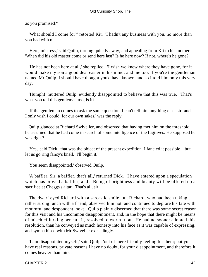as you promised?'

 'What should I come for?' retorted Kit. 'I hadn't any business with you, no more than you had with me.'

 'Here, mistress,' said Quilp, turning quickly away, and appealing from Kit to his mother. 'When did his old master come or send here last? Is he here now? If not, where's he gone?'

 'He has not been here at all,' she replied. 'I wish we knew where they have gone, for it would make my son a good deal easier in his mind, and me too. If you're the gentleman named Mr Quilp, I should have thought you'd have known, and so I told him only this very day.'

 'Humph!' muttered Quilp, evidently disappointed to believe that this was true. 'That's what you tell this gentleman too, is it?'

 'If the gentleman comes to ask the same question, I can't tell him anything else, sir; and I only wish I could, for our own sakes,' was the reply.

 Quilp glanced at Richard Swiveller, and observed that having met him on the threshold, he assumed that he had come in search of some intelligence of the fugitives. He supposed he was right?

 'Yes,' said Dick, 'that was the object of the present expedition. I fancied it possible – but let us go ring fancy's knell. I'll begin it.'

'You seem disappointed,' observed Quilp.

 'A baffler, Sir, a baffler, that's all,' returned Dick. 'I have entered upon a speculation which has proved a baffler; and a Being of brightness and beauty will be offered up a sacrifice at Cheggs's altar. That's all, sir.'

 The dwarf eyed Richard with a sarcastic smile, but Richard, who had been taking a rather strong lunch with a friend, observed him not, and continued to deplore his fate with mournful and despondent looks. Quilp plainly discerned that there was some secret reason for this visit and his uncommon disappointment, and, in the hope that there might be means of mischief lurking beneath it, resolved to worm it out. He had no sooner adopted this resolution, than he conveyed as much honesty into his face as it was capable of expressing, and sympathised with Mr Swiveller exceedingly.

 'I am disappointed myself,' said Quilp, 'out of mere friendly feeling for them; but you have real reasons, private reasons I have no doubt, for your disappointment, and therefore it comes heavier than mine.'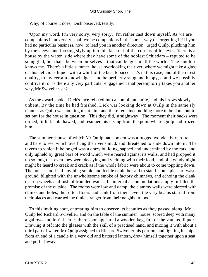#### Old Curiosity Shop, The

'Why, of course it does,' Dick observed, testily.

 'Upon my word, I'm very sorry, very sorry. I'm rather cast down myself. As we are companions in adversity, shall we be companions in the surest way of forgetting it? If you had no particular business, now, to lead you in another direction,' urged Quilp, plucking him by the sleeve and looking slyly up into his face out of the corners of his eyes, 'there is a house by the water−side where they have some of the noblest Schiedam – reputed to be smuggled, but that's between ourselves – that can be got in all the world. The landlord knows me. There's a little summer−house overlooking the river, where we might take a glass of this delicious liquor with a whiff of the best tobacco – it's in this case, and of the rarest quality, to my certain knowledge – and be perfectly snug and happy, could we possibly contrive it; or is there any very particular engagement that peremptorily takes you another way, Mr Swiveller, eh?'

 As the dwarf spoke, Dick's face relaxed into a compliant smile, and his brows slowly unbent. By the time he had finished, Dick was looking down at Quilp in the same sly manner as Quilp was looking up at him, and there remained nothing more to be done but to set out for the house in question. This they did, straightway. The moment their backs were turned, little Jacob thawed, and resumed his crying from the point where Quilp had frozen him.

 The summer−house of which Mr Quilp had spoken was a rugged wooden box, rotten and bare to see, which overhung the river's mud, and threatened to slide down into it. The tavern to which it belonged was a crazy building, sapped and undermined by the rats, and only upheld by great bars of wood which were reared against its walls, and had propped it up so long that even they were decaying and yielding with their load, and of a windy night might be heard to creak and crack as if the whole fabric were about to come toppling down. The house stood – if anything so old and feeble could be said to stand – on a piece of waste ground, blighted with the unwholesome smoke of factory chimneys, and echoing the clank of iron wheels and rush of troubled water. Its internal accommodations amply fulfilled the promise of the outside. The rooms were low and damp, the clammy walls were pierced with chinks and holes, the rotten floors had sunk from their level, the very beams started from their places and warned the timid stranger from their neighbourhood.

 To this inviting spot, entreating him to observe its beauties as they passed along, Mr Quilp led Richard Swiveller, and on the table of the summer−house, scored deep with many a gallows and initial letter, there soon appeared a wooden keg, full of the vaunted liquor. Drawing it off into the glasses with the skill of a practised hand, and mixing it with about a third part of water, Mr Quilp assigned to Richard Swiveller his portion, and lighting his pipe from an end of a candle in a very old and battered lantern, drew himself together upon a seat and puffed away.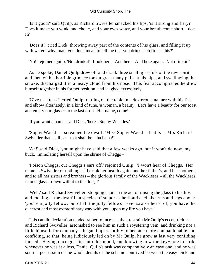'Is it good?' said Quilp, as Richard Swiveller smacked his lips, 'is it strong and fiery? Does it make you wink, and choke, and your eyes water, and your breath come short – does it?'

 'Does it?' cried Dick, throwing away part of the contents of his glass, and filling it up with water, 'why, man, you don't mean to tell me that you drink such fire as this?'

'No!' rejoined Quilp, 'Not drink it! Look here. And here. And here again. Not drink it!'

 As he spoke, Daniel Quilp drew off and drank three small glassfuls of the raw spirit, and then with a horrible grimace took a great many pulls at his pipe, and swallowing the smoke, discharged it in a heavy cloud from his nose. This feat accomplished he drew himself together in his former position, and laughed excessively.

 'Give us a toast!' cried Quilp, rattling on the table in a dexterous manner with his fist and elbow alternately, in a kind of tune, 'a woman, a beauty. Let's have a beauty for our toast and empty our glasses to the last drop. Her name, come!'

'If you want a name,' said Dick, 'here's Sophy Wackles.'

 'Sophy Wackles,' screamed the dwarf, 'Miss Sophy Wackles that is – Mrs Richard Swiveller that shall be  $-$  that shall be  $-$  ha ha ha!'

 'Ah!' said Dick, 'you might have said that a few weeks ago, but it won't do now, my buck. Immolating herself upon the shrine of Cheggs – '

 'Poison Cheggs, cut Cheggs's ears off,' rejoined Quilp. 'I won't hear of Cheggs. Her name is Swiveller or nothing. I'll drink her health again, and her father's, and her mother's; and to all her sisters and brothers – the glorious family of the Wackleses – all the Wackleses in one glass – down with it to the dregs!'

 'Well,' said Richard Swiveller, stopping short in the act of raising the glass to his lips and looking at the dwarf in a species of stupor as he flourished his arms and legs about: 'you're a jolly fellow, but of all the jolly fellows I ever saw or heard of, you have the queerest and most extraordinary way with you, upon my life you have.'

 This candid declaration tended rather to increase than restrain Mr Quilp's eccentricities, and Richard Swiveller, astonished to see him in such a roystering vein, and drinking not a little himself, for company – began imperceptibly to become more companionable and confiding, so that, being judiciously led on by Mr Quilp, he grew at last very confiding indeed. Having once got him into this mood, and knowing now the key−note to strike whenever he was at a loss, Daniel Quilp's task was comparatively an easy one, and he was soon in possession of the whole details of the scheme contrived between the easy Dick and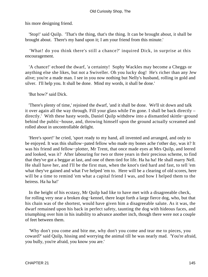his more designing friend.

 'Stop!' said Quilp. 'That's the thing, that's the thing. It can be brought about, it shall be brought about. There's my hand upon it; I am your friend from this minute.'

 'What! do you think there's still a chance?' inquired Dick, in surprise at this encouragement.

 'A chance!' echoed the dwarf, 'a certainty! Sophy Wackles may become a Cheggs or anything else she likes, but not a Swiveller. Oh you lucky dog! He's richer than any Jew alive; you're a made man. I see in you now nothing but Nelly's husband, rolling in gold and silver. I'll help you. It shall be done. Mind my words, it shall be done.'

'But how?' said Dick.

 'There's plenty of time,' rejoined the dwarf, 'and it shall be done. We'll sit down and talk it over again all the way through. Fill your glass while I'm gone. I shall be back directly – directly.' With these hasty words, Daniel Quilp withdrew into a dismantled skittle−ground behind the public−house, and, throwing himself upon the ground actually screamed and rolled about in uncontrollable delight.

 'Here's sport!' he cried, 'sport ready to my hand, all invented and arranged, and only to be enjoyed. It was this shallow−pated fellow who made my bones ache t'other day, was it? It was his friend and fellow−plotter, Mr Trent, that once made eyes at Mrs Quilp, and leered and looked, was it? After labouring for two or three years in their precious scheme, to find that they've got a beggar at last, and one of them tied for life. Ha ha ha! He shall marry Nell. He shall have her, and I'll be the first man, when the knot's tied hard and fast, to tell 'em what they've gained and what I've helped 'em to. Here will be a clearing of old scores, here will be a time to remind 'em what a capital friend I was, and how I helped them to the heiress. Ha ha ha!'

 In the height of his ecstasy, Mr Quilp had like to have met with a disagreeable check, for rolling very near a broken dog−kennel, there leapt forth a large fierce dog, who, but that his chain was of the shortest, would have given him a disagreeable salute. As it was, the dwarf remained upon his back in perfect safety, taunting the dog with hideous faces, and triumphing over him in his inability to advance another inch, though there were not a couple of feet between them.

 'Why don't you come and bite me, why don't you come and tear me to pieces, you coward?' said Quilp, hissing and worrying the animal till he was nearly mad. 'You're afraid, you bully, you're afraid, you know you are.'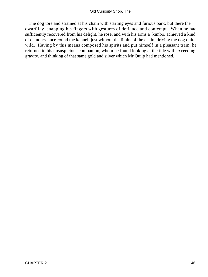The dog tore and strained at his chain with starting eyes and furious bark, but there the dwarf lay, snapping his fingers with gestures of defiance and contempt. When he had sufficiently recovered from his delight, he rose, and with his arms a−kimbo, achieved a kind of demon−dance round the kennel, just without the limits of the chain, driving the dog quite wild. Having by this means composed his spirits and put himself in a pleasant train, he returned to his unsuspicious companion, whom he found looking at the tide with exceeding gravity, and thinking of that same gold and silver which Mr Quilp had mentioned.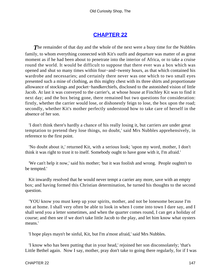# **[CHAPTER 22](#page-495-0)**

**The remainder of that day and the whole of the next were a busy time for the Nubbles** family, to whom everything connected with Kit's outfit and departure was matter of as great moment as if he had been about to penetrate into the interior of Africa, or to take a cruise round the world. It would be difficult to suppose that there ever was a box which was opened and shut so many times within four−and−twenty hours, as that which contained his wardrobe and necessaries; and certainly there never was one which to two small eyes presented such a mine of clothing, as this mighty chest with its three shirts and proportionate allowance of stockings and pocket−handkerchiefs, disclosed to the astonished vision of little Jacob. At last it was conveyed to the carrier's, at whose house at Finchley Kit was to find it next day; and the box being gone, there remained but two questions for consideration: firstly, whether the carrier would lose, or dishonestly feign to lose, the box upon the road; secondly, whether Kit's mother perfectly understood how to take care of herself in the absence of her son.

 'I don't think there's hardly a chance of his really losing it, but carriers are under great temptation to pretend they lose things, no doubt,' said Mrs Nubbles apprehensively, in reference to the first point.

 'No doubt about it,' returned Kit, with a serious look; 'upon my word, mother, I don't think it was right to trust it to itself. Somebody ought to have gone with it, I'm afraid.'

 'We can't help it now,' said his mother; 'but it was foolish and wrong. People oughtn't to be tempted.'

 Kit inwardly resolved that he would never tempt a carrier any more, save with an empty box; and having formed this Christian determination, he turned his thoughts to the second question.

 'YOU know you must keep up your spirits, mother, and not be lonesome because I'm not at home. I shall very often be able to look in when I come into town I dare say, and I shall send you a letter sometimes, and when the quarter comes round, I can get a holiday of course; and then see if we don't take little Jacob to the play, and let him know what oysters means.'

'I hope plays mayn't be sinful, Kit, but I'm a'most afraid,' said Mrs Nubbles.

 'I know who has been putting that in your head,' rejoined her son disconsolately; 'that's Little Bethel again. Now I say, mother, pray don't take to going there regularly, for if I was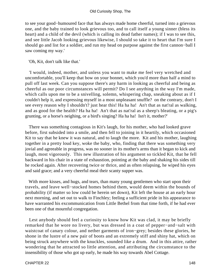to see your good−humoured face that has always made home cheerful, turned into a grievous one, and the baby trained to look grievous too, and to call itself a young sinner (bless its heart) and a child of the devil (which is calling its dead father names); if I was to see this, and see little Jacob looking grievous likewise, I should so take it to heart that I'm sure I should go and list for a soldier, and run my head on purpose against the first cannon−ball I saw coming my way.'

'Oh, Kit, don't talk like that.'

 'I would, indeed, mother, and unless you want to make me feel very wretched and uncomfortable, you'll keep that bow on your bonnet, which you'd more than half a mind to pull off last week. Can you suppose there's any harm in looking as cheerful and being as cheerful as our poor circumstances will permit? Do I see anything in the way I'm made, which calls upon me to be a snivelling, solemn, whispering chap, sneaking about as if I couldn't help it, and expressing myself in a most unpleasant snuffle? on the contrary, don't I see every reason why I shouldn't? just hear this! Ha ha ha! An't that as nat'ral as walking, and as good for the health? Ha ha ha! An't that as nat'ral as a sheep's bleating, or a pig's grunting, or a horse's neighing, or a bird's singing? Ha ha ha! Isn't it, mother?'

 There was something contagious in Kit's laugh, for his mother, who had looked grave before, first subsided into a smile, and then fell to joining in it heartily, which occasioned Kit to say that he knew it was natural, and to laugh the more. Kit and his mother, laughing together in a pretty loud key, woke the baby, who, finding that there was something very jovial and agreeable in progress, was no sooner in its mother's arms than it began to kick and laugh, most vigorously. This new illustration of his argument so tickled Kit, that he fell backward in his chair in a state of exhaustion, pointing at the baby and shaking his sides till he rocked again. After recovering twice or thrice, and as often relapsing, he wiped his eyes and said grace; and a very cheerful meal their scanty supper was.

 With more kisses, and hugs, and tears, than many young gentlemen who start upon their travels, and leave well−stocked homes behind them, would deem within the bounds of probability (if matter so low could be herein set down), Kit left the house at an early hour next morning, and set out to walk to Finchley; feeling a sufficient pride in his appearance to have warranted his excommunication from Little Bethel from that time forth, if he had ever been one of that mournful congregation.

 Lest anybody should feel a curiosity to know how Kit was clad, it may be briefly remarked that he wore no livery, but was dressed in a coat of pepper−and−salt with waistcoat of canary colour, and nether garments of iron−grey; besides these glories, he shone in the lustre of a new pair of boots and an extremely stiff and shiny hat, which on being struck anywhere with the knuckles, sounded like a drum. And in this attire, rather wondering that he attracted so little attention, and attributing the circumstance to the insensibility of those who got up early, he made his way towards Abel Cottage.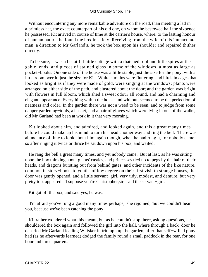Without encountering any more remarkable adventure on the road, than meeting a lad in a brimless hat, the exact counterpart of his old one, on whom he bestowed half the sixpence he possessed, Kit arrived in course of time at the carrier's house, where, to the lasting honour of human nature, he found the box in safety. Receiving from the wife of this immaculate man, a direction to Mr Garland's, he took the box upon his shoulder and repaired thither directly.

 To be sure, it was a beautiful little cottage with a thatched roof and little spires at the gable−ends, and pieces of stained glass in some of the windows, almost as large as pocket−books. On one side of the house was a little stable, just the size for the pony, with a little room over it, just the size for Kit. White curtains were fluttering, and birds in cages that looked as bright as if they were made of gold, were singing at the windows; plants were arranged on either side of the path, and clustered about the door; and the garden was bright with flowers in full bloom, which shed a sweet odour all round, and had a charming and elegant appearance. Everything within the house and without, seemed to be the perfection of neatness and order. In the garden there was not a weed to be seen, and to judge from some dapper gardening−tools, a basket, and a pair of gloves which were lying in one of the walks, old Mr Garland had been at work in it that very morning.

 Kit looked about him, and admired, and looked again, and this a great many times before he could make up his mind to turn his head another way and ring the bell. There was abundance of time to look about him again though, when he had rung it, for nobody came, so after ringing it twice or thrice he sat down upon his box, and waited.

 He rang the bell a great many times, and yet nobody came. But at last, as he was sitting upon the box thinking about giants' castles, and princesses tied up to pegs by the hair of their heads, and dragons bursting out from behind gates, and other incidents of the like nature, common in story−books to youths of low degree on their first visit to strange houses, the door was gently opened, and a little servant−girl, very tidy, modest, and demure, but very pretty too, appeared. 'I suppose you're Christopher,sir,' said the servant−girl.

Kit got off the box, and said yes, he was.

 'I'm afraid you've rung a good many times perhaps,' she rejoined, 'but we couldn't hear you, because we've been catching the pony.'

 Kit rather wondered what this meant, but as he couldn't stop there, asking questions, he shouldered the box again and followed the girl into the hall, where through a back−door he descried Mr Garland leading Whisker in triumph up the garden, after that self−willed pony had (as he afterwards learned) dodged the family round a small paddock in the rear, for one hour and three quarters.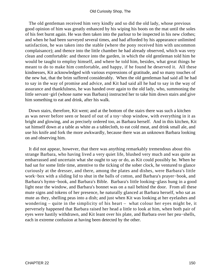The old gentleman received him very kindly and so did the old lady, whose previous good opinion of him was greatly enhanced by his wiping his boots on the mat until the soles of his feet burnt again. He was then taken into the parlour to be inspected in his new clothes; and when he had been surveyed several times, and had afforded by his appearance unlimited satisfaction, he was taken into the stable (where the pony received him with uncommon complaisance); and thence into the little chamber he had already observed, which was very clean and comfortable: and thence into the garden, in which the old gentleman told him he would be taught to employ himself, and where he told him, besides, what great things he meant to do to make him comfortable, and happy, if he found he deserved it. All these kindnesses, Kit acknowledged with various expressions of gratitude, and so many touches of the new hat, that the brim suffered considerably. When the old gentleman had said all he had to say in the way of promise and advice, and Kit had said all he had to say in the way of assurance and thankfulness, he was handed over again to the old lady, who, summoning the little servant−girl (whose name was Barbara) instructed her to take him down stairs and give him something to eat and drink, after his walk.

 Down stairs, therefore, Kit went; and at the bottom of the stairs there was such a kitchen as was never before seen or heard of out of a toy−shop window, with everything in it as bright and glowing, and as precisely ordered too, as Barbara herself. And in this kitchen, Kit sat himself down at a table as white as a tablecloth, to eat cold meat, and drink small ale, and use his knife and fork the more awkwardly, because there was an unknown Barbara looking on and observing him.

 It did not appear, however, that there was anything remarkably tremendous about this strange Barbara, who having lived a very quiet life, blushed very much and was quite as embarrassed and uncertain what she ought to say or do, as Kit could possibly be. When he had sat for some little time, attentive to the ticking of the sober clock, he ventured to glance curiously at the dresser, and there, among the plates and dishes, were Barbara's little work−box with a sliding lid to shut in the balls of cotton, and Barbara's prayer−book, and Barbara's hymn−book, and Barbara's Bible. Barbara's little looking−glass hung in a good light near the window, and Barbara's bonnet was on a nail behind the door. From all these mute signs and tokens of her presence, he naturally glanced at Barbara herself, who sat as mute as they, shelling peas into a dish; and just when Kit was looking at her eyelashes and wondering – quite in the simplicity of his heart – what colour her eyes might be, it perversely happened that Barbara raised her head a little to look at him, when both pair of eyes were hastily withdrawn, and Kit leant over his plate, and Barbara over her pea−shells, each in extreme confusion at having been detected by the other.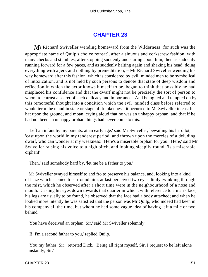### **[CHAPTER 23](#page-495-0)**

*M*r Richard Swiveller wending homeward from the Wilderness (for such was the appropriate name of Quilp's choice retreat), after a sinuous and corkscrew fashion, with many checks and stumbles; after stopping suddenly and staring about him, then as suddenly running forward for a few paces, and as suddenly halting again and shaking his head; doing everything with a jerk and nothing by premeditation; – Mr Richard Swiveller wending his way homeward after this fashion, which is considered by evil−minded men to be symbolical of intoxication, and is not held by such persons to denote that state of deep wisdom and reflection in which the actor knows himself to be, began to think that possibly he had misplaced his confidence and that the dwarf might not be precisely the sort of person to whom to entrust a secret of such delicacy and importance. And being led and tempted on by this remorseful thought into a condition which the evil−minded class before referred to would term the maudlin state or stage of drunkenness, it occurred to Mr Swiveller to cast his hat upon the ground, and moan, crying aloud that he was an unhappy orphan, and that if he had not been an unhappy orphan things had never come to this.

 'Left an infant by my parents, at an early age,' said Mr Swiveller, bewailing his hard lot, 'cast upon the world in my tenderest period, and thrown upon the mercies of a deluding dwarf, who can wonder at my weakness! Here's a miserable orphan for you. Here,' said Mr Swiveller raising his voice to a high pitch, and looking sleepily round, 'is a miserable orphan!'

'Then,' said somebody hard by, 'let me be a father to you.'

 Mr Swiveller swayed himself to and fro to preserve his balance, and, looking into a kind of haze which seemed to surround him, at last perceived two eyes dimly twinkling through the mist, which he observed after a short time were in the neighbourhood of a nose and mouth. Casting his eyes down towards that quarter in which, with reference to a man's face, his legs are usually to be found, he observed that the face had a body attached; and when he looked more intently he was satisfied that the person was Mr Quilp, who indeed had been in his company all the time, but whom he had some vague idea of having left a mile or two behind.

'You have deceived an orphan, Sir,' said Mr Swiveller solemnly.'

'I! I'm a second father to you,' replied Quilp.

 'You my father, Sir!' retorted Dick. 'Being all right myself, Sir, I request to be left alone – instantly, Sir.'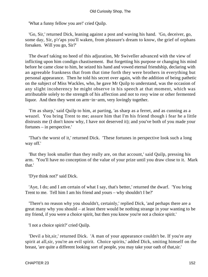'What a funny fellow you are!' cried Quilp.

 'Go, Sir,' returned Dick, leaning against a post and waving his hand. 'Go, deceiver, go, some day, Sir, p'r'aps you'll waken, from pleasure's dream to know, the grief of orphans forsaken. Will you go, Sir?'

 The dwarf taking no heed of this adjuration, Mr Swiveller advanced with the view of inflicting upon him condign chastisement. But forgetting his purpose or changing his mind before he came close to him, he seized his hand and vowed eternal friendship, declaring with an agreeable frankness that from that time forth they were brothers in everything but personal appearance. Then he told his secret over again, with the addition of being pathetic on the subject of Miss Wackles, who, he gave Mr Quilp to understand, was the occasion of any slight incoherency he might observe in his speech at that moment, which was attributable solely to the strength of his affection and not to rosy wine or other fermented liquor. And then they went on arm−in−arm, very lovingly together.

 'I'm as sharp,' said Quilp to him, at parting, 'as sharp as a ferret, and as cunning as a weazel. You bring Trent to me; assure him that I'm his friend though i fear he a little distrusts me (I don't know why, I have not deserved it); and you've both of you made your fortunes – in perspective.'

 'That's the worst of it,' returned Dick. 'These fortunes in perspective look such a long way off.'

 'But they look smaller than they really are, on that account,' said Quilp, pressing his arm. 'You'll have no conception of the value of your prize until you draw close to it. Mark that.'

'D'ye think not?' said Dick.

 'Aye, I do; and I am certain of what I say, that's better,' returned the dwarf. 'You bring Trent to me. Tell him I am his friend and yours – why shouldn't I be?'

 'There's no reason why you shouldn't, certainly,' replied Dick, 'and perhaps there are a great many why you should – at least there would be nothing strange in your wanting to be my friend, if you were a choice spirit, but then you know you're not a choice spirit.'

'I not a choice spirit?' cried Quilp.

 'Devil a bit,sir,' returned Dick. 'A man of your appearance couldn't be. If you're any spirit at all,sir, you're an evil spirit. Choice spirits,' added Dick, smiting himself on the breast, 'are quite a different looking sort of people, you may take your oath of that,sir.'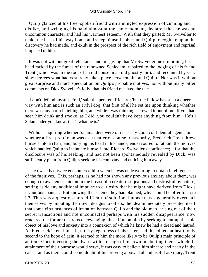Quilp glanced at his free−spoken friend with a mingled expression of cunning and dislike, and wringing his hand almost at the same moment, declared that he was an uncommon character and had his warmest esteem. With that they parted; Mr Swiveller to make the best of his way home and sleep himself sober; and Quilp to cogitate upon the discovery he had made, and exult in the prospect of the rich field of enjoyment and reprisal it opened to him.

 It was not without great reluctance and misgiving that Mr Swiveller, next morning, his head racked by the fumes of the renowned Schiedam, repaired to the lodging of his friend Trent (which was in the roof of an old house in an old ghostly inn), and recounted by very slow degrees what had yesterday taken place between him and Quilp. Nor was it without great surprise and much speculation on Quilp's probable motives, nor without many bitter comments on Dick Swiveller's folly, that his friend received the tale.

 'I don't defend myself, Fred,' said the penitent Richard; 'but the fellow has such a queer way with him and is such an artful dog, that first of all he set me upon thinking whether there was any harm in telling him, and while I was thinking, screwed it out of me. If you had seen him drink and smoke, as I did, you couldn't have kept anything from him. He's a Salamander you know, that's what he is.'

 Without inquiring whether Salamanders were of necessity good confidential agents, or whether a fire−proof man was as a matter of course trustworthy, Frederick Trent threw himself into a chair, and, burying his head in his hands, endeavoured to fathom the motives which had led Quilp to insinuate himself into Richard Swiveller's confidence; – for that the disclosure was of his seeking, and had not been spontaneously revealed by Dick, was sufficiently plain from Quilp's seeking his company and enticing him away.

 The dwarf had twice encountered him when he was endeavouring to obtain intelligence of the fugitives. This, perhaps, as he had not shown any previous anxiety about them, was enough to awaken suspicion in the breast of a creature so jealous and distrustful by nature, setting aside any additional impulse to curiosity that he might have derived from Dick's incautious manner. But knowing the scheme they had planned, why should he offer to assist it? This was a question more difficult of solution; but as knaves generally overreach themselves by imputing their own designs to others, the idea immediately presented itself that some circumstances of irritation between Quilp and the old man, arising out of their secret transactions and not unconnected perhaps with his sudden disappearance, now rendered the former desirous of revenging himself upon him by seeking to entrap the sole object of his love and anxiety into a connexion of which he knew he had a dread and hatred. As Frederick Trent himself, utterly regardless of his sister, had this object at heart, only second to the hope of gain, it seemed to him the more likely to be Quilp's main principle of action. Once investing the dwarf with a design of his own in abetting them, which the attainment of their purpose would serve, it was easy to believe him sincere and hearty in the cause; and as there could be no doubt of his proving a powerful and useful auxiliary, Trent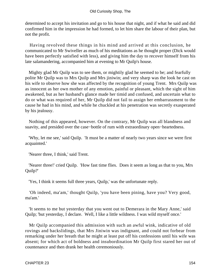determined to accept his invitation and go to his house that night, and if what he said and did confirmed him in the impression he had formed, to let him share the labour of their plan, but not the profit.

 Having revolved these things in his mind and arrived at this conclusion, he communicated to Mr Swiveller as much of his meditations as he thought proper (Dick would have been perfectly satisfied with less), and giving him the day to recover himself from his late salamandering, accompanied him at evening to Mr Quilp's house.

 Mighty glad Mr Quilp was to see them, or mightily glad he seemed to be; and fearfully polite Mr Quilp was to Mrs Quilp and Mrs jiniwin; and very sharp was the look he cast on his wife to observe how she was affected by the recognition of young Trent. Mrs Quilp was as innocent as her own mother of any emotion, painful or pleasant, which the sight of him awakened, but as her husband's glance made her timid and confused, and uncertain what to do or what was required of her, Mr Quilp did not fail to assign her embarrassment to the cause he had in his mind, and while he chuckled at his penetration was secretly exasperated by his jealousy.

 Nothing of this appeared, however. On the contrary, Mr Quilp was all blandness and suavity, and presided over the case−bottle of rum with extraordinary open−heartedness.

 'Why, let me see,' said Quilp. 'It must be a matter of nearly two years since we were first acquainted.'

'Nearer three, I think,' said Trent.

 'Nearer three!' cried Quilp. 'How fast time flies. Does it seem as long as that to you, Mrs Quilp?'

'Yes, I think it seems full three years, Quilp,' was the unfortunate reply.

 'Oh indeed, ma'am,' thought Quilp, 'you have been pining, have you? Very good, ma'am.'

 'It seems to me but yesterday that you went out to Demerara in the Mary Anne,' said Quilp; 'but yesterday, I declare. Well, I like a little wildness. I was wild myself once.'

 Mr Quilp accompanied this admission with such an awful wink, indicative of old rovings and backslidings, that Mrs Jiniwin was indignant, and could not forbear from remarking under her breath that he might at least put off his confessions until his wife was absent; for which act of boldness and insubordination Mr Quilp first stared her out of countenance and then drank her health ceremoniously.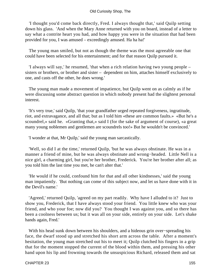'I thought you'd come back directly, Fred. I always thought that,' said Quilp setting down his glass. 'And when the Mary Anne returned with you on board, instead of a letter to say what a contrite heart you had, and how happy you were in the situation that had been provided for you, I was amused – exceedingly amused. Ha ha ha!'

 The young man smiled, but not as though the theme was the most agreeable one that could have been selected for his entertainment; and for that reason Quilp pursued it.

 'I always will say,' he resumed, 'that when a rich relation having two young people – sisters or brothers, or brother and sister – dependent on him, attaches himself exclusively to one, and casts off the other, he does wrong.'

 The young man made a movement of impatience, but Quilp went on as calmly as if he were discussing some abstract question in which nobody present had the slightest personal interest.

 'It's very true,' said Quilp, 'that your grandfather urged repeated forgiveness, ingratitude, riot, and extravagance, and all that; but as I told him «these are common faults.» «But he's a scoundrel,» said he. «Granting that,» said I (for the sake of argument of course), «a great many young noblemen and gentlemen are scoundrels too!» But he wouldn't be convinced.'

'I wonder at that, Mr Quilp,' said the young man sarcastically.

 'Well, so did I at the time,' returned Quilp, 'but he was always obstinate. He was in a manner a friend of mine, but he was always obstinate and wrong−headed. Little Nell is a nice girl, a charming girl, but you're her brother, Frederick. You're her brother after all; as you told him the last time you met, he can't alter that.'

 'He would if he could, confound him for that and all other kindnesses,' said the young man impatiently. 'But nothing can come of this subject now, and let us have done with it in the Devil's name.'

 'Agreed,' returned Quilp, 'agreed on my part readily. Why have I alluded to it? Just to show you, Frederick, that I have always stood your friend. You little knew who was your friend, and who your foe; now did you? You thought I was against you, and so there has been a coolness between us; but it was all on your side, entirely on your side. Let's shake hands again, Fred.'

 With his head sunk down between his shoulders, and a hideous grin over−spreading his face, the dwarf stood up and stretched his short arm across the table. After a moment's hesitation, the young man stretched out his to meet it; Quilp clutched his fingers in a grip that for the moment stopped the current of the blood within them, and pressing his other hand upon his lip and frowning towards the unsuspicious Richard, released them and sat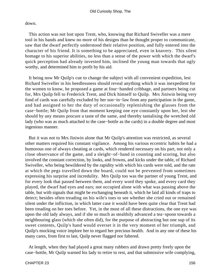down.

 This action was not lost upon Trent, who, knowing that Richard Swiveller was a mere tool in his hands and knew no more of his designs than he thought proper to communicate, saw that the dwarf perfectly understood their relative position, and fully entered into the character of his friend. It is something to be appreciated, even in knavery. This silent homage to his superior abilities, no less than a sense of the power with which the dwarf's quick perception had already invested him, inclined the young man towards that ugly worthy, and determined him to profit by his aid.

 It being now Mr Quilp's cue to change the subject with all convenient expedition, lest Richard Swiveller in his heedlessness should reveal anything which it was inexpedient for the women to know, he proposed a game at four−handed cribbage, and partners being cut for, Mrs Quilp fell to Frederick Trent, and Dick himself to Quilp. Mrs Jiniwin being very fond of cards was carefully excluded by her son−in−law from any participation in the game, and had assigned to her the duty of occasionally replenishing the glasses from the case−bottle; Mr Quilp from that moment keeping one eye constantly upon her, lest she should by any means procure a taste of the same, and thereby tantalising the wretched old lady (who was as much attached to the case−bottle as the cards) in a double degree and most ingenious manner.

 But it was not to Mrs Jiniwin alone that Mr Quilp's attention was restricted, as several other matters required his constant vigilance. Among his various eccentric habits he had a humorous one of always cheating at cards, which rendered necessary on his part, not only a close observance of the game, and a sleight−of−hand in counting and scoring, but also involved the constant correction, by looks, and frowns, and kicks under the table, of Richard Swiveller, who being bewildered by the rapidity with which his cards were told, and the rate at which the pegs travelled down the board, could not be prevented from sometimes expressing his surprise and incredulity. Mrs Quilp too was the partner of young Trent, and for every look that passed between them, and every word they spoke, and every card they played, the dwarf had eyes and ears; not occupied alone with what was passing above the table, but with signals that might be exchanging beneath it, which he laid all kinds of traps to detect; besides often treading on his wife's toes to see whether she cried out or remained silent under the infliction, in which latter case it would have been quite clear that Trent had been treading on her toes before. Yet, in the most of all these distractions, the one eye was upon the old lady always, and if she so much as stealthily advanced a tea−spoon towards a neighbouring glass (which she often did), for the purpose of abstracting but one sup of its sweet contents, Quilp's hand would overset it in the very moment of her triumph, and Quilp's mocking voice implore her to regard her precious health. And in any one of these his many cares, from first to last, Quilp never flagged nor faltered.

 At length, when they had played a great many rubbers and drawn pretty freely upon the case−bottle, Mr Quilp warned his lady to retire to rest, and that submissive wife complying,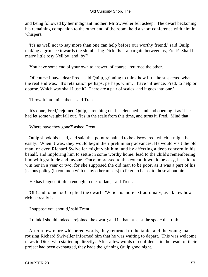and being followed by her indignant mother, Mr Swiveller fell asleep. The dwarf beckoning his remaining companion to the other end of the room, held a short conference with him in whispers.

 'It's as well not to say more than one can help before our worthy friend,' said Quilp, making a grimace towards the slumbering Dick. 'Is it a bargain between us, Fred? Shall he marry little rosy Nell by−and−by?'

'You have some end of your own to answer, of course,' returned the other.

 'Of course I have, dear Fred,' said Quilp, grinning to think how little he suspected what the real end was. 'It's retaliation perhaps; perhaps whim. I have influence, Fred, to help or oppose. Which way shall I use it? There are a pair of scales, and it goes into one.'

'Throw it into mine then,' said Trent.

 'It's done, Fred,' rejoined Quilp, stretching out his clenched hand and opening it as if he had let some weight fall out. 'It's in the scale from this time, and turns it, Fred. Mind that.'

'Where have they gone?' asked Trent.

 Quilp shook his head, and said that point remained to be discovered, which it might be, easily. When it was, they would begin their preliminary advances. He would visit the old man, or even Richard Swiveller might visit him, and by affecting a deep concern in his behalf, and imploring him to settle in some worthy home, lead to the child's remembering him with gratitude and favour. Once impressed to this extent, it would be easy, he said, to win her in a year or two, for she supposed the old man to be poor, as it was a part of his jealous policy (in common with many other misers) to feign to be so, to those about him.

'He has feigned it often enough to me, of late,' said Trent.

 'Oh! and to me too!' replied the dwarf. 'Which is more extraordinary, as I know how rich he really is.'

'I suppose you should,' said Trent.

'I think I should indeed,' rejoined the dwarf; and in that, at least, he spoke the truth.

 After a few more whispered words, they returned to the table, and the young man rousing Richard Swiveller informed him that he was waiting to depart. This was welcome news to Dick, who started up directly. After a few words of confidence in the result of their project had been exchanged, they bade the grinning Quilp good night.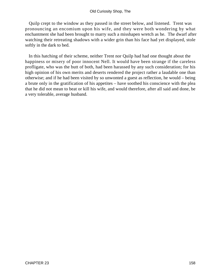Quilp crept to the window as they passed in the street below, and listened. Trent was pronouncing an encomium upon his wife, and they were both wondering by what enchantment she had been brought to marry such a misshapen wretch as he. The dwarf after watching their retreating shadows with a wider grin than his face had yet displayed, stole softly in the dark to bed.

 In this hatching of their scheme, neither Trent nor Quilp had had one thought about the happiness or misery of poor innocent Nell. It would have been strange if the careless profligate, who was the butt of both, had been harassed by any such consideration; for his high opinion of his own merits and deserts rendered the project rather a laudable one than otherwise; and if he had been visited by so unwonted a guest as reflection, he would – being a brute only in the gratification of his appetites – have soothed his conscience with the plea that he did not mean to beat or kill his wife, and would therefore, after all said and done, be a very tolerable, average husband.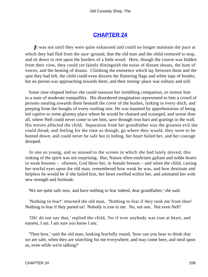### **[CHAPTER 24](#page-495-0)**

*I*t was not until they were quite exhausted and could no longer maintain the pace at which they had fled from the race−ground, that the old man and the child ventured to stop, and sit down to rest upon the borders of a little wood. Here, though the course was hidden from their view, they could yet faintly distinguish the noise of distant shouts, the hum of voices, and the beating of drums. Climbing the eminence which lay between them and the spot they had left, the child could even discern the fluttering flags and white tops of booths; but no person was approaching towards them, and their resting−place was solitary and still.

 Some time elapsed before she could reassure her trembling companion, or restore him to a state of moderate tranquillity. His disordered imagination represented to him a crowd of persons stealing towards them beneath the cover of the bushes, lurking in every ditch, and peeping from the boughs of every rustling tree. He was haunted by apprehensions of being led captive to some gloomy place where he would be chained and scourged, and worse than all, where Nell could never come to see him, save through iron bars and gratings in the wall. His terrors affected the child. Separation from her grandfather was the greatest evil she could dread; and feeling for the time as though, go where they would, they were to be hunted down, and could never be safe but in hiding, her heart failed her, and her courage drooped.

 In one so young, and so unused to the scenes in which she had lately moved, this sinking of the spirit was not surprising. But, Nature often enshrines gallant and noble hearts in weak bosoms – oftenest, God bless her, in female breasts – and when the child, casting her tearful eyes upon the old man, remembered how weak he was, and how destitute and helpless he would be if she failed him, her heart swelled within her, and animated her with new strength and fortitude.

'We are quite safe now, and have nothing to fear indeed, dear grandfather,' she said.

 'Nothing to fear!' returned the old man. 'Nothing to fear if they took me from thee! Nothing to fear if they parted us! Nobody is true to me. No, not one. Not even Nell!'

 'Oh! do not say that,' replied the child, 'for if ever anybody was true at heart, and earnest, I am. I am sure you know I am.'

 'Then how,' said the old man, looking fearfully round, 'how can you bear to think that we are safe, when they are searching for me everywhere, and may come here, and steal upon us, even while we're talking?'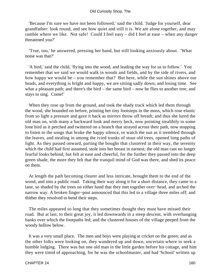#### Old Curiosity Shop, The

 'Because I'm sure we have not been followed,' said the child. 'Judge for yourself, dear grandfather: look round, and see how quiet and still it is. We are alone together, and may ramble where we like. Not safe! Could I feel easy – did I feel at ease – when any danger threatened you?'

 'True, too,' he answered, pressing her hand, but still looking anxiously about. 'What noise was that?'

 'A bird,' said the child, 'flying into the wood, and leading the way for us to follow.' You remember that we said we would walk in woods and fields, and by the side of rivers, and how happy we would be – you remember that? But here, while the sun shines above our heads, and everything is bright and happy, we are sitting sadly down, and losing time. See what a pleasant path; and there's the bird – the same bird – now he flies to another tree, and stays to sing. Come!'

When they rose up from the ground, and took the shady track which led them through the wood, she bounded on before, printing her tiny footsteps in the moss, which rose elastic from so light a pressure and gave it back as mirrors throw off breath; and thus she lured the old man on, with many a backward look and merry beck, now pointing stealthily to some lone bird as it perched and twittered on a branch that strayed across their path, now stopping to listen to the songs that broke the happy silence, or watch the sun as it trembled through the leaves, and stealing in among the ivied trunks of stout old trees, opened long paths of light. As they passed onward, parting the boughs that clustered in their way, the serenity which the child had first assumed, stole into her breast in earnest; the old man cast no longer fearful looks behind, but felt at ease and cheerful, for the further they passed into the deep green shade, the more they felt that the tranquil mind of God was there, and shed its peace on them.

 At length the path becoming clearer and less intricate, brought them to the end of the wood, and into a public road. Taking their way along it for a short distance, they came to a lane, so shaded by the trees on either hand that they met together over−head, and arched the narrow way. A broken finger−post announced that this led to a village three miles off; and thither they resolved to bend their steps.

 The miles appeared so long that they sometimes thought they must have missed their road. But at last, to their great joy, it led downwards in a steep descent, with overhanging banks over which the footpaths led; and the clustered houses of the village peeped from the woody hollow below.

 It was a very small place. The men and boys were playing at cricket on the green; and as the other folks were looking on, they wandered up and down, uncertain where to seek a humble lodging. There was but one old man in the little garden before his cottage, and him they were timid of approaching, for he was the schoolmaster, and had 'School' written up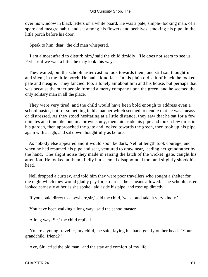over his window in black letters on a white board. He was a pale, simple−looking man, of a spare and meagre habit, and sat among his flowers and beehives, smoking his pipe, in the little porch before his door.

'Speak to him, dear,' the old man whispered.

 'I am almost afraid to disturb him,' said the child timidly. 'He does not seem to see us. Perhaps if we wait a little, he may look this way.'

 They waited, but the schoolmaster cast no look towards them, and still sat, thoughtful and silent, in the little porch. He had a kind face. In his plain old suit of black, he looked pale and meagre. They fancied, too, a lonely air about him and his house, but perhaps that was because the other people formed a merry company upon the green, and he seemed the only solitary man in all the place.

 They were very tired, and the child would have been bold enough to address even a schoolmaster, but for something in his manner which seemed to denote that he was uneasy or distressed. As they stood hesitating at a little distance, they saw that he sat for a few minutes at a time like one in a brown study, then laid aside his pipe and took a few turns in his garden, then approached the gate and looked towards the green, then took up his pipe again with a sigh, and sat down thoughtfully as before.

 As nobody else appeared and it would soon be dark, Nell at length took courage, and when he had resumed his pipe and seat, ventured to draw near, leading her grandfather by the hand. The slight noise they made in raising the latch of the wicket−gate, caught his attention. He looked at them kindly but seemed disappointed too, and slightly shook his head.

 Nell dropped a curtsey, and told him they were poor travellers who sought a shelter for the night which they would gladly pay for, so far as their means allowed. The schoolmaster looked earnestly at her as she spoke, laid aside his pipe, and rose up directly.

'If you could direct us anywhere,sir,' said the child, 'we should take it very kindly.'

'You have been walking a long way,' said the schoolmaster.

'A long way, Sir,' the child replied.

 'You're a young traveller, my child,' he said, laying his hand gently on her head. 'Your grandchild, friend? '

'Aye, Sir,' cried the old man, 'and the stay and comfort of my life.'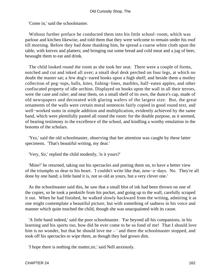'Come in,' said the schoolmaster.

 Without further preface he conducted them into his little school−room, which was parlour and kitchen likewise, and told them that they were welcome to remain under his roof till morning. Before they had done thanking him, he spread a coarse white cloth upon the table, with knives and platters; and bringing out some bread and cold meat and a jug of beer, besought them to eat and drink.

 The child looked round the room as she took her seat. There were a couple of forms, notched and cut and inked all over; a small deal desk perched on four legs, at which no doubt the master sat; a few dog's−eared books upon a high shelf; and beside them a motley collection of peg−tops, balls, kites, fishing−lines, marbles, half−eaten apples, and other confiscated property of idle urchins. Displayed on hooks upon the wall in all their terrors, were the cane and ruler; and near them, on a small shelf of its own, the dunce's cap, made of old newspapers and decorated with glaring wafers of the largest size. But, the great ornaments of the walls were certain moral sentences fairly copied in good round text, and well−worked sums in simple addition and multiplication, evidently achieved by the same hand, which were plentifully pasted all round the room: for the double purpose, as it seemed, of bearing testimony to the excellence of the school, and kindling a worthy emulation in the bosoms of the scholars.

 'Yes,' said the old schoolmaster, observing that her attention was caught by these latter specimens. 'That's beautiful writing, my dear.'

'Very, Sir,' replied the child modestly, 'is it yours?'

 'Mine!' he returned, taking out his spectacles and putting them on, to have a better view of the triumphs so dear to his heart. 'I couldn't write like that, now−a−days. No. They're all done by one hand; a little hand it is, not so old as yours, but a very clever one.'

 As the schoolmaster said this, he saw that a small blot of ink had been thrown on one of the copies, so he took a penknife from his pocket, and going up to the wall, carefully scraped it out. When he had finished, he walked slowly backward from the writing, admiring it as one might contemplate a beautiful picture, but with something of sadness in his voice and manner which quite touched the child, though she was unacquainted with its cause.

 'A little hand indeed,' said the poor schoolmaster. 'Far beyond all his companions, in his learning and his sports too, how did he ever come to be so fond of me! That I should love him is no wonder, but that he should love me – ' and there the schoolmaster stopped, and took off his spectacles to wipe them, as though they had grown dim.

'I hope there is nothing the matter,sir,' said Nell anxiously.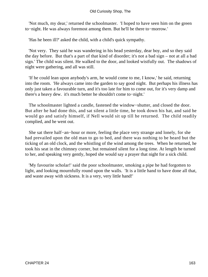#### Old Curiosity Shop, The

 'Not much, my dear,' returned the schoolmaster. 'I hoped to have seen him on the green to−night. He was always foremost among them. But he'll be there to−morrow.'

'Has he been ill?' asked the child, with a child's quick sympathy.

 'Not very. They said he was wandering in his head yesterday, dear boy, and so they said the day before. But that's a part of that kind of disorder; it's not a bad sign – not at all a bad sign.' The child was silent. He walked to the door, and looked wistfully out. The shadows of night were gathering, and all was still.

 'If he could lean upon anybody's arm, he would come to me, I know,' he said, returning into the room. 'He always came into the garden to say good night. But perhaps his illness has only just taken a favourable turn, and it's too late for him to come out, for it's very damp and there's a heavy dew. it's much better he shouldn't come to−night.'

 The schoolmaster lighted a candle, fastened the window−shutter, and closed the door. But after he had done this, and sat silent a little time, he took down his hat, and said he would go and satisfy himself, if Nell would sit up till he returned. The child readily complied, and he went out.

 She sat there half−an−hour or more, feeling the place very strange and lonely, for she had prevailed upon the old man to go to bed, and there was nothing to be heard but the ticking of an old clock, and the whistling of the wind among the trees. When he returned, he took his seat in the chimney corner, but remained silent for a long time. At length he turned to her, and speaking very gently, hoped she would say a prayer that night for a sick child.

 'My favourite scholar!' said the poor schoolmaster, smoking a pipe he had forgotten to light, and looking mournfully round upon the walls. 'It is a little hand to have done all that, and waste away with sickness. It is a very, very little hand!'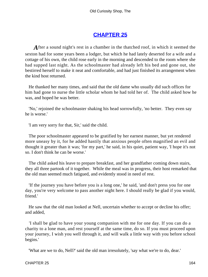# **[CHAPTER 25](#page-495-0)**

After a sound night's rest in a chamber in the thatched roof, in which it seemed the sexton had for some years been a lodger, but which he had lately deserted for a wife and a cottage of his own, the child rose early in the morning and descended to the room where she had supped last night. As the schoolmaster had already left his bed and gone out, she bestirred herself to make it neat and comfortable, and had just finished its arrangement when the kind host returned.

 He thanked her many times, and said that the old dame who usually did such offices for him had gone to nurse the little scholar whom he had told her of. The child asked how he was, and hoped he was better.

 'No,' rejoined the schoolmaster shaking his head sorrowfully, 'no better. They even say he is worse.'

'I am very sorry for that, Sir,' said the child.

 The poor schoolmaster appeared to be gratified by her earnest manner, but yet rendered more uneasy by it, for he added hastily that anxious people often magnified an evil and thought it greater than it was; 'for my part,' he said, in his quiet, patient way, 'I hope it's not so. I don't think he can be worse.'

 The child asked his leave to prepare breakfast, and her grandfather coming down stairs, they all three partook of it together. While the meal was in progress, their host remarked that the old man seemed much fatigued, and evidently stood in need of rest.

 'If the journey you have before you is a long one,' he said, 'and don't press you for one day, you're very welcome to pass another night here. I should really be glad if you would, friend.'

 He saw that the old man looked at Nell, uncertain whether to accept or decline his offer; and added,

 'I shall be glad to have your young companion with me for one day. If you can do a charity to a lone man, and rest yourself at the same time, do so. If you must proceed upon your journey, I wish you well through it, and will walk a little way with you before school begins.'

'What are we to do, Nell?' said the old man irresolutely, 'say what we're to do, dear.'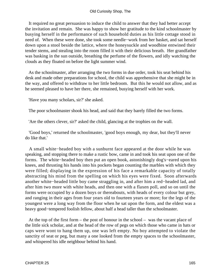#### Old Curiosity Shop, The

 It required no great persuasion to induce the child to answer that they had better accept the invitation and remain. She was happy to show her gratitude to the kind schoolmaster by busying herself in the performance of such household duties as his little cottage stood in need of. When these were done, she took some needle−work from her basket, and sat herself down upon a stool beside the lattice, where the honeysuckle and woodbine entwined their tender stems, and stealing into the room filled it with their delicious breath. Her grandfather was basking in the sun outside, breathing the perfume of the flowers, and idly watching the clouds as they floated on before the light summer wind.

 As the schoolmaster, after arranging the two forms in due order, took his seat behind his desk and made other preparations for school, the child was apprehensive that she might be in the way, and offered to withdraw to her little bedroom. But this he would not allow, and as he seemed pleased to have her there, she remained, busying herself with her work.

'Have you many scholars, sir?' she asked.

The poor schoolmaster shook his head, and said that they barely filled the two forms.

'Are the others clever, sir?' asked the child, glancing at the trophies on the wall.

 'Good boys,' returned the schoolmaster, 'good boys enough, my dear, but they'll never do like that.'

 A small white−headed boy with a sunburnt face appeared at the door while he was speaking, and stopping there to make a rustic bow, came in and took his seat upon one of the forms. The white−headed boy then put an open book, astonishingly dog's−eared upon his knees, and thrusting his hands into his pockets began counting the marbles with which they were filled; displaying in the expression of his face a remarkable capacity of totally abstracting his mind from the spelling on which his eyes were fixed. Soon afterwards another white−headed little boy came straggling in, and after him a red−headed lad, and after him two more with white heads, and then one with a flaxen poll, and so on until the forms were occupied by a dozen boys or thereabouts, with heads of every colour but grey, and ranging in their ages from four years old to fourteen years or more; for the legs of the youngest were a long way from the floor when he sat upon the form, and the eldest was a heavy good−tempered foolish fellow, about half a head taller than the schoolmaster.

 At the top of the first form – the post of honour in the school – was the vacant place of the little sick scholar, and at the head of the row of pegs on which those who came in hats or caps were wont to hang them up, one was left empty. No boy attempted to violate the sanctity of seat or peg, but many a one looked from the empty spaces to the schoolmaster, and whispered his idle neighbour behind his hand.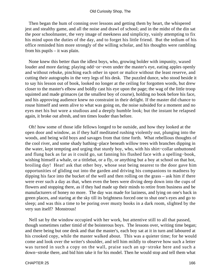Then began the hum of conning over lessons and getting them by heart, the whispered jest and stealthy game, and all the noise and drawl of school; and in the midst of the din sat the poor schoolmaster, the very image of meekness and simplicity, vainly attempting to fix his mind upon the duties of the day, and to forget his little friend. But the tedium of his office reminded him more strongly of the willing scholar, and his thoughts were rambling from his pupils – it was plain.

 None knew this better than the idlest boys, who, growing bolder with impunity, waxed louder and more daring; playing odd−or−even under the master's eye, eating apples openly and without rebuke, pinching each other in sport or malice without the least reserve, and cutting their autographs in the very legs of his desk. The puzzled dunce, who stood beside it to say his lesson out of book, looked no longer at the ceiling for forgotten words, but drew closer to the master's elbow and boldly cast his eye upon the page; the wag of the little troop squinted and made grimaces (at the smallest boy of course), holding no book before his face, and his approving audience knew no constraint in their delight. If the master did chance to rouse himself and seem alive to what was going on, the noise subsided for a moment and no eyes met his but wore a studious and a deeply humble look; but the instant he relapsed again, it broke out afresh, and ten times louder than before.

 Oh! how some of those idle fellows longed to be outside, and how they looked at the open door and window, as if they half meditated rushing violently out, plunging into the woods, and being wild boys and savages from that time forth. What rebellious thoughts of the cool river, and some shady bathing−place beneath willow trees with branches dipping in the water, kept tempting and urging that sturdy boy, who, with his shirt−collar unbuttoned and flung back as far as it could go, sat fanning his flushed face with a spelling−book, wishing himself a whale, or a tittlebat, or a fly, or anything but a boy at school on that hot, broiling day! Heat! ask that other boy, whose seat being nearest to the door gave him opportunities of gliding out into the garden and driving his companions to madness by dipping his face into the bucket of the well and then rolling on the grass – ask him if there were ever such a day as that, when even the bees were diving deep down into the cups of flowers and stopping there, as if they had made up their minds to retire from business and be manufacturers of honey no more. The day was made for laziness, and lying on one's back in green places, and staring at the sky till its brightness forced one to shut one's eyes and go to sleep; and was this a time to be poring over musty books in a dark room, slighted by the very sun itself? Monstrous!

 Nell sat by the window occupied with her work, but attentive still to all that passed, though sometimes rather timid of the boisterous boys. The lessons over, writing time began; and there being but one desk and that the master's, each boy sat at it in turn and laboured at his crooked copy, while the master walked about. This was a quieter time; for he would come and look over the writer's shoulder, and tell him mildly to observe how such a letter was turned in such a copy on the wall, praise such an up−stroke here and such a down−stroke there, and bid him take it for his model. Then he would stop and tell them what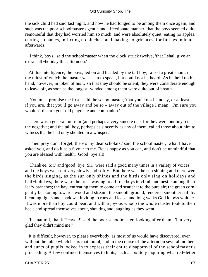the sick child had said last night, and how he had longed to be among them once again; and such was the poor schoolmaster's gentle and affectionate manner, that the boys seemed quite remorseful that they had worried him so much, and were absolutely quiet; eating no apples, cutting no names, inflicting no pinches, and making no grimaces, for full two minutes afterwards.

 'I think, boys,' said the schoolmaster when the clock struck twelve, 'that I shall give an extra half−holiday this afternoon.'

 At this intelligence, the boys, led on and headed by the tall boy, raised a great shout, in the midst of which the master was seen to speak, but could not be heard. As he held up his hand, however, in token of his wish that they should be silent, they were considerate enough to leave off, as soon as the longest−winded among them were quite out of breath.

 'You must promise me first,' said the schoolmaster, 'that you'll not be noisy, or at least, if you are, that you'll go away and be so – away out of the village I mean. I'm sure you wouldn't disturb your old playmate and companion.'

 There was a general murmur (and perhaps a very sincere one, for they were but boys) in the negative; and the tall boy, perhaps as sincerely as any of them, called those about him to witness that he had only shouted in a whisper.

 'Then pray don't forget, there's my dear scholars,' said the schoolmaster, 'what I have asked you, and do it as a favour to me. Be as happy as you can, and don't be unmindful that you are blessed with health. Good−bye all!'

 'Thank'ee, Sir,' and 'good−bye, Sir,' were said a good many times in a variety of voices, and the boys went out very slowly and softly. But there was the sun shining and there were the birds singing, as the sun only shines and the birds only sing on holidays and half−holidays; there were the trees waving to all free boys to climb and nestle among their leafy branches; the hay, entreating them to come and scatter it to the pure air; the green corn, gently beckoning towards wood and stream; the smooth ground, rendered smoother still by blending lights and shadows, inviting to runs and leaps, and long walks God knows whither. It was more than boy could bear, and with a joyous whoop the whole cluster took to their heels and spread themselves about, shouting and laughing as they went.

 'It's natural, thank Heaven!' said the poor schoolmaster, looking after them. 'I'm very glad they didn't mind me!'

 It is difficult, however, to please everybody, as most of us would have discovered, even without the fable which bears that moral, and in the course of the afternoon several mothers and aunts of pupils looked in to express their entire disapproval of the schoolmaster's proceeding. A few confined themselves to hints, such as politely inquiring what red−letter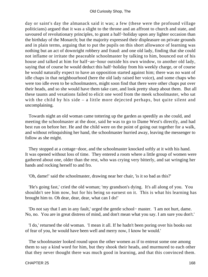day or saint's day the almanack said it was; a few (these were the profound village politicians) argued that it was a slight to the throne and an affront to church and state, and savoured of revolutionary principles, to grant a half–holiday upon any lighter occasion than the birthday of the Monarch; but the majority expressed their displeasure on private grounds and in plain terms, arguing that to put the pupils on this short allowance of learning was nothing but an act of downright robbery and fraud: and one old lady, finding that she could not inflame or irritate the peaceable schoolmaster by talking to him, bounced out of his house and talked at him for half−an−hour outside his own window, to another old lady, saying that of course he would deduct this half−holiday from his weekly charge, or of course he would naturally expect to have an opposition started against him; there was no want of idle chaps in that neighbourhood (here the old lady raised her voice), and some chaps who were too idle even to be schoolmasters, might soon find that there were other chaps put over their heads, and so she would have them take care, and look pretty sharp about them. But all these taunts and vexations failed to elicit one word from the meek schoolmaster, who sat with the child by his side – a little more dejected perhaps, but quite silent and uncomplaining.

 Towards night an old woman came tottering up the garden as speedily as she could, and meeting the schoolmaster at the door, said he was to go to Dame West's directly, and had best run on before her. He and the child were on the point of going out together for a walk, and without relinquishing her hand, the schoolmaster hurried away, leaving the messenger to follow as she might.

 They stopped at a cottage−door, and the schoolmaster knocked softly at it with his hand. It was opened without loss of time. They entered a room where a little group of women were gathered about one, older than the rest, who was crying very bitterly, and sat wringing her hands and rocking herself to and fro.

'Oh, dame!' said the schoolmaster, drawing near her chair, 'is it so bad as this?'

 'He's going fast,' cried the old woman; 'my grandson's dying. It's all along of you. You shouldn't see him now, but for his being so earnest on it. This is what his learning has brought him to. Oh dear, dear, dear, what can I do!'

 'Do not say that I am in any fault,' urged the gentle school− master. 'I am not hurt, dame. No, no. You are in great distress of mind, and don't mean what you say. I am sure you don't.'

 'I do,' returned the old woman. 'I mean it all. If he hadn't been poring over his books out of fear of you, he would have been well and merry now, I know he would.'

 The schoolmaster looked round upon the other women as if to entreat some one among them to say a kind word for him, but they shook their heads, and murmured to each other that they never thought there was much good in learning, and that this convinced them.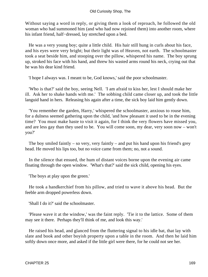Without saying a word in reply, or giving them a look of reproach, he followed the old woman who had summoned him (and who had now rejoined them) into another room, where his infant friend, half−dressed, lay stretched upon a bed.

 He was a very young boy; quite a little child. His hair still hung in curls about his face, and his eyes were very bright; but their light was of Heaven, not earth. The schoolmaster took a seat beside him, and stooping over the pillow, whispered his name. The boy sprung up, stroked his face with his hand, and threw his wasted arms round his neck, crying out that he was his dear kind friend.

'I hope I always was. I meant to be, God knows,' said the poor schoolmaster.

 'Who is that?' said the boy, seeing Nell. 'I am afraid to kiss her, lest I should make her ill. Ask her to shake hands with me.' The sobbing child came closer up, and took the little languid hand in hers. Releasing his again after a time, the sick boy laid him gently down.

 'You remember the garden, Harry,' whispered the schoolmaster, anxious to rouse him, for a dulness seemed gathering upon the child, 'and how pleasant it used to be in the evening time? You must make haste to visit it again, for I think the very flowers have missed you, and are less gay than they used to be. You will come soon, my dear, very soon now – won't you?'

The boy smiled faintly – so very, very faintly – and put his hand upon his friend's grey head. He moved his lips too, but no voice came from them; no, not a sound.

 In the silence that ensued, the hum of distant voices borne upon the evening air came floating through the open window. 'What's that?' said the sick child, opening his eyes.

'The boys at play upon the green.'

 He took a handkerchief from his pillow, and tried to wave it above his head. But the feeble arm dropped powerless down.

'Shall I do it?' said the schoolmaster.

 'Please wave it at the window,' was the faint reply. 'Tie it to the lattice. Some of them may see it there. Perhaps they'll think of me, and look this way.'

 He raised his head, and glanced from the fluttering signal to his idle bat, that lay with slate and book and other boyish property upon a table in the room. And then he laid him softly down once more, and asked if the little girl were there, for he could not see her.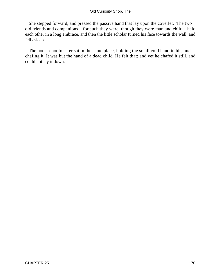### Old Curiosity Shop, The

 She stepped forward, and pressed the passive hand that lay upon the coverlet. The two old friends and companions – for such they were, though they were man and child – held each other in a long embrace, and then the little scholar turned his face towards the wall, and fell asleep.

 The poor schoolmaster sat in the same place, holding the small cold hand in his, and chafing it. It was but the hand of a dead child. He felt that; and yet he chafed it still, and could not lay it down.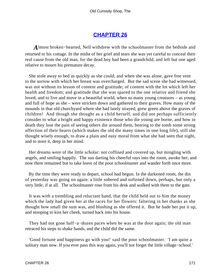### **[CHAPTER 26](#page-495-0)**

*A*lmost broken−hearted, Nell withdrew with the schoolmaster from the bedside and returned to his cottage. In the midst of her grief and tears she was yet careful to conceal their real cause from the old man, for the dead boy had been a grandchild, and left but one aged relative to mourn his premature decay.

 She stole away to bed as quickly as she could, and when she was alone, gave free vent to the sorrow with which her breast was overcharged. But the sad scene she had witnessed, was not without its lesson of content and gratitude; of content with the lot which left her health and freedom; and gratitude that she was spared to the one relative and friend she loved, and to live and move in a beautiful world, when so many young creatures – as young and full of hope as she – were stricken down and gathered to their graves. How many of the mounds in that old churchyard where she had lately strayed, grew green above the graves of children! And though she thought as a child herself, and did not perhaps sufficiently consider to what a bright and happy existence those who die young are borne, and how in death they lose the pain of seeing others die around them, bearing to the tomb some strong affection of their hearts (which makes the old die many times in one long life), still she thought wisely enough, to draw a plain and easy moral from what she had seen that night, and to store it, deep in her mind.

 Her dreams were of the little scholar: not coffined and covered up, but mingling with angels, and smiling happily. The sun darting his cheerful rays into the room, awoke her; and now there remained but to take leave of the poor schoolmaster and wander forth once more.

 By the time they were ready to depart, school had begun. In the darkened room, the din of yesterday was going on again: a little sobered and softened down, perhaps, but only a very little, if at all. The schoolmaster rose from his desk and walked with them to the gate.

 It was with a trembling and reluctant hand, that the child held out to him the money which the lady had given her at the races for her flowers: faltering in her thanks as she thought how small the sum was, and blushing as she offered it. But he bade her put it up, and stooping to kiss her cheek, turned back into his house.

They had not gone half–a–dozen paces when he was at the door again; the old man retraced his steps to shake hands, and the child did the same.

 'Good fortune and happiness go with you!' said the poor schoolmaster. 'I am quite a solitary man now. If you ever pass this way again, you'll not forget the little village−school.'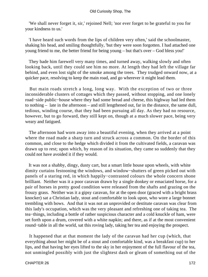'We shall never forget it, sir,' rejoined Nell; 'nor ever forget to be grateful to you for your kindness to us.'

 'I have heard such words from the lips of children very often,' said the schoolmaster, shaking his head, and smiling thoughtfully, 'but they were soon forgotten. I had attached one young friend to me, the better friend for being young – but that's over – God bless you!'

 They bade him farewell very many times, and turned away, walking slowly and often looking back, until they could see him no more. At length they had left the village far behind, and even lost sight of the smoke among the trees. They trudged onward now, at a quicker pace, resolving to keep the main road, and go wherever it might lead them.

 But main roads stretch a long, long way. With the exception of two or three inconsiderable clusters of cottages which they passed, without stopping, and one lonely road−side public−house where they had some bread and cheese, this highway had led them to nothing – late in the afternoon – and still lengthened out, far in the distance, the same dull, tedious, winding course, that they had been pursuing all day. As they had no resource, however, but to go forward, they still kept on, though at a much slower pace, being very weary and fatigued.

 The afternoon had worn away into a beautiful evening, when they arrived at a point where the road made a sharp turn and struck across a common. On the border of this common, and close to the hedge which divided it from the cultivated fields, a caravan was drawn up to rest; upon which, by reason of its situation, they came so suddenly that they could not have avoided it if they would.

 It was not a shabby, dingy, dusty cart, but a smart little house upon wheels, with white dimity curtains festooning the windows, and window−shutters of green picked out with panels of a staring red, in which happily−contrasted colours the whole concern shone brilliant. Neither was it a poor caravan drawn by a single donkey or emaciated horse, for a pair of horses in pretty good condition were released from the shafts and grazing on the frouzy grass. Neither was it a gipsy caravan, for at the open door (graced with a bright brass knocker) sat a Christian lady, stout and comfortable to look upon, who wore a large bonnet trembling with bows. And that it was not an unprovided or destitute caravan was clear from this lady's occupation, which was the very pleasant and refreshing one of taking tea. The tea−things, including a bottle of rather suspicious character and a cold knuckle of ham, were set forth upon a drum, covered with a white napkin; and there, as if at the most convenient round−table in all the world, sat this roving lady, taking her tea and enjoying the prospect.

 It happened that at that moment the lady of the caravan had her cup (which, that everything about her might be of a stout and comfortable kind, was a breakfast cup) to her lips, and that having her eyes lifted to the sky in her enjoyment of the full flavour of the tea, not unmingled possibly with just the slightest dash or gleam of something out of the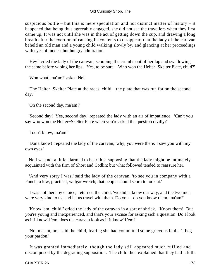### Old Curiosity Shop, The

suspicious bottle – but this is mere speculation and not distinct matter of history – it happened that being thus agreeably engaged, she did not see the travellers when they first came up. It was not until she was in the act of getting down the cup, and drawing a long breath after the exertion of causing its contents to disappear, that the lady of the caravan beheld an old man and a young child walking slowly by, and glancing at her proceedings with eyes of modest but hungry admiration.

 'Hey!' cried the lady of the caravan, scooping the crumbs out of her lap and swallowing the same before wiping her lips. 'Yes, to be sure – Who won the Helter−Skelter Plate, child?'

'Won what, ma'am?' asked Nell.

 'The Helter−Skelter Plate at the races, child – the plate that was run for on the second day.'

'On the second day, ma'am?'

 'Second day! Yes, second day,' repeated the lady with an air of impatience. 'Can't you say who won the Helter−Skelter Plate when you're asked the question civilly?'

'I don't know, ma'am.'

 'Don't know!' repeated the lady of the caravan; 'why, you were there. I saw you with my own eyes.'

 Nell was not a little alarmed to hear this, supposing that the lady might be intimately acquainted with the firm of Short and Codlin; but what followed tended to reassure her.

 'And very sorry I was,' said the lady of the caravan, 'to see you in company with a Punch; a low, practical, wulgar wretch, that people should scorn to look at.'

 'I was not there by choice,' returned the child; 'we didn't know our way, and the two men were very kind to us, and let us travel with them. Do you – do you know them, ma'am?'

 'Know 'em, child!' cried the lady of the caravan in a sort of shriek. 'Know them! But you're young and inexperienced, and that's your excuse for asking sich a question. Do I look as if I know'd 'em, does the caravan look as if it know'd 'em?'

 'No, ma'am, no,' said the child, fearing she had committed some grievous fault. 'I beg your pardon.'

 It was granted immediately, though the lady still appeared much ruffled and discomposed by the degrading supposition. The child then explained that they had left the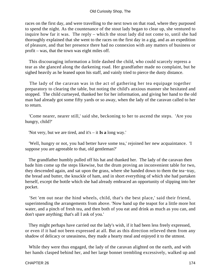races on the first day, and were travelling to the next town on that road, where they purposed to spend the night. As the countenance of the stout lady began to clear up, she ventured to inquire how far it was. The reply – which the stout lady did not come to, until she had thoroughly explained that she went to the races on the first day in a gig, and as an expedition of pleasure, and that her presence there had no connexion with any matters of business or profit – was, that the town was eight miles off.

 This discouraging information a little dashed the child, who could scarcely repress a tear as she glanced along the darkening road. Her grandfather made no complaint, but he sighed heavily as he leaned upon his staff, and vainly tried to pierce the dusty distance.

 The lady of the caravan was in the act of gathering her tea equipage together preparatory to clearing the table, but noting the child's anxious manner she hesitated and stopped. The child curtseyed, thanked her for her information, and giving her hand to the old man had already got some fifty yards or so away, when the lady of the caravan called to her to return.

 'Come nearer, nearer still,' said she, beckoning to her to ascend the steps. 'Are you hungry, child?'

'Not very, but we are tired, and it's – it **Is a** long way.'

 'Well, hungry or not, you had better have some tea,' rejoined her new acquaintance. 'I suppose you are agreeable to that, old gentleman?'

 The grandfather humbly pulled off his hat and thanked her. The lady of the caravan then bade him come up the steps likewise, but the drum proving an inconvenient table for two, they descended again, and sat upon the grass, where she handed down to them the tea−tray, the bread and butter, the knuckle of ham, and in short everything of which she had partaken herself, except the bottle which she had already embraced an opportunity of slipping into her pocket.

 'Set 'em out near the hind wheels, child, that's the best place,' said their friend, superintending the arrangements from above. 'Now hand up the teapot for a little more hot water, and a pinch of fresh tea, and then both of you eat and drink as much as you can, and don't spare anything; that's all I ask of you.'

 They might perhaps have carried out the lady's wish, if it had been less freely expressed, or even if it had not been expressed at all. But as this direction relieved them from any shadow of delicacy or uneasiness, they made a hearty meal and enjoyed it to the utmost.

 While they were thus engaged, the lady of the caravan alighted on the earth, and with her hands clasped behind her, and her large bonnet trembling excessively, walked up and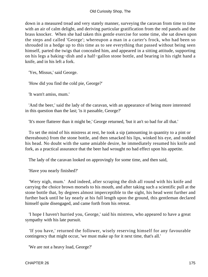down in a measured tread and very stately manner, surveying the caravan from time to time with an air of calm delight, and deriving particular gratification from the red panels and the brass knocker. When she had taken this gentle exercise for some time, she sat down upon the steps and called 'George'; whereupon a man in a carter's frock, who had been so shrouded in a hedge up to this time as to see everything that passed without being seen himself, parted the twigs that concealed him, and appeared in a sitting attitude, supporting on his legs a baking−dish and a half−gallon stone bottle, and bearing in his right hand a knife, and in his left a fork.

'Yes, Missus,' said George.

'How did you find the cold pie, George?'

'It warn't amiss, mum.'

 'And the beer,' said the lady of the caravan, with an appearance of being more interested in this question than the last; 'is it passable, George?'

'It's more flatterer than it might be,' George returned, 'but it an't so bad for all that.'

 To set the mind of his mistress at rest, he took a sip (amounting in quantity to a pint or thereabouts) from the stone bottle, and then smacked his lips, winked his eye, and nodded his head. No doubt with the same amiable desire, he immediately resumed his knife and fork, as a practical assurance that the beer had wrought no bad effect upon his appetite.

The lady of the caravan looked on approvingly for some time, and then said,

'Have you nearly finished?'

 'Wery nigh, mum.' And indeed, after scraping the dish all round with his knife and carrying the choice brown morsels to his mouth, and after taking such a scientific pull at the stone bottle that, by degrees almost imperceptible to the sight, his head went further and further back until he lay nearly at his full length upon the ground, this gentleman declared himself quite disengaged, and came forth from his retreat.

 'I hope I haven't hurried you, George,' said his mistress, who appeared to have a great sympathy with his late pursuit.

 'If you have,' returned the follower, wisely reserving himself for any favourable contingency that might occur, 'we must make up for it next time, that's all.'

'We are not a heavy load, George?'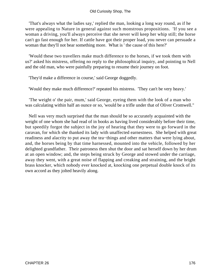'That's always what the ladies say,' replied the man, looking a long way round, as if he were appealing to Nature in general against such monstrous propositions. 'If you see a woman a driving, you'll always perceive that she never will keep her whip still; the horse can't go fast enough for her. If cattle have got their proper load, you never can persuade a woman that they'll not bear something more. What is ' the cause of this here?'

 'Would these two travellers make much difference to the horses, if we took them with us?' asked his mistress, offering no reply to the philosophical inquiry, and pointing to Nell and the old man, who were painfully preparing to resume their journey on foot.

'They'd make a difference in course,' said George doggedly.

'Would they make much difference?' repeated his mistress. 'They can't be very heavy.'

 'The weight o' the pair, mum,' said George, eyeing them with the look of a man who was calculating within half an ounce or so, 'would be a trifle under that of Oliver Cromwell."

 Nell was very much surprised that the man should be so accurately acquainted with the weight of one whom she had read of in books as having lived considerably before their time, but speedily forgot the subject in the joy of hearing that they were to go forward in the caravan, for which she thanked its lady with unaffected earnestness. She helped with great readiness and alacrity to put away the tea−things and other matters that were lying about, and, the horses being by that time harnessed, mounted into the vehicle, followed by her delighted grandfather. Their patroness then shut the door and sat herself down by her drum at an open window; and, the steps being struck by George and stowed under the carriage, away they went, with a great noise of flapping and creaking and straining, and the bright brass knocker, which nobody ever knocked at, knocking one perpetual double knock of its own accord as they jolted heavily along.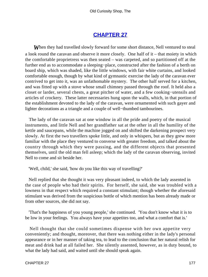# **[CHAPTER 27](#page-495-0)**

**When they had travelled slowly forward for some short distance, Nell ventured to steal** a look round the caravan and observe it more closely. One half of it – that moiety in which the comfortable proprietress was then seated – was carpeted, and so partitioned off at the further end as to accommodate a sleeping−place, constructed after the fashion of a berth on board ship, which was shaded, like the little windows, with fair white curtains, and looked comfortable enough, though by what kind of gymnastic exercise the lady of the caravan ever contrived to get into it, was an unfathomable mystery. The other half served for a kitchen, and was fitted up with a stove whose small chimney passed through the roof. It held also a closet or larder, several chests, a great pitcher of water, and a few cooking−utensils and articles of crockery. These latter necessaries hung upon the walls, which, in that portion of the establishment devoted to the lady of the caravan, were ornamented with such gayer and lighter decorations as a triangle and a couple of well−thumbed tambourines.

 The lady of the caravan sat at one window in all the pride and poetry of the musical instruments, and little Nell and her grandfather sat at the other in all the humility of the kettle and saucepans, while the machine jogged on and shifted the darkening prospect very slowly. At first the two travellers spoke little, and only in whispers, but as they grew more familiar with the place they ventured to converse with greater freedom, and talked about the country through which they were passing, and the different objects that presented themselves, until the old man fell asleep; which the lady of the caravan observing, invited Nell to come and sit beside her.

'Well, child,' she said, 'how do you like this way of travelling?'

 Nell replied that she thought it was very pleasant indeed, to which the lady assented in the case of people who had their spirits. For herself, she said, she was troubled with a lowness in that respect which required a constant stimulant; though whether the aforesaid stimulant was derived from the suspicious bottle of which mention has been already made or from other sources, she did not say.

 'That's the happiness of you young people,' she continued. 'You don't know what it is to be low in your feelings. You always have your appetites too, and what a comfort that is.'

 Nell thought that she could sometimes dispense with her own appetite very conveniently; and thought, moreover, that there was nothing either in the lady's personal appearance or in her manner of taking tea, to lead to the conclusion that her natural relish for meat and drink had at all failed her. She silently assented, however, as in duty bound, to what the lady had said, and waited until she should speak again.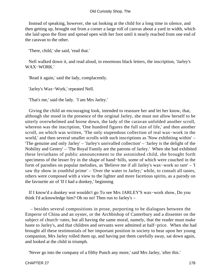Instead of speaking, however, she sat looking at the child for a long time in silence, and then getting up, brought out from a corner a large roll of canvas about a yard in width, which she laid upon the floor and spread open with her foot until it nearly reached from one end of the caravan to the other.

'There, child,' she said, 'read that.'

 Nell walked down it, and read aloud, in enormous black letters, the inscription, 'Jarley's WAX−WORK.'

'Read it again,' said the lady, complacently.

'Jarley's Wax−Work,' repeated Nell.

'That's me,' said the lady. 'I am Mrs Jarley.'

 Giving the child an encouraging look, intended to reassure her and let her know, that, although she stood in the presence of the original Jarley, she must not allow herself to be utterly overwhelmed and borne down, the lady of the caravan unfolded another scroll, whereon was the inscription, 'One hundred figures the full size of life,' and then another scroll, on which was written, 'The only stupendous collection of real wax−work in the world,' and then several smaller scrolls with such inscriptions as 'Now exhibiting within' – 'The genuine and only Jarley' – 'Jarley's unrivalled collection' – 'Jarley is the delight of the Nobility and Gentry' – 'The Royal Family are the patrons of Jarley.' When she had exhibited these leviathans of public announcement to the astonished child, she brought forth specimens of the lesser fry in the shape of hand−bills, some of which were couched in the form of parodies on popular melodies, as 'Believe me if all Jarley's wax−work so rare' – 'I saw thy show in youthful prime' – 'Over the water to Jarley;' while, to consult all tastes, others were composed with a view to the lighter and more facetious spirits, as a parody on the favourite air of 'If I had a donkey,' beginning

 If I know'd a donkey wot wouldn't go To see Mrs JARLEY'S wax−work show, Do you think I'd acknowledge him? Oh no no! Then run to Jarley's –

 – besides several compositions in prose, purporting to be dialogues between the Emperor of China and an oyster, or the Archbishop of Canterbury and a dissenter on the subject of church−rates, but all having the same moral, namely, that the reader must make haste to Jarley's, and that children and servants were admitted at half−price. When she had brought all these testimonials of her important position in society to bear upon her young companion, Mrs Jarley rolled them up, and having put them carefully away, sat down again, and looked at the child in triumph.

'Never go into the company of a filthy Punch any more,' said Mrs Jarley, 'after this.'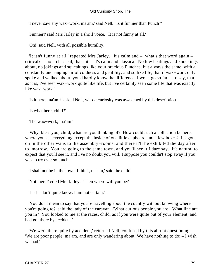### Old Curiosity Shop, The

'I never saw any wax−work, ma'am,' said Nell. 'Is it funnier than Punch?'

'Funnier!' said Mrs Jarley in a shrill voice. 'It is not funny at all.'

'Oh!' said Nell, with all possible humility.

 'It isn't funny at all,' repeated Mrs Jarley. 'It's calm and – what's that word again – critical?  $-$  no  $-$  classical, that's it  $-$  it's calm and classical. No low beatings and knockings about, no jokings and squeakings like your precious Punches, but always the same, with a constantly unchanging air of coldness and gentility; and so like life, that if wax−work only spoke and walked about, you'd hardly know the difference. I won't go so far as to say, that, as it is, I've seen wax−work quite like life, but I've certainly seen some life that was exactly like wax−work.'

'Is it here, ma'am?' asked Nell, whose curiosity was awakened by this description.

'Is what here, child?'

'The wax−work, ma'am.'

 'Why, bless you, child, what are you thinking of? How could such a collection be here, where you see everything except the inside of one little cupboard and a few boxes? It's gone on in the other wans to the assembly−rooms, and there it'll be exhibited the day after to−morrow. You are going to the same town, and you'll see it I dare say. It's natural to expect that you'll see it, and I've no doubt you will. I suppose you couldn't stop away if you was to try ever so much.'

'I shall not be in the town, I think, ma'am,' said the child.

'Not there!' cried Mrs Jarley. 'Then where will you be?'

'I – I – don't quite know. I am not certain.'

 'You don't mean to say that you're travelling about the country without knowing where you're going to?' said the lady of the caravan. 'What curious people you are! What line are you in? You looked to me at the races, child, as if you were quite out of your element, and had got there by accident.'

 'We were there quite by accident,' returned Nell, confused by this abrupt questioning. 'We are poor people, ma'am, and are only wandering about. We have nothing to do; – I wish we had.'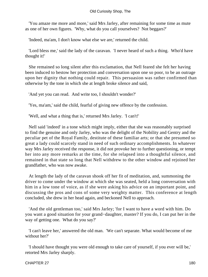'You amaze me more and more,' said Mrs Jarley, after remaining for some time as mute as one of her own figures. 'Why, what do you call yourselves? Not beggars?'

'Indeed, ma'am, I don't know what else we are,' returned the child.

 'Lord bless me,' said the lady of the caravan. 'I never heard of such a thing. Who'd have thought it!'

 She remained so long silent after this exclamation, that Nell feared she felt her having been induced to bestow her protection and conversation upon one so poor, to be an outrage upon her dignity that nothing could repair. This persuasion was rather confirmed than otherwise by the tone in which she at length broke silence and said,

'And yet you can read. And write too, I shouldn't wonder?'

'Yes, ma'am,' said the child, fearful of giving new offence by the confession.

'Well, and what a thing that is,' returned Mrs Jarley. 'I can't!'

 Nell said 'indeed' in a tone which might imply, either that she was reasonably surprised to find the genuine and only Jarley, who was the delight of the Nobility and Gentry and the peculiar pet of the Royal Family, destitute of these familiar arts; or that she presumed so great a lady could scarcely stand in need of such ordinary accomplishments. In whatever way Mrs Jarley received the response, it did not provoke her to further questioning, or tempt her into any more remarks at the time, for she relapsed into a thoughtful silence, and remained in that state so long that Nell withdrew to the other window and rejoined her grandfather, who was now awake.

 At length the lady of the caravan shook off her fit of meditation, and, summoning the driver to come under the window at which she was seated, held a long conversation with him in a low tone of voice, as if she were asking his advice on an important point, and discussing the pros and cons of some very weighty matter. This conference at length concluded, she drew in her head again, and beckoned Nell to approach.

 'And the old gentleman too,' said Mrs Jarley; 'for I want to have a word with him. Do you want a good situation for your grand−daughter, master? If you do, I can put her in the way of getting one. What do you say?'

 'I can't leave her,' answered the old man. 'We can't separate. What would become of me without her?'

 'I should have thought you were old enough to take care of yourself, if you ever will be,' retorted Mrs Jarley sharply.

#### CHAPTER 27 180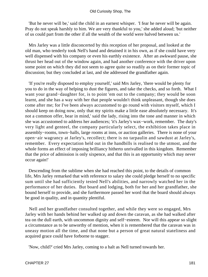'But he never will be,' said the child in an earnest whisper. 'I fear he never will be again. Pray do not speak harshly to him. We are very thankful to you,' she added aloud; 'but neither of us could part from the other if all the wealth of the world were halved between us.'

 Mrs Jarley was a little disconcerted by this reception of her proposal, and looked at the old man, who tenderly took Nell's hand and detained it in his own, as if she could have very well dispensed with his company or even his earthly existence. After an awkward pause, she thrust her head out of the window again, and had another conference with the driver upon some point on which they did not seem to agree quite so readily as on their former topic of discussion; but they concluded at last, and she addressed the grandfather again.

 'If you're really disposed to employ yourself,' said Mrs Jarley, 'there would be plenty for you to do in the way of helping to dust the figures, and take the checks, and so forth. What I want your grand−daughter for, is to point 'em out to the company; they would be soon learnt, and she has a way with her that people wouldn't think unpleasant, though she does come after me; for I've been always accustomed to go round with visitors myself, which I should keep on doing now, only that my spirits make a little ease absolutely necessary. It's not a common offer, bear in mind,' said the lady, rising into the tone and manner in which she was accustomed to address her audiences; 'it's Jarley's wax−work, remember. The duty's very light and genteel, the company particularly select, the exhibition takes place in assembly−rooms, town−halls, large rooms at inns, or auction galleries. There is none of your open−air wagrancy at Jarley's, recollect; there is no tarpaulin and sawdust at Jarley's, remember. Every expectation held out in the handbills is realised to the utmost, and the whole forms an effect of imposing brilliancy hitherto unrivalled in this kingdom. Remember that the price of admission is only sixpence, and that this is an opportunity which may never occur again!'

 Descending from the sublime when she had reached this point, to the details of common life, Mrs Jarley remarked that with reference to salary she could pledge herself to no specific sum until she had sufficiently tested Nell's abilities, and narrowly watched her in the performance of her duties. But board and lodging, both for her and her grandfather, she bound herself to provide, and she furthermore passed her word that the board should always be good in quality, and in quantity plentiful.

 Nell and her grandfather consulted together, and while they were so engaged, Mrs Jarley with her hands behind her walked up and down the caravan, as she had walked after tea on the dull earth, with uncommon dignity and self−esteem. Nor will this appear so slight a circumstance as to be unworthy of mention, when it is remembered that the caravan was in uneasy motion all the time, and that none but a person of great natural stateliness and acquired grace could have forborne to stagger.

'Now, child?' cried Mrs Jarley, coming to a halt as Nell turned towards her.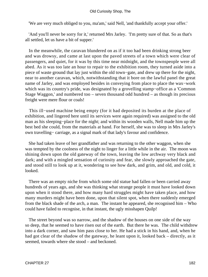'We are very much obliged to you, ma'am,' said Nell, 'and thankfully accept your offer.'

 'And you'll never be sorry for it,' returned Mrs Jarley. 'I'm pretty sure of that. So as that's all settled, let us have a bit of supper.'

 In the meanwhile, the caravan blundered on as if it too had been drinking strong beer and was drowsy, and came at last upon the paved streets of a town which were clear of passengers, and quiet, for it was by this time near midnight, and the townspeople were all abed. As it was too late an hour to repair to the exhibition room, they turned aside into a piece of waste ground that lay just within the old town−gate, and drew up there for the night, near to another caravan, which, notwithstanding that it bore on the lawful panel the great name of Jarley, and was employed besides in conveying from place to place the wax−work which was its country's pride, was designated by a grovelling stamp−office as a 'Common Stage Waggon,' and numbered too – seven thousand odd hundred – as though its precious freight were mere flour or coals!

 This ill−used machine being empty (for it had deposited its burden at the place of exhibition, and lingered here until its services were again required) was assigned to the old man as his sleeping−place for the night; and within its wooden walls, Nell made him up the best bed she could, from the materials at hand. For herself, she was to sleep in Mrs Jarley's own travelling− carriage, as a signal mark of that lady's favour and confidence.

 She had taken leave of her grandfather and was returning to the other waggon, when she was tempted by the coolness of the night to linger for a little while in the air. The moon was shining down upon the old gateway of the town, leaving the low archway very black and dark; and with a mingled sensation of curiosity and fear, she slowly approached the gate, and stood still to look up at it, wondering to see how dark, and grim, and old, and cold, it looked.

 There was an empty niche from which some old statue had fallen or been carried away hundreds of years ago, and she was thinking what strange people it must have looked down upon when it stood there, and how many hard struggles might have taken place, and how many murders might have been done, upon that silent spot, when there suddenly emerged from the black shade of the arch, a man. The instant he appeared, she recognised him – Who could have failed to recognise, in that instant, the ugly misshapen Quilp!

 The street beyond was so narrow, and the shadow of the houses on one side of the way so deep, that he seemed to have risen out of the earth. But there he was. The child withdrew into a dark corner, and saw him pass close to her. He had a stick in his hand, and, when he had got clear of the shadow of the gateway, he leant upon it, looked back – directly, as it seemed, towards where she stood – and beckoned.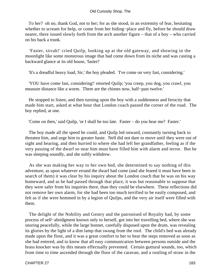To her? oh no, thank God, not to her; for as she stood, in an extremity of fear, hesitating whether to scream for help, or come from her hiding−place and fly, before he should draw nearer, there issued slowly forth from the arch another figure – that of a boy – who carried on his back a trunk.

 'Faster, sirrah!' cried Quilp, looking up at the old gateway, and showing in the moonlight like some monstrous image that had come down from its niche and was casting a backward glance at its old house, 'faster!'

'It's a dreadful heavy load, Sir,' the boy pleaded. 'I've come on very fast, considering.'

 'YOU have come fast, considering!' retorted Quilp; 'you creep, you dog, you crawl, you measure distance like a worm. There are the chimes now, half−past twelve.'

 He stopped to listen, and then turning upon the boy with a suddenness and ferocity that made him start, asked at what hour that London coach passed the corner of the road. The boy replied, at one.

'Come on then,' said Quilp, 'or I shall be too late. Faster – do you hear me? Faster.'

 The boy made all the speed he could, and Quilp led onward, constantly turning back to threaten him, and urge him to greater haste. Nell did not dare to move until they were out of sight and hearing, and then hurried to where she had left her grandfather, feeling as if the very passing of the dwarf so near him must have filled him with alarm and terror. But he was sleeping soundly, and she softly withdrew.

 As she was making her way to her own bed, she determined to say nothing of this adventure, as upon whatever errand the dwarf had come (and she feared it must have been in search of them) it was clear by his inquiry about the London coach that he was on his way homeward, and as he had passed through that place, it was but reasonable to suppose that they were safer from his inquiries there, than they could be elsewhere. These reflections did not remove her own alarm, for she had been too much terrified to be easily composed, and felt as if she were hemmed in by a legion of Quilps, and the very air itself were filled with them.

 The delight of the Nobility and Gentry and the patronised of Royalty had, by some process of self−abridgment known only to herself, got into her travelling bed, where she was snoring peacefully, while the large bonnet, carefully disposed upon the drum, was revealing its glories by the light of a dim lamp that swung from the roof. The child's bed was already made upon the floor, and it was a great comfort to her to hear the steps removed as soon as she had entered, and to know that all easy communication between persons outside and the brass knocker was by this means effectually prevented. Certain guttural sounds, too, which from time to time ascended through the floor of the caravan, and a rustling of straw in the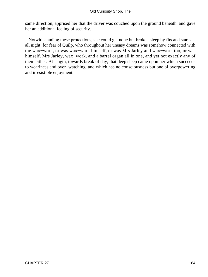same direction, apprised her that the driver was couched upon the ground beneath, and gave her an additional feeling of security.

 Notwithstanding these protections, she could get none but broken sleep by fits and starts all night, for fear of Quilp, who throughout her uneasy dreams was somehow connected with the wax−work, or was wax−work himself, or was Mrs Jarley and wax−work too, or was himself, Mrs Jarley, wax−work, and a barrel organ all in one, and yet not exactly any of them either. At length, towards break of day, that deep sleep came upon her which succeeds to weariness and over−watching, and which has no consciousness but one of overpowering and irresistible enjoyment.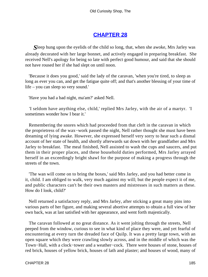# **[CHAPTER 28](#page-495-0)**

*S*leep hung upon the eyelids of the child so long, that, when she awoke, Mrs Jarley was already decorated with her large bonnet, and actively engaged in preparing breakfast. She received Nell's apology for being so late with perfect good humour, and said that she should not have roused her if she had slept on until noon.

 'Because it does you good,' said the lady of the caravan, 'when you're tired, to sleep as long as ever you can, and get the fatigue quite off; and that's another blessing of your time of life – you can sleep so very sound.'

'Have you had a bad night, ma'am?' asked Nell.

 'I seldom have anything else, child,' replied Mrs Jarley, with the air of a martyr. 'I sometimes wonder how I bear it.'

 Remembering the snores which had proceeded from that cleft in the caravan in which the proprietress of the wax−work passed the night, Nell rather thought she must have been dreaming of lying awake. However, she expressed herself very sorry to hear such a dismal account of her state of health, and shortly afterwards sat down with her grandfather and Mrs Jarley to breakfast. The meal finished, Nell assisted to wash the cups and saucers, and put them in their proper places, and these household duties performed, Mrs Jarley arrayed herself in an exceedingly bright shawl for the purpose of making a progress through the streets of the town.

 'The wan will come on to bring the boxes,' said Mrs Jarley, and you had better come in it, child. I am obliged to walk, very much against my will; but the people expect it of me, and public characters can't be their own masters and mistresses in such matters as these. How do I look, child?'

 Nell returned a satisfactory reply, and Mrs Jarley, after sticking a great many pins into various parts of her figure, and making several abortive attempts to obtain a full view of her own back, was at last satisfied with her appearance, and went forth majestically.

 The caravan followed at no great distance. As it went jolting through the streets, Nell peeped from the window, curious to see in what kind of place they were, and yet fearful of encountering at every turn the dreaded face of Quilp. It was a pretty large town, with an open square which they were crawling slowly across, and in the middle of which was the Town−Hall, with a clock−tower and a weather−cock. There were houses of stone, houses of red brick, houses of yellow brick, houses of lath and plaster; and houses of wood, many of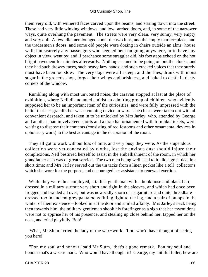them very old, with withered faces carved upon the beams, and staring down into the street. These had very little winking windows, and low−arched doors, and, in some of the narrower ways, quite overhung the pavement. The streets were very clean, very sunny, very empty, and very dull. A few idle men lounged about the two inns, and the empty market−place, and the tradesmen's doors, and some old people were dozing in chairs outside an alms−house wall; but scarcely any passengers who seemed bent on going anywhere, or to have any object in view, went by; and if perchance some straggler did, his footsteps echoed on the hot bright pavement for minutes afterwards. Nothing seemed to be going on but the clocks, and they had such drowzy faces, such heavy lazy hands, and such cracked voices that they surely must have been too slow. The very dogs were all asleep, and the flies, drunk with moist sugar in the grocer's shop, forgot their wings and briskness, and baked to death in dusty corners of the window.

 Rumbling along with most unwonted noise, the caravan stopped at last at the place of exhibition, where Nell dismounted amidst an admiring group of children, who evidently supposed her to be an important item of the curiosities, and were fully impressed with the belief that her grandfather was a cunning device in wax. The chests were taken out with all convenient despatch, and taken in to be unlocked by Mrs Jarley, who, attended by George and another man in velveteen shorts and a drab hat ornamented with turnpike tickets, were waiting to dispose their contents (consisting of red festoons and other ornamental devices in upholstery work) to the best advantage in the decoration of the room.

 They all got to work without loss of time, and very busy they were. As the stupendous collection were yet concealed by cloths, lest the envious dust should injure their complexions, Nell bestirred herself to assist in the embellishment of the room, in which her grandfather also was of great service. The two men being well used to it, did a great deal in a short time; and Mrs Jarley served out the tin tacks from a linen pocket like a toll−collector's which she wore for the purpose, and encouraged her assistants to renewed exertion.

 While they were thus employed, a tallish gentleman with a hook nose and black hair, dressed in a military surtout very short and tight in the sleeves, and which had once been frogged and braided all over, but was now sadly shorn of its garniture and quite threadbare – dressed too in ancient grey pantaloons fitting tight to the leg, and a pair of pumps in the winter of their existence – looked in at the door and smiled affably. Mrs Jarley's back being then towards him, the military gentleman shook his forefinger as a sign that her myrmidons were not to apprise her of his presence, and stealing up close behind her, tapped her on the neck, and cried playfully 'Boh!'

 'What, Mr Slum!' cried the lady of the wax−work. 'Lot! who'd have thought of seeing you here!'

 ''Pon my soul and honour,' said Mr Slum, 'that's a good remark. 'Pon my soul and honour that's a wise remark. Who would have thought it! George, my faithful feller, how are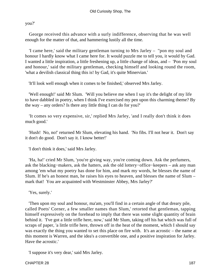you?'

 George received this advance with a surly indifference, observing that he was well enough for the matter of that, and hammering lustily all the time.

 'I came here,' said the military gentleman turning to Mrs Jarley – ''pon my soul and honour I hardly know what I came here for. It would puzzle me to tell you, it would by Gad. I wanted a little inspiration, a little freshening up, a little change of ideas, and – 'Pon my soul and honour,' said the military gentleman, checking himself and looking round the room, 'what a devilish classical thing this is! by Gad, it's quite Minervian.'

'It'll look well enough when it comes to be finished,' observed Mrs Jarley.

'Well enough!' said Mr Slum. 'Will you believe me when I say it's the delight of my life to have dabbled in poetry, when I think I've exercised my pen upon this charming theme? By the way – any orders? Is there any little thing I can do for you?'

 'It comes so very expensive, sir,' replied Mrs Jarley, 'and I really don't think it does much good.'

 'Hush! No, no!' returned Mr Slum, elevating his hand. 'No fibs. I'll not hear it. Don't say it don't do good. Don't say it. I know better!'

'I don't think it does,' said Mrs Jarley.

 'Ha, ha!' cried Mr Slum, 'you're giving way, you're coming down. Ask the perfumers, ask the blacking−makers, ask the hatters, ask the old lottery−office−keepers – ask any man among 'em what my poetry has done for him, and mark my words, he blesses the name of Slum. If he's an honest man, he raises his eyes to heaven, and blesses the name of Slum – mark that! You are acquainted with Westminster Abbey, Mrs Jarley?'

'Yes, surely.'

 'Then upon my soul and honour, ma'am, you'll find in a certain angle of that dreary pile, called Poets' Corner, a few smaller names than Slum,' retorted that gentleman, tapping himself expressively on the forehead to imply that there was some slight quantity of brain behind it. 'I've got a little trifle here, now,' said Mr Slum, taking off his hat which was full of scraps of paper, 'a little trifle here, thrown off in the heat of the moment, which I should say was exactly the thing you wanted to set this place on fire with. It's an acrostic – the name at this moment is Warren, and the idea's a convertible one, and a positive inspiration for Jarley. Have the acrostic.'

'I suppose it's very dear,' said Mrs Jarley.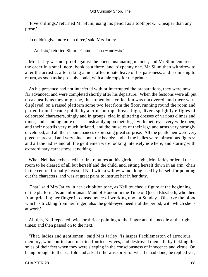'Five shillings,' returned Mr Slum, using his pencil as a toothpick. 'Cheaper than any prose.'

'I couldn't give more than three,' said Mrs Jarley.

' – And six,' retorted Slum. 'Come. Three−and−six.'

 Mrs Jarley was not proof against the poet's insinuating manner, and Mr Slum entered the order in a small note−book as a three−and−sixpenny one. Mr Slum then withdrew to alter the acrostic, after taking a most affectionate leave of his patroness, and promising to return, as soon as he possibly could, with a fair copy for the printer.

 As his presence had not interfered with or interrupted the preparations, they were now far advanced, and were completed shortly after his departure. When the festoons were all put up as tastily as they might be, the stupendous collection was uncovered, and there were displayed, on a raised platform some two feet from the floor, running round the room and parted from the rude public by a crimson rope breast high, divers sprightly effigies of celebrated characters, singly and in groups, clad in glittering dresses of various climes and times, and standing more or less unsteadily upon their legs, with their eyes very wide open, and their nostrils very much inflated, and the muscles of their legs and arms very strongly developed, and all their countenances expressing great surprise. All the gentlemen were very pigeon−breasted and very blue about the beards; and all the ladies were miraculous figures; and all the ladies and all the gentlemen were looking intensely nowhere, and staring with extraordinary earnestness at nothing.

 When Nell had exhausted her first raptures at this glorious sight, Mrs Jarley ordered the room to be cleared of all but herself and the child, and, sitting herself down in an arm−chair in the centre, formally invested Nell with a willow wand, long used by herself for pointing out the characters, and was at great pains to instruct her in her duty.

 'That,' said Mrs Jarley in her exhibition tone, as Nell touched a figure at the beginning of the platform, 'is an unfortunate Maid of Honour in the Time of Queen Elizabeth, who died from pricking her finger in consequence of working upon a Sunday. Observe the blood which is trickling from her finger; also the gold−eyed needle of the period, with which she is at work.'

 All this, Nell repeated twice or thrice: pointing to the finger and the needle at the right times: and then passed on to the next.

 'That, ladies and gentlemen,' said Mrs Jarley, 'is jasper Packlemerton of atrocious memory, who courted and married fourteen wives, and destroyed them all, by tickling the soles of their feet when they were sleeping in the consciousness of innocence and virtue. On being brought to the scaffold and asked if he was sorry for what he had done, he replied yes,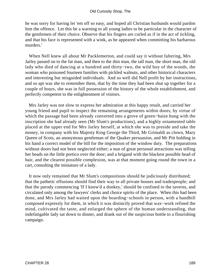he was sorry for having let 'em off so easy, and hoped all Christian husbands would pardon him the offence. Let this be a warning to all young ladies to be particular in the character of the gentlemen of their choice. Observe that his fingers are curled as if in the act of tickling, and that his face is represented with a wink, as he appeared when committing his barbarous murders.'

 When Nell knew all about Mr Packlemerton, and could say it without faltering, Mrs Jarley passed on to the fat man, and then to the thin man, the tall man, the short man, the old lady who died of dancing at a hundred and thirty−two, the wild boy of the woods, the woman who poisoned fourteen families with pickled walnuts, and other historical characters and interesting but misguided individuals. And so well did Nell profit by her instructions, and so apt was she to remember them, that by the time they had been shut up together for a couple of hours, she was in full possession of the history of the whole establishment, and perfectly competent to the enlightenment of visitors.

 Mrs Jarley was not slow to express her admiration at this happy result, and carried her young friend and pupil to inspect the remaining arrangements within doors, by virtue of which the passage had been already converted into a grove of green−baize hung with the inscription she had already seen (Mr Slum's productions), and a highly ornamented table placed at the upper end for Mrs Jarley herself, at which she was to preside and take the money, in company with his Majesty King George the Third, Mr Grimaldi as clown, Mary Queen of Scots, an anonymous gentleman of the Quaker persuasion, and Mr Pitt holding in his hand a correct model of the bill for the imposition of the window duty. The preparations without doors had not been neglected either; a nun of great personal attractions was telling her beads on the little portico over the door; and a brigand with the blackest possible head of hair, and the clearest possible complexion, was at that moment going round the town in a cart, consulting the miniature of a lady.

 It now only remained that Mr Slum's compositions should be judiciously distributed; that the pathetic effusions should find their way to all private houses and tradespeople; and that the parody commencing 'If I know'd a donkey,' should be confined to the taverns, and circulated only among the lawyers' clerks and choice spirits of the place. When this had been done, and Mrs Jarley had waited upon the boarding−schools in person, with a handbill composed expressly for them, in which it was distinctly proved that wax−work refined the mind, cultivated the taste, and enlarged the sphere of the human understanding, that indefatigable lady sat down to dinner, and drank out of the suspicious bottle to a flourishing campaign.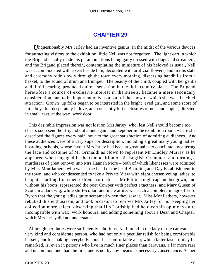## **[CHAPTER 29](#page-495-0)**

*U*nquestionably Mrs Jarley had an inventive genius. In the midst of the various devices for attracting visitors to the exhibition, little Nell was not forgotten. The light cart in which the Brigand usually made his perambulations being gaily dressed with flags and streamers, and the Brigand placed therein, contemplating the miniature of his beloved as usual, Nell was accommodated with a seat beside him, decorated with artificial flowers, and in this state and ceremony rode slowly through the town every morning, dispersing handbills from a basket, to the sound of drum and trumpet. The beauty of the child, coupled with her gentle and timid bearing, produced quite a sensation in the little country place. The Brigand, heretofore a source of exclusive interest in the streets, became a mere secondary consideration, and to be important only as a part of the show of which she was the chief attraction. Grown−up folks began to be interested in the bright−eyed girl, and some score of little boys fell desperately in love, and constantly left enclosures of nuts and apples, directed in small−text, at the wax−work door.

 This desirable impression was not lost on Mrs Jarley, who, lest Nell should become too cheap, soon sent the Brigand out alone again, and kept her in the exhibition room, where she described the figures every half−hour to the great satisfaction of admiring audiences. And these audiences were of a very superior description, including a great many young ladies' boarding−schools, whose favour Mrs Jarley had been at great pains to conciliate, by altering the face and costume of Mr Grimaldi as clown to represent Mr Lindley Murray as he appeared when engaged in the composition of his English Grammar, and turning a murderess of great renown into Mrs Hannah More – both of which likenesses were admitted by Miss Monflathers, who was at the head of the head Boarding and Day Establishment in the town, and who condescended to take a Private View with eight chosen young ladies, to be quite startling from their extreme correctness. Mr Pitt in a nightcap and bedgown, and without his boots, represented the poet Cowper with perfect exactness; and Mary Queen of Scots in a dark wig, white shirt−collar, and male attire, was such a complete image of Lord Byron that the young ladies quite screamed when they saw it. Miss Monflathers, however, rebuked this enthusiasm, and took occasion to reprove Mrs Jarley for not keeping her collection more select: observing that His Lordship had held certain opinions quite incompatible with wax−work honours, and adding something about a Dean and Chapter, which Mrs Jarley did not understand.

 Although her duties were sufficiently laborious, Nell found in the lady of the caravan a very kind and considerate person, who had not only a peculiar relish for being comfortable herself, but for making everybody about her comfortable also; which latter taste, it may be remarked, is, even in persons who live in much finer places than caravans, a far more rare and uncommon one than the first, and is not by any means its necessary consequence. As her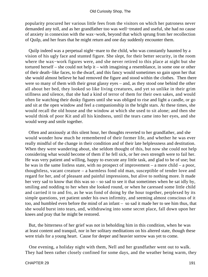popularity procured her various little fees from the visitors on which her patroness never demanded any toll, and as her grandfather too was well−treated and useful, she had no cause of anxiety in connexion with the wax−work, beyond that which sprung from her recollection of Quilp, and her fears that he might return and one day suddenly encounter them.

 Quilp indeed was a perpetual night−mare to the child, who was constantly haunted by a vision of his ugly face and stunted figure. She slept, for their better security, in the room where the wax−work figures were, and she never retired to this place at night but she tortured herself – she could not help it – with imagining a resemblance, in some one or other of their death−like faces, to the dwarf, and this fancy would sometimes so gain upon her that she would almost believe he had removed the figure and stood within the clothes. Then there were so many of them with their great glassy eyes – and, as they stood one behind the other all about her bed, they looked so like living creatures, and yet so unlike in their grim stillness and silence, that she had a kind of terror of them for their own sakes, and would often lie watching their dusky figures until she was obliged to rise and light a candle, or go and sit at the open window and feel a companionship in the bright stars. At these times, she would recall the old house and the window at which she used to sit alone; and then she would think of poor Kit and all his kindness, until the tears came into her eyes, and she would weep and smile together.

 Often and anxiously at this silent hour, her thoughts reverted to her grandfather, and she would wonder how much he remembered of their former life, and whether he was ever really mindful of the change in their condition and of their late helplessness and destitution. When they were wandering about, she seldom thought of this, but now she could not help considering what would become of them if he fell sick, or her own strength were to fail her. He was very patient and willing, happy to execute any little task, and glad to be of use; but he was in the same listless state, with no prospect of improvement – a mere child – a poor, thoughtless, vacant creature – a harmless fond old man, susceptible of tender love and regard for her, and of pleasant and painful impressions, but alive to nothing more. It made her very sad to know that this was so – so sad to see it that sometimes when he sat idly by, smiling and nodding to her when she looked round, or when he caressed some little child and carried it to and fro, as he was fond of doing by the hour together, perplexed by its simple questions, yet patient under his own infirmity, and seeming almost conscious of it too, and humbled even before the mind of an infant – so sad it made her to see him thus, that she would burst into tears, and, withdrawing into some secret place, fall down upon her knees and pray that he might be restored.

 But, the bitterness of her grief was not in beholding him in this condition, when he was at least content and tranquil, nor in her solitary meditations on his altered state, though these were trials for a young heart. Cause for deeper and heavier sorrow was yet to come.

 One evening, a holiday night with them, Nell and her grandfather went out to walk. They had been rather closely confined for some days, and the weather being warm, they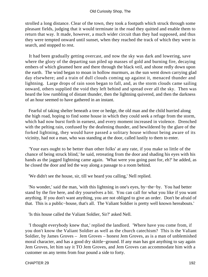strolled a long distance. Clear of the town, they took a footpath which struck through some pleasant fields, judging that it would terminate in the road they quitted and enable them to return that way. It made, however, a much wider circuit than they had supposed, and thus they were tempted onward until sunset, when they reached the track of which they were in search, and stopped to rest.

 It had been gradually getting overcast, and now the sky was dark and lowering, save where the glory of the departing sun piled up masses of gold and burning fire, decaying embers of which gleamed here and there through the black veil, and shone redly down upon the earth. The wind began to moan in hollow murmurs, as the sun went down carrying glad day elsewhere; and a train of dull clouds coming up against it, menaced thunder and lightning. Large drops of rain soon began to fall, and, as the storm clouds came sailing onward, others supplied the void they left behind and spread over all the sky. Then was heard the low rumbling of distant thunder, then the lightning quivered, and then the darkness of an hour seemed to have gathered in an instant.

 Fearful of taking shelter beneath a tree or hedge, the old man and the child hurried along the high road, hoping to find some house in which they could seek a refuge from the storm, which had now burst forth in earnest, and every moment increased in violence. Drenched with the pelting rain, confused by the deafening thunder, and bewildered by the glare of the forked lightning, they would have passed a solitary house without being aware of its vicinity, had not a man, who was standing at the door, called lustily to them to enter.

 'Your ears ought to be better than other folks' at any rate, if you make so little of the chance of being struck blind,' he said, retreating from the door and shading his eyes with his hands as the jagged lightning came again. 'What were you going past for, eh?' he added, as he closed the door and led the way along a passage to a room behind.

'We didn't see the house, sir, till we heard you calling,' Nell replied.

 'No wonder,' said the man, 'with this lightning in one's eyes, by−the−by. You had better stand by the fire here, and dry yourselves a bit. You can call for what you like if you want anything. If you don't want anything, you are not obliged to give an order. Don't be afraid of that. This is a public−house, that's all. The Valiant Soldier is pretty well known hereabouts.'

'Is this house called the Valiant Soldier, Sir?' asked Nell.

 'I thought everybody knew that,' replied the landlord. 'Where have you come from, if you don't know the Valiant Soldier as well as the church catechism? This is the Valiant Soldier, by James Groves – Jem Groves – honest Jem Groves, as is a man of unblemished moral character, and has a good dry skittle−ground. If any man has got anything to say again Jem Groves, let him say it TO Jem Groves, and Jem Groves can accommodate him with a customer on any terms from four pound a side to forty.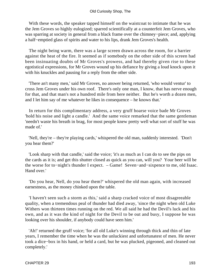With these words, the speaker tapped himself on the waistcoat to intimate that he was the Jem Groves so highly eulogized; sparred scientifically at a counterfeit Jem Groves, who was sparring at society in general from a black frame over the chimney−piece; and, applying a half−emptied glass of spirits and water to his lips, drank Jem Groves's health.

 The night being warm, there was a large screen drawn across the room, for a barrier against the heat of the fire. It seemed as if somebody on the other side of this screen had been insinuating doubts of Mr Groves's prowess, and had thereby given rise to these egotistical expressions, for Mr Groves wound up his defiance by giving a loud knock upon it with his knuckles and pausing for a reply from the other side.

 'There an't many men,' said Mr Groves, no answer being returned, 'who would ventur' to cross Jem Groves under his own roof. There's only one man, I know, that has nerve enough for that, and that man's not a hundred mile from here neither. But he's worth a dozen men, and I let him say of me whatever he likes in consequence – he knows that.'

 In return for this complimentary address, a very gruff hoarse voice bade Mr Groves 'hold his noise and light a candle.' And the same voice remarked that the same gentleman 'needn't waste his breath in brag, for most people knew pretty well what sort of stuff he was made of.'

 'Nell, they're – they're playing cards,' whispered the old man, suddenly interested. 'Don't you hear them?'

 'Look sharp with that candle,' said the voice; 'it's as much as I can do to see the pips on the cards as it is; and get this shutter closed as quick as you can, will you? Your beer will be the worse for to−night's thunder I expect. – Game! Seven−and−sixpence to me, old Isaac. Hand over.'

 'Do you hear, Nell, do you hear them?' whispered the old man again, with increased earnestness, as the money chinked upon the table.

 'I haven't seen such a storm as this,' said a sharp cracked voice of most disagreeable quality, when a tremendous peal of thunder had died away, 'since the night when old Luke Withers won thirteen times running on the red. We all said he had the Devil's luck and his own, and as it was the kind of night for the Devil to be out and busy, I suppose he was looking over his shoulder, if anybody could have seen him.'

 'Ah!' returned the gruff voice; 'for all old Luke's winning through thick and thin of late years, I remember the time when he was the unluckiest and unfortunatest of men. He never took a dice−box in his hand, or held a card, but he was plucked, pigeoned, and cleaned out completely.'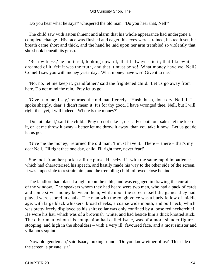'Do you hear what he says?' whispered the old man. 'Do you hear that, Nell?'

 The child saw with astonishment and alarm that his whole appearance had undergone a complete change. His face was flushed and eager, his eyes were strained, his teeth set, his breath came short and thick, and the hand he laid upon her arm trembled so violently that she shook beneath its grasp.

 'Bear witness,' he muttered, looking upward, 'that I always said it; that I knew it, dreamed of it, felt it was the truth, and that it must be so! What money have we, Nell? Come! I saw you with money yesterday. What money have we? Give it to me.'

 'No, no, let me keep it, grandfather,' said the frightened child. 'Let us go away from here. Do not mind the rain. Pray let us go.'

 'Give it to me, I say,' returned the old man fiercely. 'Hush, hush, don't cry, Nell. If I spoke sharply, dear, I didn't mean it. It's for thy good. I have wronged thee, Nell, but I will right thee yet, I will indeed. Where is the money?'

 'Do not take it,' said the child. 'Pray do not take it, dear. For both our sakes let me keep it, or let me throw it away – better let me throw it away, than you take it now. Let us go; do let us go.'

 'Give me the money,' returned the old man, 'I must have it. There – there – that's my dear Nell. I'll right thee one day, child, I'll right thee, never fear!'

 She took from her pocket a little purse. He seized it with the same rapid impatience which had characterised his speech, and hastily made his way to the other side of the screen. It was impossible to restrain him, and the trembling child followed close behind.

 The landlord had placed a light upon the table, and was engaged in drawing the curtain of the window. The speakers whom they had heard were two men, who had a pack of cards and some silver money between them, while upon the screen itself the games they had played were scored in chalk. The man with the rough voice was a burly fellow of middle age, with large black whiskers, broad cheeks, a coarse wide mouth, and bull neck, which was pretty freely displayed as his shirt collar was only confined by a loose red neckerchief. He wore his hat, which was of a brownish−white, and had beside him a thick knotted stick. The other man, whom his companion had called Isaac, was of a more slender figure – stooping, and high in the shoulders – with a very ill−favoured face, and a most sinister and villainous squint.

 'Now old gentleman,' said Isaac, looking round. 'Do you know either of us? This side of the screen is private, sir.'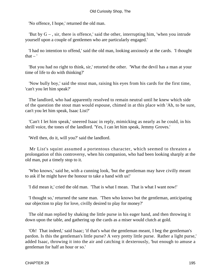'No offence, I hope,' returned the old man.

'But by  $G -$ , sir, there is offence,' said the other, interrupting him, 'when you intrude yourself upon a couple of gentlemen who are particularly engaged.'

 'I had no intention to offend,' said the old man, looking anxiously at the cards. 'I thought that  $-$ '

 'But you had no right to think, sir,' retorted the other. 'What the devil has a man at your time of life to do with thinking?'

 'Now bully boy,' said the stout man, raising his eyes from his cards for the first time, 'can't you let him speak?'

 The landlord, who had apparently resolved to remain neutral until he knew which side of the question the stout man would espouse, chimed in at this place with 'Ah, to be sure, can't you let him speak, Isaac List?'

 'Can't I let him speak,' sneered Isaac in reply, mimicking as nearly as he could, in his shrill voice, the tones of the landlord. 'Yes, I can let him speak, Jemmy Groves.'

'Well then, do it, will you?' said the landlord.

 Mr List's squint assumed a portentous character, which seemed to threaten a prolongation of this controversy, when his companion, who had been looking sharply at the old man, put a timely stop to it.

 'Who knows,' said he, with a cunning look, 'but the gentleman may have civilly meant to ask if he might have the honour to take a hand with us!'

'I did mean it,' cried the old man. 'That is what I mean. That is what I want now!'

 'I thought so,' returned the same man. 'Then who knows but the gentleman, anticipating our objection to play for love, civilly desired to play for money?'

 The old man replied by shaking the little purse in his eager hand, and then throwing it down upon the table, and gathering up the cards as a miser would clutch at gold.

 'Oh! That indeed,' said Isaac; 'if that's what the gentleman meant, I beg the gentleman's pardon. Is this the gentleman's little purse? A very pretty little purse. Rather a light purse,' added Isaac, throwing it into the air and catching it dexterously, 'but enough to amuse a gentleman for half an hour or so.'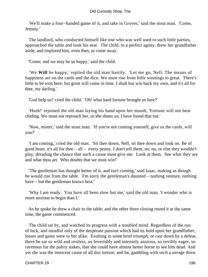'We'll make a four−handed game of it, and take in Groves,' said the stout man. 'Come, Jemmy.'

 The landlord, who conducted himself like one who was well used to such little parties, approached the table and took his seat. The child, in a perfect agony, drew her grandfather aside, and implored him, even then, to come away.

'Come; and we may be so happy,' said the child.

 'We **Will** be happy,' replied the old man hastily. 'Let me go, Nell. The means of happiness are on the cards and the dice. We must rise from little winnings to great. There's little to be won here; but great will come in time. I shall but win back my own, and it's all for thee, my darling.'

'God help us!' cried the child. 'Oh! what hard fortune brought us here?'

 'Hush!' rejoined the old man laying his hand upon her mouth, 'Fortune will not bear chiding. We must not reproach her, or she shuns us; I have found that out.'

 'Now, mister,' said the stout man. 'If you're not coming yourself, give us the cards, will you?'

 'I am coming,' cried the old man. 'Sit thee down, Nell, sit thee down and look on. Be of good heart, it's all for thee – all – every penny. I don't tell them, no, no, or else they wouldn't play, dreading the chance that such a cause must give me. Look at them. See what they are and what thou art. Who doubts that we must win!'

 'The gentleman has thought better of it, and isn't coming,' said Isaac, making as though he would rise from the table. 'I'm sorry the gentleman's daunted – nothing venture, nothing have – but the gentleman knows best.'

 'Why I am ready. You have all been slow but me,' said the old man. 'I wonder who is more anxious to begin than I.'

 As he spoke he drew a chair to the table; and the other three closing round it at the same time, the game commenced.

 The child sat by, and watched its progress with a troubled mind. Regardless of the run of luck, and mindful only of the desperate passion which had its hold upon her grandfather, losses and gains were to her alike. Exulting in some brief triumph, or cast down by a defeat, there he sat so wild and restless, so feverishly and intensely anxious, so terribly eager, so ravenous for the paltry stakes, that she could have almost better borne to see him dead. And yet she was the innocent cause of all this torture, and he, gambling with such a savage thirst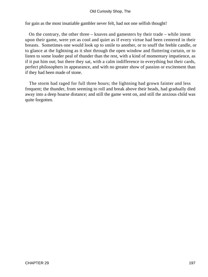for gain as the most insatiable gambler never felt, had not one selfish thought!

 On the contrary, the other three – knaves and gamesters by their trade – while intent upon their game, were yet as cool and quiet as if every virtue had been centered in their breasts. Sometimes one would look up to smile to another, or to snuff the feeble candle, or to glance at the lightning as it shot through the open window and fluttering curtain, or to listen to some louder peal of thunder than the rest, with a kind of momentary impatience, as if it put him out; but there they sat, with a calm indifference to everything but their cards, perfect philosophers in appearance, and with no greater show of passion or excitement than if they had been made of stone.

 The storm had raged for full three hours; the lightning had grown fainter and less frequent; the thunder, from seeming to roll and break above their heads, had gradually died away into a deep hoarse distance; and still the game went on, and still the anxious child was quite forgotten.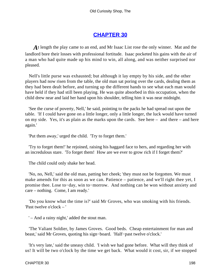# **[CHAPTER 30](#page-495-0)**

*A*t length the play came to an end, and Mr Isaac List rose the only winner. Mat and the landlord bore their losses with professional fortitude. Isaac pocketed his gains with the air of a man who had quite made up his mind to win, all along, and was neither surprised nor pleased.

 Nell's little purse was exhausted; but although it lay empty by his side, and the other players had now risen from the table, the old man sat poring over the cards, dealing them as they had been dealt before, and turning up the different hands to see what each man would have held if they had still been playing. He was quite absorbed in this occupation, when the child drew near and laid her hand upon his shoulder, telling him it was near midnight.

 'See the curse of poverty, Nell,' he said, pointing to the packs he had spread out upon the table. 'If I could have gone on a little longer, only a little longer, the luck would have turned on my side. Yes, it's as plain as the marks upon the cards. See here – and there – and here again.'

'Put them away,' urged the child. 'Try to forget them.'

 'Try to forget them!' he rejoined, raising his haggard face to hers, and regarding her with an incredulous stare. 'To forget them! How are we ever to grow rich if I forget them?'

The child could only shake her head.

 'No, no, Nell,' said the old man, patting her cheek; 'they must not be forgotten. We must make amends for this as soon as we can. Patience – patience, and we'll right thee yet, I promise thee. Lose to−day, win to−morrow. And nothing can be won without anxiety and care – nothing. Come, I am ready.'

 'Do you know what the time is?' said Mr Groves, who was smoking with his friends. 'Past twelve o'clock – '

' – And a rainy night,' added the stout man.

 'The Valiant Soldier, by James Groves. Good beds. Cheap entertainment for man and beast,' said Mr Groves, quoting his sign−board. 'Half−past twelve o'clock.'

 'It's very late,' said the uneasy child. 'I wish we had gone before. What will they think of us! It will be two o'clock by the time we get back. What would it cost, sir, if we stopped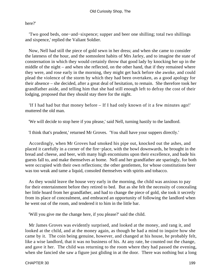here?'

 'Two good beds, one−and−sixpence; supper and beer one shilling; total two shillings and sixpence,' replied the Valiant Soldier.

 Now, Nell had still the piece of gold sewn in her dress; and when she came to consider the lateness of the hour, and the somnolent habits of Mrs Jarley, and to imagine the state of consternation in which they would certainly throw that good lady by knocking her up in the middle of the night – and when she reflected, on the other hand, that if they remained where they were, and rose early in the morning, they might get back before she awoke, and could plead the violence of the storm by which they had been overtaken, as a good apology for their absence – she decided, after a great deal of hesitation, to remain. She therefore took her grandfather aside, and telling him that she had still enough left to defray the cost of their lodging, proposed that they should stay there for the night.

 'If I had had but that money before – If I had only known of it a few minutes ago!' muttered the old man.

'We will decide to stop here if you please,' said Nell, turning hastily to the landlord.

'I think that's prudent,' returned Mr Groves. 'You shall have your suppers directly.'

 Accordingly, when Mr Groves had smoked his pipe out, knocked out the ashes, and placed it carefully in a corner of the fire−place, with the bowl downwards, he brought in the bread and cheese, and beer, with many high encomiums upon their excellence, and bade his guests fall to, and make themselves at home. Nell and her grandfather ate sparingly, for both were occupied with their own reflections; the other gentlemen, for whose constitutions beer was too weak and tame a liquid, consoled themselves with spirits and tobacco.

 As they would leave the house very early in the morning, the child was anxious to pay for their entertainment before they retired to bed. But as she felt the necessity of concealing her little hoard from her grandfather, and had to change the piece of gold, she took it secretly from its place of concealment, and embraced an opportunity of following the landlord when he went out of the room, and tendered it to him in the little bar.

'Will you give me the change here, if you please?' said the child.

 Mr James Groves was evidently surprised, and looked at the money, and rang it, and looked at the child, and at the money again, as though he had a mind to inquire how she came by it. The coin being genuine, however, and changed at his house, he probably felt, like a wise landlord, that it was no business of his. At any rate, he counted out the change, and gave it her. The child was returning to the room where they had passed the evening, when she fancied she saw a figure just gliding in at the door. There was nothing but a long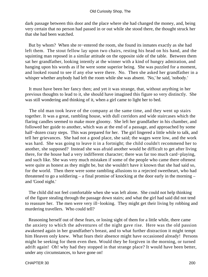dark passage between this door and the place where she had changed the money, and, being very certain that no person had passed in or out while she stood there, the thought struck her that she had been watched.

 But by whom? When she re−entered the room, she found its inmates exactly as she had left them. The stout fellow lay upon two chairs, resting his head on his hand, and the squinting man reposed in a similar attitude on the opposite side of the table. Between them sat her grandfather, looking intently at the winner with a kind of hungry admiration, and hanging upon his words as if he were some superior being. She was puzzled for a moment, and looked round to see if any else were there. No. Then she asked her grandfather in a whisper whether anybody had left the room while she was absent. 'No,' he said, 'nobody.'

 It must have been her fancy then; and yet it was strange, that, without anything in her previous thoughts to lead to it, she should have imagined this figure so very distinctly. She was still wondering and thinking of it, when a girl came to light her to bed.

 The old man took leave of the company at the same time, and they went up stairs together. It was a great, rambling house, with dull corridors and wide staircases which the flaring candles seemed to make more gloomy. She left her grandfather in his chamber, and followed her guide to another, which was at the end of a passage, and approached by some half−dozen crazy steps. This was prepared for her. The girl lingered a little while to talk, and tell her grievances. She had not a good place, she said; the wages were low, and the work was hard. She was going to leave it in a fortnight; the child couldn't recommend her to another, she supposed? Instead she was afraid another would be difficult to get after living there, for the house had a very indifferent character; there was far too much card−playing, and such like. She was very much mistaken if some of the people who came there oftenest were quite as honest as they might be, but she wouldn't have it known that she had said so, for the world. Then there were some rambling allusions to a rejected sweetheart, who had threatened to go a soldiering – a final promise of knocking at the door early in the morning – and 'Good night.'

 The child did not feel comfortable when she was left alone. She could not help thinking of the figure stealing through the passage down stairs; and what the girl had said did not tend to reassure her. The men were very ill−looking. They might get their living by robbing and murdering travellers. Who could tell?

 Reasoning herself out of these fears, or losing sight of them for a little while, there came the anxiety to which the adventures of the night gave rise. Here was the old passion awakened again in her grandfather's breast, and to what further distraction it might tempt him Heaven only knew. What fears their absence might have occasioned already! Persons might be seeking for them even then. Would they be forgiven in the morning, or turned adrift again! Oh! why had they stopped in that strange place? It would have been better, under any circumstances, to have gone on!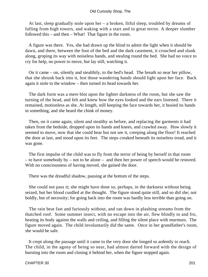At last, sleep gradually stole upon her – a broken, fitful sleep, troubled by dreams of falling from high towers, and waking with a start and in great terror. A deeper slumber followed this – and then – What! That figure in the room.

 A figure was there. Yes, she had drawn up the blind to admit the light when it should be dawn, and there, between the foot of the bed and the dark casement, it crouched and slunk along, groping its way with noiseless hands, and stealing round the bed. She had no voice to cry for help, no power to move, but lay still, watching it.

 On it came – on, silently and stealthily, to the bed's head. The breath so near her pillow, that she shrunk back into it, lest those wandering hands should light upon her face. Back again it stole to the window – then turned its head towards her.

 The dark form was a mere blot upon the lighter darkness of the room, but she saw the turning of the head, and felt and knew how the eyes looked and the ears listened. There it remained, motionless as she. At length, still keeping the face towards her, it busied its hands in something, and she heard the chink of money.

 Then, on it came again, silent and stealthy as before, and replacing the garments it had taken from the bedside, dropped upon its hands and knees, and crawled away. How slowly it seemed to move, now that she could hear but not see it, creeping along the floor! It reached the door at last, and stood upon its feet. The steps creaked beneath its noiseless tread, and it was gone.

 The first impulse of the child was to fly from the terror of being by herself in that room – to have somebody by – not to be alone – and then her power of speech would be restored. With no consciousness of having moved, she gained the door.

There was the dreadful shadow, pausing at the bottom of the steps.

 She could not pass it; she might have done so, perhaps, in the darkness without being seized, but her blood curdled at the thought. The figure stood quite still, and so did she; not boldly, but of necessity; for going back into the room was hardly less terrible than going on.

 The rain beat fast and furiously without, and ran down in plashing streams from the thatched roof. Some summer insect, with no escape into the air, flew blindly to and fro, beating its body against the walls and ceiling, and filling the silent place with murmurs. The figure moved again. The child involuntarily did the same. Once in her grandfather's room, she would be safe.

 It crept along the passage until it came to the very door she longed so ardently to reach. The child, in the agony of being so near, had almost darted forward with the design of bursting into the room and closing it behind her, when the figure stopped again.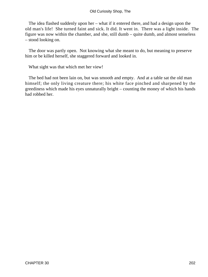The idea flashed suddenly upon her – what if it entered there, and had a design upon the old man's life! She turned faint and sick. It did. It went in. There was a light inside. The figure was now within the chamber, and she, still dumb – quite dumb, and almost senseless – stood looking on.

 The door was partly open. Not knowing what she meant to do, but meaning to preserve him or be killed herself, she staggered forward and looked in.

What sight was that which met her view!

 The bed had not been lain on, but was smooth and empty. And at a table sat the old man himself; the only living creature there; his white face pinched and sharpened by the greediness which made his eyes unnaturally bright – counting the money of which his hands had robbed her.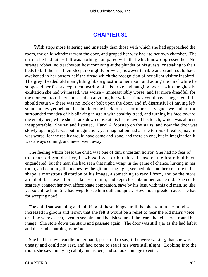## **[CHAPTER 31](#page-495-0)**

**W**ith steps more faltering and unsteady than those with which she had approached the room, the child withdrew from the door, and groped her way back to her own chamber. The terror she had lately felt was nothing compared with that which now oppressed her. No strange robber, no treacherous host conniving at the plunder of his guests, or stealing to their beds to kill them in their sleep, no nightly prowler, however terrible and cruel, could have awakened in her bosom half the dread which the recognition of her silent visitor inspired. The grey−headed old man gliding like a ghost into her room and acting the thief while he supposed her fast asleep, then bearing off his prize and hanging over it with the ghastly exultation she had witnessed, was worse – immeasurably worse, and far more dreadful, for the moment, to reflect upon – than anything her wildest fancy could have suggested. If he should return – there was no lock or bolt upon the door, and if, distrustful of having left some money yet behind, he should come back to seek for more – a vague awe and horror surrounded the idea of his slinking in again with stealthy tread, and turning his face toward the empty bed, while she shrank down close at his feet to avoid his touch, which was almost insupportable. She sat and listened. Hark! A footstep on the stairs, and now the door was slowly opening. It was but imagination, yet imagination had all the terrors of reality; nay, it was worse, for the reality would have come and gone, and there an end, but in imagination it was always coming, and never went away.

 The feeling which beset the child was one of dim uncertain horror. She had no fear of the dear old grandfather, in whose love for her this disease of the brain had been engendered; but the man she had seen that night, wrapt in the game of chance, lurking in her room, and counting the money by the glimmering light, seemed like another creature in his shape, a monstrous distortion of his image, a something to recoil from, and be the more afraid of, because it bore a likeness to him, and kept close about her, as he did. She could scarcely connect her own affectionate companion, save by his loss, with this old man, so like yet so unlike him. She had wept to see him dull and quiet. How much greater cause she had for weeping now!

 The child sat watching and thinking of these things, until the phantom in her mind so increased in gloom and terror, that she felt it would be a relief to hear the old man's voice, or, if he were asleep, even to see him, and banish some of the fears that clustered round his image. She stole down the stairs and passage again. The door was still ajar as she had left it, and the candle burning as before.

 She had her own candle in her hand, prepared to say, if he were waking, that she was uneasy and could not rest, and had come to see if his were still alight. Looking into the room, she saw him lying calmly on his bed, and so took courage to enter.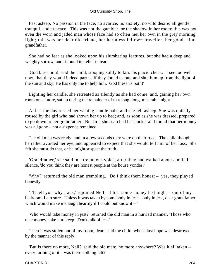Fast asleep. No passion in the face, no avarice, no anxiety, no wild desire; all gentle, tranquil, and at peace. This was not the gambler, or the shadow in her room; this was not even the worn and jaded man whose face had so often met her own in the grey morning light; this was her dear old friend, her harmless fellow− traveller, her good, kind grandfather.

 She had no fear as she looked upon his slumbering features, but she had a deep and weighty sorrow, and it found its relief in tears.

 'God bless him!' said the child, stooping softly to kiss his placid cheek. 'I see too well now, that they would indeed part us if they found us out, and shut him up from the light of the sun and sky. He has only me to help him. God bless us both!'

 Lighting her candle, she retreated as silently as she had come, and, gaining her own room once more, sat up during the remainder of that long, long, miserable night.

 At last the day turned her waning candle pale, and she fell asleep. She was quickly roused by the girl who had shown her up to bed; and, as soon as she was dressed, prepared to go down to her grandfather. But first she searched her pocket and found that her money was all gone – not a sixpence remained.

 The old man was ready, and in a few seconds they were on their road. The child thought he rather avoided her eye, and appeared to expect that she would tell him of her loss. She felt she must do that, or he might suspect the truth.

 'Grandfather,' she said in a tremulous voice, after they had walked about a mile in silence, 'do you think they are honest people at the house yonder?'

 'Why?' returned the old man trembling. 'Do I think them honest – yes, they played honestly.'

 'I'll tell you why I ask,' rejoined Nell. 'I lost some money last night – out of my bedroom, I am sure. Unless it was taken by somebody in jest – only in jest, dear grandfather, which would make me laugh heartily if I could but know it  $-$ '

 'Who would take money in jest?' returned the old man in a hurried manner. 'Those who take money, take it to keep. Don't talk of jest.'

 'Then it was stolen out of my room, dear,' said the child, whose last hope was destroyed by the manner of this reply.

 'But is there no more, Nell?' said the old man; 'no more anywhere? Was it all taken – every farthing of it – was there nothing left?'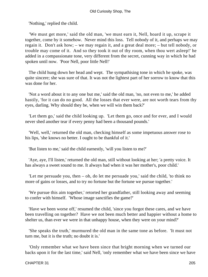'Nothing,' replied the child.

 'We must get more,' said the old man, 'we must earn it, Nell, hoard it up, scrape it together, come by it somehow. Never mind this loss. Tell nobody of it, and perhaps we may regain it. Don't ask how; – we may regain it, and a great deal more; – but tell nobody, or trouble may come of it. And so they took it out of thy room, when thou wert asleep!' he added in a compassionate tone, very different from the secret, cunning way in which he had spoken until now. 'Poor Nell, poor little Nell!'

 The child hung down her head and wept. The sympathising tone in which he spoke, was quite sincere; she was sure of that. It was not the lightest part of her sorrow to know that this was done for her.

 'Not a word about it to any one but me,' said the old man, 'no, not even to me,' he added hastily, 'for it can do no good. All the losses that ever were, are not worth tears from thy eyes, darling. Why should they be, when we will win them back?'

 'Let them go,' said the child looking up. 'Let them go, once and for ever, and I would never shed another tear if every penny had been a thousand pounds.'

 'Well, well,' returned the old man, checking himself as some impetuous answer rose to his lips, 'she knows no better. I ought to be thankful of it.'

'But listen to me,' said the child earnestly, 'will you listen to me?'

 'Aye, aye, I'll listen,' returned the old man, still without looking at her; 'a pretty voice. It has always a sweet sound to me. It always had when it was her mother's, poor child.'

 'Let me persuade you, then – oh, do let me persuade you,' said the child, 'to think no more of gains or losses, and to try no fortune but the fortune we pursue together.'

 'We pursue this aim together,' retorted her grandfather, still looking away and seeming to confer with himself. 'Whose image sanctifies the game?'

 'Have we been worse off,' resumed the child, 'since you forgot these cares, and we have been travelling on together? Have we not been much better and happier without a home to shelter us, than ever we were in that unhappy house, when they were on your mind?'

 'She speaks the truth,' murmured the old man in the same tone as before. 'It must not turn me, but it is the truth; no doubt it is.'

 'Only remember what we have been since that bright morning when we turned our backs upon it for the last time,' said Nell, 'only remember what we have been since we have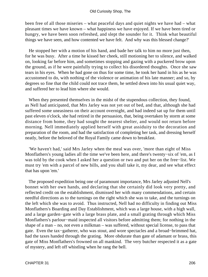been free of all those miseries – what peaceful days and quiet nights we have had – what pleasant times we have known – what happiness we have enjoyed. If we have been tired or hungry, we have been soon refreshed, and slept the sounder for it. Think what beautiful things we have seen, and how contented we have felt. And why was this blessed change?'

 He stopped her with a motion of his hand, and bade her talk to him no more just then, for he was busy. After a time he kissed her cheek, still motioning her to silence, and walked on, looking far before him, and sometimes stopping and gazing with a puckered brow upon the ground, as if he were painfully trying to collect his disordered thoughts. Once she saw tears in his eyes. When he had gone on thus for some time, he took her hand in his as he was accustomed to do, with nothing of the violence or animation of his late manner; and so, by degrees so fine that the child could not trace them, he settled down into his usual quiet way, and suffered her to lead him where she would.

 When they presented themselves in the midst of the stupendous collection, they found, as Nell had anticipated, that Mrs Jarley was not yet out of bed, and that, although she had suffered some uneasiness on their account overnight, and had indeed sat up for them until past eleven o'clock, she had retired in the persuasion, that, being overtaken by storm at some distance from home, they had sought the nearest shelter, and would not return before morning. Nell immediately applied herself with great assiduity to the decoration and preparation of the room, and had the satisfaction of completing her task, and dressing herself neatly, before the beloved of the Royal Family came down to breakfast.

 'We haven't had,' said Mrs Jarley when the meal was over, 'more than eight of Miss Monflathers's young ladies all the time we've been here, and there's twenty−six of 'em, as I was told by the cook when I asked her a question or two and put her on the free−list. We must try 'em with a parcel of new bills, and you shall take it, my dear, and see what effect that has upon 'em.'

 The proposed expedition being one of paramount importance, Mrs Jarley adjusted Nell's bonnet with her own hands, and declaring that she certainly did look very pretty, and reflected credit on the establishment, dismissed her with many commendations, and certain needful directions as to the turnings on the right which she was to take, and the turnings on the left which she was to avoid. Thus instructed, Nell had no difficulty in finding out Miss Monflathers's Boarding and Day Establishment, which was a large house, with a high wall, and a large garden−gate with a large brass plate, and a small grating through which Miss Monflathers's parlour−maid inspected all visitors before admitting them; for nothing in the shape of a man – no, not even a milkman – was suffered, without special license, to pass that gate. Even the tax−gatherer, who was stout, and wore spectacles and a broad−brimmed hat, had the taxes handed through the grating. More obdurate than gate of adamant or brass, this gate of Miss Monflathers's frowned on all mankind. The very butcher respected it as a gate of mystery, and left off whistling when he rang the bell.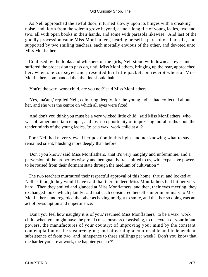As Nell approached the awful door, it turned slowly upon its hinges with a creaking noise, and, forth from the solemn grove beyond, came a long file of young ladies, two and two, all with open books in their hands, and some with parasols likewise. And last of the goodly procession came Miss Monflathers, bearing herself a parasol of lilac silk, and supported by two smiling teachers, each mortally envious of the other, and devoted unto Miss Monflathers.

 Confused by the looks and whispers of the girls, Nell stood with downcast eyes and suffered the procession to pass on, until Miss Monflathers, bringing up the rear, approached her, when she curtseyed and presented her little packet; on receipt whereof Miss Monflathers commanded that the line should halt.

'You're the wax−work child, are you not?' said Miss Monflathers.

 'Yes, ma'am,' replied Nell, colouring deeply, for the young ladies had collected about her, and she was the centre on which all eyes were fixed.

 'And don't you think you must be a very wicked little child,' said Miss Monflathers, who was of rather uncertain temper, and lost no opportunity of impressing moral truths upon the tender minds of the young ladies, 'to be a wax−work child at all?'

 Poor Nell had never viewed her position in this light, and not knowing what to say, remained silent, blushing more deeply than before.

 'Don't you know,' said Miss Monflathers, 'that it's very naughty and unfeminine, and a perversion of the properties wisely and benignantly transmitted to us, with expansive powers to be roused from their dormant state through the medium of cultivation?'

 The two teachers murmured their respectful approval of this home−thrust, and looked at Nell as though they would have said that there indeed Miss Monflathers had hit her very hard. Then they smiled and glanced at Miss Monflathers, and then, their eyes meeting, they exchanged looks which plainly said that each considered herself smiler in ordinary to Miss Monflathers, and regarded the other as having no right to smile, and that her so doing was an act of presumption and impertinence.

 'Don't you feel how naughty it is of you,' resumed Miss Monflathers, 'to be a wax−work child, when you might have the proud consciousness of assisting, to the extent of your infant powers, the manufactures of your country; of improving your mind by the constant contemplation of the steam−engine; and of earning a comfortable and independent subsistence of from two−and−ninepence to three shillings per week? Don't you know that the harder you are at work, the happier you are?'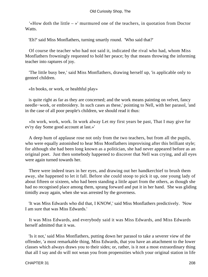'«How doth the little – »' murmured one of the teachers, in quotation from Doctor Watts.

'Eh?' said Miss Monflathers, turning smartly round. 'Who said that?'

 Of course the teacher who had not said it, indicated the rival who had, whom Miss Monflathers frowningly requested to hold her peace; by that means throwing the informing teacher into raptures of joy.

 'The little busy bee,' said Miss Monflathers, drawing herself up, 'is applicable only to genteel children.

«In books, or work, or healthful play»

 is quite right as far as they are concerned; and the work means painting on velvet, fancy needle−work, or embroidery. In such cases as these,' pointing to Nell, with her parasol, 'and in the case of all poor people's children, we should read it thus:

 «In work, work, work. In work alway Let my first years be past, That I may give for ev'ry day Some good account at last.»'

 A deep hum of applause rose not only from the two teachers, but from all the pupils, who were equally astonished to hear Miss Monflathers improvising after this brilliant style; for although she had been long known as a politician, she had never appeared before as an original poet. Just then somebody happened to discover that Nell was crying, and all eyes were again turned towards her.

 There were indeed tears in her eyes, and drawing out her handkerchief to brush them away, she happened to let it fall. Before she could stoop to pick it up, one young lady of about fifteen or sixteen, who had been standing a little apart from the others, as though she had no recognised place among them, sprang forward and put it in her hand. She was gliding timidly away again, when she was arrested by the governess.

 'It was Miss Edwards who did that, I KNOW,' said Miss Monflathers predictively. 'Now I am sure that was Miss Edwards.'

 It was Miss Edwards, and everybody said it was Miss Edwards, and Miss Edwards herself admitted that it was.

 'Is it not,' said Miss Monflathers, putting down her parasol to take a severer view of the offender, 'a most remarkable thing, Miss Edwards, that you have an attachment to the lower classes which always draws you to their sides; or, rather, is it not a most extraordinary thing that all I say and do will not wean you from propensities which your original station in life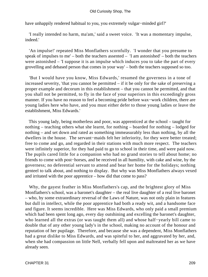have unhappily rendered habitual to you, you extremely vulgar−minded girl?'

 'I really intended no harm, ma'am,' said a sweet voice. 'It was a momentary impulse, indeed.'

 'An impulse!' repeated Miss Monflathers scornfully. 'I wonder that you presume to speak of impulses to me' – both the teachers assented – 'I am astonished' – both the teachers were astonished – 'I suppose it is an impulse which induces you to take the part of every grovelling and debased person that comes in your way' – both the teachers supposed so too.

 'But I would have you know, Miss Edwards,' resumed the governess in a tone of increased severity, 'that you cannot be permitted – if it be only for the sake of preserving a proper example and decorum in this establishment – that you cannot be permitted, and that you shall not be permitted, to fly in the face of your superiors in this exceedingly gross manner. If you have no reason to feel a becoming pride before wax–work children, there are young ladies here who have, and you must either defer to those young ladies or leave the establishment, Miss Edwards.'

 This young lady, being motherless and poor, was apprenticed at the school – taught for nothing – teaching others what she learnt, for nothing – boarded for nothing – lodged for nothing – and set down and rated as something immeasurably less than nothing, by all the dwellers in the house. The servant−maids felt her inferiority, for they were better treated; free to come and go, and regarded in their stations with much more respect. The teachers were infinitely superior, for they had paid to go to school in their time, and were paid now. The pupils cared little for a companion who had no grand stories to tell about home; no friends to come with post−horses, and be received in all humility, with cake and wine, by the governess; no deferential servant to attend and bear her home for the holidays; nothing genteel to talk about, and nothing to display. But why was Miss Monflathers always vexed and irritated with the poor apprentice – how did that come to pass?

 Why, the gayest feather in Miss Monflathers's cap, and the brightest glory of Miss Monflathers's school, was a baronet's daughter – the real live daughter of a real live baronet – who, by some extraordinary reversal of the Laws of Nature, was not only plain in features but dull in intellect, while the poor apprentice had both a ready wit, and a handsome face and figure. It seems incredible. Here was Miss Edwards, who only paid a small premium which had been spent long ago, every day outshining and excelling the baronet's daughter, who learned all the extras (or was taught them all) and whose half−yearly bill came to double that of any other young lady's in the school, making no account of the honour and reputation of her pupilage. Therefore, and because she was a dependent, Miss Monflathers had a great dislike to Miss Edwards, and was spiteful to her, and aggravated by her, and, when she had compassion on little Nell, verbally fell upon and maltreated her as we have already seen.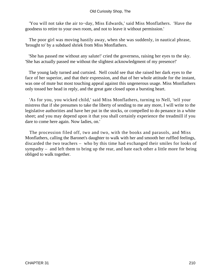'You will not take the air to−day, Miss Edwards,' said Miss Monflathers. 'Have the goodness to retire to your own room, and not to leave it without permission.'

 The poor girl was moving hastily away, when she was suddenly, in nautical phrase, 'brought to' by a subdued shriek from Miss Monflathers.

 'She has passed me without any salute!' cried the governess, raising her eyes to the sky. 'She has actually passed me without the slightest acknowledgment of my presence!'

 The young lady turned and curtsied. Nell could see that she raised her dark eyes to the face of her superior, and that their expression, and that of her whole attitude for the instant, was one of mute but most touching appeal against this ungenerous usage. Miss Monflathers only tossed her head in reply, and the great gate closed upon a bursting heart.

 'As for you, you wicked child,' said Miss Monflathers, turning to Nell, 'tell your mistress that if she presumes to take the liberty of sending to me any more, I will write to the legislative authorities and have her put in the stocks, or compelled to do penance in a white sheet; and you may depend upon it that you shall certainly experience the treadmill if you dare to come here again. Now ladies, on.'

 The procession filed off, two and two, with the books and parasols, and Miss Monflathers, calling the Baronet's daughter to walk with her and smooth her ruffled feelings, discarded the two teachers – who by this time had exchanged their smiles for looks of sympathy – and left them to bring up the rear, and hate each other a little more for being obliged to walk together.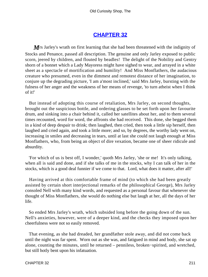# **[CHAPTER 32](#page-495-0)**

*M* is Jarley's wrath on first learning that she had been threatened with the indignity of Stocks and Penance, passed all description. The genuine and only Jarley exposed to public scorn, jeered by children, and flouted by beadles! The delight of the Nobility and Gentry shorn of a bonnet which a Lady Mayoress might have sighed to wear, and arrayed in a white sheet as a spectacle of mortification and humility! And Miss Monflathers, the audacious creature who presumed, even in the dimmest and remotest distance of her imagination, to conjure up the degrading picture, 'I am a'most inclined,' said Mrs Jarley, bursting with the fulness of her anger and the weakness of her means of revenge, 'to turn atheist when I think of it!'

 But instead of adopting this course of retaliation, Mrs Jarley, on second thoughts, brought out the suspicious bottle, and ordering glasses to be set forth upon her favourite drum, and sinking into a chair behind it, called her satellites about her, and to them several times recounted, word for word, the affronts she had received. This done, she begged them in a kind of deep despair to drink; then laughed, then cried, then took a little sip herself, then laughed and cried again, and took a little more; and so, by degrees, the worthy lady went on, increasing in smiles and decreasing in tears, until at last she could not laugh enough at Miss Monflathers, who, from being an object of dire vexation, became one of sheer ridicule and absurdity.

 'For which of us is best off, I wonder,' quoth Mrs Jarley, 'she or me! It's only talking, when all is said and done, and if she talks of me in the stocks, why I can talk of her in the stocks, which is a good deal funnier if we come to that. Lord, what does it matter, after all!'

 Having arrived at this comfortable frame of mind (to which she had been greatly assisted by certain short interjectional remarks of the philosophical George), Mrs Jarley consoled Nell with many kind words, and requested as a personal favour that whenever she thought of Miss Monflathers, she would do nothing else but laugh at her, all the days of her life.

 So ended Mrs Jarley's wrath, which subsided long before the going down of the sun. Nell's anxieties, however, were of a deeper kind, and the checks they imposed upon her cheerfulness were not so easily removed.

 That evening, as she had dreaded, her grandfather stole away, and did not come back until the night was far spent. Worn out as she was, and fatigued in mind and body, she sat up alone, counting the minutes, until he returned – penniless, broken−spirited, and wretched, but still hotly bent upon his infatuation.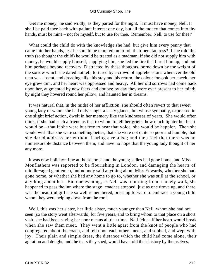'Get me money,' he said wildly, as they parted for the night. 'I must have money, Nell. It shall be paid thee back with gallant interest one day, but all the money that comes into thy hands, must be mine – not for myself, but to use for thee. Remember, Nell, to use for thee!'

 What could the child do with the knowledge she had, but give him every penny that came into her hands, lest he should be tempted on to rob their benefactress? If she told the truth (so thought the child) he would be treated as a madman; if she did not supply him with money, he would supply himself; supplying him, she fed the fire that burnt him up, and put him perhaps beyond recovery. Distracted by these thoughts, borne down by the weight of the sorrow which she dared not tell, tortured by a crowd of apprehensions whenever the old man was absent, and dreading alike his stay and his return, the colour forsook her cheek, her eye grew dim, and her heart was oppressed and heavy. All her old sorrows had come back upon her, augmented by new fears and doubts; by day they were ever present to her mind; by night they hovered round her pillow, and haunted her in dreams.

 It was natural that, in the midst of her affliction, she should often revert to that sweet young lady of whom she had only caught a hasty glance, but whose sympathy, expressed in one slight brief action, dwelt in her memory like the kindnesses of years. She would often think, if she had such a friend as that to whom to tell her griefs, how much lighter her heart would be – that if she were but free to hear that voice, she would be happier. Then she would wish that she were something better, that she were not quite so poor and humble, that she dared address her without fearing a repulse; and then feel that there was an immeasurable distance between them, and have no hope that the young lady thought of her any more.

 It was now holiday−time at the schools, and the young ladies had gone home, and Miss Monflathers was reported to be flourishing in London, and damaging the hearts of middle−aged gentlemen, but nobody said anything about Miss Edwards, whether she had gone home, or whether she had any home to go to, whether she was still at the school, or anything about her. But one evening, as Nell was returning from a lonely walk, she happened to pass the inn where the stage−coaches stopped, just as one drove up, and there was the beautiful girl she so well remembered, pressing forward to embrace a young child whom they were helping down from the roof.

 Well, this was her sister, her little sister, much younger than Nell, whom she had not seen (so the story went afterwards) for five years, and to bring whom to that place on a short visit, she had been saving her poor means all that time. Nell felt as if her heart would break when she saw them meet. They went a little apart from the knot of people who had congregated about the coach, and fell upon each other's neck, and sobbed, and wept with joy. Their plain and simple dress, the distance which the child had come alone, their agitation and delight, and the tears they shed, would have told their history by themselves.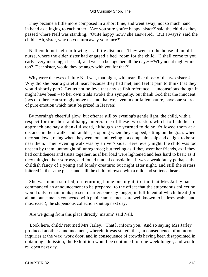They became a little more composed in a short time, and went away, not so much hand in hand as clinging to each other. 'Are you sure you're happy, sister?' said the child as they passed where Nell was standing. 'Quite happy now,' she answered. 'But always?' said the child. 'Ah, sister, why do you turn away your face?'

 Nell could not help following at a little distance. They went to the house of an old nurse, where the elder sister had engaged a bed−room for the child. 'I shall come to you early every morning,' she said, 'and we can be together all the day.−'−'Why not at night−time too? Dear sister, would they be angry with you for that?'

 Why were the eyes of little Nell wet, that night, with tears like those of the two sisters? Why did she bear a grateful heart because they had met, and feel it pain to think that they would shortly part? Let us not believe that any selfish reference – unconscious though it might have been – to her own trials awoke this sympathy, but thank God that the innocent joys of others can strongly move us, and that we, even in our fallen nature, have one source of pure emotion which must be prized in Heaven!

 By morning's cheerful glow, but oftener still by evening's gentle light, the child, with a respect for the short and happy intercourse of these two sisters which forbade her to approach and say a thankful word, although she yearned to do so, followed them at a distance in their walks and rambles, stopping when they stopped, sitting on the grass when they sat down, rising when they went on, and feeling it a companionship and delight to be so near them. Their evening walk was by a river's side. Here, every night, the child was too, unseen by them, unthought of, unregarded; but feeling as if they were her friends, as if they had confidences and trusts together, as if her load were lightened and less hard to bear; as if they mingled their sorrows, and found mutual consolation. It was a weak fancy perhaps, the childish fancy of a young and lonely creature; but night after night, and still the sisters loitered in the same place, and still the child followed with a mild and softened heart.

 She was much startled, on returning home one night, to find that Mrs Jarley had commanded an announcement to be prepared, to the effect that the stupendous collection would only remain in its present quarters one day longer; in fulfilment of which threat (for all announcements connected with public amusements are well known to be irrevocable and most exact), the stupendous collection shut up next day.

'Are we going from this place directly, ma'am?' said Nell.

 'Look here, child,' returned Mrs Jarley. 'That'll inform you.' And so saying Mrs Jarley produced another announcement, wherein it was stated, that, in consequence of numerous inquiries at the wax−work door, and in consequence of crowds having been disappointed in obtaining admission, the Exhibition would be continued for one week longer, and would re−open next day.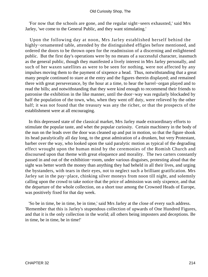'For now that the schools are gone, and the regular sight−seers exhausted,' said Mrs Jarley, 'we come to the General Public, and they want stimulating.'

 Upon the following day at noon, Mrs Jarley established herself behind the highly−ornamented table, attended by the distinguished effigies before mentioned, and ordered the doors to be thrown open for the readmission of a discerning and enlightened public. But the first day's operations were by no means of a successful character, inasmuch as the general public, though they manifested a lively interest in Mrs Jarley personally, and such of her waxen satellites as were to be seen for nothing, were not affected by any impulses moving them to the payment of sixpence a head. Thus, notwithstanding that a great many people continued to stare at the entry and the figures therein displayed; and remained there with great perseverance, by the hour at a time, to hear the barrel−organ played and to read the bills; and notwithstanding that they were kind enough to recommend their friends to patronise the exhibition in the like manner, until the door−way was regularly blockaded by half the population of the town, who, when they went off duty, were relieved by the other half; it was not found that the treasury was any the richer, or that the prospects of the establishment were at all encouraging.

 In this depressed state of the classical market, Mrs Jarley made extraordinary efforts to stimulate the popular taste, and whet the popular curiosity. Certain machinery in the body of the nun on the leads over the door was cleaned up and put in motion, so that the figure shook its head paralytically all day long, to the great admiration of a drunken, but very Protestant, barber over the way, who looked upon the said paralytic motion as typical of the degrading effect wrought upon the human mind by the ceremonies of the Romish Church and discoursed upon that theme with great eloquence and morality. The two carters constantly passed in and out of the exhibition−room, under various disguises, protesting aloud that the sight was better worth the money than anything they had beheld in all their lives, and urging the bystanders, with tears in their eyes, not to neglect such a brilliant gratification. Mrs Jarley sat in the pay−place, chinking silver moneys from noon till night, and solemnly calling upon the crowd to take notice that the price of admission was only sixpence, and that the departure of the whole collection, on a short tour among the Crowned Heads of Europe, was positively fixed for that day week.

 'So be in time, be in time, be in time,' said Mrs Jarley at the close of every such address. 'Remember that this is Jarley's stupendous collection of upwards of One Hundred Figures, and that it is the only collection in the world; all others being imposters and deceptions. Be in time, be in time, be in time!'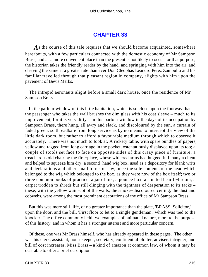## **[CHAPTER 33](#page-495-0)**

As the course of this tale requires that we should become acquainted, somewhere hereabouts, with a few particulars connected with the domestic economy of Mr Sampson Brass, and as a more convenient place than the present is not likely to occur for that purpose, the historian takes the friendly reader by the hand, and springing with him into the air, and cleaving the same at a greater rate than ever Don Cleophas Leandro Perez Zambullo and his familiar travelled through that pleasant region in company, alights with him upon the pavement of Bevis Marks.

 The intrepid aeronauts alight before a small dark house, once the residence of Mr Sampson Brass.

 In the parlour window of this little habitation, which is so close upon the footway that the passenger who takes the wall brushes the dim glass with his coat sleeve – much to its improvement, for it is very dirty – in this parlour window in the days of its occupation by Sampson Brass, there hung, all awry and slack, and discoloured by the sun, a curtain of faded green, so threadbare from long service as by no means to intercept the view of the little dark room, but rather to afford a favourable medium through which to observe it accurately. There was not much to look at. A rickety table, with spare bundles of papers, yellow and ragged from long carriage in the pocket, ostentatiously displayed upon its top; a couple of stools set face to face on opposite sides of this crazy piece of furniture; a treacherous old chair by the fire−place, whose withered arms had hugged full many a client and helped to squeeze him dry; a second−hand wig box, used as a depository for blank writs and declarations and other small forms of law, once the sole contents of the head which belonged to the wig which belonged to the box, as they were now of the box itself; two or three common books of practice; a jar of ink, a pounce box, a stunted hearth−broom, a carpet trodden to shreds but still clinging with the tightness of desperation to its tacks – these, with the yellow wainscot of the walls, the smoke−discoloured ceiling, the dust and cobwebs, were among the most prominent decorations of the office of Mr Sampson Brass.

 But this was mere still−life, of no greater importance than the plate, 'BRASS, Solicitor,' upon the door, and the bill, 'First floor to let to a single gentleman,' which was tied to the knocker. The office commonly held two examples of animated nature, more to the purpose of this history, and in whom it has a stronger interest and more particular concern.

 Of these, one was Mr Brass himself, who has already appeared in these pages. The other was his clerk, assistant, housekeeper, secretary, confidential plotter, adviser, intriguer, and bill of cost increaser, Miss Brass – a kind of amazon at common law, of whom it may be desirable to offer a brief description.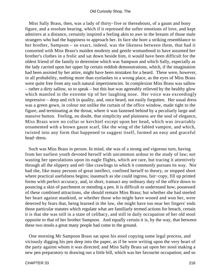Miss Sally Brass, then, was a lady of thirty−five or thereabouts, of a gaunt and bony figure, and a resolute bearing, which if it repressed the softer emotions of love, and kept admirers at a distance, certainly inspired a feeling akin to awe in the breasts of those male strangers who had the happiness to approach her. In face she bore a striking resemblance to her brother, Sampson – so exact, indeed, was the likeness between them, that had it consorted with Miss Brass's maiden modesty and gentle womanhood to have assumed her brother's clothes in a frolic and sat down beside him, it would have been difficult for the oldest friend of the family to determine which was Sampson and which Sally, especially as the lady carried upon her upper lip certain reddish demonstrations, which, if the imagination had been assisted by her attire, might have been mistaken for a beard. These were, however, in all probability, nothing more than eyelashes in a wrong place, as the eyes of Miss Brass were quite free from any such natural impertinencies. In complexion Miss Brass was sallow – rather a dirty sallow, so to speak – but this hue was agreeably relieved by the healthy glow which mantled in the extreme tip of her laughing nose. Her voice was exceedingly impressive – deep and rich in quality, and, once heard, not easily forgotten. Her usual dress was a green gown, in colour not unlike the curtain of the office window, made tight to the figure, and terminating at the throat, where it was fastened behind by a peculiarly large and massive button. Feeling, no doubt, that simplicity and plainness are the soul of elegance, Miss Brass wore no collar or kerchief except upon her head, which was invariably ornamented with a brown gauze scarf, like the wing of the fabled vampire, and which, twisted into any form that happened to suggest itself, formed an easy and graceful head−dress.

 Such was Miss Brass in person. In mind, she was of a strong and vigorous turn, having from her earliest youth devoted herself with uncommon ardour to the study of law; not wasting her speculations upon its eagle flights, which are rare, but tracing it attentively through all the slippery and eel−like crawlings in which it commonly pursues its way. Nor had she, like many persons of great intellect, confined herself to theory, or stopped short where practical usefulness begins; inasmuch as she could ingross, fair−copy, fill up printed forms with perfect accuracy, and, in short, transact any ordinary duty of the office down to pouncing a skin of parchment or mending a pen. It is difficult to understand how, possessed of these combined attractions, she should remain Miss Brass; but whether she had steeled her heart against mankind, or whether those who might have wooed and won her, were deterred by fears that, being learned in the law, she might have too near her fingers' ends those particular statutes which regulate what are familiarly termed actions for breach, certain it is that she was still in a state of celibacy, and still in daily occupation of her old stool opposite to that of her brother Sampson. And equally certain it is, by the way, that between these two stools a great many people had come to the ground.

 One morning Mr Sampson Brass sat upon his stool copying some legal process, and viciously digging his pen deep into the paper, as if he were writing upon the very heart of the party against whom it was directed; and Miss Sally Brass sat upon her stool making a new pen preparatory to drawing out a little bill, which was her favourite occupation; and so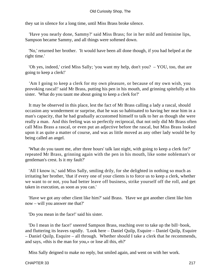they sat in silence for a long time, until Miss Brass broke silence.

 'Have you nearly done, Sammy?' said Miss Brass; for in her mild and feminine lips, Sampson became Sammy, and all things were softened down.

 'No,' returned her brother. 'It would have been all done though, if you had helped at the right time.'

 'Oh yes, indeed,' cried Miss Sally; 'you want my help, don't you? – YOU, too, that are going to keep a clerk!'

 'Am I going to keep a clerk for my own pleasure, or because of my own wish, you provoking rascal!' said Mr Brass, putting his pen in his mouth, and grinning spitefully at his sister. 'What do you taunt me about going to keep a clerk for?'

 It may be observed in this place, lest the fact of Mr Brass calling a lady a rascal, should occasion any wonderment or surprise, that he was so habituated to having her near him in a man's capacity, that he had gradually accustomed himself to talk to her as though she were really a man. And this feeling was so perfectly reciprocal, that not only did Mr Brass often call Miss Brass a rascal, or even put an adjective before the rascal, but Miss Brass looked upon it as quite a matter of course, and was as little moved as any other lady would be by being called an angel.

 'What do you taunt me, after three hours' talk last night, with going to keep a clerk for?' repeated Mr Brass, grinning again with the pen in his mouth, like some nobleman's or gentleman's crest. Is it my fault?'

 'All I know is,' said Miss Sally, smiling drily, for she delighted in nothing so much as irritating her brother, 'that if every one of your clients is to force us to keep a clerk, whether we want to or not, you had better leave off business, strike yourself off the roll, and get taken in execution, as soon as you can.'

 'Have we got any other client like him?' said Brass. 'Have we got another client like him now – will you answer me that?'

'Do you mean in the face!' said his sister.

 'Do I mean in the face!' sneered Sampson Brass, reaching over to take up the bill−book, and fluttering its leaves rapidly. 'Look here – Daniel Quilp, Esquire – Daniel Quilp, Esquire – Daniel Quilp, Esquire – all through. Whether should I take a clerk that he recommends, and says, «this is the man for you,» or lose all this, eh?'

Miss Sally deigned to make no reply, but smiled again, and went on with her work.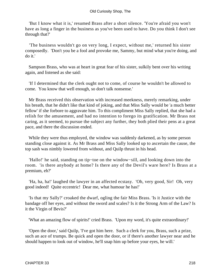#### Old Curiosity Shop, The

 'But I know what it is,' resumed Brass after a short silence. 'You're afraid you won't have as long a finger in the business as you've been used to have. Do you think I don't see through that?'

 'The business wouldn't go on very long, I expect, without me,' returned his sister composedly. 'Don't you be a fool and provoke me, Sammy, but mind what you're doing, and do it.'

 Sampson Brass, who was at heart in great fear of his sister, sulkily bent over his writing again, and listened as she said:

 'If I determined that the clerk ought not to come, of course he wouldn't be allowed to come. You know that well enough, so don't talk nonsense.'

 Mr Brass received this observation with increased meekness, merely remarking, under his breath, that he didn't like that kind of joking, and that Miss Sally would be 'a much better fellow' if she forbore to aggravate him. To this compliment Miss Sally replied, that she had a relish for the amusement, and had no intention to forego its gratification. Mr Brass not caring, as it seemed, to pursue the subject any further, they both plied their pens at a great pace, and there the discussion ended.

 While they were thus employed, the window was suddenly darkened, as by some person standing close against it. As Mr Brass and Miss Sally looked up to ascertain the cause, the top sash was nimbly lowered from without, and Quilp thrust in his head.

 'Hallo!' he said, standing on tip−toe on the window−sill, and looking down into the room. 'is there anybody at home? Is there any of the Devil's ware here? Is Brass at a premium, eh?'

 'Ha, ha, ha!' laughed the lawyer in an affected ecstasy. 'Oh, very good, Sir! Oh, very good indeed! Quite eccentric! Dear me, what humour he has!'

 'Is that my Sally?' croaked the dwarf, ogling the fair Miss Brass. 'Is it Justice with the bandage off her eyes, and without the sword and scales? Is it the Strong Arm of the Law? Is it the Virgin of Bevis?'

'What an amazing flow of spirits!' cried Brass. 'Upon my word, it's quite extraordinary!'

'Open the door,' said Quilp, 'I've got him here. Such a clerk for you, Brass, such a prize, such an ace of trumps. Be quick and open the door, or if there's another lawyer near and he should happen to look out of window, he'll snap him up before your eyes, he will.'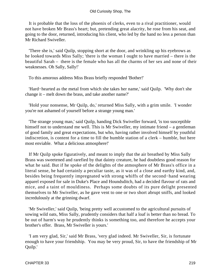It is probable that the loss of the phoenix of clerks, even to a rival practitioner, would not have broken Mr Brass's heart; but, pretending great alacrity, he rose from his seat, and going to the door, returned, introducing his client, who led by the hand no less a person than Mr Richard Swiveller.

 'There she is,' said Quilp, stopping short at the door, and wrinkling up his eyebrows as he looked towards Miss Sally; 'there is the woman I ought to have married – there is the beautiful Sarah – there is the female who has all the charms of her sex and none of their weaknesses. Oh Sally, Sally!'

To this amorous address Miss Brass briefly responded 'Bother!'

 'Hard−hearted as the metal from which she takes her name,' said Quilp. 'Why don't she change it – melt down the brass, and take another name?'

 'Hold your nonsense, Mr Quilp, do,' returned Miss Sally, with a grim smile. 'I wonder you're not ashamed of yourself before a strange young man.'

 'The strange young man,' said Quilp, handing Dick Swiveller forward, 'is too susceptible himself not to understand me well. This is Mr Swiveller, my intimate friend – a gentleman of good family and great expectations, but who, having rather involved himself by youthful indiscretion, is content for a time to fill the humble station of a clerk – humble, but here most enviable. What a delicious atmosphere!'

 If Mr Quilp spoke figuratively, and meant to imply that the air breathed by Miss Sally Brass was sweetened and rarefied by that dainty creature, he had doubtless good reason for what he said. But if he spoke of the delights of the atmosphere of Mr Brass's office in a literal sense, he had certainly a peculiar taste, as it was of a close and earthy kind, and, besides being frequently impregnated with strong whiffs of the second−hand wearing apparel exposed for sale in Duke's Place and Houndsditch, had a decided flavour of rats and mice, and a taint of mouldiness. Perhaps some doubts of its pure delight presented themselves to Mr Swiveller, as he gave vent to one or two short abrupt sniffs, and looked incredulously at the grinning dwarf.

 'Mr Swiveller,' said Quilp, 'being pretty well accustomed to the agricultural pursuits of sowing wild oats, Miss Sally, prudently considers that half a loaf is better than no bread. To be out of harm's way he prudently thinks is something too, and therefore he accepts your brother's offer. Brass, Mr Swiveller is yours.'

 'I am very glad, Sir,' said Mr Brass, 'very glad indeed. Mr Swiveller, Sir, is fortunate enough to have your friendship. You may be very proud, Sir, to have the friendship of Mr Quilp.'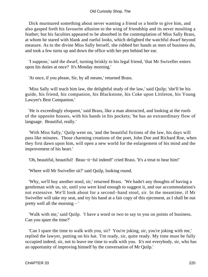Dick murmured something about never wanting a friend or a bottle to give him, and also gasped forth his favourite allusion to the wing of friendship and its never moulting a feather; but his faculties appeared to be absorbed in the contemplation of Miss Sally Brass, at whom he stared with blank and rueful looks, which delighted the watchful dwarf beyond measure. As to the divine Miss Sally herself, she rubbed her hands as men of business do, and took a few turns up and down the office with her pen behind her ear.

 'I suppose,' said the dwarf, turning briskly to his legal friend, 'that Mr Swiveller enters upon his duties at once? It's Monday morning.'

'At once, if you please, Sir, by all means,' returned Brass.

 'Miss Sally will teach him law, the delightful study of the law,' said Quilp; 'she'll be his guide, his friend, his companion, his Blackstone, his Coke upon Littleton, his Young Lawyer's Best Companion.'

 'He is exceedingly eloquent,' said Brass, like a man abstracted, and looking at the roofs of the opposite houses, with his hands in his pockets; 'he has an extraordinary flow of language. Beautiful, really.'

 'With Miss Sally,' Quilp went on, 'and the beautiful fictions of the law, his days will pass like minutes. Those charming creations of the poet, John Doe and Richard Roe, when they first dawn upon him, will open a new world for the enlargement of his mind and the improvement of his heart.'

'Oh, beautiful, beautiful! Beau−ti−ful indeed!' cried Brass. 'It's a treat to hear him!'

'Where will Mr Swiveller sit?' said Quilp, looking round.

 'Why, we'll buy another stool, sir,' returned Brass. 'We hadn't any thoughts of having a gentleman with us, sir, until you were kind enough to suggest it, and our accommodation's not extensive. We'll look about for a second−hand stool, sir. In the meantime, if Mr Swiveller will take my seat, and try his hand at a fair copy of this ejectment, as I shall be out pretty well all the morning – '

 'Walk with me,' said Quilp. 'I have a word or two to say to you on points of business. Can you spare the time?'

 'Can I spare the time to walk with you, sir? You're joking, sir, you're joking with me,' replied the lawyer, putting on his hat. 'I'm ready, sir, quite ready. My time must be fully occupied indeed, sir, not to leave me time to walk with you. It's not everybody, sir, who has an opportunity of improving himself by the conversation of Mr Quilp.'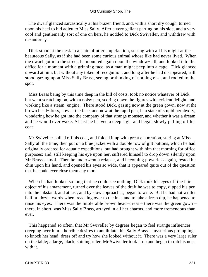The dwarf glanced sarcastically at his brazen friend, and, with a short dry cough, turned upon his heel to bid adieu to Miss Sally. After a very gallant parting on his side, and a very cool and gentlemanly sort of one on hers, he nodded to Dick Swiveller, and withdrew with the attorney.

 Dick stood at the desk in a state of utter stupefaction, staring with all his might at the beauteous Sally, as if she had been some curious animal whose like had never lived. When the dwarf got into the street, he mounted again upon the window−sill, and looked into the office for a moment with a grinning face, as a man might peep into a cage. Dick glanced upward at him, but without any token of recognition; and long after he had disappeared, still stood gazing upon Miss Sally Brass, seeing or thinking of nothing else, and rooted to the spot.

 Miss Brass being by this time deep in the bill of costs, took no notice whatever of Dick, but went scratching on, with a noisy pen, scoring down the figures with evident delight, and working like a steam−engine. There stood Dick, gazing now at the green gown, now at the brown head−dress, now at the face, and now at the rapid pen, in a state of stupid perplexity, wondering how he got into the company of that strange monster, and whether it was a dream and he would ever wake. At last he heaved a deep sigh, and began slowly pulling off his coat.

 Mr Swiveller pulled off his coat, and folded it up with great elaboration, staring at Miss Sally all the time; then put on a blue jacket with a double row of gilt buttons, which he had originally ordered for aquatic expeditions, but had brought with him that morning for office purposes; and, still keeping his eye upon her, suffered himself to drop down silently upon Mr Brass's stool. Then he underwent a relapse, and becoming powerless again, rested his chin upon his hand, and opened his eyes so wide, that it appeared quite out of the question that he could ever close them any more.

 When he had looked so long that he could see nothing, Dick took his eyes off the fair object of his amazement, turned over the leaves of the draft he was to copy, dipped his pen into the inkstand, and at last, and by slow approaches, began to write. But he had not written half−a−dozen words when, reaching over to the inkstand to take a fresh dip, he happened to raise his eyes. There was the intolerable brown head−dress – there was the green gown – there, in short, was Miss Sally Brass, arrayed in all her charms, and more tremendous than ever.

 This happened so often, that Mr Swiveller by degrees began to feel strange influences creeping over him – horrible desires to annihilate this Sally Brass – mysterious promptings to knock her head−dress off and try how she looked without it. There was a very large ruler on the table; a large, black, shining ruler. Mr Swiveller took it up and began to rub his nose with it.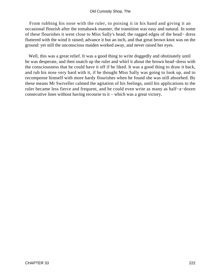From rubbing his nose with the ruler, to poising it in his hand and giving it an occasional flourish after the tomahawk manner, the transition was easy and natural. In some of these flourishes it went close to Miss Sally's head; the ragged edges of the head− dress fluttered with the wind it raised; advance it but an inch, and that great brown knot was on the ground: yet still the unconscious maiden worked away, and never raised her eyes.

 Well, this was a great relief. It was a good thing to write doggedly and obstinately until he was desperate, and then snatch up the ruler and whirl it about the brown head−dress with the consciousness that he could have it off if he liked. It was a good thing to draw it back, and rub his nose very hard with it, if he thought Miss Sally was going to look up, and to recompense himself with more hardy flourishes when he found she was still absorbed. By these means Mr Swiveller calmed the agitation of his feelings, until his applications to the ruler became less fierce and frequent, and he could even write as many as half−a−dozen consecutive lines without having recourse to it – which was a great victory.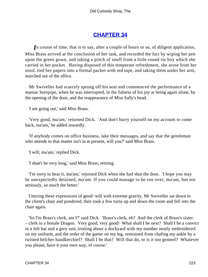# **[CHAPTER 34](#page-495-0)**

*I*n course of time, that is to say, after a couple of hours or so, of diligent application, Miss Brass arrived at the conclusion of her task, and recorded the fact by wiping her pen upon the green gown, and taking a pinch of snuff from a little round tin box which she carried in her pocket. Having disposed of this temperate refreshment, she arose from her stool, tied her papers into a formal packet with red tape, and taking them under her arm, marched out of the office.

 Mr Swiveller had scarcely sprung off his seat and commenced the performance of a maniac hornpipe, when he was interrupted, in the fulness of his joy at being again alone, by the opening of the door, and the reappearance of Miss Sally's head.

'I am going out,' said Miss Brass.

 'Very good, ma'am,' returned Dick. 'And don't hurry yourself on my account to come back, ma'am,' he added inwardly.

 'If anybody comes on office business, take their messages, and say that the gentleman who attends to that matter isn't in at present, will you?' said Miss Brass.

'I will, ma'am,' replied Dick.

'I shan't be very long,' said Miss Brass, retiring.

 'I'm sorry to hear it, ma'am,' rejoined Dick when she had shut the door. 'I hope you may be unexpectedly detained, ma'am. If you could manage to be run over, ma'am, but not seriously, so much the better.'

 Uttering these expressions of good−will with extreme gravity, Mr Swiveller sat down in the client's chair and pondered; then took a few turns up and down the room and fell into the chair again.

 'So I'm Brass's clerk, am I?' said Dick. 'Brass's clerk, eh? And the clerk of Brass's sister – clerk to a female Dragon. Very good, very good! What shall I be next? Shall I be a convict in a felt hat and a grey suit, trotting about a dockyard with my number neatly embroidered on my uniform, and the order of the garter on my leg, restrained from chafing my ankle by a twisted belcher handkerchief? Shall I be that? Will that do, or is it too genteel? Whatever you please, have it your own way, of course.'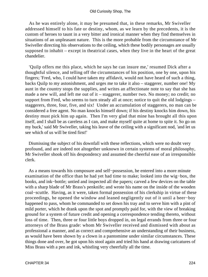As he was entirely alone, it may be presumed that, in these remarks, Mr Swiveller addressed himself to his fate or destiny, whom, as we learn by the precedents, it is the custom of heroes to taunt in a very bitter and ironical manner when they find themselves in situations of an unpleasant nature. This is the more probable from the circumstance of Mr Swiveller directing his observations to the ceiling, which these bodily personages are usually supposed to inhabit – except in theatrical cases, when they live in the heart of the great chandelier.

 'Quilp offers me this place, which he says he can insure me,' resumed Dick after a thoughtful silence, and telling off the circumstances of his position, one by one, upon his fingers; 'Fred, who, I could have taken my affidavit, would not have heard of such a thing, backs Quilp to my astonishment, and urges me to take it also – staggerer, number one! My aunt in the country stops the supplies, and writes an affectionate note to say that she has made a new will, and left me out of it – staggerer, number two. No money; no credit; no support from Fred, who seems to turn steady all at once; notice to quit the old lodgings – staggerers, three, four, five, and six! Under an accumulation of staggerers, no man can be considered a free agent. No man knocks himself down; if his destiny knocks him down, his destiny must pick him up again. Then I'm very glad that mine has brought all this upon itself, and I shall be as careless as I can, and make myself quite at home to spite it. So go on my buck,' said Mr Swiveller, taking his leave of the ceiling with a significant nod, 'and let us see which of us will be tired first!'

 Dismissing the subject of his downfall with these reflections, which were no doubt very profound, and are indeed not altogether unknown in certain systems of moral philosophy, Mr Swiveller shook off his despondency and assumed the cheerful ease of an irresponsible clerk.

 As a means towards his composure and self−possession, he entered into a more minute examination of the office than he had yet had time to make; looked into the wig−box, the books, and ink−bottle; untied and inspected all the papers; carved a few devices on the table with a sharp blade of Mr Brass's penknife; and wrote his name on the inside of the wooden coal−scuttle. Having, as it were, taken formal possession of his clerkship in virtue of these proceedings, he opened the window and leaned negligently out of it until a beer−boy happened to pass, whom he commanded to set down his tray and to serve him with a pint of mild porter, which he drank upon the spot and promptly paid for, with the view of breaking ground for a system of future credit and opening a correspondence tending thereto, without loss of time. Then, three or four little boys dropped in, on legal errands from three or four attorneys of the Brass grade: whom Mr Swiveller received and dismissed with about as professional a manner, and as correct and comprehensive an understanding of their business, as would have been shown by a clown in a pantomime under similar circumstances. These things done and over, he got upon his stool again and tried his hand at drawing caricatures of Miss Brass with a pen and ink, whistling very cheerfully all the time.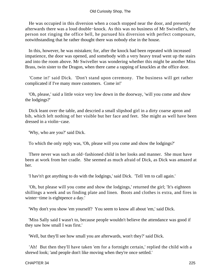He was occupied in this diversion when a coach stopped near the door, and presently afterwards there was a loud double−knock. As this was no business of Mr Swiveller's, the person not ringing the office bell, he pursued his diversion with perfect composure, notwithstanding that he rather thought there was nobody else in the house.

 In this, however, he was mistaken; for, after the knock had been repeated with increased impatience, the door was opened, and somebody with a very heavy tread went up the stairs and into the room above. Mr Swiveller was wondering whether this might be another Miss Brass, twin sister to the Dragon, when there came a rapping of knuckles at the office door.

 'Come in!' said Dick. 'Don't stand upon ceremony. The business will get rather complicated if I've many more customers. Come in!'

 'Oh, please,' said a little voice very low down in the doorway, 'will you come and show the lodgings?'

 Dick leant over the table, and descried a small slipshod girl in a dirty coarse apron and bib, which left nothing of her visible but her face and feet. She might as well have been dressed in a violin−case.

'Why, who are you?' said Dick.

To which the only reply was, 'Oh, please will you come and show the lodgings?'

 There never was such an old−fashioned child in her looks and manner. She must have been at work from her cradle. She seemed as much afraid of Dick, as Dick was amazed at her.

'I hav'n't got anything to do with the lodgings,' said Dick. 'Tell 'em to call again.'

 'Oh, but please will you come and show the lodgings,' returned the girl; 'It's eighteen shillings a week and us finding plate and linen. Boots and clothes is extra, and fires in winter−time is eightpence a day.'

'Why don't you show 'em yourself? You seem to know all about 'em,' said Dick.

 'Miss Sally said I wasn't to, because people wouldn't believe the attendance was good if they saw how small I was first.'

'Well, but they'll see how small you are afterwards, won't they?' said Dick.

 'Ah! But then they'll have taken 'em for a fortnight certain,' replied the child with a shrewd look; 'and people don't like moving when they're once settled.'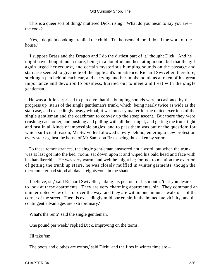'This is a queer sort of thing,' muttered Dick, rising. 'What do you mean to say you are – the cook?'

 'Yes, I do plain cooking;' replied the child. 'I'm housemaid too; I do all the work of the house.'

 'I suppose Brass and the Dragon and I do the dirtiest part of it,' thought Dick. And he might have thought much more, being in a doubtful and hesitating mood, but that the girl again urged her request, and certain mysterious bumping sounds on the passage and staircase seemed to give note of the applicant's impatience. Richard Swiveller, therefore, sticking a pen behind each ear, and carrying another in his mouth as a token of his great importance and devotion to business, hurried out to meet and treat with the single gentleman.

 He was a little surprised to perceive that the bumping sounds were occasioned by the progress up−stairs of the single gentleman's trunk, which, being nearly twice as wide as the staircase, and exceedingly heavy withal, it was no easy matter for the united exertions of the single gentleman and the coachman to convey up the steep ascent. But there they were, crushing each other, and pushing and pulling with all their might, and getting the trunk tight and fast in all kinds of impossible angles, and to pass them was out of the question; for which sufficient reason, Mr Swiveller followed slowly behind, entering a new protest on every stair against the house of Mr Sampson Brass being thus taken by storm.

 To these remonstrances, the single gentleman answered not a word, but when the trunk was at last got into the bed−room, sat down upon it and wiped his bald head and face with his handkerchief. He was very warm, and well he might be; for, not to mention the exertion of getting the trunk up stairs, he was closely muffled in winter garments, though the thermometer had stood all day at eighty−one in the shade.

 'I believe, sir,' said Richard Swiveller, taking his pen out of his mouth, 'that you desire to look at these apartments. They are very charming apartments, sir. They command an uninterrupted view of – of over the way, and they are within one minute's walk of – of the corner of the street. There is exceedingly mild porter, sir, in the immediate vicinity, and the contingent advantages are extraordinary.'

'What's the rent?' said the single gentleman.

'One pound per week,' replied Dick, improving on the terms.

'I'll take 'em.'

'The boots and clothes are extras,' said Dick; 'and the fires in winter time are – '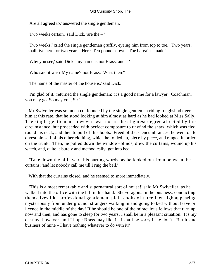'Are all agreed to,' answered the single gentleman.

'Two weeks certain,' said Dick, 'are the – '

 'Two weeks!' cried the single gentleman gruffly, eyeing him from top to toe. 'Two years. I shall live here for two years. Here. Ten pounds down. The bargain's made.'

'Why you see,' said Dick, 'my name is not Brass, and – '

'Who said it was? My name's not Brass. What then?'

'The name of the master of the house is,' said Dick.

 'I'm glad of it,' returned the single gentleman; 'it's a good name for a lawyer. Coachman, you may go. So may you, Sir.'

 Mr Swiveller was so much confounded by the single gentleman riding roughshod over him at this rate, that he stood looking at him almost as hard as he had looked at Miss Sally. The single gentleman, however, was not in the slightest degree affected by this circumstance, but proceeded with perfect composure to unwind the shawl which was tied round his neck, and then to pull off his boots. Freed of these encumbrances, he went on to divest himself of his other clothing, which he folded up, piece by piece, and ranged in order on the trunk. Then, he pulled down the window−blinds, drew the curtains, wound up his watch, and, quite leisurely and methodically, got into bed.

 'Take down the bill,' were his parting words, as he looked out from between the curtains; 'and let nobody call me till I ring the bell.'

With that the curtains closed, and he seemed to snore immediately.

 'This is a most remarkable and supernatural sort of house!' said Mr Swiveller, as he walked into the office with the bill in his hand. 'She−dragons in the business, conducting themselves like professional gentlemen; plain cooks of three feet high appearing mysteriously from under ground; strangers walking in and going to bed without leave or licence in the middle of the day! If he should be one of the miraculous fellows that turn up now and then, and has gone to sleep for two years, I shall be in a pleasant situation. It's my destiny, however, and I hope Brass may like it. I shall be sorry if he don't. But it's no business of mine – I have nothing whatever to do with it!'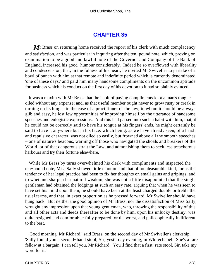### **[CHAPTER 35](#page-495-0)**

**M Brass** on returning home received the report of his clerk with much complacency and satisfaction, and was particular in inquiring after the ten−pound note, which, proving on examination to be a good and lawful note of the Governor and Company of the Bank of England, increased his good−humour considerably. Indeed he so overflowed with liberality and condescension, that, in the fulness of his heart, he invited Mr Swiveller to partake of a bowl of punch with him at that remote and indefinite period which is currently denominated 'one of these days,' and paid him many handsome compliments on the uncommon aptitude for business which his conduct on the first day of his devotion to it had so plainly evinced.

 It was a maxim with Mr Brass that the habit of paying compliments kept a man's tongue oiled without any expense; and, as that useful member ought never to grow rusty or creak in turning on its hinges in the case of a practitioner of the law, in whom it should be always glib and easy, he lost few opportunities of improving himself by the utterance of handsome speeches and eulogistic expressions. And this had passed into such a habit with him, that, if he could not be correctly said to have his tongue at his fingers' ends, he might certainly be said to have it anywhere but in his face: which being, as we have already seen, of a harsh and repulsive character, was not oiled so easily, but frowned above all the smooth speeches – one of nature's beacons, warning off those who navigated the shoals and breakers of the World, or of that dangerous strait the Law, and admonishing them to seek less treacherous harbours and try their fortune elsewhere.

 While Mr Brass by turns overwhelmed his clerk with compliments and inspected the ten−pound note, Miss Sally showed little emotion and that of no pleasurable kind, for as the tendency of her legal practice had been to fix her thoughts on small gains and gripings, and to whet and sharpen her natural wisdom, she was not a little disappointed that the single gentleman had obtained the lodgings at such an easy rate, arguing that when he was seen to have set his mind upon them, he should have been at the least charged double or treble the usual terms, and that, in exact proportion as he pressed forward, Mr Swiveller should have hung back. But neither the good opinion of Mr Brass, nor the dissatisfaction of Miss Sally, wrought any impression upon that young gentleman, who, throwing the responsibility of this and all other acts and deeds thereafter to be done by him, upon his unlucky destiny, was quite resigned and comfortable: fully prepared for the worst, and philosophically indifferent to the best.

 'Good morning, Mr Richard,' said Brass, on the second day of Mr Swiveller's clerkship. 'Sally found you a second−hand stool, Sir, yesterday evening, in Whitechapel. She's a rare fellow at a bargain, I can tell you, Mr Richard. You'll find that a first−rate stool, Sir, take my word for it.'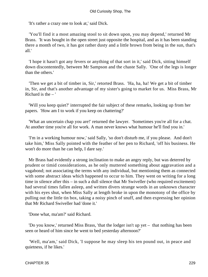'It's rather a crazy one to look at,' said Dick.

 'You'll find it a most amazing stool to sit down upon, you may depend,' returned Mr Brass. 'It was bought in the open street just opposite the hospital, and as it has been standing there a month of two, it has got rather dusty and a little brown from being in the sun, that's all.'

 'I hope it hasn't got any fevers or anything of that sort in it,' said Dick, sitting himself down discontentedly, between Mr Sampson and the chaste Sally. 'One of the legs is longer than the others.'

 'Then we get a bit of timber in, Sir,' retorted Brass. 'Ha, ha, ha! We get a bit of timber in, Sir, and that's another advantage of my sister's going to market for us. Miss Brass, Mr Richard is the – '

 'Will you keep quiet?' interrupted the fair subject of these remarks, looking up from her papers. 'How am I to work if you keep on chattering?'

 'What an uncertain chap you are!' returned the lawyer. 'Sometimes you're all for a chat. At another time you're all for work. A man never knows what humour he'll find you in.'

 'I'm in a working humour now,' said Sally, 'so don't disturb me, if you please. And don't take him,' Miss Sally pointed with the feather of her pen to Richard, 'off his business. He won't do more than he can help, I dare say.'

 Mr Brass had evidently a strong inclination to make an angry reply, but was deterred by prudent or timid considerations, as he only muttered something about aggravation and a vagabond; not associating the terms with any individual, but mentioning them as connected with some abstract ideas which happened to occur to him. They went on writing for a long time in silence after this – in such a dull silence that Mr Swiveller (who required excitement) had several times fallen asleep, and written divers strange words in an unknown character with his eyes shut, when Miss Sally at length broke in upon the monotony of the office by pulling out the little tin box, taking a noisy pinch of snuff, and then expressing her opinion that Mr Richard Swiveller had 'done it.'

'Done what, ma'am?' said Richard.

 'Do you know,' returned Miss Brass, 'that the lodger isn't up yet – that nothing has been seen or heard of him since he went to bed yesterday afternoon?'

 'Well, ma'am,' said Dick, 'I suppose he may sleep his ten pound out, in peace and quietness, if he likes.'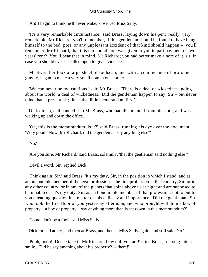'Ah! I begin to think he'll never wake,' observed Miss Sally.

 'It's a very remarkable circumstance,' said Brass, laying down his pen; 'really, very remarkable. Mr Richard, you'll remember, if this gentleman should be found to have hung himself to the bed−post, or any unpleasant accident of that kind should happen – you'll remember, Mr Richard, that this ten pound note was given to you in part payment of two years' rent? You'll bear that in mind, Mr Richard; you had better make a note of it, sir, in case you should ever be called upon to give evidence.'

 Mr Swiveller took a large sheet of foolscap, and with a countenance of profound gravity, began to make a very small note in one corner.

 'We can never be too cautious,' said Mr Brass. 'There is a deal of wickedness going about the world, a deal of wickedness. Did the gentleman happen to say, Sir – but never mind that at present, sir; finish that little memorandum first.'

 Dick did so, and handed it to Mr Brass, who had dismounted from his stool, and was walking up and down the office.

 'Oh, this is the memorandum, is it?' said Brass, running his eye over the document. 'Very good. Now, Mr Richard, did the gentleman say anything else?'

'No.'

'Are you sure, Mr Richard,' said Brass, solemnly, 'that the gentleman said nothing else?'

'Devil a word, Sir,' replied Dick.

 'Think again, Sir,' said Brass; 'it's my duty, Sir, in the position in which I stand, and as an honourable member of the legal profession – the first profession in this country, Sir, or in any other country, or in any of the planets that shine above us at night and are supposed to be inhabited – it's my duty, Sir, as an honourable member of that profession, not to put to you a leading question in a matter of this delicacy and importance. Did the gentleman, Sir, who took the first floor of you yesterday afternoon, and who brought with him a box of property – a box of property – say anything more than is set down in this memorandum?'

'Come, don't be a fool,' said Miss Sally.

Dick looked at her, and then at Brass, and then at Miss Sally again, and still said 'No.'

 'Pooh, pooh! Deuce take it, Mr Richard, how dull you are!' cried Brass, relaxing into a smile. 'Did he say anything about his property? – there!'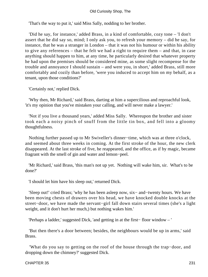#### Old Curiosity Shop, The

'That's the way to put it,' said Miss Sally, nodding to her brother.

 'Did he say, for instance,' added Brass, in a kind of comfortable, cozy tone – 'I don't assert that he did say so, mind; I only ask you, to refresh your memory – did he say, for instance, that he was a stranger in London – that it was not his humour or within his ability to give any references – that he felt we had a right to require them – and that, in case anything should happen to him, at any time, he particularly desired that whatever property he had upon the premises should be considered mine, as some slight recompense for the trouble and annoyance I should sustain – and were you, in short,' added Brass, still more comfortably and cozily than before, 'were you induced to accept him on my behalf, as a tenant, upon those conditions?'

'Certainly not,' replied Dick.

 'Why then, Mr Richard,' said Brass, darting at him a supercilious and reproachful look, 'it's my opinion that you've mistaken your calling, and will never make a lawyer.'

 'Not if you live a thousand years,' added Miss Sally. Whereupon the brother and sister took each a noisy pinch of snuff from the little tin box, and fell into a gloomy thoughtfulness.

 Nothing further passed up to Mr Swiveller's dinner−time, which was at three o'clock, and seemed about three weeks in coming. At the first stroke of the hour, the new clerk disappeared. At the last stroke of five, he reappeared, and the office, as if by magic, became fragrant with the smell of gin and water and lemon−peel.

 'Mr Richard,' said Brass, 'this man's not up yet. Nothing will wake him, sir. What's to be done?'

'I should let him have his sleep out,' returned Dick.

 'Sleep out!' cried Brass; 'why he has been asleep now, six− and−twenty hours. We have been moving chests of drawers over his head, we have knocked double knocks at the street−door, we have made the servant−girl fall down stairs several times (she's a light weight, and it don't hurt her much,) but nothing wakes him.'

'Perhaps a ladder,' suggested Dick, 'and getting in at the first− floor window – '

 'But then there's a door between; besides, the neighbours would be up in arms,' said Brass.

 'What do you say to getting on the roof of the house through the trap−door, and dropping down the chimney?' suggested Dick.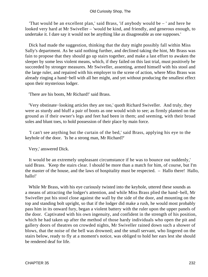'That would be an excellent plan,' said Brass, 'if anybody would be – ' and here he looked very hard at Mr Swiveller – 'would be kind, and friendly, and generous enough, to undertake it. I dare say it would not be anything like as disagreeable as one supposes.'

 Dick had made the suggestion, thinking that the duty might possibly fall within Miss Sally's department. As he said nothing further, and declined taking the hint, Mr Brass was fain to propose that they should go up stairs together, and make a last effort to awaken the sleeper by some less violent means, which, if they failed on this last trial, must positively be succeeded by stronger measures. Mr Swiveller, assenting, armed himself with his stool and the large ruler, and repaired with his employer to the scene of action, where Miss Brass was already ringing a hand−bell with all her might, and yet without producing the smallest effect upon their mysterious lodger.

'There are his boots, Mr Richard!' said Brass.

 'Very obstinate−looking articles they are too,' quoth Richard Swiveller. And truly, they were as sturdy and bluff a pair of boots as one would wish to see; as firmly planted on the ground as if their owner's legs and feet had been in them; and seeming, with their broad soles and blunt toes, to hold possession of their place by main force.

 'I can't see anything but the curtain of the bed,' said Brass, applying his eye to the keyhole of the door. 'Is he a strong man, Mr Richard?'

Very,' answered Dick.

 It would be an extremely unpleasant circumstance if he was to bounce out suddenly,' said Brass. 'Keep the stairs clear. I should be more than a match for him, of course, but I'm the master of the house, and the laws of hospitality must be respected. – Hallo there! Hallo, hallo!'

 While Mr Brass, with his eye curiously twisted into the keyhole, uttered these sounds as a means of attracting the lodger's attention, and while Miss Brass plied the hand−bell, Mr Swiveller put his stool close against the wall by the side of the door, and mounting on the top and standing bolt upright, so that if the lodger did make a rush, he would most probably pass him in its onward fury, began a violent battery with the ruler upon the upper panels of the door. Captivated with his own ingenuity, and confident in the strength of his position, which he had taken up after the method of those hardy individuals who open the pit and gallery doors of theatres on crowded nights, Mr Swiveller rained down such a shower of blows, that the noise of the bell was drowned; and the small servant, who lingered on the stairs below, ready to fly at a moment's notice, was obliged to hold her ears lest she should be rendered deaf for life.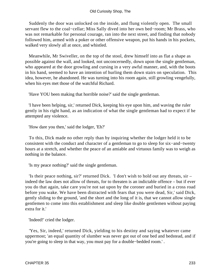Suddenly the door was unlocked on the inside, and flung violently open. The small servant flew to the coal−cellar; Miss Sally dived into her own bed−room; Mr Brass, who was not remarkable for personal courage, ran into the next street, and finding that nobody followed him, armed with a poker or other offensive weapon, put his hands in his pockets, walked very slowly all at once, and whistled.

 Meanwhile, Mr Swiveller, on the top of the stool, drew himself into as flat a shape as possible against the wall, and looked, not unconcernedly, down upon the single gentleman, who appeared at the door growling and cursing in a very awful manner, and, with the boots in his hand, seemed to have an intention of hurling them down stairs on speculation. This idea, however, he abandoned. He was turning into his room again, still growling vengefully, when his eyes met those of the watchful Richard.

'Have YOU been making that horrible noise?' said the single gentleman.

 'I have been helping, sir,' returned Dick, keeping his eye upon him, and waving the ruler gently in his right hand, as an indication of what the single gentleman had to expect if he attempted any violence.

'How dare you then,' said the lodger, 'Eh?'

 To this, Dick made no other reply than by inquiring whether the lodger held it to be consistent with the conduct and character of a gentleman to go to sleep for six−and−twenty hours at a stretch, and whether the peace of an amiable and virtuous family was to weigh as nothing in the balance.

'Is my peace nothing?' said the single gentleman.

 'Is their peace nothing, sir?' returned Dick. 'I don't wish to hold out any threats, sir – indeed the law does not allow of threats, for to threaten is an indictable offence – but if ever you do that again, take care you're not sat upon by the coroner and buried in a cross road before you wake. We have been distracted with fears that you were dead, Sir,' said Dick, gently sliding to the ground, 'and the short and the long of it is, that we cannot allow single gentlemen to come into this establishment and sleep like double gentlemen without paying extra for it.'

'Indeed!' cried the lodger.

 'Yes, Sir, indeed,' returned Dick, yielding to his destiny and saying whatever came uppermost; 'an equal quantity of slumber was never got out of one bed and bedstead, and if you're going to sleep in that way, you must pay for a double−bedded room.' .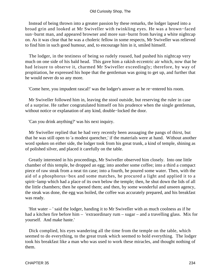Instead of being thrown into a greater passion by these remarks, the lodger lapsed into a broad grin and looked at Mr Swiveller with twinkling eyes. He was a brown−faced sun−burnt man, and appeared browner and more sun−burnt from having a white nightcap on. As it was clear that he was a choleric fellow in some respects, Mr Swiveller was relieved to find him in such good humour, and, to encourage him in it, smiled himself.

 The lodger, in the testiness of being so rudely roused, had pushed his nightcap very much on one side of his bald head. This gave him a rakish eccentric air which, now that he had leisure to observe it, charmed Mr Swiveller exceedingly; therefore, by way of propitiation, he expressed his hope that the gentleman was going to get up, and further that he would never do so any more.

'Come here, you impudent rascal!' was the lodger's answer as he re−entered his room.

 Mr Swiveller followed him in, leaving the stool outside, but reserving the ruler in case of a surprise. He rather congratulated himself on his prudence when the single gentleman, without notice or explanation of any kind, double−locked the door.

'Can you drink anything?' was his next inquiry.

 Mr Swiveller replied that he had very recently been assuaging the pangs of thirst, but that he was still open to 'a modest quencher,' if the materials were at hand. Without another word spoken on either side, the lodger took from his great trunk, a kind of temple, shining as of polished silver, and placed it carefully on the table.

 Greatly interested in his proceedings, Mr Swiveller observed him closely. Into one little chamber of this temple, he dropped an egg; into another some coffee; into a third a compact piece of raw steak from a neat tin case; into a fourth, he poured some water. Then, with the aid of a phosphorus−box and some matches, he procured a light and applied it to a spirit−lamp which had a place of its own below the temple; then, he shut down the lids of all the little chambers; then he opened them; and then, by some wonderful and unseen agency, the steak was done, the egg was boiled, the coffee was accurately prepared, and his breakfast was ready.

 'Hot water – ' said the lodger, handing it to Mr Swiveller with as much coolness as if he had a kitchen fire before him – 'extraordinary rum – sugar – and a travelling glass. Mix for yourself. And make haste.'

 Dick complied, his eyes wandering all the time from the temple on the table, which seemed to do everything, to the great trunk which seemed to hold everything. The lodger took his breakfast like a man who was used to work these miracles, and thought nothing of them.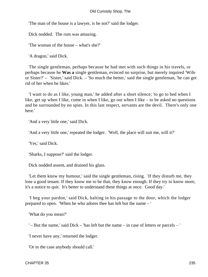'The man of the house is a lawyer, is he not?' said the lodger.

Dick nodded. The rum was amazing.

'The woman of the house – what's she?'

'A dragon,' said Dick.

 The single gentleman, perhaps because he had met with such things in his travels, or perhaps because he **Was a** single gentleman, evinced no surprise, but merely inquired 'Wife or Sister?' – 'Sister,' said Dick. – 'So much the better,' said the single gentleman, 'he can get rid of her when he likes.'

 'I want to do as I like, young man,' he added after a short silence; 'to go to bed when I like, get up when I like, come in when I like, go out when I like – to be asked no questions and be surrounded by no spies. In this last respect, servants are the devil. There's only one here.'

'And a very little one,' said Dick.

'And a very little one,' repeated the lodger. 'Well, the place will suit me, will it?'

'Yes,' said Dick.

'Sharks, I suppose?' said the lodger.

Dick nodded assent, and drained his glass.

 'Let them know my humour,' said the single gentleman, rising. 'If they disturb me, they lose a good tenant. If they know me to be that, they know enough. If they try to know more, it's a notice to quit. It's better to understand these things at once. Good day.'

 'I beg your pardon,' said Dick, halting in his passage to the door, which the lodger prepared to open. 'When he who adores thee has left but the name – '

'What do you mean?'

' – But the name,' said Dick – 'has left but the name – in case of letters or parcels – '

'I never have any,' returned the lodger.

'Or in the case anybody should call.'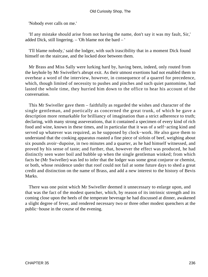'Nobody ever calls on me.'

 'If any mistake should arise from not having the name, don't say it was my fault, Sir,' added Dick, still lingering. – 'Oh blame not the bard – '

 'I'll blame nobody,' said the lodger, with such irascibility that in a moment Dick found himself on the staircase, and the locked door between them.

 Mr Brass and Miss Sally were lurking hard by, having been, indeed, only routed from the keyhole by Mr Swiveller's abrupt exit. As their utmost exertions had not enabled them to overhear a word of the interview, however, in consequence of a quarrel for precedence, which, though limited of necessity to pushes and pinches and such quiet pantomime, had lasted the whole time, they hurried him down to the office to hear his account of the conversation.

 This Mr Swiveller gave them – faithfully as regarded the wishes and character of the single gentleman, and poetically as concerned the great trunk, of which he gave a description more remarkable for brilliancy of imagination than a strict adherence to truth; declaring, with many strong asseverations, that it contained a specimen of every kind of rich food and wine, known in these times, and in particular that it was of a self−acting kind and served up whatever was required, as he supposed by clock−work. He also gave them to understand that the cooking apparatus roasted a fine piece of sirloin of beef, weighing about six pounds avoir−dupoise, in two minutes and a quarter, as he had himself witnessed, and proved by his sense of taste; and further, that, however the effect was produced, he had distinctly seen water boil and bubble up when the single gentleman winked; from which facts he (Mr Swiveller) was led to infer that the lodger was some great conjuror or chemist, or both, whose residence under that roof could not fail at some future days to shed a great credit and distinction on the name of Brass, and add a new interest to the history of Bevis Marks.

 There was one point which Mr Swiveller deemed it unnecessary to enlarge upon, and that was the fact of the modest quencher, which, by reason of its intrinsic strength and its coming close upon the heels of the temperate beverage he had discussed at dinner, awakened a slight degree of fever, and rendered necessary two or three other modest quenchers at the public−house in the course of the evening.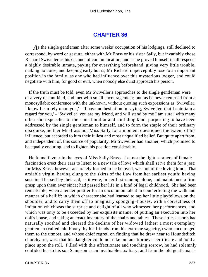### **[CHAPTER 36](#page-495-0)**

As the single gentleman after some weeks' occupation of his lodgings, still declined to correspond, by word or gesture, either with Mr Brass or his sister Sally, but invariably chose Richard Swiveller as his channel of communication; and as he proved himself in all respects a highly desirable inmate, paying for everything beforehand, giving very little trouble, making no noise, and keeping early hours; Mr Richard imperceptibly rose to an important position in the family, as one who had influence over this mysterious lodger, and could negotiate with him, for good or evil, when nobody else durst approach his person.

 If the truth must be told, even Mr Swiveller's approaches to the single gentleman were of a very distant kind, and met with small encouragement; but, as he never returned from a monosyllabic conference with the unknown, without quoting such expressions as 'Swiveller, I know I can rely upon you,' – 'I have no hesitation in saying, Swiveller, that I entertain a regard for you,' – 'Swiveller, you are my friend, and will stand by me I am sure,' with many other short speeches of the same familiar and confiding kind, purporting to have been addressed by the single gentleman to himself, and to form the staple of their ordinary discourse, neither Mr Brass nor Miss Sally for a moment questioned the extent of his influence, but accorded to him their fullest and most unqualified belief. But quite apart from, and independent of, this source of popularity, Mr Swiveller had another, which promised to be equally enduring, and to lighten his position considerably.

 He found favour in the eyes of Miss Sally Brass. Let not the light scorners of female fascination erect their ears to listen to a new tale of love which shall serve them for a jest; for Miss Brass, however accurately formed to be beloved, was not of the loving kind. That amiable virgin, having clung to the skirts of the Law from her earliest youth; having sustained herself by their aid, as it were, in her first running alone, and maintained a firm grasp upon them ever since; had passed her life in a kind of legal childhood. She had been remarkable, when a tender prattler for an uncommon talent in counterfeiting the walk and manner of a bailiff: in which character she had learned to tap her little playfellows on the shoulder, and to carry them off to imaginary sponging−houses, with a correctness of imitation which was the surprise and delight of all who witnessed her performances, and which was only to be exceeded by her exquisite manner of putting an execution into her doll's house, and taking an exact inventory of the chairs and tables. These artless sports had naturally soothed and cheered the decline of her widowed father: a most exemplary gentleman (called 'old Foxey' by his friends from his extreme sagacity,) who encouraged them to the utmost, and whose chief regret, on finding that he drew near to Houndsditch churchyard, was, that his daughter could not take out an attorney's certificate and hold a place upon the roll. Filled with this affectionate and touching sorrow, he had solemnly confided her to his son Sampson as an invaluable auxiliary; and from the old gentleman's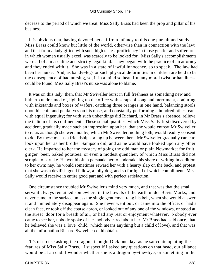decease to the period of which we treat, Miss Sally Brass had been the prop and pillar of his business.

 It is obvious that, having devoted herself from infancy to this one pursuit and study, Miss Brass could know but little of the world, otherwise than in connection with the law; and that from a lady gifted with such high tastes, proficiency in those gentler and softer arts in which women usually excel, was scarcely to be looked for. Miss Sally's accomplishments were all of a masculine and strictly legal kind. They began with the practice of an attorney and they ended with it. She was in a state of lawful innocence, so to speak. The law had been her nurse. And, as bandy−legs or such physical deformities in children are held to be the consequence of bad nursing, so, if in a mind so beautiful any moral twist or handiness could be found, Miss Sally Brass's nurse was alone to blame.

 It was on this lady, then, that Mr Swiveller burst in full freshness as something new and hitherto undreamed of, lighting up the office with scraps of song and merriment, conjuring with inkstands and boxes of wafers, catching three oranges in one hand, balancing stools upon his chin and penknives on his nose, and constantly performing a hundred other feats with equal ingenuity; for with such unbendings did Richard, in Mr Brass's absence, relieve the tedium of his confinement. These social qualities, which Miss Sally first discovered by accident, gradually made such an impression upon her, that she would entreat Mr Swiveller to relax as though she were not by, which Mr Swiveller, nothing loth, would readily consent to do. By these means a friendship sprung up between them. Mr Swiveller gradually came to look upon her as her brother Sampson did, and as he would have looked upon any other clerk. He imparted to her the mystery of going the odd man or plain Newmarket for fruit, ginger−beer, baked potatoes, or even a modest quencher, of which Miss Brass did not scruple to partake. He would often persuade her to undertake his share of writing in addition to her own; nay, he would sometimes reward her with a hearty slap on the back, and protest that she was a devilish good fellow, a jolly dog, and so forth; all of which compliments Miss Sally would receive in entire good part and with perfect satisfaction.

 One circumstance troubled Mr Swiveller's mind very much, and that was that the small servant always remained somewhere in the bowels of the earth under Bevis Marks, and never came to the surface unless the single gentleman rang his bell, when she would answer it and immediately disappear again. She never went out, or came into the office, or had a clean face, or took off the coarse apron, or looked out of any one of the windows, or stood at the street−door for a breath of air, or had any rest or enjoyment whatever. Nobody ever came to see her, nobody spoke of her, nobody cared about her. Mr Brass had said once, that he believed she was a 'love−child' (which means anything but a child of love), and that was all the information Richard Swiveller could obtain.

 'It's of no use asking the dragon,' thought Dick one day, as he sat contemplating the features of Miss Sally Brass. 'I suspect if I asked any questions on that head, our alliance would be at an end. I wonder whether she is a dragon by−the−bye, or something in the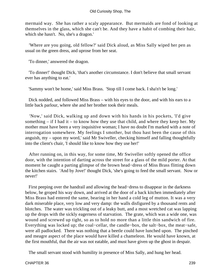mermaid way. She has rather a scaly appearance. But mermaids are fond of looking at themselves in the glass, which she can't be. And they have a habit of combing their hair, which she hasn't. No, she's a dragon.'

 'Where are you going, old fellow?' said Dick aloud, as Miss Sally wiped her pen as usual on the green dress, and uprose from her seat.

'To dinner,' answered the dragon.

 'To dinner!' thought Dick, 'that's another circumstance. I don't believe that small servant ever has anything to eat.'

'Sammy won't be home,' said Miss Brass. 'Stop till I come back. I sha'n't be long.'

 Dick nodded, and followed Miss Brass – with his eyes to the door, and with his ears to a little back parlour, where she and her brother took their meals.

 'Now,' said Dick, walking up and down with his hands in his pockets, 'I'd give something  $-$  if I had it  $-$  to know how they use that child, and where they keep her. My mother must have been a very inquisitive woman; I have no doubt I'm marked with a note of interrogation somewhere. My feelings I smother, but thou hast been the cause of this anguish, my – upon my word,' said Mr Swiveller, checking himself and falling thoughtfully into the client's chair, 'I should like to know how they use her!'

 After running on, in this way, for some time, Mr Swiveller softly opened the office door, with the intention of darting across the street for a glass of the mild porter. At that moment he caught a parting glimpse of the brown head−dress of Miss Brass flitting down the kitchen stairs. 'And by Jove!' thought Dick, 'she's going to feed the small servant. Now or never!'

 First peeping over the handrail and allowing the head−dress to disappear in the darkness below, he groped his way down, and arrived at the door of a back kitchen immediately after Miss Brass had entered the same, bearing in her hand a cold leg of mutton. It was a very dark miserable place, very low and very damp: the walls disfigured by a thousand rents and blotches. The water was trickling out of a leaky butt, and a most wretched cat was lapping up the drops with the sickly eagerness of starvation. The grate, which was a wide one, was wound and screwed up tight, so as to hold no more than a little thin sandwich of fire. Everything was locked up; the coal−cellar, the candle−box, the salt−box, the meat−safe, were all padlocked. There was nothing that a beetle could have lunched upon. The pinched and meagre aspect of the place would have killed a chameleon. He would have known, at the first mouthful, that the air was not eatable, and must have given up the ghost in despair.

The small servant stood with humility in presence of Miss Sally, and hung her head.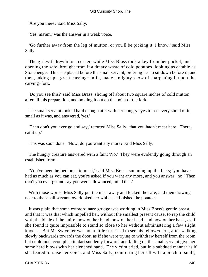'Are you there?' said Miss Sally.

'Yes, ma'am,' was the answer in a weak voice.

 'Go further away from the leg of mutton, or you'll be picking it, I know,' said Miss Sally.

 The girl withdrew into a corner, while Miss Brass took a key from her pocket, and opening the safe, brought from it a dreary waste of cold potatoes, looking as eatable as Stonehenge. This she placed before the small servant, ordering her to sit down before it, and then, taking up a great carving−knife, made a mighty show of sharpening it upon the carving−fork.

 'Do you see this?' said Miss Brass, slicing off about two square inches of cold mutton, after all this preparation, and holding it out on the point of the fork.

 The small servant looked hard enough at it with her hungry eyes to see every shred of it, small as it was, and answered, 'yes.'

 'Then don't you ever go and say,' retorted Miss Sally, 'that you hadn't meat here. There, eat it up.'

This was soon done. 'Now, do you want any more?' said Miss Sally.

 The hungry creature answered with a faint 'No.' They were evidently going through an established form.

 'You've been helped once to meat,' said Miss Brass, summing up the facts; 'you have had as much as you can eat, you're asked if you want any more, and you answer, 'no!' Then don't you ever go and say you were allowanced, mind that.'

 With those words, Miss Sally put the meat away and locked the safe, and then drawing near to the small servant, overlooked her while she finished the potatoes.

 It was plain that some extraordinary grudge was working in Miss Brass's gentle breast, and that it was that which impelled her, without the smallest present cause, to rap the child with the blade of the knife, now on her hand, now on her head, and now on her back, as if she found it quite impossible to stand so close to her without administering a few slight knocks. But Mr Swiveller was not a little surprised to see his fellow−clerk, after walking slowly backwards towards the door, as if she were trying to withdraw herself from the room but could not accomplish it, dart suddenly forward, and falling on the small servant give her some hard blows with her clenched hand. The victim cried, but in a subdued manner as if she feared to raise her voice, and Miss Sally, comforting herself with a pinch of snuff,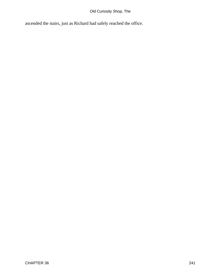# Old Curiosity Shop, The

ascended the stairs, just as Richard had safely reached the office.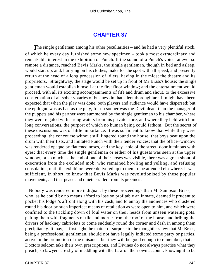# **[CHAPTER 37](#page-495-0)**

**The single gentleman among his other peculiarities – and he had a very plentiful stock,** of which he every day furnished some new specimen – took a most extraordinary and remarkable interest in the exhibition of Punch. If the sound of a Punch's voice, at ever so remote a distance, reached Bevis Marks, the single gentleman, though in bed and asleep, would start up, and, hurrying on his clothes, make for the spot with all speed, and presently return at the head of a long procession of idlers, having in the midst the theatre and its proprietors. Straightway, the stage would be set up in front of Mr Brass's house; the single gentleman would establish himself at the first floor window; and the entertainment would proceed, with all its exciting accompaniments of fife and drum and shout, to the excessive consternation of all sober votaries of business in that silent thoroughfare. It might have been expected that when the play was done, both players and audience would have dispersed; but the epilogue was as bad as the play, for no sooner was the Devil dead, than the manager of the puppets and his partner were summoned by the single gentleman to his chamber, where they were regaled with strong waters from his private store, and where they held with him long conversations, the purport of which no human being could fathom. But the secret of these discussions was of little importance. It was sufficient to know that while they were proceeding, the concourse without still lingered round the house; that boys beat upon the drum with their fists, and imitated Punch with their tender voices; that the office−window was rendered opaque by flattened noses, and the key−hole of the street−door luminous with eyes; that every time the single gentleman or either of his guests was seen at the upper window, or so much as the end of one of their noses was visible, there was a great shout of execration from the excluded mob, who remained howling and yelling, and refusing consolation, until the exhibitors were delivered up to them to be attended elsewhere. It was sufficient, in short, to know that Bevis Marks was revolutionised by these popular movements, and that peace and quietness fled from its precincts.

 Nobody was rendered more indignant by these proceedings than Mr Sampson Brass, who, as he could by no means afford to lose so profitable an inmate, deemed it prudent to pocket his lodger's affront along with his cash, and to annoy the audiences who clustered round his door by such imperfect means of retaliation as were open to him, and which were confined to the trickling down of foul water on their heads from unseen watering pots, pelting them with fragments of tile and mortar from the roof of the house, and bribing the drivers of hackney cabriolets to come suddenly round the corner and dash in among them precipitately. It may, at first sight, be matter of surprise to the thoughtless few that Mr Brass, being a professional gentleman, should not have legally indicted some party or parties, active in the promotion of the nuisance, but they will be good enough to remember, that as Doctors seldom take their own prescriptions, and Divines do not always practise what they preach, so lawyers are shy of meddling with the Law on their own account: knowing it to be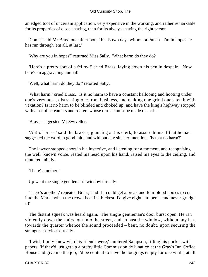an edged tool of uncertain application, very expensive in the working, and rather remarkable for its properties of close shaving, than for its always shaving the right person.

 'Come,' said Mr Brass one afternoon, 'this is two days without a Punch. I'm in hopes he has run through 'em all, at last.'

'Why are you in hopes?' returned Miss Sally. 'What harm do they do?'

 'Here's a pretty sort of a fellow!' cried Brass, laying down his pen in despair. 'Now here's an aggravating animal!'

'Well, what harm do they do?' retorted Sally.

 'What harm!' cried Brass. 'Is it no harm to have a constant hallooing and hooting under one's very nose, distracting one from business, and making one grind one's teeth with vexation? Is it no harm to be blinded and choked up, and have the king's highway stopped with a set of screamers and roarers whose throats must be made of  $-$  of  $-$ '

'Brass,' suggested Mr Swiveller.

 'Ah! of brass,' said the lawyer, glancing at his clerk, to assure himself that he had suggested the word in good faith and without any sinister intention. 'Is that no harm?'

 The lawyer stopped short in his invective, and listening for a moment, and recognising the well−known voice, rested his head upon his hand, raised his eyes to the ceiling, and muttered faintly,

'There's another!'

Up went the single gentleman's window directly.

 'There's another,' repeated Brass; 'and if I could get a break and four blood horses to cut into the Marks when the crowd is at its thickest, I'd give eighteen−pence and never grudge it!'

 The distant squeak was heard again. The single gentleman's door burst open. He ran violently down the stairs, out into the street, and so past the window, without any hat, towards the quarter whence the sound proceeded – bent, no doubt, upon securing the strangers' services directly.

 'I wish I only knew who his friends were,' muttered Sampson, filling his pocket with papers; 'if they'd just get up a pretty little Commission de lunatico at the Gray's Inn Coffee House and give me the job, I'd be content to have the lodgings empty for one while, at all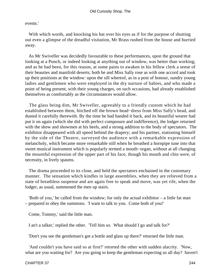events.'

With which words, and knocking his hat over his eyes as if for the purpose of shutting out even a glimpse of the dreadful visitation, Mr Brass rushed from the house and hurried away.

 As Mr Swiveller was decidedly favourable to these performances, upon the ground that looking at a Punch, or indeed looking at anything out of window, was better than working; and as he had been, for this reason, at some pains to awaken in his fellow clerk a sense of their beauties and manifold deserts; both he and Miss Sally rose as with one accord and took up their positions at the window: upon the sill whereof, as in a post of honour, sundry young ladies and gentlemen who were employed in the dry nurture of babies, and who made a point of being present, with their young charges, on such occasions, had already established themselves as comfortably as the circumstances would allow.

 The glass being dim, Mr Swiveller, agreeably to a friendly custom which he had established between them, hitched off the brown head−dress from Miss Sally's head, and dusted it carefully therewith. By the time he had handed it back, and its beautiful wearer had put it on again (which she did with perfect composure and indifference), the lodger returned with the show and showmen at his heels, and a strong addition to the body of spectators. The exhibitor disappeared with all speed behind the drapery; and his partner, stationing himself by the side of the Theatre, surveyed the audience with a remarkable expression of melancholy, which became more remarkable still when he breathed a hornpipe tune into that sweet musical instrument which is popularly termed a mouth−organ, without at all changing the mournful expression of the upper part of his face, though his mouth and chin were, of necessity, in lively spasms.

 The drama proceeded to its close, and held the spectators enchained in the customary manner. The sensation which kindles in large assemblies, when they are relieved from a state of breathless suspense and are again free to speak and move, was yet rife, when the lodger, as usual, summoned the men up stairs.

 'Both of you,' he called from the window; for only the actual exhibitor – a little fat man – prepared to obey the summons. 'I want to talk to you. Come both of you!'

Come, Tommy,' said the little man.

I an't a talker,' replied the other. 'Tell him so. What should I go and talk for?'

'Don't you see the gentleman's got a bottle and glass up there?' returned the little man.

 'And couldn't you have said so at first?' retorted the other with sudden alacrity. 'Now, what are you waiting for? Are you going to keep the gentleman expecting us all day? haven't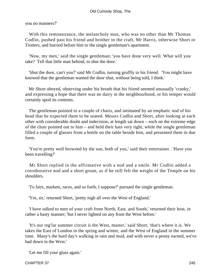you no manners?'

 With this remonstrance, the melancholy man, who was no other than Mr Thomas Codlin, pushed past his friend and brother in the craft, Mr Harris, otherwise Short or Trotters, and hurried before him to the single gentleman's apartment.

 'Now, my men,' said the single gentleman; 'you have done very well. What will you take? Tell that little man behind, to shut the door.'

 'Shut the door, can't you?' said Mr Codlin, turning gruffly to his friend. 'You might have knowed that the gentleman wanted the door shut, without being told, I think.'

 Mr Short obeyed, observing under his breath that his friend seemed unusually 'cranky,' and expressing a hope that there was no dairy in the neighbourhood, or his temper would certainly spoil its contents.

 The gentleman pointed to a couple of chairs, and intimated by an emphatic nod of his head that he expected them to be seated. Messrs Codlin and Short, after looking at each other with considerable doubt and indecision, at length sat down – each on the extreme edge of the chair pointed out to him – and held their hats very tight, while the single gentleman filled a couple of glasses from a bottle on the table beside him, and presented them in due form.

 'You're pretty well browned by the sun, both of you,' said their entertainer. 'Have you been travelling?'

 Mr Short replied in the affirmative with a nod and a smile. Mr Codlin added a corroborative nod and a short groan, as if he still felt the weight of the Temple on his shoulders.

'To fairs, markets, races, and so forth, I suppose?' pursued the single gentleman.

'Yes, sir,' returned Short, 'pretty nigh all over the West of England.'

 'I have talked to men of your craft from North, East, and South,' returned their host, in rather a hasty manner; 'but I never lighted on any from the West before.'

 'It's our reg'lar summer circuit is the West, master,' said Short; 'that's where it is. We takes the East of London in the spring and winter, and the West of England in the summer time. Many's the hard day's walking in rain and mud, and with never a penny earned, we've had down in the West.'

'Let me fill your glass again.'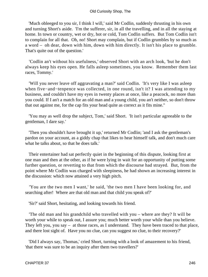'Much obleeged to you sir, I think I will,' said Mr Codlin, suddenly thrusting in his own and turning Short's aside. 'I'm the sufferer, sir, in all the travelling, and in all the staying at home. In town or country, wet or dry, hot or cold, Tom Codlin suffers. But Tom Codlin isn't to complain for all that. Oh, no! Short may complain, but if Codlin grumbles by so much as a word – oh dear, down with him, down with him directly. It isn't his place to grumble. That's quite out of the question.'

 'Codlin an't without his usefulness,' observed Short with an arch look, 'but he don't always keep his eyes open. He falls asleep sometimes, you know. Remember them last races, Tommy.'

 'Will you never leave off aggravating a man?' said Codlin. 'It's very like I was asleep when five−and−tenpence was collected, in one round, isn't it? I was attending to my business, and couldn't have my eyes in twenty places at once, like a peacock, no more than you could. If I an't a match for an old man and a young child, you an't neither, so don't throw that out against me, for the cap fits your head quite as correct as it fits mine."

 'You may as well drop the subject, Tom,' said Short. 'It isn't particular agreeable to the gentleman, I dare say.'

 'Then you shouldn't have brought it up,' returned Mr Codlin; 'and I ask the gentleman's pardon on your account, as a giddy chap that likes to hear himself talk, and don't much care what he talks about, so that he does talk.'

 Their entertainer had sat perfectly quiet in the beginning of this dispute, looking first at one man and then at the other, as if he were lying in wait for an opportunity of putting some further question, or reverting to that from which the discourse had strayed. But, from the point where Mr Codlin was charged with sleepiness, he had shown an increasing interest in the discussion: which now attained a very high pitch.

 'You are the two men I want,' he said, 'the two men I have been looking for, and searching after! Where are that old man and that child you speak of?'

'Sir?' said Short, hesitating, and looking towards his friend.

 'The old man and his grandchild who travelled with you – where are they? It will be worth your while to speak out, I assure you; much better worth your while than you believe. They left you, you say – at those races, as I understand. They have been traced to that place, and there lost sight of. Have you no clue, can you suggest no clue, to their recovery?'

 'Did I always say, Thomas,' cried Short, turning with a look of amazement to his friend, 'that there was sure to be an inquiry after them two travellers?'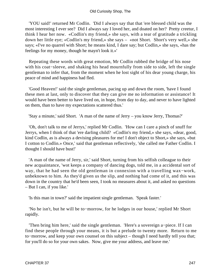#### Old Curiosity Shop, The

 'YOU said!' returned Mr Codlin. 'Did I always say that that 'ere blessed child was the most interesting I ever see? Did I always say I loved her, and doated on her? Pretty creetur, I think I hear her now. «Codlin's my friend,» she says, with a tear of gratitude a trickling down her little eye; «Codlin's my friend,» she says – «not Short. Short's very well,» she says; «I've no quarrel with Short; he means kind, I dare say; but Codlin,» she says, «has the feelings for my money, though he mayn't look it.»'

 Repeating these words with great emotion, Mr Codlin rubbed the bridge of his nose with his coat−sleeve, and shaking his head mournfully from side to side, left the single gentleman to infer that, from the moment when he lost sight of his dear young charge, his peace of mind and happiness had fled.

 'Good Heaven!' said the single gentleman, pacing up and down the room, 'have I found these men at last, only to discover that they can give me no information or assistance! It would have been better to have lived on, in hope, from day to day, and never to have lighted on them, than to have my expectations scattered thus.'

'Stay a minute,' said Short. 'A man of the name of Jerry – you know Jerry, Thomas?'

 'Oh, don't talk to me of Jerrys,' replied Mr Codlin. 'How can I care a pinch of snuff for Jerrys, when I think of that 'ere darling child? «Codlin's my friend,» she says, «dear, good, kind Codlin, as is always a devising pleasures for me! I don't object to Short,» she says, «but I cotton to Codlin.» Once,' said that gentleman reflectively, 'she called me Father Codlin. I thought I should have bust!'

 'A man of the name of Jerry, sir,' said Short, turning from his selfish colleague to their new acquaintance, 'wot keeps a company of dancing dogs, told me, in a accidental sort of way, that he had seen the old gentleman in connexion with a travelling wax−work, unbeknown to him. As they'd given us the slip, and nothing had come of it, and this was down in the country that he'd been seen, I took no measures about it, and asked no questions – But I can, if you like.'

'Is this man in town?' said the impatient single gentleman. 'Speak faster.'

 'No he isn't, but he will be to−morrow, for he lodges in our house,' replied Mr Short rapidly.

 'Then bring him here,' said the single gentleman. 'Here's a sovereign a−piece. If I can find these people through your means, it is but a prelude to twenty more. Return to me to−morrow, and keep your own counsel on this subject – though I need hardly tell you that; for you'll do so for your own sakes. Now, give me your address, and leave me.'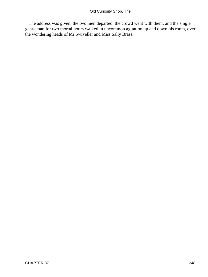The address was given, the two men departed, the crowd went with them, and the single gentleman for two mortal hours walked in uncommon agitation up and down his room, over the wondering heads of Mr Swiveller and Miss Sally Brass.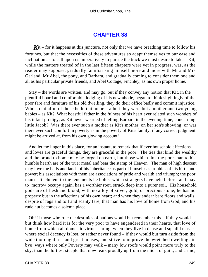### **[CHAPTER 38](#page-495-0)**

 $\chi$ <sup>it</sup> – for it happens at this juncture, not only that we have breathing time to follow his fortunes, but that the necessities of these adventures so adapt themselves to our ease and inclination as to call upon us imperatively to pursue the track we most desire to take – Kit, while the matters treated of in the last fifteen chapters were yet in progress, was, as the reader may suppose, gradually familiarising himself more and more with Mr and Mrs Garland, Mr Abel, the pony, and Barbara, and gradually coming to consider them one and all as his particular private friends, and Abel Cottage, Finchley, as his own proper home.

 Stay – the words are written, and may go, but if they convey any notion that Kit, in the plentiful board and comfortable lodging of his new abode, began to think slightingly of the poor fare and furniture of his old dwelling, they do their office badly and commit injustice. Who so mindful of those he left at home – albeit they were but a mother and two young babies – as Kit? What boastful father in the fulness of his heart ever related such wonders of his infant prodigy, as Kit never wearied of telling Barbara in the evening time, concerning little Jacob? Was there ever such a mother as Kit's mother, on her son's showing; or was there ever such comfort in poverty as in the poverty of Kit's family, if any correct judgment might be arrived at, from his own glowing account!

 And let me linger in this place, for an instant, to remark that if ever household affections and loves are graceful things, they are graceful in the poor. The ties that bind the wealthy and the proud to home may be forged on earth, but those which link the poor man to his humble hearth are of the truer metal and bear the stamp of Heaven. The man of high descent may love the halls and lands of his inheritance as part of himself: as trophies of his birth and power; his associations with them are associations of pride and wealth and triumph; the poor man's attachment to the tenements he holds, which strangers have held before, and may to−morrow occupy again, has a worthier root, struck deep into a purer soil. His household gods are of flesh and blood, with no alloy of silver, gold, or precious stone; he has no property but in the affections of his own heart; and when they endear bare floors and walls, despite of rags and toil and scanty fare, that man has his love of home from God, and his rude hut becomes a solemn place.

 Oh! if those who rule the destinies of nations would but remember this – if they would but think how hard it is for the very poor to have engendered in their hearts, that love of home from which all domestic virtues spring, when they live in dense and squalid masses where social decency is lost, or rather never found – if they would but turn aside from the wide thoroughfares and great houses, and strive to improve the wretched dwellings in bye−ways where only Poverty may walk – many low roofs would point more truly to the sky, than the loftiest steeple that now rears proudly up from the midst of guilt, and crime,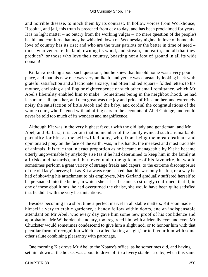and horrible disease, to mock them by its contrast. In hollow voices from Workhouse, Hospital, and jail, this truth is preached from day to day, and has been proclaimed for years. It is no light matter – no outcry from the working vulgar – no mere question of the people's health and comforts that may be whistled down on Wednesday nights. In love of home, the love of country has its rise; and who are the truer patriots or the better in time of need – those who venerate the land, owning its wood, and stream, and earth, and all that they produce? or those who love their country, boasting not a foot of ground in all its wide domain!

 Kit knew nothing about such questions, but he knew that his old home was a very poor place, and that his new one was very unlike it, and yet he was constantly looking back with grateful satisfaction and affectionate anxiety, and often indited square− folded letters to his mother, enclosing a shilling or eighteenpence or such other small remittance, which Mr Abel's liberality enabled him to make. Sometimes being in the neighbourhood, he had leisure to call upon her, and then great was the joy and pride of Kit's mother, and extremely noisy the satisfaction of little Jacob and the baby, and cordial the congratulations of the whole court, who listened with admiring ears to the accounts of Abel Cottage, and could never be told too much of its wonders and magnificence.

 Although Kit was in the very highest favour with the old lady and gentleman, and Mr Abel, and Barbara, it is certain that no member of the family evinced such a remarkable partiality for him as the self−willed pony, who, from being the most obstinate and opinionated pony on the face of the earth, was, in his hands, the meekest and most tractable of animals. It is true that in exact proportion as he became manageable by Kit he became utterly ungovernable by anybody else (as if he had determined to keep him in the family at all risks and hazards), and that, even under the guidance of his favourite, he would sometimes perform a great variety of strange freaks and capers, to the extreme discomposure of the old lady's nerves; but as Kit always represented that this was only his fun, or a way he had of showing his attachment to his employers, Mrs Garland gradually suffered herself to be persuaded into the belief, in which she at last became so strongly confirmed, that if, in one of these ebullitions, he had overturned the chaise, she would have been quite satisfied that he did it with the very best intentions.

 Besides becoming in a short time a perfect marvel in all stable matters, Kit soon made himself a very tolerable gardener, a handy fellow within doors, and an indispensable attendant on Mr Abel, who every day gave him some new proof of his confidence and approbation. Mr Witherden the notary, too, regarded him with a friendly eye; and even Mr Chuckster would sometimes condescend to give him a slight nod, or to honour him with that peculiar form of recognition which is called 'taking a sight,' or to favour him with some other salute combining pleasantry with patronage.

 One morning Kit drove Mr Abel to the Notary's office, as he sometimes did, and having set him down at the house, was about to drive off to a livery stable hard by, when this same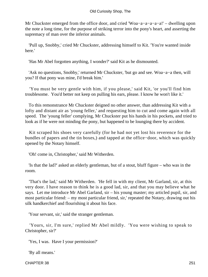Mr Chuckster emerged from the office door, and cried 'Woa−a−a−a−a−a!' – dwelling upon the note a long time, for the purpose of striking terror into the pony's heart, and asserting the supremacy of man over the inferior animals.

 'Pull up, Snobby,' cried Mr Chuckster, addressing himself to Kit. 'You're wanted inside here.'

'Has Mr Abel forgotten anything, I wonder?' said Kit as he dismounted.

 'Ask no questions, Snobby,' returned Mr Chuckster, 'but go and see. Woa−a−a then, will you? If that pony was mine, I'd break him.'

 'You must be very gentle with him, if you please,' said Kit, 'or you'll find him troublesome. You'd better not keep on pulling his ears, please. I know he won't like it.'

 To this remonstrance Mr Chuckster deigned no other answer, than addressing Kit with a lofty and distant air as 'young feller,' and requesting him to cut and come again with all speed. The 'young feller' complying, Mr Chuckster put his hands in his pockets, and tried to look as if he were not minding the pony, but happened to be lounging there by accident.

 Kit scraped his shoes very carefully (for he had not yet lost his reverence for the bundles of papers and the tin boxes,) and tapped at the office−door, which was quickly opened by the Notary himself.

'Oh! come in, Christopher,' said Mr Witherden.

 'Is that the lad?' asked an elderly gentleman, but of a stout, bluff figure – who was in the room.

 'That's the lad,' said Mr Witherden. 'He fell in with my client, Mr Garland, sir, at this very door. I have reason to think he is a good lad, sir, and that you may believe what he says. Let me introduce Mr Abel Garland, sir – his young master; my articled pupil, sir, and most particular friend: – my most particular friend, sir,' repeated the Notary, drawing out his silk handkerchief and flourishing it about his face.

'Your servant, sir,' said the stranger gentleman.

 'Yours, sir, I'm sure,' replied Mr Abel mildly. 'You were wishing to speak to Christopher, sir?'

'Yes, I was. Have I your permission?'

'By all means.'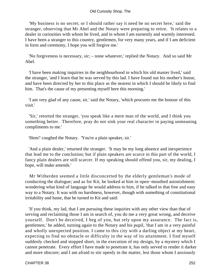'My business is no secret; or I should rather say it need be no secret here,' said the stranger, observing that Mr Abel and the Notary were preparing to retire. 'It relates to a dealer in curiosities with whom he lived, and in whom I am earnestly and warmly interested. I have been a stranger to this country, gentlemen, for very many years, and if I am deficient in form and ceremony, I hope you will forgive me.'

 'No forgiveness is necessary, sir; – none whatever,' replied the Notary. And so said Mr Abel.

 'I have been making inquiries in the neighbourhood in which his old master lived,' said the stranger, 'and I learn that he was served by this lad. I have found out his mother's house, and have been directed by her to this place as the nearest in which I should be likely to find him. That's the cause of my presenting myself here this morning.'

 'I am very glad of any cause, sir,' said the Notary, 'which procures me the honour of this visit.'

 'Sir,' retorted the stranger, 'you speak like a mere man of the world, and I think you something better. Therefore, pray do not sink your real character in paying unmeaning compliments to me.'

'Hem!' coughed the Notary. 'You're a plain speaker, sir.'

 'And a plain dealer,' returned the stranger. 'It may be my long absence and inexperience that lead me to the conclusion; but if plain speakers are scarce in this part of the world, I fancy plain dealers are still scarcer. If my speaking should offend you, sir, my dealing, I hope, will make amends.'

 Mr Witherden seemed a little disconcerted by the elderly gentleman's mode of conducting the dialogue; and as for Kit, he looked at him in open−mouthed astonishment: wondering what kind of language he would address to him, if he talked in that free and easy way to a Notary. It was with no harshness, however, though with something of constitutional irritability and haste, that he turned to Kit and said:

 'If you think, my lad, that I am pursuing these inquiries with any other view than that of serving and reclaiming those I am in search of, you do me a very great wrong, and deceive yourself. Don't be deceived, I beg of you, but rely upon my assurance. The fact is, gentlemen,' he added, turning again to the Notary and his pupil, 'that I am in a very painful and wholly unexpected position. I came to this city with a darling object at my heart, expecting to find no obstacle or difficulty in the way of its attainment. I find myself suddenly checked and stopped short, in the execution of my design, by a mystery which I cannot penetrate. Every effort I have made to penetrate it, has only served to render it darker and more obscure; and I am afraid to stir openly in the matter, lest those whom I anxiously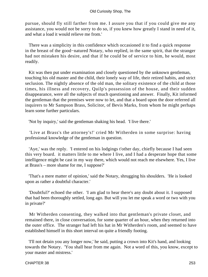pursue, should fly still farther from me. I assure you that if you could give me any assistance, you would not be sorry to do so, if you knew how greatly I stand in need of it, and what a load it would relieve me from.'

 There was a simplicity in this confidence which occasioned it to find a quick response in the breast of the good−natured Notary, who replied, in the same spirit, that the stranger had not mistaken his desire, and that if he could be of service to him, he would, most readily.

 Kit was then put under examination and closely questioned by the unknown gentleman, touching his old master and the child, their lonely way of life, their retired habits, and strict seclusion. The nightly absence of the old man, the solitary existence of the child at those times, his illness and recovery, Quilp's possession of the house, and their sudden disappearance, were all the subjects of much questioning and answer. Finally, Kit informed the gentleman that the premises were now to let, and that a board upon the door referred all inquirers to Mr Sampson Brass, Solicitor, of Bevis Marks, from whom he might perhaps learn some further particulars.

'Not by inquiry,' said the gentleman shaking his head. 'I live there.'

 'Live at Brass's the attorney's!' cried Mr Witherden in some surprise: having professional knowledge of the gentleman in question.

 'Aye,' was the reply. 'I entered on his lodgings t'other day, chiefly because I had seen this very board. it matters little to me where I live, and I had a desperate hope that some intelligence might be cast in my way there, which would not reach me elsewhere. Yes, I live at Brass's – more shame for me, I suppose?'

 'That's a mere matter of opinion,' said the Notary, shrugging his shoulders. 'He is looked upon as rather a doubtful character.'

 'Doubtful?' echoed the other. 'I am glad to hear there's any doubt about it. I supposed that had been thoroughly settled, long ago. But will you let me speak a word or two with you in private?'

 Mr Witherden consenting, they walked into that gentleman's private closet, and remained there, in close conversation, for some quarter of an hour, when they returned into the outer office. The stranger had left his hat in Mr Witherden's room, and seemed to have established himself in this short interval on quite a friendly footing.

 'I'll not detain you any longer now,' he said, putting a crown into Kit's hand, and looking towards the Notary. 'You shall hear from me again. Not a word of this, you know, except to your master and mistress.'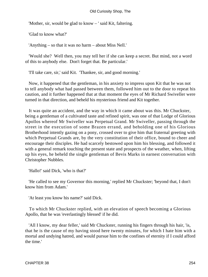'Mother, sir, would be glad to know – ' said Kit, faltering.

'Glad to know what?'

'Anything – so that it was no harm – about Miss Nell.'

 'Would she? Well then, you may tell her if she can keep a secret. But mind, not a word of this to anybody else. Don't forget that. Be particular.'

'I'll take care, sir,' said Kit. 'Thankee, sir, and good morning.'

 Now, it happened that the gentleman, in his anxiety to impress upon Kit that he was not to tell anybody what had passed between them, followed him out to the door to repeat his caution, and it further happened that at that moment the eyes of Mr Richard Swiveller were turned in that direction, and beheld his mysterious friend and Kit together.

 It was quite an accident, and the way in which it came about was this. Mr Chuckster, being a gentleman of a cultivated taste and refined spirit, was one of that Lodge of Glorious Apollos whereof Mr Swiveller was Perpetual Grand. Mr Swiveller, passing through the street in the execution of some Brazen errand, and beholding one of his Glorious Brotherhood intently gazing on a pony, crossed over to give him that fraternal greeting with which Perpetual Grands are, by the very constitution of their office, bound to cheer and encourage their disciples. He had scarcely bestowed upon him his blessing, and followed it with a general remark touching the present state and prospects of the weather, when, lifting up his eyes, he beheld the single gentleman of Bevis Marks in earnest conversation with Christopher Nubbles.

'Hallo!' said Dick, 'who is that?'

 'He called to see my Governor this morning,' replied Mr Chuckster; 'beyond that, I don't know him from Adam.'

'At least you know his name?' said Dick.

 To which Mr Chuckster replied, with an elevation of speech becoming a Glorious Apollo, that he was 'everlastingly blessed' if he did.

 'All I know, my dear feller,' said Mr Chuckster, running his fingers through his hair, 'is, that he is the cause of my having stood here twenty minutes, for which I hate him with a mortal and undying hatred, and would pursue him to the confines of eternity if I could afford the time.'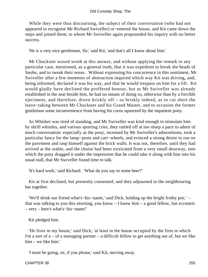While they were thus discoursing, the subject of their conversation (who had not appeared to recognise Mr Richard Swiveller) re−entered the house, and Kit came down the steps and joined them; to whom Mr Swiveller again propounded his inquiry with no better success.

'He is a very nice gentleman, Sir,' said Kit, 'and that's all I know about him.'

 Mr Chuckster waxed wroth at this answer, and without applying the remark to any particular case, mentioned, as a general truth, that it was expedient to break the heads of Snobs, and to tweak their noses. Without expressing his concurrence in this sentiment, Mr Swiveller after a few moments of abstraction inquired which way Kit was driving, and, being informed, declared it was his way, and that he would trespass on him for a lift. Kit would gladly have declined the proffered honour, but as Mr Swiveller was already established in the seat beside him, he had no means of doing so, otherwise than by a forcible ejectment, and therefore, drove briskly off – so briskly indeed, as to cut short the leave−taking between Mr Chuckster and his Grand Master, and to occasion the former gentleman some inconvenience from having his corns squeezed by the impatient pony.

 As Whisker was tired of standing, and Mr Swiveller was kind enough to stimulate him by shrill whistles, and various sporting cries, they rattled off at too sharp a pace to admit of much conversation: especially as the pony, incensed by Mr Swiveller's admonitions, took a particular fancy for the lamp−posts and cart−wheels, and evinced a strong desire to run on the pavement and rasp himself against the brick walls. It was not, therefore, until they had arrived at the stable, and the chaise had been extricated from a very small doorway, into which the pony dragged it under the impression that he could take it along with him into his usual stall, that Mr Swiveller found time to talk.

'It's hard work,' said Richard. 'What do you say to some beer?'

 Kit at first declined, but presently consented, and they adjourned to the neighbouring bar together.

 'We'll drink our friend what's−his−name,' said Dick, holding up the bright frothy pot; ' – that was talking to you this morning, you know – I know him – a good fellow, but eccentric – very – here's what's−his−name!'

Kit pledged him.

 'He lives in my house,' said Dick; 'at least in the house occupied by the firm in which I'm a sort of  $a - of a$  managing partner – a difficult fellow to get anything out of, but we like him – we like him.'

'I must be going, sir, if you please,' said Kit, moving away.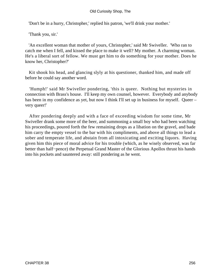'Don't be in a hurry, Christopher,' replied his patron, 'we'll drink your mother.'

'Thank you, sir.'

 'An excellent woman that mother of yours, Christopher,' said Mr Swiveller. 'Who ran to catch me when I fell, and kissed the place to make it well? My mother. A charming woman. He's a liberal sort of fellow. We must get him to do something for your mother. Does he know her, Christopher?'

 Kit shook his head, and glancing slyly at his questioner, thanked him, and made off before he could say another word.

 'Humph!' said Mr Swiveller pondering, 'this is queer. Nothing but mysteries in connection with Brass's house. I'll keep my own counsel, however. Everybody and anybody has been in my confidence as yet, but now I think I'll set up in business for myself. Queer – very queer!'

 After pondering deeply and with a face of exceeding wisdom for some time, Mr Swiveller drank some more of the beer, and summoning a small boy who had been watching his proceedings, poured forth the few remaining drops as a libation on the gravel, and bade him carry the empty vessel to the bar with his compliments, and above all things to lead a sober and temperate life, and abstain from all intoxicating and exciting liquors. Having given him this piece of moral advice for his trouble (which, as he wisely observed, was far better than half−pence) the Perpetual Grand Master of the Glorious Apollos thrust his hands into his pockets and sauntered away: still pondering as he went.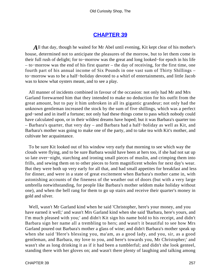### **[CHAPTER 39](#page-495-0)**

*A*ll that day, though he waited for Mr Abel until evening, Kit kept clear of his mother's house, determined not to anticipate the pleasures of the morrow, but to let them come in their full rush of delight; for to−morrow was the great and long looked−for epoch in his life – to−morrow was the end of his first quarter – the day of receiving, for the first time, one fourth part of his annual income of Six Pounds in one vast sum of Thirty Shillings – to−morrow was to be a half−holiday devoted to a whirl of entertainments, and little Jacob was to know what oysters meant, and to see a play.

 All manner of incidents combined in favour of the occasion: not only had Mr and Mrs Garland forewarned him that they intended to make no deduction for his outfit from the great amount, but to pay it him unbroken in all its gigantic grandeur; not only had the unknown gentleman increased the stock by the sum of five shillings, which was a perfect god−send and in itself a fortune; not only had these things come to pass which nobody could have calculated upon, or in their wildest dreams have hoped; but it was Barbara's quarter too – Barbara's quarter, that very day – and Barbara had a half−holiday as well as Kit, and Barbara's mother was going to make one of the party, and to take tea with Kit's mother, and cultivate her acquaintance.

 To be sure Kit looked out of his window very early that morning to see which way the clouds were flying, and to be sure Barbara would have been at hers too, if she had not sat up so late over−night, starching and ironing small pieces of muslin, and crimping them into frills, and sewing them on to other pieces to form magnificent wholes for next day's wear. But they were both up very early for all that, and had small appetites for breakfast and less for dinner, and were in a state of great excitement when Barbara's mother came in, with astonishing accounts of the fineness of the weather out of doors (but with a very large umbrella notwithstanding, for people like Barbara's mother seldom make holiday without one), and when the bell rang for them to go up stairs and receive their quarter's money in gold and silver.

 Well, wasn't Mr Garland kind when he said 'Christopher, here's your money, and you have earned it well;' and wasn't Mrs Garland kind when she said 'Barbara, here's yours, and I'm much pleased with you;' and didn't Kit sign his name bold to his receipt, and didn't Barbara sign her name all a trembling to hers; and wasn't it beautiful to see how Mrs Garland poured out Barbara's mother a glass of wine; and didn't Barbara's mother speak up when she said 'Here's blessing you, ma'am, as a good lady, and you, sir, as a good gentleman, and Barbara, my love to you, and here's towards you, Mr Christopher;' and wasn't she as long drinking it as if it had been a tumblerful; and didn't she look genteel, standing there with her gloves on; and wasn't there plenty of laughing and talking among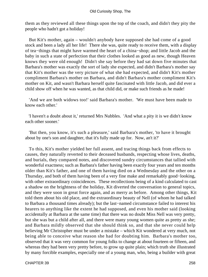them as they reviewed all these things upon the top of the coach, and didn't they pity the people who hadn't got a holiday!

 But Kit's mother, again – wouldn't anybody have supposed she had come of a good stock and been a lady all her life! There she was, quite ready to receive them, with a display of tea−things that might have warmed the heart of a china−shop; and little Jacob and the baby in such a state of perfection that their clothes looked as good as new, though Heaven knows they were old enough! Didn't she say before they had sat down five minutes that Barbara's mother was exactly the sort of lady she expected, and didn't Barbara's mother say that Kit's mother was the very picture of what she had expected, and didn't Kit's mother compliment Barbara's mother on Barbara, and didn't Barbara's mother compliment Kit's mother on Kit, and wasn't Barbara herself quite fascinated with little Jacob, and did ever a child show off when he was wanted, as that child did, or make such friends as he made!

 'And we are both widows too!' said Barbara's mother. 'We must have been made to know each other.'

 'I haven't a doubt about it,' returned Mrs Nubbles. 'And what a pity it is we didn't know each other sooner.'

 'But then, you know, it's such a pleasure,' said Barbara's mother, 'to have it brought about by one's son and daughter, that it's fully made up for. Now, an't it?'

 To this, Kit's mother yielded her full assent, and tracing things back from effects to causes, they naturally reverted to their deceased husbands, respecting whose lives, deaths, and burials, they compared notes, and discovered sundry circumstances that tallied with wonderful exactness; such as Barbara's father having been exactly four years and ten months older than Kit's father, and one of them having died on a Wednesday and the other on a Thursday, and both of them having been of a very fine make and remarkably good−looking, with other extraordinary coincidences. These recollections being of a kind calculated to cast a shadow on the brightness of the holiday, Kit diverted the conversation to general topics, and they were soon in great force again, and as merry as before. Among other things, Kit told them about his old place, and the extraordinary beauty of Nell (of whom he had talked to Barbara a thousand times already); but the last−named circumstance failed to interest his hearers to anything like the extent he had supposed, and even his mother said (looking accidentally at Barbara at the same time) that there was no doubt Miss Nell was very pretty, but she was but a child after all, and there were many young women quite as pretty as she; and Barbara mildly observed that she should think so, and that she never could help believing Mr Christopher must be under a mistake – which Kit wondered at very much, not being able to conceive what reason she had for doubting him. Barbara's mother too, observed that it was very common for young folks to change at about fourteen or fifteen, and whereas they had been very pretty before, to grow up quite plain; which truth she illustrated by many forcible examples, especially one of a young man, who, being a builder with great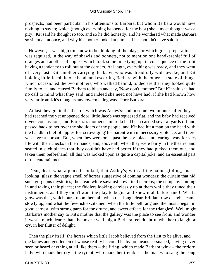prospects, had been particular in his attentions to Barbara, but whom Barbara would have nothing to say to; which (though everything happened for the best) she almost thought was a pity. Kit said he thought so too, and so he did honestly, and he wondered what made Barbara so silent all at once, and why his mother looked at him as if he shouldn't have said it.

 However, it was high time now to be thinking of the play; for which great preparation was required, in the way of shawls and bonnets, not to mention one handkerchief full of oranges and another of apples, which took some time tying up, in consequence of the fruit having a tendency to roll out at the corners. At length, everything was ready, and they went off very fast; Kit's mother carrying the baby, who was dreadfully wide awake, and Kit holding little Jacob in one hand, and escorting Barbara with the other – a state of things which occasioned the two mothers, who walked behind, to declare that they looked quite family folks, and caused Barbara to blush and say, 'Now don't, mother!' But Kit said she had no call to mind what they said; and indeed she need not have had, if she had known how very far from Kit's thoughts any love−making was. Poor Barbara!

 At last they got to the theatre, which was Astley's: and in some two minutes after they had reached the yet unopened door, little Jacob was squeezed flat, and the baby had received divers concussions, and Barbara's mother's umbrella had been carried several yards off and passed back to her over the shoulders of the people, and Kit had hit a man on the head with the handkerchief of apples for 'scrowdging' his parent with unnecessary violence, and there was a great uproar. But, when they were once past the pay−place and tearing away for very life with their checks in their hands, and, above all, when they were fairly in the theatre, and seated in such places that they couldn't have had better if they had picked them out, and taken them beforehand, all this was looked upon as quite a capital joke, and an essential part of the entertainment.

 Dear, dear, what a place it looked, that Astley's; with all the paint, gilding, and looking−glass; the vague smell of horses suggestive of coming wonders; the curtain that hid such gorgeous mysteries; the clean white sawdust down in the circus; the company coming in and taking their places; the fiddlers looking carelessly up at them while they tuned their instruments, as if they didn't want the play to begin, and knew it all beforehand! What a glow was that, which burst upon them all, when that long, clear, brilliant row of lights came slowly up; and what the feverish excitement when the little bell rang and the music began in good earnest, with strong parts for the drums, and sweet effects for the triangles! Well might Barbara's mother say to Kit's mother that the gallery was the place to see from, and wonder it wasn't much dearer than the boxes; well might Barbara feel doubtful whether to laugh or cry, in her flutter of delight.

 Then the play itself! the horses which little Jacob believed from the first to be alive, and the ladies and gentlemen of whose reality he could be by no means persuaded, having never seen or heard anything at all like them – the firing, which made Barbara wink – the forlorn lady, who made her cry – the tyrant, who made her tremble – the man who sang the song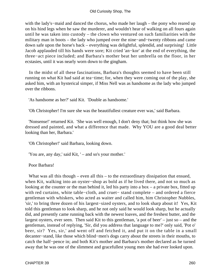with the lady's−maid and danced the chorus, who made her laugh – the pony who reared up on his hind legs when he saw the murderer, and wouldn't hear of walking on all fours again until he was taken into custody – the clown who ventured on such familiarities with the military man in boots – the lady who jumped over the nine−and−twenty ribbons and came down safe upon the horse's back – everything was delightful, splendid, and surprising! Little Jacob applauded till his hands were sore; Kit cried 'an−kor' at the end of everything, the three−act piece included; and Barbara's mother beat her umbrella on the floor, in her ecstasies, until it was nearly worn down to the gingham.

 In the midst of all these fascinations, Barbara's thoughts seemed to have been still running on what Kit had said at tea−time; for, when they were coming out of the play, she asked him, with an hysterical simper, if Miss Nell was as handsome as the lady who jumped over the ribbons.

'As handsome as her?' said Kit. 'Double as handsome.'

'Oh Christopher! I'm sure she was the beautifullest creature ever was,' said Barbara.

 'Nonsense!' returned Kit. 'She was well enough, I don't deny that; but think how she was dressed and painted, and what a difference that made. Why YOU are a good deal better looking than her, Barbara.'

'Oh Christopher!' said Barbara, looking down.

'You are, any day,' said Kit, ' – and so's your mother.'

Poor Barbara!

What was all this though – even all this – to the extraordinary dissipation that ensued, when Kit, walking into an oyster−shop as bold as if he lived there, and not so much as looking at the counter or the man behind it, led his party into a box – a private box, fitted up with red curtains, white table−cloth, and cruet− stand complete – and ordered a fierce gentleman with whiskers, who acted as waiter and called him, him Christopher Nubbles, 'sir,' to bring three dozen of his largest−sized oysters, and to look sharp about it! Yes, Kit told this gentleman to look sharp, and he not only said he would look sharp, but he actually did, and presently came running back with the newest loaves, and the freshest butter, and the largest oysters, ever seen. Then said Kit to this gentleman, 'a pot of beer' – just so – and the gentleman, instead of replying, 'Sir, did you address that language to me?' only said, 'Pot o' beer, sir? Yes, sir,' and went off and fetched it, and put it on the table in a small decanter−stand, like those which blind−men's dogs carry about the streets in their mouths, to catch the half−pence in; and both Kit's mother and Barbara's mother declared as he turned away that he was one of the slimmest and gracefullest young men she had ever looked upon.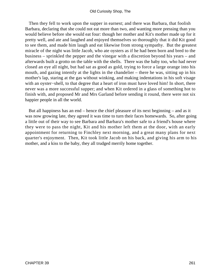Then they fell to work upon the supper in earnest; and there was Barbara, that foolish Barbara, declaring that she could not eat more than two, and wanting more pressing than you would believe before she would eat four: though her mother and Kit's mother made up for it pretty well, and ate and laughed and enjoyed themselves so thoroughly that it did Kit good to see them, and made him laugh and eat likewise from strong sympathy. But the greatest miracle of the night was little Jacob, who ate oysters as if he had been born and bred to the business – sprinkled the pepper and the vinegar with a discretion beyond his years – and afterwards built a grotto on the table with the shells. There was the baby too, who had never closed an eye all night, but had sat as good as gold, trying to force a large orange into his mouth, and gazing intently at the lights in the chandelier – there he was, sitting up in his mother's lap, staring at the gas without winking, and making indentations in his soft visage with an oyster−shell, to that degree that a heart of iron must have loved him! In short, there never was a more successful supper; and when Kit ordered in a glass of something hot to finish with, and proposed Mr and Mrs Garland before sending it round, there were not six happier people in all the world.

 But all happiness has an end – hence the chief pleasure of its next beginning – and as it was now growing late, they agreed it was time to turn their faces homewards. So, after going a little out of their way to see Barbara and Barbara's mother safe to a friend's house where they were to pass the night, Kit and his mother left them at the door, with an early appointment for returning to Finchley next morning, and a great many plans for next quarter's enjoyment. Then, Kit took little Jacob on his back, and giving his arm to his mother, and a kiss to the baby, they all trudged merrily home together.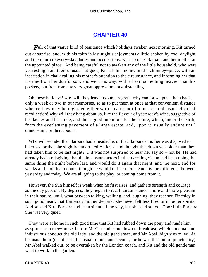# **[CHAPTER 40](#page-495-0)**

*F*ull of that vague kind of penitence which holidays awaken next morning, Kit turned out at sunrise, and, with his faith in last night's enjoyments a little shaken by cool daylight and the return to every−day duties and occupations, went to meet Barbara and her mother at the appointed place. And being careful not to awaken any of the little household, who were yet resting from their unusual fatigues, Kit left his money on the chimney−piece, with an inscription in chalk calling his mother's attention to the circumstance, and informing her that it came from her dutiful son; and went his way, with a heart something heavier than his pockets, but free from any very great oppression notwithstanding.

 Oh these holidays! why will they leave us some regret? why cannot we push them back, only a week or two in our memories, so as to put them at once at that convenient distance whence they may be regarded either with a calm indifference or a pleasant effort of recollection! why will they hang about us, like the flavour of yesterday's wine, suggestive of headaches and lassitude, and those good intentions for the future, which, under the earth, form the everlasting pavement of a large estate, and, upon it, usually endure until dinner−time or thereabouts!

 Who will wonder that Barbara had a headache, or that Barbara's mother was disposed to be cross, or that she slightly underrated Astley's, and thought the clown was older than they had taken him to be last night? Kit was not surprised to hear her say so – not he. He had already had a misgiving that the inconstant actors in that dazzling vision had been doing the same thing the night before last, and would do it again that night, and the next, and for weeks and months to come, though he would not be there. Such is the difference between yesterday and today. We are all going to the play, or coming home from it.

 However, the Sun himself is weak when he first rises, and gathers strength and courage as the day gets on. By degrees, they began to recall circumstances more and more pleasant in their nature, until, what between talking, walking, and laughing, they reached Finchley in such good heart, that Barbara's mother declared she never felt less tired or in better spirits. And so said Kit. Barbara had been silent all the way, but she said so too. Poor little Barbara! She was very quiet.

 They were at home in such good time that Kit had rubbed down the pony and made him as spruce as a race−horse, before Mr Garland came down to breakfast; which punctual and industrious conduct the old lady, and the old gentleman, and Mr Abel, highly extolled. At his usual hour (or rather at his usual minute and second, for he was the soul of punctuality) Mr Abel walked out, to be overtaken by the London coach, and Kit and the old gentleman went to work in the garden.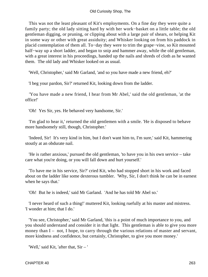This was not the least pleasant of Kit's employments. On a fine day they were quite a family party; the old lady sitting hard by with her work−basket on a little table; the old gentleman digging, or pruning, or clipping about with a large pair of shears, or helping Kit in some way or other with great assiduity; and Whisker looking on from his paddock in placid contemplation of them all. To−day they were to trim the grape−vine, so Kit mounted half−way up a short ladder, and began to snip and hammer away, while the old gentleman, with a great interest in his proceedings, handed up the nails and shreds of cloth as he wanted them. The old lady and Whisker looked on as usual.

'Well, Christopher,' said Mr Garland, 'and so you have made a new friend, eh?'

'I beg your pardon, Sir?' returned Kit, looking down from the ladder.

 'You have made a new friend, I hear from Mr Abel,' said the old gentleman, 'at the office!'

'Oh! Yes Sir, yes. He behaved very handsome, Sir.'

 'I'm glad to hear it,' returned the old gentlemen with a smile. 'He is disposed to behave more handsomely still, though, Christopher.'

 'Indeed, Sir! It's very kind in him, but I don't want him to, I'm sure,' said Kit, hammering stoutly at an obdurate nail.

 'He is rather anxious,' pursued the old gentleman, 'to have you in his own service – take care what you're doing, or you will fall down and hurt yourself.'

 'To have me in his service, Sir?' cried Kit, who had stopped short in his work and faced about on the ladder like some dexterous tumbler. 'Why, Sir, I don't think he can be in earnest when he says that.'

'Oh! But he is indeed,' said Mr Garland. 'And he has told Mr Abel so.'

 'I never heard of such a thing!' muttered Kit, looking ruefully at his master and mistress. 'I wonder at him; that I do.'

 'You see, Christopher,' said Mr Garland, 'this is a point of much importance to you, and you should understand and consider it in that light. This gentleman is able to give you more money than I – not, I hope, to carry through the various relations of master and servant, more kindness and confidence, but certainly, Christopher, to give you more money.'

'Well,' said Kit, 'after that, Sir – '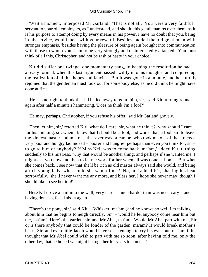'Wait a moment,' interposed Mr Garland. 'That is not all. You were a very faithful servant to your old employers, as I understand, and should this gentleman recover them, as it is his purpose to attempt doing by every means in his power, I have no doubt that you, being in his service, would meet with your reward. Besides,' added the old gentleman with stronger emphasis, 'besides having the pleasure of being again brought into communication with those to whom you seem to be very strongly and disinterestedly attached. You must think of all this, Christopher, and not be rash or hasty in your choice.'

 Kit did suffer one twinge, one momentary pang, in keeping the resolution he had already formed, when this last argument passed swiftly into his thoughts, and conjured up the realization of all his hopes and fancies. But it was gone in a minute, and he sturdily rejoined that the gentleman must look out for somebody else, as he did think he might have done at first.

 'He has no right to think that I'd be led away to go to him, sir,' said Kit, turning round again after half a minute's hammering. 'Does he think I'm a fool?'

'He may, perhaps, Christopher, if you refuse his offer,' said Mr Garland gravely.

 'Then let him, sir,' retorted Kit; 'what do I care, sir, what he thinks? why should I care for his thinking, sir, when I know that I should be a fool, and worse than a fool, sir, to leave the kindest master and mistress that ever was or can be, who took me out of the streets a very poor and hungry lad indeed – poorer and hungrier perhaps than even you think for, sir – to go to him or anybody? If Miss Nell was to come back, ma'am,' added Kit, turning suddenly to his mistress, 'why that would be another thing, and perhaps if she wanted me, I might ask you now and then to let me work for her when all was done at home. But when she comes back, I see now that she'll be rich as old master always said she would, and being a rich young lady, what could she want of me? No, no,' added Kit, shaking his head sorrowfully, 'she'll never want me any more, and bless her, I hope she never may, though I should like to see her too!'

 Here Kit drove a nail into the wall, very hard – much harder than was necessary – and having done so, faced about again.

 'There's the pony, sir,' said Kit – 'Whisker, ma'am (and he knows so well I'm talking about him that he begins to neigh directly, Sir) – would he let anybody come near him but me, ma'am? Here's the garden, sir, and Mr Abel, ma'am. Would Mr Abel part with me, Sir, or is there anybody that could be fonder of the garden, ma'am? It would break mother's heart, Sir, and even little Jacob would have sense enough to cry his eyes out, ma'am, if he thought that Mr Abel could wish to part with me so soon, after having told me, only the other day, that he hoped we might be together for years to come – '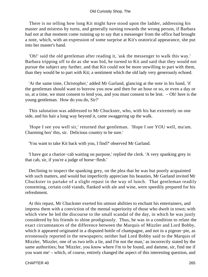#### Old Curiosity Shop, The

 There is no telling how long Kit might have stood upon the ladder, addressing his master and mistress by turns, and generally turning towards the wrong person, if Barbara had not at that moment come running up to say that a messenger from the office had brought a note, which, with an expression of some surprise at Kit's oratorical appearance, she put into her master's hand.

 'Oh!' said the old gentleman after reading it, 'ask the messenger to walk this way.' Barbara tripping off to do as she was bid, he turned to Kit and said that they would not pursue the subject any further, and that Kit could not be more unwilling to part with them, than they would be to part with Kit; a sentiment which the old lady very generously echoed.

 'At the same time, Christopher,' added Mr Garland, glancing at the note in his hand, 'if the gentleman should want to borrow you now and then for an hour or so, or even a day or so, at a time, we must consent to lend you, and you must consent to be lent. – Oh! here is the young gentleman. How do you do, Sir?'

 This salutation was addressed to Mr Chuckster, who, with his hat extremely on one side, and his hair a long way beyond it, came swaggering up the walk.

 'Hope I see you well sir,' returned that gentleman. 'Hope I see YOU well, ma'am. Charming box' this, sir. Delicious country to be sure.'

'You want to take Kit back with you, I find?' observed Mr Garland.

 'I have got a chariot−cab waiting on purpose,' replied the clerk. 'A very spanking grey in that cab, sir, if you're a judge of horse−flesh.'

 Declining to inspect the spanking grey, on the plea that he was but poorly acquainted with such matters, and would but imperfectly appreciate his beauties, Mr Garland invited Mr Chuckster to partake of a slight repast in the way of lunch. That gentleman readily consenting, certain cold viands, flanked with ale and wine, were speedily prepared for his refreshment.

 At this repast, Mr Chuckster exerted his utmost abilities to enchant his entertainers, and impress them with a conviction of the mental superiority of those who dwelt in town; with which view he led the discourse to the small scandal of the day, in which he was justly considered by his friends to shine prodigiously. Thus, he was in a condition to relate the exact circumstances of the difference between the Marquis of Mizzler and Lord Bobby, which it appeared originated in a disputed bottle of champagne, and not in a pigeon−pie, as erroneously reported in the newspapers; neither had Lord Bobby said to the Marquis of Mizzler, 'Mizzler, one of us two tells a lie, and I'm not the man,' as incorrectly stated by the same authorities; but 'Mizzler, you know where I'm to be found, and damme, sir, find me if you want me' – which, of course, entirely changed the aspect of this interesting question, and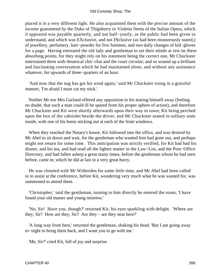placed it in a very different light. He also acquainted them with the precise amount of the income guaranteed by the Duke of Thigsberry to Violetta Stetta of the Italian Opera, which it appeared was payable quarterly, and not half−yearly, as the public had been given to understand, and which was EXclusive, and not INclusive (as had been monstrously stated,) of jewellery, perfumery, hair−powder for five footmen, and two daily changes of kid−gloves for a page. Having entreated the old lady and gentleman to set their minds at rest on these absorbing points, for they might rely on his statement being the correct one, Mr Chuckster entertained them with theatrical chit−chat and the court circular; and so wound up a brilliant and fascinating conversation which he had maintained alone, and without any assistance whatever, for upwards of three−quarters of an hour.

 'And now that the nag has got his wind again,' said Mr Chuckster rising in a graceful manner, 'I'm afraid I must cut my stick.'

 Neither Mr nor Mrs Garland offered any opposition to his tearing himself away (feeling, no doubt, that such a man could ill be spared from his proper sphere of action), and therefore Mr Chuckster and Kit were shortly afterwards upon their way to town; Kit being perched upon the box of the cabriolet beside the driver, and Mr Chuckster seated in solitary state inside, with one of his boots sticking out at each of the front windows.

 When they reached the Notary's house, Kit followed into the office, and was desired by Mr Abel to sit down and wait, for the gentleman who wanted him had gone out, and perhaps might not return for some time. This anticipation was strictly verified, for Kit had had his dinner, and his tea, and had read all the lighter matter in the Law−List, and the Post−Office Directory, and had fallen asleep a great many times, before the gentleman whom he had seen before, came in; which he did at last in a very great hurry.

 He was closeted with Mr Witherden for some little time, and Mr Abel had been called in to assist at the conference, before Kit, wondering very much what he was wanted for, was summoned to attend them.

 'Christopher,' said the gentleman, turning to him directly he entered the room, 'I have found your old master and young mistress.'

 'No, Sir! Have you, though?' returned Kit, his eyes sparkling with delight. 'Where are they, Sir? How are they, Sir? Are they – are they near here?'

 'A long way from here,' returned the gentleman, shaking his head. 'But I am going away to−night to bring them back, and I want you to go with me.'

'Me, Sir?' cried Kit, full of joy and surprise.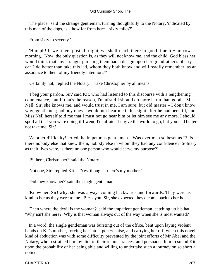'The place,' said the strange gentleman, turning thoughtfully to the Notary, 'indicated by this man of the dogs, is – how far from here – sixty miles?'

'From sixty to seventy.'

 'Humph! If we travel post all night, we shall reach there in good time to−morrow morning. Now, the only question is, as they will not know me, and the child, God bless her, would think that any stranger pursuing them had a design upon her grandfather's liberty – can I do better than take this lad, whom they both know and will readily remember, as an assurance to them of my friendly intentions?'

'Certainly not,' replied the Notary. 'Take Christopher by all means.'

 'I beg your pardon, Sir,' said Kit, who had listened to this discourse with a lengthening countenance, 'but if that's the reason, I'm afraid I should do more harm than good – Miss Nell, Sir, she knows me, and would trust in me, I am sure; but old master – I don't know why, gentlemen; nobody does – would not bear me in his sight after he had been ill, and Miss Nell herself told me that I must not go near him or let him see me any more. I should spoil all that you were doing if I went, I'm afraid. I'd give the world to go, but you had better not take me, Sir.'

 'Another difficulty!' cried the impetuous gentleman. 'Was ever man so beset as I? Is there nobody else that knew them, nobody else in whom they had any confidence? Solitary as their lives were, is there no one person who would serve my purpose?'

'IS there, Christopher?' said the Notary.

'Not one, Sir,' replied Kit. – 'Yes, though – there's my mother.'

'Did they know her?' said the single gentleman.

 'Know her, Sir! why, she was always coming backwards and forwards. They were as kind to her as they were to me. Bless you, Sir, she expected they'd come back to her house.'

 'Then where the devil is the woman?' said the impatient gentleman, catching up his hat. 'Why isn't she here? Why is that woman always out of the way when she is most wanted?'

 In a word, the single gentleman was bursting out of the office, bent upon laying violent hands on Kit's mother, forcing her into a post−chaise, and carrying her off, when this novel kind of abduction was with some difficulty prevented by the joint efforts of Mr Abel and the Notary, who restrained him by dint of their remonstrances, and persuaded him to sound Kit upon the probability of her being able and willing to undertake such a journey on so short a notice.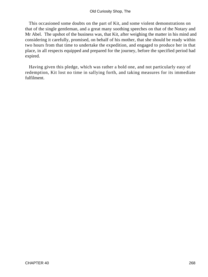This occasioned some doubts on the part of Kit, and some violent demonstrations on that of the single gentleman, and a great many soothing speeches on that of the Notary and Mr Abel. The upshot of the business was, that Kit, after weighing the matter in his mind and considering it carefully, promised, on behalf of his mother, that she should be ready within two hours from that time to undertake the expedition, and engaged to produce her in that place, in all respects equipped and prepared for the journey, before the specified period had expired.

 Having given this pledge, which was rather a bold one, and not particularly easy of redemption, Kit lost no time in sallying forth, and taking measures for its immediate fulfilment.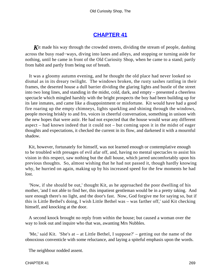# **[CHAPTER 41](#page-495-0)**

**K**it made his way through the crowded streets, dividing the stream of people, dashing across the busy road−ways, diving into lanes and alleys, and stopping or turning aside for nothing, until he came in front of the Old Curiosity Shop, when he came to a stand; partly from habit and partly from being out of breath.

 It was a gloomy autumn evening, and he thought the old place had never looked so dismal as in its dreary twilight. The windows broken, the rusty sashes rattling in their frames, the deserted house a dull barrier dividing the glaring lights and bustle of the street into two long lines, and standing in the midst, cold, dark, and empty – presented a cheerless spectacle which mingled harshly with the bright prospects the boy had been building up for its late inmates, and came like a disappointment or misfortune. Kit would have had a good fire roaring up the empty chimneys, lights sparkling and shining through the windows, people moving briskly to and fro, voices in cheerful conversation, something in unison with the new hopes that were astir. He had not expected that the house would wear any different aspect – had known indeed that it could not – but coming upon it in the midst of eager thoughts and expectations, it checked the current in its flow, and darkened it with a mournful shadow.

 Kit, however, fortunately for himself, was not learned enough or contemplative enough to be troubled with presages of evil afar off, and, having no mental spectacles to assist his vision in this respect, saw nothing but the dull house, which jarred uncomfortably upon his previous thoughts. So, almost wishing that he had not passed it, though hardly knowing why, he hurried on again, making up by his increased speed for the few moments he had lost.

 'Now, if she should be out,' thought Kit, as he approached the poor dwelling of his mother, 'and I not able to find her, this impatient gentleman would be in a pretty taking. And sure enough there's no light, and the door's fast. Now, God forgive me for saying so, but if this is Little Bethel's doing, I wish Little Bethel was – was farther off,' said Kit checking himself, and knocking at the door.

 A second knock brought no reply from within the house; but caused a woman over the way to look out and inquire who that was, awanting Mrs Nubbles.

 'Me,' said Kit. 'She's at – at Little Bethel, I suppose?' – getting out the name of the obnoxious conventicle with some reluctance, and laying a spiteful emphasis upon the words.

The neighbour nodded assent.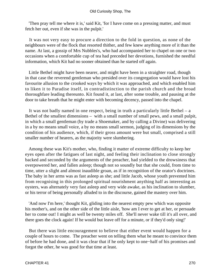'Then pray tell me where it is,' said Kit, 'for I have come on a pressing matter, and must fetch her out, even if she was in the pulpit.'

 It was not very easy to procure a direction to the fold in question, as none of the neighbours were of the flock that resorted thither, and few knew anything more of it than the name. At last, a gossip of Mrs Nubbles's, who had accompanied her to chapel on one or two occasions when a comfortable cup of tea had preceded her devotions, furnished the needful information, which Kit had no sooner obtained than he started off again.

 Little Bethel might have been nearer, and might have been in a straighter road, though in that case the reverend gentleman who presided over its congregation would have lost his favourite allusion to the crooked ways by which it was approached, and which enabled him to liken it to Paradise itself, in contradistinction to the parish church and the broad thoroughfare leading thereunto. Kit found it, at last, after some trouble, and pausing at the door to take breath that he might enter with becoming decency, passed into the chapel.

 It was not badly named in one respect, being in truth a particularly little Bethel – a Bethel of the smallest dimensions – with a small number of small pews, and a small pulpit, in which a small gentleman (by trade a Shoemaker, and by calling a Divine) was delivering in a by no means small voice, a by no means small sermon, judging of its dimensions by the condition of his audience, which, if their gross amount were but small, comprised a still smaller number of hearers, as the majority were slumbering.

 Among these was Kit's mother, who, finding it matter of extreme difficulty to keep her eyes open after the fatigues of last night, and feeling their inclination to close strongly backed and seconded by the arguments of the preacher, had yielded to the drowsiness that overpowered her, and fallen asleep; though not so soundly but that she could, from time to time, utter a slight and almost inaudible groan, as if in recognition of the orator's doctrines. The baby in her arms was as fast asleep as she; and little Jacob, whose youth prevented him from recognising in this prolonged spiritual nourishment anything half as interesting as oysters, was alternately very fast asleep and very wide awake, as his inclination to slumber, or his terror of being personally alluded to in the discourse, gained the mastery over him.

 'And now I'm here,' thought Kit, gliding into the nearest empty pew which was opposite his mother's, and on the other side of the little aisle, 'how am I ever to get at her, or persuade her to come out! I might as well be twenty miles off. She'll never wake till it's all over, and there goes the clock again! If he would but leave off for a minute, or if they'd only sing!'

 But there was little encouragement to believe that either event would happen for a couple of hours to come. The preacher went on telling them what he meant to convince them of before he had done, and it was clear that if he only kept to one−half of his promises and forgot the other, he was good for that time at least.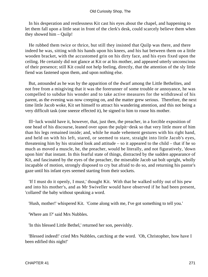In his desperation and restlessness Kit cast his eyes about the chapel, and happening to let them fall upon a little seat in front of the clerk's desk, could scarcely believe them when they showed him – Quilp!

 He rubbed them twice or thrice, but still they insisted that Quilp was there, and there indeed he was, sitting with his hands upon his knees, and his hat between them on a little wooden bracket, with the accustomed grin on his dirty face, and his eyes fixed upon the ceiling. He certainly did not glance at Kit or at his mother, and appeared utterly unconscious of their presence; still Kit could not help feeling, directly, that the attention of the sly little fiend was fastened upon them, and upon nothing else.

 But, astounded as he was by the apparition of the dwarf among the Little Bethelites, and not free from a misgiving that it was the forerunner of some trouble or annoyance, he was compelled to subdue his wonder and to take active measures for the withdrawal of his parent, as the evening was now creeping on, and the matter grew serious. Therefore, the next time little Jacob woke, Kit set himself to attract his wandering attention, and this not being a very difficult task (one sneeze effected it), he signed to him to rouse his mother.

 Ill−luck would have it, however, that, just then, the preacher, in a forcible exposition of one head of his discourse, leaned over upon the pulpit−desk so that very little more of him than his legs remained inside; and, while he made vehement gestures with his right hand, and held on with his left, stared, or seemed to stare, straight into little Jacob's eyes, threatening him by his strained look and attitude – so it appeared to the child – that if he so much as moved a muscle, he, the preacher, would be literally, and not figuratively, 'down upon him' that instant. In this fearful state of things, distracted by the sudden appearance of Kit, and fascinated by the eyes of the preacher, the miserable Jacob sat bolt upright, wholly incapable of motion, strongly disposed to cry but afraid to do so, and returning his pastor's gaze until his infant eyes seemed starting from their sockets.

 'If I must do it openly, I must,' thought Kit. With that he walked softly out of his pew and into his mother's, and as Mr Swiveller would have observed if he had been present, 'collared' the baby without speaking a word.

'Hush, mother!' whispered Kit. 'Come along with me, I've got something to tell you.'

'Where am I?' said Mrs Nubbles.

'In this blessed Little Bethel,' returned her son, peevishly.

 'Blessed indeed!' cried Mrs Nubbles, catching at the word. 'Oh, Christopher, how have I been edified this night!'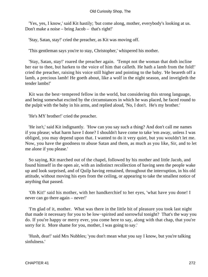'Yes, yes, I know,' said Kit hastily; 'but come along, mother, everybody's looking at us. Don't make a noise – bring Jacob – that's right!'

'Stay, Satan, stay!' cried the preacher, as Kit was moving off.

'This gentleman says you're to stay, Christopher,' whispered his mother.

 'Stay, Satan, stay!' roared the preacher again. 'Tempt not the woman that doth incline her ear to thee, but harken to the voice of him that calleth. He hath a lamb from the fold!' cried the preacher, raising his voice still higher and pointing to the baby. 'He beareth off a lamb, a precious lamb! He goeth about, like a wolf in the night season, and inveigleth the tender lambs!'

 Kit was the best−tempered fellow in the world, but considering this strong language, and being somewhat excited by the circumstances in which he was placed, he faced round to the pulpit with the baby in his arms, and replied aloud, 'No, I don't. He's my brother.'

'He's MY brother!' cried the preacher.

 'He isn't,' said Kit indignantly. 'How can you say such a thing? And don't call me names if you please; what harm have I done? I shouldn't have come to take 'em away, unless I was obliged, you may depend upon that. I wanted to do it very quiet, but you wouldn't let me. Now, you have the goodness to abuse Satan and them, as much as you like, Sir, and to let me alone if you please.'

 So saying, Kit marched out of the chapel, followed by his mother and little Jacob, and found himself in the open air, with an indistinct recollection of having seen the people wake up and look surprised, and of Quilp having remained, throughout the interruption, in his old attitude, without moving his eyes from the ceiling, or appearing to take the smallest notice of anything that passed.

 'Oh Kit!' said his mother, with her handkerchief to her eyes, 'what have you done! I never can go there again – never!'

 'I'm glad of it, mother. What was there in the little bit of pleasure you took last night that made it necessary for you to be low−spirited and sorrowful tonight? That's the way you do. If you're happy or merry ever, you come here to say, along with that chap, that you're sorry for it. More shame for you, mother, I was going to say.'

 'Hush, dear!' said Mrs Nubbles; 'you don't mean what you say I know, but you're talking sinfulness.'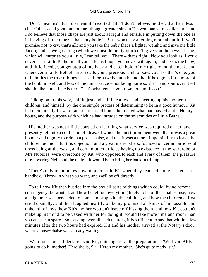'Don't mean it? But I do mean it!' retorted Kit. 'I don't believe, mother, that harmless cheerfulness and good humour are thought greater sins in Heaven than shirt−collars are, and I do believe that those chaps are just about as right and sensible in putting down the one as in leaving off the other – that's my belief. But I won't say anything more about it, if you'll promise not to cry, that's all; and you take the baby that's a lighter weight, and give me little Jacob; and as we go along (which we must do pretty quick) I'll give you the news I bring, which will surprise you a little, I can tell you. There – that's right. Now you look as if you'd never seen Little Bethel in all your life, as I hope you never will again; and here's the baby; and little Jacob, you get atop of my back and catch hold of me tight round the neck, and whenever a Little Bethel parson calls you a precious lamb or says your brother's one, you tell him it's the truest things he's said for a twelvemonth, and that if he'd got a little more of the lamb himself, and less of the mint−sauce – not being quite so sharp and sour over it – I should like him all the better. That's what you've got to say to him, Jacob.'

 Talking on in this way, half in jest and half in earnest, and cheering up his mother, the children, and himself, by the one simple process of determining to be in a good humour, Kit led them briskly forward; and on the road home, he related what had passed at the Notary's house, and the purpose with which he had intruded on the solemnities of Little Bethel.

 His mother was not a little startled on learning what service was required of her, and presently fell into a confusion of ideas, of which the most prominent were that it was a great honour and dignity to ride in a post−chaise, and that it was a moral impossibility to leave the children behind. But this objection, and a great many others, founded on certain articles of dress being at the wash, and certain other articles having no existence in the wardrobe of Mrs Nubbles, were overcome by Kit, who opposed to each and every of them, the pleasure of recovering Nell, and the delight it would be to bring her back in triumph.

 'There's only ten minutes now, mother,' said Kit when they reached home. 'There's a bandbox. Throw in what you want, and we'll be off directly.'

 To tell how Kit then hustled into the box all sorts of things which could, by no remote contingency, be wanted, and how he left out everything likely to be of the smallest use; how a neighbour was persuaded to come and stop with the children, and how the children at first cried dismally, and then laughed heartily on being promised all kinds of impossible and unheard−of toys; how Kit's mother wouldn't leave off kissing them, and how Kit couldn't make up his mind to be vexed with her for doing it; would take more time and room than you and I can spare. So, passing over all such matters, it is sufficient to say that within a few minutes after the two hours had expired, Kit and his mother arrived at the Notary's door, where a post−chaise was already waiting.

'With four horses I declare!' said Kit, quite aghast at the preparations. 'Well you ARE going to do it, mother! Here she is, Sir. Here's my mother. She's quite ready, sir.'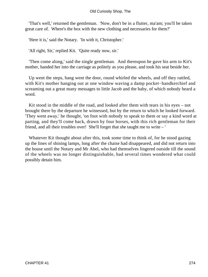'That's well,' returned the gentleman. 'Now, don't be in a flutter, ma'am; you'll be taken great care of. Where's the box with the new clothing and necessaries for them?'

'Here it is,' said the Notary. 'In with it, Christopher.'

'All right, Sir,' replied Kit. 'Quite ready now, sir.'

 'Then come along,' said the single gentleman. And thereupon he gave his arm to Kit's mother, handed her into the carriage as politely as you please, and took his seat beside her.

 Up went the steps, bang went the door, round whirled the wheels, and off they rattled, with Kit's mother hanging out at one window waving a damp pocket−handkerchief and screaming out a great many messages to little Jacob and the baby, of which nobody heard a word.

 Kit stood in the middle of the road, and looked after them with tears in his eyes – not brought there by the departure he witnessed, but by the return to which he looked forward. 'They went away,' he thought, 'on foot with nobody to speak to them or say a kind word at parting, and they'll come back, drawn by four horses, with this rich gentleman for their friend, and all their troubles over! She'll forget that she taught me to write – '

 Whatever Kit thought about after this, took some time to think of, for he stood gazing up the lines of shining lamps, long after the chaise had disappeared, and did not return into the house until the Notary and Mr Abel, who had themselves lingered outside till the sound of the wheels was no longer distinguishable, had several times wondered what could possibly detain him.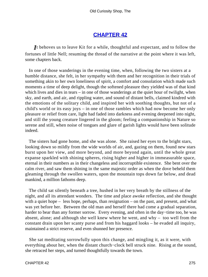### **[CHAPTER 42](#page-495-0)**

*I*t behoves us to leave Kit for a while, thoughtful and expectant, and to follow the fortunes of little Nell; resuming the thread of the narrative at the point where it was left, some chapters back.

 In one of those wanderings in the evening time, when, following the two sisters at a humble distance, she felt, in her sympathy with them and her recognition in their trials of something akin to her own loneliness of spirit, a comfort and consolation which made such moments a time of deep delight, though the softened pleasure they yielded was of that kind which lives and dies in tears – in one of those wanderings at the quiet hour of twilight, when sky, and earth, and air, and rippling water, and sound of distant bells, claimed kindred with the emotions of the solitary child, and inspired her with soothing thoughts, but not of a child's world or its easy joys – in one of those rambles which had now become her only pleasure or relief from care, light had faded into darkness and evening deepened into night, and still the young creature lingered in the gloom; feeling a companionship in Nature so serene and still, when noise of tongues and glare of garish lights would have been solitude indeed.

 The sisters had gone home, and she was alone. She raised her eyes to the bright stars, looking down so mildly from the wide worlds of air, and, gazing on them, found new stars burst upon her view, and more beyond, and more beyond again, until the whole great expanse sparkled with shining spheres, rising higher and higher in immeasurable space, eternal in their numbers as in their changeless and incorruptible existence. She bent over the calm river, and saw them shining in the same majestic order as when the dove beheld them gleaming through the swollen waters, upon the mountain tops down far below, and dead mankind, a million fathoms deep.

 The child sat silently beneath a tree, hushed in her very breath by the stillness of the night, and all its attendant wonders. The time and place awoke reflection, and she thought with a quiet hope – less hope, perhaps, than resignation – on the past, and present, and what was yet before her. Between the old man and herself there had come a gradual separation, harder to bear than any former sorrow. Every evening, and often in the day−time too, he was absent, alone; and although she well knew where he went, and why – too well from the constant drain upon her scanty purse and from his haggard looks – he evaded all inquiry, maintained a strict reserve, and even shunned her presence.

 She sat meditating sorrowfully upon this change, and mingling it, as it were, with everything about her, when the distant church−clock bell struck nine. Rising at the sound, she retraced her steps, and turned thoughtfully towards the town.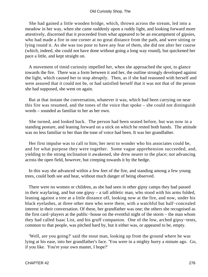She had gained a little wooden bridge, which, thrown across the stream, led into a meadow in her way, when she came suddenly upon a ruddy light, and looking forward more attentively, discerned that it proceeded from what appeared to be an encampment of gipsies, who had made a fire in one corner at no great distance from the path, and were sitting or lying round it. As she was too poor to have any fear of them, she did not alter her course (which, indeed, she could not have done without going a long way round), but quickened her pace a little, and kept straight on.

 A movement of timid curiosity impelled her, when she approached the spot, to glance towards the fire. There was a form between it and her, the outline strongly developed against the light, which caused her to stop abruptly. Then, as if she had reasoned with herself and were assured that it could not be, or had satisfied herself that it was not that of the person she had supposed, she went on again.

 But at that instant the conversation, whatever it was, which had been carrying on near this fire was resumed, and the tones of the voice that spoke – she could not distinguish words – sounded as familiar to her as her own.

 She turned, and looked back. The person had been seated before, but was now in a standing posture, and leaning forward on a stick on which he rested both hands. The attitude was no less familiar to her than the tone of voice had been. It was her grandfather.

 Her first impulse was to call to him; her next to wonder who his associates could be, and for what purpose they were together. Some vague apprehension succeeded, and, yielding to the strong inclination it awakened, she drew nearer to the place; not advancing across the open field, however, but creeping towards it by the hedge.

 In this way she advanced within a few feet of the fire, and standing among a few young trees, could both see and hear, without much danger of being observed.

 There were no women or children, as she had seen in other gipsy camps they had passed in their wayfaring, and but one gipsy – a tall athletic man, who stood with his arms folded, leaning against a tree at a little distance off, looking now at the fire, and now, under his black eyelashes, at three other men who were there, with a watchful but half−concealed interest in their conversation. Of these, her grandfather was one; the others she recognised as the first card−players at the public−house on the eventful night of the storm – the man whom they had called Isaac List, and his gruff companion. One of the low, arched gipsy−tents, common to that people, was pitched hard by, but it either was, or appeared to be, empty.

 'Well, are you going?' said the stout man, looking up from the ground where he was lying at his ease, into her grandfather's face. 'You were in a mighty hurry a minute ago. Go, if you like. You're your own master, I hope?'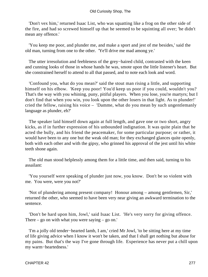'Don't vex him,' returned Isaac List, who was squatting like a frog on the other side of the fire, and had so screwed himself up that he seemed to be squinting all over; 'he didn't mean any offence.'

 'You keep me poor, and plunder me, and make a sport and jest of me besides,' said the old man, turning from one to the other. 'Ye'll drive me mad among ye.'

 The utter irresolution and feebleness of the grey−haired child, contrasted with the keen and cunning looks of those in whose hands he was, smote upon the little listener's heart. But she constrained herself to attend to all that passed, and to note each look and word.

 'Confound you, what do you mean?' said the stout man rising a little, and supporting himself on his elbow. 'Keep you poor! You'd keep us poor if you could, wouldn't you? That's the way with you whining, puny, pitiful players. When you lose, you're martyrs; but I don't find that when you win, you look upon the other losers in that light. As to plunder!' cried the fellow, raising his voice – 'Damme, what do you mean by such ungentlemanly language as plunder, eh?'

 The speaker laid himself down again at full length, and gave one or two short, angry kicks, as if in further expression of his unbounded indignation. It was quite plain that he acted the bully, and his friend the peacemaker, for some particular purpose; or rather, it would have been to any one but the weak old man; for they exchanged glances quite openly, both with each other and with the gipsy, who grinned his approval of the jest until his white teeth shone again.

 The old man stood helplessly among them for a little time, and then said, turning to his assailant:

 'You yourself were speaking of plunder just now, you know. Don't be so violent with me. You were, were you not?'

 'Not of plundering among present company! Honour among – among gentlemen, Sir,' returned the other, who seemed to have been very near giving an awkward termination to the sentence.

 'Don't be hard upon him, Jowl,' said Isaac List. 'He's very sorry for giving offence. There – go on with what you were saying – go on.'

 'I'm a jolly old tender−hearted lamb, I am,' cried Mr Jowl, 'to be sitting here at my time of life giving advice when I know it won't be taken, and that I shall get nothing but abuse for my pains. But that's the way I've gone through life. Experience has never put a chill upon my warm−heartedness.'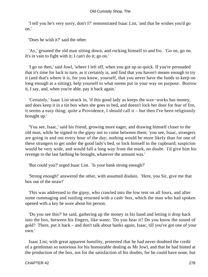'I tell you he's very sorry, don't I?' remonstrated Isaac List, 'and that he wishes you'd go on.'

'Does he wish it?' said the other.

 'Ay,' groaned the old man sitting down, and rocking himself to and fro. 'Go on, go on. It's in vain to fight with it; I can't do it; go on.'

 'I go on then,' said Jowl, 'where I left off, when you got up so quick. If you're persuaded that it's time for luck to turn, as it certainly is, and find that you haven't means enough to try it (and that's where it is, for you know, yourself, that you never have the funds to keep on long enough at a sitting), help yourself to what seems put in your way on purpose. Borrow it, I say, and, when you're able, pay it back again.'

 'Certainly,' Isaac List struck in, 'if this good lady as keeps the wax−works has money, and does keep it in a tin box when she goes to bed, and doesn't lock her door for fear of fire, it seems a easy thing; quite a Providence, I should call it – but then I've been religiously brought up.'

 'You see, Isaac,' said his friend, growing more eager, and drawing himself closer to the old man, while he signed to the gipsy not to come between them; 'you see, Isaac, strangers are going in and out every hour of the day; nothing would be more likely than for one of these strangers to get under the good lady's bed, or lock himself in the cupboard; suspicion would be very wide, and would fall a long way from the mark, no doubt. I'd give him his revenge to the last farthing he brought, whatever the amount was.'

'But could you?' urged Isaac List. 'Is your bank strong enough?'

 'Strong enough!' answered the other, with assumed disdain. 'Here, you Sir, give me that box out of the straw!'

 This was addressed to the gipsy, who crawled into the low tent on all fours, and after some rummaging and rustling returned with a cash−box, which the man who had spoken opened with a key he wore about his person.

 'Do you see this?' he said, gathering up the money in his hand and letting it drop back into the box, between his fingers, like water. 'Do you hear it? Do you know the sound of gold? There, put it back – and don't talk about banks again, Isaac, till you've got one of your own.'

 Isaac List, with great apparent humility, protested that he had never doubted the credit of a gentleman so notorious for his honourable dealing as Mr Jowl, and that he had hinted at the production of the box, not for the satisfaction of his doubts, for he could have none, but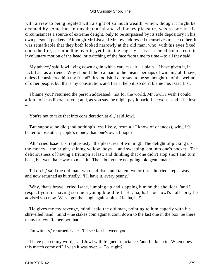with a view to being regaled with a sight of so much wealth, which, though it might be deemed by some but an unsubstantial and visionary pleasure, was to one in his circumstances a source of extreme delight, only to be surpassed by its safe depository in his own personal pockets. Although Mr List and Mr Jowl addressed themselves to each other, it was remarkable that they both looked narrowly at the old man, who, with his eyes fixed upon the fire, sat brooding over it, yet listening eagerly – as it seemed from a certain involuntary motion of the head, or twitching of the face from time to time – to all they said.

 'My advice,' said Jowl, lying down again with a careless air, 'is plain – I have given it, in fact. I act as a friend. Why should I help a man to the means perhaps of winning all I have, unless I considered him my friend? It's foolish, I dare say, to be so thoughtful of the welfare of other people, but that's my constitution, and I can't help it; so don't blame me, Isaac List.'

 'I blame you!' returned the person addressed; 'not for the world, Mr Jowl. I wish I could afford to be as liberal as you; and, as you say, he might pay it back if he won – and if he lost – '

'You're not to take that into consideration at all,' said Jowl.

 'But suppose he did (and nothing's less likely, from all I know of chances), why, it's better to lose other people's money than one's own, I hope?'

 'Ah!' cried Isaac List rapturously, 'the pleasures of winning! The delight of picking up the money – the bright, shining yellow−boys – and sweeping 'em into one's pocket! The deliciousness of having a triumph at last, and thinking that one didn't stop short and turn back, but went half−way to meet it! The – but you're not going, old gentleman?'

 'I'll do it,' said the old man, who had risen and taken two or three hurried steps away, and now returned as hurriedly. 'I'll have it, every penny.'

 'Why, that's brave,' cried Isaac, jumping up and slapping him on the shoulder; 'and I respect you for having so much young blood left. Ha, ha, ha! Joe Jowl's half sorry he advised you now. We've got the laugh against him. Ha, ha, ha!'

 'He gives me my revenge, mind,' said the old man, pointing to him eagerly with his shrivelled hand: 'mind – he stakes coin against coin, down to the last one in the box, be there many or few. Remember that!'

'I'm witness,' returned Isaac. 'I'll see fair between you.'

 'I have passed my word,' said Jowl with feigned reluctance, 'and I'll keep it. When does this match come off? I wish it was over. – To−night?'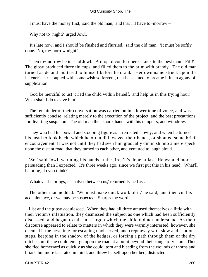'I must have the money first,' said the old man; 'and that I'll have to−morrow – '

'Why not to−night?' urged Jowl.

 'It's late now, and I should be flushed and flurried,' said the old man. 'It must be softly done. No, to−morrow night.'

 'Then to−morrow be it,' said Jowl. 'A drop of comfort here. Luck to the best man! Fill!' The gipsy produced three tin cups, and filled them to the brim with brandy. The old man turned aside and muttered to himself before he drank. Her own name struck upon the listener's ear, coupled with some wish so fervent, that he seemed to breathe it in an agony of supplication.

 'God be merciful to us!' cried the child within herself, 'and help us in this trying hour! What shall I do to save him!'

 The remainder of their conversation was carried on in a lower tone of voice, and was sufficiently concise; relating merely to the execution of the project, and the best precautions for diverting suspicion. The old man then shook hands with his tempters, and withdrew.

 They watched his bowed and stooping figure as it retreated slowly, and when he turned his head to look back, which he often did, waved their hands, or shouted some brief encouragement. It was not until they had seen him gradually diminish into a mere speck upon the distant road, that they turned to each other, and ventured to laugh aloud.

 'So,' said Jowl, warming his hands at the fire, 'it's done at last. He wanted more persuading than I expected. It's three weeks ago, since we first put this in his head. What'll he bring, do you think?'

'Whatever he brings, it's halved between us,' returned Isaac List.

 The other man nodded. 'We must make quick work of it,' he said, 'and then cut his acquaintance, or we may be suspected. Sharp's the word.'

 List and the gipsy acquiesced. When they had all three amused themselves a little with their victim's infatuation, they dismissed the subject as one which had been sufficiently discussed, and began to talk in a jargon which the child did not understand. As their discourse appeared to relate to matters in which they were warmly interested, however, she deemed it the best time for escaping unobserved; and crept away with slow and cautious steps, keeping in the shadow of the hedges, or forcing a path through them or the dry ditches, until she could emerge upon the road at a point beyond their range of vision. Then she fled homeward as quickly as she could, torn and bleeding from the wounds of thorns and briars, but more lacerated in mind, and threw herself upon her bed, distracted.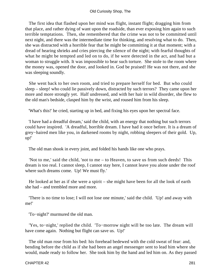### Old Curiosity Shop, The

 The first idea that flashed upon her mind was flight, instant flight; dragging him from that place, and rather dying of want upon the roadside, than ever exposing him again to such terrible temptations. Then, she remembered that the crime was not to be committed until next night, and there was the intermediate time for thinking, and resolving what to do. Then, she was distracted with a horrible fear that he might be committing it at that moment; with a dread of hearing shrieks and cries piercing the silence of the night; with fearful thoughts of what he might be tempted and led on to do, if he were detected in the act, and had but a woman to struggle with. It was impossible to bear such torture. She stole to the room where the money was, opened the door, and looked in. God be praised! He was not there, and she was sleeping soundly.

 She went back to her own room, and tried to prepare herself for bed. But who could sleep – sleep! who could lie passively down, distracted by such terrors? They came upon her more and more strongly yet. Half undressed, and with her hair in wild disorder, she flew to the old man's bedside, clasped him by the wrist, and roused him from his sleep.

'What's this!' he cried, starting up in bed, and fixing his eyes upon her spectral face.

 'I have had a dreadful dream,' said the child, with an energy that nothing but such terrors could have inspired. 'A dreadful, horrible dream. I have had it once before. It is a dream of grey−haired men like you, in darkened rooms by night, robbing sleepers of their gold. Up, up!'

The old man shook in every joint, and folded his hands like one who prays.

 'Not to me,' said the child, 'not to me – to Heaven, to save us from such deeds! This dream is too real. I cannot sleep, I cannot stay here, I cannot leave you alone under the roof where such dreams come. Up! We must fly.'

 He looked at her as if she were a spirit – she might have been for all the look of earth she had – and trembled more and more.

 'There is no time to lose; I will not lose one minute,' said the child. 'Up! and away with me!'

'To−night?' murmured the old man.

 'Yes, to−night,' replied the child. 'To−morrow night will be too late. The dream will have come again. Nothing but flight can save us. Up!'

 The old man rose from his bed: his forehead bedewed with the cold sweat of fear: and, bending before the child as if she had been an angel messenger sent to lead him where she would, made ready to follow her. She took him by the hand and led him on. As they passed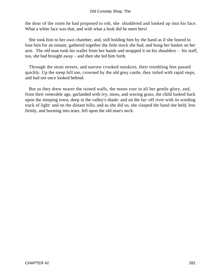the door of the room he had proposed to rob, she shuddered and looked up into his face. What a white face was that, and with what a look did he meet hers!

 She took him to her own chamber, and, still holding him by the hand as if she feared to lose him for an instant, gathered together the little stock she had, and hung her basket on her arm. The old man took his wallet from her hands and strapped it on his shoulders – his staff, too, she had brought away – and then she led him forth.

 Through the strait streets, and narrow crooked outskirts, their trembling feet passed quickly. Up the steep hill too, crowned by the old grey castle, they toiled with rapid steps, and had not once looked behind.

 But as they drew nearer the ruined walls, the moon rose in all her gentle glory, and, from their venerable age, garlanded with ivy, moss, and waving grass, the child looked back upon the sleeping town, deep in the valley's shade: and on the far−off river with its winding track of light: and on the distant hills; and as she did so, she clasped the hand she held, less firmly, and bursting into tears, fell upon the old man's neck.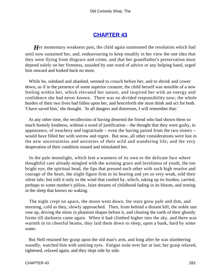# **[CHAPTER 43](#page-496-0)**

*H*er momentary weakness past, the child again summoned the resolution which had until now sustained her, and, endeavouring to keep steadily in her view the one idea that they were flying from disgrace and crime, and that her grandfather's preservation must depend solely on her firmness, unaided by one word of advice or any helping hand, urged him onward and looked back no more.

 While he, subdued and abashed, seemed to crouch before her, and to shrink and cower down, as if in the presence of some superior creature, the child herself was sensible of a new feeling within her, which elevated her nature, and inspired her with an energy and confidence she had never known. There was no divided responsibility now; the whole burden of their two lives had fallen upon her, and henceforth she must think and act for both. 'I have saved him,' she thought. 'In all dangers and distresses, I will remember that.'

 At any other time, the recollection of having deserted the friend who had shown them so much homely kindness, without a word of justification – the thought that they were guilty, in appearance, of treachery and ingratitude – even the having parted from the two sisters – would have filled her with sorrow and regret. But now, all other considerations were lost in the new uncertainties and anxieties of their wild and wandering life; and the very desperation of their condition roused and stimulated her.

 In the pale moonlight, which lent a wanness of its own to the delicate face where thoughtful care already mingled with the winning grace and loveliness of youth, the too bright eye, the spiritual head, the lips that pressed each other with such high resolve and courage of the heart, the slight figure firm in its bearing and yet so very weak, told their silent tale; but told it only to the wind that rustled by, which, taking up its burden, carried, perhaps to some mother's pillow, faint dreams of childhood fading in its bloom, and resting in the sleep that knows no waking.

 The night crept on apace, the moon went down, the stars grew pale and dim, and morning, cold as they, slowly approached. Then, from behind a distant hill, the noble sun rose up, driving the mists in phantom shapes before it, and clearing the earth of their ghostly forms till darkness came again. When it had climbed higher into the sky, and there was warmth in its cheerful beams, they laid them down to sleep, upon a bank, hard by some water.

 But Nell retained her grasp upon the old man's arm, and long after he was slumbering soundly, watched him with untiring eyes. Fatigue stole over her at last; her grasp relaxed, tightened, relaxed again, and they slept side by side.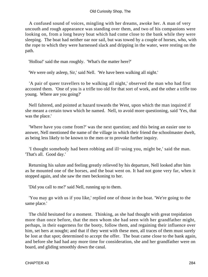### Old Curiosity Shop, The

 A confused sound of voices, mingling with her dreams, awoke her. A man of very uncouth and rough appearance was standing over them, and two of his companions were looking on, from a long heavy boat which had come close to the bank while they were sleeping. The boat had neither oar nor sail, but was towed by a couple of horses, who, with the rope to which they were harnessed slack and dripping in the water, were resting on the path.

'Holloa!' said the man roughly. 'What's the matter here?'

'We were only asleep, Sir,' said Nell. 'We have been walking all night.'

 'A pair of queer travellers to be walking all night,' observed the man who had first accosted them. 'One of you is a trifle too old for that sort of work, and the other a trifle too young. Where are you going?'

 Nell faltered, and pointed at hazard towards the West, upon which the man inquired if she meant a certain town which he named. Nell, to avoid more questioning, said 'Yes, that was the place.'

 'Where have you come from?' was the next question; and this being an easier one to answer, Nell mentioned the name of the village in which their friend the schoolmaster dwelt, as being less likely to be known to the men or to provoke further inquiry.

 'I thought somebody had been robbing and ill−using you, might be,' said the man. 'That's all. Good day.'

 Returning his salute and feeling greatly relieved by his departure, Nell looked after him as he mounted one of the horses, and the boat went on. It had not gone very far, when it stopped again, and she saw the men beckoning to her.

'Did you call to me?' said Nell, running up to them.

 'You may go with us if you like,' replied one of those in the boat. 'We're going to the same place.'

 The child hesitated for a moment. Thinking, as she had thought with great trepidation more than once before, that the men whom she had seen with her grandfather might, perhaps, in their eagerness for the booty, follow them, and regaining their influence over him, set hers at nought; and that if they went with these men, all traces of them must surely be lost at that spot; determined to accept the offer. The boat came close to the bank again, and before she had had any more time for consideration, she and her grandfather were on board, and gliding smoothly down the canal.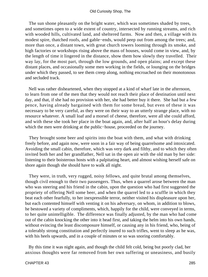The sun shone pleasantly on the bright water, which was sometimes shaded by trees, and sometimes open to a wide extent of country, intersected by running streams, and rich with wooded hills, cultivated land, and sheltered farms. Now and then, a village with its modest spire, thatched roofs, and gable−ends, would peep out from among the trees; and, more than once, a distant town, with great church towers looming through its smoke, and high factories or workshops rising above the mass of houses, would come in view, and, by the length of time it lingered in the distance, show them how slowly they travelled. Their way lay, for the most part, through the low grounds, and open plains; and except these distant places, and occasionally some men working in the fields, or lounging on the bridges under which they passed, to see them creep along, nothing encroached on their monotonous and secluded track.

 Nell was rather disheartened, when they stopped at a kind of wharf late in the afternoon, to learn from one of the men that they would not reach their place of destination until next day, and that, if she had no provision with her, she had better buy it there. She had but a few pence, having already bargained with them for some bread, but even of these it was necessary to be very careful, as they were on their way to an utterly strange place, with no resource whatever. A small loaf and a morsel of cheese, therefore, were all she could afford, and with these she took her place in the boat again, and, after half an hour's delay during which the men were drinking at the public−house, proceeded on the journey.

 They brought some beer and spirits into the boat with them, and what with drinking freely before, and again now, were soon in a fair way of being quarrelsome and intoxicated. Avoiding the small cabin, therefore, which was very dark and filthy, and to which they often invited both her and her grandfather, Nell sat in the open air with the old man by her side: listening to their boisterous hosts with a palpitating heart, and almost wishing herself safe on shore again though she should have to walk all night.

 They were, in truth, very rugged, noisy fellows, and quite brutal among themselves, though civil enough to their two passengers. Thus, when a quarrel arose between the man who was steering and his friend in the cabin, upon the question who had first suggested the propriety of offering Nell some beer, and when the quarrel led to a scuffle in which they beat each other fearfully, to her inexpressible terror, neither visited his displeasure upon her, but each contented himself with venting it on his adversary, on whom, in addition to blows, he bestowed a variety of compliments, which, happily for the child, were conveyed in terms, to her quite unintelligible. The difference was finally adjusted, by the man who had come out of the cabin knocking the other into it head first, and taking the helm into his own hands, without evincing the least discomposure himself, or causing any in his friend, who, being of a tolerably strong constitution and perfectly inured to such trifles, went to sleep as he was, with his heels upwards, and in a couple of minutes or so was snoring comfortably.

 By this time it was night again, and though the child felt cold, being but poorly clad, her anxious thoughts were far removed from her own suffering or uneasiness, and busily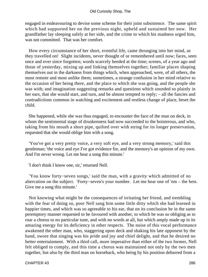engaged in endeavouring to devise some scheme for their joint subsistence. The same spirit which had supported her on the previous night, upheld and sustained her now. Her grandfather lay sleeping safely at her side, and the crime to which his madness urged him, was not committed. That was her comfort.

 How every circumstance of her short, eventful life, came thronging into her mind, as they travelled on! Slight incidents, never thought of or remembered until now; faces, seen once and ever since forgotten; words scarcely heeded at the time; scenes, of a year ago and those of yesterday, mixing up and linking themselves together; familiar places shaping themselves out in the darkness from things which, when approached, were, of all others, the most remote and most unlike them; sometimes, a strange confusion in her mind relative to the occasion of her being there, and the place to which she was going, and the people she was with; and imagination suggesting remarks and questions which sounded so plainly in her ears, that she would start, and turn, and be almost tempted to reply; – all the fancies and contradictions common in watching and excitement and restless change of place, beset the child.

 She happened, while she was thus engaged, to encounter the face of the man on deck, in whom the sentimental stage of drunkenness had now succeeded to the boisterous, and who, taking from his mouth a short pipe, quilted over with string for its longer preservation, requested that she would oblige him with a song.

 'You've got a very pretty voice, a very soft eye, and a very strong memory,' said this gentleman; 'the voice and eye I've got evidence for, and the memory's an opinion of my own. And I'm never wrong. Let me hear a song this minute.'

'I don't think I know one, sir,' returned Nell.

 'You know forty−seven songs,' said the man, with a gravity which admitted of no altercation on the subject. 'Forty−seven's your number. Let me hear one of 'em – the best. Give me a song this minute.'

 Not knowing what might be the consequences of irritating her friend, and trembling with the fear of doing so, poor Nell sang him some little ditty which she had learned in happier times, and which was so agreeable to his ear, that on its conclusion he in the same peremptory manner requested to be favoured with another, to which he was so obliging as to roar a chorus to no particular tune, and with no words at all, but which amply made up in its amazing energy for its deficiency in other respects. The noise of this vocal performance awakened the other man, who, staggering upon deck and shaking his late opponent by the hand, swore that singing was his pride and joy and chief delight, and that he desired no better entertainment. With a third call, more imperative than either of the two former, Nell felt obliged to comply, and this time a chorus was maintained not only by the two men together, but also by the third man on horseback, who being by his position debarred from a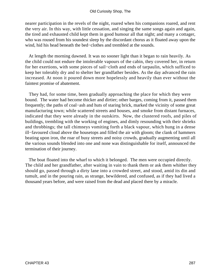nearer participation in the revels of the night, roared when his companions roared, and rent the very air. In this way, with little cessation, and singing the same songs again and again, the tired and exhausted child kept them in good humour all that night; and many a cottager, who was roused from his soundest sleep by the discordant chorus as it floated away upon the wind, hid his head beneath the bed−clothes and trembled at the sounds.

 At length the morning dawned. It was no sooner light than it began to rain heavily. As the child could not endure the intolerable vapours of the cabin, they covered her, in return for her exertions, with some pieces of sail−cloth and ends of tarpaulin, which sufficed to keep her tolerably dry and to shelter her grandfather besides. As the day advanced the rain increased. At noon it poured down more hopelessly and heavily than ever without the faintest promise of abatement.

 They had, for some time, been gradually approaching the place for which they were bound. The water had become thicker and dirtier; other barges, coming from it, passed them frequently; the paths of coal−ash and huts of staring brick, marked the vicinity of some great manufacturing town; while scattered streets and houses, and smoke from distant furnaces, indicated that they were already in the outskirts. Now, the clustered roofs, and piles of buildings, trembling with the working of engines, and dimly resounding with their shrieks and throbbings; the tall chimneys vomiting forth a black vapour, which hung in a dense ill−favoured cloud above the housetops and filled the air with gloom; the clank of hammers beating upon iron, the roar of busy streets and noisy crowds, gradually augmenting until all the various sounds blended into one and none was distinguishable for itself, announced the termination of their journey.

 The boat floated into the wharf to which it belonged. The men were occupied directly. The child and her grandfather, after waiting in vain to thank them or ask them whither they should go, passed through a dirty lane into a crowded street, and stood, amid its din and tumult, and in the pouring rain, as strange, bewildered, and confused, as if they had lived a thousand years before, and were raised from the dead and placed there by a miracle.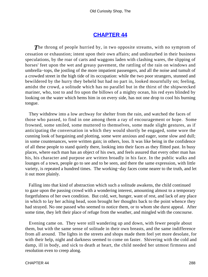#### **[CHAPTER 44](#page-496-0)**

**The throng of people hurried by, in two opposite streams, with no symptom of** cessation or exhaustion; intent upon their own affairs; and undisturbed in their business speculations, by the roar of carts and waggons laden with clashing wares, the slipping of horses' feet upon the wet and greasy pavement, the rattling of the rain on windows and umbrella−tops, the jostling of the more impatient passengers, and all the noise and tumult of a crowded street in the high tide of its occupation: while the two poor strangers, stunned and bewildered by the hurry they beheld but had no part in, looked mournfully on; feeling, amidst the crowd, a solitude which has no parallel but in the thirst of the shipwrecked mariner, who, tost to and fro upon the billows of a mighty ocean, his red eyes blinded by looking on the water which hems him in on every side, has not one drop to cool his burning tongue.

 They withdrew into a low archway for shelter from the rain, and watched the faces of those who passed, to find in one among them a ray of encouragement or hope. Some frowned, some smiled, some muttered to themselves, some made slight gestures, as if anticipating the conversation in which they would shortly be engaged, some wore the cunning look of bargaining and plotting, some were anxious and eager, some slow and dull; in some countenances, were written gain; in others, loss. It was like being in the confidence of all these people to stand quietly there, looking into their faces as they flitted past. In busy places, where each man has an object of his own, and feels assured that every other man has his, his character and purpose are written broadly in his face. In the public walks and lounges of a town, people go to see and to be seen, and there the same expression, with little variety, is repeated a hundred times. The working−day faces come nearer to the truth, and let it out more plainly.

 Falling into that kind of abstraction which such a solitude awakens, the child continued to gaze upon the passing crowd with a wondering interest, amounting almost to a temporary forgetfulness of her own condition. But cold, wet, hunger, want of rest, and lack of any place in which to lay her aching head, soon brought her thoughts back to the point whence they had strayed. No one passed who seemed to notice them, or to whom she durst appeal. After some time, they left their place of refuge from the weather, and mingled with the concourse.

 Evening came on. They were still wandering up and down, with fewer people about them, but with the same sense of solitude in their own breasts, and the same indifference from all around. The lights in the streets and shops made them feel yet more desolate, for with their help, night and darkness seemed to come on faster. Shivering with the cold and damp, ill in body, and sick to death at heart, the child needed her utmost firmness and resolution even to creep along.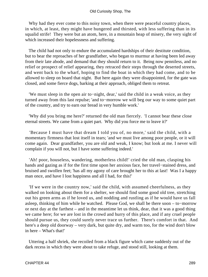Why had they ever come to this noisy town, when there were peaceful country places, in which, at least, they might have hungered and thirsted, with less suffering than in its squalid strife! They were but an atom, here, in a mountain heap of misery, the very sight of which increased their hopelessness and suffering.

 The child had not only to endure the accumulated hardships of their destitute condition, but to bear the reproaches of her grandfather, who began to murmur at having been led away from their late abode, and demand that they should return to it. Being now penniless, and no relief or prospect of relief appearing, they retraced their steps through the deserted streets, and went back to the wharf, hoping to find the boat in which they had come, and to be allowed to sleep on board that night. But here again they were disappointed, for the gate was closed, and some fierce dogs, barking at their approach, obliged them to retreat.

 'We must sleep in the open air to−night, dear,' said the child in a weak voice, as they turned away from this last repulse; 'and to−morrow we will beg our way to some quiet part of the country, and try to earn our bread in very humble work.'

 'Why did you bring me here?' returned the old man fiercely. 'I cannot bear these close eternal streets. We came from a quiet part. Why did you force me to leave it?'

 'Because I must have that dream I told you of, no more,' said the child, with a momentary firmness that lost itself in tears; 'and we must live among poor people, or it will come again. Dear grandfather, you are old and weak, I know; but look at me. I never will complain if you will not, but I have some suffering indeed.'

 'Ah! poor, houseless, wandering, motherless child!' cried the old man, clasping his hands and gazing as if for the first time upon her anxious face, her travel−stained dress, and bruised and swollen feet; 'has all my agony of care brought her to this at last! Was I a happy man once, and have I lost happiness and all I had, for this!'

 'If we were in the country now,' said the child, with assumed cheerfulness, as they walked on looking about them for a shelter, we should find some good old tree, stretching out his green arms as if he loved us, and nodding and rustling as if he would have us fall asleep, thinking of him while he watched. Please God, we shall be there soon – to−morrow or next day at the farthest – and in the meantime let us think, dear, that it was a good thing we came here; for we are lost in the crowd and hurry of this place, and if any cruel people should pursue us, they could surely never trace us further. There's comfort in that. And here's a deep old doorway – very dark, but quite dry, and warm too, for the wind don't blow in here – What's that!'

 Uttering a half shriek, she recoiled from a black figure which came suddenly out of the dark recess in which they were about to take refuge, and stood still, looking at them.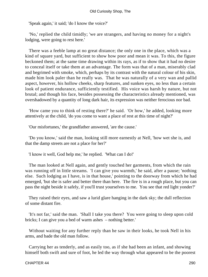'Speak again,' it said; 'do I know the voice?'

 'No,' replied the child timidly; 'we are strangers, and having no money for a night's lodging, were going to rest here.'

 There was a feeble lamp at no great distance; the only one in the place, which was a kind of square yard, but sufficient to show how poor and mean it was. To this, the figure beckoned them; at the same time drawing within its rays, as if to show that it had no desire to conceal itself or take them at an advantage. The form was that of a man, miserably clad and begrimed with smoke, which, perhaps by its contrast with the natural colour of his skin, made him look paler than he really was. That he was naturally of a very wan and pallid aspect, however, his hollow cheeks, sharp features, and sunken eyes, no less than a certain look of patient endurance, sufficiently testified. His voice was harsh by nature, but not brutal; and though his face, besides possessing the characteristics already mentioned, was overshadowed by a quantity of long dark hair, its expression was neither ferocious nor bad.

 'How came you to think of resting there?' he said. 'Or how,' he added, looking more attentively at the child, 'do you come to want a place of rest at this time of night?'

'Our misfortunes,' the grandfather answered, 'are the cause.'

 'Do you know,' said the man, looking still more earnestly at Nell, 'how wet she is, and that the damp streets are not a place for her?'

'I know it well, God help me,' he replied. 'What can I do!'

 The man looked at Nell again, and gently touched her garments, from which the rain was running off in little streams. 'I can give you warmth,' he said, after a pause; 'nothing else. Such lodging as I have, is in that house,' pointing to the doorway from which he had emerged, 'but she is safer and better there than here. The fire is in a rough place, but you can pass the night beside it safely, if you'll trust yourselves to me. You see that red light yonder?'

 They raised their eyes, and saw a lurid glare hanging in the dark sky; the dull reflection of some distant fire.

 'It's not far,' said the man. 'Shall I take you there? You were going to sleep upon cold bricks; I can give you a bed of warm ashes – nothing better.'

 Without waiting for any further reply than he saw in their looks, he took Nell in his arms, and bade the old man follow.

 Carrying her as tenderly, and as easily too, as if she had been an infant, and showing himself both swift and sure of foot, he led the way through what appeared to be the poorest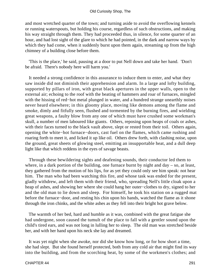and most wretched quarter of the town; and turning aside to avoid the overflowing kennels or running waterspouts, but holding his course, regardless of such obstructions, and making his way straight through them. They had proceeded thus, in silence, for some quarter of an hour, and had lost sight of the glare to which he had pointed, in the dark and narrow ways by which they had come, when it suddenly burst upon them again, streaming up from the high chimney of a building close before them.

 'This is the place,' he said, pausing at a door to put Nell down and take her hand. 'Don't be afraid. There's nobody here will harm you.'

 It needed a strong confidence in this assurance to induce them to enter, and what they saw inside did not diminish their apprehension and alarm. In a large and lofty building, supported by pillars of iron, with great black apertures in the upper walls, open to the external air; echoing to the roof with the beating of hammers and roar of furnaces, mingled with the hissing of red−hot metal plunged in water, and a hundred strange unearthly noises never heard elsewhere; in this gloomy place, moving like demons among the flame and smoke, dimly and fitfully seen, flushed and tormented by the burning fires, and wielding great weapons, a faulty blow from any one of which must have crushed some workman's skull, a number of men laboured like giants. Others, reposing upon heaps of coals or ashes, with their faces turned to the black vault above, slept or rested from their toil. Others again, opening the white−hot furnace−doors, cast fuel on the flames, which came rushing and roaring forth to meet it, and licked it up like oil. Others drew forth, with clashing noise, upon the ground, great sheets of glowing steel, emitting an insupportable heat, and a dull deep light like that which reddens in the eyes of savage beasts.

 Through these bewildering sights and deafening sounds, their conductor led them to where, in a dark portion of the building, one furnace burnt by night and day – so, at least, they gathered from the motion of his lips, for as yet they could only see him speak: not hear him. The man who had been watching this fire, and whose task was ended for the present, gladly withdrew, and left them with their friend, who, spreading Nell's little cloak upon a heap of ashes, and showing her where she could hang her outer−clothes to dry, signed to her and the old man to lie down and sleep. For himself, he took his station on a rugged mat before the furnace−door, and resting his chin upon his hands, watched the flame as it shone through the iron chinks, and the white ashes as they fell into their bright hot grave below.

 The warmth of her bed, hard and humble as it was, combined with the great fatigue she had undergone, soon caused the tumult of the place to fall with a gentler sound upon the child's tired ears, and was not long in lulling her to sleep. The old man was stretched beside her, and with her hand upon his neck she lay and dreamed.

 It was yet night when she awoke, nor did she know how long, or for how short a time, she had slept. But she found herself protected, both from any cold air that might find its way into the building, and from the scorching heat, by some of the workmen's clothes; and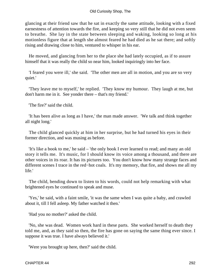glancing at their friend saw that he sat in exactly the same attitude, looking with a fixed earnestness of attention towards the fire, and keeping so very still that he did not even seem to breathe. She lay in the state between sleeping and waking, looking so long at his motionless figure that at length she almost feared he had died as he sat there; and softly rising and drawing close to him, ventured to whisper in his ear.

 He moved, and glancing from her to the place she had lately occupied, as if to assure himself that it was really the child so near him, looked inquiringly into her face.

 'I feared you were ill,' she said. 'The other men are all in motion, and you are so very quiet.'

 'They leave me to myself,' he replied. 'They know my humour. They laugh at me, but don't harm me in it. See yonder there – that's my friend.'

'The fire?' said the child.

 'It has been alive as long as I have,' the man made answer. 'We talk and think together all night long.'

 The child glanced quickly at him in her surprise, but he had turned his eyes in their former direction, and was musing as before.

 'It's like a book to me,' he said – 'the only book I ever learned to read; and many an old story it tells me. It's music, for I should know its voice among a thousand, and there are other voices in its roar. It has its pictures too. You don't know how many strange faces and different scenes I trace in the red−hot coals. It's my memory, that fire, and shows me all my life.'

 The child, bending down to listen to his words, could not help remarking with what brightened eyes he continued to speak and muse.

 'Yes,' he said, with a faint smile, 'it was the same when I was quite a baby, and crawled about it, till I fell asleep. My father watched it then.'

'Had you no mother?' asked the child.

 'No, she was dead. Women work hard in these parts. She worked herself to death they told me, and, as they said so then, the fire has gone on saying the same thing ever since. I suppose it was true. I have always believed it.'

'Were you brought up here, then?' said the child.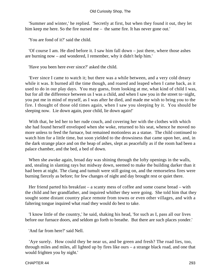'Summer and winter,' he replied. 'Secretly at first, but when they found it out, they let him keep me here. So the fire nursed me – the same fire. It has never gone out.'

'You are fond of it?' said the child.

 'Of course I am. He died before it. I saw him fall down – just there, where those ashes are burning now – and wondered, I remember, why it didn't help him.'

'Have you been here ever since?' asked the child.

 'Ever since I came to watch it; but there was a while between, and a very cold dreary while it was. It burned all the time though, and roared and leaped when I came back, as it used to do in our play days. You may guess, from looking at me, what kind of child I was, but for all the difference between us I was a child, and when I saw you in the street to−night, you put me in mind of myself, as I was after he died, and made me wish to bring you to the fire. I thought of those old times again, when I saw you sleeping by it. You should be sleeping now. Lie down again, poor child, lie down again!'

With that, he led her to her rude couch, and covering her with the clothes with which she had found herself enveloped when she woke, returned to his seat, whence he moved no more unless to feed the furnace, but remained motionless as a statue. The child continued to watch him for a little time, but soon yielded to the drowsiness that came upon her, and, in the dark strange place and on the heap of ashes, slept as peacefully as if the room had been a palace chamber, and the bed, a bed of down.

 When she awoke again, broad day was shining through the lofty openings in the walls, and, stealing in slanting rays but midway down, seemed to make the building darker than it had been at night. The clang and tumult were still going on, and the remorseless fires were burning fiercely as before; for few changes of night and day brought rest or quiet there.

 Her friend parted his breakfast – a scanty mess of coffee and some coarse bread – with the child and her grandfather, and inquired whither they were going. She told him that they sought some distant country place remote from towns or even other villages, and with a faltering tongue inquired what road they would do best to take.

 'I know little of the country,' he said, shaking his head, 'for such as I, pass all our lives before our furnace doors, and seldom go forth to breathe. But there are such places yonder.'

'And far from here?' said Nell.

 'Aye surely. How could they be near us, and be green and fresh? The road lies, too, through miles and miles, all lighted up by fires like ours – a strange black road, and one that would frighten you by night.'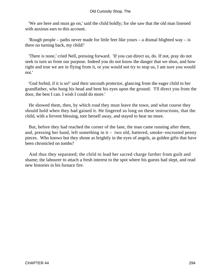'We are here and must go on,' said the child boldly; for she saw that the old man listened with anxious ears to this account.

'Rough people – paths never made for little feet like yours – a dismal blighted way – is there no turning back, my child!'

 'There is none,' cried Nell, pressing forward. 'If you can direct us, do. If not, pray do not seek to turn us from our purpose. Indeed you do not know the danger that we shun, and how right and true we are in flying from it, or you would not try to stop us, I am sure you would not.'

 'God forbid, if it is so!' said their uncouth protector, glancing from the eager child to her grandfather, who hung his head and bent his eyes upon the ground. 'I'll direct you from the door, the best I can. I wish I could do more.'

 He showed them, then, by which road they must leave the town, and what course they should hold when they had gained it. He lingered so long on these instructions, that the child, with a fervent blessing, tore herself away, and stayed to hear no more.

 But, before they had reached the corner of the lane, the man came running after them, and, pressing her hand, left something in it – two old, battered, smoke−encrusted penny pieces. Who knows but they shone as brightly in the eyes of angels, as golden gifts that have been chronicled on tombs?

 And thus they separated; the child to lead her sacred charge farther from guilt and shame; the labourer to attach a fresh interest to the spot where his guests had slept, and read new histories in his furnace fire.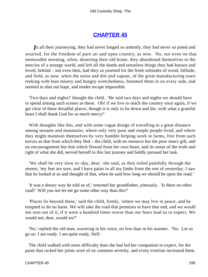## **[CHAPTER 45](#page-496-0)**

*I*n all their journeying, they had never longed so ardently, they had never so pined and wearied, for the freedom of pure air and open country, as now. No, not even on that memorable morning, when, deserting their old home, they abandoned themselves to the mercies of a strange world, and left all the dumb and senseless things they had known and loved, behind – not even then, had they so yearned for the fresh solitudes of wood, hillside, and field, as now, when the noise and dirt and vapour, of the great manufacturing town reeking with lean misery and hungry wretchedness, hemmed them in on every side, and seemed to shut out hope, and render escape impossible.

 'Two days and nights!' thought the child. 'He said two days and nights we should have to spend among such scenes as these. Oh! if we live to reach the country once again, if we get clear of these dreadful places, though it is only to lie down and die, with what a grateful heart I shall thank God for so much mercy!'

With thoughts like this, and with some vague design of travelling to a great distance among streams and mountains, where only very poor and simple people lived, and where they might maintain themselves by very humble helping work in farms, free from such terrors as that from which they fled – the child, with no resource but the poor man's gift, and no encouragement but that which flowed from her own heart, and its sense of the truth and right of what she did, nerved herself to this last journey and boldly pursued her task.

 'We shall be very slow to−day, dear,' she said, as they toiled painfully through the streets; 'my feet are sore, and I have pains in all my limbs from the wet of yesterday. I saw that he looked at us and thought of that, when he said how long we should be upon the road.'

 'It was a dreary way he told us of,' returned her grandfather, piteously. 'Is there no other road? Will you not let me go some other way than this?'

 'Places lie beyond these,' said the child, firmly, 'where we may live in peace, and be tempted to do no harm. We will take the road that promises to have that end, and we would not turn out of it, if it were a hundred times worse than our fears lead us to expect. We would not, dear, would we?'

 'No,' replied the old man, wavering in his voice, no less than in his manner. 'No. Let us go on. I am ready. I am quite ready, Nell.'

 The child walked with more difficulty than she had led her companion to expect, for the pains that racked her joints were of no common severity, and every exertion increased them.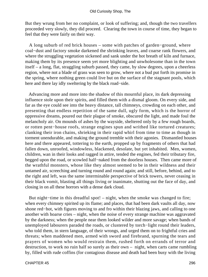But they wrung from her no complaint, or look of suffering; and, though the two travellers proceeded very slowly, they did proceed. Clearing the town in course of time, they began to feel that they were fairly on their way.

 A long suburb of red brick houses – some with patches of garden−ground, where coal−dust and factory smoke darkened the shrinking leaves, and coarse rank flowers, and where the struggling vegetation sickened and sank under the hot breath of kiln and furnace, making them by its presence seem yet more blighting and unwholesome than in the town itself – a long, flat, straggling suburb passed, they came, by slow degrees, upon a cheerless region, where not a blade of grass was seen to grow, where not a bud put forth its promise in the spring, where nothing green could live but on the surface of the stagnant pools, which here and there lay idly sweltering by the black road−side.

 Advancing more and more into the shadow of this mournful place, its dark depressing influence stole upon their spirits, and filled them with a dismal gloom. On every side, and far as the eye could see into the heavy distance, tall chimneys, crowding on each other, and presenting that endless repetition of the same dull, ugly form, which is the horror of oppressive dreams, poured out their plague of smoke, obscured the light, and made foul the melancholy air. On mounds of ashes by the wayside, sheltered only by a few rough boards, or rotten pent−house roofs, strange engines spun and writhed like tortured creatures; clanking their iron chains, shrieking in their rapid whirl from time to time as though in torment unendurable, and making the ground tremble with their agonies. Dismantled houses here and there appeared, tottering to the earth, propped up by fragments of others that had fallen down, unroofed, windowless, blackened, desolate, but yet inhabited. Men, women, children, wan in their looks and ragged in attire, tended the engines, fed their tributary fire, begged upon the road, or scowled half−naked from the doorless houses. Then came more of the wrathful monsters, whose like they almost seemed to be in their wildness and their untamed air, screeching and turning round and round again; and still, before, behind, and to the right and left, was the same interminable perspective of brick towers, never ceasing in their black vomit, blasting all things living or inanimate, shutting out the face of day, and closing in on all these horrors with a dense dark cloud.

 But night−time in this dreadful spot! – night, when the smoke was changed to fire; when every chimney spirited up its flame; and places, that had been dark vaults all day, now shone red−hot, with figures moving to and fro within their blazing jaws, and calling to one another with hoarse cries – night, when the noise of every strange machine was aggravated by the darkness; when the people near them looked wilder and more savage; when bands of unemployed labourers paraded the roads, or clustered by torch−light round their leaders, who told them, in stern language, of their wrongs, and urged them on to frightful cries and threats; when maddened men, armed with sword and firebrand, spurning the tears and prayers of women who would restrain them, rushed forth on errands of terror and destruction, to work no ruin half so surely as their own – night, when carts came rumbling by, filled with rude coffins (for contagious disease and death had been busy with the living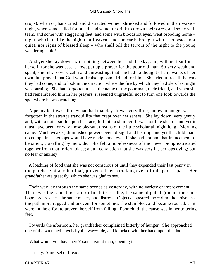crops); when orphans cried, and distracted women shrieked and followed in their wake – night, when some called for bread, and some for drink to drown their cares, and some with tears, and some with staggering feet, and some with bloodshot eyes, went brooding home – night, which, unlike the night that Heaven sends on earth, brought with it no peace, nor quiet, nor signs of blessed sleep – who shall tell the terrors of the night to the young wandering child!

 And yet she lay down, with nothing between her and the sky; and, with no fear for herself, for she was past it now, put up a prayer for the poor old man. So very weak and spent, she felt, so very calm and unresisting, that she had no thought of any wants of her own, but prayed that God would raise up some friend for him. She tried to recall the way they had come, and to look in the direction where the fire by which they had slept last night was burning. She had forgotten to ask the name of the poor man, their friend, and when she had remembered him in her prayers, it seemed ungrateful not to turn one look towards the spot where he was watching.

 A penny loaf was all they had had that day. It was very little, but even hunger was forgotten in the strange tranquillity that crept over her senses. She lay down, very gently, and, with a quiet smile upon her face, fell into a slumber. It was not like sleep – and yet it must have been, or why those pleasant dreams of the little scholar all night long! Morning came. Much weaker, diminished powers even of sight and hearing, and yet the child made no complaint – perhaps would have made none, even if she had not had that inducement to be silent, travelling by her side. She felt a hopelessness of their ever being extricated together from that forlorn place; a dull conviction that she was very ill, perhaps dying; but no fear or anxiety.

 A loathing of food that she was not conscious of until they expended their last penny in the purchase of another loaf, prevented her partaking even of this poor repast. Her grandfather ate greedily, which she was glad to see.

 Their way lay through the same scenes as yesterday, with no variety or improvement. There was the same thick air, difficult to breathe; the same blighted ground, the same hopeless prospect, the same misery and distress. Objects appeared more dim, the noise less, the path more rugged and uneven, for sometimes she stumbled, and became roused, as it were, in the effort to prevent herself from falling. Poor child! the cause was in her tottering feet.

 Towards the afternoon, her grandfather complained bitterly of hunger. She approached one of the wretched hovels by the way−side, and knocked with her hand upon the door.

'What would you have here?' said a gaunt man, opening it.

'Charity. A morsel of bread.'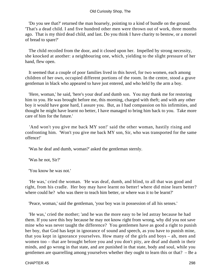'Do you see that?' returned the man hoarsely, pointing to a kind of bundle on the ground. 'That's a dead child. I and five hundred other men were thrown out of work, three months ago. That is my third dead child, and last. Do you think I have charity to bestow, or a morsel of bread to spare?'

 The child recoiled from the door, and it closed upon her. Impelled by strong necessity, she knocked at another: a neighbouring one, which, yielding to the slight pressure of her hand, flew open.

 It seemed that a couple of poor families lived in this hovel, for two women, each among children of her own, occupied different portions of the room. In the centre, stood a grave gentleman in black who appeared to have just entered, and who held by the arm a boy.

 'Here, woman,' he said, 'here's your deaf and dumb son. You may thank me for restoring him to you. He was brought before me, this morning, charged with theft; and with any other boy it would have gone hard, I assure you. But, as I had compassion on his infirmities, and thought he might have learnt no better, I have managed to bring him back to you. Take more care of him for the future.'

'And won't you give me back MY son!' said the other woman, hastily rising and confronting him. 'Won't you give me back MY son, Sir, who was transported for the same offence!'

'Was he deaf and dumb, woman?' asked the gentleman sternly.

'Was he not, Sir?'

'You know he was not.'

 'He was,' cried the woman. 'He was deaf, dumb, and blind, to all that was good and right, from his cradle. Her boy may have learnt no better! where did mine learn better? where could he? who was there to teach him better, or where was it to be learnt?'

'Peace, woman,' said the gentleman, 'your boy was in possession of all his senses.'

 'He was,' cried the mother; 'and he was the more easy to be led astray because he had them. If you save this boy because he may not know right from wrong, why did you not save mine who was never taught the difference? You gentlemen have as good a right to punish her boy, that God has kept in ignorance of sound and speech, as you have to punish mine, that you kept in ignorance yourselves. How many of the girls and boys – ah, men and women too – that are brought before you and you don't pity, are deaf and dumb in their minds, and go wrong in that state, and are punished in that state, body and soul, while you gentlemen are quarrelling among yourselves whether they ought to learn this or that? – Be a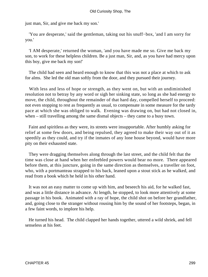just man, Sir, and give me back my son.'

 'You are desperate,' said the gentleman, taking out his snuff−box, 'and I am sorry for you.'

 'I AM desperate,' returned the woman, 'and you have made me so. Give me back my son, to work for these helpless children. Be a just man, Sir, and, as you have had mercy upon this boy, give me back my son!'

 The child had seen and heard enough to know that this was not a place at which to ask for alms. She led the old man softly from the door, and they pursued their journey.

 With less and less of hope or strength, as they went on, but with an undiminished resolution not to betray by any word or sigh her sinking state, so long as she had energy to move, the child, throughout the remainder of that hard day, compelled herself to proceed: not even stopping to rest as frequently as usual, to compensate in some measure for the tardy pace at which she was obliged to walk. Evening was drawing on, but had not closed in, when – still travelling among the same dismal objects – they came to a busy town.

 Faint and spiritless as they were, its streets were insupportable. After humbly asking for relief at some few doors, and being repulsed, they agreed to make their way out of it as speedily as they could, and try if the inmates of any lone house beyond, would have more pity on their exhausted state.

 They were dragging themselves along through the last street, and the child felt that the time was close at hand when her enfeebled powers would bear no more. There appeared before them, at this juncture, going in the same direction as themselves, a traveller on foot, who, with a portmanteau strapped to his back, leaned upon a stout stick as he walked, and read from a book which he held in his other hand.

 It was not an easy matter to come up with him, and beseech his aid, for he walked fast, and was a little distance in advance. At length, he stopped, to look more attentively at some passage in his book. Animated with a ray of hope, the child shot on before her grandfather, and, going close to the stranger without rousing him by the sound of her footsteps, began, in a few faint words, to implore his help.

 He turned his head. The child clapped her hands together, uttered a wild shriek, and fell senseless at his feet.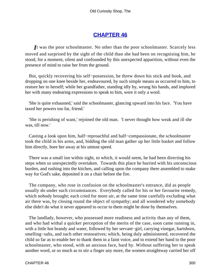## **[CHAPTER 46](#page-496-0)**

*I*t was the poor schoolmaster. No other than the poor schoolmaster. Scarcely less moved and surprised by the sight of the child than she had been on recognising him, he stood, for a moment, silent and confounded by this unexpected apparition, without even the presence of mind to raise her from the ground.

 But, quickly recovering his self−possession, he threw down his stick and book, and dropping on one knee beside her, endeavoured, by such simple means as occurred to him, to restore her to herself; while her grandfather, standing idly by, wrung his hands, and implored her with many endearing expressions to speak to him, were it only a word.

 'She is quite exhausted,' said the schoolmaster, glancing upward into his face. 'You have taxed her powers too far, friend.'

 'She is perishing of want,' rejoined the old man. 'I never thought how weak and ill she was, till now.'

 Casting a look upon him, half−reproachful and half−compassionate, the schoolmaster took the child in his arms, and, bidding the old man gather up her little basket and follow him directly, bore her away at his utmost speed.

 There was a small inn within sight, to which, it would seem, he had been directing his steps when so unexpectedly overtaken. Towards this place he hurried with his unconscious burden, and rushing into the kitchen, and calling upon the company there assembled to make way for God's sake, deposited it on a chair before the fire.

 The company, who rose in confusion on the schoolmaster's entrance, did as people usually do under such circumstances. Everybody called for his or her favourite remedy, which nobody brought; each cried for more air, at the same time carefully excluding what air there was, by closing round the object of sympathy; and all wondered why somebody else didn't do what it never appeared to occur to them might be done by themselves.

 The landlady, however, who possessed more readiness and activity than any of them, and who had withal a quicker perception of the merits of the case, soon came running in, with a little hot brandy and water, followed by her servant−girl, carrying vinegar, hartshorn, smelling–salts, and such other restoratives; which, being duly administered, recovered the child so far as to enable her to thank them in a faint voice, and to extend her hand to the poor schoolmaster, who stood, with an anxious face, hard by. Without suffering her to speak another word, or so much as to stir a finger any more, the women straightway carried her off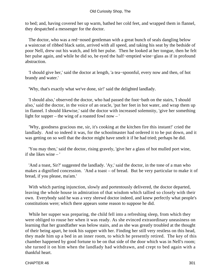to bed; and, having covered her up warm, bathed her cold feet, and wrapped them in flannel, they despatched a messenger for the doctor.

 The doctor, who was a red−nosed gentleman with a great bunch of seals dangling below a waistcoat of ribbed black satin, arrived with all speed, and taking his seat by the bedside of poor Nell, drew out his watch, and felt her pulse. Then he looked at her tongue, then he felt her pulse again, and while he did so, he eyed the half−emptied wine−glass as if in profound abstraction.

 'I should give her,' said the doctor at length, 'a tea−spoonful, every now and then, of hot brandy and water.'

'Why, that's exactly what we've done, sir!' said the delighted landlady.

 'I should also,' observed the doctor, who had passed the foot−bath on the stairs, 'I should also,' said the doctor, in the voice of an oracle, 'put her feet in hot water, and wrap them up in flannel. I should likewise,' said the doctor with increased solemnity, 'give her something light for supper – the wing of a roasted fowl now – '

 'Why, goodness gracious me, sir, it's cooking at the kitchen fire this instant!' cried the landlady. And so indeed it was, for the schoolmaster had ordered it to be put down, and it was getting on so well that the doctor might have smelt it if he had tried; perhaps he did.

 'You may then,' said the doctor, rising gravely, 'give her a glass of hot mulled port wine, if she likes wine – '

 'And a toast, Sir?' suggested the landlady. 'Ay,' said the doctor, in the tone of a man who makes a dignified concession. 'And a toast – of bread. But be very particular to make it of bread, if you please, ma'am.'

 With which parting injunction, slowly and portentously delivered, the doctor departed, leaving the whole house in admiration of that wisdom which tallied so closely with their own. Everybody said he was a very shrewd doctor indeed, and knew perfectly what people's constitutions were; which there appears some reason to suppose he did.

While her supper was preparing, the child fell into a refreshing sleep, from which they were obliged to rouse her when it was ready. As she evinced extraordinary uneasiness on learning that her grandfather was below stairs, and as she was greatly troubled at the thought of their being apart, he took his supper with her. Finding her still very restless on this head, they made him up a bed in an inner room, to which he presently retired. The key of this chamber happened by good fortune to be on that side of the door which was in Nell's room; she turned it on him when the landlady had withdrawn, and crept to bed again with a thankful heart.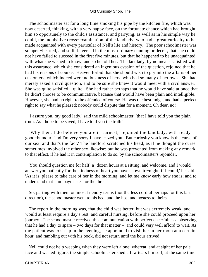The schoolmaster sat for a long time smoking his pipe by the kitchen fire, which was now deserted, thinking, with a very happy face, on the fortunate chance which had brought him so opportunely to the child's assistance, and parrying, as well as in his simple way he could, the inquisitive cross−examination of the landlady, who had a great curiosity to be made acquainted with every particular of Nell's life and history. The poor schoolmaster was so open−hearted, and so little versed in the most ordinary cunning or deceit, that she could not have failed to succeed in the first five minutes, but that he happened to be unacquainted with what she wished to know; and so he told her. The landlady, by no means satisfied with this assurance, which she considered an ingenious evasion of the question, rejoined that he had his reasons of course. Heaven forbid that she should wish to pry into the affairs of her customers, which indeed were no business of hers, who had so many of her own. She had merely asked a civil question, and to be sure she knew it would meet with a civil answer. She was quite satisfied – quite. She had rather perhaps that he would have said at once that he didn't choose to be communicative, because that would have been plain and intelligible. However, she had no right to be offended of course. He was the best judge, and had a perfect right to say what he pleased; nobody could dispute that for a moment. Oh dear, no!

 'I assure you, my good lady,' said the mild schoolmaster, 'that I have told you the plain truth. As I hope to be saved, I have told you the truth.'

 'Why then, I do believe you are in earnest,' rejoined the landlady, with ready good−humour, 'and I'm very sorry I have teazed you. But curiosity you know is the curse of our sex, and that's the fact.' The landlord scratched his head, as if he thought the curse sometimes involved the other sex likewise; but he was prevented from making any remark to that effect, if he had it in contemplation to do so, by the schoolmaster's rejoinder.

 'You should question me for half−a−dozen hours at a sitting, and welcome, and I would answer you patiently for the kindness of heart you have shown to−night, if I could,' he said. 'As it is, please to take care of her in the morning, and let me know early how she is; and to understand that I am paymaster for the three.'

 So, parting with them on most friendly terms (not the less cordial perhaps for this last direction), the schoolmaster went to his bed, and the host and hostess to theirs.

 The report in the morning was, that the child was better, but was extremely weak, and would at least require a day's rest, and careful nursing, before she could proceed upon her journey. The schoolmaster received this communication with perfect cheerfulness, observing that he had a day to spare – two days for that matter – and could very well afford to wait. As the patient was to sit up in the evening, he appointed to visit her in her room at a certain hour, and rambling out with his book, did not return until the hour arrived.

 Nell could not help weeping when they were left alone; whereat, and at sight of her pale face and wasted figure, the simple schoolmaster shed a few tears himself, at the same time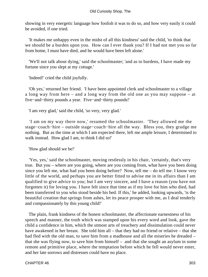showing in very energetic language how foolish it was to do so, and how very easily it could be avoided, if one tried.

 'It makes me unhappy even in the midst of all this kindness' said the child, 'to think that we should be a burden upon you. How can I ever thank you? If I had not met you so far from home, I must have died, and he would have been left alone.'

 'We'll not talk about dying,' said the schoolmaster; 'and as to burdens, I have made my fortune since you slept at my cottage.'

'Indeed!' cried the child joyfully.

 'Oh yes,' returned her friend. 'I have been appointed clerk and schoolmaster to a village a long way from here – and a long way from the old one as you may suppose – at five−and−thirty pounds a year. Five−and−thirty pounds!'

'I am very glad,' said the child, 'so very, very glad.'

 'I am on my way there now,' resumed the schoolmaster. 'They allowed me the stage−coach−hire – outside stage−coach−hire all the way. Bless you, they grudge me nothing. But as the time at which I am expected there, left me ample leisure, I determined to walk instead. How glad I am, to think I did so!'

'How glad should we be!'

 'Yes, yes,' said the schoolmaster, moving restlessly in his chair, 'certainly, that's very true. But you – where are you going, where are you coming from, what have you been doing since you left me, what had you been doing before? Now, tell me – do tell me. I know very little of the world, and perhaps you are better fitted to advise me in its affairs than I am qualified to give advice to you; but I am very sincere, and I have a reason (you have not forgotten it) for loving you. I have felt since that time as if my love for him who died, had been transferred to you who stood beside his bed. If this,' he added, looking upwards, 'is the beautiful creation that springs from ashes, let its peace prosper with me, as I deal tenderly and compassionately by this young child!'

 The plain, frank kindness of the honest schoolmaster, the affectionate earnestness of his speech and manner, the truth which was stamped upon his every word and look, gave the child a confidence in him, which the utmost arts of treachery and dissimulation could never have awakened in her breast. She told him all – that they had no friend or relative – that she had fled with the old man, to save him from a madhouse and all the miseries he dreaded – that she was flying now, to save him from himself – and that she sought an asylum in some remote and primitive place, where the temptation before which he fell would never enter, and her late sorrows and distresses could have no place.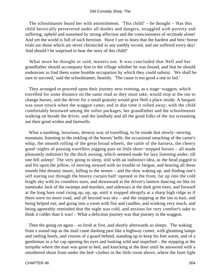The schoolmaster heard her with astonishment. 'This child!' – he thought – 'Has this child heroically persevered under all doubts and dangers, struggled with poverty and suffering, upheld and sustained by strong affection and the consciousness of rectitude alone! And yet the world is full of such heroism. Have I yet to learn that the hardest and best−borne trials are those which are never chronicled in any earthly record, and are suffered every day! And should I be surprised to hear the story of this child!'

 What more he thought or said, matters not. It was concluded that Nell and her grandfather should accompany him to the village whither he was bound, and that he should endeavour to find them some humble occupation by which they could subsist. 'We shall be sure to succeed,' said the schoolmaster, heartily. 'The cause is too good a one to fail.'

 They arranged to proceed upon their journey next evening, as a stage−waggon, which travelled for some distance on the same road as they must take, would stop at the inn to change horses, and the driver for a small gratuity would give Nell a place inside. A bargain was soon struck when the waggon came; and in due time it rolled away; with the child comfortably bestowed among the softer packages, her grandfather and the schoolmaster walking on beside the driver, and the landlady and all the good folks of the inn screaming out their good wishes and farewells.

 What a soothing, luxurious, drowsy way of travelling, to lie inside that slowly−moving mountain, listening to the tinkling of the horses' bells, the occasional smacking of the carter's whip, the smooth rolling of the great broad wheels, the rattle of the harness, the cheery good−nights of passing travellers jogging past on little short−stepped horses – all made pleasantly indistinct by the thick awning, which seemed made for lazy listening under, till one fell asleep! The very going to sleep, still with an indistinct idea, as the head jogged to and fro upon the pillow, of moving onward with no trouble or fatigue, and hearing all these sounds like dreamy music, lulling to the senses – and the slow waking up, and finding one's self staring out through the breezy curtain half−opened in the front, far up into the cold bright sky with its countless stars, and downward at the driver's lantern dancing on like its namesake Jack of the swamps and marshes, and sideways at the dark grim trees, and forward at the long bare road rising up, up, up, until it stopped abruptly at a sharp high ridge as if there were no more road, and all beyond was sky – and the stopping at the inn to bait, and being helped out, and going into a room with fire and candles, and winking very much, and being agreeably reminded that the night was cold, and anxious for very comfort's sake to think it colder than it was! – What a delicious journey was that journey in the waggon.

 Then the going on again – so fresh at first, and shortly afterwards so sleepy. The waking from a sound nap as the mail came dashing past like a highway comet, with gleaming lamps and rattling hoofs, and visions of a guard behind, standing up to keep his feet warm, and of a gentleman in a fur cap opening his eyes and looking wild and stupefied – the stopping at the turnpike where the man was gone to bed, and knocking at the door until he answered with a smothered shout from under the bed−clothes in the little room above, where the faint light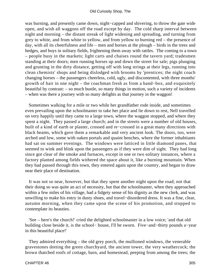was burning, and presently came down, night−capped and shivering, to throw the gate wide open, and wish all waggons off the road except by day. The cold sharp interval between night and morning – the distant streak of light widening and spreading, and turning from grey to white, and from white to yellow, and from yellow to burning red – the presence of day, with all its cheerfulness and life – men and horses at the plough – birds in the trees and hedges, and boys in solitary fields, frightening them away with rattles. The coming to a town – people busy in the markets; light carts and chaises round the tavern yard; tradesmen standing at their doors; men running horses up and down the street for sale; pigs plunging and grunting in the dirty distance, getting off with long strings at their legs, running into clean chemists' shops and being dislodged with brooms by 'prentices; the night coach changing horses – the passengers cheerless, cold, ugly, and discontented, with three months' growth of hair in one night – the coachman fresh as from a band−box, and exquisitely beautiful by contrast: – so much bustle, so many things in motion, such a variety of incidents – when was there a journey with so many delights as that journey in the waggon!

 Sometimes walking for a mile or two while her grandfather rode inside, and sometimes even prevailing upon the schoolmaster to take her place and lie down to rest, Nell travelled on very happily until they came to a large town, where the waggon stopped, and where they spent a night. They passed a large church; and in the streets were a number of old houses, built of a kind of earth or plaster, crossed and re−crossed in a great many directions with black beams, which gave them a remarkable and very ancient look. The doors, too, were arched and low, some with oaken portals and quaint benches, where the former inhabitants had sat on summer evenings. The windows were latticed in little diamond panes, that seemed to wink and blink upon the passengers as if they were dim of sight. They had long since got clear of the smoke and furnaces, except in one or two solitary instances, where a factory planted among fields withered the space about it, like a burning mountain. When they had passed through this town, they entered again upon the country, and began to draw near their place of destination.

 It was not so near, however, but that they spent another night upon the road; not that their doing so was quite an act of necessity, but that the schoolmaster, when they approached within a few miles of his village, had a fidgety sense of his dignity as the new clerk, and was unwilling to make his entry in dusty shoes, and travel−disordered dress. It was a fine, clear, autumn morning, when they came upon the scene of his promotion, and stopped to contemplate its beauties.

 'See – here's the church!' cried the delighted schoolmaster in a low voice; 'and that old building close beside it, is the school− house, I'll be sworn. Five−and−thirty pounds a−year in this beautiful place!'

 They admired everything – the old grey porch, the mullioned windows, the venerable gravestones dotting the green churchyard, the ancient tower, the very weathercock; the brown thatched roofs of cottage, barn, and homestead, peeping from among the trees; the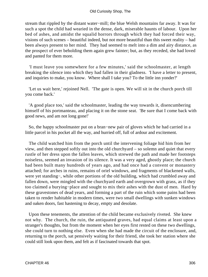stream that rippled by the distant water−mill; the blue Welsh mountains far away. It was for such a spot the child had wearied in the dense, dark, miserable haunts of labour. Upon her bed of ashes, and amidst the squalid horrors through which they had forced their way, visions of such scenes – beautiful indeed, but not more beautiful than this sweet reality – had been always present to her mind. They had seemed to melt into a dim and airy distance, as the prospect of ever beholding them again grew fainter; but, as they receded, she had loved and panted for them more.

 'I must leave you somewhere for a few minutes,' said the schoolmaster, at length breaking the silence into which they had fallen in their gladness. 'I have a letter to present, and inquiries to make, you know. Where shall I take you? To the little inn yonder?'

 'Let us wait here,' rejoined Nell. 'The gate is open. We will sit in the church porch till you come back.'

 'A good place too,' said the schoolmaster, leading the way towards it, disencumbering himself of his portmanteau, and placing it on the stone seat. 'Be sure that I come back with good news, and am not long gone!'

 So, the happy schoolmaster put on a bran−new pair of gloves which he had carried in a little parcel in his pocket all the way, and hurried off, full of ardour and excitement.

 The child watched him from the porch until the intervening foliage hid him from her view, and then stepped softly out into the old churchyard – so solemn and quiet that every rustle of her dress upon the fallen leaves, which strewed the path and made her footsteps noiseless, seemed an invasion of its silence. It was a very aged, ghostly place; the church had been built many hundreds of years ago, and had once had a convent or monastery attached; for arches in ruins, remains of oriel windows, and fragments of blackened walls, were yet standing−, while other portions of the old building, which had crumbled away and fallen down, were mingled with the churchyard earth and overgrown with grass, as if they too claimed a burying−place and sought to mix their ashes with the dust of men. Hard by these gravestones of dead years, and forming a part of the ruin which some pains had been taken to render habitable in modern times, were two small dwellings with sunken windows and oaken doors, fast hastening to decay, empty and desolate.

 Upon these tenements, the attention of the child became exclusively riveted. She knew not why. The church, the ruin, the antiquated graves, had equal claims at least upon a stranger's thoughts, but from the moment when her eyes first rested on these two dwellings, she could turn to nothing else. Even when she had made the circuit of the enclosure, and, returning to the porch, sat pensively waiting for their friend, she took her station where she could still look upon them, and felt as if fascinated towards that spot.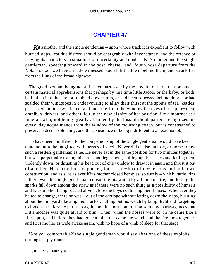### **[CHAPTER 47](#page-496-0)**

**K**it's mother and the single gentleman – upon whose track it is expedient to follow with hurried steps, lest this history should be chargeable with inconstancy, and the offence of leaving its characters in situations of uncertainty and doubt – Kit's mother and the single gentleman, speeding onward in the post−chaise− and−four whose departure from the Notary's door we have already witnessed, soon left the town behind them, and struck fire from the flints of the broad highway.

 The good woman, being not a little embarrassed by the novelty of her situation, and certain material apprehensions that perhaps by this time little Jacob, or the baby, or both, had fallen into the fire, or tumbled down stairs, or had been squeezed behind doors, or had scalded their windpipes in endeavouring to allay their thirst at the spouts of tea−kettles, preserved an uneasy silence; and meeting from the window the eyes of turnpike−men, omnibus−drivers, and others, felt in the new dignity of her position like a mourner at a funeral, who, not being greatly afflicted by the loss of the departed, recognizes his every−day acquaintance from the window of the mourning coach, but is constrained to preserve a decent solemnity, and the appearance of being indifferent to all external objects.

 To have been indifferent to the companionship of the single gentleman would have been tantamount to being gifted with nerves of steel. Never did chaise inclose, or horses draw, such a restless gentleman as he. He never sat in the same position for two minutes together, but was perpetually tossing his arms and legs about, pulling up the sashes and letting them violently down, or thrusting his head out of one window to draw it in again and thrust it out of another. He carried in his pocket, too, a fire−box of mysterious and unknown construction; and as sure as ever Kit's mother closed her eyes, so surely – whisk, rattle, fizz – there was the single gentleman consulting his watch by a flame of fire, and letting the sparks fall down among the straw as if there were no such thing as a possibility of himself and Kit's mother being roasted alive before the boys could stop their horses. Whenever they halted to change, there he was – out of the carriage without letting down the steps, bursting about the inn−yard like a lighted cracker, pulling out his watch by lamp−light and forgetting to look at it before he put it up again, and in short committing so many extravagances that Kit's mother was quite afraid of him. Then, when the horses were to, in he came like a Harlequin, and before they had gone a mile, out came the watch and the fire−box together, and Kit's mother as wide awake again, with no hope of a wink of sleep for that stage.

 'Are you comfortable?' the single gentleman would say after one of these exploits, turning sharply round.

'Quite, Sir, thank you.'

CHAPTER 47 307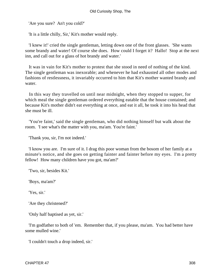'Are you sure? An't you cold?'

'It is a little chilly, Sir,' Kit's mother would reply.

 'I knew it!' cried the single gentleman, letting down one of the front glasses. 'She wants some brandy and water! Of course she does. How could I forget it? Hallo! Stop at the next inn, and call out for a glass of hot brandy and water.'

 It was in vain for Kit's mother to protest that she stood in need of nothing of the kind. The single gentleman was inexorable; and whenever he had exhausted all other modes and fashions of restlessness, it invariably occurred to him that Kit's mother wanted brandy and water.

 In this way they travelled on until near midnight, when they stopped to supper, for which meal the single gentleman ordered everything eatable that the house contained; and because Kit's mother didn't eat everything at once, and eat it all, he took it into his head that she must be ill.

 'You're faint,' said the single gentleman, who did nothing himself but walk about the room. 'I see what's the matter with you, ma'am. You're faint.'

'Thank you, sir, I'm not indeed.'

 'I know you are. I'm sure of it. I drag this poor woman from the bosom of her family at a minute's notice, and she goes on getting fainter and fainter before my eyes. I'm a pretty fellow! How many children have you got, ma'am?'

'Two, sir, besides Kit.'

'Boys, ma'am?'

'Yes, sir.'

'Are they christened?'

'Only half baptised as yet, sir.'

 'I'm godfather to both of 'em. Remember that, if you please, ma'am. You had better have some mulled wine.'

'I couldn't touch a drop indeed, sir.'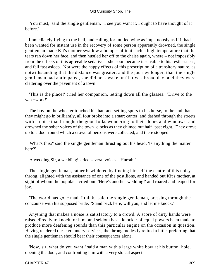'You must,' said the single gentleman. 'I see you want it. I ought to have thought of it before.'

 Immediately flying to the bell, and calling for mulled wine as impetuously as if it had been wanted for instant use in the recovery of some person apparently drowned, the single gentleman made Kit's mother swallow a bumper of it at such a high temperature that the tears ran down her face, and then hustled her off to the chaise again, where – not impossibly from the effects of this agreeable sedative – she soon became insensible to his restlessness, and fell fast asleep. Nor were the happy effects of this prescription of a transitory nature, as, notwithstanding that the distance was greater, and the journey longer, than the single gentleman had anticipated, she did not awake until it was broad day, and they were clattering over the pavement of a town.

 'This is the place!' cried her companion, letting down all the glasses. 'Drive to the wax−work!'

 The boy on the wheeler touched his hat, and setting spurs to his horse, to the end that they might go in brilliantly, all four broke into a smart canter, and dashed through the streets with a noise that brought the good folks wondering to their doors and windows, and drowned the sober voices of the town−clocks as they chimed out half−past eight. They drove up to a door round which a crowd of persons were collected, and there stopped.

 'What's this?' said the single gentleman thrusting out his head. 'Is anything the matter here?'

'A wedding Sir, a wedding!' cried several voices. 'Hurrah!'

 The single gentleman, rather bewildered by finding himself the centre of this noisy throng, alighted with the assistance of one of the postilions, and handed out Kit's mother, at sight of whom the populace cried out, 'Here's another wedding!' and roared and leaped for joy.

 'The world has gone mad, I think,' said the single gentleman, pressing through the concourse with his supposed bride. 'Stand back here, will you, and let me knock.'

 Anything that makes a noise is satisfactory to a crowd. A score of dirty hands were raised directly to knock for him, and seldom has a knocker of equal powers been made to produce more deafening sounds than this particular engine on the occasion in question. Having rendered these voluntary services, the throng modestly retired a little, preferring that the single gentleman should bear their consequences alone.

 'Now, sir, what do you want!' said a man with a large white bow at his button−hole, opening the door, and confronting him with a very stoical aspect.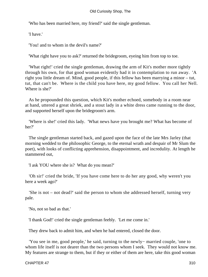'Who has been married here, my friend?' said the single gentleman.

'I have.'

'You! and to whom in the devil's name?'

'What right have you to ask?' returned the bridegroom, eyeing him from top to toe.

 'What right!' cried the single gentleman, drawing the arm of Kit's mother more tightly through his own, for that good woman evidently had it in contemplation to run away. 'A right you little dream of. Mind, good people, if this fellow has been marrying a minor – tut, tut, that can't be. Where is the child you have here, my good fellow. You call her Nell. Where is she?'

 As he propounded this question, which Kit's mother echoed, somebody in a room near at hand, uttered a great shriek, and a stout lady in a white dress came running to the door, and supported herself upon the bridegroom's arm.

 'Where is she!' cried this lady. 'What news have you brought me? What has become of her?'

 The single gentleman started back, and gazed upon the face of the late Mrs Jarley (that morning wedded to the philosophic George, to the eternal wrath and despair of Mr Slum the poet), with looks of conflicting apprehension, disappointment, and incredulity. At length he stammered out,

'I ask YOU where she is? What do you mean?'

 'Oh sir!' cried the bride, 'If you have come here to do her any good, why weren't you here a week ago?'

 'She is not – not dead?' said the person to whom she addressed herself, turning very pale.

'No, not so bad as that.'

'I thank God!' cried the single gentleman feebly. 'Let me come in.'

They drew back to admit him, and when he had entered, closed the door.

 'You see in me, good people,' he said, turning to the newly− married couple, 'one to whom life itself is not dearer than the two persons whom I seek. They would not know me. My features are strange to them, but if they or either of them are here, take this good woman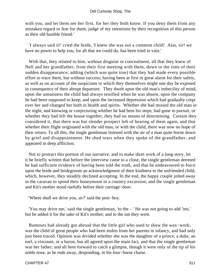with you, and let them see her first, for her they both know. If you deny them from any mistaken regard or fear for them, judge of my intentions by their recognition of this person as their old humble friend.'

 'I always said it!' cried the bride, 'I knew she was not a common child! Alas, sir! we have no power to help you, for all that we could do, has been tried in vain.'

 With that, they related to him, without disguise or concealment, all that they knew of Nell and her grandfather, from their first meeting with them, down to the time of their sudden disappearance; adding (which was quite true) that they had made every possible effort to trace them, but without success; having been at first in great alarm for their safety, as well as on account of the suspicions to which they themselves might one day be exposed in consequence of their abrupt departure. They dwelt upon the old man's imbecility of mind, upon the uneasiness the child had always testified when he was absent, upon the company he had been supposed to keep, and upon the increased depression which had gradually crept over her and changed her both in health and spirits. Whether she had missed the old man in the night, and knowing or conjecturing whither he had bent his steps, had gone in pursuit, or whether they had left the house together, they had no means of determining. Certain they considered it, that there was but slender prospect left of hearing of them again, and that whether their flight originated with the old man, or with the child, there was now no hope of their return. To all this, the single gentleman listened with the air of a man quite borne down by grief and disappointment. He shed tears when they spoke of the grandfather, and appeared in deep affliction.

 Not to protract this portion of our narrative, and to make short work of a long story, let it be briefly written that before the interview came to a close, the single gentleman deemed he had sufficient evidence of having been told the truth, and that he endeavoured to force upon the bride and bridegroom an acknowledgment of their kindness to the unfriended child, which, however, they steadily declined accepting. In the end, the happy couple jolted away in the caravan to spend their honeymoon in a country excursion; and the single gentleman and Kit's mother stood ruefully before their carriage−door.

'Where shall we drive you, sir?' said the post−boy.

 'You may drive me,' said the single gentleman, 'to the – ' He was not going to add 'inn,' but he added it for the sake of Kit's mother; and to the inn they went.

 Rumours had already got abroad that the little girl who used to show the wax−work, was the child of great people who had been stolen from her parents in infancy, and had only just been traced. Opinion was divided whether she was the daughter of a prince, a duke, an earl, a viscount, or a baron, but all agreed upon the main fact, and that the single gentleman was her father; and all bent forward to catch a glimpse, though it were only of the tip of his noble nose, as he rode away, desponding, in his four−horse chaise.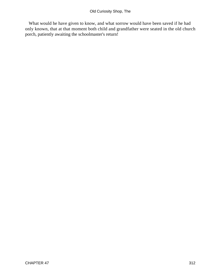What would he have given to know, and what sorrow would have been saved if he had only known, that at that moment both child and grandfather were seated in the old church porch, patiently awaiting the schoolmaster's return!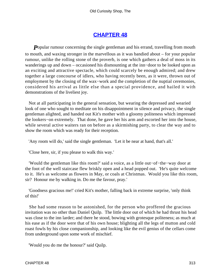# **[CHAPTER 48](#page-496-0)**

**P**opular rumour concerning the single gentleman and his errand, travelling from mouth to mouth, and waxing stronger in the marvellous as it was bandied about – for your popular rumour, unlike the rolling stone of the proverb, is one which gathers a deal of moss in its wanderings up and down – occasioned his dismounting at the inn−door to be looked upon as an exciting and attractive spectacle, which could scarcely be enough admired; and drew together a large concourse of idlers, who having recently been, as it were, thrown out of employment by the closing of the wax−work and the completion of the nuptial ceremonies, considered his arrival as little else than a special providence, and hailed it with demonstrations of the liveliest joy.

 Not at all participating in the general sensation, but wearing the depressed and wearied look of one who sought to meditate on his disappointment in silence and privacy, the single gentleman alighted, and handed out Kit's mother with a gloomy politeness which impressed the lookers−on extremely. That done, he gave her his arm and escorted her into the house, while several active waiters ran on before as a skirmishing party, to clear the way and to show the room which was ready for their reception.

'Any room will do,' said the single gentleman. 'Let it be near at hand, that's all.'

'Close here, sir, if you please to walk this way.'

 'Would the gentleman like this room?' said a voice, as a little out−of−the−way door at the foot of the well staircase flew briskly open and a head popped out. 'He's quite welcome to it. He's as welcome as flowers in May, or coals at Christmas. Would you like this room, sir? Honour me by walking in. Do me the favour, pray.'

 'Goodness gracious me!' cried Kit's mother, falling back in extreme surprise, 'only think of this!'

 She had some reason to be astonished, for the person who proffered the gracious invitation was no other than Daniel Quilp. The little door out of which he had thrust his head was close to the inn larder; and there he stood, bowing with grotesque politeness; as much at his ease as if the door were that of his own house; blighting all the legs of mutton and cold roast fowls by his close companionship, and looking like the evil genius of the cellars come from underground upon some work of mischief.

'Would you do me the honour?' said Quilp.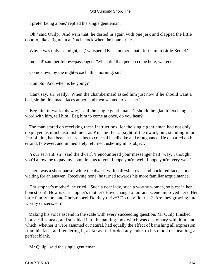'I prefer being alone,' replied the single gentleman.

 'Oh!' said Quilp. And with that, he darted in again with one jerk and clapped the little door to, like a figure in a Dutch clock when the hour strikes.

'Why it was only last night, sir,' whispered Kit's mother, 'that I left him in Little Bethel.'

'Indeed!' said her fellow−passenger. 'When did that person come here, waiter?'

'Come down by the night−coach, this morning, sir.'

'Humph! And when is he going?'

 'Can't say, sir, really. When the chambermaid asked him just now if he should want a bed, sir, he first made faces at her, and then wanted to kiss her.'

 'Beg him to walk this way,' said the single gentleman. 'I should be glad to exchange a word with him, tell him. Beg him to come at once, do you hear?'

 The man stared on receiving these instructions, for the single gentleman had not only displayed as much astonishment as Kit's mother at sight of the dwarf, but, standing in no fear of him, had been at less pains to conceal his dislike and repugnance. He departed on his errand, however, and immediately returned, ushering in its object.

 'Your servant, sir,' said the dwarf, 'I encountered your messenger half−way. I thought you'd allow me to pay my compliments to you. I hope you're well. I hope you're very well.'

 There was a short pause, while the dwarf, with half−shut eyes and puckered face, stood waiting for an answer. Receiving none, he turned towards his more familiar acquaintance.

 'Christopher's mother!' he cried. 'Such a dear lady, such a worthy woman, so blest in her honest son! How is Christopher's mother? Have change of air and scene improved her? Her little family too, and Christopher? Do they thrive? Do they flourish? Are they growing into worthy citizens, eh?'

 Making his voice ascend in the scale with every succeeding question, Mr Quilp finished in a shrill squeak, and subsided into the panting look which was customary with him, and which, whether it were assumed or natural, had equally the effect of banishing all expression from his face, and rendering it, as far as it afforded any index to his mood or meaning, a perfect blank.

'Mr Quilp,' said the single gentleman.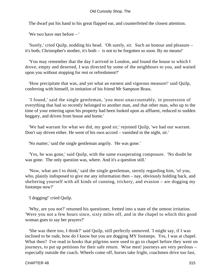The dwarf put his hand to his great flapped ear, and counterfeited the closest attention.

'We two have met before – '

 'Surely,' cried Quilp, nodding his head. 'Oh surely, sir. Such an honour and pleasure – it's both, Christopher's mother, it's both – is not to be forgotten so soon. By no means!'

 'You may remember that the day I arrived in London, and found the house to which I drove, empty and deserted, I was directed by some of the neighbours to you, and waited upon you without stopping for rest or refreshment?'

 'How precipitate that was, and yet what an earnest and vigorous measure!' said Quilp, conferring with himself, in imitation of his friend Mr Sampson Brass.

 'I found,' said the single gentleman, 'you most unaccountably, in possession of everything that had so recently belonged to another man, and that other man, who up to the time of your entering upon his property had been looked upon as affluent, reduced to sudden beggary, and driven from house and home.'

 'We had warrant for what we did, my good sir,' rejoined Quilp, 'we had our warrant. Don't say driven either. He went of his own accord – vanished in the night, sir.'

'No matter,' said the single gentleman angrily. 'He was gone.'

 'Yes, he was gone,' said Quilp, with the same exasperating composure. 'No doubt he was gone. The only question was, where. And it's a question still.'

 'Now, what am I to think,' said the single gentleman, sternly regarding him, 'of you, who, plainly indisposed to give me any information then – nay, obviously holding back, and sheltering yourself with all kinds of cunning, trickery, and evasion – are dogging my footsteps now?'

'I dogging!' cried Quilp.

 'Why, are you not?' returned his questioner, fretted into a state of the utmost irritation. 'Were you not a few hours since, sixty miles off, and in the chapel to which this good woman goes to say her prayers?'

 'She was there too, I think?' said Quilp, still perfectly unmoved. 'I might say, if I was inclined to be rude, how do I know but you are dogging MY footsteps. Yes, I was at chapel. What then? I've read in books that pilgrims were used to go to chapel before they went on journeys, to put up petitions for their safe return. Wise men! journeys are very perilous – especially outside the coach. Wheels come off, horses take fright, coachmen drive too fast,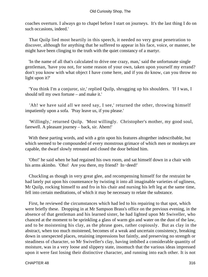coaches overturn. I always go to chapel before I start on journeys. It's the last thing I do on such occasions, indeed.'

 That Quilp lied most heartily in this speech, it needed no very great penetration to discover, although for anything that he suffered to appear in his face, voice, or manner, he might have been clinging to the truth with the quiet constancy of a martyr.

 'In the name of all that's calculated to drive one crazy, man,' said the unfortunate single gentleman, 'have you not, for some reason of your own, taken upon yourself my errand? don't you know with what object I have come here, and if you do know, can you throw no light upon it?'

 'You think I'm a conjuror, sir,' replied Quilp, shrugging up his shoulders. 'If I was, I should tell my own fortune – and make it.'

 'Ah! we have said all we need say, I see,' returned the other, throwing himself impatiently upon a sofa. 'Pray leave us, if you please.'

 'Willingly,' returned Quilp. 'Most willingly. Christopher's mother, my good soul, farewell. A pleasant journey – back, sir. Ahem!'

 With these parting words, and with a grin upon his features altogether indescribable, but which seemed to be compounded of every monstrous grimace of which men or monkeys are capable, the dwarf slowly retreated and closed the door behind him.

 'Oho!' he said when he had regained his own room, and sat himself down in a chair with his arms akimbo. 'Oho! Are you there, my friend? In−deed!'

 Chuckling as though in very great glee, and recompensing himself for the restraint he had lately put upon his countenance by twisting it into all imaginable varieties of ugliness, Mr Quilp, rocking himself to and fro in his chair and nursing his left leg at the same time, fell into certain meditations, of which it may be necessary to relate the substance.

 First, he reviewed the circumstances which had led to his repairing to that spot, which were briefly these. Dropping in at Mr Sampson Brass's office on the previous evening, in the absence of that gentleman and his learned sister, he had lighted upon Mr Swiveller, who chanced at the moment to be sprinkling a glass of warm gin and water on the dust of the law, and to be moistening his clay, as the phrase goes, rather copiously. But as clay in the abstract, when too much moistened, becomes of a weak and uncertain consistency, breaking down in unexpected places, retaining impressions but faintly, and preserving no strength or steadiness of character, so Mr Swiveller's clay, having imbibed a considerable quantity of moisture, was in a very loose and slippery state, insomuch that the various ideas impressed upon it were fast losing their distinctive character, and running into each other. It is not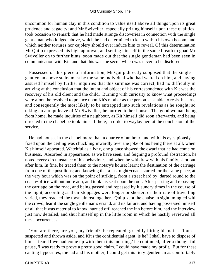#### Old Curiosity Shop, The

uncommon for human clay in this condition to value itself above all things upon its great prudence and sagacity; and Mr Swiveller, especially prizing himself upon these qualities, took occasion to remark that he had made strange discoveries in connection with the single gentleman who lodged above, which he had determined to keep within his own bosom, and which neither tortures nor cajolery should ever induce him to reveal. Of this determination Mr Quilp expressed his high approval, and setting himself in the same breath to goad Mr Swiveller on to further hints, soon made out that the single gentleman had been seen in communication with Kit, and that this was the secret which was never to be disclosed.

 Possessed of this piece of information, Mr Quilp directly supposed that the single gentleman above stairs must be the same individual who had waited on him, and having assured himself by further inquiries that this surmise was correct, had no difficulty in arriving at the conclusion that the intent and object of his correspondence with Kit was the recovery of his old client and the child. Burning with curiosity to know what proceedings were afoot, he resolved to pounce upon Kit's mother as the person least able to resist his arts, and consequently the most likely to be entrapped into such revelations as he sought; so taking an abrupt leave of Mr Swiveller, he hurried to her house. The good woman being from home, he made inquiries of a neighbour, as Kit himself did soon afterwards, and being directed to the chapel be took himself there, in order to waylay her, at the conclusion of the service.

 He had not sat in the chapel more than a quarter of an hour, and with his eyes piously fixed upon the ceiling was chuckling inwardly over the joke of his being there at all, when Kit himself appeared. Watchful as a lynx, one glance showed the dwarf that he had come on business. Absorbed in appearance, as we have seen, and feigning a profound abstraction, he noted every circumstance of his behaviour, and when he withdrew with his family, shot out after him. In fine, he traced them to the notary's house; learnt the destination of the carriage from one of the postilions; and knowing that a fast night−coach started for the same place, at the very hour which was on the point of striking, from a street hard by, darted round to the coach−office without more ado, and took his seat upon the roof. After passing and repassing the carriage on the road, and being passed and repassed by it sundry times in the course of the night, according as their stoppages were longer or shorter; or their rate of travelling varied, they reached the town almost together. Quilp kept the chaise in sight, mingled with the crowd, learnt the single gentleman's errand, and its failure, and having possessed himself of all that it was material to know, hurried off, reached the inn before him, had the interview just now detailed, and shut himself up in the little room in which he hastily reviewed all these occurrences.

 'You are there, are you, my friend?' he repeated, greedily biting his nails. 'I am suspected and thrown aside, and Kit's the confidential agent, is he? I shall have to dispose of him, I fear. If we had come up with them this morning,' he continued, after a thoughtful pause, 'I was ready to prove a pretty good claim. I could have made my profit. But for these canting hypocrites, the lad and his mother, I could get this fiery gentleman as comfortably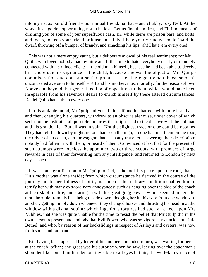into my net as our old friend – our mutual friend, ha! ha! – and chubby, rosy Nell. At the worst, it's a golden opportunity, not to be lost. Let us find them first, and I'll find means of draining you of some of your superfluous cash, sir, while there are prison bars, and bolts, and locks, to keep your friend or kinsman safely. I hate your virtuous people!' said the dwarf, throwing off a bumper of brandy, and smacking his lips, 'ah! I hate 'em every one!'

 This was not a mere empty vaunt, but a deliberate avowal of his real sentiments; for Mr Quilp, who loved nobody, had by little and little come to hate everybody nearly or remotely connected with his ruined client: – the old man himself, because he had been able to deceive him and elude his vigilance – the child, because she was the object of Mrs Quilp's commiseration and constant self−reproach – the single gentleman, because of his unconcealed aversion to himself – Kit and his mother, most mortally, for the reasons shown. Above and beyond that general feeling of opposition to them, which would have been inseparable from his ravenous desire to enrich himself by these altered circumstances, Daniel Quilp hated them every one.

 In this amiable mood, Mr Quilp enlivened himself and his hatreds with more brandy, and then, changing his quarters, withdrew to an obscure alehouse, under cover of which seclusion he instituted all possible inquiries that might lead to the discovery of the old man and his grandchild. But all was in vain. Not the slightest trace or clue could be obtained. They had left the town by night; no one had seen them go; no one had met them on the road; the driver of no coach, cart, or waggon, had seen any travellers answering their description; nobody had fallen in with them, or heard of them. Convinced at last that for the present all such attempts were hopeless, he appointed two or three scouts, with promises of large rewards in case of their forwarding him any intelligence, and returned to London by next day's coach.

 It was some gratification to Mr Quilp to find, as he took his place upon the roof, that Kit's mother was alone inside; from which circumstance he derived in the course of the journey much cheerfulness of spirit, inasmuch as her solitary condition enabled him to terrify her with many extraordinary annoyances; such as hanging over the side of the coach at the risk of his life, and staring in with his great goggle eyes, which seemed in hers the more horrible from his face being upside down; dodging her in this way from one window to another; getting nimbly down whenever they changed horses and thrusting his head in at the window with a dismal squint: which ingenious tortures had such an effect upon Mrs Nubbles, that she was quite unable for the time to resist the belief that Mr Quilp did in his own person represent and embody that Evil Power, who was so vigorously attacked at Little Bethel, and who, by reason of her backslidings in respect of Astley's and oysters, was now frolicsome and rampant.

 Kit, having been apprised by letter of his mother's intended return, was waiting for her at the coach−office; and great was his surprise when he saw, leering over the coachman's shoulder like some familiar demon, invisible to all eyes but his, the well−known face of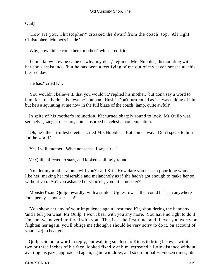Quilp.

 'How are you, Christopher?' croaked the dwarf from the coach−top. 'All right, Christopher. Mother's inside.'

'Why, how did he come here, mother?' whispered Kit.

 'I don't know how he came or why, my dear,' rejoined Mrs Nubbles, dismounting with her son's assistance, 'but he has been a terrifying of me out of my seven senses all this blessed day.'

'He has?' cried Kit.

 'You wouldn't believe it, that you wouldn't,' replied his mother, 'but don't say a word to him, for I really don't believe he's human. Hush! Don't turn round as if I was talking of him, but he's a squinting at me now in the full blaze of the coach−lamp, quite awful!'

 In spite of his mother's injunction, Kit turned sharply round to look. Mr Quilp was serenely gazing at the stars, quite absorbed in celestial contemplation.

 'Oh, he's the artfullest creetur!' cried Mrs Nubbles. 'But come away. Don't speak to him for the world.'

'Yes I will, mother. What nonsense. I say, sir – '

Mr Quilp affected to start, and looked smilingly round.

 'You let my mother alone, will you?' said Kit. 'How dare you tease a poor lone woman like her, making her miserable and melancholy as if she hadn't got enough to make her so, without you. An't you ashamed of yourself, you little monster?'

 'Monster!' said Quilp inwardly, with a smile. 'Ugliest dwarf that could be seen anywhere for a penny – monster – ah!'

 'You show her any of your impudence again,' resumed Kit, shouldering the bandbox, 'and I tell you what, Mr Quilp, I won't bear with you any more. You have no right to do it; I'm sure we never interfered with you. This isn't the first time; and if ever you worry or frighten her again, you'll oblige me (though I should be very sorry to do it, on account of your size) to beat you.'

 Quilp said not a word in reply, but walking so close to Kit as to bring his eyes within two or three inches of his face, looked fixedly at him, retreated a little distance without averting his gaze, approached again, again withdrew, and so on for half−a−dozen times, like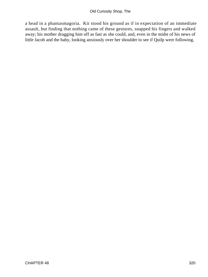a head in a phantasmagoria. Kit stood his ground as if in expectation of an immediate assault, but finding that nothing came of these gestures, snapped his fingers and walked away; his mother dragging him off as fast as she could, and, even in the midst of his news of little Jacob and the baby, looking anxiously over her shoulder to see if Quilp were following.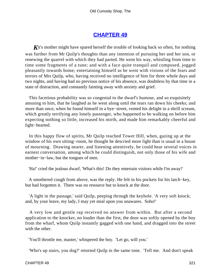# **[CHAPTER 49](#page-496-0)**

**K**it's mother might have spared herself the trouble of looking back so often, for nothing was further from Mr Quilp's thoughts than any intention of pursuing her and her son, or renewing the quarrel with which they had parted. He went his way, whistling from time to time some fragments of a tune; and with a face quite tranquil and composed, jogged pleasantly towards home; entertaining himself as he went with visions of the fears and terrors of Mrs Quilp, who, having received no intelligence of him for three whole days and two nights, and having had no previous notice of his absence, was doubtless by that time in a state of distraction, and constantly fainting away with anxiety and grief.

 This facetious probability was so congenial to the dwarf's humour, and so exquisitely amusing to him, that he laughed as he went along until the tears ran down his cheeks; and more than once, when he found himself in a bye−street, vented his delight in a shrill scream, which greatly terrifying any lonely passenger, who happened to be walking on before him expecting nothing so little, increased his mirth, and made him remarkably cheerful and light−hearted.

 In this happy flow of spirits, Mr Quilp reached Tower Hill, when, gazing up at the window of his own sitting−room, he thought he descried more light than is usual in a house of mourning. Drawing nearer, and listening attentively, he could hear several voices in earnest conversation, among which he could distinguish, not only those of his wife and mother−in−law, but the tongues of men.

'Ha!' cried the jealous dwarf, 'What's this! Do they entertain visitors while I'm away!'

 A smothered cough from above, was the reply. He felt in his pockets for his latch−key, but had forgotten it. There was no resource but to knock at the door.

 'A light in the passage,' said Quilp, peeping through the keyhole. 'A very soft knock; and, by your leave, my lady, I may yet steal upon you unawares. Soho!'

 A very low and gentle rap received no answer from within. But after a second application to the knocker, no louder than the first, the door was softly opened by the boy from the wharf, whom Quilp instantly gagged with one hand, and dragged into the street with the other.

'You'll throttle me, master,' whispered the boy. 'Let go, will you.'

'Who's up stairs, you dog?' retorted Quilp in the same tone. 'Tell me. And don't speak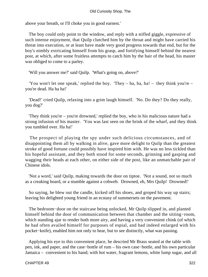above your breath, or I'll choke you in good earnest.'

 The boy could only point to the window, and reply with a stifled giggle, expressive of such intense enjoyment, that Quilp clutched him by the throat and might have carried his threat into execution, or at least have made very good progress towards that end, but for the boy's nimbly extricating himself from his grasp, and fortifying himself behind the nearest post, at which, after some fruitless attempts to catch him by the hair of the head, his master was obliged to come to a parley.

'Will you answer me?' said Quilp. 'What's going on, above?'

'You won't let one speak,' replied the boy. 'They – ha, ha, ha! – they think you're – you're dead. Ha ha ha!'

 'Dead!' cried Quilp, relaxing into a grim laugh himself. 'No. Do they? Do they really, you dog?'

 'They think you're – you're drowned,' replied the boy, who in his malicious nature had a strong infusion of his master. 'You was last seen on the brink of the wharf, and they think you tumbled over. Ha ha!'

 The prospect of playing the spy under such delicious circumstances, and of disappointing them all by walking in alive, gave more delight to Quilp than the greatest stroke of good fortune could possibly have inspired him with. He was no less tickled than his hopeful assistant, and they both stood for some seconds, grinning and gasping and wagging their heads at each other, on either side of the post, like an unmatchable pair of Chinese idols.

 'Not a word,' said Quilp, making towards the door on tiptoe. 'Not a sound, not so much as a creaking board, or a stumble against a cobweb. Drowned, eh, Mrs Quilp! Drowned!'

 So saying, he blew out the candle, kicked off his shoes, and groped his way up stairs; leaving his delighted young friend in an ecstasy of summersets on the pavement.

 The bedroom−door on the staircase being unlocked, Mr Quilp slipped in, and planted himself behind the door of communication between that chamber and the sitting−room, which standing ajar to render both more airy, and having a very convenient chink (of which he had often availed himself for purposes of espial, and had indeed enlarged with his pocket−knife), enabled him not only to hear, but to see distinctly, what was passing.

 Applying his eye to this convenient place, he descried Mr Brass seated at the table with pen, ink, and paper, and the case−bottle of rum – his own case−bottle, and his own particular Jamaica – convenient to his hand; with hot water, fragrant lemons, white lump sugar, and all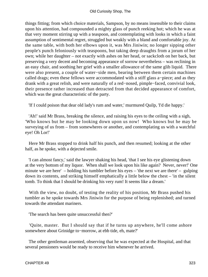things fitting; from which choice materials, Sampson, by no means insensible to their claims upon his attention, had compounded a mighty glass of punch reeking hot; which he was at that very moment stirring up with a teaspoon, and contemplating with looks in which a faint assumption of sentimental regret, struggled but weakly with a bland and comfortable joy. At the same table, with both her elbows upon it, was Mrs Jiniwin; no longer sipping other people's punch feloniously with teaspoons, but taking deep draughts from a jorum of her own; while her daughter – not exactly with ashes on her head, or sackcloth on her back, but preserving a very decent and becoming appearance of sorrow nevertheless – was reclining in an easy chair, and soothing her grief with a smaller allowance of the same glib liquid. There were also present, a couple of water−side men, bearing between them certain machines called drags; even these fellows were accommodated with a stiff glass a−piece; and as they drank with a great relish, and were naturally of a red−nosed, pimple−faced, convivial look, their presence rather increased than detracted from that decided appearance of comfort, which was the great characteristic of the party.

'If I could poison that dear old lady's rum and water,' murmured Quilp, 'I'd die happy.'

 'Ah!' said Mr Brass, breaking the silence, and raising his eyes to the ceiling with a sigh, 'Who knows but he may be looking down upon us now! Who knows but he may be surveying of us from – from somewheres or another, and contemplating us with a watchful eye! Oh Lor!'

 Here Mr Brass stopped to drink half his punch, and then resumed; looking at the other half, as he spoke, with a dejected smile.

 'I can almost fancy,' said the lawyer shaking his head, 'that I see his eye glistening down at the very bottom of my liquor. When shall we look upon his like again? Never, never!' One minute we are here' – holding his tumbler before his eyes – 'the next we are there' – gulping down its contents, and striking himself emphatically a little below the chest – 'in the silent tomb. To think that I should be drinking his very rum! It seems like a dream.'

 With the view, no doubt, of testing the reality of his position, Mr Brass pushed his tumbler as he spoke towards Mrs Jiniwin for the purpose of being replenished; and turned towards the attendant mariners.

'The search has been quite unsuccessful then?'

 'Quite, master. But I should say that if he turns up anywhere, he'll come ashore somewhere about Grinidge to−morrow, at ebb tide, eh, mate?'

 The other gentleman assented, observing that he was expected at the Hospital, and that several pensioners would be ready to receive him whenever he arrived.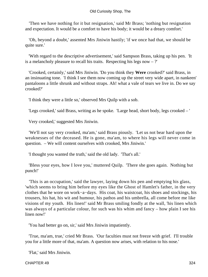'Then we have nothing for it but resignation,' said Mr Brass; 'nothing but resignation and expectation. It would be a comfort to have his body; it would be a dreary comfort.'

 'Oh, beyond a doubt,' assented Mrs Jiniwin hastily; 'if we once had that, we should be quite sure.'

 'With regard to the descriptive advertisement,' said Sampson Brass, taking up his pen. 'It is a melancholy pleasure to recall his traits. Respecting his legs now  $-$  ?'

 'Crooked, certainly,' said Mrs Jiniwin. 'Do you think they **Were** crooked?' said Brass, in an insinuating tone. 'I think I see them now coming up the street very wide apart, in nankeen' pantaloons a little shrunk and without straps. Ah! what a vale of tears we live in. Do we say crooked?'

'I think they were a little so,' observed Mrs Quilp with a sob.

'Legs crooked,' said Brass, writing as he spoke. 'Large head, short body, legs crooked – '

Very crooked,' suggested Mrs Jiniwin.

 'We'll not say very crooked, ma'am,' said Brass piously. 'Let us not bear hard upon the weaknesses of the deceased. He is gone, ma'am, to where his legs will never come in question. – We will content ourselves with crooked, Mrs Jiniwin.'

'I thought you wanted the truth,' said the old lady. 'That's all.'

 'Bless your eyes, how I love you,' muttered Quilp. 'There she goes again. Nothing but punch!'

 'This is an occupation,' said the lawyer, laying down his pen and emptying his glass, 'which seems to bring him before my eyes like the Ghost of Hamlet's father, in the very clothes that he wore on work−a−days. His coat, his waistcoat, his shoes and stockings, his trousers, his hat, his wit and humour, his pathos and his umbrella, all come before me like visions of my youth. His linen!' said Mr Brass smiling fondly at the wall, 'his linen which was always of a particular colour, for such was his whim and fancy – how plain I see his linen now!'

'You had better go on, sir,' said Mrs Jiniwin impatiently.

 'True, ma'am, true,' cried Mr Brass. 'Our faculties must not freeze with grief. I'll trouble you for a little more of that, ma'am. A question now arises, with relation to his nose.'

'Flat,' said Mrs Jiniwin.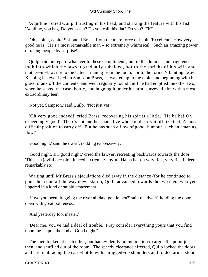'Aquiline!' cried Quilp, thrusting in his head, and striking the feature with his fist. 'Aquiline, you hag. Do you see it? Do you call this flat? Do you? Eh?'

 'Oh capital, capital!' shouted Brass, from the mere force of habit. 'Excellent! How very good he is! He's a most remarkable man – so extremely whimsical! Such an amazing power of taking people by surprise!'

 Quilp paid no regard whatever to these compliments, nor to the dubious and frightened look into which the lawyer gradually subsided, nor to the shrieks of his wife and mother−in−law, nor to the latter's running from the room, nor to the former's fainting away. Keeping his eye fixed on Sampson Brass, he walked up to the table, and beginning with his glass, drank off the contents, and went regularly round until he had emptied the other two, when he seized the case−bottle, and hugging it under his arm, surveyed him with a most extraordinary leer.

'Not yet, Sampson,' said Quilp. 'Not just yet!'

 'Oh very good indeed!' cried Brass, recovering his spirits a little. 'Ha ha ha! Oh exceedingly good! There's not another man alive who could carry it off like that. A most difficult position to carry off. But he has such a flow of good−humour, such an amazing flow!'

'Good night,' said the dwarf, nodding expressively.

 'Good night, sir, good night,' cried the lawyer, retreating backwards towards the door. 'This is a joyful occasion indeed, extremely joyful. Ha ha ha! oh very rich, very rich indeed, remarkably so!'

 Waiting until Mr Brass's ejaculations died away in the distance (for he continued to pour them out, all the way down stairs), Quilp advanced towards the two men, who yet lingered in a kind of stupid amazement.

 'Have you been dragging the river all day, gentlemen?' said the dwarf, holding the door open with great politeness.

'And yesterday too, master.'

 'Dear me, you've had a deal of trouble. Pray consider everything yours that you find upon the – upon the body. Good night!'

 The men looked at each other, but had evidently no inclination to argue the point just then, and shuffled out of the room. The speedy clearance effected, Quilp locked the doors; and still embracing the case−bottle with shrugged−up shoulders and folded arms, stood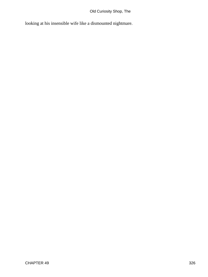looking at his insensible wife like a dismounted nightmare.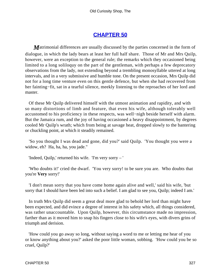### **[CHAPTER 50](#page-496-0)**

*M*atrimonial differences are usually discussed by the parties concerned in the form of dialogue, in which the lady bears at least her full half share. Those of Mr and Mrs Quilp, however, were an exception to the general rule; the remarks which they occasioned being limited to a long soliloquy on the part of the gentleman, with perhaps a few deprecatory observations from the lady, not extending beyond a trembling monosyllable uttered at long intervals, and in a very submissive and humble tone. On the present occasion, Mrs Quilp did not for a long time venture even on this gentle defence, but when she had recovered from her fainting−fit, sat in a tearful silence, meekly listening to the reproaches of her lord and master.

 Of these Mr Quilp delivered himself with the utmost animation and rapidity, and with so many distortions of limb and feature, that even his wife, although tolerably well accustomed to his proficiency in these respects, was well−nigh beside herself with alarm. But the Jamaica rum, and the joy of having occasioned a heavy disappointment, by degrees cooled Mr Quilp's wrath; which from being at savage heat, dropped slowly to the bantering or chuckling point, at which it steadily remained.

 'So you thought I was dead and gone, did you?' said Quilp. 'You thought you were a widow, eh? Ha, ha, ha, you jade."

'Indeed, Quilp,' returned his wife. 'I'm very sorry – '

 'Who doubts it!' cried the dwarf. 'You very sorry! to be sure you are. Who doubts that you're **Very** sorry!'

 'I don't mean sorry that you have come home again alive and well,' said his wife, 'but sorry that I should have been led into such a belief. I am glad to see you, Quilp; indeed I am.'

 In truth Mrs Quilp did seem a great deal more glad to behold her lord than might have been expected, and did evince a degree of interest in his safety which, all things considered, was rather unaccountable. Upon Quilp, however, this circumstance made no impression, farther than as it moved him to snap his fingers close to his wife's eyes, with divers grins of triumph and derision.

 'How could you go away so long, without saying a word to me or letting me hear of you or know anything about you?' asked the poor little woman, sobbing. 'How could you be so cruel, Quilp?'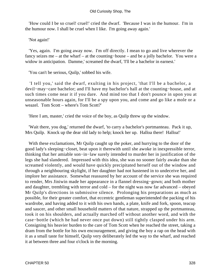'How could I be so cruel! cruel!' cried the dwarf. 'Because I was in the humour. I'm in the humour now. I shall be cruel when I like. I'm going away again.'

'Not again!'

 'Yes, again. I'm going away now. I'm off directly. I mean to go and live wherever the fancy seizes me – at the wharf – at the counting−house – and be a jolly bachelor. You were a widow in anticipation. Damme,' screamed the dwarf, 'I'll be a bachelor in earnest.'

'You can't be serious, Quilp,' sobbed his wife.

 'I tell you,' said the dwarf, exulting in his project, 'that I'll be a bachelor, a devil−may−care bachelor; and I'll have my bachelor's hall at the counting−house, and at such times come near it if you dare. And mind too that I don't pounce in upon you at unseasonable hours again, for I'll be a spy upon you, and come and go like a mole or a weazel. Tom Scott – where's Tom Scott?'

'Here I am, master,' cried the voice of the boy, as Quilp threw up the window.

 'Wait there, you dog,' returned the dwarf, 'to carry a bachelor's portmanteau. Pack it up, Mrs Quilp. Knock up the dear old lady to help; knock her up. Halloa there! Halloa!'

 With these exclamations, Mr Quilp caught up the poker, and hurrying to the door of the good lady's sleeping−closet, beat upon it therewith until she awoke in inexpressible terror, thinking that her amiable son−in−law surely intended to murder her in justification of the legs she had slandered. Impressed with this idea, she was no sooner fairly awake than she screamed violently, and would have quickly precipitated herself out of the window and through a neighbouring skylight, if her daughter had not hastened in to undeceive her, and implore her assistance. Somewhat reassured by her account of the service she was required to render, Mrs Jiniwin made her appearance in a flannel dressing−gown; and both mother and daughter, trembling with terror and cold – for the night was now far advanced – obeyed Mr Quilp's directions in submissive silence. Prolonging his preparations as much as possible, for their greater comfort, that eccentric gentleman superintended the packing of his wardrobe, and having added to it with his own hands, a plate, knife and fork, spoon, teacup and saucer, and other small household matters of that nature, strapped up the portmanteau, took it on his shoulders, and actually marched off without another word, and with the case−bottle (which he had never once put down) still tightly clasped under his arm. Consigning his heavier burden to the care of Tom Scott when he reached the street, taking a dram from the bottle for his own encouragement, and giving the boy a rap on the head with it as a small taste for himself, Quilp very deliberately led the way to the wharf, and reached it at between three and four o'clock in the morning.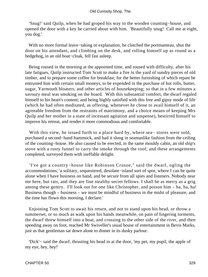'Snug!' said Quilp, when he had groped his way to the wooden counting−house, and opened the door with a key he carried about with him. 'Beautifully snug! Call me at eight, you dog.'

 With no more formal leave−taking or explanation, he clutched the portmanteau, shut the door on his attendant, and climbing on the desk, and rolling himself up as round as a hedgehog, in an old boat−cloak, fell fast asleep.

 Being roused in the morning at the appointed time, and roused with difficulty, after his late fatigues, Quilp instructed Tom Scott to make a fire in the yard of sundry pieces of old timber, and to prepare some coffee for breakfast; for the better furnishing of which repast he entrusted him with certain small moneys, to be expended in the purchase of hot rolls, butter, sugar, Yarmouth bloaters, and other articles of housekeeping; so that in a few minutes a savoury meal was smoking on the board. With this substantial comfort, the dwarf regaled himself to his heart's content; and being highly satisfied with this free and gipsy mode of life (which he had often meditated, as offering, whenever he chose to avail himself of it, an agreeable freedom from the restraints of matrimony, and a choice means of keeping Mrs Quilp and her mother in a state of incessant agitation and suspense), bestirred himself to improve his retreat, and render it more commodious and comfortable.

 With this view, he issued forth to a place hard by, where sea− stores were sold, purchased a second−hand hammock, and had it slung in seamanlike fashion from the ceiling of the counting−house. He also caused to be erected, in the same mouldy cabin, an old ship's stove with a rusty funnel to carry the smoke through the roof; and these arrangements completed, surveyed them with ineffable delight.

 'I've got a country−house like Robinson Crusoe," said the dwarf, ogling the accommodations; 'a solitary, sequestered, desolate−island sort of spot, where I can be quite alone when I have business on hand, and be secure from all spies and listeners. Nobody near me here, but rats, and they are fine stealthy secret fellows. I shall be as merry as a grig among these gentry. I'll look out for one like Christopher, and poison him – ha, ha, ha! Business though – business – we must be mindful of business in the midst of pleasure, and the time has flown this morning, I declare.'

 Enjoining Tom Scott to await his return, and not to stand upon his head, or throw a summerset, or so much as walk upon his hands meanwhile, on pain of lingering torments, the dwarf threw himself into a boat, and crossing to the other side of the river, and then speeding away on foot, reached Mr Swiveller's usual house of entertainment in Bevis Marks, just as that gentleman sat down alone to dinner in its dusky parlour.

 'Dick'− said the dwarf, thrusting his head in at the door, 'my pet, my pupil, the apple of my eye, hey, hey!'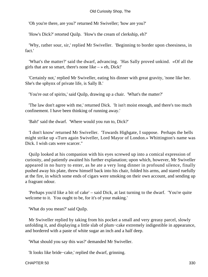'Oh you're there, are you?' returned Mr Swiveller; 'how are you?'

'How's Dick?' retorted Quilp. 'How's the cream of clerkship, eh?'

 'Why, rather sour, sir,' replied Mr Swiveller. 'Beginning to border upon cheesiness, in fact.'

 'What's the matter?' said the dwarf, advancing. 'Has Sally proved unkind. «Of all the girls that are so smart, there's none like  $-\infty$  eh, Dick!'

 'Certainly not,' replied Mr Swiveller, eating his dinner with great gravity, 'none like her. She's the sphynx of private life, is Sally B.'

'You're out of spirits,' said Quilp, drawing up a chair. 'What's the matter?'

 'The law don't agree with me,' returned Dick. 'It isn't moist enough, and there's too much confinement. I have been thinking of running away.'

'Bah!' said the dwarf. 'Where would you run to, Dick?'

 'I don't know' returned Mr Swiveller. 'Towards Highgate, I suppose. Perhaps the bells might strike up «Turn again Swiveller, Lord Mayor of London.» Whittington's name was Dick. I wish cats were scarcer."

 Quilp looked at his companion with his eyes screwed up into a comical expression of curiosity, and patiently awaited his further explanation; upon which, however, Mr Swiveller appeared in no hurry to enter, as he ate a very long dinner in profound silence, finally pushed away his plate, threw himself back into his chair, folded his arms, and stared ruefully at the fire, in which some ends of cigars were smoking on their own account, and sending up a fragrant odour.

 'Perhaps you'd like a bit of cake' – said Dick, at last turning to the dwarf. 'You're quite welcome to it. You ought to be, for it's of your making.'

'What do you mean?' said Quilp.

 Mr Swiveller replied by taking from his pocket a small and very greasy parcel, slowly unfolding it, and displaying a little slab of plum−cake extremely indigestible in appearance, and bordered with a paste of white sugar an inch and a half deep.

'What should you say this was?' demanded Mr Swiveller.

'It looks like bride−cake,' replied the dwarf, grinning.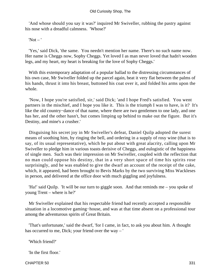'And whose should you say it was?' inquired Mr Swiveller, rubbing the pastry against his nose with a dreadful calmness. 'Whose?'

 $'Not -'$ 

 'Yes,' said Dick, 'the same. You needn't mention her name. There's no such name now. Her name is Cheggs now, Sophy Cheggs. Yet loved I as man never loved that hadn't wooden legs, and my heart, my heart is breaking for the love of Sophy Cheggs.'

 With this extemporary adaptation of a popular ballad to the distressing circumstances of his own case, Mr Swiveller folded up the parcel again, beat it very flat between the palms of his hands, thrust it into his breast, buttoned his coat over it, and folded his arms upon the whole.

 'Now, I hope you're satisfied, sir,' said Dick; 'and I hope Fred's satisfied. You went partners in the mischief, and I hope you like it. This is the triumph I was to have, is it? It's like the old country−dance of that name, where there are two gentlemen to one lady, and one has her, and the other hasn't, but comes limping up behind to make out the figure. But it's Destiny, and mine's a crusher.'

 Disguising his secret joy in Mr Swiveller's defeat, Daniel Quilp adopted the surest means of soothing him, by ringing the bell, and ordering in a supply of rosy wine (that is to say, of its usual representative), which he put about with great alacrity, calling upon Mr Swiveller to pledge him in various toasts derisive of Cheggs, and eulogistic of the happiness of single men. Such was their impression on Mr Swiveller, coupled with the reflection that no man could oppose his destiny, that in a very short space of time his spirits rose surprisingly, and he was enabled to give the dwarf an account of the receipt of the cake, which, it appeared, had been brought to Bevis Marks by the two surviving Miss Wackleses in person, and delivered at the office door with much giggling and joyfulness.

 'Ha!' said Quilp. 'It will be our turn to giggle soon. And that reminds me – you spoke of young Trent – where is he?'

 Mr Swiveller explained that his respectable friend had recently accepted a responsible situation in a locomotive gaming−house, and was at that time absent on a professional tour among the adventurous spirits of Great Britain.

 'That's unfortunate,' said the dwarf, 'for I came, in fact, to ask you about him. A thought has occurred to me, Dick; your friend over the way – '

'Which friend?'

'In the first floor.'

CHAPTER 50 331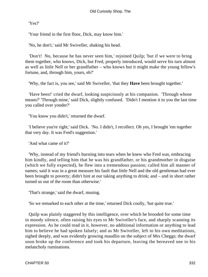'Yes?'

'Your friend in the first floor, Dick, may know him.'

'No, he don't,' said Mr Swiveller, shaking his head.

 'Don't! No, because he has never seen him,' rejoined Quilp; 'but if we were to bring them together, who knows, Dick, but Fred, properly introduced, would serve his turn almost as well as little Nell or her grandfather – who knows but it might make the young fellow's fortune, and, through him, yours, eh?'

'Why, the fact is, you see,' said Mr Swiveller, 'that they **Have** been brought together.'

 'Have been!' cried the dwarf, looking suspiciously at his companion. 'Through whose means?' 'Through mine,' said Dick, slightly confused. 'Didn't I mention it to you the last time you called over yonder?'

'You know you didn't,' returned the dwarf.

 'I believe you're right,' said Dick. 'No. I didn't, I recollect. Oh yes, I brought 'em together that very day. It was Fred's suggestion.'

'And what came of it?'

 'Why, instead of my friend's bursting into tears when he knew who Fred was, embracing him kindly, and telling him that he was his grandfather, or his grandmother in disguise (which we fully expected), he flew into a tremendous passion; called him all manner of names; said it was in a great measure his fault that little Nell and the old gentleman had ever been brought to poverty; didn't hint at our taking anything to drink; and – and in short rather turned us out of the room than otherwise.'

'That's strange,' said the dwarf, musing.

'So we remarked to each other at the time,' returned Dick coolly, 'but quite true.'

 Quilp was plainly staggered by this intelligence, over which he brooded for some time in moody silence, often raising his eyes to Mr Swiveller's face, and sharply scanning its expression. As he could read in it, however, no additional information or anything to lead him to believe he had spoken falsely; and as Mr Swiveller, left to his own meditations, sighed deeply, and was evidently growing maudlin on the subject of Mrs Cheggs; the dwarf soon broke up the conference and took his departure, leaving the bereaved one to his melancholy ruminations.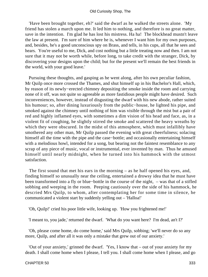'Have been brought together, eh?' said the dwarf as he walked the streets alone. 'My friend has stolen a march upon me. It led him to nothing, and therefore is no great matter, save in the intention. I'm glad he has lost his mistress. Ha ha! The blockhead mustn't leave the law at present. I'm sure of him where he is, whenever I want him for my own purposes, and, besides, he's a good unconscious spy on Brass, and tells, in his cups, all that he sees and hears. You're useful to me, Dick, and cost nothing but a little treating now and then. I am not sure that it may not be worth while, before long, to take credit with the stranger, Dick, by discovering your designs upon the child; but for the present we'll remain the best friends in the world, with your good leave.'

 Pursuing these thoughts, and gasping as he went along, after his own peculiar fashion, Mr Quilp once more crossed the Thames, and shut himself up in his Bachelor's Hall, which, by reason of its newly−erected chimney depositing the smoke inside the room and carrying none of it off, was not quite so agreeable as more fastidious people might have desired. Such inconveniences, however, instead of disgusting the dwarf with his new abode, rather suited his humour; so, after dining luxuriously from the public−house, he lighted his pipe, and smoked against the chimney until nothing of him was visible through the mist but a pair of red and highly inflamed eyes, with sometimes a dim vision of his head and face, as, in a violent fit of coughing, he slightly stirred the smoke and scattered the heavy wreaths by which they were obscured. In the midst of this atmosphere, which must infallibly have smothered any other man, Mr Quilp passed the evening with great cheerfulness; solacing himself all the time with the pipe and the case−bottle; and occasionally entertaining himself with a melodious howl, intended for a song, but bearing not the faintest resemblance to any scrap of any piece of music, vocal or instrumental, ever invented by man. Thus he amused himself until nearly midnight, when he turned into his hammock with the utmost satisfaction.

 The first sound that met his ears in the morning – as he half opened his eyes, and, finding himself so unusually near the ceiling, entertained a drowsy idea that he must have been transformed into a fly or blue−bottle in the course of the night, – was that of a stifled sobbing and weeping in the room. Peeping cautiously over the side of his hammock, he descried Mrs Quilp, to whom, after contemplating her for some time in silence, he communicated a violent start by suddenly yelling out – 'Halloa!'

'Oh, Quilp!' cried his poor little wife, looking up. 'How you frightened me!'

'I meant to, you jade,' returned the dwarf. 'What do you want here? I'm dead, an't I?'

 'Oh, please come home, do come home,' said Mrs Quilp, sobbing; 'we'll never do so any more, Quilp, and after all it was only a mistake that grew out of our anxiety.'

 'Out of your anxiety,' grinned the dwarf. 'Yes, I know that – out of your anxiety for my death. I shall come home when I please, I tell you. I shall come home when I please, and go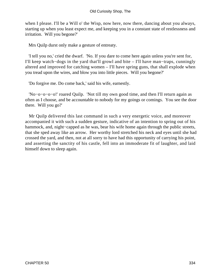when I please. I'll be a Will o' the Wisp, now here, now there, dancing about you always, starting up when you least expect me, and keeping you in a constant state of restlessness and irritation. Will you begone?'

Mrs Quilp durst only make a gesture of entreaty.

 'I tell you no,' cried the dwarf. 'No. If you dare to come here again unless you're sent for, I'll keep watch−dogs in the yard that'll growl and bite – I'll have man−traps, cunningly altered and improved for catching women – I'll have spring guns, that shall explode when you tread upon the wires, and blow you into little pieces. Will you begone?'

'Do forgive me. Do come back,' said his wife, earnestly.

 'No−o−o−o−o!' roared Quilp. 'Not till my own good time, and then I'll return again as often as I choose, and be accountable to nobody for my goings or comings. You see the door there. Will you go?'

 Mr Quilp delivered this last command in such a very energetic voice, and moreover accompanied it with such a sudden gesture, indicative of an intention to spring out of his hammock, and, night−capped as he was, bear his wife home again through the public streets, that she sped away like an arrow. Her worthy lord stretched his neck and eyes until she had crossed the yard, and then, not at all sorry to have had this opportunity of carrying his point, and asserting the sanctity of his castle, fell into an immoderate fit of laughter, and laid himself down to sleep again.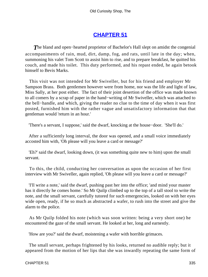# **[CHAPTER 51](#page-496-0)**

*T*he bland and open−hearted proprietor of Bachelor's Hall slept on amidst the congenial accompaniments of rain, mud, dirt, damp, fog, and rats, until late in the day; when, summoning his valet Tom Scott to assist him to rise, and to prepare breakfast, he quitted his couch, and made his toilet. This duty performed, and his repast ended, he again betook himself to Bevis Marks.

 This visit was not intended for Mr Swiveller, but for his friend and employer Mr Sampson Brass. Both gentlemen however were from home, nor was the life and light of law, Miss Sally, at her post either. The fact of their joint desertion of the office was made known to all comers by a scrap of paper in the hand−writing of Mr Swiveller, which was attached to the bell−handle, and which, giving the reader no clue to the time of day when it was first posted, furnished him with the rather vague and unsatisfactory information that that gentleman would 'return in an hour.'

'There's a servant, I suppose,' said the dwarf, knocking at the house−door. 'She'll do.'

 After a sufficiently long interval, the door was opened, and a small voice immediately accosted him with, 'Oh please will you leave a card or message?'

 'Eh?' said the dwarf, looking down, (it was something quite new to him) upon the small servant.

 To this, the child, conducting her conversation as upon the occasion of her first interview with Mr Swiveller, again replied, 'Oh please will you leave a card or message?'

 'I'll write a note,' said the dwarf, pushing past her into the office; 'and mind your master has it directly he comes home.' So Mr Quilp climbed up to the top of a tall stool to write the note, and the small servant, carefully tutored for such emergencies, looked on with her eyes wide open, ready, if he so much as abstracted a wafer, to rush into the street and give the alarm to the police.

 As Mr Quilp folded his note (which was soon written: being a very short one) he encountered the gaze of the small servant. He looked at her, long and earnestly.

'How are you?' said the dwarf, moistening a wafer with horrible grimaces.

 The small servant, perhaps frightened by his looks, returned no audible reply; but it appeared from the motion of her lips that she was inwardly repeating the same form of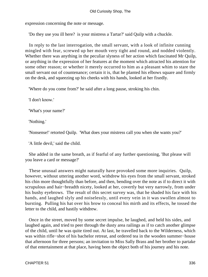expression concerning the note or message.

'Do they use you ill here? is your mistress a Tartar?' said Quilp with a chuckle.

 In reply to the last interrogation, the small servant, with a look of infinite cunning mingled with fear, screwed up her mouth very tight and round, and nodded violently. Whether there was anything in the peculiar slyness of her action which fascinated Mr Quilp, or anything in the expression of her features at the moment which attracted his attention for some other reason; or whether it merely occurred to him as a pleasant whim to stare the small servant out of countenance; certain it is, that he planted his elbows square and firmly on the desk, and squeezing up his cheeks with his hands, looked at her fixedly.

'Where do you come from?' he said after a long pause, stroking his chin.

'I don't know.'

'What's your name?'

'Nothing.'

'Nonsense!' retorted Quilp. 'What does your mistress call you when she wants you?'

'A little devil,' said the child.

 She added in the same breath, as if fearful of any further questioning, 'But please will you leave a card or message?'

 These unusual answers might naturally have provoked some more inquiries. Quilp, however, without uttering another word, withdrew his eyes from the small servant, stroked his chin more thoughtfully than before, and then, bending over the note as if to direct it with scrupulous and hair−breadth nicety, looked at her, covertly but very narrowly, from under his bushy eyebrows. The result of this secret survey was, that he shaded his face with his hands, and laughed slyly and noiselessly, until every vein in it was swollen almost to bursting. Pulling his hat over his brow to conceal his mirth and its effects, he tossed the letter to the child, and hastily withdrew.

 Once in the street, moved by some secret impulse, he laughed, and held his sides, and laughed again, and tried to peer through the dusty area railings as if to catch another glimpse of the child, until he was quite tired out. At last, he travelled back to the Wilderness, which was within rifle−shot of his bachelor retreat, and ordered tea in the wooden summer−house that afternoon for three persons; an invitation to Miss Sally Brass and her brother to partake of that entertainment at that place, having been the object both of his journey and his note.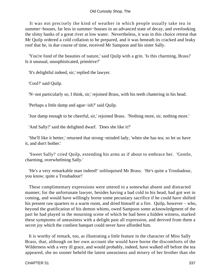It was not precisely the kind of weather in which people usually take tea in summer−houses, far less in summer−houses in an advanced state of decay, and overlooking the slimy banks of a great river at low water. Nevertheless, it was in this choice retreat that Mr Quilp ordered a cold collation to be prepared, and it was beneath its cracked and leaky roof that he, in due course of time, received Mr Sampson and his sister Sally.

 'You're fond of the beauties of nature,' said Quilp with a grin. 'Is this charming, Brass? Is it unusual, unsophisticated, primitive?'

'It's delightful indeed, sir,' replied the lawyer.

'Cool?' said Quilp.

'N−not particularly so, I think, sir,' rejoined Brass, with his teeth chattering in his head.

'Perhaps a little damp and ague−ish?' said Quilp.

'Just damp enough to be cheerful, sir,' rejoined Brass. 'Nothing more, sir, nothing more.'

'And Sally?' said the delighted dwarf. 'Does she like it?'

 'She'll like it better,' returned that strong−minded lady, 'when she has tea; so let us have it, and don't bother.'

 'Sweet Sally!' cried Quilp, extending his arms as if about to embrace her. 'Gentle, charming, overwhelming Sally.'

 'He's a very remarkable man indeed!' soliloquised Mr Brass. 'He's quite a Troubadour, you know; quite a Troubadour!'

 These complimentary expressions were uttered in a somewhat absent and distracted manner; for the unfortunate lawyer, besides having a bad cold in his head, had got wet in coming, and would have willingly borne some pecuniary sacrifice if he could have shifted his present raw quarters to a warm room, and dried himself at a fire. Quilp, however – who, beyond the gratification of his demon whims, owed Sampson some acknowledgment of the part he had played in the mourning scene of which he had been a hidden witness, marked these symptoms of uneasiness with a delight past all expression, and derived from them a secret joy which the costliest banquet could never have afforded him.

 It is worthy of remark, too, as illustrating a little feature in the character of Miss Sally Brass, that, although on her own account she would have borne the discomforts of the Wilderness with a very ill grace, and would probably, indeed, have walked off before the tea appeared, she no sooner beheld the latent uneasiness and misery of her brother than she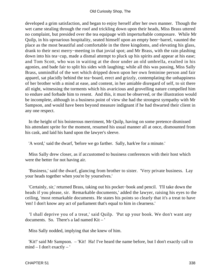developed a grim satisfaction, and began to enjoy herself after her own manner. Though the wet came stealing through the roof and trickling down upon their heads, Miss Brass uttered no complaint, but presided over the tea equipage with imperturbable composure. While Mr Quilp, in his uproarious hospitality, seated himself upon an empty beer−barrel, vaunted the place as the most beautiful and comfortable in the three kingdoms, and elevating his glass, drank to their next merry−meeting in that jovial spot; and Mr Brass, with the rain plashing down into his tea−cup, made a dismal attempt to pluck up his spirits and appear at his ease; and Tom Scott, who was in waiting at the door under an old umbrella, exulted in his agonies, and bade fair to split his sides with laughing; while all this was passing, Miss Sally Brass, unmindful of the wet which dripped down upon her own feminine person and fair apparel, sat placidly behind the tea−board, erect and grizzly, contemplating the unhappiness of her brother with a mind at ease, and content, in her amiable disregard of self, to sit there all night, witnessing the torments which his avaricious and grovelling nature compelled him to endure and forbade him to resent. And this, it must be observed, or the illustration would be incomplete, although in a business point of view she had the strongest sympathy with Mr Sampson, and would have been beyond measure indignant if he had thwarted their client in any one respect.

 In the height of his boisterous merriment, Mr Quilp, having on some pretence dismissed his attendant sprite for the moment, resumed his usual manner all at once, dismounted from his cask, and laid his hand upon the lawyer's sleeve.

'A word,' said the dwarf, 'before we go farther. Sally, hark'ee for a minute.'

 Miss Sally drew closer, as if accustomed to business conferences with their host which were the better for not having air.

 'Business,' said the dwarf, glancing from brother to sister. 'Very private business. Lay your heads together when you're by yourselves.'

 'Certainly, sir,' returned Brass, taking out his pocket−book and pencil. 'I'll take down the heads if you please, sir. Remarkable documents,' added the lawyer, raising his eyes to the ceiling, 'most remarkable documents. He states his points so clearly that it's a treat to have 'em! I don't know any act of parliament that's equal to him in clearness.'

 'I shall deprive you of a treat,' said Quilp. 'Put up your book. We don't want any documents. So. There's a lad named Kit – '

Miss Sally nodded, implying that she knew of him.

 'Kit!' said Mr Sampson. – 'Kit! Ha! I've heard the name before, but I don't exactly call to mind – I don't exactly – '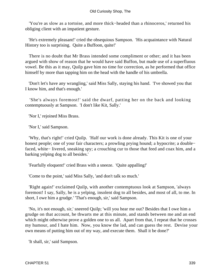'You're as slow as a tortoise, and more thick−headed than a rhinoceros,' returned his obliging client with an impatient gesture.

 'He's extremely pleasant!' cried the obsequious Sampson. 'His acquaintance with Natural History too is surprising. Quite a Buffoon, quite!'

 There is no doubt that Mr Brass intended some compliment or other; and it has been argued with show of reason that he would have said Buffon, but made use of a superfluous vowel. Be this as it may, Quilp gave him no time for correction, as he performed that office himself by more than tapping him on the head with the handle of his umbrella.

 'Don't let's have any wrangling,' said Miss Sally, staying his hand. 'I've showed you that I know him, and that's enough.'

 'She's always foremost!' said the dwarf, patting her on the back and looking contemptuously at Sampson. 'I don't like Kit, Sally.'

'Nor I,' rejoined Miss Brass.

'Nor I,' said Sampson.

 'Why, that's right!' cried Quilp. 'Half our work is done already. This Kit is one of your honest people; one of your fair characters; a prowling prying hound; a hypocrite; a double− faced, white− livered, sneaking spy; a crouching cur to those that feed and coax him, and a barking yelping dog to all besides.'

'Fearfully eloquent!' cried Brass with a sneeze. 'Quite appalling!'

'Come to the point,' said Miss Sally, 'and don't talk so much.'

 'Right again!' exclaimed Quilp, with another contemptuous look at Sampson, 'always foremost! I say, Sally, he is a yelping, insolent dog to all besides, and most of all, to me. In short, I owe him a grudge.' 'That's enough, sir,' said Sampson.

 'No, it's not enough, sir,' sneered Quilp; 'will you hear me out? Besides that I owe him a grudge on that account, he thwarts me at this minute, and stands between me and an end which might otherwise prove a golden one to us all. Apart from that, I repeat that he crosses my humour, and I hate him. Now, you know the lad, and can guess the rest. Devise your own means of putting him out of my way, and execute them. Shall it be done?'

'It shall, sir,' said Sampson.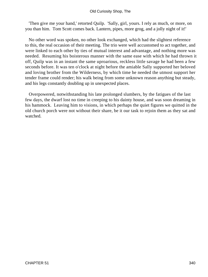'Then give me your hand,' retorted Quilp. 'Sally, girl, yours. I rely as much, or more, on you than him. Tom Scott comes back. Lantern, pipes, more grog, and a jolly night of it!'

 No other word was spoken, no other look exchanged, which had the slightest reference to this, the real occasion of their meeting. The trio were well accustomed to act together, and were linked to each other by ties of mutual interest and advantage, and nothing more was needed. Resuming his boisterous manner with the same ease with which he had thrown it off, Quilp was in an instant the same uproarious, reckless little savage he had been a few seconds before. It was ten o'clock at night before the amiable Sally supported her beloved and loving brother from the Wilderness, by which time he needed the utmost support her tender frame could render; his walk being from some unknown reason anything but steady, and his legs constantly doubling up in unexpected places.

 Overpowered, notwithstanding his late prolonged slumbers, by the fatigues of the last few days, the dwarf lost no time in creeping to his dainty house, and was soon dreaming in his hammock. Leaving him to visions, in which perhaps the quiet figures we quitted in the old church porch were not without their share, be it our task to rejoin them as they sat and watched.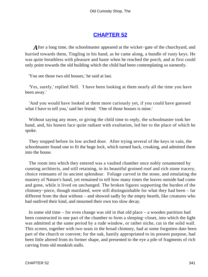# **[CHAPTER 52](#page-496-0)**

*A*fter a long time, the schoolmaster appeared at the wicket−gate of the churchyard, and hurried towards them, Tingling in his hand, as he came along, a bundle of rusty keys. He was quite breathless with pleasure and haste when he reached the porch, and at first could only point towards the old building which the child had been contemplating so earnestly.

'You see those two old houses,' he said at last.

 'Yes, surely,' replied Nell. 'I have been looking at them nearly all the time you have been away.'

 'And you would have looked at them more curiously yet, if you could have guessed what I have to tell you,' said her friend. 'One of those houses is mine.'

 Without saying any more, or giving the child time to reply, the schoolmaster took her hand, and, his honest face quite radiant with exultation, led her to the place of which he spoke.

 They stopped before its low arched door. After trying several of the keys in vain, the schoolmaster found one to fit the huge lock, which turned back, creaking, and admitted them into the house.

 The room into which they entered was a vaulted chamber once nobly ornamented by cunning architects, and still retaining, in its beautiful groined roof and rich stone tracery, choice remnants of its ancient splendour. Foliage carved in the stone, and emulating the mastery of Nature's hand, yet remained to tell how many times the leaves outside had come and gone, while it lived on unchanged. The broken figures supporting the burden of the chimney−piece, though mutilated, were still distinguishable for what they had been – far different from the dust without – and showed sadly by the empty hearth, like creatures who had outlived their kind, and mourned their own too slow decay.

 In some old time – for even change was old in that old place – a wooden partition had been constructed in one part of the chamber to form a sleeping−closet, into which the light was admitted at the same period by a rude window, or rather niche, cut in the solid wall. This screen, together with two seats in the broad chimney, had at some forgotten date been part of the church or convent; for the oak, hastily appropriated to its present purpose, had been little altered from its former shape, and presented to the eye a pile of fragments of rich carving from old monkish stalls.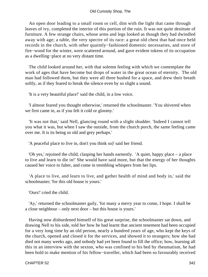An open door leading to a small room or cell, dim with the light that came through leaves of ivy, completed the interior of this portion of the ruin. It was not quite destitute of furniture. A few strange chairs, whose arms and legs looked as though they had dwindled away with age; a table, the very spectre of its race: a great old chest that had once held records in the church, with other quaintly−fashioned domestic necessaries, and store of fire−wood for the winter, were scattered around, and gave evident tokens of its occupation as a dwelling−place at no very distant time.

 The child looked around her, with that solemn feeling with which we contemplate the work of ages that have become but drops of water in the great ocean of eternity. The old man had followed them, but they were all three hushed for a space, and drew their breath softly, as if they feared to break the silence even by so slight a sound.

'It is a very beautiful place!' said the child, in a low voice.

 'I almost feared you thought otherwise,' returned the schoolmaster. 'You shivered when we first came in, as if you felt it cold or gloomy.'

 'It was not that,' said Nell, glancing round with a slight shudder. 'Indeed I cannot tell you what it was, but when I saw the outside, from the church porch, the same feeling came over me. It is its being so old and grey perhaps.'

'A peaceful place to live in, don't you think so)' said her friend.

 'Oh yes,' rejoined the child, clasping her hands earnestly. 'A quiet, happy place – a place to live and learn to die in!' She would have said more, but that the energy of her thoughts caused her voice to falter, and come in trembling whispers from her lips.

 'A place to live, and learn to live, and gather health of mind and body in,' said the schoolmaster; 'for this old house is yours.'

'Ours!' cried the child.

 'Ay,' returned the schoolmaster gaily, 'for many a merry year to come, I hope. I shall be a close neighbour – only next door – but this house is yours.'

 Having now disburdened himself of his great surprise, the schoolmaster sat down, and drawing Nell to his side, told her how he had learnt that ancient tenement had been occupied for a very long time by an old person, nearly a hundred years of age, who kept the keys of the church, opened and closed it for the services, and showed it to strangers; how she had died not many weeks ago, and nobody had yet been found to fill the office; how, learning all this in an interview with the sexton, who was confined to his bed by rheumatism, he had been bold to make mention of his fellow−traveller, which had been so favourably received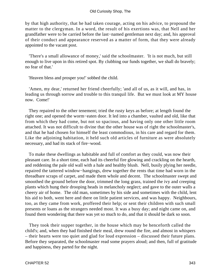by that high authority, that he had taken courage, acting on his advice, to propound the matter to the clergyman. In a word, the result of his exertions was, that Nell and her grandfather were to be carried before the last−named gentleman next day; and, his approval of their conduct and appearance reserved as a matter of form, that they were already appointed to the vacant post.

 'There's a small allowance of money,' said the schoolmaster. 'It is not much, but still enough to live upon in this retired spot. By clubbing our funds together, we shall do bravely; no fear of that.'

'Heaven bless and prosper you!' sobbed the child.

 'Amen, my dear,' returned her friend cheerfully; 'and all of us, as it will, and has, in leading us through sorrow and trouble to this tranquil life. But we must look at MY house now. Come!'

 They repaired to the other tenement; tried the rusty keys as before; at length found the right one; and opened the worm−eaten door. It led into a chamber, vaulted and old, like that from which they had come, but not so spacious, and having only one other little room attached. It was not difficult to divine that the other house was of right the schoolmaster's, and that he had chosen for himself the least commodious, in his care and regard for them. Like the adjoining habitation, it held such old articles of furniture as were absolutely necessary, and had its stack of fire−wood.

 To make these dwellings as habitable and full of comfort as they could, was now their pleasant care. In a short time, each had its cheerful fire glowing and crackling on the hearth, and reddening the pale old wall with a hale and healthy blush. Nell, busily plying her needle, repaired the tattered window−hangings, drew together the rents that time had worn in the threadbare scraps of carpet, and made them whole and decent. The schoolmaster swept and smoothed the ground before the door, trimmed the long grass, trained the ivy and creeping plants which hung their drooping heads in melancholy neglect; and gave to the outer walls a cheery air of home. The old man, sometimes by his side and sometimes with the child, lent his aid to both, went here and there on little patient services, and was happy. Neighbours, too, as they came from work, proffered their help; or sent their children with such small presents or loans as the strangers needed most. It was a busy day; and night came on, and found them wondering that there was yet so much to do, and that it should be dark so soon.

 They took their supper together, in the house which may be henceforth called the child's; and, when they had finished their meal, drew round the fire, and almost in whispers – their hearts were too quiet and glad for loud expression – discussed their future plans. Before they separated, the schoolmaster read some prayers aloud; and then, full of gratitude and happiness, they parted for the night.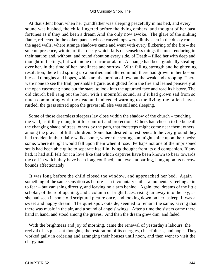At that silent hour, when her grandfather was sleeping peacefully in his bed, and every sound was hushed, the child lingered before the dying embers, and thought of her past fortunes as if they had been a dream And she only now awoke. The glare of the sinking flame, reflected in the oaken panels whose carved tops were dimly seen in the dusky roof – the aged walls, where strange shadows came and went with every flickering of the fire – the solemn presence, within, of that decay which falls on senseless things the most enduring in their nature: and, without, and round about on every side, of Death – filled her with deep and thoughtful feelings, but with none of terror or alarm. A change had been gradually stealing over her, in the time of her loneliness and sorrow. With failing strength and heightening resolution, there had sprung up a purified and altered mind; there had grown in her bosom blessed thoughts and hopes, which are the portion of few but the weak and drooping. There were none to see the frail, perishable figure, as it glided from the fire and leaned pensively at the open casement; none but the stars, to look into the upturned face and read its history. The old church bell rang out the hour with a mournful sound, as if it had grown sad from so much communing with the dead and unheeded warning to the living; the fallen leaves rustled; the grass stirred upon the graves; all else was still and sleeping.

 Some of those dreamless sleepers lay close within the shadow of the church – touching the wall, as if they clung to it for comfort and protection. Others had chosen to lie beneath the changing shade of trees; others by the path, that footsteps might come near them; others, among the graves of little children. Some had desired to rest beneath the very ground they had trodden in their daily walks; some, where the setting sun might shine upon their beds; some, where its light would fall upon them when it rose. Perhaps not one of the imprisoned souls had been able quite to separate itself in living thought from its old companion. If any had, it had still felt for it a love like that which captives have been known to bear towards the cell in which they have been long confined, and, even at parting, hung upon its narrow bounds affectionately.

 It was long before the child closed the window, and approached her bed. Again something of the same sensation as before – an involuntary chill – a momentary feeling akin to fear – but vanishing directly, and leaving no alarm behind. Again, too, dreams of the little scholar; of the roof opening, and a column of bright faces, rising far away into the sky, as she had seen in some old scriptural picture once, and looking down on her, asleep. It was a sweet and happy dream. The quiet spot, outside, seemed to remain the same, saving that there was music in the air, and a sound of angels' wings. After a time the sisters came there, hand in hand, and stood among the graves. And then the dream grew dim, and faded.

 With the brightness and joy of morning, came the renewal of yesterday's labours, the revival of its pleasant thoughts, the restoration of its energies, cheerfulness, and hope. They worked gaily in ordering and arranging their houses until noon, and then went to visit the clergyman.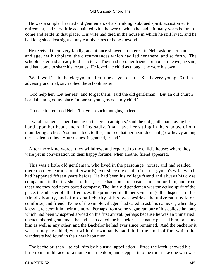He was a simple−hearted old gentleman, of a shrinking, subdued spirit, accustomed to retirement, and very little acquainted with the world, which he had left many years before to come and settle in that place. His wife had died in the house in which he still lived, and he had long since lost sight of any earthly cares or hopes beyond it.

 He received them very kindly, and at once showed an interest in Nell; asking her name, and age, her birthplace, the circumstances which had led her there, and so forth. The schoolmaster had already told her story. They had no other friends or home to leave, he said, and had come to share his fortunes. He loved the child as though she were his own.

 'Well, well,' said the clergyman. 'Let it be as you desire. She is very young.' 'Old in adversity and trial, sir,' replied the schoolmaster.

 'God help her. Let her rest, and forget them,' said the old gentleman. 'But an old church is a dull and gloomy place for one so young as you, my child.'

'Oh no, sir,' returned Nell. 'I have no such thoughts, indeed.'

 'I would rather see her dancing on the green at nights,' said the old gentleman, laying his hand upon her head, and smiling sadly, 'than have her sitting in the shadow of our mouldering arches. You must look to this, and see that her heart does not grow heavy among these solemn ruins. Your request is granted, friend.'

 After more kind words, they withdrew, and repaired to the child's house; where they were yet in conversation on their happy fortune, when another friend appeared.

 This was a little old gentleman, who lived in the parsonage−house, and had resided there (so they learnt soon afterwards) ever since the death of the clergyman's wife, which had happened fifteen years before. He had been his college friend and always his close companion; in the first shock of his grief he had come to console and comfort him; and from that time they had never parted company. The little old gentleman was the active spirit of the place, the adjuster of all differences, the promoter of all merry−makings, the dispenser of his friend's bounty, and of no small charity of his own besides; the universal mediator, comforter, and friend. None of the simple villagers had cared to ask his name, or, when they knew it, to store it in their memory. Perhaps from some vague rumour of his college honours which had been whispered abroad on his first arrival, perhaps because he was an unmarried, unencumbered gentleman, he had been called the bachelor. The name pleased him, or suited him as well as any other, and the Bachelor he had ever since remained. And the bachelor it was, it may be added, who with his own hands had laid in the stock of fuel which the wanderers had found in their new habitation.

The bachelor, then  $-$  to call him by his usual appellation  $-$  lifted the latch, showed his little round mild face for a moment at the door, and stepped into the room like one who was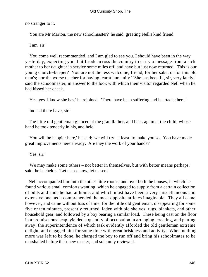no stranger to it.

'You are Mr Marton, the new schoolmaster?' he said, greeting Nell's kind friend.

'I am, sir.'

 'You come well recommended, and I am glad to see you. I should have been in the way yesterday, expecting you, but I rode across the country to carry a message from a sick mother to her daughter in service some miles off, and have but just now returned. This is our young church−keeper? You are not the less welcome, friend, for her sake, or for this old man's; nor the worse teacher for having learnt humanity.' 'She has been ill, sir, very lately,' said the schoolmaster, in answer to the look with which their visitor regarded Nell when he had kissed her cheek.

'Yes, yes. I know she has,' he rejoined. 'There have been suffering and heartache here.'

'Indeed there have, sir.'

 The little old gentleman glanced at the grandfather, and back again at the child, whose hand he took tenderly in his, and held.

 'You will be happier here,' he said; 'we will try, at least, to make you so. You have made great improvements here already. Are they the work of your hands?'

'Yes, sir.'

 'We may make some others – not better in themselves, but with better means perhaps,' said the bachelor. 'Let us see now, let us see.'

 Nell accompanied him into the other little rooms, and over both the houses, in which he found various small comforts wanting, which he engaged to supply from a certain collection of odds and ends he had at home, and which must have been a very miscellaneous and extensive one, as it comprehended the most opposite articles imaginable. They all came, however, and came without loss of time; for the little old gentleman, disappearing for some five or ten minutes, presently returned, laden with old shelves, rugs, blankets, and other household gear, and followed by a boy bearing a similar load. These being cast on the floor in a promiscuous heap, yielded a quantity of occupation in arranging, erecting, and putting away; the superintendence of which task evidently afforded the old gentleman extreme delight, and engaged him for some time with great briskness and activity. When nothing more was left to be done, he charged the boy to run off and bring his schoolmates to be marshalled before their new master, and solemnly reviewed.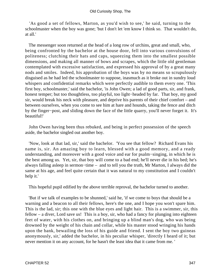'As good a set of fellows, Marton, as you'd wish to see,' he said, turning to the schoolmaster when the boy was gone; 'but I don't let 'em know I think so. That wouldn't do, at all.'

 The messenger soon returned at the head of a long row of urchins, great and small, who, being confronted by the bachelor at the house door, fell into various convulsions of politeness; clutching their hats and caps, squeezing them into the smallest possible dimensions, and making all manner of bows and scrapes, which the little old gentleman contemplated with excessive satisfaction, and expressed his approval of by a great many nods and smiles. Indeed, his approbation of the boys was by no means so scrupulously disguised as he had led the schoolmaster to suppose, inasmuch as it broke out in sundry loud whispers and confidential remarks which were perfectly audible to them every one. 'This first boy, schoolmaster,' said the bachelor, 'is John Owen; a lad of good parts, sir, and frank, honest temper; but too thoughtless, too playful, too light−headed by far. That boy, my good sir, would break his neck with pleasure, and deprive his parents of their chief comfort – and between ourselves, when you come to see him at hare and hounds, taking the fence and ditch by the finger−post, and sliding down the face of the little quarry, you'll never forget it. It's beautiful!'

 John Owen having been thus rebuked, and being in perfect possession of the speech aside, the bachelor singled out another boy.

 'Now, look at that lad, sir,' said the bachelor. 'You see that fellow? Richard Evans his name is, sir. An amazing boy to learn, blessed with a good memory, and a ready understanding, and moreover with a good voice and ear for psalm−singing, in which he is the best among us. Yet, sir, that boy will come to a bad end; he'll never die in his bed; he's always falling asleep in sermon−time – and to tell you the truth, Mr Marton, I always did the same at his age, and feel quite certain that it was natural to my constitution and I couldn't help it.'

This hopeful pupil edified by the above terrible reproval, the bachelor turned to another.

 'But if we talk of examples to be shunned,' said he, 'if we come to boys that should be a warning and a beacon to all their fellows, here's the one, and I hope you won't spare him. This is the lad, sir; this one with the blue eyes and light hair. This is a swimmer, sir, this fellow – a diver, Lord save us! This is a boy, sir, who had a fancy for plunging into eighteen feet of water, with his clothes on, and bringing up a blind man's dog, who was being drowned by the weight of his chain and collar, while his master stood wringing his hands upon the bank, bewailing the loss of his guide and friend. I sent the boy two guineas anonymously, sir,' added the bachelor, in his peculiar whisper, 'directly I heard of it; but never mention it on any account, for he hasn't the least idea that it came from me. '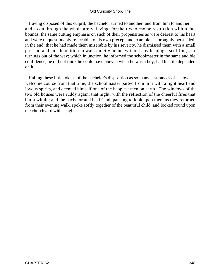Having disposed of this culprit, the bachelor turned to another, and from him to another, and so on through the whole array, laying, for their wholesome restriction within due bounds, the same cutting emphasis on such of their propensities as were dearest to his heart and were unquestionably referrable to his own precept and example. Thoroughly persuaded, in the end, that he had made them miserable by his severity, he dismissed them with a small present, and an admonition to walk quietly home, without any leapings, scufflings, or turnings out of the way; which injunction, he informed the schoolmaster in the same audible confidence, he did not think he could have obeyed when he was a boy, had his life depended on it.

 Hailing these little tokens of the bachelor's disposition as so many assurances of his own welcome course from that time, the schoolmaster parted from him with a light heart and joyous spirits, and deemed himself one of the happiest men on earth. The windows of the two old houses were ruddy again, that night, with the reflection of the cheerful fires that burnt within; and the bachelor and his friend, pausing to look upon them as they returned from their evening walk, spoke softly together of the beautiful child, and looked round upon the churchyard with a sigh.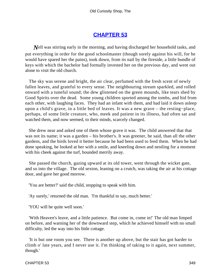### **[CHAPTER 53](#page-496-0)**

*Nell* was stirring early in the morning, and having discharged her household tasks, and put everything in order for the good schoolmaster (though sorely against his will, for he would have spared her the pains), took down, from its nail by the fireside, a little bundle of keys with which the bachelor had formally invested her on the previous day, and went out alone to visit the old church.

 The sky was serene and bright, the air clear, perfumed with the fresh scent of newly fallen leaves, and grateful to every sense. The neighbouring stream sparkled, and rolled onward with a tuneful sound; the dew glistened on the green mounds, like tears shed by Good Spirits over the dead. Some young children sported among the tombs, and hid from each other, with laughing faces. They had an infant with them, and had laid it down asleep upon a child's grave, in a little bed of leaves. It was a new grave – the resting−place, perhaps, of some little creature, who, meek and patient in its illness, had often sat and watched them, and now seemed, to their minds, scarcely changed.

 She drew near and asked one of them whose grave it was. The child answered that that was not its name; it was a garden – his brother's. It was greener, he said, than all the other gardens, and the birds loved it better because he had been used to feed them. When he had done speaking, he looked at her with a smile, and kneeling down and nestling for a moment with his cheek against the turf, bounded merrily away.

 She passed the church, gazing upward at its old tower, went through the wicket gate, and so into the village. The old sexton, leaning on a crutch, was taking the air at his cottage door, and gave her good morrow.

'You are better?' said the child, stopping to speak with him.

'Ay surely,' returned the old man. 'I'm thankful to say, much better.'

'YOU will be quite well soon.'

 'With Heaven's leave, and a little patience. But come in, come in!' The old man limped on before, and warning her of the downward step, which he achieved himself with no small difficulty, led the way into his little cottage.

 'It is but one room you see. There is another up above, but the stair has got harder to climb o' late years, and I never use it. I'm thinking of taking to it again, next summer, though.'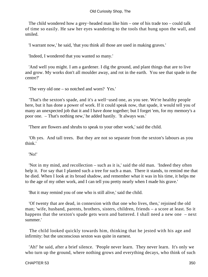The child wondered how a grey−headed man like him – one of his trade too – could talk of time so easily. He saw her eyes wandering to the tools that hung upon the wall, and smiled.

'I warrant now,' he said, 'that you think all those are used in making graves.'

'Indeed, I wondered that you wanted so many.'

 'And well you might. I am a gardener. I dig the ground, and plant things that are to live and grow. My works don't all moulder away, and rot in the earth. You see that spade in the centre?'

'The very old one – so notched and worn? Yes.'

 'That's the sexton's spade, and it's a well−used one, as you see. We're healthy people here, but it has done a power of work. If it could speak now, that spade, it would tell you of many an unexpected job that it and I have done together; but I forget 'em, for my memory's a poor one. – That's nothing new,' he added hastily. 'It always was.'

'There are flowers and shrubs to speak to your other work,' said the child.

 'Oh yes. And tall trees. But they are not so separate from the sexton's labours as you think.'

### 'No!'

 'Not in my mind, and recollection – such as it is,' said the old man. 'Indeed they often help it. For say that I planted such a tree for such a man. There it stands, to remind me that he died. When I look at its broad shadow, and remember what it was in his time, it helps me to the age of my other work, and I can tell you pretty nearly when I made his grave.'

'But it may remind you of one who is still alive,' said the child.

 'Of twenty that are dead, in connexion with that one who lives, then,' rejoined the old man; 'wife, husband, parents, brothers, sisters, children, friends – a score at least. So it happens that the sexton's spade gets worn and battered. I shall need a new one – next summer.'

 The child looked quickly towards him, thinking that he jested with his age and infirmity: but the unconscious sexton was quite in earnest.

 'Ah!' he said, after a brief silence. 'People never learn. They never learn. It's only we who turn up the ground, where nothing grows and everything decays, who think of such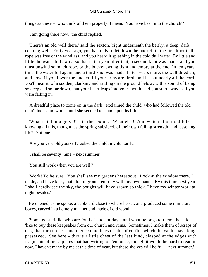things as these – who think of them properly, I mean. You have been into the church?'

'I am going there now,' the child replied.

 'There's an old well there,' said the sexton, 'right underneath the belfry; a deep, dark, echoing well. Forty year ago, you had only to let down the bucket till the first knot in the rope was free of the windlass, and you heard it splashing in the cold dull water. By little and little the water fell away, so that in ten year after that, a second knot was made, and you must unwind so much rope, or the bucket swung tight and empty at the end. In ten years' time, the water fell again, and a third knot was made. In ten years more, the well dried up; and now, if you lower the bucket till your arms are tired, and let out nearly all the cord, you'll hear it, of a sudden, clanking and rattling on the ground below; with a sound of being so deep and so far down, that your heart leaps into your mouth, and you start away as if you were falling in.'

 'A dreadful place to come on in the dark!' exclaimed the child, who had followed the old man's looks and words until she seemed to stand upon its brink.

 'What is it but a grave!' said the sexton. 'What else! And which of our old folks, knowing all this, thought, as the spring subsided, of their own failing strength, and lessening life? Not one!'

'Are you very old yourself?' asked the child, involuntarily.

'I shall be seventy−nine – next summer.'

'You still work when you are well?'

 'Work! To be sure. You shall see my gardens hereabout. Look at the window there. I made, and have kept, that plot of ground entirely with my own hands. By this time next year I shall hardly see the sky, the boughs will have grown so thick. I have my winter work at night besides.'

 He opened, as he spoke, a cupboard close to where he sat, and produced some miniature boxes, carved in a homely manner and made of old wood.

 'Some gentlefolks who are fond of ancient days, and what belongs to them,' he said, 'like to buy these keepsakes from our church and ruins. Sometimes, I make them of scraps of oak, that turn up here and there; sometimes of bits of coffins which the vaults have long preserved. See here – this is a little chest of the last kind, clasped at the edges with fragments of brass plates that had writing on 'em once, though it would be hard to read it now. I haven't many by me at this time of year, but these shelves will be full – next summer.'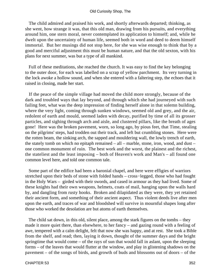The child admired and praised his work, and shortly afterwards departed; thinking, as she went, how strange it was, that this old man, drawing from his pursuits, and everything around him, one stern moral, never contemplated its application to himself; and, while he dwelt upon the uncertainty of human life, seemed both in word and deed to deem himself immortal. But her musings did not stop here, for she was wise enough to think that by a good and merciful adjustment this must be human nature, and that the old sexton, with his plans for next summer, was but a type of all mankind.

 Full of these meditations, she reached the church. It was easy to find the key belonging to the outer door, for each was labelled on a scrap of yellow parchment. Its very turning in the lock awoke a hollow sound, and when she entered with a faltering step, the echoes that it raised in closing, made her start.

 If the peace of the simple village had moved the child more strongly, because of the dark and troubled ways that lay beyond, and through which she had journeyed with such failing feet, what was the deep impression of finding herself alone in that solemn building, where the very light, coming through sunken windows, seemed old and grey, and the air, redolent of earth and mould, seemed laden with decay, purified by time of all its grosser particles, and sighing through arch and aisle, and clustered pillars, like the breath of ages gone! Here was the broken pavement, worn, so long ago, by pious feet, that Time, stealing on the pilgrims' steps, had trodden out their track, and left but crumbling stones. Here were the rotten beam, the sinking arch, the sapped and mouldering wall, the lowly trench of earth, the stately tomb on which no epitaph remained – all – marble, stone, iron, wood, and dust – one common monument of ruin. The best work and the worst, the plainest and the richest, the stateliest and the least imposing – both of Heaven's work and Man's – all found one common level here, and told one common tale.

 Some part of the edifice had been a baronial chapel, and here were effigies of warriors stretched upon their beds of stone with folded hands – cross−legged, those who had fought in the Holy Wars – girded with their swords, and cased in armour as they had lived. Some of these knights had their own weapons, helmets, coats of mail, hanging upon the walls hard by, and dangling from rusty hooks. Broken and dilapidated as they were, they yet retained their ancient form, and something of their ancient aspect. Thus violent deeds live after men upon the earth, and traces of war and bloodshed will survive in mournful shapes long after those who worked the desolation are but atoms of earth themselves.

 The child sat down, in this old, silent place, among the stark figures on the tombs – they made it more quiet there, than elsewhere, to her fancy – and gazing round with a feeling of awe, tempered with a calm delight, felt that now she was happy, and at rest. She took a Bible from the shelf, and read; then, laying it down, thought of the summer days and the bright springtime that would come – of the rays of sun that would fall in aslant, upon the sleeping forms – of the leaves that would flutter at the window, and play in glistening shadows on the pavement – of the songs of birds, and growth of buds and blossoms out of doors – of the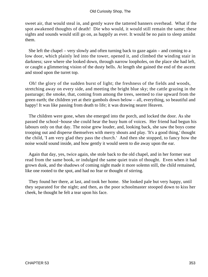sweet air, that would steal in, and gently wave the tattered banners overhead. What if the spot awakened thoughts of death! Die who would, it would still remain the same; these sights and sounds would still go on, as happily as ever. It would be no pain to sleep amidst them.

 She left the chapel – very slowly and often turning back to gaze again – and coming to a low door, which plainly led into the tower, opened it, and climbed the winding stair in darkness; save where she looked down, through narrow loopholes, on the place she had left, or caught a glimmering vision of the dusty bells. At length she gained the end of the ascent and stood upon the turret top.

 Oh! the glory of the sudden burst of light; the freshness of the fields and woods, stretching away on every side, and meeting the bright blue sky; the cattle grazing in the pasturage; the smoke, that, coming from among the trees, seemed to rise upward from the green earth; the children yet at their gambols down below – all, everything, so beautiful and happy! It was like passing from death to life; it was drawing nearer Heaven.

 The children were gone, when she emerged into the porch, and locked the door. As she passed the school−house she could hear the busy hum of voices. Her friend had begun his labours only on that day. The noise grew louder, and, looking back, she saw the boys come trooping out and disperse themselves with merry shouts and play. 'It's a good thing,' thought the child, 'I am very glad they pass the church.' And then she stopped, to fancy how the noise would sound inside, and how gently it would seem to die away upon the ear.

 Again that day, yes, twice again, she stole back to the old chapel, and in her former seat read from the same book, or indulged the same quiet train of thought. Even when it had grown dusk, and the shadows of coming night made it more solemn still, the child remained, like one rooted to the spot, and had no fear or thought of stirring.

 They found her there, at last, and took her home. She looked pale but very happy, until they separated for the night; and then, as the poor schoolmaster stooped down to kiss her cheek, he thought he felt a tear upon his face.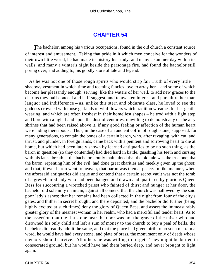### **[CHAPTER 54](#page-496-0)**

**The bachelor, among his various occupations, found in the old church a constant source** of interest and amusement. Taking that pride in it which men conceive for the wonders of their own little world, he had made its history his study; and many a summer day within its walls, and many a winter's night beside the parsonage fire, had found the bachelor still poring over, and adding to, his goodly store of tale and legend.

 As he was not one of those rough spirits who would strip fair Truth of every little shadowy vestment in which time and teeming fancies love to array her – and some of which become her pleasantly enough, serving, like the waters of her well, to add new graces to the charms they half conceal and half suggest, and to awaken interest and pursuit rather than languor and indifference – as, unlike this stern and obdurate class, he loved to see the goddess crowned with those garlands of wild flowers which tradition wreathes for her gentle wearing, and which are often freshest in their homeliest shapes – he trod with a light step and bore with a light hand upon the dust of centuries, unwilling to demolish any of the airy shrines that had been raised above it, if any good feeling or affection of the human heart were hiding thereabouts. Thus, in the case of an ancient coffin of rough stone, supposed, for many generations, to contain the bones of a certain baron, who, after ravaging, with cut, and thrust, and plunder, in foreign lands, came back with a penitent and sorrowing heart to die at home, but which had been lately shown by learned antiquaries to be no such thing, as the baron in question (so they contended) had died hard in battle, gnashing his teeth and cursing with his latest breath – the bachelor stoutly maintained that the old tale was the true one; that the baron, repenting him of the evil, had done great charities and meekly given up the ghost; and that, if ever baron went to heaven, that baron was then at peace. In like manner, when the aforesaid antiquaries did argue and contend that a certain secret vault was not the tomb of a grey−haired lady who had been hanged and drawn and quartered by glorious Queen Bess for succouring a wretched priest who fainted of thirst and hunger at her door, the bachelor did solemnly maintain, against all comers, that the church was hallowed by the said poor lady's ashes; that her remains had been collected in the night from four of the city's gates, and thither in secret brought, and there deposited; and the bachelor did further (being highly excited at such times) deny the glory of Queen Bess, and assert the immeasurably greater glory of the meanest woman in her realm, who had a merciful and tender heart. As to the assertion that the flat stone near the door was not the grave of the miser who had disowned his only child and left a sum of money to the church to buy a peal of bells, the bachelor did readily admit the same, and that the place had given birth to no such man. In a word, he would have had every stone, and plate of brass, the monument only of deeds whose memory should survive. All others he was willing to forget. They might be buried in consecrated ground, but he would have had them buried deep, and never brought to light again.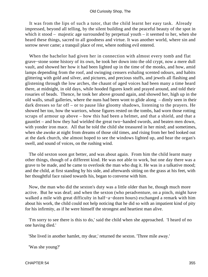It was from the lips of such a tutor, that the child learnt her easy task. Already impressed, beyond all telling, by the silent building and the peaceful beauty of the spot in which it stood – majestic age surrounded by perpetual youth – it seemed to her, when she heard these things, sacred to all goodness and virtue. It was another world, where sin and sorrow never came; a tranquil place of rest, where nothing evil entered.

 When the bachelor had given her in connection with almost every tomb and flat grave−stone some history of its own, he took her down into the old crypt, now a mere dull vault, and showed her how it had been lighted up in the time of the monks, and how, amid lamps depending from the roof, and swinging censers exhaling scented odours, and habits glittering with gold and silver, and pictures, and precious stuffs, and jewels all flashing and glistening through the low arches, the chaunt of aged voices had been many a time heard there, at midnight, in old days, while hooded figures knelt and prayed around, and told their rosaries of beads. Thence, he took her above ground again, and showed her, high up in the old walls, small galleries, where the nuns had been wont to glide along – dimly seen in their dark dresses so far off – or to pause like gloomy shadows, listening to the prayers. He showed her too, how the warriors, whose figures rested on the tombs, had worn those rotting scraps of armour up above – how this had been a helmet, and that a shield, and that a gauntlet – and how they had wielded the great two−handed swords, and beaten men down, with yonder iron mace. All that he told the child she treasured in her mind; and sometimes, when she awoke at night from dreams of those old times, and rising from her bed looked out at the dark church, she almost hoped to see the windows lighted up, and hear the organ's swell, and sound of voices, on the rushing wind.

 The old sexton soon got better, and was about again. From him the child learnt many other things, though of a different kind. He was not able to work, but one day there was a grave to be made, and he came to overlook the man who dug it. He was in a talkative mood; and the child, at first standing by his side, and afterwards sitting on the grass at his feet, with her thoughtful face raised towards his, began to converse with him.

 Now, the man who did the sexton's duty was a little older than he, though much more active. But he was deaf; and when the sexton (who peradventure, on a pinch, might have walked a mile with great difficulty in half−a−dozen hours) exchanged a remark with him about his work, the child could not help noticing that he did so with an impatient kind of pity for his infirmity, as if he were himself the strongest and heartiest man alive.

 'I'm sorry to see there is this to do,' said the child when she approached. 'I heard of no one having died.'

'She lived in another hamlet, my dear,' returned the sexton. 'Three mile away.'

'Was she young?'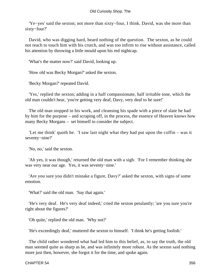'Ye−yes' said the sexton; not more than sixty−four, I think. David, was she more than sixty−four?'

 David, who was digging hard, heard nothing of the question. The sexton, as he could not reach to touch him with his crutch, and was too infirm to rise without assistance, called his attention by throwing a little mould upon his red nightcap.

'What's the matter now?' said David, looking up.

'How old was Becky Morgan?' asked the sexton.

'Becky Morgan?' repeated David.

 'Yes,' replied the sexton; adding in a half compassionate, half irritable tone, which the old man couldn't hear, 'you're getting very deaf, Davy, very deaf to be sure!'

 The old man stopped in his work, and cleansing his spade with a piece of slate he had by him for the purpose – and scraping off, in the process, the essence of Heaven knows how many Becky Morgans – set himself to consider the subject.

 'Let me think' quoth he. 'I saw last night what they had put upon the coffin – was it seventy−nine?'

'No, no,' said the sexton.

 'Ah yes, it was though,' returned the old man with a sigh. 'For I remember thinking she was very near our age. Yes, it was seventy−nine.'

 'Are you sure you didn't mistake a figure, Davy?' asked the sexton, with signs of some emotion.

'What?' said the old man. 'Say that again.'

 'He's very deaf. He's very deaf indeed,' cried the sexton petulantly; 'are you sure you're right about the figures?'

'Oh quite,' replied the old man. 'Why not?'

'He's exceedingly deaf,' muttered the sexton to himself. 'I think he's getting foolish.'

 The child rather wondered what had led him to this belief, as, to say the truth, the old man seemed quite as sharp as he, and was infinitely more robust. As the sexton said nothing more just then, however, she forgot it for the time, and spoke again.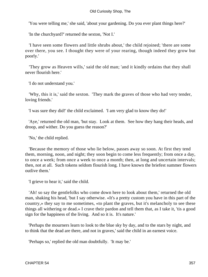'You were telling me,' she said, 'about your gardening. Do you ever plant things here?'

'In the churchyard?' returned the sexton, 'Not I.'

 'I have seen some flowers and little shrubs about,' the child rejoined; 'there are some over there, you see. I thought they were of your rearing, though indeed they grow but poorly.'

 'They grow as Heaven wills,' said the old man; 'and it kindly ordains that they shall never flourish here.'

'I do not understand you.'

 'Why, this it is,' said the sexton. 'They mark the graves of those who had very tender, loving friends.'

'I was sure they did!' the child exclaimed. 'I am very glad to know they do!'

 'Aye,' returned the old man, 'but stay. Look at them. See how they hang their heads, and droop, and wither. Do you guess the reason?'

'No,' the child replied.

 'Because the memory of those who lie below, passes away so soon. At first they tend them, morning, noon, and night; they soon begin to come less frequently; from once a day, to once a week; from once a week to once a month; then, at long and uncertain intervals; then, not at all. Such tokens seldom flourish long. I have known the briefest summer flowers outlive them.'

'I grieve to hear it,' said the child.

 'Ah! so say the gentlefolks who come down here to look about them,' returned the old man, shaking his head, 'but I say otherwise. «It's a pretty custom you have in this part of the country,» they say to me sometimes, «to plant the graves, but it's melancholy to see these things all withering or dead.» I crave their pardon and tell them that, as I take it, 'tis a good sign for the happiness of the living. And so it is. It's nature.'

 'Perhaps the mourners learn to look to the blue sky by day, and to the stars by night, and to think that the dead are there, and not in graves,' said the child in an earnest voice.

'Perhaps so,' replied the old man doubtfully. 'It may be.'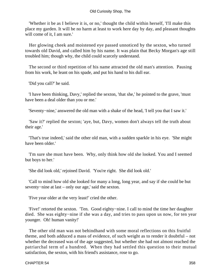'Whether it be as I believe it is, or no,' thought the child within herself, 'I'll make this place my garden. It will be no harm at least to work here day by day, and pleasant thoughts will come of it, I am sure.'

 Her glowing cheek and moistened eye passed unnoticed by the sexton, who turned towards old David, and called him by his name. It was plain that Becky Morgan's age still troubled him; though why, the child could scarcely understand.

 The second or third repetition of his name attracted the old man's attention. Pausing from his work, he leant on his spade, and put his hand to his dull ear.

'Did you call?' he said.

 'I have been thinking, Davy,' replied the sexton, 'that she,' he pointed to the grave, 'must have been a deal older than you or me.'

'Seventy−nine,' answered the old man with a shake of the head, 'I tell you that I saw it.'

 'Saw it?' replied the sexton; 'aye, but, Davy, women don't always tell the truth about their age.'

 'That's true indeed,' said the other old man, with a sudden sparkle in his eye. 'She might have been older.'

 'I'm sure she must have been. Why, only think how old she looked. You and I seemed but boys to her.'

'She did look old,' rejoined David. 'You're right. She did look old.'

 'Call to mind how old she looked for many a long, long year, and say if she could be but seventy−nine at last – only our age,' said the sexton.

'Five year older at the very least!' cried the other.

 'Five!' retorted the sexton. 'Ten. Good eighty−nine. I call to mind the time her daughter died. She was eighty−nine if she was a day, and tries to pass upon us now, for ten year younger. Oh! human vanity!'

 The other old man was not behindhand with some moral reflections on this fruitful theme, and both adduced a mass of evidence, of such weight as to render it doubtful – not whether the deceased was of the age suggested, but whether she had not almost reached the patriarchal term of a hundred. When they had settled this question to their mutual satisfaction, the sexton, with his friend's assistance, rose to go.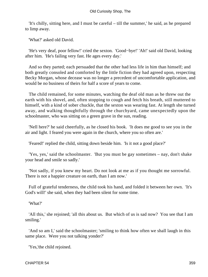'It's chilly, sitting here, and I must be careful – till the summer,' he said, as he prepared to limp away.

'What?' asked old David.

 'He's very deaf, poor fellow!' cried the sexton. 'Good−bye!' 'Ah!' said old David, looking after him. 'He's failing very fast. He ages every day.'

 And so they parted; each persuaded that the other had less life in him than himself; and both greatly consoled and comforted by the little fiction they had agreed upon, respecting Becky Morgan, whose decease was no longer a precedent of uncomfortable application, and would be no business of theirs for half a score of years to come.

 The child remained, for some minutes, watching the deaf old man as he threw out the earth with his shovel, and, often stopping to cough and fetch his breath, still muttered to himself, with a kind of sober chuckle, that the sexton was wearing fast. At length she turned away, and walking thoughtfully through the churchyard, came unexpectedly upon the schoolmaster, who was sitting on a green grave in the sun, reading.

 'Nell here?' he said cheerfully, as he closed his book. 'It does me good to see you in the air and light. I feared you were again in the church, where you so often are.'

'Feared!' replied the child, sitting down beside him. 'Is it not a good place?'

 'Yes, yes,' said the schoolmaster. 'But you must be gay sometimes – nay, don't shake your head and smile so sadly.'

 'Not sadly, if you knew my heart. Do not look at me as if you thought me sorrowful. There is not a happier creature on earth, than I am now.'

 Full of grateful tenderness, the child took his hand, and folded it between her own. 'It's God's will!' she said, when they had been silent for some time.

'What?'

 'All this,' she rejoined; 'all this about us. But which of us is sad now? You see that I am smiling.'

 'And so am I,' said the schoolmaster; 'smiling to think how often we shall laugh in this same place. Were you not talking yonder?'

'Yes,'the child rejoined.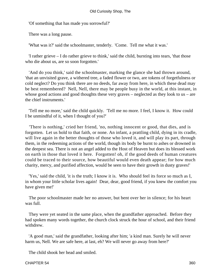'Of something that has made you sorrowful?'

There was a long pause.

'What was it?' said the schoolmaster, tenderly. 'Come. Tell me what it was.'

 'I rather grieve – I do rather grieve to think,' said the child, bursting into tears, 'that those who die about us, are so soon forgotten.'

 'And do you think,' said the schoolmaster, marking the glance she had thrown around, 'that an unvisited grave, a withered tree, a faded flower or two, are tokens of forgetfulness or cold neglect? Do you think there are no deeds, far away from here, in which these dead may be best remembered? Nell, Nell, there may be people busy in the world, at this instant, in whose good actions and good thoughts these very graves – neglected as they look to us – are the chief instruments.'

 'Tell me no more,' said the child quickly. 'Tell me no more. I feel, I know it. How could I be unmindful of it, when I thought of you?'

 'There is nothing,' cried her friend, 'no, nothing innocent or good, that dies, and is forgotten. Let us hold to that faith, or none. An infant, a prattling child, dying in its cradle, will live again in the better thoughts of those who loved it, and will play its part, through them, in the redeeming actions of the world, though its body be burnt to ashes or drowned in the deepest sea. There is not an angel added to the Host of Heaven but does its blessed work on earth in those that loved it here. Forgotten! oh, if the good deeds of human creatures could be traced to their source, how beautiful would even death appear; for how much charity, mercy, and purified affection, would be seen to have their growth in dusty graves!'

 'Yes,' said the child, 'it is the truth; I know it is. Who should feel its force so much as I, in whom your little scholar lives again! Dear, dear, good friend, if you knew the comfort you have given me!'

 The poor schoolmaster made her no answer, but bent over her in silence; for his heart was full.

 They were yet seated in the same place, when the grandfather approached. Before they had spoken many words together, the church clock struck the hour of school, and their friend withdrew.

 'A good man,' said the grandfather, looking after him; 'a kind man. Surely he will never harm us, Nell. We are safe here, at last, eh? We will never go away from here?'

The child shook her head and smiled.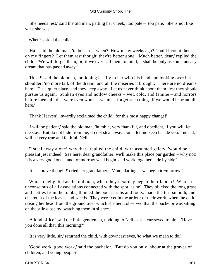'She needs rest,' said the old man, patting her cheek; 'too pale – too pale. She is not like what she was.'

When?' asked the child.

 'Ha!' said the old man, 'to be sure – when? How many weeks ago? Could I count them on my fingers? Let them rest though; they're better gone.' 'Much better, dear,' replied the child. 'We will forget them; or, if we ever call them to mind, it shall be only as some uneasy dream that has passed away.'

 'Hush!' said the old man, motioning hastily to her with his hand and looking over his shoulder; 'no more talk of the dream, and all the miseries it brought. There are no dreams here. 'Tis a quiet place, and they keep away. Let us never think about them, lest they should pursue us again. Sunken eyes and hollow cheeks – wet, cold, and famine – and horrors before them all, that were even worse – we must forget such things if we would be tranquil here.'

'Thank Heaven!' inwardly exclaimed the child, 'for this most happy change!'

 'I will be patient,' said the old man, 'humble, very thankful, and obedient, if you will let me stay. But do not hide from me; do not steal away alone; let me keep beside you. Indeed, I will be very true and faithful, Nell.'

 'I steal away alone! why that,' replied the child, with assumed gaiety, 'would be a pleasant jest indeed. See here, dear grandfather, we'll make this place our garden – why not! It is a very good one – and to−morrow we'll begin, and work together, side by side.'

'It is a brave thought!' cried her grandfather. 'Mind, darling – we begin to−morrow!'

 Who so delighted as the old man, when they next day began their labour! Who so unconscious of all associations connected with the spot, as he! They plucked the long grass and nettles from the tombs, thinned the poor shrubs and roots, made the turf smooth, and cleared it of the leaves and weeds. They were yet in the ardour of their work, when the child, raising her head from the ground over which she bent, observed that the bachelor was sitting on the stile close by, watching them in silence.

 'A kind office,' said the little gentleman, nodding to Nell as she curtseyed to him. 'Have you done all that, this morning?'

'It is very little, sir,' returned the child, with downcast eyes, 'to what we mean to do.'

 'Good work, good work,' said the bachelor. 'But do you only labour at the graves of children, and young people?'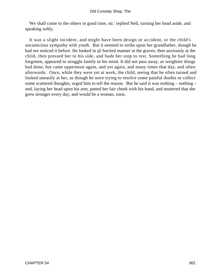'We shall come to the others in good time, sir,' replied Nell, turning her head aside, and speaking softly.

 It was a slight incident, and might have been design or accident, or the child's unconscious sympathy with youth. But it seemed to strike upon her grandfather, though he had not noticed it before. He looked in @ hurried manner at the graves, then anxiously at the child, then pressed her to his side, and bade her stop to rest. Something he had long forgotten, appeared to struggle faintly in his mind. It did not pass away, as weightier things had done; but came uppermost again, and yet again, and many times that day, and often afterwards. Once, while they were yet at work, the child, seeing that he often turned and looked uneasily at her, as though he were trying to resolve some painful doubts or collect some scattered thoughts, urged him to tell the reason. But he said it was nothing – nothing – and, laying her head upon his arm, patted her fair cheek with his hand, and muttered that she grew stronger every day, and would be a woman, soon.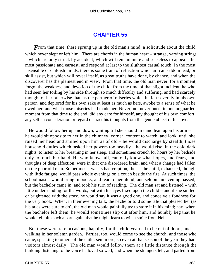### **[CHAPTER 55](#page-496-0)**

*F* rom that time, there sprung up in the old man's mind, a solicitude about the child which never slept or left him. There are chords in the human heart – strange, varying strings – which are only struck by accident; which will remain mute and senseless to appeals the most passionate and earnest, and respond at last to the slightest casual touch. In the most insensible or childish minds, there is some train of reflection which art can seldom lead, or skill assist, but which will reveal itself, as great truths have done, by chance, and when the discoverer has the plainest end in view. From that time, the old man never, for a moment, forgot the weakness and devotion of the child; from the time of that slight incident, he who had seen her toiling by his side through so much difficulty and suffering, and had scarcely thought of her otherwise than as the partner of miseries which he felt severely in his own person, and deplored for his own sake at least as much as hers, awoke to a sense of what he owed her, and what those miseries had made her. Never, no, never once, in one unguarded moment from that time to the end, did any care for himself, any thought of his own comfort, any selfish consideration or regard distract his thoughts from the gentle object of his love.

 He would follow her up and down, waiting till she should tire and lean upon his arm – he would sit opposite to her in the chimney−corner, content to watch, and look, until she raised her head and smiled upon him as of old – he would discharge by stealth, those household duties which tasked her powers too heavily – he would rise, in the cold dark nights, to listen to her breathing in her sleep, and sometimes crouch for hours by her bedside only to touch her hand. He who knows all, can only know what hopes, and fears, and thoughts of deep affection, were in that one disordered brain, and what a change had fallen on the poor old man. Sometimes – weeks had crept on, then – the child, exhausted, though with little fatigue, would pass whole evenings on a couch beside the fire. At such times, the schoolmaster would bring in books, and read to her aloud; and seldom an evening passed, but the bachelor came in, and took his turn of reading. The old man sat and listened – with little understanding for the words, but with his eyes fixed upon the child – and if she smiled or brightened with the story, he would say it was a good one, and conceive a fondness for the very book. When, in their evening talk, the bachelor told some tale that pleased her (as his tales were sure to do), the old man would painfully try to store it in his mind; nay, when the bachelor left them, he would sometimes slip out after him, and humbly beg that he would tell him such a part again, that he might learn to win a smile from Nell.

 But these were rare occasions, happily; for the child yearned to be out of doors, and walking in her solemn garden. Parties, too, would come to see the church; and those who came, speaking to others of the child, sent more; so even at that season of the year they had visitors almost daily. The old man would follow them at a little distance through the building, listening to the voice he loved so well; and when the strangers left, and parted from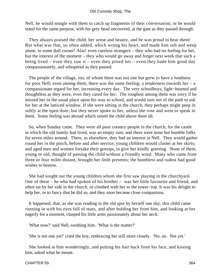Nell, he would mingle with them to catch up fragments of their conversation; or he would stand for the same purpose, with his grey head uncovered, at the gate as they passed through.

 They always praised the child, her sense and beauty, and he was proud to hear them! But what was that, so often added, which wrung his heart, and made him sob and weep alone, in some dull corner! Alas! even careless strangers – they who had no feeling for her, but the interest of the moment – they who would go away and forget next week that such a being lived – even they saw it – even they pitied her – even they bade him good day compassionately, and whispered as they passed.

 The people of the village, too, of whom there was not one but grew to have a fondness for poor Nell; even among them, there was the same feeling; a tenderness towards her  $- a$ compassionate regard for her, increasing every day. The very schoolboys, light−hearted and thoughtless as they were, even they cared for her. The roughest among them was sorry if he missed her in the usual place upon his way to school, and would turn out of the path to ask for her at the latticed window. If she were sitting in the church, they perhaps might peep in softly at the open door; but they never spoke to her, unless she rose and went to speak to them. Some feeling was abroad which raised the child above them all.

 So, when Sunday came. They were all poor country people in the church, for the castle in which the old family had lived, was an empty ruin, and there were none but humble folks for seven miles around. There, as elsewhere, they had an interest in Nell. They would gather round her in the porch, before and after service; young children would cluster at her skirts; and aged men and women forsake their gossips, to give her kindly greeting. None of them, young or old, thought of passing the child without a friendly word. Many who came from three or four miles distant, brought her little presents; the humblest and rudest had good wishes to bestow.

 She had sought out the young children whom she first saw playing in the churchyard. One of these – he who had spoken of his brother – was her little favourite and friend, and often sat by her side in the church, or climbed with her to the tower−top. It was his delight to help her, or to fancy that he did so, and they soon became close companions.

 It happened, that, as she was reading in the old spot by herself one day, this child came running in with his eyes full of tears, and after holding her from him, and looking at her eagerly for a moment, clasped his little arms passionately about her neck.

'What now?' said Nell, soothing him. 'What is the matter?'

'She is not one yet!' cried the boy, embracing her still more closely. 'No, no. Not yet.'

 She looked at him wonderingly, and putting his hair back from his face, and kissing him, asked what he meant.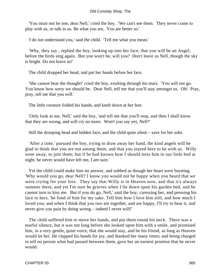'You must not be one, dear Nell,' cried the boy. 'We can't see them. They never come to play with us, or talk to us. Be what you are. You are better so.'

'I do not understand you,' said the child. 'Tell me what you mean.'

 'Why, they say , replied the boy, looking up into her face, that you will be an Angel, before the birds sing again. But you won't be, will you? Don't leave us Nell, though the sky is bright. Do not leave us!'

The child dropped her head, and put her hands before her face.

 'She cannot bear the thought!' cried the boy, exulting through his tears. 'You will not go. You know how sorry we should be. Dear Nell, tell me that you'll stay amongst us. Oh! Pray, pray, tell me that you will.'

The little creature folded his hands, and knelt down at her feet.

 'Only look at me, Nell,' said the boy, 'and tell me that you'll stop, and then I shall know that they are wrong, and will cry no more. Won't you say yes, Nell?'

Still the drooping head and hidden face, and the child quite silent – save for her sobs.

 'After a time,' pursued the boy, trying to draw away her hand, the kind angels will be glad to think that you are not among them, and that you stayed here to be with us. Willy went away, to join them; but if he had known how I should miss him in our little bed at night, he never would have left me, I am sure.'

 Yet the child could make him no answer, and sobbed as though her heart were bursting. 'Why would you go, dear Nell? I know you would not be happy when you heard that we were crying for your loss. They say that Willy is in Heaven now, and that it's always summer there, and yet I'm sure he grieves when I lie down upon his garden bed, and he cannot turn to kiss me. But if you do go, Nell,' said the boy, caressing her, and pressing his face to hers, 'be fond of him for my sake. Tell him how I love him still, and how much I loved you; and when I think that you two are together, and are happy, I'll try to bear it, and never give you pain by doing wrong – indeed I never will!'

 The child suffered him to move her hands, and put them round his neck. There was a tearful silence, but it was not long before she looked upon him with a smile, and promised him, in a very gentle, quiet voice, that she would stay, and be his friend, as long as Heaven would let her. He clapped his hands for joy, and thanked her many times; and being charged to tell no person what had passed between them, gave her an earnest promise that he never would.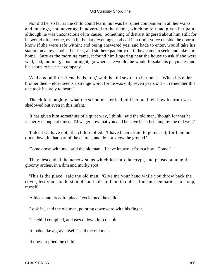Nor did he, so far as the child could learn; but was her quiet companion in all her walks and musings, and never again adverted to the theme, which he felt had given her pain, although he was unconscious of its cause. Something of distrust lingered about him still; for he would often come, even in the dark evenings, and call in a timid voice outside the door to know if she were safe within; and being answered yes, and bade to enter, would take his station on a low stool at her feet, and sit there patiently until they came to seek, and take him home. Sure as the morning came, it found him lingering near the house to ask if she were well; and, morning, noon, or night, go where she would, he would forsake his playmates and his sports to bear her company.

 'And a good little friend he is, too,' said the old sexton to her once. 'When his elder brother died – elder seems a strange word, for he was only seven years old – I remember this one took it sorely to heart.'

 The child thought of what the schoolmaster had told her, and felt how its truth was shadowed out even in this infant.

 'It has given him something of a quiet way, I think,' said the old man, 'though for that he is merry enough at times. I'd wager now that you and he have been listening by the old well.'

 'Indeed we have not,' the child replied. 'I have been afraid to go near it; for I am not often down in that part of the church, and do not know the ground.'

'Come down with me,' said the old man. 'I have known it from a boy. Come!'

 They descended the narrow steps which led into the crypt, and paused among the gloomy arches, in a dim and murky spot.

 'This is the place,' said the old man. 'Give me your hand while you throw back the cover, lest you should stumble and fall in. I am too old – I mean rheumatic – to stoop, myself.'

'A black and dreadful place!' exclaimed the child.

'Look in,' said the old man, pointing downward with his finger.

The child complied, and gazed down into the pit.

'It looks like a grave itself,' said the old man.

'It does,' replied the child.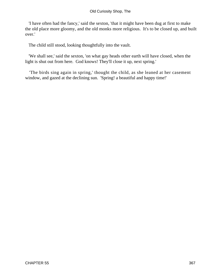'I have often had the fancy,' said the sexton, 'that it might have been dug at first to make the old place more gloomy, and the old monks more religious. It's to be closed up, and built over.'

The child still stood, looking thoughtfully into the vault.

 'We shall see,' said the sexton, 'on what gay heads other earth will have closed, when the light is shut out from here. God knows! They'll close it up, next spring.'

 'The birds sing again in spring,' thought the child, as she leaned at her casement window, and gazed at the declining sun. 'Spring! a beautiful and happy time!'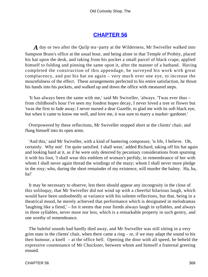### **[CHAPTER 56](#page-496-0)**

*A* day or two after the Quilp tea−party at the Wilderness, Mr Swiveller walked into Sampson Brass's office at the usual hour, and being alone in that Temple of Probity, placed his hat upon the desk, and taking from his pocket a small parcel of black crape, applied himself to folding and pinning the same upon it, after the manner of a hatband. Having completed the construction of this appendage, he surveyed his work with great complacency, and put his hat on again – very much over one eye, to increase the mournfulness of the effect. These arrangements perfected to his entire satisfaction, he thrust his hands into his pockets, and walked up and down the office with measured steps.

 'It has always been the same with me,' said Mr Swiveller, 'always. 'Twas ever thus – from childhood's hour I've seen my fondest hopes decay, I never loved a tree or flower but 'twas the first to fade away; I never nursed a dear Gazelle, to glad me with its soft black eye, but when it came to know me well, and love me, it was sure to marry a market−gardener.'

 Overpowered by these reflections, Mr Swiveller stopped short at the clients' chair, and flung himself into its open arms.

 'And this,' said Mr Swiveller, with a kind of bantering composure, 'is life, I believe. Oh, certainly. Why not! I'm quite satisfied. I shall wear,' added Richard, taking off his hat again and looking hard at it, as if he were only deterred by pecuniary considerations from spurning it with his foot, 'I shall wear this emblem of woman's perfidy, in remembrance of her with whom I shall never again thread the windings of the mazy; whom I shall never more pledge in the rosy; who, during the short remainder of my existence, will murder the balmy. Ha, ha, ha!'

 It may be necessary to observe, lest there should appear any incongruity in the close of this soliloquy, that Mr Swiveller did not wind up with a cheerful hilarious laugh, which would have been undoubtedly at variance with his solemn reflections, but that, being in a theatrical mood, he merely achieved that performance which is designated in melodramas 'laughing like a fiend,' – for it seems that your fiends always laugh in syllables, and always in three syllables, never more nor less, which is a remarkable property in such gentry, and one worthy of remembrance.

 The baleful sounds had hardly died away, and Mr Swiveller was still sitting in a very grim state in the clients' chair, when there came a ring  $-$  or, if we may adapt the sound to his then humour, a knell – at the office bell. Opening the door with all speed, he beheld the expressive countenance of Mr Chuckster, between whom and himself a fraternal greeting ensued.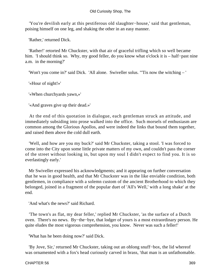'You're devilish early at this pestiferous old slaughter−house,' said that gentleman, poising himself on one leg, and shaking the other in an easy manner.

'Rather,' returned Dick.

 'Rather!' retorted Mr Chuckster, with that air of graceful trifling which so well became him. 'I should think so. Why, my good feller, do you know what o'clock it is – half−past nine a.m. in the morning?'

'Won't you come in?' said Dick. 'All alone. Swiveller solus. "'Tis now the witching – '

'«Hour of night!»'

'«When churchyards yawn,»'

'«And graves give up their dead.»'

 At the end of this quotation in dialogue, each gentleman struck an attitude, and immediately subsiding into prose walked into the office. Such morsels of enthusiasm are common among the Glorious Apollos, and were indeed the links that bound them together, and raised them above the cold dull earth.

 'Well, and how are you my buck?' said Mr Chuckster, taking a stool. 'I was forced to come into the City upon some little private matters of my own, and couldn't pass the corner of the street without looking in, but upon my soul I didn't expect to find you. It is so everlastingly early.'

 Mr Swiveller expressed his acknowledgments; and it appearing on further conversation that he was in good health, and that Mr Chuckster was in the like enviable condition, both gentlemen, in compliance with a solemn custom of the ancient Brotherhood to which they belonged, joined in a fragment of the popular duet of 'All's Well,' with a long shake' at the end.

'And what's the news?' said Richard.

 'The town's as flat, my dear feller,' replied Mr Chuckster, 'as the surface of a Dutch oven. There's no news. By−the−bye, that lodger of yours is a most extraordinary person. He quite eludes the most vigorous comprehension, you know. Never was such a feller!'

'What has he been doing now?' said Dick.

 'By Jove, Sir,' returned Mr Chuckster, taking out an oblong snuff−box, the lid whereof was ornamented with a fox's head curiously carved in brass, 'that man is an unfathomable.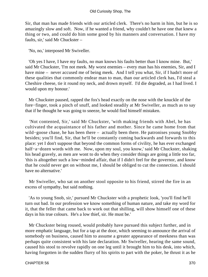Sir, that man has made friends with our articled clerk. There's no harm in him, but he is so amazingly slow and soft. Now, if he wanted a friend, why couldn't he have one that knew a thing or two, and could do him some good by his manners and conversation. I have my faults, sir,' said Mr Chuckster –

'No, no,' interposed Mr Swiveller.

 'Oh yes I have, I have my faults, no man knows his faults better than I know mine. But,' said Mr Chuckster, 'I'm not meek. My worst enemies – every man has his enemies, Sir, and I have mine – never accused me of being meek. And I tell you what, Sir, if I hadn't more of these qualities that commonly endear man to man, than our articled clerk has, I'd steal a Cheshire cheese, tie it round my neck, and drown myself. I'd die degraded, as I had lived. I would upon my honour.'

 Mr Chuckster paused, rapped the fox's head exactly on the nose with the knuckle of the fore−finger, took a pinch of snuff, and looked steadily at Mr Swiveller, as much as to say that if he thought he was going to sneeze, he would find himself mistaken.

 'Not contented, Sir,' said Mr Chuckster, 'with making friends with Abel, he has cultivated the acquaintance of his father and mother. Since he came home from that wild−goose chase, he has been there – actually been there. He patronises young Snobby besides; you'll find, Sir, that he'll be constantly coming backwards and forwards to this place: yet I don't suppose that beyond the common forms of civility, he has ever exchanged half−a−dozen words with me. Now, upon my soul, you know,' said Mr Chuckster, shaking his head gravely, as men are wont to do when they consider things are going a little too far, 'this is altogether such a low−minded affair, that if I didn't feel for the governor, and know that he could never get on without me, I should be obliged to cut the connection. I should have no alternative.'

 Mr Swiveller, who sat on another stool opposite to his friend, stirred the fire in an excess of sympathy, but said nothing.

 'As to young Snob, sir,' pursued Mr Chuckster with a prophetic look, 'you'll find he'll turn out bad. In our profession we know something of human nature, and take my word for it, that the feller that came back to work out that shilling, will show himself one of these days in his true colours. He's a low thief, sir. He must be.'

 Mr Chuckster being roused, would probably have pursued this subject further, and in more emphatic language, but for a tap at the door, which seeming to announce the arrival of somebody on business, caused him to assume a greater appearance of meekness than was perhaps quite consistent with his late declaration. Mr Swiveller, hearing the same sound, caused his stool to revolve rapidly on one leg until it brought him to his desk, into which, having forgotten in the sudden flurry of his spirits to part with the poker, he thrust it as he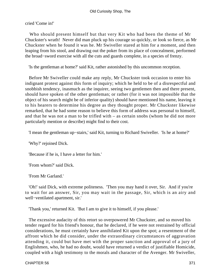cried 'Come in!'

 Who should present himself but that very Kit who had been the theme of Mr Chuckster's wrath! Never did man pluck up his courage so quickly, or look so fierce, as Mr Chuckster when he found it was he. Mr Swiveller stared at him for a moment, and then leaping from his stool, and drawing out the poker from its place of concealment, performed the broad−sword exercise with all the cuts and guards complete, in a species of frenzy.

'Is the gentleman at home?' said Kit, rather astonished by this uncommon reception.

 Before Mr Swiveller could make any reply, Mr Chuckster took occasion to enter his indignant protest against this form of inquiry; which he held to be of a disrespectful and snobbish tendency, inasmuch as the inquirer, seeing two gentlemen then and there present, should have spoken of the other gentleman; or rather (for it was not impossible that the object of his search might be of inferior quality) should have mentioned his name, leaving it to his hearers to determine his degree as they thought proper. Mr Chuckster likewise remarked, that he had some reason to believe this form of address was personal to himself, and that he was not a man to be trifled with – as certain snobs (whom he did not more particularly mention or describe) might find to their cost.

'I mean the gentleman up−stairs,' said Kit, turning to Richard Swiveller. 'Is he at home?'

'Why?' rejoined Dick.

'Because if he is, I have a letter for him.'

'From whom?' said Dick.

'From Mr Garland.'

 'Oh!' said Dick, with extreme politeness. 'Then you may hand it over, Sir. And if you're to wait for an answer, Sir, you may wait in the passage, Sir, which is an airy and well−ventilated apartment, sir.'

'Thank you,' returned Kit. 'But I am to give it to himself, if you please.'

 The excessive audacity of this retort so overpowered Mr Chuckster, and so moved his tender regard for his friend's honour, that he declared, if he were not restrained by official considerations, he must certainly have annihilated Kit upon the spot; a resentment of the affront which he did consider, under the extraordinary circumstances of aggravation attending it, could but have met with the proper sanction and approval of a jury of Englishmen, who, he had no doubt, would have returned a verdict of justifiable Homicide, coupled with a high testimony to the morals and character of the Avenger. Mr Swiveller,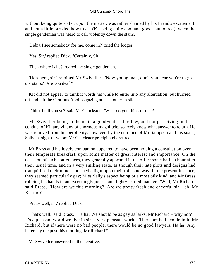without being quite so hot upon the matter, was rather shamed by his friend's excitement, and not a little puzzled how to act (Kit being quite cool and good−humoured), when the single gentleman was heard to call violently down the stairs.

'Didn't I see somebody for me, come in?' cried the lodger.

'Yes, Sir,' replied Dick. 'Certainly, Sir.'

'Then where is he?' roared the single gentleman.

 'He's here, sir,' rejoined Mr Swiveller. 'Now young man, don't you hear you're to go up−stairs? Are you deaf?'

 Kit did not appear to think it worth his while to enter into any altercation, but hurried off and left the Glorious Apollos gazing at each other in silence.

'Didn't I tell you so?' said Mr Chuckster. 'What do you think of that?'

 Mr Swiveller being in the main a good−natured fellow, and not perceiving in the conduct of Kit any villany of enormous magnitude, scarcely knew what answer to return. He was relieved from his perplexity, however, by the entrance of Mr Sampson and his sister, Sally, at sight of whom Mr Chuckster precipitately retired.

 Mr Brass and his lovely companion appeared to have been holding a consultation over their temperate breakfast, upon some matter of great interest and importance. On the occasion of such conferences, they generally appeared in the office some half an hour after their usual time, and in a very smiling state, as though their late plots and designs had tranquillised their minds and shed a light upon their toilsome way. In the present instance, they seemed particularly gay; Miss Sally's aspect being of a most oily kind, and Mr Brass rubbing his hands in an exceedingly jocose and light−hearted manner. 'Well, Mr Richard,' said Brass. 'How are we this morning? Are we pretty fresh and cheerful sir – eh, Mr Richard?'

'Pretty well, sir,' replied Dick.

 'That's well,' said Brass. 'Ha ha! We should be as gay as larks, Mr Richard – why not? It's a pleasant world we live in sir, a very pleasant world. There are bad people in it, Mr Richard, but if there were no bad people, there would be no good lawyers. Ha ha! Any letters by the post this morning, Mr Richard?'

Mr Swiveller answered in the negative.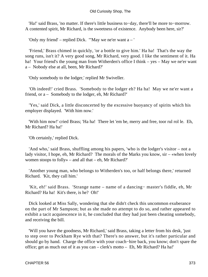'Ha!' said Brass, 'no matter. If there's little business to−day, there'll be more to−morrow. A contented spirit, Mr Richard, is the sweetness of existence. Anybody been here, sir?'

'Only my friend' – replied Dick. '"May we ne'er want a – '

 'Friend,' Brass chimed in quickly, 'or a bottle to give him.' Ha ha! That's the way the song runs, isn't it? A very good song, Mr Richard, very good. I like the sentiment of it. Ha ha! Your friend's the young man from Witherden's office I think – yes – May we ne'er want a – Nobody else at all, been, Mr Richard?'

'Only somebody to the lodger,' replied Mr Swiveller.

 'Oh indeed!' cried Brass. 'Somebody to the lodger eh? Ha ha! May we ne'er want a friend, or a – Somebody to the lodger, eh, Mr Richard?'

 'Yes,' said Dick, a little disconcerted by the excessive buoyancy of spirits which his employer displayed. 'With him now.'

 'With him now!' cried Brass; 'Ha ha! There let 'em be, merry and free, toor rul rol le. Eh, Mr Richard? Ha ha!'

'Oh certainly,' replied Dick.

 'And who,' said Brass, shuffling among his papers, 'who is the lodger's visitor – not a lady visitor, I hope, eh, Mr Richard? The morals of the Marks you know,  $\sin$  – «when lovely women stoops to folly» – and all that – eh, Mr Richard?'

 'Another young man, who belongs to Witherden's too, or half belongs there,' returned Richard. 'Kit, they call him.'

 'Kit, eh!' said Brass. 'Strange name – name of a dancing− master's fiddle, eh, Mr Richard? Ha ha! Kit's there, is he? Oh!'

 Dick looked at Miss Sally, wondering that she didn't check this uncommon exuberance on the part of Mr Sampson; but as she made no attempt to do so, and rather appeared to exhibit a tacit acquiescence in it, he concluded that they had just been cheating somebody, and receiving the bill.

 'Will you have the goodness, Mr Richard,' said Brass, taking a letter from his desk, 'just to step over to Peckham Rye with that? There's no answer, but it's rather particular and should go by hand. Charge the office with your coach−hire back, you know; don't spare the office; get as much out of it as you can – clerk's motto – Eh, Mr Richard? Ha ha!'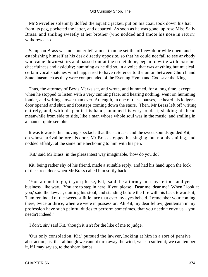Mr Swiveller solemnly doffed the aquatic jacket, put on his coat, took down his hat from its peg, pocketed the letter, and departed. As soon as he was gone, up rose Miss Sally Brass, and smiling sweetly at her brother (who nodded and smote his nose in return) withdrew also.

 Sampson Brass was no sooner left alone, than he set the office− door wide open, and establishing himself at his desk directly opposite, so that he could not fail to see anybody who came down−stairs and passed out at the street door, began to write with extreme cheerfulness and assiduity; humming as he did so, in a voice that was anything but musical, certain vocal snatches which appeared to have reference to the union between Church and State, inasmuch as they were compounded of the Evening Hymn and God save the King.

 Thus, the attorney of Bevis Marks sat, and wrote, and hummed, for a long time, except when he stopped to listen with a very cunning face, and hearing nothing, went on humming louder, and writing slower than ever. At length, in one of these pauses, he heard his lodger's door opened and shut, and footsteps coming down the stairs. Then, Mr Brass left off writing entirely, and, with his pen in his hand, hummed his very loudest; shaking his head meanwhile from side to side, like a man whose whole soul was in the music, and smiling in a manner quite seraphic.

 It was towards this moving spectacle that the staircase and the sweet sounds guided Kit; on whose arrival before his door, Mr Brass stopped his singing, but not his smiling, and nodded affably: at the same time beckoning to him with his pen.

'Kit,' said Mr Brass, in the pleasantest way imaginable, 'how do you do?'

 Kit, being rather shy of his friend, made a suitable reply, and had his hand upon the lock of the street door when Mr Brass called him softly back.

 'You are not to go, if you please, Kit,' said the attorney in a mysterious and yet business−like way. 'You are to step in here, if you please. Dear me, dear me! When I look at you,' said the lawyer, quitting his stool, and standing before the fire with his back towards it, 'I am reminded of the sweetest little face that ever my eyes beheld. I remember your coming there, twice or thrice, when we were in possession. Ah Kit, my dear fellow, gentleman in my profession have such painful duties to perform sometimes, that you needn't envy us – you needn't indeed!'

'I don't, sir,' said Kit, 'though it isn't for the like of me to judge.'

 'Our only consolation, Kit,' pursued the lawyer, looking at him in a sort of pensive abstraction, 'is, that although we cannot turn away the wind, we can soften it; we can temper it, if I may say so, to the shorn lambs.'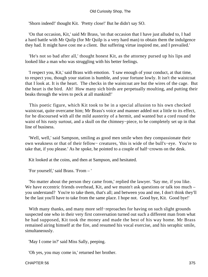'Shorn indeed!' thought Kit. 'Pretty close!' But he didn't say SO.

 'On that occasion, Kit,' said Mr Brass, 'on that occasion that I have just alluded to, I had a hard battle with Mr Quilp (for Mr Quilp is a very hard man) to obtain them the indulgence they had. It might have cost me a client. But suffering virtue inspired me, and I prevailed.'

 'He's not so bad after all,' thought honest Kit, as the attorney pursed up his lips and looked like a man who was struggling with his better feelings.

 'I respect you, Kit,' said Brass with emotion. 'I saw enough of your conduct, at that time, to respect you, though your station is humble, and your fortune lowly. It isn't the waistcoat that I look at. It is the heart. The checks in the waistcoat are but the wires of the cage. But the heart is the bird. Ah! How many sich birds are perpetually moulting, and putting their beaks through the wires to peck at all mankind!'

 This poetic figure, which Kit took to be in a special allusion to his own checked waistcoat, quite overcame him; Mr Brass's voice and manner added not a little to its effect, for he discoursed with all the mild austerity of a hermit, and wanted but a cord round the waist of his rusty surtout, and a skull on the chimney−piece, to be completely set up in that line of business.

 'Well, well,' said Sampson, smiling as good men smile when they compassionate their own weakness or that of their fellow− creatures, 'this is wide of the bull's−eye. You're to take that, if you please.' As he spoke, he pointed to a couple of half−crowns on the desk.

Kit looked at the coins, and then at Sampson, and hesitated.

'For yourself,' said Brass. 'From – '

 'No matter about the person they came from,' replied the lawyer. 'Say me, if you like. We have eccentric friends overhead, Kit, and we mustn't ask questions or talk too much – you understand? You're to take them, that's all; and between you and me, I don't think they'll be the last you'll have to take from the same place. I hope not. Good bye, Kit. Good bye!'

 With many thanks, and many more self−reproaches for having on such slight grounds suspected one who in their very first conversation turned out such a different man from what he had supposed, Kit took the money and made the best of his way home. Mr Brass remained airing himself at the fire, and resumed his vocal exercise, and his seraphic smile, simultaneously.

'May I come in?' said Miss Sally, peeping.

'Oh yes, you may come in,' returned her brother.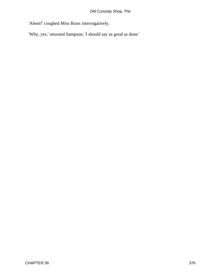'Ahem!' coughed Miss Brass interrogatively.

'Why, yes,' returned Sampson, 'I should say as good as done.'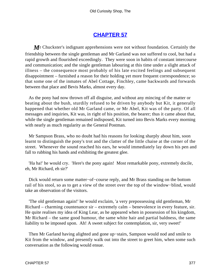# **[CHAPTER 57](#page-496-0)**

*M*r Chuckster's indignant apprehensions were not without foundation. Certainly the friendship between the single gentleman and Mr Garland was not suffered to cool, but had a rapid growth and flourished exceedingly. They were soon in habits of constant intercourse and communication; and the single gentleman labouring at this time under a slight attack of illness – the consequence most probably of his late excited feelings and subsequent disappointment – furnished a reason for their holding yet more frequent correspondence; so that some one of the inmates of Abel Cottage, Finchley, came backwards and forwards between that place and Bevis Marks, almost every day.

 As the pony had now thrown off all disguise, and without any mincing of the matter or beating about the bush, sturdily refused to be driven by anybody but Kit, it generally happened that whether old Mr Garland came, or Mr Abel, Kit was of the party. Of all messages and inquiries, Kit was, in right of his position, the bearer; thus it came about that, while the single gentleman remained indisposed, Kit turned into Bevis Marks every morning with nearly as much regularity as the General Postman.

 Mr Sampson Brass, who no doubt had his reasons for looking sharply about him, soon learnt to distinguish the pony's trot and the clatter of the little chaise at the corner of the street. Whenever the sound reached his ears, he would immediately lay down his pen and fall to rubbing his hands and exhibiting the greatest glee.

 'Ha ha!' he would cry. 'Here's the pony again! Most remarkable pony, extremely docile, eh, Mr Richard, eh sir?'

 Dick would return some matter−of−course reply, and Mr Brass standing on the bottom rail of his stool, so as to get a view of the street over the top of the window−blind, would take an observation of the visitors.

 'The old gentleman again!' he would exclaim, 'a very prepossessing old gentleman, Mr Richard – charming countenance sir – extremely calm – benevolence in every feature, sir. He quite realises my idea of King Lear, as he appeared when in possession of his kingdom, Mr Richard – the same good humour, the same white hair and partial baldness, the same liability to be imposed upon. Ah! A sweet subject for contemplation, sir, very sweet!'

 Then Mr Garland having alighted and gone up−stairs, Sampson would nod and smile to Kit from the window, and presently walk out into the street to greet him, when some such conversation as the following would ensue.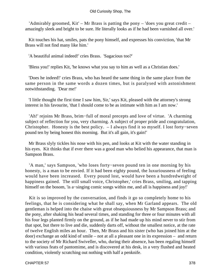'Admirably groomed, Kit' – Mr Brass is patting the pony – 'does you great credit – amazingly sleek and bright to be sure. He literally looks as if he had been varnished all over.'

 Kit touches his hat, smiles, pats the pony himself, and expresses his conviction, 'that Mr Brass will not find many like him.'

'A beautiful animal indeed!' cries Brass. 'Sagacious too?'

'Bless you!' replies Kit, 'he knows what you say to him as well as a Christian does.'

 'Does he indeed!' cries Brass, who has heard the same thing in the same place from the same person in the same words a dozen times, but is paralysed with astonishment notwithstanding. 'Dear me!'

 'I little thought the first time I saw him, Sir,' says Kit, pleased with the attorney's strong interest in his favourite, 'that I should come to be as intimate with him as I am now.'

 'Ah!' rejoins Mr Brass, brim−full of moral precepts and love of virtue. 'A charming subject of reflection for you, very charming. A subject of proper pride and congratulation, Christopher. Honesty is the best policy. – I always find it so myself. I lost forty−seven pound ten by being honest this morning. But it's all gain, it's gain!'

 Mr Brass slyly tickles his nose with his pen, and looks at Kit with the water standing in his eyes. Kit thinks that if ever there was a good man who belied his appearance, that man is Sampson Brass.

 'A man,' says Sampson, 'who loses forty−seven pound ten in one morning by his honesty, is a man to be envied. If it had been eighty pound, the luxuriousness of feeling would have been increased. Every pound lost, would have been a hundredweight of happiness gained. The still small voice, Christopher,' cries Brass, smiling, and tapping himself on the bosom, 'is a−singing comic songs within me, and all is happiness and joy!'

 Kit is so improved by the conversation, and finds it go so completely home to his feelings, that he is considering what he shall say, when Mr Garland appears. The old gentleman is helped into the chaise with great obsequiousness by Mr Sampson Brass; and the pony, after shaking his head several times, and standing for three or four minutes with all his four legs planted firmly on the ground, as if he had made up his mind never to stir from that spot, but there to live and die, suddenly darts off, without the smallest notice, at the rate of twelve English miles an hour. Then, Mr Brass and his sister (who has joined him at the door) exchange an odd kind of smile – not at all a pleasant one in its expression – and return to the society of Mr Richard Swiveller, who, during their absence, has been regaling himself with various feats of pantomime, and is discovered at his desk, in a very flushed and heated condition, violently scratching out nothing with half a penknife.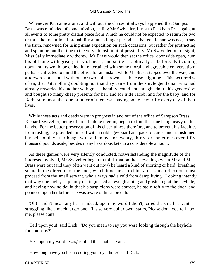Whenever Kit came alone, and without the chaise, it always happened that Sampson Brass was reminded of some mission, calling Mr Swiveller, if not to Peckham Rye again, at all events to some pretty distant place from Which he could not be expected to return for two or three hours, or in all probability a much longer period, as that gentleman was not, to say the truth, renowned for using great expedition on such occasions, but rather for protracting and spinning out the time to the very utmost limit of possibility. Mr Swiveller out of sight, Miss Sally immediately withdrew. Mr Brass would then set the office−door wide open, hum his old tune with great gaiety of heart, and smile seraphically as before. Kit coming down−stairs would be called in; entertained with some moral and agreeable conversation; perhaps entreated to mind the office for an instant while Mr Brass stepped over the way; and afterwards presented with one or two half−crowns as the case might be. This occurred so often, that Kit, nothing doubting but that they came from the single gentleman who had already rewarded his mother with great liberality, could not enough admire his generosity; and bought so many cheap presents for her, and for little Jacob, and for the baby, and for Barbara to boot, that one or other of them was having some new trifle every day of their lives.

 While these acts and deeds were in progress in and out of the office of Sampson Brass, Richard Swiveller, being often left alone therein, began to find the time hang heavy on his hands. For the better preservation of his cheerfulness therefore, and to prevent his faculties from rusting, he provided himself with a cribbage−board and pack of cards, and accustomed himself to play at cribbage with a dummy, for twenty, thirty, or sometimes even fifty thousand pounds aside, besides many hazardous bets to a considerable amount.

 As these games were very silently conducted, notwithstanding the magnitude of the interests involved, Mr Swiveller began to think that on those evenings when Mr and Miss Brass were out (and they often went out now) he heard a kind of snorting or hard−breathing sound in the direction of the door, which it occurred to him, after some reflection, must proceed from the small servant, who always had a cold from damp living. Looking intently that way one night, he plainly distinguished an eye gleaming and glistening at the keyhole; and having now no doubt that his suspicions were correct, he stole softly to the door, and pounced upon her before she was aware of his approach.

 'Oh! I didn't mean any harm indeed, upon my word I didn't,' cried the small servant, struggling like a much larger one. 'It's so very dull, down−stairs, Please don't you tell upon me, please don't.'

 'Tell upon you!' said Dick. 'Do you mean to say you were looking through the keyhole for company?'

'Yes, upon my word I was,' replied the small servant.

'How long have you been cooling your eye there?' said Dick.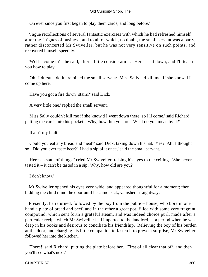'Oh ever since you first began to play them cards, and long before.'

 Vague recollections of several fantastic exercises with which he had refreshed himself after the fatigues of business, and to all of which, no doubt, the small servant was a party, rather disconcerted Mr Swiveller; but he was not very sensitive on such points, and recovered himself speedily.

 'Well – come in' – he said, after a little consideration. 'Here – sit down, and I'll teach you how to play.'

 'Oh! I durstn't do it,' rejoined the small servant; 'Miss Sally 'ud kill me, if she know'd I come up here.'

'Have you got a fire down−stairs?' said Dick.

'A very little one,' replied the small servant.

 'Miss Sally couldn't kill me if she know'd I went down there, so I'll come,' said Richard, putting the cards into his pocket. 'Why, how thin you are! What do you mean by it?'

'It ain't my fault.'

 'Could you eat any bread and meat?' said Dick, taking down his hat. 'Yes? Ah! I thought so. Did you ever taste beer?' 'I had a sip of it once,' said the small servant.

 'Here's a state of things!' cried Mr Swiveller, raising his eyes to the ceiling. 'She never tasted it – it can't be tasted in a sip! Why, how old are you?'

'I don't know.'

 Mr Swiveller opened his eyes very wide, and appeared thoughtful for a moment; then, bidding the child mind the door until he came back, vanished straightway.

 Presently, he returned, followed by the boy from the public− house, who bore in one hand a plate of bread and beef, and in the other a great pot, filled with some very fragrant compound, which sent forth a grateful steam, and was indeed choice purl, made after a particular recipe which Mr Swiveller had imparted to the landlord, at a period when he was deep in his books and desirous to conciliate his friendship. Relieving the boy of his burden at the door, and charging his little companion to fasten it to prevent surprise, Mr Swiveller followed her into the kitchen.

 'There!' said Richard, putting the plate before her. 'First of all clear that off, and then you'll see what's next.'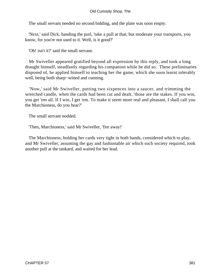The small servant needed no second bidding, and the plate was soon empty.

 'Next,' said Dick, handing the purl, 'take a pull at that; but moderate your transports, you know, for you're not used to it. Well, is it good?'

'Oh! isn't it?' said the small servant.

 Mr Swiveller appeared gratified beyond all expression by this reply, and took a long draught himself, steadfastly regarding his companion while he did so. These preliminaries disposed of, he applied himself to teaching her the game, which she soon learnt tolerably well, being both sharp−witted and cunning.

 'Now,' said Mr Swiveller, putting two sixpences into a saucer, and trimming the wretched candle, when the cards had been cut and dealt, 'those are the stakes. If you win, you get 'em all. If I win, I get 'em. To make it seem more real and pleasant, I shall call you the Marchioness, do you hear?'

The small servant nodded.

'Then, Marchioness,' said Mr Swiveller, 'fire away!'

 The Marchioness, holding her cards very tight in both hands, considered which to play, and Mr Swiveller, assuming the gay and fashionable air which such society required, took another pull at the tankard, and waited for her lead.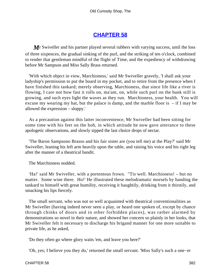## **[CHAPTER 58](#page-496-0)**

*M* Swiveller and his partner played several rubbers with varying success, until the loss of three sixpences, the gradual sinking of the purl, and the striking of ten o'clock, combined to render that gentleman mindful of the flight of Time, and the expediency of withdrawing before Mr Sampson and Miss Sally Brass returned.

 'With which object in view, Marchioness,' said Mr Swiveller gravely, 'I shall ask your ladyship's permission to put the board in my pocket, and to retire from the presence when I have finished this tankard; merely observing, Marchioness, that since life like a river is flowing, I care not how fast it rolls on, ma'am, on, while such purl on the bank still is growing, and such eyes light the waves as they run. Marchioness, your health. You will excuse my wearing my hat, but the palace is damp, and the marble floor is  $-$  if I may be allowed the expression – sloppy.'

 As a precaution against this latter inconvenience, Mr Swiveller had been sitting for some time with his feet on the hob, in which attitude he now gave utterance to these apologetic observations, and slowly sipped the last choice drops of nectar.

 'The Baron Sampsono Brasso and his fair sister are (you tell me) at the Play?' said Mr Swiveller, leaning his left arm heavily upon the table, and raising his voice and his right leg after the manner of a theatrical bandit.

The Marchioness nodded.

 'Ha!' said Mr Swiveller, with a portentous frown. ''Tis well. Marchioness! – but no matter. Some wine there. Ho!' He illustrated these melodramatic morsels by handing the tankard to himself with great humility, receiving it haughtily, drinking from it thirstily, and smacking his lips fiercely.

 The small servant, who was not so well acquainted with theatrical conventionalities as Mr Swiveller (having indeed never seen a play, or heard one spoken of, except by chance through chinks of doors and in other forbidden places), was rather alarmed by demonstrations so novel in their nature, and showed her concern so plainly in her looks, that Mr Swiveller felt it necessary to discharge his brigand manner for one more suitable to private life, as he asked,

'Do they often go where glory waits 'em, and leave you here?'

'Oh, yes; I believe you they do,' returned the small servant. 'Miss Sally's such a one−er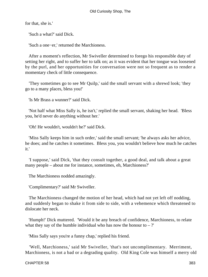for that, she is.'

'Such a what?' said Dick.

'Such a one−er,' returned the Marchioness.

 After a moment's reflection, Mr Swiveller determined to forego his responsible duty of setting her right, and to suffer her to talk on; as it was evident that her tongue was loosened by the purl, and her opportunities for conversation were not so frequent as to render a momentary check of little consequence.

 'They sometimes go to see Mr Quilp,' said the small servant with a shrewd look; 'they go to a many places, bless you!'

'Is Mr Brass a wunner?' said Dick.

 'Not half what Miss Sally is, he isn't,' replied the small servant, shaking her head. 'Bless you, he'd never do anything without her.'

'Oh! He wouldn't, wouldn't he?' said Dick.

 'Miss Sally keeps him in such order,' said the small servant; 'he always asks her advice, he does; and he catches it sometimes. Bless you, you wouldn't believe how much he catches it.'

 'I suppose,' said Dick, 'that they consult together, a good deal, and talk about a great many people – about me for instance, sometimes, eh, Marchioness?'

The Marchioness nodded amazingly.

'Complimentary?' said Mr Swiveller.

 The Marchioness changed the motion of her head, which had not yet left off nodding, and suddenly began to shake it from side to side, with a vehemence which threatened to dislocate her neck.

 'Humph!' Dick muttered. 'Would it be any breach of confidence, Marchioness, to relate what they say of the humble individual who has now the honour to  $-$  ?'

'Miss Sally says you're a funny chap,' replied his friend.

 'Well, Marchioness,' said Mr Swiveller, 'that's not uncomplimentary. Merriment, Marchioness, is not a bad or a degrading quality. Old King Cole was himself a merry old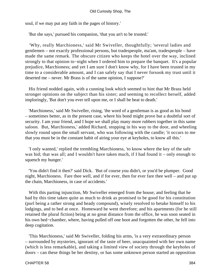soul, if we may put any faith in the pages of history.'

'But she says,' pursued his companion, 'that you an't to be trusted.'

 'Why, really Marchioness,' said Mr Swiveller, thoughtfully; 'several ladies and gentlemen – not exactly professional persons, but tradespeople, ma'am, tradespeople – have made the same remark. The obscure citizen who keeps the hotel over the way, inclined strongly to that opinion to−night when I ordered him to prepare the banquet. It's a popular prejudice, Marchioness; and yet I am sure I don't know why, for I have been trusted in my time to a considerable amount, and I can safely say that I never forsook my trust until it deserted me – never. Mr Brass is of the same opinion, I suppose?'

 His friend nodded again, with a cunning look which seemed to hint that Mr Brass held stronger opinions on the subject than his sister; and seeming to recollect herself, added imploringly, 'But don't you ever tell upon me, or I shall be beat to death.'

 'Marchioness,' said Mr Swiveller, rising, 'the word of a gentleman is as good as his bond – sometimes better, as in the present case, where his bond might prove but a doubtful sort of security. I am your friend, and I hope we shall play many more rubbers together in this same saloon. But, Marchioness,' added Richard, stopping in his way to the door, and wheeling slowly round upon the small servant, who was following with the candle; 'it occurs to me that you must be in the constant habit of airing your eye at keyholes, to know all this.'

 'I only wanted,' replied the trembling Marchioness, 'to know where the key of the safe was hid; that was all; and I wouldn't have taken much, if I had found it – only enough to squench my hunger.'

 'You didn't find it then?' said Dick. 'But of course you didn't, or you'd be plumper. Good night, Marchioness. Fare thee well, and if for ever, then for ever fare thee well – and put up the chain, Marchioness, in case of accidents.'

 With this parting injunction, Mr Swiveller emerged from the house; and feeling that he had by this time taken quite as much to drink as promised to be good for his constitution (purl being a rather strong and heady compound), wisely resolved to betake himself to his lodgings, and to bed at once. Homeward he went therefore; and his apartments (for he still retained the plural fiction) being at no great distance from the office, he was soon seated in his own bed−chamber, where, having pulled off one boot and forgotten the other, he fell into deep cogitation.

 'This Marchioness,' said Mr Swiveller, folding his arms, 'is a very extraordinary person – surrounded by mysteries, ignorant of the taste of beer, unacquainted with her own name (which is less remarkable), and taking a limited view of society through the keyholes of doors – can these things be her destiny, or has some unknown person started an opposition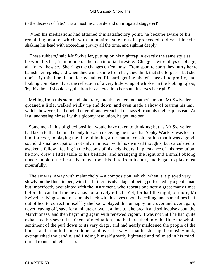to the decrees of fate? It is a most inscrutable and unmitigated staggerer!'

 When his meditations had attained this satisfactory point, he became aware of his remaining boot, of which, with unimpaired solemnity he proceeded to divest himself; shaking his head with exceeding gravity all the time, and sighing deeply.

 'These rubbers,' said Mr Swiveller, putting on his nightcap in exactly the same style as he wore his hat, 'remind me of the matrimonial fireside. Cheggs's wife plays cribbage; all−fours likewise. She rings the changes on 'em now. From sport to sport they hurry her to banish her regrets, and when they win a smile from her, they think that she forgets – but she don't. By this time, I should say,' added Richard, getting his left cheek into profile, and looking complacently at the reflection of a very little scrap of whisker in the looking−glass; 'by this time, I should say, the iron has entered into her soul. It serves her right!'

 Melting from this stern and obdurate, into the tender and pathetic mood, Mr Swiveller groaned a little, walked wildly up and down, and even made a show of tearing his hair, which, however, he thought better of, and wrenched the tassel from his nightcap instead. At last, undressing himself with a gloomy resolution, he got into bed.

 Some men in his blighted position would have taken to drinking; but as Mr Swiveller had taken to that before, he only took, on receiving the news that Sophy Wackles was lost to him for ever, to playing the flute; thinking after mature consideration that it was a good, sound, dismal occupation, not only in unison with his own sad thoughts, but calculated to awaken a fellow− feeling in the bosoms of his neighbours. In pursuance of this resolution, he now drew a little table to his bedside, and arranging the light and a small oblong music−book to the best advantage, took his flute from its box, and began to play most mournfully.

 The air was 'Away with melancholy' – a composition, which, when it is played very slowly on the flute, in bed, with the further disadvantage of being performed by a gentleman but imperfectly acquainted with the instrument, who repeats one note a great many times before he can find the next, has not a lively effect. Yet, for half the night, or more, Mr Swiveller, lying sometimes on his back with his eyes upon the ceiling, and sometimes half out of bed to correct himself by the book, played this unhappy tune over and over again; never leaving off, save for a minute or two at a time to take breath and soliloquise about the Marchioness, and then beginning again with renewed vigour. It was not until he had quite exhausted his several subjects of meditation, and had breathed into the flute the whole sentiment of the purl down to its very dregs, and had nearly maddened the people of the house, and at both the next doors, and over the way – that he shut up the music−book, extinguished the candle, and finding himself greatly lightened and relieved in his mind, turned round and fell asleep.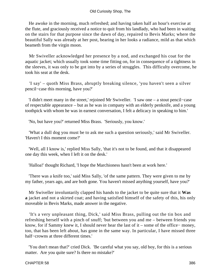He awoke in the morning, much refreshed; and having taken half an hour's exercise at the flute, and graciously received a notice to quit from his landlady, who had been in waiting on the stairs for that purpose since the dawn of day, repaired to Bevis Marks; where the beautiful Sally was already at her post, bearing in her looks a radiance, mild as that which beameth from the virgin moon.

 Mr Swiveller acknowledged her presence by a nod, and exchanged his coat for the aquatic jacket; which usually took some time fitting on, for in consequence of a tightness in the sleeves, it was only to be got into by a series of struggles. This difficulty overcome, he took his seat at the desk.

 'I say' – quoth Miss Brass, abruptly breaking silence, 'you haven't seen a silver pencil−case this morning, have you?'

 'I didn't meet many in the street,' rejoined Mr Swiveller. 'I saw one – a stout pencil−case of respectable appearance – but as he was in company with an elderly penknife, and a young toothpick with whom he was in earnest conversation, I felt a delicacy in speaking to him.'

'No, but have you?' returned Miss Brass. 'Seriously, you know.'

 'What a dull dog you must be to ask me such a question seriously,' said Mr Swiveller. 'Haven't I this moment come?'

 'Well, all I know is,' replied Miss Sally, 'that it's not to be found, and that it disappeared one day this week, when I left it on the desk.'

'Halloa!' thought Richard, 'I hope the Marchioness hasn't been at work here.'

 'There was a knife too,' said Miss Sally, 'of the same pattern. They were given to me by my father, years ago, and are both gone. You haven't missed anything yourself, have you?'

 Mr Swiveller involuntarily clapped his hands to the jacket to be quite sure that it **Was a** jacket and not a skirted coat; and having satisfied himself of the safety of this, his only moveable in Bevis Marks, made answer in the negative.

 'It's a very unpleasant thing, Dick,' said Miss Brass, pulling out the tin box and refreshing herself with a pinch of snuff; 'but between you and me – between friends you know, for if Sammy knew it, I should never hear the last of it – some of the office− money, too, that has been left about, has gone in the same way. In particular, I have missed three half−crowns at three different times.'

 'You don't mean that?' cried Dick. 'Be careful what you say, old boy, for this is a serious matter. Are you quite sure? Is there no mistake?'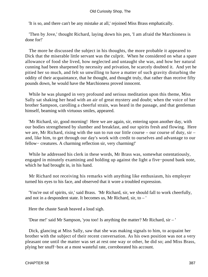'It is so, and there can't be any mistake at all,' rejoined Miss Brass emphatically.

 'Then by Jove,' thought Richard, laying down his pen, 'I am afraid the Marchioness is done for!'

 The more he discussed the subject in his thoughts, the more probable it appeared to Dick that the miserable little servant was the culprit. When he considered on what a spare allowance of food she lived, how neglected and untaught she was, and how her natural cunning had been sharpened by necessity and privation, he scarcely doubted it. And yet he pitied her so much, and felt so unwilling to have a matter of such gravity disturbing the oddity of their acquaintance, that he thought, and thought truly, that rather than receive fifty pounds down, he would have the Marchioness proved innocent.

 While he was plunged in very profound and serious meditation upon this theme, Miss Sally sat shaking her head with an air of great mystery and doubt; when the voice of her brother Sampson, carolling a cheerful strain, was heard in the passage, and that gentleman himself, beaming with virtuous smiles, appeared.

 'Mr Richard, sir, good morning! Here we are again, sir, entering upon another day, with our bodies strengthened by slumber and breakfast, and our spirits fresh and flowing. Here we are, Mr Richard, rising with the sun to run our little course – our course of duty, sir – and, like him, to get through our day's work with credit to ourselves and advantage to our fellow− creatures. A charming reflection sir, very charming!'

 While he addressed his clerk in these words, Mr Brass was, somewhat ostentatiously, engaged in minutely examining and holding up against the light a five−pound bank note, which he had brought in, in his hand.

 Mr Richard not receiving his remarks with anything like enthusiasm, his employer turned his eyes to his face, and observed that it wore a troubled expression.

 'You're out of spirits, sir,' said Brass. 'Mr Richard, sir, we should fall to work cheerfully, and not in a despondent state. It becomes us, Mr Richard, sir, to – '

Here the chaste Sarah heaved a loud sigh.

'Dear me!' said Mr Sampson, 'you too! Is anything the matter? Mr Richard, sir – '

 Dick, glancing at Miss Sally, saw that she was making signals to him, to acquaint her brother with the subject of their recent conversation. As his own position was not a very pleasant one until the matter was set at rest one way or other, he did so; and Miss Brass, plying her snuff−box at a most wasteful rate, corroborated his account.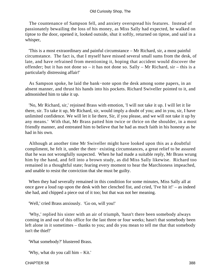The countenance of Sampson fell, and anxiety overspread his features. Instead of passionately bewailing the loss of his money, as Miss Sally had expected, he walked on tiptoe to the door, opened it, looked outside, shut it softly, returned on tiptoe, and said in a whisper,

 'This is a most extraordinary and painful circumstance – Mr Richard, sir, a most painful circumstance. The fact is, that I myself have missed several small sums from the desk, of late, and have refrained from mentioning it, hoping that accident would discover the offender; but it has not done so – it has not done so. Sally – Mr Richard, sir – this is a particularly distressing affair!'

 As Sampson spoke, he laid the bank−note upon the desk among some papers, in an absent manner, and thrust his hands into his pockets. Richard Swiveller pointed to it, and admonished him to take it up.

 'No, Mr Richard, sir,' rejoined Brass with emotion, 'I will not take it up. I will let it lie there, sir. To take it up, Mr Richard, sir, would imply a doubt of you; and in you, sir, I have unlimited confidence. We will let it lie there, Sir, if you please, and we will not take it up by any means.' With that, Mr Brass patted him twice or thrice on the shoulder, in a most friendly manner, and entreated him to believe that he had as much faith in his honesty as he had in his own.

 Although at another time Mr Swiveller might have looked upon this as a doubtful compliment, he felt it, under the then− existing circumstances, a great relief to be assured that he was not wrongfully suspected. When he had made a suitable reply, Mr Brass wrung him by the hand, and fell into a brown study, as did Miss Sally likewise. Richard too remained in a thoughtful state; fearing every moment to hear the Marchioness impeached, and unable to resist the conviction that she must be guilty.

 When they had severally remained in this condition for some minutes, Miss Sally all at once gave a loud rap upon the desk with her clenched fist, and cried, 'I've hit it!' – as indeed she had, and chipped a piece out of it too; but that was not her meaning.

'Well,' cried Brass anxiously. 'Go on, will you!'

 'Why,' replied his sister with an air of triumph, 'hasn't there been somebody always coming in and out of this office for the last three or four weeks; hasn't that somebody been left alone in it sometimes – thanks to you; and do you mean to tell me that that somebody isn't the thief!'

'What somebody?' blustered Brass.

'Why, what do you call him – Kit.'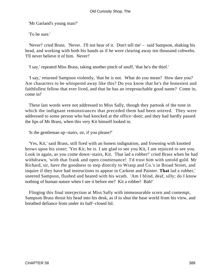'Mr Garland's young man?'

'To be sure.'

 'Never!' cried Brass. 'Never. I'll not hear of it. Don't tell me' – said Sampson, shaking his head, and working with both his hands as if he were clearing away ten thousand cobwebs. 'I'll never believe it of him. Never!'

'I say,' repeated Miss Brass, taking another pinch of snuff, 'that he's the thief.'

 'I say,' returned Sampson violently, 'that he is not. What do you mean? How dare you? Are characters to be whispered away like this? Do you know that he's the honestest and faithfullest fellow that ever lived, and that he has an irreproachable good name? Come in, come in!'

 These last words were not addressed to Miss Sally, though they partook of the tone in which the indignant remonstrances that preceded them had been uttered. They were addressed to some person who had knocked at the office−door; and they had hardly passed the lips of Mr Brass, when this very Kit himself looked in.

'Is the gentleman up−stairs, sir, if you please?'

 'Yes, Kit,' said Brass, still fired with an honest indignation, and frowning with knotted brows upon his sister; 'Yes Kit, he is. I am glad to see you Kit, I am rejoiced to see you. Look in again, as you come down−stairs, Kit. That lad a robber!' cried Brass when he had withdrawn, 'with that frank and open countenance! I'd trust him with untold gold. Mr Richard, sir, have the goodness to step directly to Wrasp and Co.'s in Broad Street, and inquire if they have had instructions to appear in Carkem and Painter. **That** lad a robber,' sneered Sampson, flushed and heated with his wrath. 'Am I blind, deaf, silly; do I know nothing of human nature when I see it before me? Kit a robber! Bah!'

 Flinging this final interjection at Miss Sally with immeasurable scorn and contempt, Sampson Brass thrust his head into his desk, as if to shut the base world from his view, and breathed defiance from under its half−closed lid.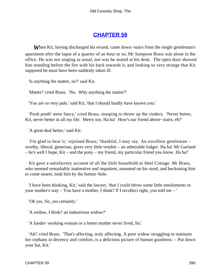### **[CHAPTER 59](#page-496-0)**

*When Kit, having discharged his errand, came down–stairs from the single gentleman's* apartment after the lapse of a quarter of an hour or so, Mr Sampson Brass was alone in the office. He was not singing as usual, nor was he seated at his desk. The open door showed him standing before the fire with his back towards it, and looking so very strange that Kit supposed he must have been suddenly taken ill.

'Is anything the matter, sir?' said Kit.

'Matter!' cried Brass. 'No. Why anything the matter?'

'You are so very pale,' said Kit, 'that I should hardly have known you.'

 'Pooh pooh! mere fancy,' cried Brass, stooping to throw up the cinders. 'Never better, Kit, never better in all my life. Merry too. Ha ha! How's our friend above−stairs, eh?'

'A great deal better,' said Kit.

 'I'm glad to hear it,' rejoined Brass; 'thankful, I may say. An excellent gentleman – worthy, liberal, generous, gives very little trouble – an admirable lodger. Ha ha! Mr Garland – he's well I hope, Kit – and the pony – my friend, my particular friend you know. Ha ha!'

 Kit gave a satisfactory account of all the little household at Abel Cottage. Mr Brass, who seemed remarkably inattentive and impatient, mounted on his stool, and beckoning him to come nearer, took him by the button−hole.

 'I have been thinking, Kit,' said the lawyer, 'that I could throw some little emoluments in your mother's way – You have a mother, I think? If I recollect right, you told me – '

'Oh yes, Sir, yes certainly.'

'A widow, I think? an industrious widow?'

'A harder−working woman or a better mother never lived, Sir.'

 'Ah!' cried Brass. 'That's affecting, truly affecting. A poor widow struggling to maintain her orphans in decency and comfort, is a delicious picture of human goodness. – Put down your hat, Kit.'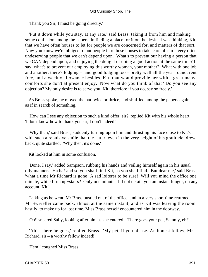'Thank you Sir, I must be going directly.'

 'Put it down while you stay, at any rate,' said Brass, taking it from him and making some confusion among the papers, in finding a place for it on the desk. 'I was thinking, Kit, that we have often houses to let for people we are concerned for, and matters of that sort. Now you know we're obliged to put people into those houses to take care of 'em – very often undeserving people that we can't depend upon. What's to prevent our having a person that we CAN depend upon, and enjoying the delight of doing a good action at the same time? I say, what's to prevent our employing this worthy woman, your mother? What with one job and another, there's lodging – and good lodging too – pretty well all the year round, rent free, and a weekly allowance besides, Kit, that would provide her with a great many comforts she don't at present enjoy. Now what do you think of that? Do you see any objection? My only desire is to serve you, Kit; therefore if you do, say so freely.'

 As Brass spoke, he moved the hat twice or thrice, and shuffled among the papers again, as if in search of something.

 'How can I see any objection to such a kind offer, sir?' replied Kit with his whole heart. 'I don't know how to thank you sir, I don't indeed.'

 'Why then,' said Brass, suddenly turning upon him and thrusting his face close to Kit's with such a repulsive smile that the latter, even in the very height of his gratitude, drew back, quite startled. 'Why then, it's done.'

Kit looked at him in some confusion.

 'Done, I say,' added Sampson, rubbing his hands and veiling himself again in his usual oily manner. 'Ha ha! and so you shall find Kit, so you shall find. But dear me,' said Brass, 'what a time Mr Richard is gone! A sad loiterer to be sure! Will you mind the office one minute, while I run up−stairs? Only one minute. I'll not detain you an instant longer, on any account, Kit.'

 Talking as he went, Mr Brass bustled out of the office, and in a very short time returned. Mr Swiveller came back, almost at the same instant; and as Kit was leaving the room hastily, to make up for lost time, Miss Brass herself encountered him in the doorway.

'Oh!' sneered Sally, looking after him as she entered. 'There goes your pet, Sammy, eh?'

 'Ah! There he goes,' replied Brass. 'My pet, if you please. An honest fellow, Mr Richard, sir – a worthy fellow indeed!'

'Hem!' coughed Miss Brass.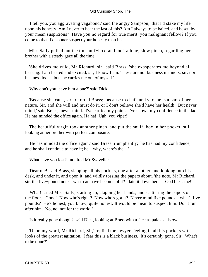'I tell you, you aggravating vagabond,' said the angry Sampson, 'that I'd stake my life upon his honesty. Am I never to hear the last of this? Am I always to be baited, and beset, by your mean suspicions? Have you no regard for true merit, you malignant fellow? If you come to that, I'd sooner suspect your honesty than his.'

 Miss Sally pulled out the tin snuff−box, and took a long, slow pinch, regarding her brother with a steady gaze all the time.

 'She drives me wild, Mr Richard, sir,' said Brass, 'she exasperates me beyond all bearing. I am heated and excited, sir, I know I am. These are not business manners, sir, nor business looks, but she carries me out of myself.'

'Why don't you leave him alone?' said Dick.

 'Because she can't, sir,' retorted Brass; 'because to chafe and vex me is a part of her nature, Sir, and she will and must do it, or I don't believe she'd have her health. But never mind,' said Brass, 'never mind. I've carried my point. I've shown my confidence in the lad. He has minded the office again. Ha ha! Ugh, you viper!'

 The beautiful virgin took another pinch, and put the snuff−box in her pocket; still looking at her brother with perfect composure.

 'He has minded the office again,' said Brass triumphantly; 'he has had my confidence, and he shall continue to have it; he – why, where's the – '

'What have you lost?' inquired Mr Swiveller.

 'Dear me!' said Brass, slapping all his pockets, one after another, and looking into his desk, and under it, and upon it, and wildly tossing the papers about, 'the note, Mr Richard, sir, the five−pound note – what can have become of it? I laid it down here – God bless me!'

 'What!' cried Miss Sally, starting up, clapping her hands, and scattering the papers on the floor. 'Gone! Now who's right? Now who's got it? Never mind five pounds – what's five pounds? He's honest, you know, quite honest. It would be mean to suspect him. Don't run after him. No, no, not for the world!'

'Is it really gone though?' said Dick, looking at Brass with a face as pale as his own.

 'Upon my word, Mr Richard, Sir,' replied the lawyer, feeling in all his pockets with looks of the greatest agitation, 'I fear this is a black business. It's certainly gone, Sir. What's to be done?'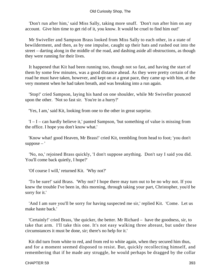'Don't run after him,' said Miss Sally, taking more snuff. 'Don't run after him on any account. Give him time to get rid of it, you know. It would be cruel to find him out!'

 Mr Swiveller and Sampson Brass looked from Miss Sally to each other, in a state of bewilderment, and then, as by one impulse, caught up their hats and rushed out into the street – darting along in the middle of the road, and dashing aside all obstructions, as though they were running for their lives.

 It happened that Kit had been running too, though not so fast, and having the start of them by some few minutes, was a good distance ahead. As they were pretty certain of the road he must have taken, however, and kept on at a great pace, they came up with him, at the very moment when he had taken breath, and was breaking into a run again.

 'Stop!' cried Sampson, laying his hand on one shoulder, while Mr Swiveller pounced upon the other. 'Not so fast sir. You're in a hurry?'

'Yes, I am,' said Kit, looking from one to the other in great surprise.

 $I - I - can hardly believe it,' panted Sampson, 'but something of value is missing from$ the office. I hope you don't know what.'

 'Know what! good Heaven, Mr Brass!' cried Kit, trembling from head to foot; 'you don't  $suppose -'$ 

 'No, no,' rejoined Brass quickly, 'I don't suppose anything. Don't say I said you did. You'll come back quietly, I hope?'

'Of course I will,' returned Kit. 'Why not?'

 'To be sure!' said Brass. 'Why not? I hope there may turn out to be no why not. If you knew the trouble I've been in, this morning, through taking your part, Christopher, you'd be sorry for it.'

 'And I am sure you'll be sorry for having suspected me sir,' replied Kit. 'Come. Let us make haste back.'

 'Certainly!' cried Brass, 'the quicker, the better. Mr Richard – have the goodness, sir, to take that arm. I'll take this one. It's not easy walking three abreast, but under these circumstances it must be done, sir; there's no help for it.'

Kit did turn from white to red, and from red to white again, when they secured him thus, and for a moment seemed disposed to resist. But, quickly recollecting himself, and remembering that if he made any struggle, he would perhaps be dragged by the collar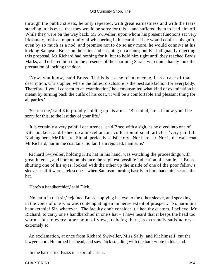through the public streets, he only repeated, with great earnestness and with the tears standing in his eyes, that they would be sorry for this – and suffered them to lead him off. While they were on the way back, Mr Swiveller, upon whom his present functions sat very irksomely, took an opportunity of whispering in his ear that if he would confess his guilt, even by so much as a nod, and promise not to do so any more, he would connive at his kicking Sampson Brass on the shins and escaping up a court; but Kit indignantly rejecting this proposal, Mr Richard had nothing for it, but to hold him tight until they reached Bevis Marks, and ushered him into the presence of the charming Sarah, who immediately took the precaution of locking the door.

 'Now, you know,' said Brass, 'if this is a case of innocence, it is a case of that description, Christopher, where the fullest disclosure is the best satisfaction for everybody. Therefore if you'll consent to an examination,' he demonstrated what kind of examination he meant by turning back the cuffs of his coat, 'it will be a comfortable and pleasant thing for all parties.'

 'Search me,' said Kit, proudly holding up his arms. 'But mind, sir – I know you'll be sorry for this, to the last day of your life.'

 'It is certainly a very painful occurrence,' said Brass with a sigh, as he dived into one of Kit's pockets, and fished up a miscellaneous collection of small articles; 'very painful. Nothing here, Mr Richard, Sir, all perfectly satisfactory. Nor here, sir. Nor in the waistcoat, Mr Richard, nor in the coat tails. So far, I am rejoiced, I am sure.'

 Richard Swiveller, holding Kit's hat in his hand, was watching the proceedings with great interest, and bore upon his face the slightest possible indication of a smile, as Brass, shutting one of his eyes, looked with the other up the inside of one of the poor fellow's sleeves as if it were a telescope – when Sampson turning hastily to him, bade him search the hat.

'Here's a handkerchief,' said Dick.

 'No harm in that sir,' rejoined Brass, applying his eye to the other sleeve, and speaking in the voice of one who was contemplating an immense extent of prospect. 'No harm in a handkerchief Sir, whatever. The faculty don't consider it a healthy custom, I believe, Mr Richard, to carry one's handkerchief in one's hat – I have heard that it keeps the head too warm – but in every other point of view, its being there, is extremely satisfactory – extremely so.'

 An exclamation, at once from Richard Swiveller, Miss Sally, and Kit himself, cut the lawyer short. He turned his head, and saw Dick standing with the bank−note in his hand.

'In the hat?' cried Brass in a sort of shriek.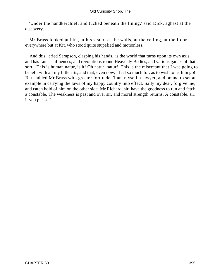'Under the handkerchief, and tucked beneath the lining,' said Dick, aghast at the discovery.

 Mr Brass looked at him, at his sister, at the walls, at the ceiling, at the floor – everywhere but at Kit, who stood quite stupefied and motionless.

 'And this,' cried Sampson, clasping his hands, 'is the world that turns upon its own axis, and has Lunar influences, and revolutions round Heavenly Bodies, and various games of that sort! This is human natur, is it! Oh natur, natur! This is the miscreant that I was going to benefit with all my little arts, and that, even now, I feel so much for, as to wish to let him go! But,' added Mr Brass with greater fortitude, 'I am myself a lawyer, and bound to set an example in carrying the laws of my happy country into effect. Sally my dear, forgive me, and catch hold of him on the other side. Mr Richard, sir, have the goodness to run and fetch a constable. The weakness is past and over sir, and moral strength returns. A constable, sir, if you please!'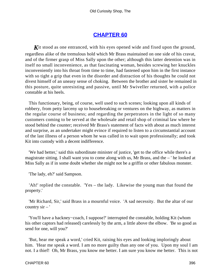## **[CHAPTER 60](#page-496-0)**

**K**it stood as one entranced, with his eyes opened wide and fixed upon the ground, regardless alike of the tremulous hold which Mr Brass maintained on one side of his cravat, and of the firmer grasp of Miss Sally upon the other; although this latter detention was in itself no small inconvenience, as that fascinating woman, besides screwing her knuckles inconveniently into his throat from time to time, had fastened upon him in the first instance with so tight a grip that even in the disorder and distraction of his thoughts he could not divest himself of an uneasy sense of choking. Between the brother and sister he remained in this posture, quite unresisting and passive, until Mr Swiveller returned, with a police constable at his heels.

 This functionary, being, of course, well used to such scenes; looking upon all kinds of robbery, from petty larceny up to housebreaking or ventures on the highway, as matters in the regular course of business; and regarding the perpetrators in the light of so many customers coming to be served at the wholesale and retail shop of criminal law where he stood behind the counter; received Mr Brass's statement of facts with about as much interest and surprise, as an undertaker might evince if required to listen to a circumstantial account of the last illness of a person whom he was called in to wait upon professionally; and took Kit into custody with a decent indifference.

 'We had better,' said this subordinate minister of justice, 'get to the office while there's a magistrate sitting. I shall want you to come along with us, Mr Brass, and the – ' he looked at Miss Sally as if in some doubt whether she might not be a griffin or other fabulous monster.

'The lady, eh?' said Sampson.

 'Ah!' replied the constable. 'Yes – the lady. Likewise the young man that found the property.'

 'Mr Richard, Sir,' said Brass in a mournful voice. 'A sad necessity. But the altar of our country  $\sin -$ '

 'You'll have a hackney−coach, I suppose?' interrupted the constable, holding Kit (whom his other captors had released) carelessly by the arm, a little above the elbow. 'Be so good as send for one, will you?'

 'But, hear me speak a word,' cried Kit, raising his eyes and looking imploringly about him. 'Hear me speak a word. I am no more guilty than any one of you. Upon my soul I am not. I a thief! Oh, Mr Brass, you know me better. I am sure you know me better. This is not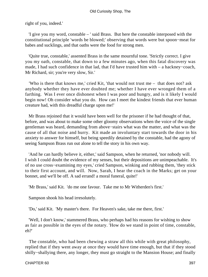right of you, indeed.'

 'I give you my word, constable – ' said Brass. But here the constable interposed with the constitutional principle 'words be blowed;' observing that words were but spoon−meat for babes and sucklings, and that oaths were the food for strong men.

 'Quite true, constable,' assented Brass in the same mournful tone. 'Strictly correct. I give you my oath, constable, that down to a few minutes ago, when this fatal discovery was made, I had such confidence in that lad, that I'd have trusted him with – a hackney−coach, Mr Richard, sir; you're very slow, Sir.'

 'Who is there that knows me,' cried Kit, 'that would not trust me – that does not? ask anybody whether they have ever doubted me; whether I have ever wronged them of a farthing. Was I ever once dishonest when I was poor and hungry, and is it likely I would begin now! Oh consider what you do. How can I meet the kindest friends that ever human creature had, with this dreadful charge upon me!'

 Mr Brass rejoined that it would have been well for the prisoner if he had thought of that, before, and was about to make some other gloomy observations when the voice of the single gentleman was heard, demanding from above−stairs what was the matter, and what was the cause of all that noise and hurry. Kit made an involuntary start towards the door in his anxiety to answer for himself, but being speedily detained by the constable, had the agony of seeing Sampson Brass run out alone to tell the story in his own way.

 'And he can hardly believe it, either,' said Sampson, when he returned, 'nor nobody will. I wish I could doubt the evidence of my senses, but their depositions are unimpeachable. It's of no use cross−examining my eyes,' cried Sampson, winking and rubbing them, 'they stick to their first account, and will. Now, Sarah, I hear the coach in the Marks; get on your bonnet, and we'll be off. A sad errand! a moral funeral, quite!'

'Mr Brass,' said Kit. 'do me one favour. Take me to Mr Witherden's first.'

Sampson shook his head irresolutely.

'Do,' said Kit. 'My master's there. For Heaven's sake, take me there, first.'

 'Well, I don't know,' stammered Brass, who perhaps had his reasons for wishing to show as fair as possible in the eyes of the notary. 'How do we stand in point of time, constable, eh?'

 The constable, who had been chewing a straw all this while with great philosophy, replied that if they went away at once they would have time enough, but that if they stood shilly−shallying there, any longer, they must go straight to the Mansion House; and finally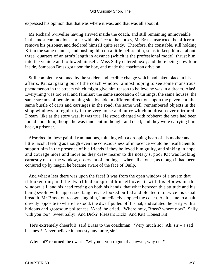#### Old Curiosity Shop, The

expressed his opinion that that was where it was, and that was all about it.

 Mr Richard Swiveller having arrived inside the coach, and still remaining immoveable in the most commodious corner with his face to the horses, Mr Brass instructed the officer to remove his prisoner, and declared himself quite ready. Therefore, the constable, still holding Kit in the same manner, and pushing him on a little before him, so as to keep him at about three−quarters of an arm's length in advance (which is the professional mode), thrust him into the vehicle and followed himself. Miss Sally entered next; and there being now four inside, Sampson Brass got upon the box, and made the coachman drive on.

 Still completely stunned by the sudden and terrible change which had taken place in his affairs, Kit sat gazing out of the coach window, almost hoping to see some monstrous phenomenon in the streets which might give him reason to believe he was in a dream. Alas! Everything was too real and familiar: the same succession of turnings, the same houses, the same streams of people running side by side in different directions upon the pavement, the same bustle of carts and carriages in the road, the same well−remembered objects in the shop windows: a regularity in the very noise and hurry which no dream ever mirrored. Dream−like as the story was, it was true. He stood charged with robbery; the note had been found upon him, though he was innocent in thought and deed; and they were carrying him back, a prisoner.

 Absorbed in these painful ruminations, thinking with a drooping heart of his mother and little Jacob, feeling as though even the consciousness of innocence would be insufficient to support him in the presence of his friends if they believed him guilty, and sinking in hope and courage more and more as they drew nearer to the notary's, poor Kit was looking earnestly out of the window, observant of nothing, – when all at once, as though it had been conjured up by magic, he became aware of the face of Quilp.

 And what a leer there was upon the face! It was from the open window of a tavern that it looked out; and the dwarf had so spread himself over it, with his elbows on the window−sill and his head resting on both his hands, that what between this attitude and his being swoln with suppressed laughter, he looked puffed and bloated into twice his usual breadth. Mr Brass, on recognising him, immediately stopped the coach. As it came to a halt directly opposite to where he stood, the dwarf pulled off his hat, and saluted the party with a hideous and grotesque politeness. 'Aha!' he cried. 'Where now, Brass? where now? Sally with you too? Sweet Sally! And Dick? Pleasant Dick! And Kit! Honest Kit!'

'He's extremely cheerful!' said Brass to the coachman. 'Very much so! Ah,  $\sin - a$  sad business! Never believe in honesty any more, sir.'

'Why not?' returned the dwarf. 'Why not, you rogue of a lawyer, why not?'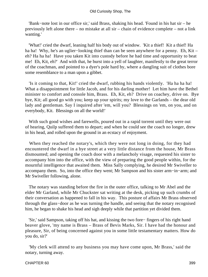'Bank−note lost in our office sir,' said Brass, shaking his head. 'Found in his hat sir – he previously left alone there – no mistake at all sir – chain of evidence complete – not a link wanting.'

 'What!' cried the dwarf, leaning half his body out of window. 'Kit a thief! Kit a thief! Ha ha ha! Why, he's an uglier−looking thief than can be seen anywhere for a penny. Eh, Kit – eh? Ha ha ha! Have you taken Kit into custody before he had time and opportunity to beat me! Eh, Kit, eh?' And with that, he burst into a yell of laughter, manifestly to the great terror of the coachman, and pointed to a dyer's pole hard by, where a dangling suit of clothes bore some resemblance to a man upon a gibbet.

 'Is it coming to that, Kit!' cried the dwarf, rubbing his hands violently. 'Ha ha ha ha! What a disappointment for little Jacob, and for his darling mother! Let him have the Bethel minister to comfort and console him, Brass. Eh, Kit, eh? Drive on coachey, drive on. Bye bye, Kit; all good go with you; keep up your spirits; my love to the Garlands – the dear old lady and gentleman. Say I inquired after 'em, will you? Blessings on 'em, on you, and on everybody, Kit. Blessings on all the world!'

 With such good wishes and farewells, poured out in a rapid torrent until they were out of hearing, Quilp suffered them to depart; and when he could see the coach no longer, drew in his head, and rolled upon the ground in an ecstacy of enjoyment.

 When they reached the notary's, which they were not long in doing, for they had encountered the dwarf in a bye street at a very little distance from the house, Mr Brass dismounted; and opening the coach door with a melancholy visage, requested his sister to accompany him into the office, with the view of preparing the good people within, for the mournful intelligence that awaited them. Miss Sally complying, he desired Mr Swiveller to accompany them. So, into the office they went; Mr Sampson and his sister arm−in−arm; and Mr Swiveller following, alone.

 The notary was standing before the fire in the outer office, talking to Mr Abel and the elder Mr Garland, while Mr Chuckster sat writing at the desk, picking up such crumbs of their conversation as happened to fall in his way. This posture of affairs Mr Brass observed through the glass−door as he was turning the handle, and seeing that the notary recognised him, he began to shake his head and sigh deeply while that partition yet divided them.

 'Sir,' said Sampson, taking off his hat, and kissing the two fore− fingers of his right hand beaver glove, 'my name is Brass – Brass of Bevis Marks, Sir. I have had the honour and pleasure, Sir, of being concerned against you in some little testamentary matters. How do you do, sir?'

 'My clerk will attend to any business you may have come upon, Mr Brass,' said the notary, turning away.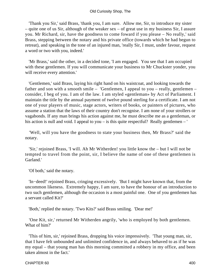#### Old Curiosity Shop, The

 'Thank you Sir,' said Brass, 'thank you, I am sure. Allow me, Sir, to introduce my sister – quite one of us Sir, although of the weaker sex – of great use in my business Sir, I assure you. Mr Richard, sir, have the goodness to come foward if you please – No really,' said Brass, stepping between the notary and his private office (towards which he had begun to retreat), and speaking in the tone of an injured man, 'really Sir, I must, under favour, request a word or two with you, indeed.'

 'Mr Brass,' said the other, in a decided tone, 'I am engaged. You see that I am occupied with these gentlemen. If you will communicate your business to Mr Chuckster yonder, you will receive every attention.'

 'Gentlemen,' said Brass, laying his right hand on his waistcoat, and looking towards the father and son with a smooth smile – 'Gentlemen, I appeal to you – really, gentlemen – consider, I beg of you. I am of the law. I am styled «gentleman» by Act of Parliament. I maintain the title by the annual payment of twelve pound sterling for a certificate. I am not one of your players of music, stage actors, writers of books, or painters of pictures, who assume a station that the laws of their country don't recognise. I am none of your strollers or vagabonds. If any man brings his action against me, he must describe me as a gentleman, or his action is null and void. I appeal to you – is this quite respectful? Really gentlemen – '

 'Well, will you have the goodness to state your business then, Mr Brass?' said the notary.

 'Sir,' rejoined Brass, 'I will. Ah Mr Witherden! you little know the – but I will not be tempted to travel from the point, sir, I believe the name of one of these gentlemen is Garland.'

'Of both,' said the notary.

 'In−deed!' rejoined Brass, cringing excessively. 'But I might have known that, from the uncommon likeness. Extremely happy, I am sure, to have the honour of an introduction to two such gentlemen, although the occasion is a most painful one. One of you gentlemen has a servant called Kit?'

'Both,' replied the notary. 'Two Kits?' said Brass smiling. 'Dear me!'

 'One Kit, sir,' returned Mr Witherden angrily, 'who is employed by both gentlemen. What of him?'

 'This of him, sir,' rejoined Brass, dropping his voice impressively. 'That young man, sir, that I have felt unbounded and unlimited confidence in, and always behaved to as if he was my equal – that young man has this morning committed a robbery in my office, and been taken almost in the fact.'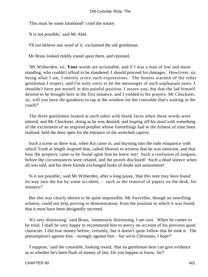'This must be some falsehood!' cried the notary.

'It is not possible,' said Mr Abel.

'I'll not believe one word of it,' exclaimed the old gentleman.

Mr Brass looked mildly round upon them, and rejoined,

 'Mr Witherden, sir, **Your** words are actionable, and if I was a man of low and mean standing, who couldn't afford to be slandered, I should proceed for damages. Hows'ever, sir, being what I am, I merely scorn such expressions. The honest warmth of the other gentleman I respect, and I'm truly sorry to be the messenger of such unpleasant news. I shouldn't have put myself in this painful position, I assure you, but that the lad himself desired to be brought here in the first instance, and I yielded to his prayers. Mr Chuckster, sir, will you have the goodness to tap at the window for the constable that's waiting in the coach?'

 The three gentlemen looked at each other with blank faces when these words were uttered, and Mr Chuckster, doing as he was desired, and leaping off his stool with something of the excitement of an inspired prophet whose foretellings had in the fulness of time been realised, held the door open for the entrance of the wretched captive.

 Such a scene as there was, when Kit came in, and bursting into the rude eloquence with which Truth at length inspired him, called Heaven to witness that he was innocent, and that how the property came to be found upon him he knew not! Such a confusion of tongues, before the circumstances were related, and the proofs disclosed! Such a dead silence when all was told, and his three friends exchanged looks of doubt and amazement!

 'Is it not possible,' said Mr Witherden, after a long pause, 'that this note may have found its way into the hat by some accident, – such as the removal of papers on the desk, for instance?'

 But this was clearly shown to be quite impossible. Mr Swiveller, though an unwilling witness, could not help proving to demonstration, from the position in which it was found, that it must have been designedly secreted.

 'It's very distressing,' said Brass, 'immensely distressing, I am sure. When he comes to be tried, I shall be very happy to recommend him to mercy on account of his previous good character. I did lose money before, certainly, but it doesn't quite follow that he took it. The presumption's against him – strongly against him – but we're Christians, I hope?'

 'I suppose,' said the constable, looking round, 'that no gentleman here can give evidence as to whether he's been flush of money of late, Do you happen to know, Sir?'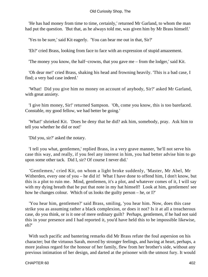'He has had money from time to time, certainly,' returned Mr Garland, to whom the man had put the question. 'But that, as he always told me, was given him by Mr Brass himself.'

'Yes to be sure,' said Kit eagerly. 'You can bear me out in that, Sir?'

'Eh?' cried Brass, looking from face to face with an expression of stupid amazement.

'The money you know, the half−crowns, that you gave me – from the lodger,' said Kit.

 'Oh dear me!' cried Brass, shaking his head and frowning heavily. 'This is a bad case, I find; a very bad case indeed.'

 'What! Did you give him no money on account of anybody, Sir?' asked Mr Garland, with great anxiety.

 'I give him money, Sir!' returned Sampson. 'Oh, come you know, this is too barefaced. Constable, my good fellow, we had better be going.'

 'What!' shrieked Kit. 'Does he deny that he did? ask him, somebody, pray. Ask him to tell you whether he did or not!'

'Did you, sir?' asked the notary.

 'I tell you what, gentlemen,' replied Brass, in a very grave manner, 'he'll not serve his case this way, and really, if you feel any interest in him, you had better advise him to go upon some other tack. Did I, sir? Of course I never did.'

 'Gentlemen,' cried Kit, on whom a light broke suddenly, 'Master, Mr Abel, Mr Witherden, every one of you – he did it! What I have done to offend him, I don't know, but this is a plot to ruin me. Mind, gentlemen, it's a plot, and whatever comes of it, I will say with my dying breath that he put that note in my hat himself! Look at him, gentlemen! see how he changes colour. Which of us looks the guilty person – he, or I?'

 'You hear him, gentlemen?' said Brass, smiling, 'you hear him. Now, does this case strike you as assuming rather a black complexion, or does it not? Is it at all a treacherous case, do you think, or is it one of mere ordinary guilt? Perhaps, gentlemen, if he had not said this in your presence and I had reported it, you'd have held this to be impossible likewise, eh?'

 With such pacific and bantering remarks did Mr Brass refute the foul aspersion on his character; but the virtuous Sarah, moved by stronger feelings, and having at heart, perhaps, a more jealous regard for the honour of her family, flew from her brother's side, without any previous intimation of her design, and darted at the prisoner with the utmost fury. It would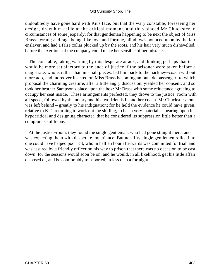undoubtedly have gone hard with Kit's face, but that the wary constable, foreseeing her design, drew him aside at the critical moment, and thus placed Mr Chuckster in circumstances of some jeopardy; for that gentleman happening to be next the object of Miss Brass's wrath; and rage being, like love and fortune, blind; was pounced upon by the fair enslaver, and had a false collar plucked up by the roots, and his hair very much dishevelled, before the exertions of the company could make her sensible of her mistake.

 The constable, taking warning by this desperate attack, and thinking perhaps that it would be more satisfactory to the ends of justice if the prisoner were taken before a magistrate, whole, rather than in small pieces, led him back to the hackney−coach without more ado, and moreover insisted on Miss Brass becoming an outside passenger; to which proposal the charming creature, after a little angry discussion, yielded her consent; and so took her brother Sampson's place upon the box: Mr Brass with some reluctance agreeing to occupy her seat inside. These arrangements perfected, they drove to the justice−room with all speed, followed by the notary and his two friends in another coach. Mr Chuckster alone was left behind – greatly to his indignation; for he held the evidence he could have given, relative to Kit's returning to work out the shilling, to be so very material as bearing upon his hypocritical and designing character, that he considered its suppression little better than a compromise of felony.

 At the justice−room, they found the single gentleman, who had gone straight there, and was expecting them with desperate impatience. But not fifty single gentlemen rolled into one could have helped poor Kit, who in half an hour afterwards was committed for trial, and was assured by a friendly officer on his way to prison that there was no occasion to be cast down, for the sessions would soon be on, and he would, in all likelihood, get his little affair disposed of, and be comfortably transported, in less than a fortnight.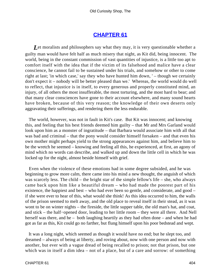## **[CHAPTER 61](#page-496-0)**

*L*et moralists and philosophers say what they may, it is very questionable whether a guilty man would have felt half as much misery that night, as Kit did, being innocent. The world, being in the constant commission of vast quantities of injustice, is a little too apt to comfort itself with the idea that if the victim of its falsehood and malice have a clear conscience, he cannot fail to be sustained under his trials, and somehow or other to come right at last; 'in which case,' say they who have hunted him down, ' – though we certainly don't expect it – nobody will be better pleased than we.' Whereas, the world would do well to reflect, that injustice is in itself, to every generous and properly constituted mind, an injury, of all others the most insufferable, the most torturing, and the most hard to bear; and that many clear consciences have gone to their account elsewhere, and many sound hearts have broken, because of this very reason; the knowledge of their own deserts only aggravating their sufferings, and rendering them the less endurable.

 The world, however, was not in fault in Kit's case. But Kit was innocent; and knowing this, and feeling that his best friends deemed him guilty – that Mr and Mrs Garland would look upon him as a monster of ingratitude – that Barbara would associate him with all that was bad and criminal – that the pony would consider himself forsaken – and that even his own mother might perhaps yield to the strong appearances against him, and believe him to be the wretch he seemed – knowing and feeling all this, he experienced, at first, an agony of mind which no words can describe, and walked up and down the little cell in which he was locked up for the night, almost beside himself with grief.

 Even when the violence of these emotions had in some degree subsided, and he was beginning to grow more calm, there came into his mind a new thought, the anguish of which was scarcely less. The child – the bright star of the simple fellow's life – she, who always came back upon him like a beautiful dream – who had made the poorest part of his existence, the happiest and best – who had ever been so gentle, and considerate, and good – if she were ever to hear of this, what would she think! As this idea occurred to him, the walls of the prison seemed to melt away, and the old place to reveal itself in their stead, as it was wont to be on winter nights – the fireside, the little supper table, the old man's hat, and coat, and stick – the half−opened door, leading to her little room – they were all there. And Nell herself was there, and he – both laughing heartily as they had often done – and when he had got as far as this, Kit could go no farther, but flung himself upon his poor bedstead and wept.

 It was a long night, which seemed as though it would have no end; but he slept too, and dreamed – always of being at liberty, and roving about, now with one person and now with another, but ever with a vague dread of being recalled to prison; not that prison, but one which was in itself a dim idea – not of a place, but of a care and sorrow: of something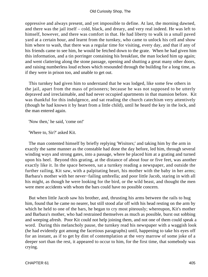oppressive and always present, and yet impossible to define. At last, the morning dawned, and there was the jail itself – cold, black, and dreary, and very real indeed. He was left to himself, however, and there was comfort in that. He had liberty to walk in a small paved yard at a certain hour, and learnt from the turnkey, who came to unlock his cell and show him where to wash, that there was a regular time for visiting, every day, and that if any of his friends came to see him, he would be fetched down to the grate. When he had given him this information, and a tin porringer containing his breakfast, the man locked him up again; and went clattering along the stone passage, opening and shutting a great many other doors, and raising numberless loud echoes which resounded through the building for a long time, as if they were in prison too, and unable to get out.

 This turnkey had given him to understand that he was lodged, like some few others in the jail, apart from the mass of prisoners; because he was not supposed to be utterly depraved and irreclaimable, and had never occupied apartments in that mansion before. Kit was thankful for this indulgence, and sat reading the church catechism very attentively (though he had known it by heart from a little child), until he heard the key in the lock, and the man entered again.

'Now then,' he said, 'come on!'

'Where to, Sir?' asked Kit.

 The man contented himself by briefly replying 'Wisitors;' and taking him by the arm in exactly the same manner as the constable had done the day before, led him, through several winding ways and strong gates, into a passage, where he placed him at a grating and turned upon his heel. Beyond this grating, at the distance of about four or five feet, was another exactly like it. In the space between, sat a turnkey reading a newspaper, and outside the further railing, Kit saw, with a palpitating heart, his mother with the baby in her arms; Barbara's mother with her never−failing umbrella; and poor little Jacob, staring in with all his might, as though he were looking for the bird, or the wild beast, and thought the men were mere accidents with whom the bars could have no possible concern.

 But when little Jacob saw his brother, and, thrusting his arms between the rails to hug him, found that he came no nearer, but still stood afar off with his head resting on the arm by which he held to one of the bars, he began to cry most piteously; whereupon, Kit's mother and Barbara's mother, who had restrained themselves as much as possible, burst out sobbing and weeping afresh. Poor Kit could not help joining them, and not one of them could speak a word. During this melancholy pause, the turnkey read his newspaper with a waggish look (he had evidently got among the facetious paragraphs) until, happening to take his eyes off for an instant, as if to get by dint of contemplation at the very marrow of some joke of a deeper sort than the rest, it appeared to occur to him, for the first time, that somebody was crying.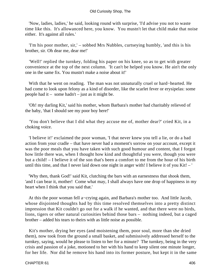#### Old Curiosity Shop, The

 'Now, ladies, ladies,' he said, looking round with surprise, 'I'd advise you not to waste time like this. It's allowanced here, you know. You mustn't let that child make that noise either. It's against all rules.'

 'I'm his poor mother, sir,' – sobbed Mrs Nubbles, curtseying humbly, 'and this is his brother, sir. Oh dear me, dear me!'

 'Well!' replied the turnkey, folding his paper on his knee, so as to get with greater convenience at the top of the next column. 'It can't be helped you know. He ain't the only one in the same fix. You mustn't make a noise about it!'

 With that he went on reading. The man was not unnaturally cruel or hard−hearted. He had come to look upon felony as a kind of disorder, like the scarlet fever or erysipelas: some people had it – some hadn't – just as it might be.

 'Oh! my darling Kit,' said his mother, whom Barbara's mother had charitably relieved of the baby, 'that I should see my poor boy here!'

 'You don't believe that I did what they accuse me of, mother dear?' cried Kit, in a choking voice.

 'I believe it!' exclaimed the poor woman, 'I that never knew you tell a lie, or do a bad action from your cradle – that have never had a moment's sorrow on your account, except it was the poor meals that you have taken with such good humour and content, that I forgot how little there was, when I thought how kind and thoughtful you were, though you were but a child! – I believe it of the son that's been a comfort to me from the hour of his birth until this time, and that I never laid down one night in anger with! I believe it of you Kit! – '

 'Why then, thank God!' said Kit, clutching the bars with an earnestness that shook them, 'and I can bear it, mother! Come what may, I shall always have one drop of happiness in my heart when I think that you said that.'

 At this the poor woman fell a−crying again, and Barbara's mother too. And little Jacob, whose disjointed thoughts had by this time resolved themselves into a pretty distinct impression that Kit couldn't go out for a walk if he wanted, and that there were no birds, lions, tigers or other natural curiosities behind those bars – nothing indeed, but a caged brother – added his tears to theirs with as little noise as possible.

 Kit's mother, drying her eyes (and moistening them, poor soul, more than she dried them), now took from the ground a small basket, and submissively addressed herself to the turnkey, saying, would he please to listen to her for a minute? The turnkey, being in the very crisis and passion of a joke, motioned to her with his hand to keep silent one minute longer, for her life. Nor did he remove his hand into its former posture, but kept it in the same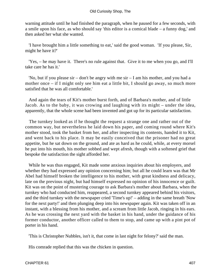warning attitude until he had finished the paragraph, when he paused for a few seconds, with a smile upon his face, as who should say 'this editor is a comical blade – a funny dog,' and then asked her what she wanted.

 'I have brought him a little something to eat,' said the good woman. 'If you please, Sir, might he have it?'

 'Yes, – he may have it. There's no rule against that. Give it to me when you go, and I'll take care he has it.'

 'No, but if you please sir – don't be angry with me sir – I am his mother, and you had a mother once – if I might only see him eat a little bit, I should go away, so much more satisfied that he was all comfortable.'

 And again the tears of Kit's mother burst forth, and of Barbara's mother, and of little Jacob. As to the baby, it was crowing and laughing with its might – under the idea, apparently, that the whole scene had been invented and got up for its particular satisfaction.

 The turnkey looked as if he thought the request a strange one and rather out of the common way, but nevertheless he laid down his paper, and coming round where Kit's mother stood, took the basket from her, and after inspecting its contents, handed it to Kit, and went back to his place. It may be easily conceived that the prisoner had no great appetite, but he sat down on the ground, and ate as hard as he could, while, at every morsel he put into his mouth, his mother sobbed and wept afresh, though with a softened grief that bespoke the satisfaction the sight afforded her.

 While he was thus engaged, Kit made some anxious inquiries about his employers, and whether they had expressed any opinion concerning him; but all he could learn was that Mr Abel had himself broken the intelligence to his mother, with great kindness and delicacy, late on the previous night, but had himself expressed no opinion of his innocence or guilt. Kit was on the point of mustering courage to ask Barbara's mother about Barbara, when the turnkey who had conducted him, reappeared, a second turnkey appeared behind his visitors, and the third turnkey with the newspaper cried 'Time's up!' – adding in the same breath 'Now for the next party!' and then plunging deep into his newspaper again. Kit was taken off in an instant, with a blessing from his mother, and a scream from little Jacob, ringing in his ears. As he was crossing the next yard with the basket in his hand, under the guidance of his former conductor, another officer called to them to stop, and came up with a pint pot of porter in his hand.

'This is Christopher Nubbles, isn't it, that come in last night for felony?' said the man.

His comrade replied that this was the chicken in question.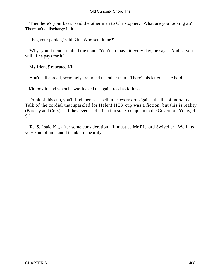'Then here's your beer,' said the other man to Christopher. 'What are you looking at? There an't a discharge in it.'

'I beg your pardon,' said Kit. 'Who sent it me?'

 'Why, your friend,' replied the man. 'You're to have it every day, he says. And so you will, if he pays for it.'

'My friend!' repeated Kit.

'You're all abroad, seemingly,' returned the other man. 'There's his letter. Take hold!'

Kit took it, and when he was locked up again, read as follows.

 'Drink of this cup, you'll find there's a spell in its every drop 'gainst the ills of mortality. Talk of the cordial that sparkled for Helen! HER cup was a fiction, but this is reality (Barclay and Co.'s). – If they ever send it in a flat state, complain to the Governor. Yours, R. S.'

 'R. S.!' said Kit, after some consideration. 'It must be Mr Richard Swiveller. Well, its very kind of him, and I thank him heartily.'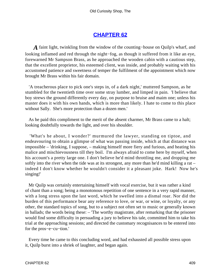# **[CHAPTER 62](#page-496-0)**

*A* faint light, twinkling from the window of the counting−house on Quilp's wharf, and looking inflamed and red through the night−fog, as though it suffered from it like an eye, forewarned Mr Sampson Brass, as he approached the wooden cabin with a cautious step, that the excellent proprietor, his esteemed client, was inside, and probably waiting with his accustomed patience and sweetness of temper the fulfilment of the appointment which now brought Mr Brass within his fair domain.

 'A treacherous place to pick one's steps in, of a dark night,' muttered Sampson, as he stumbled for the twentieth time over some stray lumber, and limped in pain. 'I believe that boy strews the ground differently every day, on purpose to bruise and maim one; unless his master does it with his own hands, which is more than likely. I hate to come to this place without Sally. She's more protection than a dozen men.'

 As he paid this compliment to the merit of the absent charmer, Mr Brass came to a halt; looking doubtfully towards the light, and over his shoulder.

 'What's he about, I wonder?' murmured the lawyer, standing on tiptoe, and endeavouring to obtain a glimpse of what was passing inside, which at that distance was impossible – 'drinking, I suppose, – making himself more fiery and furious, and heating his malice and mischievousness till they boil. I'm always afraid to come here by myself, when his account's a pretty large one. I don't believe he'd mind throttling me, and dropping me softly into the river when the tide was at its strongest, any more than he'd mind killing a rat – indeed I don't know whether he wouldn't consider it a pleasant joke. Hark! Now he's singing!'

 Mr Quilp was certainly entertaining himself with vocal exercise, but it was rather a kind of chant than a song; being a monotonous repetition of one sentence in a very rapid manner, with a long stress upon the last word, which he swelled into a dismal roar. Nor did the burden of this performance bear any reference to love, or war, or wine, or loyalty, or any other, the standard topics of song, but to a subject not often set to music or generally known in ballads; the words being these: – 'The worthy magistrate, after remarking that the prisoner would find some difficulty in persuading a jury to believe his tale, committed him to take his trial at the approaching sessions; and directed the customary recognisances to be entered into for the pros−e−cu−tion.'

 Every time he came to this concluding word, and had exhausted all possible stress upon it, Quilp burst into a shriek of laughter, and began again.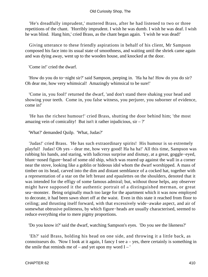'He's dreadfully imprudent,' muttered Brass, after he had listened to two or three repetitions of the chant. 'Horribly imprudent. I wish he was dumb. I wish he was deaf. I wish he was blind. Hang him,' cried Brass, as the chant began again. 'I wish he was dead!'

 Giving utterance to these friendly aspirations in behalf of his client, Mr Sampson composed his face into its usual state of smoothness, and waiting until the shriek came again and was dying away, went up to the wooden house, and knocked at the door.

'Come in!' cried the dwarf.

 'How do you do to−night sir?' said Sampson, peeping in. 'Ha ha ha! How do you do sir? Oh dear me, how very whimsical! Amazingly whimsical to be sure!'

 'Come in, you fool!' returned the dwarf, 'and don't stand there shaking your head and showing your teeth. Come in, you false witness, you perjurer, you suborner of evidence, come in!'

 'He has the richest humour!' cried Brass, shutting the door behind him; 'the most amazing vein of comicality! But isn't it rather injudicious,  $\sin - ?'$ 

'What?' demanded Quilp. 'What, Judas?'

 'Judas!' cried Brass. 'He has such extraordinary spirits! His humour is so extremely playful! Judas! Oh yes – dear me, how very good! Ha ha ha!' All this time, Sampson was rubbing his hands, and staring, with ludicrous surprise and dismay, at a great, goggle−eyed, blunt−nosed figure−head of some old ship, which was reared up against the wall in a corner near the stove, looking like a goblin or hideous idol whom the dwarf worshipped. A mass of timber on its head, carved into the dim and distant semblance of a cocked hat, together with a representation of a star on the left breast and epaulettes on the shoulders, denoted that it was intended for the effigy of some famous admiral; but, without those helps, any observer might have supposed it the authentic portrait of a distinguished merman, or great sea−monster. Being originally much too large for the apartment which it was now employed to decorate, it had been sawn short off at the waist. Even in this state it reached from floor to ceiling; and thrusting itself forward, with that excessively wide−awake aspect, and air of somewhat obtrusive politeness, by which figure−heads are usually characterised, seemed to reduce everything else to mere pigmy proportions.

'Do you know it?' said the dwarf, watching Sampson's eyes. 'Do you see the likeness?'

 'Eh?' said Brass, holding his head on one side, and throwing it a little back, as connoisseurs do. 'Now I look at it again, I fancy I see  $a - yes$ , there certainly is something in the smile that reminds me of – and yet upon my word  $I - '$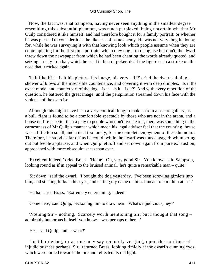#### Old Curiosity Shop, The

 Now, the fact was, that Sampson, having never seen anything in the smallest degree resembling this substantial phantom, was much perplexed; being uncertain whether Mr Quilp considered it like himself, and had therefore bought it for a family portrait; or whether he was pleased to consider it as the likeness of some enemy. He was not very long in doubt; for, while he was surveying it with that knowing look which people assume when they are contemplating for the first time portraits which they ought to recognise but don't, the dwarf threw down the newspaper from which he had been chanting the words already quoted, and seizing a rusty iron bar, which he used in lieu of poker, dealt the figure such a stroke on the nose that it rocked again.

 'Is it like Kit – is it his picture, his image, his very self?' cried the dwarf, aiming a shower of blows at the insensible countenance, and covering it with deep dimples. 'Is it the exact model and counterpart of the dog – is it – is it – is it?' And with every repetition of the question, he battered the great image, until the perspiration streamed down his face with the violence of the exercise.

 Although this might have been a very comical thing to look at from a secure gallery, as a bull−fight is found to be a comfortable spectacle by those who are not in the arena, and a house on fire is better than a play to people who don't live near it, there was something in the earnestness of Mr Quilp's manner which made his legal adviser feel that the counting−house was a little too small, and a deal too lonely, for the complete enjoyment of these humours. Therefore, he stood as far off as he could, while the dwarf was thus engaged; whimpering out but feeble applause; and when Quilp left off and sat down again from pure exhaustion, approached with more obsequiousness than ever.

 'Excellent indeed!' cried Brass. 'He he! Oh, very good Sir. You know,' said Sampson, looking round as if in appeal to the bruised animal, 'he's quite a remarkable man – quite!'

 'Sit down,' said the dwarf. 'I bought the dog yesterday. I've been screwing gimlets into him, and sticking forks in his eyes, and cutting my name on him. I mean to burn him at last.'

'Ha ha!' cried Brass. 'Extremely entertaining, indeed!'

'Come here,' said Quilp, beckoning him to draw near. 'What's injudicious, hey?'

 'Nothing Sir – nothing. Scarcely worth mentioning Sir; but I thought that song – admirably humorous in itself you know – was perhaps rather – '

'Yes,' said Quilp, 'rather what?'

 'Just bordering, or as one may say remotely verging, upon the confines of injudiciousness perhaps, Sir,' returned Brass, looking timidly at the dwarf's cunning eyes, which were turned towards the fire and reflected its red light.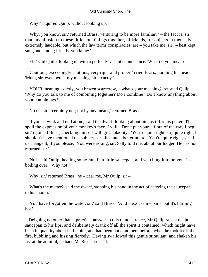'Why?' inquired Quilp, without looking up.

 'Why, you know, sir,' returned Brass, venturing to be more familiar: ' – the fact is, sir, that any allusion to these little combinings together, of friends, for objects in themselves extremely laudable, but which the law terms conspiracies, are – you take me, sir? – best kept snug and among friends, you know.'

'Eh!' said Quilp, looking up with a perfectly vacant countenance. 'What do you mean?'

 'Cautious, exceedingly cautious, very right and proper!' cried Brass, nodding his head. 'Mum, sir, even here – my meaning, sir, exactly.'

 'YOUR meaning exactly, you brazen scarecrow, – what's your meaning?' retorted Quilp. 'Why do you talk to me of combining together? Do I combine? Do I know anything about your combinings?'

'No no, sir – certainly not; not by any means,' returned Brass.

 'if you so wink and nod at me,' said the dwarf, looking about him as if for his poker, 'I'll spoil the expression of your monkey's face, I will.' 'Don't put yourself out of the way I beg, sir,' rejoined Brass, checking himself with great alacrity. 'You're quite right, sir, quite right. I shouldn't have mentioned the subject, sir. It's much better not to. You're quite right, sir. Let us change it, if you please. You were asking, sir, Sally told me, about our lodger. He has not returned, sir.'

 'No?' said Quilp, heating some rum in a little saucepan, and watching it to prevent its boiling over. 'Why not?'

'Why, sir,' returned Brass, 'he – dear me, Mr Quilp, sir – '

 'What's the matter?' said the dwarf, stopping his hand in the act of carrying the saucepan to his mouth.

 'You have forgotten the water, sir,' said Brass. 'And – excuse me, sir – but it's burning hot.'

 Deigning no other than a practical answer to this remonstrance, Mr Quilp raised the hot saucepan to his lips, and deliberately drank off all the spirit it contained, which might have been in quantity about half a pint, and had been but a moment before, when he took it off the fire, bubbling and hissing fiercely. Having swallowed this gentle stimulant, and shaken his fist at the admiral, he bade Mr Brass proceed.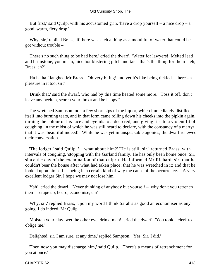#### Old Curiosity Shop, The

 'But first,' said Quilp, with his accustomed grin, 'have a drop yourself – a nice drop – a good, warm, fiery drop.'

 'Why, sir,' replied Brass, 'if there was such a thing as a mouthful of water that could be got without trouble – '

 'There's no such thing to be had here,' cried the dwarf. 'Water for lawyers! Melted lead and brimstone, you mean, nice hot blistering pitch and  $tar - that's$  the thing for them – eh, Brass, eh?'

 'Ha ha ha!' laughed Mr Brass. 'Oh very biting! and yet it's like being tickled – there's a pleasure in it too, sir!'

 'Drink that,' said the dwarf, who had by this time heated some more. 'Toss it off, don't leave any heeltap, scorch your throat and be happy!'

 The wretched Sampson took a few short sips of the liquor, which immediately distilled itself into burning tears, and in that form came rolling down his cheeks into the pipkin again, turning the colour of his face and eyelids to a deep red, and giving rise to a violent fit of coughing, in the midst of which he was still heard to declare, with the constancy of a martyr, that it was 'beautiful indeed!' While he was yet in unspeakable agonies, the dwarf renewed their conversation.

 'The lodger,' said Quilp, ' – what about him?' 'He is still, sir,' returned Brass, with intervals of coughing, 'stopping with the Garland family. He has only been home once, Sir, since the day of the examination of that culprit. He informed Mr Richard, sir, that he couldn't bear the house after what had taken place; that he was wretched in it; and that he looked upon himself as being in a certain kind of way the cause of the occurrence. – A very excellent lodger Sir. I hope we may not lose him.'

 'Yah!' cried the dwarf. 'Never thinking of anybody but yourself – why don't you retrench then – scrape up, hoard, economise, eh?'

 'Why, sir,' replied Brass, 'upon my word I think Sarah's as good an economiser as any going. I do indeed, Mr Quilp.'

 'Moisten your clay, wet the other eye, drink, man!' cried the dwarf. 'You took a clerk to oblige me.'

'Delighted, sir, I am sure, at any time,' replied Sampson. 'Yes, Sir, I did.'

 'Then now you may discharge him,' said Quilp. 'There's a means of retrenchment for you at once.'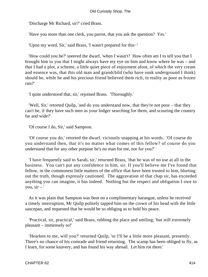'Discharge Mr Richard, sir?' cried Brass.

'Have you more than one clerk, you parrot, that you ask the question? Yes.'

'Upon my word, Sir,' said Brass, 'I wasn't prepared for this−'

 'How could you be?' sneered the dwarf, 'when I wasn't? How often am I to tell you that I brought him to you that I might always have my eye on him and know where he was – and that I had a plot, a scheme, a little quiet piece of enjoyment afoot, of which the very cream and essence was, that this old man and grandchild (who have sunk underground I think) should be, while he and his precious friend believed them rich, in reality as poor as frozen rats?'

'I quite understood that, sir,' rejoined Brass. 'Thoroughly.'

 'Well, Sir,' retorted Quilp, 'and do you understand now, that they're not poor – that they can't be, if they have such men as your lodger searching for them, and scouring the country far and wide?'

'Of course I do, Sir,' said Sampson.

 'Of course you do,' retorted the dwarf, viciously snapping at his words. 'Of course do you understand then, that it's no matter what comes of this fellow? of course do you understand that for any other purpose he's no man for me, nor for you?'

 'I have frequently said to Sarah, sir,' returned Brass, 'that he was of no use at all in the business. You can't put any confidence in him, sir. If you'll believe me I've found that fellow, in the commonest little matters of the office that have been trusted to him, blurting out the truth, though expressly cautioned. The aggravation of that chap sir, has exceeded anything you can imagine, it has indeed. Nothing but the respect and obligation I owe to you,  $\sin - '$ 

 As it was plain that Sampson was bent on a complimentary harangue, unless he received a timely interruption, Mr Quilp politely tapped him on the crown of his head with the little saucepan, and requested that he would be so obliging as to hold his peace.

 'Practical, sir, practical,' said Brass, rubbing the place and smiling; 'but still extremely pleasant – immensely so!'

 'Hearken to me, will you?' returned Quilp, 'or I'll be a little more pleasant, presently. There's no chance of his comrade and friend returning. The scamp has been obliged to fly, as I learn, for some knavery, and has found his way abroad. Let him rot there.'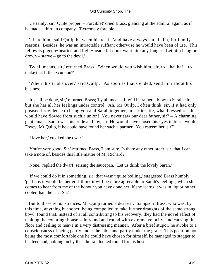#### Old Curiosity Shop, The

 'Certainly, sir. Quite proper. – Forcible!' cried Brass, glancing at the admiral again, as if he made a third in company. 'Extremely forcible!'

 'I hate him,' said Quilp between his teeth, 'and have always hated him, for family reasons. Besides, he was an intractable ruffian; otherwise he would have been of use. This fellow is pigeon−hearted and light−headed. I don't want him any longer. Let him hang or drown – starve – go to the devil.'

 'By all means, sir,' returned Brass. 'When would you wish him, sir, to – ha, ha! – to make that little excursion?'

 'When this trial's over,' said Quilp. 'As soon as that's ended, send him about his business.'

 'It shall be done, sir,' returned Brass; 'by all means. It will be rather a blow to Sarah, sir, but she has all her feelings under control. Ah, Mr Quilp, I often think, sir, if it had only pleased Providence to bring you and Sarah together, in earlier life, what blessed results would have flowed from such a union! You never saw our dear father, sir? – A charming gentleman. Sarah was his pride and joy, sir. He would have closed his eyes in bliss, would Foxey, Mr Quilp, if he could have found her such a partner. You esteem her, sir?'

'I love her,' croaked the dwarf.

 'You're very good, Sir,' returned Brass, 'I am sure. Is there any other order, sir, that I can take a note of, besides this little matter of Mr Richard?'

'None,' replied the dwarf, seizing the saucepan. 'Let us drink the lovely Sarah.'

 'If we could do it in something, sir, that wasn't quite boiling,' suggested Brass humbly, 'perhaps it would be better. I think it will be more agreeable to Sarah's feelings, when she comes to hear from me of the honour you have done her, if she learns it was in liquor rather cooler than the last, Sir.'

 But to these remonstrances, Mr Quilp turned a deaf ear. Sampson Brass, who was, by this time, anything but sober, being compelled to take further draughts of the same strong bowl, found that, instead of at all contributing to his recovery, they had the novel effect of making the counting−house spin round and round with extreme velocity, and causing the floor and ceiling to heave in a very distressing manner. After a brief stupor, he awoke to a consciousness of being partly under the table and partly under the grate. This position not being the most comfortable one he could have chosen for himself, he managed to stagger to his feet, and, holding on by the admiral, looked round for his host.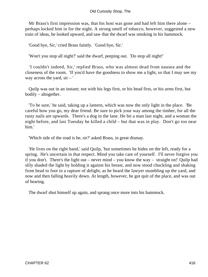Mr Brass's first impression was, that his host was gone and had left him there alone – perhaps locked him in for the night. A strong smell of tobacco, however, suggested a new train of ideas, he looked upward, and saw that the dwarf was smoking in his hammock.

'Good bye, Sir,' cried Brass faintly. 'Good bye, Sir.'

'Won't you stop all night?' said the dwarf, peeping out. 'Do stop all night!'

 'I couldn't indeed, Sir,' replied Brass, who was almost dead from nausea and the closeness of the room. 'If you'd have the goodness to show me a light, so that I may see my way across the yard,  $\sin - 1$ 

 Quilp was out in an instant; not with his legs first, or his head first, or his arms first, but bodily – altogether.

 'To be sure,' he said, taking up a lantern, which was now the only light in the place. 'Be careful how you go, my dear friend. Be sure to pick your way among the timber, for all the rusty nails are upwards. There's a dog in the lane. He bit a man last night, and a woman the night before, and last Tuesday he killed a child – but that was in play. Don't go too near him.'

'Which side of the road is he, sir?' asked Brass, in great dismay.

 'He lives on the right hand,' said Quilp, 'but sometimes he hides on the left, ready for a spring. He's uncertain in that respect. Mind you take care of yourself. I'll never forgive you if you don't. There's the light out – never mind – you know the way – straight on!' Quilp had slily shaded the light by holding it against his breast, and now stood chuckling and shaking from head to foot in a rapture of delight, as he heard the lawyer stumbling up the yard, and now and then falling heavily down. At length, however, he got quit of the place, and was out of hearing.

The dwarf shut himself up again, and sprang once more into his hammock.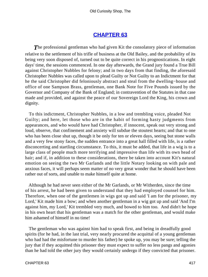## **[CHAPTER 63](#page-496-0)**

**The professional gentleman who had given Kit the consolatory piece of information** relative to the settlement of his trifle of business at the Old Bailey, and the probability of its being very soon disposed of, turned out to be quite correct in his prognostications. In eight days' time, the sessions commenced. In one day afterwards, the Grand jury found a True Bill against Christopher Nubbles for felony; and in two days from that finding, the aforesaid Christopher Nubbles was called upon to plead Guilty or Not Guilty to an Indictment for that he the said Christopher did feloniously abstract and steal from the dwelling−house and office of one Sampson Brass, gentleman, one Bank Note for Five Pounds issued by the Governor and Company of the Bank of England; in contravention of the Statutes in that case made and provided, and against the peace of our Sovereign Lord the King, his crown and dignity.

 To this indictment, Christopher Nubbles, in a low and trembling voice, pleaded Not Guilty; and here, let those who are in the habit of forming hasty judgments from appearances, and who would have had Christopher, if innocent, speak out very strong and loud, observe, that confinement and anxiety will subdue the stoutest hearts; and that to one who has been close shut up, though it be only for ten or eleven days, seeing but stone walls and a very few stony faces, the sudden entrance into a great hall filled with life, is a rather disconcerting and startling circumstance. To this, it must be added, that life in a wig is to a large class of people much more terrifying and impressive than life with its own head of hair; and if, in addition to these considerations, there be taken into account Kit's natural emotion on seeing the two Mr Garlands and the little Notary looking on with pale and anxious faces, it will perhaps seem matter of no very great wonder that he should have been rather out of sorts, and unable to make himself quite at home.

 Although he had never seen either of the Mr Garlands, or Mr Witherden, since the time of his arrest, he had been given to understand that they had employed counsel for him. Therefore, when one of the gentlemen in wigs got up and said 'I am for the prisoner, my Lord,' Kit made him a bow; and when another gentleman in a wig got up and said 'And I'm against him, my Lord,' Kit trembled very much, and bowed to him too. And didn't he hope in his own heart that his gentleman was a match for the other gentleman, and would make him ashamed of himself in no time!

 The gentleman who was against him had to speak first, and being in dreadfully good spirits (for he had, in the last trial, very nearly procured the acquittal of a young gentleman who had had the misfortune to murder his father) he spoke up, you may be sure; telling the jury that if they acquitted this prisoner they must expect to suffer no less pangs and agonies than he had told the other jury they would certainly undergo if they convicted that prisoner.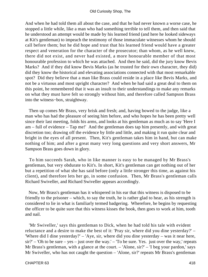And when he had told them all about the case, and that he had never known a worse case, he stopped a little while, like a man who had something terrible to tell them, and then said that he understood an attempt would be made by his learned friend (and here he looked sideways at Kit's gentleman) to impeach the testimony of those immaculate witnesses whom he should call before them; but he did hope and trust that his learned friend would have a greater respect and veneration for the character of the prosecutor; than whom, as he well knew, there did not exist, and never had existed, a more honourable member of that most honourable profession to which he was attached. And then he said, did the jury know Bevis Marks? And if they did know Bevis Marks (as he trusted for their own character, they did) did they know the historical and elevating associations connected with that most remarkable spot? Did they believe that a man like Brass could reside in a place like Bevis Marks, and not be a virtuous and most upright character? And when he had said a great deal to them on this point, he remembered that it was an insult to their understandings to make any remarks on what they must have felt so strongly without him, and therefore called Sampson Brass into the witness−box, straightway.

 Then up comes Mr Brass, very brisk and fresh; and, having bowed to the judge, like a man who has had the pleasure of seeing him before, and who hopes he has been pretty well since their last meeting, folds his arms, and looks at his gentleman as much as to say 'Here I am – full of evidence – Tap me!' And the gentleman does tap him presently, and with great discretion too; drawing off the evidence by little and little, and making it run quite clear and bright in the eyes of all present. Then, Kit's gentleman takes him in hand, but can make nothing of him; and after a great many very long questions and very short answers, Mr Sampson Brass goes down in glory.

 To him succeeds Sarah, who in like manner is easy to be managed by Mr Brass's gentleman, but very obdurate to Kit's. In short, Kit's gentleman can get nothing out of her but a repetition of what she has said before (only a little stronger this time, as against his client), and therefore lets her go, in some confusion. Then, Mr Brass's gentleman calls Richard Swiveller, and Richard Swiveller appears accordingly.

 Now, Mr Brass's gentleman has it whispered in his ear that this witness is disposed to be friendly to the prisoner – which, to say the truth, he is rather glad to hear, as his strength is considered to lie in what is familiarly termed badgering. Wherefore, he begins by requesting the officer to be quite sure that this witness kisses the book, then goes to work at him, tooth and nail.

 'Mr Swiveller,' says this gentleman to Dick, when he had told his tale with evident reluctance and a desire to make the best of it: 'Pray sir, where did you dine yesterday?' – 'Where did I dine yesterday?' – 'Aye, sir, where did you dine yesterday – was it near here, sir?' – 'Oh to be sure – yes – just over the way.' – 'To be sure. Yes. just over the way,' repeats Mr Brass's gentleman, with a glance at the court. – 'Alone, sir?' – 'I beg your pardon,' says Mr Swiveller, who has not caught the question – 'Alone, sir?' repeats Mr Brass's gentleman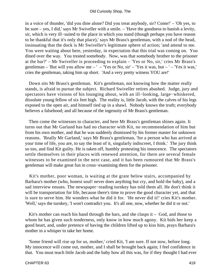in a voice of thunder, 'did you dine alone? Did you treat anybody, sir? Come!' – 'Oh yes, to be sure – yes, I did,' says Mr Swiveller with a smile. – 'Have the goodness to banish a levity, sir, which is very ill−suited to the place in which you stand (though perhaps you have reason to be thankful that it's only that place),' says Mr Brass's gentleman, with a nod of the head, insinuating that the dock is Mr Swiveller's legitimate sphere of action; 'and attend to me. You were waiting about here, yesterday, in expectation that this trial was coming on. You dined over the way. You treated somebody. Now, was that somebody brother to the prisoner at the bar?' – Mr Swiveller is proceeding to explain – 'Yes or No, sir,' cries Mr Brass's gentleman – 'But will you allow me – ' – 'Yes or No,  $\sin'$  – 'Yes it was, but – ' – 'Yes it was,' cries the gentleman, taking him up short. 'And a very pretty witness YOU are!'

 Down sits Mr Brass's gentleman. Kit's gentleman, not knowing how the matter really stands, is afraid to pursue the subject. Richard Swiveller retires abashed. Judge, jury and spectators have visions of his lounging about, with an ill−looking, large−whiskered, dissolute young fellow of six feet high. The reality is, little Jacob, with the calves of his legs exposed to the open air, and himself tied up in a shawl. Nobody knows the truth; everybody believes a falsehood; and all because of the ingenuity of Mr Brass's gentleman.

 Then come the witnesses to character, and here Mr Brass's gentleman shines again. It turns out that Mr Garland has had no character with Kit, no recommendation of him but from his own mother, and that he was suddenly dismissed by his former master for unknown reasons. 'Really Mr Garland,' says Mr Brass's gentleman, 'for a person who has arrived at your time of life, you are, to say the least of it, singularly indiscreet, I think.' The jury think so too, and find Kit guilty. He is taken off, humbly protesting his innocence. The spectators settle themselves in their places with renewed attention, for there are several female witnesses to be examined in the next case, and it has been rumoured that Mr Brass's gentleman will make great fun in cross−examining them for the prisoner.

 Kit's mother, poor woman, is waiting at the grate below stairs, accompanied by Barbara's mother (who, honest soul! never does anything but cry, and hold the baby), and a sad interview ensues. The newspaper−reading turnkey has told them all. He don't think it will be transportation for life, because there's time to prove the good character yet, and that is sure to serve him. He wonders what he did it for. 'He never did it!' cries Kit's mother. 'Well,' says the turnkey, 'I won't contradict you. It's all one, now, whether he did it or not.'

Kit's mother can reach his hand through the bars, and she clasps it  $-$  God, and those to whom he has given such tenderness, only know in how much agony. Kit bids her keep a good heart, and, under pretence of having the children lifted up to kiss him, prays Barbara's mother in a whisper to take her home.

 'Some friend will rise up for us, mother,' cried Kit, 'I am sure. If not now, before long. My innocence will come out, mother, and I shall be brought back again; I feel confidence in that. You must teach little Jacob and the baby how all this was, for if they thought I had ever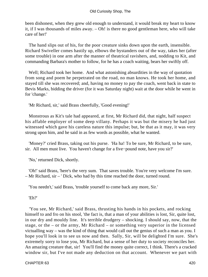been dishonest, when they grew old enough to understand, it would break my heart to know it, if I was thousands of miles away. – Oh! is there no good gentleman here, who will take care of her!'

 The hand slips out of his, for the poor creature sinks down upon the earth, insensible. Richard Swiveller comes hastily up, elbows the bystanders out of the way, takes her (after some trouble) in one arm after the manner of theatrical ravishers, and, nodding to Kit, and commanding Barbara's mother to follow, for he has a coach waiting, bears her swiftly off.

 Well; Richard took her home. And what astonishing absurdities in the way of quotation from song and poem he perpetrated on the road, no man knows. He took her home, and stayed till she was recovered; and, having no money to pay the coach, went back in state to Bevis Marks, bidding the driver (for it was Saturday night) wait at the door while he went in for 'change.'

'Mr Richard, sir,' said Brass cheerfully, 'Good evening!'

 Monstrous as Kit's tale had appeared, at first, Mr Richard did, that night, half suspect his affable employer of some deep villany. Perhaps it was but the misery he had just witnessed which gave his careless nature this impulse; but, be that as it may, it was very strong upon him, and he said in as few words as possible, what he wanted.

 'Money?' cried Brass, taking out his purse. 'Ha ha! To be sure, Mr Richard, to be sure, sir. All men must live. You haven't change for a five−pound note, have you sir?'

'No,' returned Dick, shortly.

 'Oh!' said Brass, 'here's the very sum. That saves trouble. You're very welcome I'm sure. – Mr Richard, sir – ' Dick, who had by this time reached the door, turned round.

'You needn't,' said Brass, 'trouble yourself to come back any more, Sir.'

'Eh?'

 'You see, Mr Richard,' said Brass, thrusting his hands in his pockets, and rocking himself to and fro on his stool, 'the fact is, that a man of your abilities is lost, Sir, quite lost, in our dry and mouldy line. It's terrible drudgery – shocking. I should say, now, that the stage, or the – or the army, Mr Richard – or something very superior in the licensed victualling way – was the kind of thing that would call out the genius of such a man as you. I hope you'll look in to see us now and then. Sally, Sir, will be delighted I'm sure. She's extremely sorry to lose you, Mr Richard, but a sense of her duty to society reconciles her. An amazing creature that, sir! You'll find the money quite correct, I think. There's a cracked window sir, but I've not made any deduction on that account. Whenever we part with

CHAPTER 63 420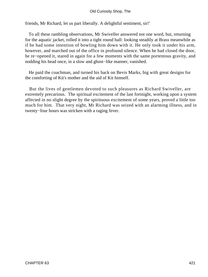### Old Curiosity Shop, The

friends, Mr Richard, let us part liberally. A delightful sentiment, sir!'

 To all these rambling observations, Mr Swiveller answered not one word, but, returning for the aquatic jacket, rolled it into a tight round ball: looking steadily at Brass meanwhile as if he had some intention of bowling him down with it. He only took it under his arm, however, and marched out of the office in profound silence. When he had closed the door, he re−opened it, stared in again for a few moments with the same portentous gravity, and nodding his head once, in a slow and ghost−like manner, vanished.

 He paid the coachman, and turned his back on Bevis Marks, big with great designs for the comforting of Kit's mother and the aid of Kit himself.

 But the lives of gentlemen devoted to such pleasures as Richard Swiveller, are extremely precarious. The spiritual excitement of the last fortnight, working upon a system affected in no slight degree by the spirituous excitement of some years, proved a little too much for him. That very night, Mr Richard was seized with an alarming illness, and in twenty−four hours was stricken with a raging fever.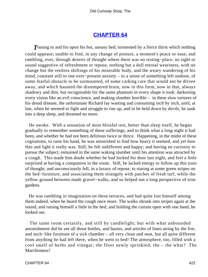### **[CHAPTER 64](#page-496-0)**

**T**ossing to and fro upon his hot, uneasy bed; tormented by a fierce thirst which nothing could appease; unable to find, in any change of posture, a moment's peace or ease; and rambling, ever, through deserts of thought where there was no resting−place, no sight or sound suggestive of refreshment or repose, nothing but a dull eternal weariness, with no change but the restless shiftings of his miserable body, and the weary wandering of his mind, constant still to one ever−present anxiety – to a sense of something left undone, of some fearful obstacle to be surmounted, of some carking care that would not be driven away, and which haunted the distempered brain, now in this form, now in that, always shadowy and dim, but recognisable for the same phantom in every shape it took: darkening every vision like an evil conscience, and making slumber horrible – in these slow tortures of his dread disease, the unfortunate Richard lay wasting and consuming inch by inch, until, at last, when he seemed to fight and struggle to rise up, and to be held down by devils, he sank into a deep sleep, and dreamed no more.

 He awoke. With a sensation of most blissful rest, better than sleep itself, he began gradually to remember something of these sufferings, and to think what a long night it had been, and whether he had not been delirious twice or thrice. Happening, in the midst of these cogitations, to raise his hand, he was astonished to find how heavy it seemed, and yet how thin and light it really was. Still, he felt indifferent and happy; and having no curiosity to pursue the subject, remained in the same waking slumber until his attention was attracted by a cough. This made him doubt whether he had locked his door last night, and feel a little surprised at having a companion in the room. Still, he lacked energy to follow up this train of thought; and unconsciously fell, in a luxury of repose, to staring at some green stripes on the bed−furniture, and associating them strangely with patches of fresh turf, while the yellow ground between made gravel−walks, and so helped out a long perspective of trim gardens.

 He was rambling in imagination on these terraces, and had quite lost himself among them indeed, when he heard the cough once more. The walks shrunk into stripes again at the sound, and raising himself a little in the bed, and holding the curtain open with one hand, he looked out.

 The same room certainly, and still by candlelight; but with what unbounded astonishment did he see all those bottles, and basins, and articles of linen airing by the fire, and such−like furniture of a sick chamber – all very clean and neat, but all quite different from anything he had left there, when he went to bed! The atmosphere, too, filled with a cool smell of herbs and vinegar; the floor newly sprinkled; the – the what? The Marchioness?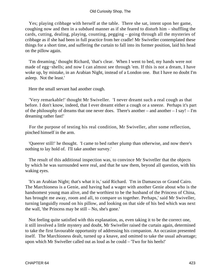Yes; playing cribbage with herself at the table. There she sat, intent upon her game, coughing now and then in a subdued manner as if she feared to disturb him – shuffling the cards, cutting, dealing, playing, counting, pegging – going through all the mysteries of cribbage as if she had been in full practice from her cradle! Mr Swiveller contemplated these things for a short time, and suffering the curtain to fall into its former position, laid his head on the pillow again.

 'I'm dreaming,' thought Richard, 'that's clear. When I went to bed, my hands were not made of egg−shells; and now I can almost see through 'em. If this is not a dream, I have woke up, by mistake, in an Arabian Night, instead of a London one. But I have no doubt I'm asleep. Not the least.'

Here the small servant had another cough.

 'Very remarkable!' thought Mr Swiveller. 'I never dreamt such a real cough as that before. I don't know, indeed, that I ever dreamt either a cough or a sneeze. Perhaps it's part of the philosophy of dreams that one never does. There's another – and another – I say! – I'm dreaming rather fast!'

 For the purpose of testing his real condition, Mr Swiveller, after some reflection, pinched himself in the arm.

 'Queerer still!' he thought. 'I came to bed rather plump than otherwise, and now there's nothing to lay hold of. I'll take another survey.'

 The result of this additional inspection was, to convince Mr Swiveller that the objects by which he was surrounded were real, and that he saw them, beyond all question, with his waking eyes.

 'It's an Arabian Night; that's what it is,' said Richard. 'I'm in Damascus or Grand Cairo. The Marchioness is a Genie, and having had a wager with another Genie about who is the handsomest young man alive, and the worthiest to be the husband of the Princess of China, has brought me away, room and all, to compare us together. Perhaps,' said Mr Swiveller, turning languidly round on his pillow, and looking on that side of his bed which was next the wall, 'the Princess may be still – No, she's gone.'

 Not feeling quite satisfied with this explanation, as, even taking it to be the correct one, it still involved a little mystery and doubt, Mr Swiveller raised the curtain again, determined to take the first favourable opportunity of addressing his companion. An occasion presented itself. The Marchioness dealt, turned up a knave, and omitted to take the usual advantage; upon which Mr Swiveller called out as loud as he could – 'Two for his heels!'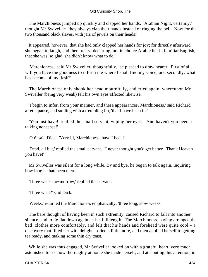The Marchioness jumped up quickly and clapped her hands. 'Arabian Night, certainly,' thought Mr Swiveller; 'they always clap their hands instead of ringing the bell. Now for the two thousand black slaves, with jars of jewels on their heads!'

 It appeared, however, that she had only clapped her hands for joy; for directly afterward she began to laugh, and then to cry; declaring, not in choice Arabic but in familiar English, that she was 'so glad, she didn't know what to do.'

 'Marchioness,' said Mr Swiveller, thoughtfully, 'be pleased to draw nearer. First of all, will you have the goodness to inform me where I shall find my voice; and secondly, what has become of my flesh?'

 The Marchioness only shook her head mournfully, and cried again; whereupon Mr Swiveller (being very weak) felt his own eyes affected likewise.

 'I begin to infer, from your manner, and these appearances, Marchioness,' said Richard after a pause, and smiling with a trembling lip, 'that I have been ill.'

 'You just have!' replied the small servant, wiping her eyes. 'And haven't you been a talking nonsense!'

'Oh!' said Dick. 'Very ill, Marchioness, have I been?'

 'Dead, all but,' replied the small servant. 'I never thought you'd get better. Thank Heaven you have!'

 Mr Swiveller was silent for a long while. By and bye, he began to talk again, inquiring how long he had been there.

'Three weeks to−morrow,' replied the servant.

'Three what?' said Dick.

'Weeks,' returned the Marchioness emphatically; 'three long, slow weeks.'

 The bare thought of having been in such extremity, caused Richard to fall into another silence, and to lie flat down again, at his full length. The Marchioness, having arranged the bed−clothes more comfortably, and felt that his hands and forehead were quite cool – a discovery that filled her with delight – cried a little more, and then applied herself to getting tea ready, and making some thin dry toast.

 While she was thus engaged, Mr Swiveller looked on with a grateful heart, very much astonished to see how thoroughly at home she made herself, and attributing this attention, in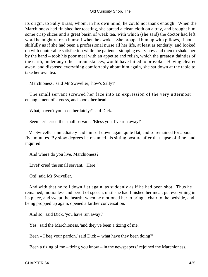its origin, to Sally Brass, whom, in his own mind, he could not thank enough. When the Marchioness had finished her toasting, she spread a clean cloth on a tray, and brought him some crisp slices and a great basin of weak tea, with which (she said) the doctor had left word he might refresh himself when he awoke. She propped him up with pillows, if not as skilfully as if she had been a professional nurse all her life, at least as tenderly; and looked on with unutterable satisfaction while the patient – stopping every now and then to shake her by the hand – took his poor meal with an appetite and relish, which the greatest dainties of the earth, under any other circumstances, would have failed to provoke. Having cleared away, and disposed everything comfortably about him again, she sat down at the table to take her own tea.

'Marchioness,' said Mr Swiveller, 'how's Sally?'

 The small servant screwed her face into an expression of the very uttermost entanglement of slyness, and shook her head.

'What, haven't you seen her lately?' said Dick.

'Seen her!' cried the small servant. 'Bless you, I've run away!'

 Mr Swiveller immediately laid himself down again quite flat, and so remained for about five minutes. By slow degrees he resumed his sitting posture after that lapse of time, and inquired:

'And where do you live, Marchioness?'

'Live!' cried the small servant. 'Here!'

'Oh!' said Mr Swiveller.

 And with that he fell down flat again, as suddenly as if he had been shot. Thus he remained, motionless and bereft of speech, until she had finished her meal, put everything in its place, and swept the hearth; when he motioned her to bring a chair to the bedside, and, being propped up again, opened a farther conversation.

'And so,' said Dick, 'you have run away?'

'Yes,' said the Marchioness, 'and they've been a tizing of me.'

'Been – I beg your pardon,' said Dick – 'what have they been doing?'

'Been a tizing of me – tizing you know – in the newspapers,' rejoined the Marchioness.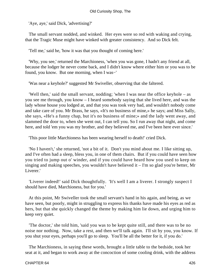'Aye, aye,' said Dick, 'advertising?'

 The small servant nodded, and winked. Her eyes were so red with waking and crying, that the Tragic Muse might have winked with greater consistency. And so Dick felt.

'Tell me,' said he, 'how it was that you thought of coming here.'

 'Why, you see,' returned the Marchioness, 'when you was gone, I hadn't any friend at all, because the lodger he never come back, and I didn't know where either him or you was to be found, you know. But one morning, when I was−'

'Was near a keyhole?' suggested Mr Swiveller, observing that she faltered.

 'Well then,' said the small servant, nodding; 'when I was near the office keyhole – as you see me through, you know – I heard somebody saying that she lived here, and was the lady whose house you lodged at, and that you was took very bad, and wouldn't nobody come and take care of you. Mr Brass, he says, «It's no business of mine,» he says; and Miss Sally, she says, «He's a funny chap, but it's no business of mine;» and the lady went away, and slammed the door to, when she went out, I can tell you. So I run away that night, and come here, and told 'em you was my brother, and they believed me, and I've been here ever since.'

'This poor little Marchioness has been wearing herself to death!' cried Dick.

 'No I haven't,' she returned, 'not a bit of it. Don't you mind about me. I like sitting up, and I've often had a sleep, bless you, in one of them chairs. But if you could have seen how you tried to jump out o' winder, and if you could have heard how you used to keep on singing and making speeches, you wouldn't have believed it – I'm so glad you're better, Mr Liverer.'

 'Liverer indeed!' said Dick thoughtfully. 'It's well I am a liverer. I strongly suspect I should have died, Marchioness, but for you.'

 At this point, Mr Swiveller took the small servant's hand in his again, and being, as we have seen, but poorly, might in struggling to express his thanks have made his eyes as red as hers, but that she quickly changed the theme by making him lie down, and urging him to keep very quiet.

 'The doctor,' she told him, 'said you was to be kept quite still, and there was to be no noise nor nothing. Now, take a rest, and then we'll talk again. I'll sit by you, you know. If you shut your eyes, perhaps you'll go to sleep. You'll be all the better for it, if you do.'

 The Marchioness, in saying these words, brought a little table to the bedside, took her seat at it, and began to work away at the concoction of some cooling drink, with the address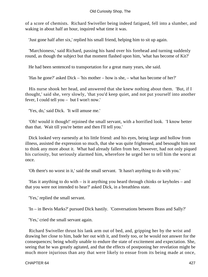of a score of chemists. Richard Swiveller being indeed fatigued, fell into a slumber, and waking in about half an hour, inquired what time it was.

'Just gone half after six,' replied his small friend, helping him to sit up again.

 'Marchioness,' said Richard, passing his hand over his forehead and turning suddenly round, as though the subject but that moment flashed upon him, 'what has become of Kit?'

He had been sentenced to transportation for a great many years, she said.

'Has he gone?' asked Dick – 'his mother – how is she, – what has become of her?'

 His nurse shook her head, and answered that she knew nothing about them. 'But, if I thought,' said she, very slowly, 'that you'd keep quiet, and not put yourself into another fever, I could tell you – but I won't now.'

'Yes, do,' said Dick. 'It will amuse me.'

 'Oh! would it though!' rejoined the small servant, with a horrified look. 'I know better than that. Wait till you're better and then I'll tell you.'

 Dick looked very earnestly at his little friend: and his eyes, being large and hollow from illness, assisted the expression so much, that she was quite frightened, and besought him not to think any more about it. What had already fallen from her, however, had not only piqued his curiosity, but seriously alarmed him, wherefore he urged her to tell him the worst at once.

'Oh there's no worst in it,' said the small servant. 'It hasn't anything to do with you.'

 'Has it anything to do with – is it anything you heard through chinks or keyholes – and that you were not intended to hear?' asked Dick, in a breathless state.

'Yes,' replied the small servant.

'In – in Bevis Marks?' pursued Dick hastily. 'Conversations between Brass and Sally?'

'Yes,' cried the small servant again.

 Richard Swiveller thrust his lank arm out of bed, and, gripping her by the wrist and drawing her close to him, bade her out with it, and freely too, or he would not answer for the consequences; being wholly unable to endure the state of excitement and expectation. She, seeing that he was greatly agitated, and that the effects of postponing her revelation might be much more injurious than any that were likely to ensue from its being made at once,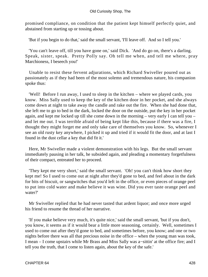promised compliance, on condition that the patient kept himself perfectly quiet, and abstained from starting up or tossing about.

'But if you begin to do that,' said the small servant, 'I'll leave off. And so I tell you.'

 'You can't leave off, till you have gone on,' said Dick. 'And do go on, there's a darling. Speak, sister, speak. Pretty Polly say. Oh tell me when, and tell me where, pray Marchioness, I beseech you!'

 Unable to resist these fervent adjurations, which Richard Swiveller poured out as passionately as if they had been of the most solemn and tremendous nature, his companion spoke thus:

 'Well! Before I run away, I used to sleep in the kitchen – where we played cards, you know. Miss Sally used to keep the key of the kitchen door in her pocket, and she always come down at night to take away the candle and rake out the fire. When she had done that, she left me to go to bed in the dark, locked the door on the outside, put the key in her pocket again, and kept me locked up till she come down in the morning – very early I can tell you – and let me out. I was terrible afraid of being kept like this, because if there was a fire, I thought they might forget me and only take care of themselves you know. So, whenever I see an old rusty key anywhere, I picked it up and tried if it would fit the door, and at last I found in the dust cellar a key that did fit it.'

 Here, Mr Swiveller made a violent demonstration with his legs. But the small servant immediately pausing in her talk, he subsided again, and pleading a momentary forgetfulness of their compact, entreated her to proceed.

 'They kept me very short,' said the small servant. 'Oh! you can't think how short they kept me! So I used to come out at night after they'd gone to bed, and feel about in the dark for bits of biscuit, or sangwitches that you'd left in the office, or even pieces of orange peel to put into cold water and make believe it was wine. Did you ever taste orange peel and water?'

 Mr Swiveller replied that he had never tasted that ardent liquor; and once more urged his friend to resume the thread of her narrative.

 'If you make believe very much, it's quite nice,' said the small servant, 'but if you don't, you know, it seems as if it would bear a little more seasoning, certainly. Well, sometimes I used to come out after they'd gone to bed, and sometimes before, you know; and one or two nights before there was all that precious noise in the office – when the young man was took, I mean – I come upstairs while Mr Brass and Miss Sally was a−sittin' at the office fire; and I tell you the truth, that I come to listen again, about the key of the safe.'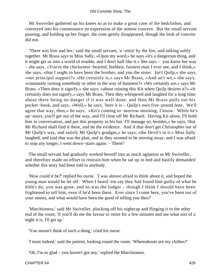Mr Swiveller gathered up his knees so as to make a great cone of the bedclothes, and conveyed into his countenance an expression of the utmost concern. But the small servant pausing, and holding up her finger, the cone gently disappeared, though the look of concern did not.

 'There was him and her,' said the small servant, 'a−sittin' by the fire, and talking softly together. Mr Brass says to Miss Sally, «Upon my word,» he says «it's a dangerous thing, and it might get us into a world of trouble, and I don't half like it.» She says – you know her way – she says, «You're the chickenest−hearted, feeblest, faintest man I ever see, and I think,» she says, «that I ought to have been the brother, and you the sister. Isn't Quilp,» she says, «our principal support?» «He certainly is,» says Mr Brass, «And an't we,» she says, «constantly ruining somebody or other in the way of business?» «We certainly are,» says Mr Brass. «Then does it signify,» she says, «about ruining this Kit when Quilp desires it?» «It certainly does not signify,» says Mr Brass. Then they whispered and laughed for a long time about there being no danger if it was well done, and then Mr Brass pulls out his pocket−book, and says, «Well,» he says, 'here it is – Quilp's own five−pound note. We'll agree that way, then,« he says. »Kit's coming to−morrow morning, I know. While he's up−stairs, you'll get out of the way, and I'll clear off Mr Richard. Having Kit alone, I'll hold him in conversation, and put this property in his hat. I'll manage so, besides,« he says, 'that Mr Richard shall find it there, and be the evidence. And if that don't get Christopher out of Mr Quilp's way, and satisfy Mr Quilp's grudges,» he says, «the Devil's in it.» Miss Sally laughed, and said that was the plan, and as they seemed to be moving away, and I was afraid to stop any longer, I went down−stairs again. – There!'

 The small servant had gradually worked herself into as much agitation as Mr Swiveller, and therefore made no effort to restrain him when he sat up in bed and hastily demanded whether this story had been told to anybody.

 'How could it be?' replied his nurse. 'I was almost afraid to think about it, and hoped the young man would be let off. When I heard 'em say they had found him guilty of what he didn't do, you was gone, and so was the lodger – though I think I should have been frightened to tell him, even if he'd been there. Ever since I come here, you've been out of your senses, and what would have been the good of telling you then?'

 'Marchioness,' said Mr Swiveller, plucking off his nightcap and flinging it to the other end of the room; 'if you'll do me the favour to retire for a few minutes and see what sort of a night it is, I'll get up.'

'You mustn't think of such a thing,' cried his nurse.

'I must indeed,' said the patient, looking round the room. 'Whereabouts are my clothes?'

'Oh, I'm so glad – you haven't got any,' replied the Marchioness.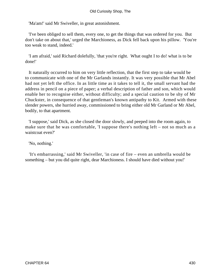'Ma'am!' said Mr Swiveller, in great astonishment.

 'I've been obliged to sell them, every one, to get the things that was ordered for you. But don't take on about that,' urged the Marchioness, as Dick fell back upon his pillow. 'You're too weak to stand, indeed.'

 'I am afraid,' said Richard dolefully, 'that you're right. What ought I to do! what is to be done!'

 It naturally occurred to him on very little reflection, that the first step to take would be to communicate with one of the Mr Garlands instantly. It was very possible that Mr Abel had not yet left the office. In as little time as it takes to tell it, the small servant had the address in pencil on a piece of paper; a verbal description of father and son, which would enable her to recognise either, without difficulty; and a special caution to be shy of Mr Chuckster, in consequence of that gentleman's known antipathy to Kit. Armed with these slender powers, she hurried away, commissioned to bring either old Mr Garland or Mr Abel, bodily, to that apartment.

 'I suppose,' said Dick, as she closed the door slowly, and peeped into the room again, to make sure that he was comfortable, 'I suppose there's nothing left – not so much as a waistcoat even?'

'No, nothing.'

 'It's embarrassing,' said Mr Swiveller, 'in case of fire – even an umbrella would be something – but you did quite right, dear Marchioness. I should have died without you!'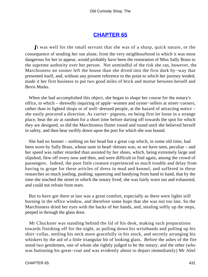### **[CHAPTER 65](#page-497-0)**

*I*t was well for the small servant that she was of a sharp, quick nature, or the consequence of sending her out alone, from the very neighbourhood in which it was most dangerous for her to appear, would probably have been the restoration of Miss Sally Brass to the supreme authority over her person. Not unmindful of the risk she ran, however, the Marchioness no sooner left the house than she dived into the first dark by−way that presented itself, and, without any present reference to the point to which her journey tended, made it her first business to put two good miles of brick and mortar between herself and Bevis Marks.

 When she had accomplished this object, she began to shape her course for the notary's office, to which – shrewdly inquiring of apple−women and oyster−sellers at street−corners, rather than in lighted shops or of well−dressed people, at the hazard of attracting notice – she easily procured a direction. As carrier− pigeons, on being first let loose in a strange place, beat the air at random for a short time before darting off towards the spot for which they are designed, so did the Marchioness flutter round and round until she believed herself in safety, and then bear swiftly down upon the port for which she was bound.

 She had no bonnet – nothing on her head but a great cap which, in some old time, had been worn by Sally Brass, whose taste in head−dresses was, as we have seen, peculiar – and her speed was rather retarded than assisted by her shoes, which, being extremely large and slipshod, flew off every now and then, and were difficult to find again, among the crowd of passengers. Indeed, the poor little creature experienced so much trouble and delay from having to grope for these articles of dress in mud and kennel, and suffered in these researches so much jostling, pushing, squeezing and bandying from hand to hand, that by the time she reached the street in which the notary lived, she was fairly worn out and exhausted, and could not refrain from tears.

 But to have got there at last was a great comfort, especially as there were lights still burning in the office window, and therefore some hope that she was not too late. So the Marchioness dried her eyes with the backs of her hands, and, stealing softly up the steps, peeped in through the glass door.

 Mr Chuckster was standing behind the lid of his desk, making such preparations towards finishing off for the night, as pulling down his wristbands and pulling up his shirt−collar, settling his neck more gracefully in his stock, and secretly arranging his whiskers by the aid of a little triangular bit of looking glass. Before the ashes of the fire stood two gentlemen, one of whom she rightly judged to be the notary, and the other (who was buttoning his great−coat and was evidently about to depart immediately) Mr Abel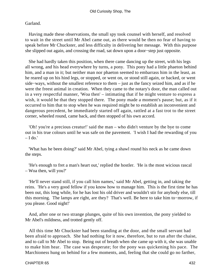### Garland.

 Having made these observations, the small spy took counsel with herself, and resolved to wait in the street until Mr Abel came out, as there would be then no fear of having to speak before Mr Chuckster, and less difficulty in delivering her message. With this purpose she slipped out again, and crossing the road, sat down upon a door−step just opposite.

 She had hardly taken this position, when there came dancing up the street, with his legs all wrong, and his head everywhere by turns, a pony. This pony had a little phaeton behind him, and a man in it; but neither man nor phaeton seemed to embarrass him in the least, as he reared up on his hind legs, or stopped, or went on, or stood still again, or backed, or went side−ways, without the smallest reference to them – just as the fancy seized him, and as if he were the freest animal in creation. When they came to the notary's door, the man called out in a very respectful manner, 'Woa then' – intimating that if he might venture to express a wish, it would be that they stopped there. The pony made a moment's pause; but, as if it occurred to him that to stop when he was required might be to establish an inconvenient and dangerous precedent, he immediately started off again, rattled at a fast trot to the street corner, wheeled round, came back, and then stopped of his own accord.

 'Oh! you're a precious creatur!' said the man – who didn't venture by the bye to come out in his true colours until he was safe on the pavement. 'I wish I had the rewarding of you  $-$  I do.'

 'What has he been doing?' said Mr Abel, tying a shawl round his neck as he came down the steps.

 'He's enough to fret a man's heart out,' replied the hostler. 'He is the most wicious rascal – Woa then, will you?'

 'He'll never stand still, if you call him names,' said Mr Abel, getting in, and taking the reins. 'He's a very good fellow if you know how to manage him. This is the first time he has been out, this long while, for he has lost his old driver and wouldn't stir for anybody else, till this morning. The lamps are right, are they? That's well. Be here to take him to−morrow, if you please. Good night!'

 And, after one or two strange plunges, quite of his own invention, the pony yielded to Mr Abel's mildness, and trotted gently off.

 All this time Mr Chuckster had been standing at the door, and the small servant had been afraid to approach. She had nothing for it now, therefore, but to run after the chaise, and to call to Mr Abel to stop. Being out of breath when she came up with it, she was unable to make him hear. The case was desperate; for the pony was quickening his pace. The Marchioness hung on behind for a few moments, and, feeling that she could go no farther,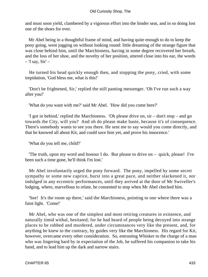and must soon yield, clambered by a vigorous effort into the hinder seat, and in so doing lost one of the shoes for ever.

 Mr Abel being in a thoughtful frame of mind, and having quite enough to do to keep the pony going, went jogging on without looking round: little dreaming of the strange figure that was close behind him, until the Marchioness, having in some degree recovered her breath, and the loss of her shoe, and the novelty of her position, uttered close into his ear, the words  $-$  'I say, Sir'  $-$ 

 He turned his head quickly enough then, and stopping the pony, cried, with some trepidation, 'God bless me, what is this!'

 'Don't be frightened, Sir,' replied the still panting messenger. 'Oh I've run such a way after you!'

'What do you want with me?' said Mr Abel. 'How did you come here?'

 'I got in behind,' replied the Marchioness. 'Oh please drive on, sir – don't stop – and go towards the City, will you? And oh do please make haste, because it's of consequence. There's somebody wants to see you there. He sent me to say would you come directly, and that he knowed all about Kit, and could save him yet, and prove his innocence.'

'What do you tell me, child?'

 'The truth, upon my word and honour I do. But please to drive on – quick, please! I've been such a time gone, he'll think I'm lost.'

 Mr Abel involuntarily urged the pony forward. The pony, impelled by some secret sympathy or some new caprice, burst into a great pace, and neither slackened it, nor indulged in any eccentric performances, until they arrived at the door of Mr Swiveller's lodging, where, marvellous to relate, he consented to stop when Mr Abel checked him.

 'See! It's the room up there,' said the Marchioness, pointing to one where there was a faint light. 'Come!'

 Mr Abel, who was one of the simplest and most retiring creatures in existence, and naturally timid withal, hesitated; for he had heard of people being decoyed into strange places to be robbed and murdered, under circumstances very like the present, and, for anything he knew to the contrary, by guides very like the Marchioness. His regard for Kit, however, overcame every other consideration. So, entrusting Whisker to the charge of a man who was lingering hard by in expectation of the Job, he suffered his companion to take his hand, and to lead him up the dark and narrow stairs.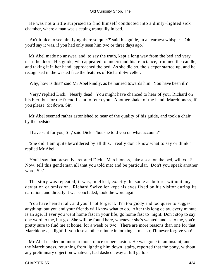He was not a little surprised to find himself conducted into a dimly−lighted sick chamber, where a man was sleeping tranquilly in bed.

 'An't it nice to see him lying there so quiet?' said his guide, in an earnest whisper. 'Oh! you'd say it was, if you had only seen him two or three days ago.'

 Mr Abel made no answer, and, to say the truth, kept a long way from the bed and very near the door. His guide, who appeared to understand his reluctance, trimmed the candle, and taking it in her hand, approached the bed. As she did so, the sleeper started up, and he recognised in the wasted face the features of Richard Swiveller.

'Why, how is this?' said Mr Abel kindly, as he hurried towards him. 'You have been ill?'

 'Very,' replied Dick. 'Nearly dead. You might have chanced to hear of your Richard on his bier, but for the friend I sent to fetch you. Another shake of the hand, Marchioness, if you please. Sit down, Sir.'

 Mr Abel seemed rather astonished to hear of the quality of his guide, and took a chair by the bedside.

'I have sent for you, Sir,' said Dick – 'but she told you on what account?'

 'She did. I am quite bewildered by all this. I really don't know what to say or think,' replied Mr Abel.

 'You'll say that presently,' retorted Dick. 'Marchioness, take a seat on the bed, will you? Now, tell this gentleman all that you told me; and be particular. Don't you speak another word, Sir.'

 The story was repeated; it was, in effect, exactly the same as before, without any deviation or omission. Richard Swiveller kept his eyes fixed on his visitor during its narration, and directly it was concluded, took the word again.

 'You have heard it all, and you'll not forget it. I'm too giddy and too queer to suggest anything; but you and your friends will know what to do. After this long delay, every minute is an age. If ever you went home fast in your life, go home fast to−night. Don't stop to say one word to me, but go. She will be found here, whenever she's wanted; and as to me, you're pretty sure to find me at home, for a week or two. There are more reasons than one for that. Marchioness, a light! If you lose another minute in looking at me, sir, I'll never forgive you!'

 Mr Abel needed no more remonstrance or persuasion. He was gone in an instant; and the Marchioness, returning from lighting him down−stairs, reported that the pony, without any preliminary objection whatever, had dashed away at full gallop.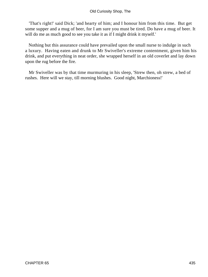#### Old Curiosity Shop, The

 'That's right!' said Dick; 'and hearty of him; and I honour him from this time. But get some supper and a mug of beer, for I am sure you must be tired. Do have a mug of beer. It will do me as much good to see you take it as if I might drink it myself.'

 Nothing but this assurance could have prevailed upon the small nurse to indulge in such a luxury. Having eaten and drunk to Mr Swiveller's extreme contentment, given him his drink, and put everything in neat order, she wrapped herself in an old coverlet and lay down upon the rug before the fire.

 Mr Swiveller was by that time murmuring in his sleep, 'Strew then, oh strew, a bed of rushes. Here will we stay, till morning blushes. Good night, Marchioness!'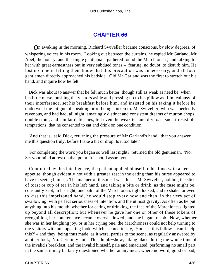## **[CHAPTER 66](#page-497-0)**

*O*n awaking in the morning, Richard Swiveller became conscious, by slow degrees, of whispering voices in his room. Looking out between the curtains, he espied Mr Garland, Mr Abel, the notary, and the single gentleman, gathered round the Marchioness, and talking to her with great earnestness but in very subdued tones – fearing, no doubt, to disturb him. He lost no time in letting them know that this precaution was unnecessary, and all four gentlemen directly approached his bedside. Old Mr Garland was the first to stretch out his hand, and inquire how he felt.

 Dick was about to answer that he felt much better, though still as weak as need be, when his little nurse, pushing the visitors aside and pressing up to his pillow as if in jealousy of their interference, set his breakfast before him, and insisted on his taking it before he underwent the fatigue of speaking or of being spoken to. Mr Swiveller, who was perfectly ravenous, and had had, all night, amazingly distinct and consistent dreams of mutton chops, double stout, and similar delicacies, felt even the weak tea and dry toast such irresistible temptations, that he consented to eat and drink on one condition.

 'And that is,' said Dick, returning the pressure of Mr Garland's hand, 'that you answer me this question truly, before I take a bit or drop. Is it too late?'

 'For completing the work you began so well last night?' returned the old gentleman. 'No. Set your mind at rest on that point. It is not, I assure you.'

 Comforted by this intelligence, the patient applied himself to his food with a keen appetite, though evidently not with a greater zest in the eating than his nurse appeared to have in seeing him eat. The manner of this meal was this: – Mr Swiveller, holding the slice of toast or cup of tea in his left hand, and taking a bite or drink, as the case might be, constantly kept, in his right, one palm of the Marchioness tight locked; and to shake, or even to kiss this imprisoned hand, he would stop every now and then, in the very act of swallowing, with perfect seriousness of intention, and the utmost gravity. As often as he put anything into his mouth, whether for eating or drinking, the face of the Marchioness lighted up beyond all description; but whenever he gave her one or other of these tokens of recognition, her countenance became overshadowed, and she began to sob. Now, whether she was in her laughing joy, or in her crying one, the Marchioness could not help turning to the visitors with an appealing look, which seemed to say, 'You see this fellow – can I help this?' – and they, being thus made, as it were, parties to the scene, as regularly answered by another look, 'No. Certainly not.' This dumb−show, taking place during the whole time of the invalid's breakfast, and the invalid himself, pale and emaciated, performing no small part in the same, it may be fairly questioned whether at any meal, where no word, good or bad,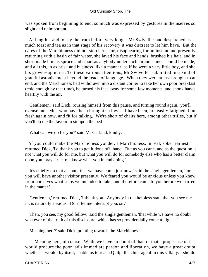was spoken from beginning to end, so much was expressed by gestures in themselves so slight and unimportant.

 At length – and to say the truth before very long – Mr Swiveller had despatched as much toast and tea as in that stage of his recovery it was discreet to let him have. But the cares of the Marchioness did not stop here; for, disappearing for an instant and presently returning with a basin of fair water, she laved his face and hands, brushed his hair, and in short made him as spruce and smart as anybody under such circumstances could be made; and all this, in as brisk and business−like a manner, as if he were a very little boy, and she his grown−up nurse. To these various attentions, Mr Swiveller submitted in a kind of grateful astonishment beyond the reach of language. When they were at last brought to an end, and the Marchioness had withdrawn into a distant corner to take her own poor breakfast (cold enough by that time), he turned his face away for some few moments, and shook hands heartily with the air.

 'Gentlemen,' said Dick, rousing himself from this pause, and turning round again, 'you'll excuse me. Men who have been brought so low as I have been, are easily fatigued. I am fresh again now, and fit for talking. We're short of chairs here, among other trifles, but if you'll do me the favour to sit upon the bed – '

'What can we do for you?' said Mr Garland, kindly.

 'if you could make the Marchioness yonder, a Marchioness, in real, sober earnest,' returned Dick, 'I'd thank you to get it done off−hand. But as you can't, and as the question is not what you will do for me, but what you will do for somebody else who has a better claim upon you, pray sir let me know what you intend doing.'

 'It's chiefly on that account that we have come just now,' said the single gentleman, 'for you will have another visitor presently. We feared you would be anxious unless you knew from ourselves what steps we intended to take, and therefore came to you before we stirred in the matter.'

 'Gentlemen,' returned Dick, 'I thank you. Anybody in the helpless state that you see me in, is naturally anxious. Don't let me interrupt you, sir.'

 'Then, you see, my good fellow,' said the single gentleman, 'that while we have no doubt whatever of the truth of this disclosure, which has so providentially come to light – '

'Meaning hers?' said Dick, pointing towards the Marchioness.

 ' – Meaning hers, of course. While we have no doubt of that, or that a proper use of it would procure the poor lad's immediate pardon and liberation, we have a great doubt whether it would, by itself, enable us to reach Quilp, the chief agent in this villany. I should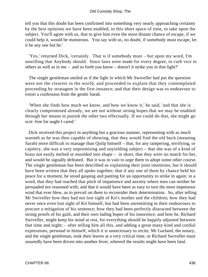tell you that this doubt has been confirmed into something very nearly approaching certainty by the best opinions we have been enabled, in this short space of time, to take upon the subject. You'll agree with us, that to give him even the most distant chance of escape, if we could help it, would be monstrous. You say with us, no doubt, if somebody must escape, let it be any one but he.'

 'Yes,' returned Dick, 'certainly. That is if somebody must – but upon my word, I'm unwilling that Anybody should. Since laws were made for every degree, to curb vice in others as well as in me – and so forth you know – doesn't it strike you in that light?'

 The single gentleman smiled as if the light in which Mr Swiveller had put the question were not the clearest in the world, and proceeded to explain that they contemplated proceeding by stratagem in the first instance; and that their design was to endeavour to extort a confession from the gentle Sarah.

 'When she finds how much we know, and how we know it,' he said, 'and that she is clearly compromised already, we are not without strong hopes that we may be enabled through her means to punish the other two effectually. If we could do that, she might go scot−free for aught I cared.'

 Dick received this project in anything but a gracious manner, representing with as much warmth as he was then capable of showing, that they would find the old buck (meaning Sarah) more difficult to manage than Quilp himself – that, for any tampering, terrifying, or cajolery, she was a very unpromising and unyielding subject – that she was of a kind of brass not easily melted or moulded into shape – in short, that they were no match for her, and would be signally defeated. But it was in vain to urge them to adopt some other course. The single gentleman has been described as explaining their joint intentions, but it should have been written that they all spoke together; that if any one of them by chance held his peace for a moment, he stood gasping and panting for an opportunity to strike in again: in a word, that they had reached that pitch of impatience and anxiety where men can neither be persuaded nor reasoned with; and that it would have been as easy to turn the most impetuous wind that ever blew, as to prevail on them to reconsider their determination. So, after telling Mr Swiveller how they had not lost sight of Kit's mother and the children; how they had never once even lost sight of Kit himself, but had been unremitting in their endeavours to procure a mitigation of his sentence; how they had been perfectly distracted between the strong proofs of his guilt, and their own fading hopes of his innocence; and how he, Richard Swiveller, might keep his mind at rest, for everything should be happily adjusted between that time and night; – after telling him all this, and adding a great many kind and cordial expressions, personal to himself, which it is unnecessary to recite, Mr Garland, the notary, and the single gentleman, took their leaves at a very critical time, or Richard Swiveller must assuredly have been driven into another fever, whereof the results might have been fatal.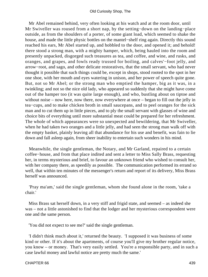Mr Abel remained behind, very often looking at his watch and at the room door, until Mr Swiveller was roused from a short nap, by the setting−down on the landing−place outside, as from the shoulders of a porter, of some giant load, which seemed to shake the house, and made the little physic bottles on the mantel−shelf ring again. Directly this sound reached his ears, Mr Abel started up, and hobbled to the door, and opened it; and behold! there stood a strong man, with a mighty hamper, which, being hauled into the room and presently unpacked, disgorged such treasures as tea, and coffee, and wine, and rusks, and oranges, and grapes, and fowls ready trussed for boiling, and calves'−foot jelly, and arrow−root, and sago, and other delicate restoratives, that the small servant, who had never thought it possible that such things could be, except in shops, stood rooted to the spot in her one shoe, with her mouth and eyes watering in unison, and her power of speech quite gone. But, not so Mr Abel; or the strong man who emptied the hamper, big as it was, in a twinkling; and not so the nice old lady, who appeared so suddenly that she might have come out of the hamper too (it was quite large enough), and who, bustling about on tiptoe and without noise – now here, now there, now everywhere at once – began to fill out the jelly in tea−cups, and to make chicken broth in small saucepans, and to peel oranges for the sick man and to cut them up in little pieces, and to ply the small servant with glasses of wine and choice bits of everything until more substantial meat could be prepared for her refreshment. The whole of which appearances were so unexpected and bewildering, that Mr Swiveller, when he had taken two oranges and a little jelly, and had seen the strong man walk off with the empty basket, plainly leaving all that abundance for his use and benefit, was fain to lie down and fall asleep again, from sheer inability to entertain such wonders in his mind.

 Meanwhile, the single gentleman, the Notary, and Mr Garland, repaired to a certain coffee−house, and from that place indited and sent a letter to Miss Sally Brass, requesting her, in terms mysterious and brief, to favour an unknown friend who wished to consult her, with her company there, as speedily as possible. The communication performed its errand so well, that within ten minutes of the messenger's return and report of its delivery, Miss Brass herself was announced.

 'Pray ma'am,' said the single gentleman, whom she found alone in the room, 'take a chair.'

 Miss Brass sat herself down, in a very stiff and frigid state, and seemed – as indeed she was – not a little astonished to find that the lodger and her mysterious correspondent were one and the same person.

'You did not expect to see me?' said the single gentleman.

 'I didn't think much about it,' returned the beauty. 'I supposed it was business of some kind or other. If it's about the apartments, of course you'll give my brother regular notice, you know – or money. That's very easily settled. You're a responsible party, and in such a case lawful money and lawful notice are pretty much the same.'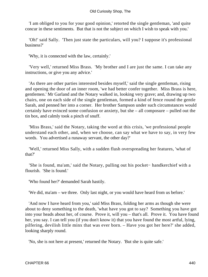'I am obliged to you for your good opinion,' retorted the single gentleman, 'and quite concur in these sentiments. But that is not the subject on which I wish to speak with you.'

 'Oh!' said Sally. 'Then just state the particulars, will you? I suppose it's professional business?'

'Why, it is connected with the law, certainly.'

 'Very well,' returned Miss Brass. 'My brother and I are just the same. I can take any instructions, or give you any advice.'

 'As there are other parties interested besides myself,' said the single gentleman, rising and opening the door of an inner room, 'we had better confer together. Miss Brass is here, gentlemen.' Mr Garland and the Notary walked in, looking very grave; and, drawing up two chairs, one on each side of the single gentleman, formed a kind of fence round the gentle Sarah, and penned her into a corner. Her brother Sampson under such circumstances would certainly have evinced some confusion or anxiety, but she – all composure – pulled out the tin box, and calmly took a pinch of snuff.

 'Miss Brass,' said the Notary, taking the word at this crisis, 'we professional people understand each other, and, when we choose, can say what we have to say, in very few words. You advertised a runaway servant, the other day?'

 'Well,' returned Miss Sally, with a sudden flush overspreading her features, 'what of that?'

 'She is found, ma'am,' said the Notary, pulling out his pocket− handkerchief with a flourish. 'She is found.'

'Who found her?' demanded Sarah hastily.

'We did, ma'am – we three. Only last night, or you would have heard from us before.'

 'And now I have heard from you,' said Miss Brass, folding her arms as though she were about to deny something to the death, 'what have you got to say? Something you have got into your heads about her, of course. Prove it, will you – that's all. Prove it. You have found her, you say. I can tell you (if you don't know it) that you have found the most artful, lying, pilfering, devilish little minx that was ever born. – Have you got her here?' she added, looking sharply round.

'No, she is not here at present,' returned the Notary. 'But she is quite safe.'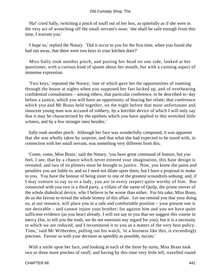#### Old Curiosity Shop, The

 'Ha!' cried Sally, twitching a pinch of snuff out of her box, as spitefully as if she were in the very act of wrenching off the small servant's nose; 'she shall be safe enough from this time, I warrant you.'

 'I hope so,' replied the Notary. 'Did it occur to you for the first time, when you found she had run away, that there were two keys to your kitchen door?'

 Miss Sally took another pinch, and putting her head on one side, looked at her questioner, with a curious kind of spasm about her mouth, but with a cunning aspect of immense expression.

 'Two keys,' repeated the Notary; 'one of which gave her the opportunities of roaming through the house at nights when you supposed her fast locked up, and of overhearing confidential consultations – among others, that particular conference, to be described to−day before a justice, which you will have an opportunity of hearing her relate; that conference which you and Mr Brass held together, on the night before that most unfortunate and innocent young man was accused of robbery, by a horrible device of which I will only say that it may be characterised by the epithets which you have applied to this wretched little witness, and by a few stronger ones besides.'

 Sally took another pinch. Although her face was wonderfully composed, it was apparent that she was wholly taken by surprise, and that what she had expected to be taxed with, in connection with her small servant, was something very different from this.

 'Come, come, Miss Brass,' said the Notary, 'you have great command of feature, but you feel, I see, that by a chance which never entered your imagination, this base design is revealed, and two of its plotters must be brought to justice. Now, you know the pains and penalties you are liable to, and so I need not dilate upon them, but I have a proposal to make to you. You have the honour of being sister to one of the greatest scoundrels unhung; and, if I may venture to say so to a lady, you are in every respect quite worthy of him. But connected with you two is a third party, a villain of the name of Quilp, the prime mover of the whole diabolical device, who I believe to be worse than either. For his sake, Miss Brass, do us the favour to reveal the whole history of this affair. Let me remind you that your doing so, at our instance, will place you in a safe and comfortable position – your present one is not desirable – and cannot injure your brother; for against him and you we have quite sufficient evidence (as you hear) already. I will not say to you that we suggest this course in mercy (for, to tell you the truth, we do not entertain any regard for you), but it is a necessity to which we are reduced, and I recommend it to you as a matter of the very best policy. Time,' said Mr Witherden, pulling out his watch, 'in a business like this, is exceedingly precious. Favour us with your decision as speedily as possible, ma'am.'

 With a smile upon her face, and looking at each of the three by turns, Miss Brass took two or three more pinches of snuff, and having by this time very little left, travelled round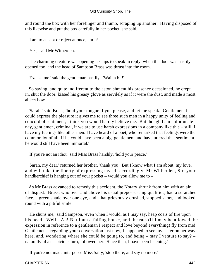and round the box with her forefinger and thumb, scraping up another. Having disposed of this likewise and put the box carefully in her pocket, she said, –

'I am to accept or reject at once, am I?'

'Yes,' said Mr Witherden.

 The charming creature was opening her lips to speak in reply, when the door was hastily opened too, and the head of Sampson Brass was thrust into the room.

'Excuse me,' said the gentleman hastily. 'Wait a bit!'

 So saying, and quite indifferent to the astonishment his presence occasioned, he crept in, shut the door, kissed his greasy glove as servilely as if it were the dust, and made a most abject bow.

 'Sarah,' said Brass, 'hold your tongue if you please, and let me speak. Gentlemen, if I could express the pleasure it gives me to see three such men in a happy unity of feeling and concord of sentiment, I think you would hardly believe me. But though I am unfortunate – nay, gentlemen, criminal, if we are to use harsh expressions in a company like this – still, I have my feelings like other men. I have heard of a poet, who remarked that feelings were the common lot of all. If he could have been a pig, gentlemen, and have uttered that sentiment, he would still have been immortal.'

'If you're not an idiot,' said Miss Brass harshly, 'hold your peace.'

 'Sarah, my dear,' returned her brother, 'thank you. But I know what I am about, my love, and will take the liberty of expressing myself accordingly. Mr Witherden, Sir, your handkerchief is hanging out of your pocket – would you allow me to –,

 As Mr Brass advanced to remedy this accident, the Notary shrunk from him with an air of disgust. Brass, who over and above his usual prepossessing qualities, had a scratched face, a green shade over one eye, and a hat grievously crushed, stopped short, and looked round with a pitiful smile.

 'He shuns me,' said Sampson, 'even when I would, as I may say, heap coals of fire upon his head. Well! Ah! But I am a falling house, and the rats (if I may be allowed the expression in reference to a gentleman I respect and love beyond everything) fly from me! Gentlemen – regarding your conversation just now, I happened to see my sister on her way here, and, wondering where she could be going to, and being – may I venture to say? – naturally of a suspicious turn, followed her. Since then, I have been listening.'

'If you're not mad,' interposed Miss Sally, 'stop there, and say no more.'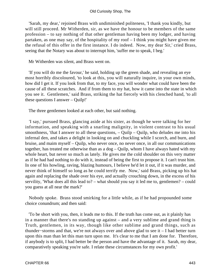'Sarah, my dear,' rejoined Brass with undiminished politeness, 'I thank you kindly, but will still proceed. Mr Witherden, sir, as we have the honour to be members of the same profession – to say nothing of that other gentleman having been my lodger, and having partaken, as one may say, of the hospitality of my roof – I think you might have given me the refusal of this offer in the first instance. I do indeed. Now, my dear Sir,' cried Brass, seeing that the Notary was about to interrupt him, 'suffer me to speak, I beg.'

Mr Witherden was silent, and Brass went on.

 'If you will do me the favour,' he said, holding up the green shade, and revealing an eye most horribly discoloured, 'to look at this, you will naturally inquire, in your own minds, how did I get it. If you look from that, to my face, you will wonder what could have been the cause of all these scratches. And if from them to my hat, how it came into the state in which you see it. Gentlemen,' said Brass, striking the hat fiercely with his clenched hand, 'to all these questions I answer – Quilp!'

The three gentlemen looked at each other, but said nothing.

 'I say,' pursued Brass, glancing aside at his sister, as though he were talking for her information, and speaking with a snarling malignity, in violent contrast to his usual smoothness, 'that I answer to all these questions,  $-$  Quilp  $-$  Quilp, who deludes me into his infernal den, and takes a delight in looking on and chuckling while I scorch, and burn, and bruise, and maim myself – Quilp, who never once, no never once, in all our communications together, has treated me otherwise than as a dog – Quilp, whom I have always hated with my whole heart, but never so much as lately. He gives me the cold shoulder on this very matter as if he had had nothing to do with it, instead of being the first to propose it. I can't trust him. In one of his howling, raving, blazing humours, I believe he'd let it out, if it was murder, and never think of himself so long as he could terrify me. Now,' said Brass, picking up his hat again and replacing the shade over his eye, and actually crouching down, in the excess of his servility, 'What does all this lead to? – what should you say it led me to, gentlemen? – could you guess at all near the mark?'

 Nobody spoke. Brass stood smirking for a little while, as if he had propounded some choice conundrum; and then said:

 'To be short with you, then, it leads me to this. If the truth has come out, as it plainly has in a manner that there's no standing up against – and a very sublime and grand thing is Truth, gentlemen, in its way, though like other sublime and grand things, such as thunder−storms and that, we're not always over and above glad to see it – I had better turn upon this man than let this man turn upon me. It's clear to me that I am done for. Therefore, if anybody is to split, I had better be the person and have the advantage of it. Sarah, my dear, comparatively speaking you're safe. I relate these circumstances for my own profit.'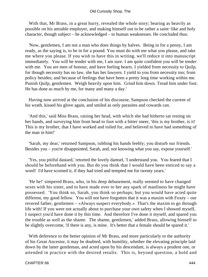With that, Mr Brass, in a great hurry, revealed the whole story; bearing as heavily as possible on his amiable employer, and making himself out to be rather a saint−like and holy character, though subject – he acknowledged – to human weaknesses. He concluded thus:

 'Now, gentlemen, I am not a man who does things by halves. Being in for a penny, I am ready, as the saying is, to be in for a pound. You must do with me what you please, and take me where you please. If you wish to have this in writing, we'll reduce it into manuscript immediately. You will be tender with me, I am sure. I am quite confident you will be tender with me. You are men of honour, and have feeling hearts. I yielded from necessity to Quilp, for though necessity has no law, she has her lawyers. I yield to you from necessity too; from policy besides; and because of feelings that have been a pretty long time working within me. Punish Quilp, gentlemen. Weigh heavily upon him. Grind him down. Tread him under foot. He has done as much by me, for many and many a day.'

 Having now arrived at the conclusion of his discourse, Sampson checked the current of his wrath, kissed his glove again, and smiled as only parasites and cowards can.

 'And this,' said Miss Brass, raising her head, with which she had hitherto sat resting on her hands, and surveying him from head to foot with a bitter sneer, 'this is my brother, is it! This is my brother, that I have worked and toiled for, and believed to have had something of the man in him!'

 'Sarah, my dear,' returned Sampson, rubbing his hands feebly; you disturb our friends. Besides you – you're disappointed, Sarah, and, not knowing what you say, expose yourself.'

 'Yes, you pitiful dastard,' retorted the lovely damsel, 'I understand you. You feared that I should be beforehand with you. But do you think that I would have been enticed to say a word! I'd have scorned it, if they had tried and tempted me for twenty years.'

 'He he!' simpered Brass, who, in his deep debasement, really seemed to have changed sexes with his sister, and to have made over to her any spark of manliness he might have possessed. 'You think so, Sarah, you think so perhaps; but you would have acted quite different, my good fellow. You will not have forgotten that it was a maxim with Foxey – our revered father, gentlemen – «Always suspect everybody.» That's the maxim to go through life with! If you were not actually about to purchase your own safety when I showed myself, I suspect you'd have done it by this time. And therefore I've done it myself, and spared you the trouble as well as the shame. The shame, gentlemen,' added Brass, allowing himself to be slightly overcome, 'if there is any, is mine. It's better that a female should be spared it.'

With deference to the better opinion of Mr Brass, and more particularly to the authority of his Great Ancestor, it may be doubted, with humility, whether the elevating principle laid down by the latter gentleman, and acted upon by his descendant, is always a prudent one, or attended in practice with the desired results. This is, beyond question, a bold and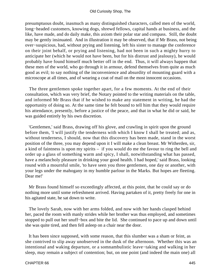presumptuous doubt, inasmuch as many distinguished characters, called men of the world, long−headed customers, knowing dogs, shrewd fellows, capital hands at business, and the like, have made, and do daily make, this axiom their polar star and compass. Still, the doubt may be gently insinuated. And in illustration it may be observed, that if Mr Brass, not being over−suspicious, had, without prying and listening, left his sister to manage the conference on their joint behalf, or prying and listening, had not been in such a mighty hurry to anticipate her (which he would not have been, but for his distrust and jealousy), he would probably have found himself much better off in the end. Thus, it will always happen that these men of the world, who go through it in armour, defend themselves from quite as much good as evil; to say nothing of the inconvenience and absurdity of mounting guard with a microscope at all times, and of wearing a coat of mail on the most innocent occasions.

 The three gentlemen spoke together apart, for a few moments. At the end of their consultation, which was very brief, the Notary pointed to the writing materials on the table, and informed Mr Brass that if he wished to make any statement in writing, he had the opportunity of doing so. At the same time he felt bound to tell him that they would require his attendance, presently, before a justice of the peace, and that in what he did or said, he was guided entirely by his own discretion.

 'Gentlemen,' said Brass, drawing off his glove, and crawling in spirit upon the ground before them, 'I will justify the tenderness with which I know I shall be treated; and as, without tenderness, I should, now that this discovery has been made, stand in the worst position of the three, you may depend upon it I will make a clean breast. Mr Witherden, sir, a kind of faintness is upon my spirits – if you would do me the favour to ring the bell and order up a glass of something warm and spicy, I shall, notwithstanding what has passed, have a melancholy pleasure in drinking your good health. I had hoped,' said Brass, looking round with a mournful smile, 'to have seen you three gentlemen, one day or another, with your legs under the mahogany in my humble parlour in the Marks. But hopes are fleeting. Dear me!'

 Mr Brass found himself so exceedingly affected, at this point, that he could say or do nothing more until some refreshment arrived. Having partaken of it, pretty freely for one in his agitated state, he sat down to write.

 The lovely Sarah, now with her arms folded, and now with her hands clasped behind her, paced the room with manly strides while her brother was thus employed, and sometimes stopped to pull out her snuff−box and bite the lid. She continued to pace up and down until she was quite tired, and then fell asleep on a chair near the door.

 It has been since supposed, with some reason, that this slumber was a sham or feint, as she contrived to slip away unobserved in the dusk of the afternoon. Whether this was an intentional and waking departure, or a somnambulistic leave−taking and walking in her sleep, may remain a subject of contention; but, on one point (and indeed the main one) all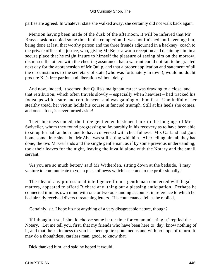parties are agreed. In whatever state she walked away, she certainly did not walk back again.

 Mention having been made of the dusk of the afternoon, it will be inferred that Mr Brass's task occupied some time in the completion. It was not finished until evening; but, being done at last, that worthy person and the three friends adjourned in a hackney−coach to the private office of a justice, who, giving Mr Brass a warm reception and detaining him in a secure place that he might insure to himself the pleasure of seeing him on the morrow, dismissed the others with the cheering assurance that a warrant could not fail to be granted next day for the apprehension of Mr Quilp, and that a proper application and statement of all the circumstances to the secretary of state (who was fortunately in town), would no doubt procure Kit's free pardon and liberation without delay.

 And now, indeed, it seemed that Quilp's malignant career was drawing to a close, and that retribution, which often travels slowly – especially when heaviest – had tracked his footsteps with a sure and certain scent and was gaining on him fast. Unmindful of her stealthy tread, her victim holds his course in fancied triumph. Still at his heels she comes, and once afoot, is never turned aside!

 Their business ended, the three gentlemen hastened back to the lodgings of Mr Swiveller, whom they found progressing so favourably in his recovery as to have been able to sit up for half an hour, and to have conversed with cheerfulness. Mrs Garland had gone home some time since, but Mr Abel was still sitting with him. After telling him all they had done, the two Mr Garlands and the single gentleman, as if by some previous understanding, took their leaves for the night, leaving the invalid alone with the Notary and the small servant.

 'As you are so much better,' said Mr Witherden, sitting down at the bedside, 'I may venture to communicate to you a piece of news which has come to me professionally.'

 The idea of any professional intelligence from a gentleman connected with legal matters, appeared to afford Richard any−thing but a pleasing anticipation. Perhaps he connected it in his own mind with one or two outstanding accounts, in reference to which he had already received divers threatening letters. His countenance fell as he replied,

'Certainly, sir. I hope it's not anything of a very disagreeable nature, though?'

 'if I thought it so, I should choose some better time for communicating it,' replied the Notary. 'Let me tell you, first, that my friends who have been here to−day, know nothing of it, and that their kindness to you has been quite spontaneous and with no hope of return. It may do a thoughtless, careless man, good, to know that.'

Dick thanked him, and said he hoped it would.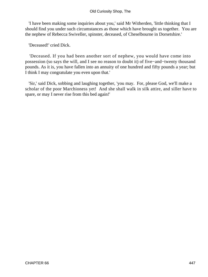'I have been making some inquiries about you,' said Mr Witherden, 'little thinking that I should find you under such circumstances as those which have brought us together. You are the nephew of Rebecca Swiveller, spinster, deceased, of Cheselbourne in Dorsetshire.'

'Deceased!' cried Dick.

 'Deceased. If you had been another sort of nephew, you would have come into possession (so says the will, and I see no reason to doubt it) of five−and−twenty thousand pounds. As it is, you have fallen into an annuity of one hundred and fifty pounds a year; but I think I may congratulate you even upon that.'

 'Sir,' said Dick, sobbing and laughing together, 'you may. For, please God, we'll make a scholar of the poor Marchioness yet! And she shall walk in silk attire, and siller have to spare, or may I never rise from this bed again!'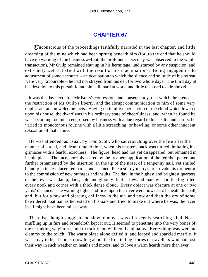# **[CHAPTER 67](#page-497-0)**

*U*nconscious of the proceedings faithfully narrated in the last chapter, and little dreaming of the mine which had been sprung beneath him (for, to the end that he should have no warning of the business a−foot, the profoundest secrecy was observed in the whole transaction), Mr Quilp remained shut up in his hermitage, undisturbed by any suspicion, and extremely well satisfied with the result of his machinations. Being engaged in the adjustment of some accounts – an occupation to which the silence and solitude of his retreat were very favourable – he had not strayed from his den for two whole days. The third day of his devotion to this pursuit found him still hard at work, and little disposed to stir abroad.

 It was the day next after Mr Brass's confession, and consequently, that which threatened the restriction of Mr Quilp's liberty, and the abrupt communication to him of some very unpleasant and unwelcome facts. Having no intuitive perception of the cloud which lowered upon his house, the dwarf was in his ordinary state of cheerfulness; and, when he found he was becoming too much engrossed by business with a due regard to his health and spirits, he varied its monotonous routine with a little screeching, or howling, or some other innocent relaxation of that nature.

 He was attended, as usual, by Tom Scott, who sat crouching over the fire after the manner of a toad, and, from time to time, when his master's back was turned, imitating his grimaces with a fearful exactness. The figure−head had not yet disappeared, but remained in its old place. The face, horribly seared by the frequent application of the red−hot poker, and further ornamented by the insertion, in the tip of the nose, of a tenpenny nail, yet smiled blandly in its less lacerated parts, and seemed, like a sturdy martyr, to provoke its tormentor to the commission of new outrages and insults. The day, in the highest and brightest quarters of the town, was damp, dark, cold and gloomy. In that low and marshy spot, the fog filled every nook and corner with a thick dense cloud. Every object was obscure at one or two yards' distance. The warning lights and fires upon the river were powerless beneath this pall, and, but for a raw and piercing chillness in the air, and now and then the cry of some bewildered boatman as he rested on his oars and tried to make out where he was, the river itself might have been miles away.

 The mist, though sluggish and slow to move, was of a keenly searching kind. No muffling up in furs and broadcloth kept it out. It seemed to penetrate into the very bones of the shrinking wayfarers, and to rack them with cold and pains. Everything was wet and clammy to the touch. The warm blaze alone defied it, and leaped and sparkled merrily. It was a day to be at home, crowding about the fire, telling stories of travellers who had lost their way in such weather on heaths and moors; and to love a warm hearth more than ever.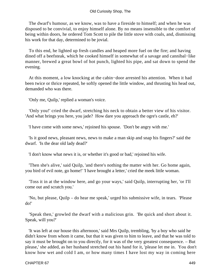#### Old Curiosity Shop, The

 The dwarf's humour, as we know, was to have a fireside to himself; and when he was disposed to be convivial, to enjoy himself alone. By no means insensible to the comfort of being within doors, he ordered Tom Scott to pile the little stove with coals, and, dismissing his work for that day, determined to be jovial.

 To this end, he lighted up fresh candles and heaped more fuel on the fire; and having dined off a beefsteak, which he cooked himself in somewhat of a savage and cannibal−like manner, brewed a great bowl of hot punch, lighted his pipe, and sat down to spend the evening.

 At this moment, a low knocking at the cabin−door arrested his attention. When it had been twice or thrice repeated, he softly opened the little window, and thrusting his head out, demanded who was there.

'Only me, Quilp,' replied a woman's voice.

 'Only you!' cried the dwarf, stretching his neck to obtain a better view of his visitor. 'And what brings you here, you jade? How dare you approach the ogre's castle, eh?'

'I have come with some news,' rejoined his spouse. 'Don't be angry with me.'

 'Is it good news, pleasant news, news to make a man skip and snap his fingers?' said the dwarf. 'Is the dear old lady dead?'

'I don't know what news it is, or whether it's good or bad,' rejoined his wife.

 'Then she's alive,' said Quilp, 'and there's nothing the matter with her. Go home again, you bird of evil note, go home!' 'I have brought a letter,' cried the meek little woman.

 'Toss it in at the window here, and go your ways,' said Quilp, interrupting her, 'or I'll come out and scratch you.'

 'No, but please, Quilp – do hear me speak,' urged his submissive wife, in tears. 'Please do!'

 'Speak then,' growled the dwarf with a malicious grin. 'Be quick and short about it. Speak, will you?'

 'It was left at our house this afternoon,' said Mrs Quilp, trembling, 'by a boy who said he didn't know from whom it came, but that it was given to him to leave, and that he was told to say it must be brought on to you directly, for it was of the very greatest consequence. – But please,' she added, as her husband stretched out his hand for it, 'please let me in. You don't know how wet and cold I am, or how many times I have lost my way in coming here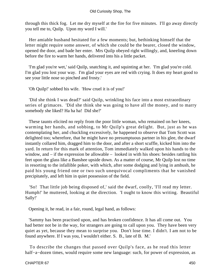through this thick fog. Let me dry myself at the fire for five minutes. I'll go away directly you tell me to, Quilp. Upon my word I will.'

 Her amiable husband hesitated for a few moments; but, bethinking himself that the letter might require some answer, of which she could be the bearer, closed the window, opened the door, and bade her enter. Mrs Quilp obeyed right willingly, and, kneeling down before the fire to warm her hands, delivered into his a little packet.

 'I'm glad you're wet,' said Quilp, snatching it, and squinting at her. 'I'm glad you're cold. I'm glad you lost your way. I'm glad your eyes are red with crying. It does my heart good to see your little nose so pinched and frosty.'

'Oh Quilp!' sobbed his wife. 'How cruel it is of you!'

 'Did she think I was dead?' said Quilp, wrinkling his face into a most extraordinary series of grimaces. 'Did she think she was going to have all the money, and to marry somebody she liked? Ha ha ha! Did she?'

 These taunts elicited no reply from the poor little woman, who remained on her knees, warming her hands, and sobbing, to Mr Quilp's great delight. But, just as he was contemplating her, and chuckling excessively, he happened to observe that Tom Scott was delighted too; wherefore, that he might have no presumptuous partner in his glee, the dwarf instantly collared him, dragged him to the door, and after a short scuffle, kicked him into the yard. In return for this mark of attention, Tom immediately walked upon his hands to the window, and – if the expression be allowable – looked in with his shoes: besides rattling his feet upon the glass like a Banshee upside down. As a matter of course, Mr Quilp lost no time in resorting to the infallible poker, with which, after some dodging and lying in ambush, he paid his young friend one or two such unequivocal compliments that he vanished precipitately, and left him in quiet possession of the field.

 'So! That little job being disposed of,' said the dwarf, coolly, 'I'll read my letter. Humph!' he muttered, looking at the direction. 'I ought to know this writing. Beautiful Sally!'

Opening it, he read, in a fair, round, legal hand, as follows:

 'Sammy has been practised upon, and has broken confidence. It has all come out. You had better not be in the way, for strangers are going to call upon you. They have been very quiet as yet, because they mean to surprise you. Don't lose time. I didn't. I am not to be found anywhere. If I was you, I wouldn't either. S. B., late of B. M.'

 To describe the changes that passed over Quilp's face, as he read this letter half−a−dozen times, would require some new language: such, for power of expression, as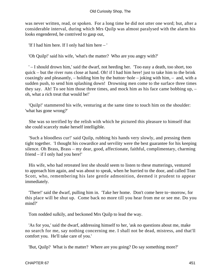was never written, read, or spoken. For a long time he did not utter one word; but, after a considerable interval, during which Mrs Quilp was almost paralysed with the alarm his looks engendered, he contrived to gasp out,

'If I had him here. If I only had him here – '

'Oh Quilp!' said his wife, 'what's the matter? Who are you angry with?'

 ' – I should drown him,' said the dwarf, not heeding her. 'Too easy a death, too short, too quick – but the river runs close at hand. Oh! if I had him here! just to take him to the brink coaxingly and pleasantly, – holding him by the button−hole – joking with him, – and, with a sudden push, to send him splashing down! Drowning men come to the surface three times they say. Ah! To see him those three times, and mock him as his face came bobbing up, – oh, what a rich treat that would be!'

 'Quilp!' stammered his wife, venturing at the same time to touch him on the shoulder: 'what has gone wrong?'

 She was so terrified by the relish with which he pictured this pleasure to himself that she could scarcely make herself intelligible.

 'Such a bloodless cur!' said Quilp, rubbing his hands very slowly, and pressing them tight together. 'I thought his cowardice and servility were the best guarantee for his keeping silence. Oh Brass, Brass – my dear, good, affectionate, faithful, complimentary, charming friend – if I only had you here!'

 His wife, who had retreated lest she should seem to listen to these mutterings, ventured to approach him again, and was about to speak, when he hurried to the door, and called Tom Scott, who, remembering his late gentle admonition, deemed it prudent to appear immediately.

 'There!' said the dwarf, pulling him in. 'Take her home. Don't come here to−morrow, for this place will be shut up. Come back no more till you hear from me or see me. Do you mind?'

Tom nodded sulkily, and beckoned Mrs Quilp to lead the way.

 'As for you,' said the dwarf, addressing himself to her, 'ask no questions about me, make no search for me, say nothing concerning me. I shall not be dead, mistress, and that'll comfort you. He'll take care of you.'

'But, Quilp? What is the matter? Where are you going? Do say something more?'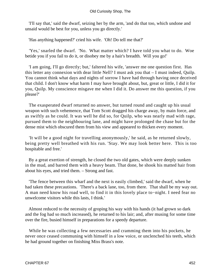'I'll say that,' said the dwarf, seizing her by the arm, 'and do that too, which undone and unsaid would be best for you, unless you go directly.'

'Has anything happened?' cried his wife. 'Oh! Do tell me that?'

 'Yes,' snarled the dwarf. 'No. What matter which? I have told you what to do. Woe betide you if you fail to do it, or disobey me by a hair's breadth. Will you go!'

 'I am going, I'll go directly; but,' faltered his wife, 'answer me one question first. Has this letter any connexion with dear little Nell? I must ask you that – I must indeed, Quilp. You cannot think what days and nights of sorrow I have had through having once deceived that child. I don't know what harm I may have brought about, but, great or little, I did it for you, Quilp. My conscience misgave me when I did it. Do answer me this question, if you please?'

 The exasperated dwarf returned no answer, but turned round and caught up his usual weapon with such vehemence, that Tom Scott dragged his charge away, by main force, and as swiftly as he could. It was well he did so, for Quilp, who was nearly mad with rage, pursued them to the neighbouring lane, and might have prolonged the chase but for the dense mist which obscured them from his view and appeared to thicken every moment.

 'It will be a good night for travelling anonymously,' he said, as he returned slowly, being pretty well breathed with his run. 'Stay. We may look better here. This is too hospitable and free.'

 By a great exertion of strength, he closed the two old gates, which were deeply sunken in the mud, and barred them with a heavy beam. That done, he shook his matted hair from about his eyes, and tried them. – Strong and fast.

 'The fence between this wharf and the next is easily climbed,' said the dwarf, when he had taken these precautions. 'There's a back lane, too, from there. That shall be my way out. A man need know his road well, to find it in this lovely place to−night. I need fear no unwelcome visitors while this lasts, I think.'

 Almost reduced to the necessity of groping his way with his hands (it had grown so dark and the fog had so much increased), he returned to his lair; and, after musing for some time over the fire, busied himself in preparations for a speedy departure.

 While he was collecting a few necessaries and cramming them into his pockets, he never once ceased communing with himself in a low voice, or unclenched his teeth, which he had ground together on finishing Miss Brass's note.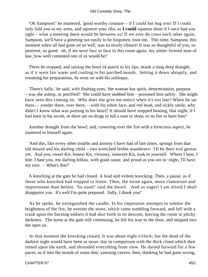'Oh Sampson!' he muttered, 'good worthy creature – if I could but hug you! If I could only fold you in my arms, and squeeze your ribs, as **I could** squeeze them if I once had you tight – what a meeting there would be between us! If we ever do cross each other again, Sampson, we'll have a greeting not easily to be forgotten, trust me. This time, Sampson, this moment when all had gone on so well, was so nicely chosen! It was so thoughtful of you, so penitent, so good. oh, if we were face to face in this room again, my white−livered man of law, how well contented one of us would be!'

 There he stopped; and raising the bowl of punch to his lips, drank a long deep draught, as if it were fair water and cooling to his parched mouth. Setting it down abruptly, and resuming his preparations, he went on with his soliloquy.

 'There's Sally,' he said, with flashing eyes; 'the woman has spirit, determination, purpose – was she asleep, or petrified? She could have stabbed him – poisoned him safely. She might have seen this coming on. Why does she give me notice when it's too late? When he sat there, – yonder there, over there, – with his white face, and red head, and sickly smile, why didn't I know what was passing in his heart? It should have stopped beating, that night, if I had been in his secret, or there are no drugs to lull a man to sleep, or no fire to burn him!'

 Another draught from the bowl; and, cowering over the fire with a ferocious aspect, he muttered to himself again.

 'And this, like every other trouble and anxiety I have had of late times, springs from that old dotard and his darling child – two wretched feeble wanderers! I'll be their evil genius yet. And you, sweet Kit, honest Kit, virtuous, innocent Kit, look to yourself. Where I hate, I bite. I hate you, my darling fellow, with good cause, and proud as you are to−night, I'll have my turn. – What's that?'

 A knocking at the gate he had closed. A loud and violent knocking. Then, a pause; as if those who knocked had stopped to listen. Then, the noise again, more clamorous and importunate than before. 'So soon!' said the dwarf. 'And so eager! I am afraid I shall disappoint you. It's well I'm quite prepared. Sally, I thank you!'

 As he spoke, he extinguished the candle. In his impetuous attempts to subdue the brightness of the fire, he overset the stove, which came tumbling forward, and fell with a crash upon the burning embers it had shot forth in its descent, leaving the room in pitchy darkness. The noise at the gate still continuing, he felt his way to the door, and stepped into the open air.

 At that moment the knocking ceased. It was about eight o'clock; but the dead of the darkest night would have been as noon−day in comparison with the thick cloud which then rested upon the earth, and shrouded everything from view. He darted forward for a few paces, as if into the mouth of some dim, yawning cavern; then, thinking he had gone wrong,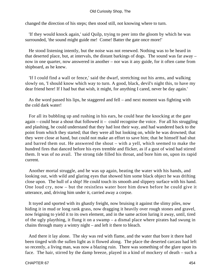changed the direction of his steps; then stood still, not knowing where to turn.

 'If they would knock again,' said Quilp, trying to peer into the gloom by which he was surrounded, 'the sound might guide me! Come! Batter the gate once more!'

 He stood listening intently, but the noise was not renewed. Nothing was to be heard in that deserted place, but, at intervals, the distant barkings of dogs. The sound was far away – now in one quarter, now answered in another – nor was it any guide, for it often came from shipboard, as he knew.

 'If I could find a wall or fence,' said the dwarf, stretching out his arms, and walking slowly on, 'I should know which way to turn. A good, black, devil's night this, to have my dear friend here! If I had but that wish, it might, for anything I cared, never be day again.'

 As the word passed his lips, he staggered and fell – and next moment was fighting with the cold dark water!

 For all its bubbling up and rushing in his ears, he could hear the knocking at the gate again – could hear a shout that followed it – could recognise the voice. For all his struggling and plashing, he could understand that they had lost their way, and had wandered back to the point from which they started; that they were all but looking on, while he was drowned; that they were close at hand, but could not make an effort to save him; that he himself had shut and barred them out. He answered the shout – with a yell, which seemed to make the hundred fires that danced before his eyes tremble and flicker, as if a gust of wind had stirred them. It was of no avail. The strong tide filled his throat, and bore him on, upon its rapid current.

 Another mortal struggle, and he was up again, beating the water with his hands, and looking out, with wild and glaring eyes that showed him some black object he was drifting close upon. The hull of a ship! He could touch its smooth and slippery surface with his hand. One loud cry, now – but the resistless water bore him down before he could give it utterance, and, driving him under it, carried away a corpse.

 It toyed and sported with its ghastly freight, now bruising it against the slimy piles, now hiding it in mud or long rank grass, now dragging it heavily over rough stones and gravel, now feigning to yield it to its own element, and in the same action luring it away, until, tired of the ugly plaything, it flung it on a swamp – a dismal place where pirates had swung in chains through many a wintry night – and left it there to bleach.

 And there it lay alone. The sky was red with flame, and the water that bore it there had been tinged with the sullen light as it flowed along. The place the deserted carcass had left so recently, a living man, was now a blazing ruin. There was something of the glare upon its face. The hair, stirred by the damp breeze, played in a kind of mockery of death – such a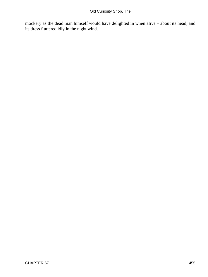mockery as the dead man himself would have delighted in when alive – about its head, and its dress fluttered idly in the night wind.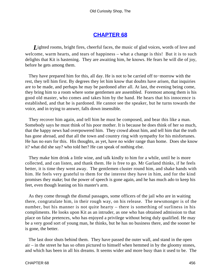### **[CHAPTER 68](#page-497-0)**

*L*ighted rooms, bright fires, cheerful faces, the music of glad voices, words of love and welcome, warm hearts, and tears of happiness – what a change is this! But it is to such delights that Kit is hastening. They are awaiting him, he knows. He fears he will die of joy, before he gets among them.

 They have prepared him for this, all day. He is not to be carried off to−morrow with the rest, they tell him first. By degrees they let him know that doubts have arisen, that inquiries are to be made, and perhaps he may be pardoned after all. At last, the evening being come, they bring him to a room where some gentlemen are assembled. Foremost among them is his good old master, who comes and takes him by the hand. He hears that his innocence is established, and that he is pardoned. He cannot see the speaker, but he turns towards the voice, and in trying to answer, falls down insensible.

 They recover him again, and tell him he must be composed, and bear this like a man. Somebody says he must think of his poor mother. It is because he does think of her so much, that the happy news had overpowered him. They crowd about him, and tell him that the truth has gone abroad, and that all the town and country ring with sympathy for his misfortunes. He has no ears for this. His thoughts, as yet, have no wider range than home. Does she know it? what did she say? who told her? He can speak of nothing else.

 They make him drink a little wine, and talk kindly to him for a while, until he is more collected, and can listen, and thank them. He is free to go. Mr Garland thinks, if he feels better, it is time they went away. The gentlemen cluster round him, and shake hands with him. He feels very grateful to them for the interest they have in him, and for the kind promises they make; but the power of speech is gone again, and he has much ado to keep his feet, even though leaning on his master's arm.

 As they come through the dismal passages, some officers of the jail who are in waiting there, congratulate him, in their rough way, on his release. The newsmonger is of the number, but his manner is not quite hearty – there is something of surliness in his compliments. He looks upon Kit as an intruder, as one who has obtained admission to that place on false pretences, who has enjoyed a privilege without being duly qualified. He may be a very good sort of young man, he thinks, but he has no business there, and the sooner he is gone, the better.

 The last door shuts behind them. They have passed the outer wall, and stand in the open air – in the street he has so often pictured to himself when hemmed in by the gloomy stones, and which has been in all his dreams. It seems wider and more busy than it used to be. The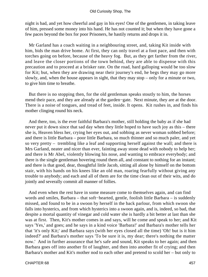night is bad, and yet how cheerful and gay in his eyes! One of the gentlemen, in taking leave of him, pressed some money into his hand. He has not counted it; but when they have gone a few paces beyond the box for poor Prisoners, he hastily returns and drops it in.

 Mr Garland has a coach waiting in a neighbouring street, and, taking Kit inside with him, bids the man drive home. At first, they can only travel at a foot pace, and then with torches going on before, because of the heavy fog. But, as they get farther from the river, and leave the closer portions of the town behind, they are able to dispense with this precaution and to proceed at a brisker rate. On the road, hard galloping would be too slow for Kit; but, when they are drawing near their journey's end, he begs they may go more slowly, and, when the house appears in sight, that they may stop – only for a minute or two, to give him time to breathe.

 But there is no stopping then, for the old gentleman speaks stoutly to him, the horses mend their pace, and they are already at the garden−gate. Next minute, they are at the door. There is a noise of tongues, and tread of feet, inside. It opens. Kit rushes in, and finds his mother clinging round his neck.

 And there, too, is the ever faithful Barbara's mother, still holding the baby as if she had never put it down since that sad day when they little hoped to have such joy as this – there she is, Heaven bless her, crying her eyes out, and sobbing as never woman sobbed before; and there is little Barbara – poor little Barbara, so much thinner and so much paler, and yet so very pretty – trembling like a leaf and supporting herself against the wall; and there is Mrs Garland, neater and nicer than ever, fainting away stone dead with nobody to help her; and there is Mr Abel, violently blowing his nose, and wanting to embrace everybody; and there is the single gentleman hovering round them all, and constant to nothing for an instant; and there is that good, dear, thoughtful little Jacob, sitting all alone by himself on the bottom stair, with his hands on his knees like an old man, roaring fearfully without giving any trouble to anybody; and each and all of them are for the time clean out of their wits, and do jointly and severally commit all manner of follies.

 And even when the rest have in some measure come to themselves again, and can find words and smiles, Barbara – that soft−hearted, gentle, foolish little Barbara – is suddenly missed, and found to be in a swoon by herself in the back parlour, from which swoon she falls into hysterics, and from which hysterics into a swoon again, and is, indeed, so bad, that despite a mortal quantity of vinegar and cold water she is hardly a bit better at last than she was at first. Then, Kit's mother comes in and says, will he come and speak to her; and Kit says 'Yes,' and goes; and he says in a kind voice 'Barbara!' and Barbara's mother tells her that 'it's only Kit;' and Barbara says (with her eyes closed all the time) 'Oh! but is it him indeed?' and Barbara's mother says 'To be sure it is, my dear; there's nothing the matter now.' And in further assurance that he's safe and sound, Kit speaks to her again; and then Barbara goes off into another fit of laughter, and then into another fit of crying; and then Barbara's mother and Kit's mother nod to each other and pretend to scold her – but only to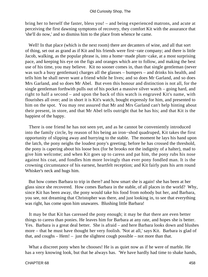bring her to herself the faster, bless you! – and being experienced matrons, and acute at perceiving the first dawning symptoms of recovery, they comfort Kit with the assurance that 'she'll do now,' and so dismiss him to the place from whence he came.

 Well! In that place (which is the next room) there are decanters of wine, and all that sort of thing, set out as grand as if Kit and his friends were first−rate company; and there is little Jacob, walking, as the popular phrase is, into a home−made plum−cake, at a most surprising pace, and keeping his eye on the figs and oranges which are to follow, and making the best use of his time, you may believe. Kit no sooner comes in, than that single gentleman (never was such a busy gentleman) charges all the glasses – bumpers – and drinks his health, and tells him he shall never want a friend while he lives; and so does Mr Garland, and so does Mrs Garland, and so does Mr Abel. But even this honour and distinction is not all, for the single gentleman forthwith pulls out of his pocket a massive silver watch – going hard, and right to half a second – and upon the back of this watch is engraved Kit's name, with flourishes all over; and in short it is Kit's watch, bought expressly for him, and presented to him on the spot. You may rest assured that Mr and Mrs Garland can't help hinting about their present, in store, and that Mr Abel tells outright that he has his; and that Kit is the happiest of the happy.

 There is one friend he has not seen yet, and as he cannot be conveniently introduced into the family circle, by reason of his being an iron−shod quadruped, Kit takes the first opportunity of slipping away and hurrying to the stable. The moment he lays his hand upon the latch, the pony neighs the loudest pony's greeting; before he has crossed the threshold, the pony is capering about his loose box (for he brooks not the indignity of a halter), mad to give him welcome; and when Kit goes up to caress and pat him, the pony rubs his nose against his coat, and fondles him more lovingly than ever pony fondled man. It is the crowning circumstance of his earnest, heartfelt reception; and Kit fairly puts his arm round Whisker's neck and hugs him.

 But how comes Barbara to trip in there? and how smart she is again! she has been at her glass since she recovered. How comes Barbara in the stable, of all places in the world? Why, since Kit has been away, the pony would take his food from nobody but her, and Barbara, you see, not dreaming that Christopher was there, and just looking in, to see that everything was right, has come upon him unawares. Blushing little Barbara!

 It may be that Kit has caressed the pony enough; it may be that there are even better things to caress than ponies. He leaves him for Barbara at any rate, and hopes she is better. Yes. Barbara is a great deal better. She is afraid – and here Barbara looks down and blushes more – that he must have thought her very foolish. 'Not at all,' says Kit. Barbara is glad of that, and coughs – Hem! – just the slightest cough possible – not more than that.

 What a discreet pony when he chooses! He is as quiet now as if he were of marble. He has a very knowing look, but that he always has. 'We have hardly had time to shake hands,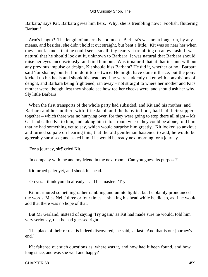Barbara,' says Kit. Barbara gives him hers. Why, she is trembling now! Foolish, fluttering Barbara!

 Arm's length? The length of an arm is not much. Barbara's was not a long arm, by any means, and besides, she didn't hold it out straight, but bent a little. Kit was so near her when they shook hands, that he could see a small tiny tear, yet trembling on an eyelash. It was natural that he should look at it, unknown to Barbara. It was natural that Barbara should raise her eyes unconsciously, and find him out. Was it natural that at that instant, without any previous impulse or design, Kit should kiss Barbara? He did it, whether or no. Barbara said 'for shame,' but let him do it too – twice. He might have done it thrice, but the pony kicked up his heels and shook his head, as if he were suddenly taken with convulsions of delight, and Barbara being frightened, ran away – not straight to where her mother and Kit's mother were, though, lest they should see how red her cheeks were, and should ask her why. Sly little Barbara!

 When the first transports of the whole party had subsided, and Kit and his mother, and Barbara and her mother, with little Jacob and the baby to boot, had had their suppers together – which there was no hurrying over, for they were going to stop there all night – Mr Garland called Kit to him, and taking him into a room where they could be alone, told him that he had something yet to say, which would surprise him greatly. Kit looked so anxious and turned so pale on hearing this, that the old gentleman hastened to add, he would be agreeably surprised; and asked him if he would be ready next morning for a journey.

'For a journey, sir!' cried Kit.

'In company with me and my friend in the next room. Can you guess its purpose?'

Kit turned paler yet, and shook his head.

'Oh yes. I think you do already,' said his master. 'Try.'

 Kit murmured something rather rambling and unintelligible, but he plainly pronounced the words 'Miss Nell,' three or four times – shaking his head while he did so, as if he would add that there was no hope of that.

 But Mr Garland, instead of saying 'Try again,' as Kit had made sure he would, told him very seriously, that he had guessed right.

 'The place of their retreat is indeed discovered,' he said, 'at last. And that is our journey's end.'

 Kit faltered out such questions as, where was it, and how had it been found, and how long since, and was she well and happy?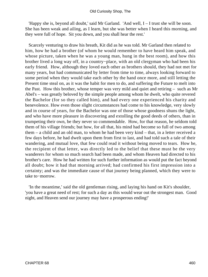'Happy she is, beyond all doubt,' said Mr Garland. 'And well, I – I trust she will be soon. She has been weak and ailing, as I learn, but she was better when I heard this morning, and they were full of hope. Sit you down, and you shall hear the rest.'

 Scarcely venturing to draw his breath, Kit did as he was told. Mr Garland then related to him, how he had a brother (of whom he would remember to have heard him speak, and whose picture, taken when he was a young man, hung in the best room), and how this brother lived a long way off, in a country−place, with an old clergyman who had been his early friend. How, although they loved each other as brothers should, they had not met for many years, but had communicated by letter from time to time, always looking forward to some period when they would take each other by the hand once more, and still letting the Present time steal on, as it was the habit for men to do, and suffering the Future to melt into the Past. How this brother, whose temper was very mild and quiet and retiring – such as Mr Abel's – was greatly beloved by the simple people among whom he dwelt, who quite revered the Bachelor (for so they called him), and had every one experienced his charity and benevolence. How even those slight circumstances had come to his knowledge, very slowly and in course of years, for the Bachelor was one of those whose goodness shuns the light, and who have more pleasure in discovering and extolling the good deeds of others, than in trumpeting their own, be they never so commendable. How, for that reason, he seldom told them of his village friends; but how, for all that, his mind had become so full of two among them – a child and an old man, to whom he had been very kind – that, in a letter received a few days before, he had dwelt upon them from first to last, and had told such a tale of their wandering, and mutual love, that few could read it without being moved to tears. How he, the recipient of that letter, was directly led to the belief that these must be the very wanderers for whom so much search had been made, and whom Heaven had directed to his brother's care. How he had written for such further information as would put the fact beyond all doubt; how it had that morning arrived; had confirmed his first impression into a certainty; and was the immediate cause of that journey being planned, which they were to take to−morrow.

 'In the meantime,' said the old gentleman rising, and laying his hand on Kit's shoulder, 'you have a great need of rest; for such a day as this would wear out the strongest man. Good night, and Heaven send our journey may have a prosperous ending!'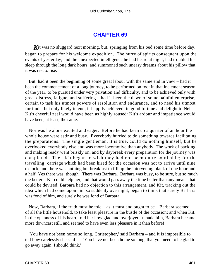## **[CHAPTER 69](#page-497-0)**

Kit was no sluggard next morning, but, springing from his bed some time before day, began to prepare for his welcome expedition. The hurry of spirits consequent upon the events of yesterday, and the unexpected intelligence he had heard at night, had troubled his sleep through the long dark hours, and summoned such uneasy dreams about his pillow that it was rest to rise.

 But, had it been the beginning of some great labour with the same end in view – had it been the commencement of a long journey, to be performed on foot in that inclement season of the year, to be pursued under very privation and difficulty, and to be achieved only with great distress, fatigue, and suffering – had it been the dawn of some painful enterprise, certain to task his utmost powers of resolution and endurance, and to need his utmost fortitude, but only likely to end, if happily achieved, in good fortune and delight to Nell – Kit's cheerful zeal would have been as highly roused: Kit's ardour and impatience would have been, at least, the same.

 Nor was he alone excited and eager. Before he had been up a quarter of an hour the whole house were astir and busy. Everybody hurried to do something towards facilitating the preparations. The single gentleman, it is true, could do nothing himself, but he overlooked everybody else and was more locomotive than anybody. The work of packing and making ready went briskly on, and by daybreak every preparation for the journey was completed. Then Kit began to wish they had not been quite so nimble; for the travelling−carriage which had been hired for the occasion was not to arrive until nine o'clock, and there was nothing but breakfast to fill up the intervening blank of one hour and a half. Yes there was, though. There was Barbara. Barbara was busy, to be sure, but so much the better – Kit could help her, and that would pass away the time better than any means that could be devised. Barbara had no objection to this arrangement, and Kit, tracking out the idea which had come upon him so suddenly overnight, began to think that surely Barbara was fond of him, and surely he was fond of Barbara.

 Now, Barbara, if the truth must.be told – as it must and ought to be – Barbara seemed, of all the little household, to take least pleasure in the bustle of the occasion; and when Kit, in the openness of his heart, told her how glad and overjoyed it made him, Barbara became more downcast still, and seemed to have even less pleasure in it than before!

 'You have not been home so long, Christopher,' said Barbara – and it is impossible to tell how carelessly she said it – 'You have not been home so long, that you need to be glad to go away again, I should think.'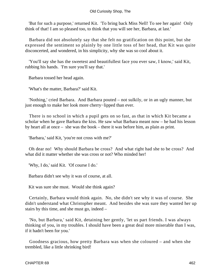#### Old Curiosity Shop, The

 'But for such a purpose,' returned Kit. 'To bring back Miss Nell! To see her again! Only think of that! I am so pleased too, to think that you will see her, Barbara, at last.'

 Barbara did not absolutely say that she felt no gratification on this point, but she expressed the sentiment so plainly by one little toss of her head, that Kit was quite disconcerted, and wondered, in his simplicity, why she was so cool about it.

 'You'll say she has the sweetest and beautifullest face you ever saw, I know,' said Kit, rubbing his hands. 'I'm sure you'll say that.'

Barbara tossed her head again.

'What's the matter, Barbara?' said Kit.

 'Nothing,' cried Barbara. And Barbara pouted – not sulkily, or in an ugly manner, but just enough to make her look more cherry−lipped than ever.

 There is no school in which a pupil gets on so fast, as that in which Kit became a scholar when he gave Barbara the kiss. He saw what Barbara meant now – he had his lesson by heart all at once – she was the book – there it was before him, as plain as print.

'Barbara,' said Kit, 'you're not cross with me?'

 Oh dear no! Why should Barbara be cross? And what right had she to be cross? And what did it matter whether she was cross or not? Who minded her!

'Why, I do,' said Kit. 'Of course I do.'

Barbara didn't see why it was of course, at all.

Kit was sure she must. Would she think again?

 Certainly, Barbara would think again. No, she didn't see why it was of course. She didn't understand what Christopher meant. And besides she was sure they wanted her up stairs by this time, and she must go, indeed –

 'No, but Barbara,' said Kit, detaining her gently, 'let us part friends. I was always thinking of you, in my troubles. I should have been a great deal more miserable than I was, if it hadn't been for you.'

 Goodness gracious, how pretty Barbara was when she coloured – and when she trembled, like a little shrinking bird!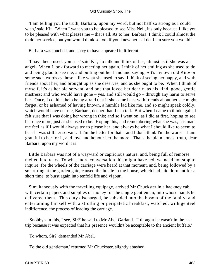'I am telling you the truth, Barbara, upon my word, but not half so strong as I could wish,' said Kit. 'When I want you to be pleased to see Miss Nell, it's only because I like you to be pleased with what pleases me – that's all. As to her, Barbara, I think I could almost die to do her service, but you would think so too, if you knew her as I do. I am sure you would.'

Barbara was touched, and sorry to have appeared indifferent.

 'I have been used, you see,' said Kit, 'to talk and think of her, almost as if she was an angel. When I look forward to meeting her again, I think of her smiling as she used to do, and being glad to see me, and putting out her hand and saying, «It's my own old Kit,» or some such words as those – like what she used to say. I think of seeing her happy, and with friends about her, and brought up as she deserves, and as she ought to be. When I think of myself, it's as her old servant, and one that loved her dearly, as his kind, good, gentle mistress; and who would have gone – yes, and still would go – through any harm to serve her. Once, I couldn't help being afraid that if she came back with friends about her she might forget, or be ashamed of having known, a humble lad like me, and so might speak coldly, which would have cut me, Barbara, deeper than I can tell. But when I came to think again, I felt sure that I was doing her wrong in this; and so I went on, as I did at first, hoping to see her once more, just as she used to be. Hoping this, and remembering what she was, has made me feel as if I would always try to please her, and always be what I should like to seem to her if I was still her servant. If I'm the better for that – and I don't think I'm the worse – I am grateful to her for it, and love and honour her the more. That's the plain honest truth, dear Barbara, upon my word it is!'

 Little Barbara was not of a wayward or capricious nature, and, being full of remorse, melted into tears. To what more conversation this might have led, we need not stop to inquire; for the wheels of the carriage were heard at that moment, and, being followed by a smart ring at the garden gate, caused the bustle in the house, which had laid dormant for a short time, to burst again into tenfold life and vigour.

 Simultaneously with the travelling equipage, arrived Mr Chuckster in a hackney cab, with certain papers and supplies of money for the single gentleman, into whose hands he delivered them. This duty discharged, he subsided into the bosom of the family; and, entertaining himself with a strolling or peripatetic breakfast, watched, with genteel indifference, the process of loading the carriage.

 'Snobby's in this, I see, Sir?' he said to Mr Abel Garland. 'I thought he wasn't in the last trip because it was expected that his presence wouldn't be acceptable to the ancient buffalo.'

'To whom, Sir?' demanded Mr Abel.

'To the old gentleman,' returned Mr Chuckster, slightly abashed.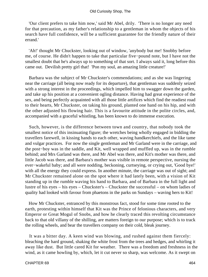#### Old Curiosity Shop, The

 'Our client prefers to take him now,' said Mr Abel, drily. 'There is no longer any need for that precaution, as my father's relationship to a gentleman in whom the objects of his search have full confidence, will be a sufficient guarantee for the friendly nature of their errand.'

 'Ah!' thought Mr Chuckster, looking out of window, 'anybody but me! Snobby before me, of course. He didn't happen to take that particular five−pound note, but I have not the smallest doubt that he's always up to something of that sort. I always said it, long before this came out. Devilish pretty girl that! 'Pon my soul, an amazing little creature!'

 Barbara was the subject of Mr Chuckster's commendations; and as she was lingering near the carriage (all being now ready for its departure), that gentleman was suddenly seized with a strong interest in the proceedings, which impelled him to swagger down the garden, and take up his position at a convenient ogling distance. Having had great experience of the sex, and being perfectly acquainted with all those little artifices which find the readiest road to their hearts, Mr Chuckster, on taking his ground, planted one hand on his hip, and with the other adjusted his flowing hair. This is a favourite attitude in the polite circles, and, accompanied with a graceful whistling, has been known to do immense execution.

 Such, however, is the difference between town and country, that nobody took the smallest notice of this insinuating figure; the wretches being wholly engaged in bidding the travellers farewell, in kissing hands to each other, waving handkerchiefs, and the like tame and vulgar practices. For now the single gentleman and Mr Garland were in the carriage, and the post−boy was in the saddle, and Kit, well wrapped and muffled up, was in the rumble behind; and Mrs Garland was there, and Mr Abel was there, and Kit's mother was there, and little Jacob was there, and Barbara's mother was visible in remote perspective, nursing the ever−wakeful baby; and all were nodding, beckoning, curtseying, or crying out, 'Good bye!' with all the energy they could express. In another minute, the carriage was out of sight; and Mr Chuckster remained alone on the spot where it had lately been, with a vision of Kit standing up in the rumble waving his hand to Barbara, and of Barbara in the full light and lustre of his eyes – his eyes – Chuckster's – Chuckster the successful – on whom ladies of quality had looked with favour from phaetons in the parks on Sundays – waving hers to Kit!

 How Mr Chuckster, entranced by this monstrous fact, stood for some time rooted to the earth, protesting within himself that Kit was the Prince of felonious characters, and very Emperor or Great Mogul of Snobs, and how he clearly traced this revolting circumstance back to that old villany of the shilling, are matters foreign to our purpose; which is to track the rolling wheels, and bear the travellers company on their cold, bleak journey.

 It was a bitter day. A keen wind was blowing, and rushed against them fiercely: bleaching the hard ground, shaking the white frost from the trees and hedges, and whirling it away like dust. But little cared Kit for weather. There was a freedom and freshness in the wind, as it came howling by, which, let it cut never so sharp, was welcome. As it swept on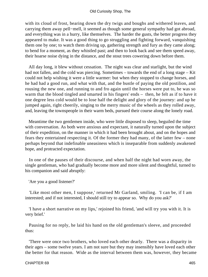with its cloud of frost, bearing down the dry twigs and boughs and withered leaves, and carrying them away pell−mell, it seemed as though some general sympathy had got abroad, and everything was in a hurry, like themselves. The harder the gusts, the better progress they appeared to make. It was a good thing to go struggling and fighting forward, vanquishing them one by one; to watch them driving up, gathering strength and fury as they came along; to bend for a moment, as they whistled past; and then to look back and see them speed away, their hoarse noise dying in the distance, and the stout trees cowering down before them.

 All day long, it blew without cessation. The night was clear and starlight, but the wind had not fallen, and the cold was piercing. Sometimes – towards the end of a long stage – Kit could not help wishing it were a little warmer: but when they stopped to change horses, and he had had a good run, and what with that, and the bustle of paying the old postilion, and rousing the new one, and running to and fro again until the horses were put to, he was so warm that the blood tingled and smarted in his fingers' ends – then, he felt as if to have it one degree less cold would be to lose half the delight and glory of the journey: and up he jumped again, right cheerily, singing to the merry music of the wheels as they rolled away, and, leaving the townspeople in their warm beds, pursued their course along the lonely road.

 Meantime the two gentlemen inside, who were little disposed to sleep, beguiled the time with conversation. As both were anxious and expectant, it naturally turned upon the subject of their expedition, on the manner in which it had been brought about, and on the hopes and fears they entertained respecting it. Of the former they had many, of the latter few – none perhaps beyond that indefinable uneasiness which is inseparable from suddenly awakened hope, and protracted expectation.

 In one of the pauses of their discourse, and when half the night had worn away, the single gentleman, who had gradually become more and more silent and thoughtful, turned to his companion and said abruptly:

'Are you a good listener?'

 'Like most other men, I suppose,' returned Mr Garland, smiling. 'I can be, if I am interested; and if not interested, I should still try to appear so. Why do you ask?'

 'I have a short narrative on my lips,' rejoined his friend, 'and will try you with it. It is very brief.'

 Pausing for no reply, he laid his hand on the old gentleman's sleeve, and proceeded thus:

 'There were once two brothers, who loved each other dearly. There was a disparity in their ages – some twelve years. I am not sure but they may insensibly have loved each other the better for that reason. Wide as the interval between them was, however, they became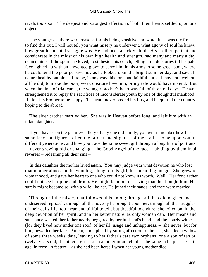rivals too soon. The deepest and strongest affection of both their hearts settled upon one object.

 'The youngest – there were reasons for his being sensitive and watchful – was the first to find this out. I will not tell you what misery he underwent, what agony of soul he knew, how great his mental struggle was. He had been a sickly child. His brother, patient and considerate in the midst of his own high health and strength, had many and many a day denied himself the sports he loved, to sit beside his couch, telling him old stories till his pale face lighted up with an unwonted glow; to carry him in his arms to some green spot, where he could tend the poor pensive boy as he looked upon the bright summer day, and saw all nature healthy but himself; to be, in any way, his fond and faithful nurse. I may not dwell on all he did, to make the poor, weak creature love him, or my tale would have no end. But when the time of trial came, the younger brother's heart was full of those old days. Heaven strengthened it to repay the sacrifices of inconsiderate youth by one of thoughtful manhood. He left his brother to be happy. The truth never passed his lips, and he quitted the country, hoping to die abroad.

 'The elder brother married her. She was in Heaven before long, and left him with an infant daughter.

 'If you have seen the picture−gallery of any one old family, you will remember how the same face and figure – often the fairest and slightest of them all – come upon you in different generations; and how you trace the same sweet girl through a long line of portraits – never growing old or changing – the Good Angel of the race – abiding by them in all reverses – redeeming all their sins –

 'In this daughter the mother lived again. You may judge with what devotion he who lost that mother almost in the winning, clung to this girl, her breathing image. She grew to womanhood, and gave her heart to one who could not know its worth. Well! Her fond father could not see her pine and droop. He might be more deserving than he thought him. He surely might become so, with a wife like her. He joined their hands, and they were married.

 'Through all the misery that followed this union; through all the cold neglect and undeserved reproach; through all the poverty he brought upon her; through all the struggles of their daily life, too mean and pitiful to tell, but dreadful to endure; she toiled on, in the deep devotion of her spirit, and in her better nature, as only women can. Her means and substance wasted; her father nearly beggared by her husband's hand, and the hourly witness (for they lived now under one roof) of her ill−usage and unhappiness, – she never, but for him, bewailed her fate. Patient, and upheld by strong affection to the last, she died a widow of some three weeks' date, leaving to her father's care two orphans; one a son of ten or twelve years old; the other a girl – such another infant child – the same in helplessness, in age, in form, in feature – as she had been herself when her young mother died.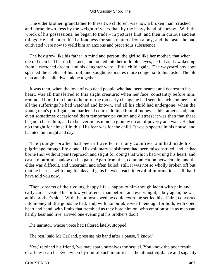'The elder brother, grandfather to these two children, was now a broken man; crushed and borne down, less by the weight of years than by the heavy hand of sorrow. With the wreck of his possessions, he began to trade – in pictures first, and then in curious ancient things. He had entertained a fondness for such matters from a boy, and the tastes he had cultivated were now to yield him an anxious and precarious subsistence.

 'The boy grew like his father in mind and person; the girl so like her mother, that when the old man had her on his knee, and looked into her mild blue eyes, he felt as if awakening from a wretched dream, and his daughter were a little child again. The wayward boy soon spurned the shelter of his roof, and sought associates more congenial to his taste. The old man and the child dwelt alone together.

 'It was then, when the love of two dead people who had been nearest and dearest to his heart, was all transferred to this slight creature; when her face, constantly before him, reminded him, from hour to hour, of the too early change he had seen in such another – of all the sufferings he had watched and known, and all his child had undergone; when the young man's profligate and hardened course drained him of money as his father's had, and even sometimes occasioned them temporary privation and distress; it was then that there began to beset him, and to be ever in his mind, a gloomy dread of poverty and want. He had no thought for himself in this. His fear was for the child. It was a spectre in his house, and haunted him night and day.

 'The younger brother had been a traveller in many countries, and had made his pilgrimage through life alone. His voluntary banishment had been misconstrued, and he had borne (not without pain) reproach and slight for doing that which had wrung his heart, and cast a mournful shadow on his path. Apart from this, communication between him and the elder was difficult, and uncertain, and often failed; still, it was not so wholly broken off but that he learnt – with long blanks and gaps between each interval of information – all that I have told you now.

 'Then, dreams of their young, happy life – happy to him though laden with pain and early care – visited his pillow yet oftener than before; and every night, a boy again, he was at his brother's side. With the utmost speed he could exert, he settled his affairs; converted into money all the goods he had; and, with honourable wealth enough for both, with open heart and hand, with limbs that trembled as they bore him on, with emotion such as men can hardly bear and live, arrived one evening at his brother's door!'

The narrator, whose voice had faltered lately, stopped.

'The rest,' said Mr Garland, pressing his hand after a pause, 'I know.'

 'Yes,' rejoined his friend, 'we may spare ourselves the sequel. You know the poor result of all my search. Even when by dint of such inquiries as the utmost vigilance and sagacity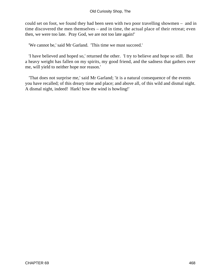could set on foot, we found they had been seen with two poor travelling showmen – and in time discovered the men themselves – and in time, the actual place of their retreat; even then, we were too late. Pray God, we are not too late again!'

'We cannot be,' said Mr Garland. 'This time we must succeed.'

 'I have believed and hoped so,' returned the other. 'I try to believe and hope so still. But a heavy weight has fallen on my spirits, my good friend, and the sadness that gathers over me, will yield to neither hope nor reason.'

 'That does not surprise me,' said Mr Garland; 'it is a natural consequence of the events you have recalled; of this dreary time and place; and above all, of this wild and dismal night. A dismal night, indeed! Hark! how the wind is howling!'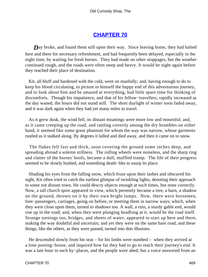## **[CHAPTER 70](#page-497-0)**

<span id="page-469-0"></span>**D**ay broke, and found them still upon their way. Since leaving home, they had halted here and there for necessary refreshment, and had frequently been delayed, especially in the night time, by waiting for fresh horses. They had made no other stoppages, but the weather continued rough, and the roads were often steep and heavy. It would be night again before they reached their place of destination.

 Kit, all bluff and hardened with the cold, went on manfully; and, having enough to do to keep his blood circulating, to picture to himself the happy end of this adventurous journey, and to look about him and be amazed at everything, had little spare time for thinking of discomforts. Though his impatience, and that of his fellow−travellers, rapidly increased as the day waned, the hours did not stand still. The short daylight of winter soon faded away, and it was dark again when they had yet many miles to travel.

 As it grew dusk, the wind fell; its distant moanings were more low and mournful; and, as it came creeping up the road, and rattling covertly among the dry brambles on either hand, it seemed like some great phantom for whom the way was narrow, whose garments rustled as it stalked along. By degrees it lulled and died away, and then it came on to snow.

 The flakes fell fast and thick, soon covering the ground some inches deep, and spreading abroad a solemn stillness. The rolling wheels were noiseless, and the sharp ring and clatter of the horses' hoofs, became a dull, muffled tramp. The life of their progress seemed to be slowly hushed, and something death−like to usurp its place.

 Shading his eyes from the falling snow, which froze upon their lashes and obscured his sight, Kit often tried to catch the earliest glimpse of twinkling lights, denoting their approach to some not distant town. He could descry objects enough at such times, but none correctly. Now, a tall church spire appeared in view, which presently became a tree, a barn, a shadow on the ground, thrown on it by their own bright lamps. Now, there were horsemen, foot−passengers, carriages, going on before, or meeting them in narrow ways; which, when they were close upon them, turned to shadows too. A wall, a ruin, a sturdy gable end, would rise up in the road; and, when they were plunging headlong at it, would be the road itself. Strange turnings too, bridges, and sheets of water, appeared to start up here and there, making the way doubtful and uncertain; and yet they were on the same bare road, and these things, like the others, as they were passed, turned into dim illusions.

 He descended slowly from his seat – for his limbs were numbed – when they arrived at a lone posting−house, and inquired how far they had to go to reach their journey's end. It was a late hour in such by−places, and the people were abed; but a voice answered from an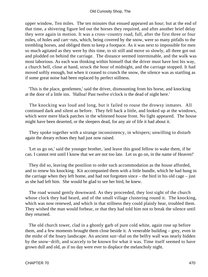upper window, Ten miles. The ten minutes that ensued appeared an hour; but at the end of that time, a shivering figure led out the horses they required, and after another brief delay they were again in motion. It was a cross−country road, full, after the first three or four miles, of holes and cart−ruts, which, being covered by the snow, were so many pitfalls to the trembling horses, and obliged them to keep a footpace. As it was next to impossible for men so much agitated as they were by this time, to sit still and move so slowly, all three got out and plodded on behind the carriage. The distance seemed interminable, and the walk was most laborious. As each was thinking within himself that the driver must have lost his way, a church bell, close at hand, struck the hour of midnight, and the carriage stopped. It had moved softly enough, but when it ceased to crunch the snow, the silence was as startling as if some great noise had been replaced by perfect stillness.

 'This is the place, gentlemen,' said the driver, dismounting from his horse, and knocking at the door of a little inn. 'Halloa! Past twelve o'clock is the dead of night here.'

 The knocking was loud and long, but it failed to rouse the drowsy inmates. All continued dark and silent as before. They fell back a little, and looked up at the windows, which were mere black patches in the whitened house front. No light appeared. The house might have been deserted, or the sleepers dead, for any air of life it had about it.

 They spoke together with a strange inconsistency, in whispers; unwilling to disturb again the dreary echoes they had just now raised.

 'Let us go on,' said the younger brother, 'and leave this good fellow to wake them, if he can. I cannot rest until I know that we are not too late. Let us go on, in the name of Heaven!'

 They did so, leaving the postilion to order such accommodation as the house afforded, and to renew his knocking. Kit accompanied them with a little bundle, which he had hung in the carriage when they left home, and had not forgotten since – the bird in his old cage – just as she had left him. She would be glad to see her bird, he knew.

 The road wound gently downward. As they proceeded, they lost sight of the church whose clock they had heard, and of the small village clustering round it. The knocking, which was now renewed, and which in that stillness they could plainly hear, troubled them. They wished the man would forbear, or that they had told him not to break the silence until they returned.

 The old church tower, clad in a ghostly garb of pure cold white, again rose up before them, and a few moments brought them close beside it. A venerable building – grey, even in the midst of the hoary landscape. An ancient sun−dial on the belfry wall was nearly hidden by the snow−drift, and scarcely to be known for what it was. Time itself seemed to have grown dull and old, as if no day were ever to displace the melancholy night.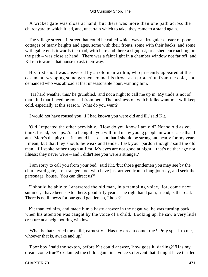A wicket gate was close at hand, but there was more than one path across the churchyard to which it led, and, uncertain which to take, they came to a stand again.

 The village street – if street that could be called which was an irregular cluster of poor cottages of many heights and ages, some with their fronts, some with their backs, and some with gable ends towards the road, with here and there a signpost, or a shed encroaching on the path – was close at hand. There was a faint light in a chamber window not far off, and Kit ran towards that house to ask their way.

 His first shout was answered by an old man within, who presently appeared at the casement, wrapping some garment round his throat as a protection from the cold, and demanded who was abroad at that unseasonable hour, wanting him.

 ''Tis hard weather this,' he grumbled, 'and not a night to call me up in. My trade is not of that kind that I need be roused from bed. The business on which folks want me, will keep cold, especially at this season. What do you want?'

'I would not have roused you, if I had known you were old and ill,' said Kit.

 'Old!' repeated the other peevishly. 'How do you know I am old? Not so old as you think, friend, perhaps. As to being ill, you will find many young people in worse case than I am. More's the pity that it should be so – not that I should be strong and hearty for my years, I mean, but that they should be weak and tender. I ask your pardon though,' said the old man, 'if I spoke rather rough at first. My eyes are not good at night – that's neither age nor illness; they never were – and I didn't see you were a stranger.'

 'I am sorry to call you from your bed,' said Kit, 'but those gentlemen you may see by the churchyard gate, are strangers too, who have just arrived from a long journey, and seek the parsonage−house. You can direct us?'

 'I should be able to,' answered the old man, in a trembling voice, 'for, come next summer, I have been sexton here, good fifty years. The right hand path, friend, is the road. – There is no ill news for our good gentleman, I hope?'

 Kit thanked him, and made him a hasty answer in the negative; he was turning back, when his attention was caught by the voice of a child. Looking up, he saw a very little creature at a neighbouring window.

 'What is that?' cried the child, earnestly. 'Has my dream come true? Pray speak to me, whoever that is, awake and up.'

 'Poor boy!' said the sexton, before Kit could answer, 'how goes it, darling?' 'Has my dream come true?' exclaimed the child again, in a voice so fervent that it might have thrilled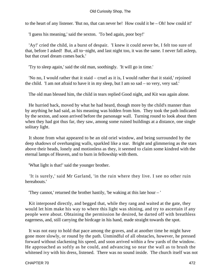to the heart of any listener. 'But no, that can never be! How could it be – Oh! how could it!'

'I guess his meaning,' said the sexton. 'To bed again, poor boy!'

 'Ay!' cried the child, in a burst of despair. 'I knew it could never be, I felt too sure of that, before I asked! But, all to−night, and last night too, it was the same. I never fall asleep, but that cruel dream comes back.'

'Try to sleep again,' said the old man, soothingly. 'It will go in time.'

 'No no, I would rather that it staid – cruel as it is, I would rather that it staid,' rejoined the child. 'I am not afraid to have it in my sleep, but I am so sad – so very, very sad.'

The old man blessed him, the child in tears replied Good night, and Kit was again alone.

 He hurried back, moved by what he had heard, though more by the child's manner than by anything he had said, as his meaning was hidden from him. They took the path indicated by the sexton, and soon arrived before the parsonage wall. Turning round to look about them when they had got thus far, they saw, among some ruined buildings at a distance, one single solitary light.

 It shone from what appeared to be an old oriel window, and being surrounded by the deep shadows of overhanging walls, sparkled like a star. Bright and glimmering as the stars above their heads, lonely and motionless as they, it seemed to claim some kindred with the eternal lamps of Heaven, and to burn in fellowship with them.

'What light is that!' said the younger brother.

 'It is surely,' said Mr Garland, 'in the ruin where they live. I see no other ruin hereabouts.'

'They cannot,' returned the brother hastily, 'be waking at this late hour – '

 Kit interposed directly, and begged that, while they rang and waited at the gate, they would let him make his way to where this light was shining, and try to ascertain if any people were about. Obtaining the permission he desired, he darted off with breathless eagerness, and, still carrying the birdcage in his hand, made straight towards the spot.

 It was not easy to hold that pace among the graves, and at another time he might have gone more slowly, or round by the path. Unmindful of all obstacles, however, he pressed forward without slackening his speed, and soon arrived within a few yards of the window. He approached as softly as he could, and advancing so near the wall as to brush the whitened ivy with his dress, listened. There was no sound inside. The church itself was not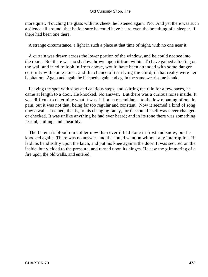more quiet. Touching the glass with his cheek, he listened again. No. And yet there was such a silence all around, that he felt sure he could have heard even the breathing of a sleeper, if there had been one there.

A strange circumstance, a light in such a place at that time of night, with no one near it.

 A curtain was drawn across the lower portion of the window, and he could not see into the room. But there was no shadow thrown upon it from within. To have gained a footing on the wall and tried to look in from above, would have been attended with some danger – certainly with some noise, and the chance of terrifying the child, if that really were her habitation. Again and again he listened; again and again the same wearisome blank.

 Leaving the spot with slow and cautious steps, and skirting the ruin for a few paces, he came at length to a door. He knocked. No answer. But there was a curious noise inside. It was difficult to determine what it was. It bore a resemblance to the low moaning of one in pain, but it was not that, being far too regular and constant. Now it seemed a kind of song, now a wail – seemed, that is, to his changing fancy, for the sound itself was never changed or checked. It was unlike anything he had ever heard; and in its tone there was something fearful, chilling, and unearthly.

 The listener's blood ran colder now than ever it had done in frost and snow, but he knocked again. There was no answer, and the sound went on without any interruption. He laid his hand softly upon the latch, and put his knee against the door. It was secured on the inside, but yielded to the pressure, and turned upon its hinges. He saw the glimmering of a fire upon the old walls, and entered.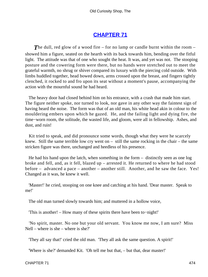## **[CHAPTER 71](#page-497-0)**

<span id="page-474-0"></span>**The dull, red glow of a wood fire – for no lamp or candle burnt within the room –** showed him a figure, seated on the hearth with its back towards him, bending over the fitful light. The attitude was that of one who sought the heat. It was, and yet was not. The stooping posture and the cowering form were there, but no hands were stretched out to meet the grateful warmth, no shrug or shiver compared its luxury with the piercing cold outside. With limbs huddled together, head bowed down, arms crossed upon the breast, and fingers tightly clenched, it rocked to and fro upon its seat without a moment's pause, accompanying the action with the mournful sound he had heard.

 The heavy door had closed behind him on his entrance, with a crash that made him start. The figure neither spoke, nor turned to look, nor gave in any other way the faintest sign of having heard the noise. The form was that of an old man, his white head akin in colour to the mouldering embers upon which he gazed. He, and the failing light and dying fire, the time−worn room, the solitude, the wasted life, and gloom, were all in fellowship. Ashes, and dust, and ruin!

 Kit tried to speak, and did pronounce some words, though what they were he scarcely knew. Still the same terrible low cry went on  $-$  still the same rocking in the chair  $-$  the same stricken figure was there, unchanged and heedless of his presence.

He had his hand upon the latch, when something in the form  $-$  distinctly seen as one log broke and fell, and, as it fell, blazed up – arrested it. He returned to where he had stood before – advanced a pace – another – another still. Another, and he saw the face. Yes! Changed as it was, he knew it well.

 'Master!' he cried, stooping on one knee and catching at his hand. 'Dear master. Speak to me!'

The old man turned slowly towards him; and muttered in a hollow voice,

'This is another! – How many of these spirits there have been to−night!'

 'No spirit, master. No one but your old servant. You know me now, I am sure? Miss Nell – where is she – where is she?'

'They all say that!' cried the old man. 'They all ask the same question. A spirit!'

'Where is she?' demanded Kit. 'Oh tell me but that, – but that, dear master!'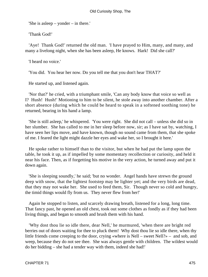'She is asleep – yonder – in there.'

'Thank God!'

 'Aye! Thank God!' returned the old man. 'I have prayed to Him, many, and many, and many a livelong night, when she has been asleep, He knows. Hark! Did she call?'

'I heard no voice.'

'You did. You hear her now. Do you tell me that you don't hear THAT?'

He started up, and listened again.

 'Nor that?' he cried, with a triumphant smile, 'Can any body know that voice so well as I? Hush! Hush!' Motioning to him to be silent, he stole away into another chamber. After a short absence (during which he could be heard to speak in a softened soothing tone) he returned, bearing in his hand a lamp.

 'She is still asleep,' he whispered. 'You were right. She did not call – unless she did so in her slumber. She has called to me in her sleep before now, sir; as I have sat by, watching, I have seen her lips move, and have known, though no sound came from them, that she spoke of me. I feared the light might dazzle her eyes and wake her, so I brought it here.'

 He spoke rather to himself than to the visitor, but when he had put the lamp upon the table, he took it up, as if impelled by some momentary recollection or curiosity, and held it near his face. Then, as if forgetting his motive in the very action, he turned away and put it down again.

 'She is sleeping soundly,' he said; 'but no wonder. Angel hands have strewn the ground deep with snow, that the lightest footstep may be lighter yet; and the very birds are dead, that they may not wake her. She used to feed them, Sir. Though never so cold and hungry, the timid things would fly from us. They never flew from her!'

 Again he stopped to listen, and scarcely drawing breath, listened for a long, long time. That fancy past, he opened an old chest, took out some clothes as fondly as if they had been living things, and began to smooth and brush them with his hand.

 'Why dost thou lie so idle there, dear Nell,' he murmured, 'when there are bright red berries out of doors waiting for thee to pluck them! Why dost thou lie so idle there, when thy little friends come creeping to the door, crying «where is Nell – sweet Nell?» – and sob, and weep, because they do not see thee. She was always gentle with children. The wildest would do her bidding – she had a tender way with them, indeed she had!'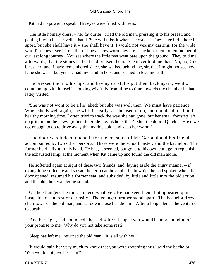Kit had no power to speak. His eyes were filled with tears.

 'Her little homely dress, – her favourite!' cried the old man, pressing it to his breast, and patting it with his shrivelled hand. 'She will miss it when she wakes. They have hid it here in sport, but she shall have it – she shall have it. I would not vex my darling, for the wide world's riches. See here – these shoes – how worn they are – she kept them to remind her of our last long journey. You see where the little feet went bare upon the ground. They told me, afterwards, that the stones had cut and bruised them. She never told me that. No, no, God bless her! and, I have remembered since, she walked behind me, sir, that I might not see how lame she was – but yet she had my hand in hers, and seemed to lead me still.'

 He pressed them to his lips, and having carefully put them back again, went on communing with himself – looking wistfully from time to time towards the chamber he had lately visited.

 'She was not wont to be a lie−abed; but she was well then. We must have patience. When she is well again, she will rise early, as she used to do, and ramble abroad in the healthy morning time. I often tried to track the way she had gone, but her small footstep left no print upon the dewy ground, to guide me. Who is that? Shut the door. Quick! – Have we not enough to do to drive away that marble cold, and keep her warm!'

 The door was indeed opened, for the entrance of Mr Garland and his friend, accompanied by two other persons. These were the schoolmaster, and the bachelor. The former held a light in his hand. He had, it seemed, but gone to his own cottage to replenish the exhausted lamp, at the moment when Kit came up and found the old man alone.

He softened again at sight of these two friends, and, laying aside the angry manner  $-$  if to anything so feeble and so sad the term can be applied – in which he had spoken when the door opened, resumed his former seat, and subsided, by little and little into the old action, and the old, dull, wandering sound.

 Of the strangers, he took no heed whatever. He had seen them, but appeared quite incapable of interest or curiosity. The younger brother stood apart. The bachelor drew a chair towards the old man, and sat down close beside him. After a long silence, he ventured to speak.

 'Another night, and not in bed!' he said softly; 'I hoped you would be more mindful of your promise to me. Why do you not take some rest?'

'Sleep has left me,' returned the old man. 'It is all with her!'

 'It would pain her very much to know that you were watching thus,' said the bachelor. 'You would not give her pain?'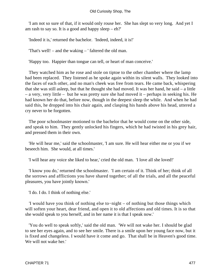'I am not so sure of that, if it would only rouse her. She has slept so very long. And yet I am rash to say so. It is a good and happy sleep  $-$  eh?'

'Indeed it is,' returned the bachelor. 'Indeed, indeed, it is!'

'That's well! – and the waking – ' faltered the old man.

'Happy too. Happier than tongue can tell, or heart of man conceive.'

 They watched him as he rose and stole on tiptoe to the other chamber where the lamp had been replaced. They listened as he spoke again within its silent walls. They looked into the faces of each other, and no man's cheek was free from tears. He came back, whispering that she was still asleep, but that he thought she had moved. It was her hand, he said – a little – a very, very little – but he was pretty sure she had moved it – perhaps in seeking his. He had known her do that, before now, though in the deepest sleep the while. And when he had said this, he dropped into his chair again, and clasping his hands above his head, uttered a cry never to be forgotten.

 The poor schoolmaster motioned to the bachelor that he would come on the other side, and speak to him. They gently unlocked his fingers, which he had twisted in his grey hair, and pressed them in their own.

 'He will hear me,' said the schoolmaster, 'I am sure. He will hear either me or you if we beseech him. She would, at all times.'

'I will hear any voice she liked to hear,' cried the old man. 'I love all she loved!'

 'I know you do,' returned the schoolmaster. 'I am certain of it. Think of her; think of all the sorrows and afflictions you have shared together; of all the trials, and all the peaceful pleasures, you have jointly known.'

'I do. I do. I think of nothing else.'

 'I would have you think of nothing else to−night – of nothing but those things which will soften your heart, dear friend, and open it to old affections and old times. It is so that she would speak to you herself, and in her name it is that I speak now.'

 'You do well to speak softly,' said the old man. 'We will not wake her. I should be glad to see her eyes again, and to see her smile. There is a smile upon her young face now, but it is fixed and changeless. I would have it come and go. That shall be in Heaven's good time. We will not wake her.'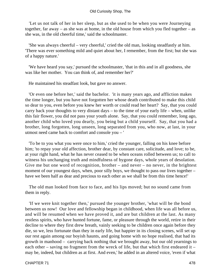'Let us not talk of her in her sleep, but as she used to be when you were Journeying together, far away – as she was at home, in the old house from which you fled together – as she was, in the old cheerful time,' said the schoolmaster.

 'She was always cheerful – very cheerful,' cried the old man, looking steadfastly at him. 'There was ever something mild and quiet about her, I remember, from the first; but she was of a happy nature.'

 'We have heard you say,' pursued the schoolmaster, 'that in this and in all goodness, she was like her mother. You can think of, and remember her?'

He maintained his steadfast look, but gave no answer.

 'Or even one before her,' said the bachelor. 'it is many years ago, and affliction makes the time longer, but you have not forgotten her whose death contributed to make this child so dear to you, even before you knew her worth or could read her heart? Say, that you could carry back your thoughts to very distant days – to the time of your early life – when, unlike this fair flower, you did not pass your youth alone. Say, that you could remember, long ago, another child who loved you dearly, you being but a child yourself. Say, that you had a brother, long forgotten, long unseen, long separated from you, who now, at last, in your utmost need came back to comfort and console you – '

 'To be to you what you were once to him,' cried the younger, falling on his knee before him; 'to repay your old affection, brother dear, by constant care, solicitude, and love; to be, at your right hand, what he has never ceased to be when oceans rolled between us; to call to witness his unchanging truth and mindfulness of bygone days, whole years of desolation. Give me but one word of recognition, brother – and never – no never, in the brightest moment of our youngest days, when, poor silly boys, we thought to pass our lives together – have we been half as dear and precious to each other as we shall be from this time hence!'

 The old man looked from face to face, and his lips moved; but no sound came from them in reply.

 'If we were knit together then,' pursued the younger brother, 'what will be the bond between us now! Our love and fellowship began in childhood, when life was all before us, and will be resumed when we have proved it, and are but children at the last. As many restless spirits, who have hunted fortune, fame, or pleasure through the world, retire in their decline to where they first drew breath, vainly seeking to be children once again before they die, so we, less fortunate than they in early life, but happier in its closing scenes, will set up our rest again among our boyish haunts, and going home with no hope realised, that had its growth in manhood – carrying back nothing that we brought away, but our old yearnings to each other – saving no fragment from the wreck of life, but that which first endeared it – may be, indeed, but children as at first. And even,' he added in an altered voice, 'even if what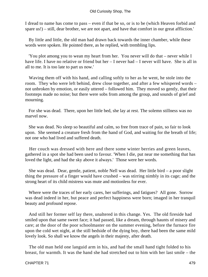I dread to name has come to pass – even if that be so, or is to be (which Heaven forbid and spare us!) – still, dear brother, we are not apart, and have that comfort in our great affliction.'

 By little and little, the old man had drawn back towards the inner chamber, while these words were spoken. He pointed there, as he replied, with trembling lips.

 'You plot among you to wean my heart from her. You never will do that – never while I have life. I have no relative or friend but her – I never had – I never will have. She is all in all to me. It is too late to part us now.'

 Waving them off with his hand, and calling softly to her as he went, he stole into the room. They who were left behind, drew close together, and after a few whispered words – not unbroken by emotion, or easily uttered – followed him. They moved so gently, that their footsteps made no noise; but there were sobs from among the group, and sounds of grief and mourning.

 For she was dead. There, upon her little bed, she lay at rest. The solemn stillness was no marvel now.

 She was dead. No sleep so beautiful and calm, so free from trace of pain, so fair to look upon. She seemed a creature fresh from the hand of God, and waiting for the breath of life; not one who had lived and suffered death.

 Her couch was dressed with here and there some winter berries and green leaves, gathered in a spot she had been used to favour. 'When I die, put near me something that has loved the light, and had the sky above it always.' Those were her words.

 She was dead. Dear, gentle, patient, noble Nell was dead. Her little bird – a poor slight thing the pressure of a finger would have crushed – was stirring nimbly in its cage; and the strong heart of its child mistress was mute and motionless for ever.

 Where were the traces of her early cares, her sufferings, and fatigues? All gone. Sorrow was dead indeed in her, but peace and perfect happiness were born; imaged in her tranquil beauty and profound repose.

 And still her former self lay there, unaltered in this change. Yes. The old fireside had smiled upon that same sweet face; it had passed, like a dream, through haunts of misery and care; at the door of the poor schoolmaster on the summer evening, before the furnace fire upon the cold wet night, at the still bedside of the dying boy, there had been the same mild lovely look. So shall we know the angels in their majesty, after death.

 The old man held one languid arm in his, and had the small hand tight folded to his breast, for warmth. It was the hand she had stretched out to him with her last smile – the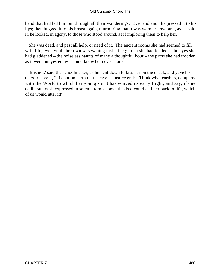hand that had led him on, through all their wanderings. Ever and anon he pressed it to his lips; then hugged it to his breast again, murmuring that it was warmer now; and, as he said it, he looked, in agony, to those who stood around, as if imploring them to help her.

 She was dead, and past all help, or need of it. The ancient rooms she had seemed to fill with life, even while her own was waning fast – the garden she had tended – the eyes she had gladdened – the noiseless haunts of many a thoughtful hour – the paths she had trodden as it were but yesterday – could know her never more.

 'It is not,' said the schoolmaster, as he bent down to kiss her on the cheek, and gave his tears free vent, 'it is not on earth that Heaven's justice ends. Think what earth is, compared with the World to which her young spirit has winged its early flight; and say, if one deliberate wish expressed in solemn terms above this bed could call her back to life, which of us would utter it!'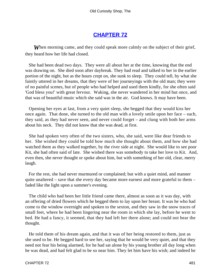# **[CHAPTER 72](#page-497-0)**

<span id="page-481-0"></span>*W*hen morning came, and they could speak more calmly on the subject of their grief, they heard how her life had closed.

 She had been dead two days. They were all about her at the time, knowing that the end was drawing on. She died soon after daybreak. They had read and talked to her in the earlier portion of the night, but as the hours crept on, she sunk to sleep. They could tell, by what she faintly uttered in her dreams, that they were of her journeyings with the old man; they were of no painful scenes, but of people who had helped and used them kindly, for she often said 'God bless you!' with great fervour. Waking, she never wandered in her mind but once, and that was of beautiful music which she said was in the air. God knows. It may have been.

 Opening her eyes at last, from a very quiet sleep, she begged that they would kiss her once again. That done, she turned to the old man with a lovely smile upon her face – such, they said, as they had never seen, and never could forget – and clung with both her arms about his neck. They did not know that she was dead, at first.

 She had spoken very often of the two sisters, who, she said, were like dear friends to her. She wished they could be told how much she thought about them, and how she had watched them as they walked together, by the river side at night. She would like to see poor Kit, she had often said of late. She wished there was somebody to take her love to Kit. And, even then, she never thought or spoke about him, but with something of her old, clear, merry laugh.

 For the rest, she had never murmured or complained; but with a quiet mind, and manner quite unaltered – save that she every day became more earnest and more grateful to them – faded like the light upon a summer's evening.

 The child who had been her little friend came there, almost as soon as it was day, with an offering of dried flowers which he begged them to lay upon her breast. It was he who had come to the window overnight and spoken to the sexton, and they saw in the snow traces of small feet, where he had been lingering near the room in which she lay, before he went to bed. He had a fancy, it seemed, that they had left her there alone; and could not bear the thought.

 He told them of his dream again, and that it was of her being restored to them, just as she used to be. He begged hard to see her, saying that he would be very quiet, and that they need not fear his being alarmed, for he had sat alone by his young brother all day long when he was dead, and had felt glad to be so near him. They let him have his wish; and indeed he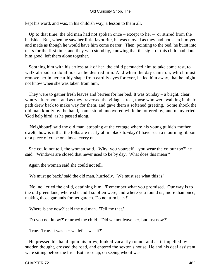kept his word, and was, in his childish way, a lesson to them all.

 Up to that time, the old man had not spoken once – except to her – or stirred from the bedside. But, when he saw her little favourite, he was moved as they had not seen him yet, and made as though he would have him come nearer. Then, pointing to the bed, he burst into tears for the first time, and they who stood by, knowing that the sight of this child had done him good, left them alone together.

 Soothing him with his artless talk of her, the child persuaded him to take some rest, to walk abroad, to do almost as he desired him. And when the day came on, which must remove her in her earthly shape from earthly eyes for ever, he led him away, that he might not know when she was taken from him.

 They were to gather fresh leaves and berries for her bed. It was Sunday – a bright, clear, wintry afternoon – and as they traversed the village street, those who were walking in their path drew back to make way for them, and gave them a softened greeting. Some shook the old man kindly by the hand, some stood uncovered while he tottered by, and many cried 'God help him!' as he passed along.

 'Neighbour!' said the old man, stopping at the cottage where his young guide's mother dwelt, 'how is it that the folks are nearly all in black to−day? I have seen a mourning ribbon or a piece of crape on almost every one.'

 She could not tell, the woman said. 'Why, you yourself – you wear the colour too?' he said. 'Windows are closed that never used to be by day. What does this mean?'

Again the woman said she could not tell.

'We must go back,' said the old man, hurriedly. 'We must see what this is.'

 'No, no,' cried the child, detaining him. 'Remember what you promised. Our way is to the old green lane, where she and I so often were, and where you found us, more than once, making those garlands for her garden. Do not turn back!'

'Where is she now?' said the old man. 'Tell me that.'

'Do you not know?' returned the child. 'Did we not leave her, but just now?'

'True. True. It was her we left – was it?'

 He pressed his hand upon his brow, looked vacantly round, and as if impelled by a sudden thought, crossed the road, and entered the sexton's house. He and his deaf assistant were sitting before the fire. Both rose up, on seeing who it was.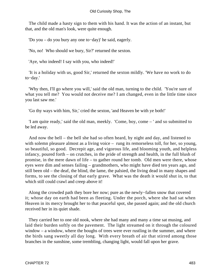The child made a hasty sign to them with his hand. It was the action of an instant, but that, and the old man's look, were quite enough.

'Do you – do you bury any one to−day)' he said, eagerly.

'No, no! Who should we bury, Sir?' returned the sexton.

'Aye, who indeed! I say with you, who indeed!'

 'It is a holiday with us, good Sir,' returned the sexton mildly. 'We have no work to do to−day.'

 'Why then, I'll go where you will,' said the old man, turning to the child. 'You're sure of what you tell me? You would not deceive me? I am changed, even in the little time since you last saw me.'

'Go thy ways with him, Sir,' cried the sexton, 'and Heaven be with ye both!'

 'I am quite ready,' said the old man, meekly. 'Come, boy, come – ' and so submitted to be led away.

 And now the bell – the bell she had so often heard, by night and day, and listened to with solemn pleasure almost as a living voice – rung its remorseless toll, for her, so young, so beautiful, so good. Decrepit age, and vigorous life, and blooming youth, and helpless infancy, poured forth – on crutches, in the pride of strength and health, in the full blush of promise, in the mere dawn of life – to gather round her tomb. Old men were there, whose eyes were dim and senses failing – grandmothers, who might have died ten years ago, and still been old – the deaf, the blind, the lame, the palsied, the living dead in many shapes and forms, to see the closing of that early grave. What was the death it would shut in, to that which still could crawl and creep above it!

 Along the crowded path they bore her now; pure as the newly−fallen snow that covered it; whose day on earth had been as fleeting. Under the porch, where she had sat when Heaven in its mercy brought her to that peaceful spot, she passed again; and the old church received her in its quiet shade.

They carried her to one old nook, where she had many and many a time sat musing, and laid their burden softly on the pavement. The light streamed on it through the coloured window – a window, where the boughs of trees were ever rustling in the summer, and where the birds sang sweetly all day long. With every breath of air that stirred among those branches in the sunshine, some trembling, changing light, would fall upon her grave.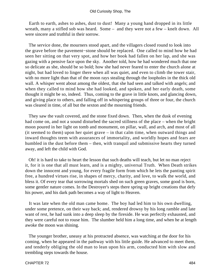Earth to earth, ashes to ashes, dust to dust! Many a young hand dropped in its little wreath, many a stifled sob was heard. Some – and they were not a few – knelt down. All were sincere and truthful in their sorrow.

 The service done, the mourners stood apart, and the villagers closed round to look into the grave before the pavement−stone should be replaced. One called to mind how he had seen her sitting on that very spot, and how her book had fallen on her lap, and she was gazing with a pensive face upon the sky. Another told, how he had wondered much that one so delicate as she, should be so bold; how she had never feared to enter the church alone at night, but had loved to linger there when all was quiet, and even to climb the tower stair, with no more light than that of the moon rays stealing through the loopholes in the thick old wall. A whisper went about among the oldest, that she had seen and talked with angels; and when they called to mind how she had looked, and spoken, and her early death, some thought it might be so, indeed. Thus, coming to the grave in little knots, and glancing down, and giving place to others, and falling off in whispering groups of three or four, the church was cleared in time, of all but the sexton and the mourning friends.

 They saw the vault covered, and the stone fixed down. Then, when the dusk of evening had come on, and not a sound disturbed the sacred stillness of the place – when the bright moon poured in her light on tomb and monument, on pillar, wall, and arch, and most of all (it seemed to them) upon her quiet grave – in that calm time, when outward things and inward thoughts teem with assurances of immortality, and worldly hopes and fears are humbled in the dust before them – then, with tranquil and submissive hearts they turned away, and left the child with God.

 Oh! it is hard to take to heart the lesson that such deaths will teach, but let no man reject it, for it is one that all must learn, and is a mighty, universal Truth. When Death strikes down the innocent and young, for every fragile form from which he lets the panting spirit free, a hundred virtues rise, in shapes of mercy, charity, and love, to walk the world, and bless it. Of every tear that sorrowing mortals shed on such green graves, some good is born, some gentler nature comes. In the Destroyer's steps there spring up bright creations that defy his power, and his dark path becomes a way of light to Heaven.

 It was late when the old man came home. The boy had led him to his own dwelling, under some pretence, on their way back; and, rendered drowsy by his long ramble and late want of rest, he had sunk into a deep sleep by the fireside. He was perfectly exhausted, and they were careful not to rouse him. The slumber held him a long time, and when he at length awoke the moon was shining.

 The younger brother, uneasy at his protracted absence, was watching at the door for his coming, when he appeared in the pathway with his little guide. He advanced to meet them, and tenderly obliging the old man to lean upon his arm, conducted him with slow and trembling steps towards the house.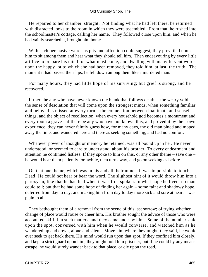He repaired to her chamber, straight. Not finding what he had left there, he returned with distracted looks to the room in which they were assembled. From that, he rushed into the schoolmaster's cottage, calling her name. They followed close upon him, and when he had vainly searched it, brought him home.

 With such persuasive words as pity and affection could suggest, they prevailed upon him to sit among them and hear what they should tell him. Then endeavouring by every little artifice to prepare his mind for what must come, and dwelling with many fervent words upon the happy lot to which she had been removed, they told him, at last, the truth. The moment it had passed their lips, he fell down among them like a murdered man.

 For many hours, they had little hope of his surviving; but grief is strong, and he recovered.

 If there be any who have never known the blank that follows death – the weary void – the sense of desolation that will come upon the strongest minds, when something familiar and beloved is missed at every turn – the connection between inanimate and senseless things, and the object of recollection, when every household god becomes a monument and every room a grave – if there be any who have not known this, and proved it by their own experience, they can never faintly guess how, for many days, the old man pined and moped away the time, and wandered here and there as seeking something, and had no comfort.

 Whatever power of thought or memory he retained, was all bound up in her. He never understood, or seemed to care to understand, about his brother. To every endearment and attention he continued listless. If they spoke to him on this, or any other theme – save one – he would hear them patiently for awhile, then turn away, and go on seeking as before.

 On that one theme, which was in his and all their minds, it was impossible to touch. Dead! He could not hear or bear the word. The slightest hint of it would throw him into a paroxysm, like that he had had when it was first spoken. In what hope he lived, no man could tell; but that he had some hope of finding her again – some faint and shadowy hope, deferred from day to day, and making him from day to day more sick and sore at heart – was plain to all.

 They bethought them of a removal from the scene of this last sorrow; of trying whether change of place would rouse or cheer him. His brother sought the advice of those who were accounted skilful in such matters, and they came and saw him. Some of the number staid upon the spot, conversed with him when he would converse, and watched him as he wandered up and down, alone and silent. Move him where they might, they said, he would ever seek to get back there. His mind would run upon that spot. If they confined him closely, and kept a strict guard upon him, they might hold him prisoner, but if he could by any means escape, he would surely wander back to that place, or die upon the road.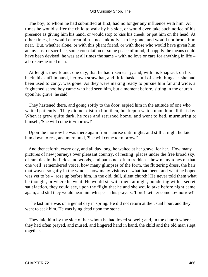The boy, to whom he had submitted at first, had no longer any influence with him. At times he would suffer the child to walk by his side, or would even take such notice of his presence as giving him his hand, or would stop to kiss his cheek, or pat him on the head. At other times, he would entreat him – not unkindly – to be gone, and would not brook him near. But, whether alone, or with this pliant friend, or with those who would have given him, at any cost or sacrifice, some consolation or some peace of mind, if happily the means could have been devised; he was at all times the same – with no love or care for anything in life – a broken−hearted man.

 At length, they found, one day, that he had risen early, and, with his knapsack on his back, his staff in hand, her own straw hat, and little basket full of such things as she had been used to carry, was gone. As they were making ready to pursue him far and wide, a frightened schoolboy came who had seen him, but a moment before, sitting in the church – upon her grave, he said.

 They hastened there, and going softly to the door, espied him in the attitude of one who waited patiently. They did not disturb him then, but kept a watch upon him all that day. When it grew quite dark, he rose and returned home, and went to bed, murmuring to himself, 'She will come to−morrow!'

 Upon the morrow he was there again from sunrise until night; and still at night he laid him down to rest, and murmured, 'She will come to−morrow!'

 And thenceforth, every day, and all day long, he waited at her grave, for her. How many pictures of new journeys over pleasant country, of resting−places under the free broad sky, of rambles in the fields and woods, and paths not often trodden – how many tones of that one well−remembered voice, how many glimpses of the form, the fluttering dress, the hair that waved so gaily in the wind – how many visions of what had been, and what he hoped was yet to be – rose up before him, in the old, dull, silent church! He never told them what he thought, or where he went. He would sit with them at night, pondering with a secret satisfaction, they could see, upon the flight that he and she would take before night came again; and still they would hear him whisper in his prayers, 'Lord! Let her come to−morrow!'

 The last time was on a genial day in spring. He did not return at the usual hour, and they went to seek him. He was lying dead upon the stone.

 They laid him by the side of her whom he had loved so well; and, in the church where they had often prayed, and mused, and lingered hand in hand, the child and the old man slept together.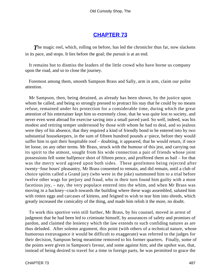# **[CHAPTER 73](#page-497-0)**

<span id="page-487-0"></span>**The magic reel, which, rolling on before, has led the chronicler thus far, now slackens** in its pace, and stops. It lies before the goal; the pursuit is at an end.

 It remains but to dismiss the leaders of the little crowd who have borne us company upon the road, and so to close the journey.

 Foremost among them, smooth Sampson Brass and Sally, arm in arm, claim our polite attention.

 Mr Sampson, then, being detained, as already has been shown, by the justice upon whom he called, and being so strongly pressed to protract his stay that he could by no means refuse, remained under his protection for a considerable time, during which the great attention of his entertainer kept him so extremely close, that he was quite lost to society, and never even went abroad for exercise saving into a small paved yard. So well, indeed, was his modest and retiring temper understood by those with whom he had to deal, and so jealous were they of his absence, that they required a kind of friendly bond to be entered into by two substantial housekeepers, in the sum of fifteen hundred pounds a−piece, before they would suffer him to quit their hospitable roof – doubting, it appeared, that he would return, if once let loose, on any other terms. Mr Brass, struck with the humour of this jest, and carrying out its spirit to the utmost, sought from his wide connection a pair of friends whose joint possessions fell some halfpence short of fifteen pence, and proffered them as bail – for that was the merry word agreed upon both sides. These gentlemen being rejected after twenty−four hours' pleasantry, Mr Brass consented to remain, and did remain, until a club of choice spirits called a Grand jury (who were in the joke) summoned him to a trial before twelve other wags for perjury and fraud, who in their turn found him guilty with a most facetious joy, – nay, the very populace entered into the whim, and when Mr Brass was moving in a hackney−coach towards the building where these wags assembled, saluted him with rotten eggs and carcases of kittens, and feigned to wish to tear him into shreds, which greatly increased the comicality of the thing, and made him relish it the more, no doubt.

 To work this sportive vein still further, Mr Brass, by his counsel, moved in arrest of judgment that he had been led to criminate himself, by assurances of safety and promises of pardon, and claimed the leniency which the law extends to such confiding natures as are thus deluded. After solemn argument, this point (with others of a technical nature, whose humorous extravagance it would be difficult to exaggerate) was referred to the judges for their decision, Sampson being meantime removed to his former quarters. Finally, some of the points were given in Sampson's favour, and some against him; and the upshot was, that, instead of being desired to travel for a time in foreign parts, he was permitted to grace the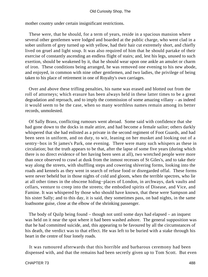mother country under certain insignificant restrictions.

 These were, that he should, for a term of years, reside in a spacious mansion where several other gentlemen were lodged and boarded at the public charge, who went clad in a sober uniform of grey turned up with yellow, had their hair cut extremely short, and chiefly lived on gruel and light soup. It was also required of him that he should partake of their exercise of constantly ascending an endless flight of stairs; and, lest his legs, unused to such exertion, should be weakened by it, that he should wear upon one ankle an amulet or charm of iron. These conditions being arranged, he was removed one evening to his new abode, and enjoyed, in common with nine other gentlemen, and two ladies, the privilege of being taken to his place of retirement in one of Royalty's own carriages.

 Over and above these trifling penalties, his name was erased and blotted out from the roll of attorneys; which erasure has been always held in these latter times to be a great degradation and reproach, and to imply the commission of some amazing villany – as indeed it would seem to be the case, when so many worthless names remain among its better records, unmolested.

 Of Sally Brass, conflicting rumours went abroad. Some said with confidence that she had gone down to the docks in male attire, and had become a female sailor; others darkly whispered that she had enlisted as a private in the second regiment of Foot Guards, and had been seen in uniform, and on duty, to wit, leaning on her musket and looking out of a sentry−box in St james's Park, one evening. There were many such whispers as these in circulation; but the truth appears to be that, after the lapse of some five years (during which there is no direct evidence of her having been seen at all), two wretched people were more than once observed to crawl at dusk from the inmost recesses of St Giles's, and to take their way along the streets, with shuffling steps and cowering shivering forms, looking into the roads and kennels as they went in search of refuse food or disregarded offal. These forms were never beheld but in those nights of cold and gloom, when the terrible spectres, who lie at all other times in the obscene hiding−places of London, in archways, dark vaults and cellars, venture to creep into the streets; the embodied spirits of Disease, and Vice, and Famine. It was whispered by those who should have known, that these were Sampson and his sister Sally; and to this day, it is said, they sometimes pass, on bad nights, in the same loathsome guise, close at the elbow of the shrinking passenger.

 The body of Quilp being found – though not until some days had elapsed – an inquest was held on it near the spot where it had been washed ashore. The general supposition was that he had committed suicide, and, this appearing to be favoured by all the circumstances of his death, the verdict was to that effect. He was left to be buried with a stake through his heart in the centre of four lonely roads.

 It was rumoured afterwards that this horrible and barbarous ceremony had been dispensed with, and that the remains had been secretly given up to Tom Scott. But even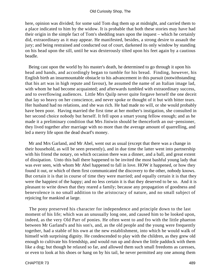here, opinion was divided; for some said Tom dug them up at midnight, and carried them to a place indicated to him by the widow. It is probable that both these stories may have had their origin in the simple fact of Tom's shedding tears upon the inquest – which he certainly did, extraordinary as it may appear. He manifested, besides, a strong desire to assault the jury; and being restrained and conducted out of court, darkened its only window by standing on his head upon the sill, until he was dexterously tilted upon his feet again by a cautious beadle.

 Being cast upon the world by his master's death, he determined to go through it upon his head and hands, and accordingly began to tumble for his bread. Finding, however, his English birth an insurmountable obstacle to his advancement in this pursuit (notwithstanding that his art was in high repute and favour), he assumed the name of an Italian image lad, with whom he had become acquainted; and afterwards tumbled with extraordinary success, and to overflowing audiences. Little Mrs Quilp never quite forgave herself the one deceit that lay so heavy on her conscience, and never spoke or thought of it but with bitter tears. Her husband had no relations, and she was rich. He had made no will, or she would probably have been poor. Having married the first time at her mother's instigation, she consulted in her second choice nobody but herself. It fell upon a smart young fellow enough; and as he made it a preliminary condition that Mrs Jiniwin should be thenceforth an out−pensioner, they lived together after marriage with no more than the average amount of quarrelling, and led a merry life upon the dead dwarf's money.

 Mr and Mrs Garland, and Mr Abel, went out as usual (except that there was a change in their household, as will be seen presently), and in due time the latter went into partnership with his friend the notary, on which occasion there was a dinner, and a ball, and great extent of dissipation. Unto this ball there happened to be invited the most bashful young lady that was ever seen, with whom Mr Abel happened to fall in love. HOW it happened, or how they found it out, or which of them first communicated the discovery to the other, nobody knows. But certain it is that in course of time they were married; and equally certain it is that they were the happiest of the happy; and no less certain it is that they deserved to be so. And it is pleasant to write down that they reared a family; because any propagation of goodness and benevolence is no small addition to the aristocracy of nature, and no small subject of rejoicing for mankind at large.

 The pony preserved his character for independence and principle down to the last moment of his life; which was an unusually long one, and caused him to be looked upon, indeed, as the very Old Parr of ponies. He often went to and fro with the little phaeton between Mr Garland's and his son's, and, as the old people and the young were frequently together, had a stable of his own at the new establishment, into which he would walk of himself with surprising dignity. He condescended to play with the children, as they grew old enough to cultivate his friendship, and would run up and down the little paddock with them like a dog; but though he relaxed so far, and allowed them such small freedoms as caresses, or even to look at his shoes or hang on by his tail, he never permitted any one among them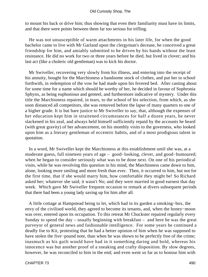to mount his back or drive him; thus showing that even their familiarity must have its limits, and that there were points between them far too serious for trifling.

 He was not unsusceptible of warm attachments in his later life, for when the good bachelor came to live with Mr Garland upon the clergyman's decease, he conceived a great friendship for him, and amiably submitted to be driven by his hands without the least resistance. He did no work for two or three years before he died, but lived in clover; and his last act (like a choleric old gentleman) was to kick his doctor.

 Mr Swiveller, recovering very slowly from his illness, and entering into the receipt of his annuity, bought for the Marchioness a handsome stock of clothes, and put her to school forthwith, in redemption of the vow he had made upon his fevered bed. After casting about for some time for a name which should be worthy of her, he decided in favour of Sophronia Sphynx, as being euphonious and genteel, and furthermore indicative of mystery. Under this title the Marchioness repaired, in tears, to the school of his selection, from which, as she soon distanced all competitors, she was removed before the lapse of many quarters to one of a higher grade. It is but bare justice to Mr Swiveller to say, that, although the expenses of her education kept him in straitened circumstances for half a dozen years, he never slackened in his zeal, and always held himself sufficiently repaid by the accounts he heard (with great gravity) of her advancement, on his monthly visits to the governess, who looked upon him as a literary gentleman of eccentric habits, and of a most prodigious talent in quotation.

 In a word, Mr Swiveller kept the Marchioness at this establishment until she was, at a moderate guess, full nineteen years of age – good−looking, clever, and good−humoured; when he began to consider seriously what was to be done next. On one of his periodical visits, while he was revolving this question in his mind, the Marchioness came down to him, alone, looking more smiling and more fresh than ever. Then, it occurred to him, but not for the first time, that if she would marry him, how comfortable they might be! So Richard asked her; whatever she said, it wasn't No; and they were married in good earnest that day week. Which gave Mr Swiveller frequent occasion to remark at divers subsequent periods that there had been a young lady saving up for him after all.

 A little cottage at Hampstead being to let, which had in its garden a smoking−box, the envy of the civilised world, they agreed to become its tenants, and, when the honey−moon was over, entered upon its occupation. To this retreat Mr Chuckster repaired regularly every Sunday to spend the day – usually beginning with breakfast – and here he was the great purveyor of general news and fashionable intelligence. For some years he continued a deadly foe to Kit, protesting that he had a better opinion of him when he was supposed to have stolen the five−pound note, than when he was shown to be perfectly free of the crime; inasmuch as his guilt would have had in it something daring and bold, whereas his innocence was but another proof of a sneaking and crafty disposition. By slow degrees, however, he was reconciled to him in the end; and even went so far as to honour him with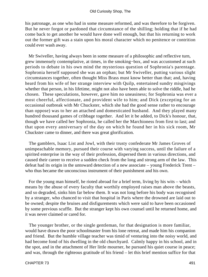his patronage, as one who had in some measure reformed, and was therefore to be forgiven. But he never forgot or pardoned that circumstance of the shilling; holding that if he had come back to get another he would have done well enough, but that his returning to work out the former gift was a stain upon his moral character which no penitence or contrition could ever wash away.

 Mr Swiveller, having always been in some measure of a philosophic and reflective turn, grew immensely contemplative, at times, in the smoking−box, and was accustomed at such periods to debate in his own mind the mysterious question of Sophronia's parentage. Sophronia herself supposed she was an orphan; but Mr Swiveller, putting various slight circumstances together, often thought Miss Brass must know better than that; and, having heard from his wife of her strange interview with Quilp, entertained sundry misgivings whether that person, in his lifetime, might not also have been able to solve the riddle, had he chosen. These speculations, however, gave him no uneasiness; for Sophronia was ever a most cheerful, affectionate, and provident wife to him; and Dick (excepting for an occasional outbreak with Mr Chuckster, which she had the good sense rather to encourage than oppose) was to her an attached and domesticated husband. And they played many hundred thousand games of cribbage together. And let it be added, to Dick's honour, that, though we have called her Sophronia, he called her the Marchioness from first to last; and that upon every anniversary of the day on which he found her in his sick room, Mr Chuckster came to dinner, and there was great glorification.

 The gamblers, Isaac List and Jowl, with their trusty confederate Mr James Groves of unimpeachable memory, pursued their course with varying success, until the failure of a spirited enterprise in the way of their profession, dispersed them in various directions, and caused their career to receive a sudden check from the long and strong arm of the law. This defeat had its origin in the untoward detection of a new associate – young Frederick Trent – who thus became the unconscious instrument of their punishment and his own.

 For the young man himself, he rioted abroad for a brief term, living by his wits – which means by the abuse of every faculty that worthily employed raises man above the beasts, and so degraded, sinks him far below them. It was not long before his body was recognised by a stranger, who chanced to visit that hospital in Paris where the drowned are laid out to be owned; despite the bruises and disfigurements which were said to have been occasioned by some previous scuffle. But the stranger kept his own counsel until he returned home, and it was never claimed or cared for.

 The younger brother, or the single gentleman, for that designation is more familiar, would have drawn the poor schoolmaster from his lone retreat, and made him his companion and friend. But the humble village teacher was timid of venturing into the noisy world, and had become fond of his dwelling in the old churchyard. Calmly happy in his school, and in the spot, and in the attachment of Her little mourner, he pursued his quiet course in peace; and was, through the righteous gratitude of his friend – let this brief mention suffice for that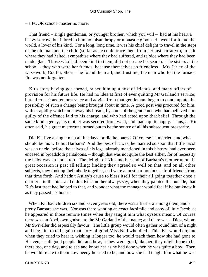– a POOR school−master no more.

 That friend – single gentleman, or younger brother, which you will – had at his heart a heavy sorrow; but it bred in him no misanthropy or monastic gloom. He went forth into the world, a lover of his kind. For a long, long time, it was his chief delight to travel in the steps of the old man and the child (so far as he could trace them from her last narrative), to halt where they had halted, sympathise where they had suffered, and rejoice where they had been made glad. Those who had been kind to them, did not escape his search. The sisters at the school – they who were her friends, because themselves so friendless – Mrs Jarley of the wax−work, Codlin, Short – he found them all; and trust me, the man who fed the furnace fire was not forgotten.

 Kit's story having got abroad, raised him up a host of friends, and many offers of provision for his future life. He had no idea at first of ever quitting Mr Garland's service; but, after serious remonstrance and advice from that gentleman, began to contemplate the possibility of such a change being brought about in time. A good post was procured for him, with a rapidity which took away his breath, by some of the gentlemen who had believed him guilty of the offence laid to his charge, and who had acted upon that belief. Through the same kind agency, his mother was secured from want, and made quite happy. Thus, as Kit often said, his great misfortune turned out to be the source of all his subsequent prosperity.

 Did Kit live a single man all his days, or did he marry? Of course he married, and who should be his wife but Barbara? And the best of it was, he married so soon that little Jacob was an uncle, before the calves of his legs, already mentioned in this history, had ever been encased in broadcloth pantaloons, – though that was not quite the best either, for of necessity the baby was an uncle too. The delight of Kit's mother and of Barbara's mother upon the great occasion is past all telling; finding they agreed so well on that, and on all other subjects, they took up their abode together, and were a most harmonious pair of friends from that time forth. And hadn't Astley's cause to bless itself for their all going together once a quarter – to the pit – and didn't Kit's mother always say, when they painted the outside, that Kit's last treat had helped to that, and wonder what the manager would feel if he but knew it as they passed his house!

 When Kit had children six and seven years old, there was a Barbara among them, and a pretty Barbara she was. Nor was there wanting an exact facsimile and copy of little Jacob, as he appeared in those remote times when they taught him what oysters meant. Of course there was an Abel, own godson to the Mr Garland of that name; and there was a Dick, whom Mr Swiveller did especially favour. The little group would often gather round him of a night and beg him to tell again that story of good Miss Nell who died. This, Kit would do; and when they cried to hear it, wishing it longer too, he would teach them how she had gone to Heaven, as all good people did; and how, if they were good, like her, they might hope to be there too, one day, and to see and know her as he had done when he was quite a boy. Then, he would relate to them how needy he used to be, and how she had taught him what he was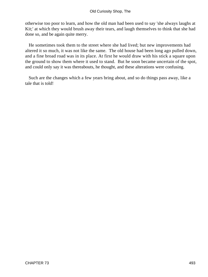otherwise too poor to learn, and how the old man had been used to say 'she always laughs at Kit;' at which they would brush away their tears, and laugh themselves to think that she had done so, and be again quite merry.

 He sometimes took them to the street where she had lived; but new improvements had altered it so much, it was not like the same. The old house had been long ago pulled down, and a fine broad road was in its place. At first he would draw with his stick a square upon the ground to show them where it used to stand. But he soon became uncertain of the spot, and could only say it was thereabouts, he thought, and these alterations were confusing.

 Such are the changes which a few years bring about, and so do things pass away, like a tale that is told!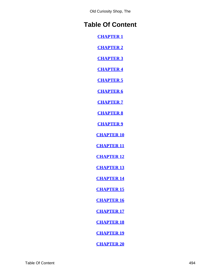# **Table Of Content**

**[CHAPTER 1](#page-3-0)**

**[CHAPTER 2](#page-14-0)**

**[CHAPTER 3](#page-20-0)**

**[CHAPTER 4](#page-27-0)**

**[CHAPTER 5](#page-34-0)**

**[CHAPTER 6](#page-40-0)**

**[CHAPTER 7](#page-48-0)**

**[CHAPTER 8](#page-54-0)**

**[CHAPTER 9](#page-62-0)**

**[CHAPTER 10](#page-70-0)**

**[CHAPTER 11](#page-75-0)**

**[CHAPTER 12](#page-82-0)**

**[CHAPTER 13](#page-88-0)**

**[CHAPTER 14](#page-96-0)**

**[CHAPTER 15](#page-101-0)**

**[CHAPTER 16](#page-108-0)**

**[CHAPTER 17](#page-113-0)**

**[CHAPTER 18](#page-120-0)**

**[CHAPTER 19](#page-126-0)**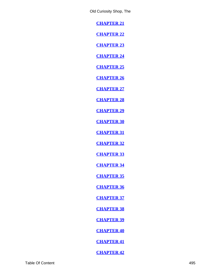**[CHAPTER 21](#page-139-0)**

**[CHAPTER 22](#page-147-0)**

**[CHAPTER 23](#page-151-0)**

**[CHAPTER 24](#page-159-0)**

**[CHAPTER 25](#page-164-0)**

**[CHAPTER 26](#page-171-0)**

**[CHAPTER 27](#page-177-0)**

**[CHAPTER 28](#page-185-0)**

**[CHAPTER 29](#page-190-0)**

**[CHAPTER 30](#page-198-0)**

**[CHAPTER 31](#page-203-0)**

**[CHAPTER 32](#page-211-0)**

**[CHAPTER 33](#page-215-0)**

**[CHAPTER 34](#page-223-0)**

**[CHAPTER 35](#page-228-0)**

**[CHAPTER 36](#page-237-0)**

**[CHAPTER 37](#page-242-0)**

**[CHAPTER 38](#page-249-0)**

**[CHAPTER 39](#page-257-0)**

**[CHAPTER 40](#page-262-0)**

**[CHAPTER 41](#page-269-0)**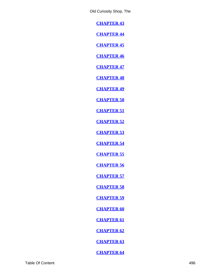**[CHAPTER 43](#page-283-0)**

**[CHAPTER 44](#page-288-0)**

**[CHAPTER 45](#page-295-0)**

**[CHAPTER 46](#page-300-0)**

**[CHAPTER 47](#page-307-0)**

**[CHAPTER 48](#page-313-0)**

**[CHAPTER 49](#page-321-0)**

**[CHAPTER 50](#page-327-0)**

**[CHAPTER 51](#page-335-0)**

**[CHAPTER 52](#page-341-0)**

**[CHAPTER 53](#page-349-0)**

**[CHAPTER 54](#page-354-0)**

**[CHAPTER 55](#page-363-0)**

**[CHAPTER 56](#page-368-0)**

**[CHAPTER 57](#page-377-0)**

**[CHAPTER 58](#page-382-0)**

**[CHAPTER 59](#page-390-0)**

**[CHAPTER 60](#page-396-0)**

**[CHAPTER 61](#page-404-0)**

**[CHAPTER 62](#page-409-0)**

**[CHAPTER 63](#page-417-0)**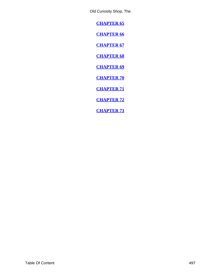<span id="page-497-0"></span>**[CHAPTER 65](#page-431-0)**

**[CHAPTER 66](#page-436-0)**

**[CHAPTER 67](#page-448-0)**

**[CHAPTER 68](#page-456-0)**

**[CHAPTER 69](#page-461-0)**

**[CHAPTER 70](#page-469-0)**

**[CHAPTER 71](#page-474-0)**

**[CHAPTER 72](#page-481-0)**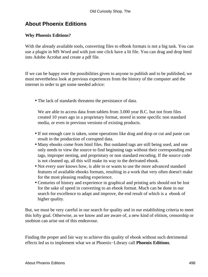# **About Phoenix Editions**

## **Why Phoenix Editions?**

With the already available tools, converting files to eBook formats is not a big task. You can use a plugin in MS Word and with just one click have a lit file. You can drag and drop html into Adobe Acrobat and create a pdf file.

If we can be happy over the possibilities given to anyone to publish and to be published, we must nevertheless look at previous experiences from the history of the computer and the internet in order to get some needed advice:

• The lack of standards threatens the persistance of data.

We are able to access data from tablets from 3.000 year B.C. but not from files created 10 years ago in a proprietary format, stored in some specific non standard media, or even in previous versions of existing products.

- If not enough care is taken, some operations like drag and drop or cut and paste can result in the production of corrupted data.
- Many ebooks come from html files. But outdated tags are still being used, and one only needs to view the source to find beginning tags without their corresponding end tags, improper nesting, and proprietary or non standard encoding. If the source code is not cleaned up, all this will make its way to the derivated ebook.
- Not every user knows how, is able to or wants to use the more advanced standard features of available ebooks formats, resulting in a work that very often doesn't make for the most pleasing reading experience.
- Centuries of history and experience in graphical and printing arts should not be lost for the sake of speed in converting to an ebook format. Much can be done in our search for excellence to adapt and improve, the end result of which is a ebook of higher quality.

But, we must be very careful in our search for quality and in our establishing criteria to meet this lofty goal. Otherwise, as we know and are aware of, a new kind of elitism, censorship or snobism can arise out of this endeavour.

Finding the proper and fair way to achieve this quality of ebook without such detrimental effects led us to implement what we at Phoenix−Library call **Phoenix Editions**.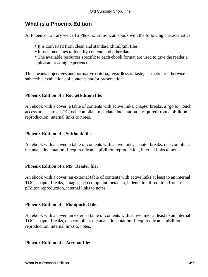# **What is a Phoenix Edition**

At Phoenix−Library we call a Phoenix Edition, an ebook with the following characteristics:

- It is converted from clean and standard xhtml/xml files
- It uses meta tags to identify content, and other data
- The available resources specific to each ebook format are used to give the reader a pleasant reading experience.

This means: objectives and normative criteria, regardless of taste, aesthetic or otherwise subjective evaluations of contents and/or presentation.

## **Phoenix Edition of a RocketEdition file:**

An ebook with a cover, a table of contents with active links, chapter breaks, a "go to" touch access at least to a TOC, oeb compliant metadata, indentation if required from a pEdition reproduction, internal links to notes.

## **Phoenix Edition of a Softbook file:**

An ebook with a cover, a table of contents with active links, chapter breaks, oeb compliant metadata, indentation if required from a pEdition reproduction, internal links to notes.

## **Phoenix Edition of a MS−Reader file:**

An ebook with a cover, an external table of contents with active links at least to an internal TOC, chapter breaks, images, oeb compliant metadata, indentation if required from a pEditon reproduction, internal links to notes.

## **Phoenix Edition of a Mobipocket file:**

An ebook with a cover, an external table of contents with active links at least to an internal TOC, chapter breaks, oeb compliant metadata, indentation if required from a pEdition reproduction, internal links to notes.

### **Phoenix Edition of a Acrobat file:**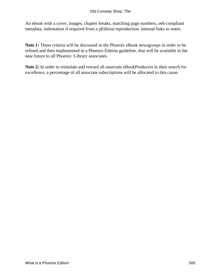An ebook with a cover, images, chapter breaks, matching page numbers, oeb compliant metadata, indentation if required from a pEdition reproduction, internal links to notes.

**Note 1:** These criteria will be discussed in the Phoenix eBook newsgroups in order to be refined and then implemented in a Phoenix Edition guideline, that will be available in the near future to all Phoenix−Library associates.

**Note 2:** In order to stimulate and reward all associate eBookProducers in their search for excellence, a percentage of all associate subscriptions will be allocated to this cause.